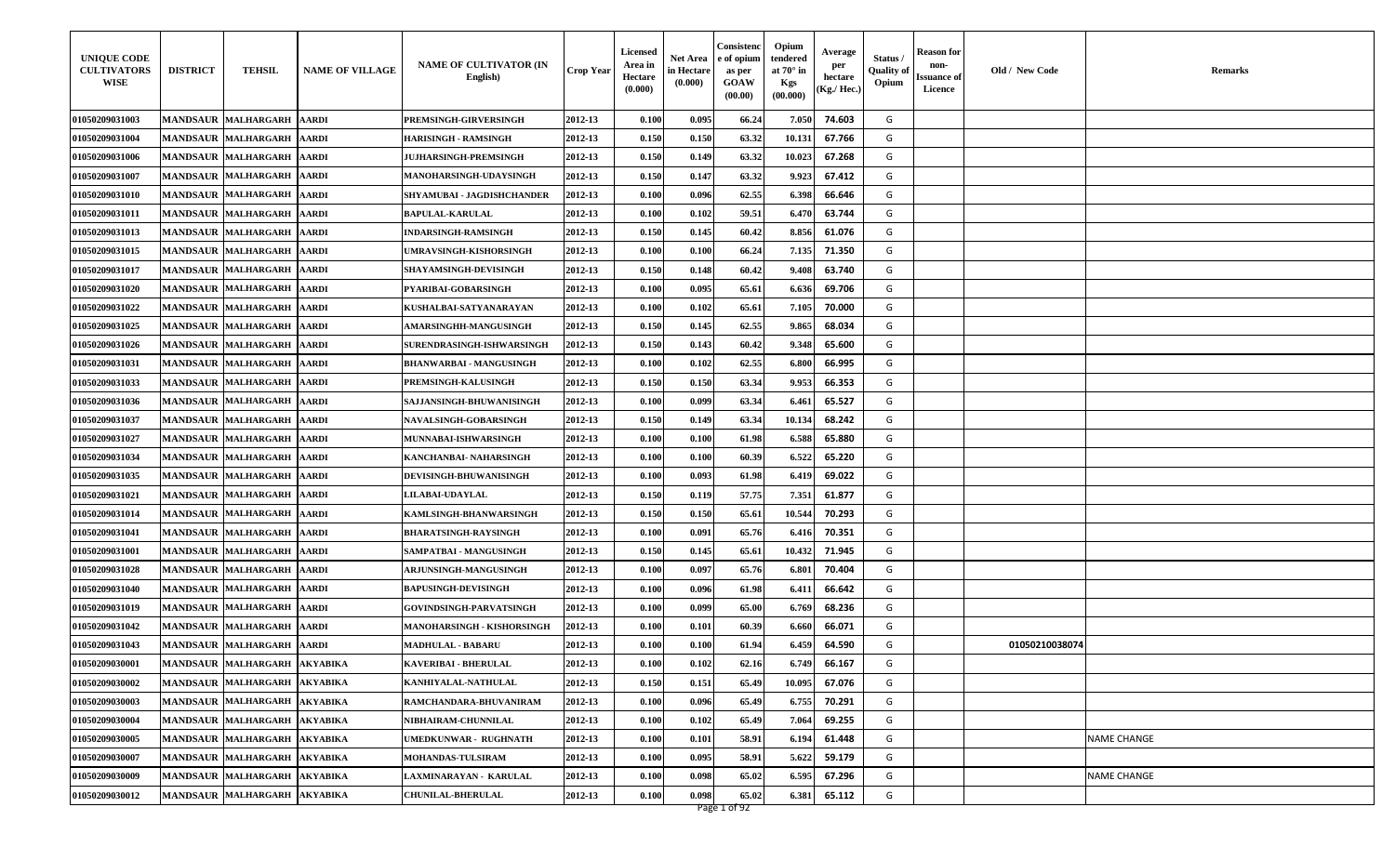| <b>UNIQUE CODE</b><br><b>CULTIVATORS</b><br>WISE | <b>DISTRICT</b> | <b>TEHSIL</b>                | <b>NAME OF VILLAGE</b> | <b>NAME OF CULTIVATOR (IN</b><br>English) | Crop Year | <b>Licensed</b><br>Area in<br>Hectare<br>(0.000) | Net Area<br>in Hectare<br>(0.000) | Consistenc<br>e of opium<br>as per<br><b>GOAW</b><br>(00.00) | Opium<br>tendered<br>at $70^\circ$ in<br>Kgs<br>(00.000) | Average<br>per<br>hectare<br>(Kg./ Hec.) | Status<br><b>Quality</b> of<br>Opium | Reason for<br>non-<br>Issuance of<br>Licence | Old / New Code | Remarks     |
|--------------------------------------------------|-----------------|------------------------------|------------------------|-------------------------------------------|-----------|--------------------------------------------------|-----------------------------------|--------------------------------------------------------------|----------------------------------------------------------|------------------------------------------|--------------------------------------|----------------------------------------------|----------------|-------------|
| 01050209031003                                   |                 | MANDSAUR MALHARGARH AARDI    |                        | PREMSINGH-GIRVERSINGH                     | 2012-13   | 0.100                                            | 0.095                             | 66.24                                                        | 7.050                                                    | 74.603                                   | G                                    |                                              |                |             |
| 01050209031004                                   |                 | MANDSAUR MALHARGARH AARDI    |                        | <b>HARISINGH - RAMSINGH</b>               | 2012-13   | 0.150                                            | 0.150                             | 63.32                                                        | 10.13                                                    | 67.766                                   | G                                    |                                              |                |             |
| 01050209031006                                   |                 | MANDSAUR MALHARGARH   AARDI  |                        | <b>JUJHARSINGH-PREMSINGH</b>              | 2012-13   | 0.150                                            | 0.149                             | 63.32                                                        | 10.023                                                   | 67.268                                   | G                                    |                                              |                |             |
| 01050209031007                                   |                 | <b>MANDSAUR MALHARGARH</b>   | <b>AARDI</b>           | MANOHARSINGH-UDAYSINGH                    | 2012-13   | 0.150                                            | 0.147                             | 63.32                                                        | 9.923                                                    | 67.412                                   | G                                    |                                              |                |             |
| 01050209031010                                   |                 | MANDSAUR MALHARGARH AARDI    |                        | SHYAMUBAI - JAGDISHCHANDER                | 2012-13   | 0.100                                            | 0.096                             | 62.55                                                        | 6.398                                                    | 66.646                                   | G                                    |                                              |                |             |
| 01050209031011                                   |                 | MANDSAUR MALHARGARH AARDI    |                        | <b>BAPULAL-KARULAL</b>                    | 2012-13   | 0.100                                            | 0.102                             | 59.51                                                        | 6.47                                                     | 63.744                                   | G                                    |                                              |                |             |
| 01050209031013                                   |                 | MANDSAUR MALHARGARH   AARDI  |                        | INDARSINGH-RAMSINGH                       | 2012-13   | 0.150                                            | 0.145                             | 60.42                                                        | 8.856                                                    | 61.076                                   | G                                    |                                              |                |             |
| 01050209031015                                   |                 | MANDSAUR MALHARGARH AARDI    |                        | UMRAVSINGH-KISHORSINGH                    | 2012-13   | 0.100                                            | 0.100                             | 66.24                                                        | 7.135                                                    | 71.350                                   | G                                    |                                              |                |             |
| 01050209031017                                   |                 | MANDSAUR MALHARGARH AARDI    |                        | <b>SHAYAMSINGH-DEVISINGH</b>              | 2012-13   | 0.150                                            | 0.148                             | 60.42                                                        | 9.408                                                    | 63.740                                   | G                                    |                                              |                |             |
| 01050209031020                                   |                 | <b>MANDSAUR MALHARGARH</b>   | <b>AARDI</b>           | PYARIBAI-GOBARSINGH                       | 2012-13   | 0.100                                            | 0.095                             | 65.61                                                        | 6.636                                                    | 69.706                                   | G                                    |                                              |                |             |
| 01050209031022                                   |                 | MANDSAUR MALHARGARH          | <b>AARDI</b>           | KUSHALBAI-SATYANARAYAN                    | 2012-13   | 0.100                                            | 0.102                             | 65.61                                                        | 7.105                                                    | 70.000                                   | G                                    |                                              |                |             |
| 01050209031025                                   |                 | <b>MANDSAUR MALHARGARH</b>   | <b>AARDI</b>           | <b>AMARSINGHH-MANGUSINGH</b>              | 2012-13   | 0.150                                            | 0.145                             | 62.55                                                        | 9.865                                                    | 68.034                                   | G                                    |                                              |                |             |
| 01050209031026                                   |                 | MANDSAUR MALHARGARH AARDI    |                        | SURENDRASINGH-ISHWARSINGH                 | 2012-13   | 0.150                                            | 0.143                             | 60.42                                                        | 9.348                                                    | 65.600                                   | G                                    |                                              |                |             |
| 01050209031031                                   |                 | <b>MANDSAUR MALHARGARH</b>   | <b>AARDI</b>           | <b>BHANWARBAI - MANGUSINGH</b>            | 2012-13   | 0.100                                            | 0.102                             | 62.55                                                        | 6.800                                                    | 66.995                                   | G                                    |                                              |                |             |
| 01050209031033                                   |                 | <b>MANDSAUR MALHARGARH</b>   | <b>AARDI</b>           | PREMSINGH-KALUSINGH                       | 2012-13   | 0.150                                            | 0.150                             | 63.34                                                        | 9.953                                                    | 66.353                                   | G                                    |                                              |                |             |
| 01050209031036                                   |                 | <b>MANDSAUR MALHARGARH</b>   | <b>AARDI</b>           | SAJJANSINGH-BHUWANISINGH                  | 2012-13   | 0.100                                            | 0.099                             | 63.34                                                        | 6.46                                                     | 65.527                                   | G                                    |                                              |                |             |
| 01050209031037                                   |                 | MANDSAUR MALHARGARH AARDI    |                        | NAVALSINGH-GOBARSINGH                     | 2012-13   | 0.150                                            | 0.149                             | 63.34                                                        | 10.13                                                    | 68.242                                   | G                                    |                                              |                |             |
| 01050209031027                                   |                 | <b>MANDSAUR MALHARGARH</b>   | <b>AARDI</b>           | MUNNABAI-ISHWARSINGH                      | 2012-13   | 0.100                                            | 0.100                             | 61.98                                                        | 6.588                                                    | 65.880                                   | G                                    |                                              |                |             |
| 01050209031034                                   |                 | <b>MANDSAUR MALHARGARH</b>   | <b>AARDI</b>           | KANCHANBAI- NAHARSINGH                    | 2012-13   | 0.100                                            | 0.100                             | 60.39                                                        | 6.522                                                    | 65.220                                   | G                                    |                                              |                |             |
| 01050209031035                                   |                 | <b>MANDSAUR MALHARGARH</b>   | <b>AARDI</b>           | DEVISINGH-BHUWANISINGH                    | 2012-13   | 0.100                                            | 0.093                             | 61.98                                                        | 6.419                                                    | 69.022                                   | G                                    |                                              |                |             |
| 01050209031021                                   |                 | MANDSAUR MALHARGARH AARDI    |                        | <b>LILABAI-UDAYLAL</b>                    | 2012-13   | 0.150                                            | 0.119                             | 57.75                                                        | 7.351                                                    | 61.877                                   | G                                    |                                              |                |             |
| 01050209031014                                   |                 | <b>MANDSAUR MALHARGARH</b>   | <b>AARDI</b>           | KAMLSINGH-BHANWARSINGH                    | 2012-13   | 0.150                                            | 0.150                             | 65.61                                                        | 10.544                                                   | 70.293                                   | G                                    |                                              |                |             |
| 01050209031041                                   |                 | MANDSAUR MALHARGARH AARDI    |                        | <b>BHARATSINGH-RAYSINGH</b>               | 2012-13   | 0.100                                            | 0.091                             | 65.76                                                        | 6.41                                                     | 70.351                                   | G                                    |                                              |                |             |
| 01050209031001                                   |                 | <b>MANDSAUR MALHARGARH</b>   | <b>AARDI</b>           | SAMPATBAI - MANGUSINGH                    | 2012-13   | 0.150                                            | 0.145                             | 65.61                                                        | 10.432                                                   | 71.945                                   | G                                    |                                              |                |             |
| 01050209031028                                   |                 | MANDSAUR MALHARGARH AARDI    |                        | ARJUNSINGH-MANGUSINGH                     | 2012-13   | 0.100                                            | 0.097                             | 65.76                                                        | 6.80.                                                    | 70.404                                   | G                                    |                                              |                |             |
| 01050209031040                                   |                 | MANDSAUR MALHARGARH AARDI    |                        | <b>BAPUSINGH-DEVISINGH</b>                | 2012-13   | 0.100                                            | 0.096                             | 61.98                                                        | 6.41                                                     | 66.642                                   | G                                    |                                              |                |             |
| 01050209031019                                   |                 | MANDSAUR MALHARGARH AARDI    |                        | <b>GOVINDSINGH-PARVATSINGH</b>            | 2012-13   | 0.100                                            | 0.099                             | 65.00                                                        | 6.769                                                    | 68.236                                   | G                                    |                                              |                |             |
| 01050209031042                                   |                 | MANDSAUR MALHARGARH AARDI    |                        | MANOHARSINGH - KISHORSINGH                | 2012-13   | 0.100                                            | 0.101                             | 60.39                                                        | 6.660                                                    | 66.071                                   | G                                    |                                              |                |             |
| 01050209031043                                   |                 | MANDSAUR MALHARGARH AARDI    |                        | <b>MADHULAL - BABARU</b>                  | 2012-13   | 0.100                                            | 0.100                             | 61.94                                                        | 6.459                                                    | 64.590                                   | G                                    |                                              | 01050210038074 |             |
| 01050209030001                                   |                 | MANDSAUR MALHARGARH AKYABIKA |                        | <b>KAVERIBAI - BHERULAL</b>               | 2012-13   | 0.100                                            | 0.102                             | 62.16                                                        | 6.749                                                    | 66.167                                   | G                                    |                                              |                |             |
| 01050209030002                                   |                 | MANDSAUR MALHARGARH AKYABIKA |                        | KANHIYALAL-NATHULAL                       | 2012-13   | 0.150                                            | 0.151                             | 65.49                                                        | 10.095                                                   | 67.076                                   | G                                    |                                              |                |             |
| 01050209030003                                   |                 | MANDSAUR MALHARGARH AKYABIKA |                        | RAMCHANDARA-BHUVANIRAM                    | 2012-13   | 0.100                                            | 0.096                             | 65.49                                                        | 6.755                                                    | 70.291                                   | G                                    |                                              |                |             |
| 01050209030004                                   |                 | MANDSAUR MALHARGARH AKYABIKA |                        | NIBHAIRAM-CHUNNILAL                       | 2012-13   | 0.100                                            | 0.102                             | 65.49                                                        | 7.064                                                    | 69.255                                   | G                                    |                                              |                |             |
| 01050209030005                                   |                 | MANDSAUR MALHARGARH AKYABIKA |                        | UMEDKUNWAR - RUGHNATH                     | 2012-13   | 0.100                                            | 0.101                             | 58.91                                                        | 6.19                                                     | 61.448                                   | G                                    |                                              |                | NAME CHANGE |
| 01050209030007                                   |                 | MANDSAUR MALHARGARH AKYABIKA |                        | MOHANDAS-TULSIRAM                         | 2012-13   | 0.100                                            | 0.095                             | 58.91                                                        | 5.622                                                    | 59.179                                   | G                                    |                                              |                |             |
| 01050209030009                                   |                 | MANDSAUR MALHARGARH AKYABIKA |                        | LAXMINARAYAN - KARULAL                    | 2012-13   | 0.100                                            | 0.098                             | 65.02                                                        | 6.595                                                    | 67.296                                   | G                                    |                                              |                | NAME CHANGE |
| 01050209030012                                   |                 | MANDSAUR MALHARGARH AKYABIKA |                        | <b>CHUNILAL-BHERULAL</b>                  | 2012-13   | 0.100                                            | 0.098                             | 65.02<br>Page 1 of 92                                        | 6.381                                                    | 65.112                                   | G                                    |                                              |                |             |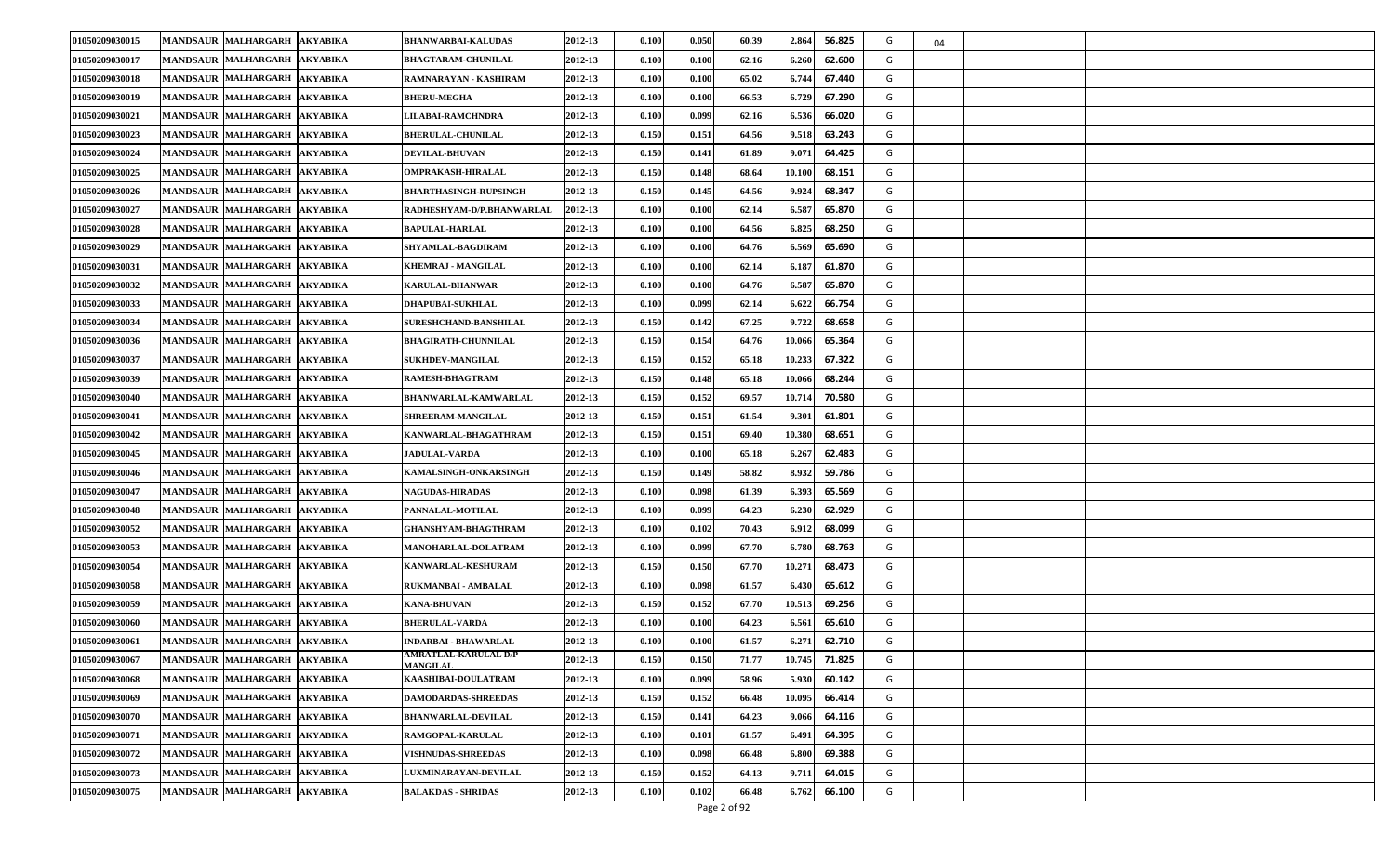| 01050209030015 | <b>MANDSAUR MALHARGARH</b>           | <b>AKYABIKA</b> | <b>BHANWARBAI-KALUDAS</b>               | 2012-13 | 0.100                | 0.050 | 60.39 | 2.864  | 56.825 | G | 04 |  |
|----------------|--------------------------------------|-----------------|-----------------------------------------|---------|----------------------|-------|-------|--------|--------|---|----|--|
| 01050209030017 | <b>MANDSAUR MALHARGARH</b>           | <b>AKYABIKA</b> | <b>BHAGTARAM-CHUNILAL</b>               | 2012-13 | 0.100                | 0.100 | 62.16 | 6.260  | 62.600 | G |    |  |
| 01050209030018 | <b>MANDSAUR MALHARGARH</b>           | <b>AKYABIKA</b> | RAMNARAYAN - KASHIRAM                   | 2012-13 | 0.100                | 0.100 | 65.02 | 6.744  | 67.440 | G |    |  |
| 01050209030019 | <b>MANDSAUR MALHARGARH</b>           | <b>AKYABIKA</b> | <b>BHERU-MEGHA</b>                      | 2012-13 | 0.100                | 0.100 | 66.53 | 6.729  | 67.290 | G |    |  |
| 01050209030021 | <b>MANDSAUR MALHARGARH</b>           | <b>AKYABIKA</b> | <b>LILABAI-RAMCHNDRA</b>                | 2012-13 | 0.100                | 0.099 | 62.16 | 6.536  | 66.020 | G |    |  |
| 01050209030023 | <b>MANDSAUR MALHARGARH</b>           | <b>AKYABIKA</b> | <b>BHERULAL-CHUNILAL</b>                | 2012-13 | 0.150                | 0.151 | 64.56 | 9.518  | 63.243 | G |    |  |
| 01050209030024 | MANDSAUR MALHARGARH                  | <b>AKYABIKA</b> | <b>DEVILAL-BHUVAN</b>                   | 2012-13 | 0.150                | 0.141 | 61.89 | 9.07   | 64.425 | G |    |  |
| 01050209030025 | <b>MANDSAUR MALHARGARH</b>           | <b>AKYABIKA</b> | <b>OMPRAKASH-HIRALAL</b>                | 2012-13 | 0.150                | 0.148 | 68.64 | 10.100 | 68.151 | G |    |  |
| 01050209030026 | <b>MANDSAUR MALHARGARH</b>           | <b>AKYABIKA</b> | <b>BHARTHASINGH-RUPSINGH</b>            | 2012-13 | 0.150                | 0.145 | 64.56 | 9.924  | 68.347 | G |    |  |
| 01050209030027 | <b>MANDSAUR MALHARGARH</b>           | <b>AKYABIKA</b> | RADHESHYAM-D/P.BHANWARLAL               | 2012-13 | 0.100                | 0.100 | 62.14 | 6.58   | 65.870 | G |    |  |
| 01050209030028 | <b>MANDSAUR MALHARGARH</b>           | <b>AKYABIKA</b> | <b>BAPULAL-HARLAL</b>                   | 2012-13 | 0.100                | 0.100 | 64.56 | 6.825  | 68.250 | G |    |  |
| 01050209030029 | <b>MANDSAUR MALHARGARH</b>           | <b>AKYABIKA</b> | <b>SHYAMLAL-BAGDIRAM</b>                | 2012-13 | 0.100                | 0.100 | 64.76 | 6.569  | 65.690 | G |    |  |
| 01050209030031 | <b>MANDSAUR MALHARGARH</b>           | <b>AKYABIKA</b> | KHEMRAJ - MANGILAL                      | 2012-13 | 0.100                | 0.100 | 62.14 | 6.187  | 61.870 | G |    |  |
| 01050209030032 | <b>MANDSAUR MALHARGARH</b>           | <b>AKYABIKA</b> | KARULAL-BHANWAR                         | 2012-13 | $\boldsymbol{0.100}$ | 0.100 | 64.76 | 6.587  | 65.870 | G |    |  |
| 01050209030033 | <b>MANDSAUR MALHARGARH</b>           | <b>AKYABIKA</b> | <b>DHAPUBAI-SUKHLAL</b>                 | 2012-13 | 0.100                | 0.099 | 62.14 | 6.622  | 66.754 | G |    |  |
| 01050209030034 | <b>MANDSAUR MALHARGARH</b>           | <b>AKYABIKA</b> | <b>SURESHCHAND-BANSHILAL</b>            | 2012-13 | 0.150                | 0.142 | 67.25 | 9.722  | 68.658 | G |    |  |
| 01050209030036 | <b>MANDSAUR MALHARGARH</b>           | <b>AKYABIKA</b> | <b>BHAGIRATH-CHUNNILAL</b>              | 2012-13 | 0.150                | 0.154 | 64.76 | 10.06  | 65.364 | G |    |  |
| 01050209030037 | <b>MANDSAUR MALHARGARH</b>           | <b>AKYABIKA</b> | <b>SUKHDEV-MANGILAL</b>                 | 2012-13 | 0.150                | 0.152 | 65.18 | 10.233 | 67.322 | G |    |  |
| 01050209030039 | <b>MANDSAUR MALHARGARH</b>           | <b>AKYABIKA</b> | RAMESH-BHAGTRAM                         | 2012-13 | 0.150                | 0.148 | 65.18 | 10.066 | 68.244 | G |    |  |
| 01050209030040 | <b>MANDSAUR MALHARGARH</b>           | <b>AKYABIKA</b> | BHANWARLAL-KAMWARLAL                    | 2012-13 | 0.150                | 0.152 | 69.57 | 10.71  | 70.580 | G |    |  |
| 01050209030041 | <b>MANDSAUR MALHARGARH</b>           | <b>AKYABIKA</b> | <b>SHREERAM-MANGILAL</b>                | 2012-13 | 0.150                | 0.151 | 61.54 | 9.30   | 61.801 | G |    |  |
| 01050209030042 | <b>MANDSAUR MALHARGARH</b>           | <b>AKYABIKA</b> | KANWARLAL-BHAGATHRAM                    | 2012-13 | 0.150                | 0.151 | 69.40 | 10.380 | 68.651 | G |    |  |
| 01050209030045 | <b>MANDSAUR MALHARGARH</b>           | <b>AKYABIKA</b> | <b>JADULAL-VARDA</b>                    | 2012-13 | 0.100                | 0.100 | 65.18 | 6.267  | 62.483 | G |    |  |
| 01050209030046 | <b>MANDSAUR MALHARGARH</b>           | <b>AKYABIKA</b> | <b>KAMALSINGH-ONKARSINGH</b>            | 2012-13 | 0.150                | 0.149 | 58.82 | 8.932  | 59.786 | G |    |  |
| 01050209030047 | <b>MANDSAUR MALHARGARH</b>           | <b>AKYABIKA</b> | <b>NAGUDAS-HIRADAS</b>                  | 2012-13 | 0.100                | 0.098 | 61.39 | 6.393  | 65.569 | G |    |  |
| 01050209030048 | <b>MANDSAUR MALHARGARH</b>           | <b>AKYABIKA</b> | <b>PANNALAL-MOTILAL</b>                 | 2012-13 | 0.100                | 0.099 | 64.23 | 6.230  | 62.929 | G |    |  |
| 01050209030052 | <b>MANDSAUR MALHARGARH</b>           | <b>AKYABIKA</b> | <b>GHANSHYAM-BHAGTHRAM</b>              | 2012-13 | 0.100                | 0.102 | 70.43 | 6.912  | 68.099 | G |    |  |
| 01050209030053 | <b>MANDSAUR MALHARGARH</b>           | <b>AKYABIKA</b> | <b>MANOHARLAL-DOLATRAM</b>              | 2012-13 | 0.100                | 0.099 | 67.70 | 6.780  | 68.763 | G |    |  |
| 01050209030054 | <b>MANDSAUR MALHARGARH</b>           | <b>AKYABIKA</b> | <b>KANWARLAL-KESHURAM</b>               | 2012-13 | 0.150                | 0.150 | 67.70 | 10.271 | 68.473 | G |    |  |
| 01050209030058 | MANDSAUR MALHARGARH                  | <b>AKYABIKA</b> | RUKMANBAI - AMBALAL                     | 2012-13 | 0.100                | 0.098 | 61.57 | 6.430  | 65.612 | G |    |  |
| 01050209030059 | <b>MANDSAUR MALHARGARH</b>           | <b>AKYABIKA</b> | KANA-BHUVAN                             | 2012-13 | 0.150                | 0.152 | 67.70 | 10.513 | 69.256 | G |    |  |
| 01050209030060 | <b>MANDSAUR</b><br><b>MALHARGARH</b> | <b>AKYABIKA</b> | <b>BHERULAL-VARDA</b>                   | 2012-13 | 0.100                | 0.100 | 64.23 | 6.56   | 65.610 | G |    |  |
| 01050209030061 | <b>MANDSAUR MALHARGARH</b>           | AKYABIKA        | INDARBAI - BHAWARLAL                    | 2012-13 | 0.100                | 0.100 | 61.57 | 6.271  | 62.710 | G |    |  |
| 01050209030067 | MANDSAUR MALHARGARH AKYABIKA         |                 | AMRATLAL-KARULAL D/P<br><b>MANGILAL</b> | 2012-13 | 0.150                | 0.150 | 71.77 | 10.745 | 71.825 | G |    |  |
| 01050209030068 | MANDSAUR MALHARGARH                  | <b>AKYABIKA</b> | KAASHIBAI-DOULATRAM                     | 2012-13 | 0.100                | 0.099 | 58.96 | 5.930  | 60.142 | G |    |  |
| 01050209030069 | MANDSAUR MALHARGARH                  | <b>AKYABIKA</b> | <b>DAMODARDAS-SHREEDAS</b>              | 2012-13 | 0.150                | 0.152 | 66.48 | 10.095 | 66.414 | G |    |  |
| 01050209030070 | MANDSAUR MALHARGARH                  | <b>AKYABIKA</b> | <b>BHANWARLAL-DEVILAL</b>               | 2012-13 | 0.150                | 0.141 | 64.23 | 9.066  | 64.116 | G |    |  |
| 01050209030071 | MANDSAUR MALHARGARH                  | <b>AKYABIKA</b> | RAMGOPAL-KARULAL                        | 2012-13 | 0.100                | 0.101 | 61.57 | 6.491  | 64.395 | G |    |  |
| 01050209030072 | <b>MANDSAUR MALHARGARH</b>           | <b>AKYABIKA</b> | <b>VISHNUDAS-SHREEDAS</b>               | 2012-13 | 0.100                | 0.098 | 66.48 | 6.800  | 69.388 | G |    |  |
| 01050209030073 | <b>MANDSAUR MALHARGARH</b>           | <b>AKYABIKA</b> | LUXMINARAYAN-DEVILAL                    | 2012-13 | 0.150                | 0.152 | 64.13 | 9.71   | 64.015 | G |    |  |
| 01050209030075 | MANDSAUR MALHARGARH                  | <b>AKYABIKA</b> | <b>BALAKDAS - SHRIDAS</b>               | 2012-13 | 0.100                | 0.102 | 66.48 | 6.762  | 66.100 | G |    |  |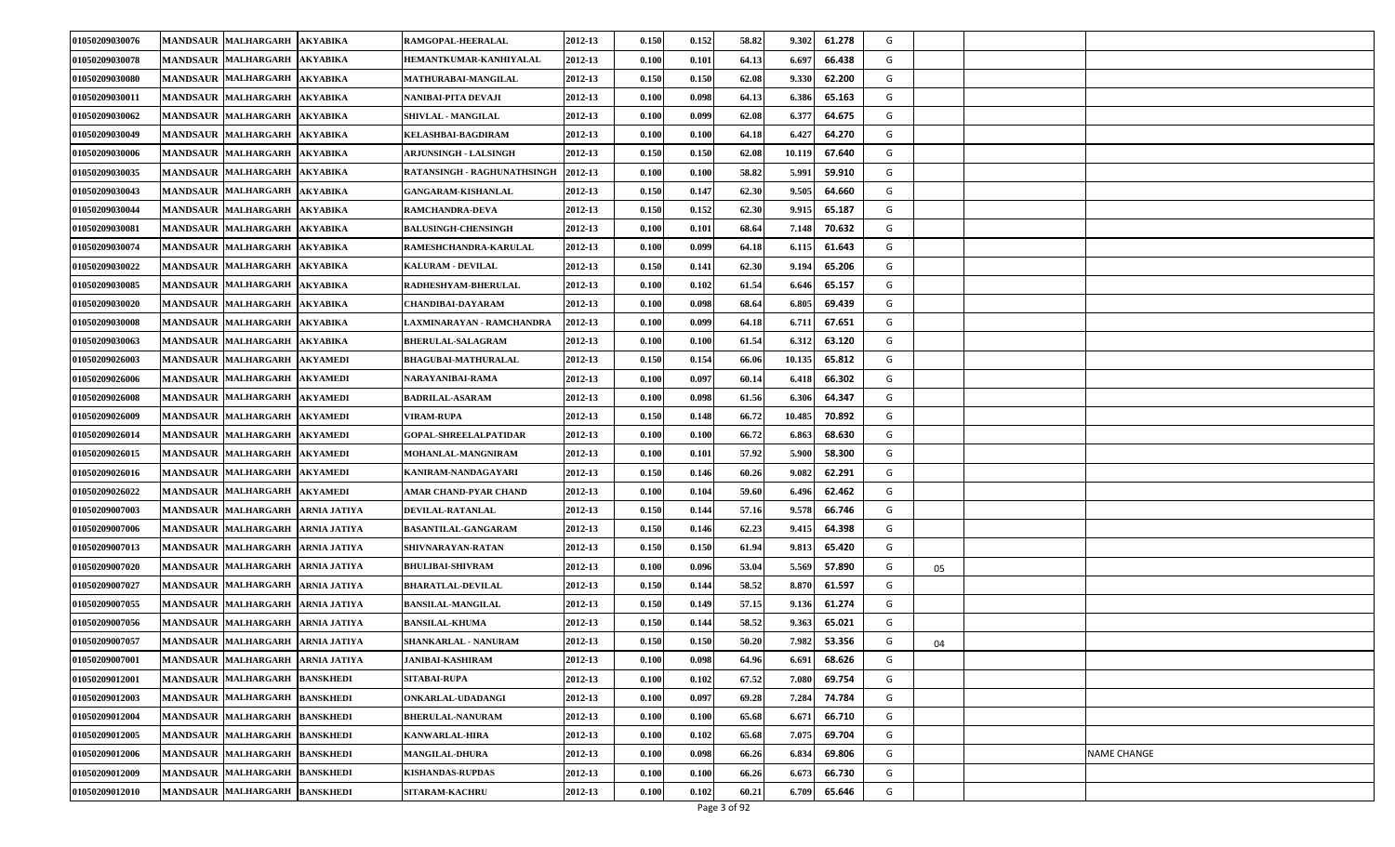| 01050209030076 | <b>MANDSAUR MALHARGARH</b>       | <b>AKYABIKA</b>     | RAMGOPAL-HEERALAL            | 2012-13 | 0.150                | 0.152 | 58.82 | 9.302  | 61.278 | G |    |                    |
|----------------|----------------------------------|---------------------|------------------------------|---------|----------------------|-------|-------|--------|--------|---|----|--------------------|
| 01050209030078 | <b>MANDSAUR MALHARGARH</b>       | <b>AKYABIKA</b>     | HEMANTKUMAR-KANHIYALAL       | 2012-13 | 0.100                | 0.101 | 64.13 | 6.69   | 66.438 | G |    |                    |
| 01050209030080 | MANDSAUR MALHARGARH              | <b>AKYABIKA</b>     | MATHURABAI-MANGILAL          | 2012-13 | 0.150                | 0.150 | 62.08 | 9.330  | 62.200 | G |    |                    |
| 01050209030011 | <b>MANDSAUR MALHARGARH</b>       | <b>AKYABIKA</b>     | NANIBAI-PITA DEVAJI          | 2012-13 | 0.100                | 0.098 | 64.13 | 6.386  | 65.163 | G |    |                    |
| 01050209030062 | <b>MANDSAUR MALHARGARH</b>       | <b>AKYABIKA</b>     | <b>SHIVLAL - MANGILAL</b>    | 2012-13 | 0.100                | 0.099 | 62.08 | 6.37'  | 64.675 | G |    |                    |
| 01050209030049 | <b>MANDSAUR MALHARGARH</b>       | <b>AKYABIKA</b>     | KELASHBAI-BAGDIRAM           | 2012-13 | $\boldsymbol{0.100}$ | 0.100 | 64.18 | 6.427  | 64.270 | G |    |                    |
| 01050209030006 | MANDSAUR MALHARGARH              | <b>AKYABIKA</b>     | <b>ARJUNSINGH - LALSINGH</b> | 2012-13 | 0.150                | 0.150 | 62.08 | 10.119 | 67.640 | G |    |                    |
| 01050209030035 | <b>MANDSAUR MALHARGARH</b>       | <b>AKYABIKA</b>     | RATANSINGH - RAGHUNATHSINGH  | 2012-13 | 0.100                | 0.100 | 58.82 | 5.991  | 59.910 | G |    |                    |
| 01050209030043 | <b>MANDSAUR MALHARGARH</b>       | <b>AKYABIKA</b>     | <b>GANGARAM-KISHANLAL</b>    | 2012-13 | 0.150                | 0.147 | 62.30 | 9.505  | 64.660 | G |    |                    |
| 01050209030044 | <b>MANDSAUR MALHARGARH</b>       | <b>AKYABIKA</b>     | <b>RAMCHANDRA-DEVA</b>       | 2012-13 | 0.150                | 0.152 | 62.30 | 9.915  | 65.187 | G |    |                    |
| 01050209030081 | <b>MANDSAUR MALHARGARH</b>       | <b>AKYABIKA</b>     | <b>BALUSINGH-CHENSINGH</b>   | 2012-13 | 0.100                | 0.101 | 68.64 | 7.148  | 70.632 | G |    |                    |
| 01050209030074 | <b>MANDSAUR MALHARGARH</b>       | <b>AKYABIKA</b>     | <b>RAMESHCHANDRA-KARULAL</b> | 2012-13 | 0.100                | 0.099 | 64.18 | 6.115  | 61.643 | G |    |                    |
| 01050209030022 | <b>MANDSAUR MALHARGARH</b>       | <b>AKYABIKA</b>     | <b>KALURAM - DEVILAL</b>     | 2012-13 | 0.150                | 0.141 | 62.30 | 9.194  | 65.206 | G |    |                    |
| 01050209030085 | MANDSAUR MALHARGARH              | <b>AKYABIKA</b>     | RADHESHYAM-BHERULAL          | 2012-13 | $\boldsymbol{0.100}$ | 0.102 | 61.54 | 6.646  | 65.157 | G |    |                    |
| 01050209030020 | MANDSAUR MALHARGARH              | <b>AKYABIKA</b>     | <b>CHANDIBAI-DAYARAM</b>     | 2012-13 | 0.100                | 0.098 | 68.64 | 6.805  | 69.439 | G |    |                    |
| 01050209030008 | <b>MANDSAUR MALHARGARH</b>       | <b>AKYABIKA</b>     | LAXMINARAYAN - RAMCHANDRA    | 2012-13 | 0.100                | 0.099 | 64.18 | 6.71   | 67.651 | G |    |                    |
| 01050209030063 | <b>MANDSAUR MALHARGARH</b>       | <b>AKYABIKA</b>     | <b>BHERULAL-SALAGRAM</b>     | 2012-13 | 0.100                | 0.100 | 61.54 | 6.31   | 63.120 | G |    |                    |
| 01050209026003 | <b>MANDSAUR MALHARGARH</b>       | <b>AKYAMEDI</b>     | <b>BHAGUBAI-MATHURALAL</b>   | 2012-13 | 0.150                | 0.154 | 66.06 | 10.135 | 65.812 | G |    |                    |
| 01050209026006 | <b>MANDSAUR MALHARGARH</b>       | <b>AKYAMEDI</b>     | NARAYANIBAI-RAMA             | 2012-13 | 0.100                | 0.097 | 60.14 | 6.418  | 66.302 | G |    |                    |
| 01050209026008 | <b>MANDSAUR MALHARGARH</b>       | <b>AKYAMEDI</b>     | BADRILAL-ASARAM              | 2012-13 | 0.100                | 0.098 | 61.56 | 6.306  | 64.347 | G |    |                    |
| 01050209026009 | <b>MANDSAUR MALHARGARH</b>       | <b>AKYAMEDI</b>     | <b>VIRAM-RUPA</b>            | 2012-13 | 0.150                | 0.148 | 66.72 | 10.485 | 70.892 | G |    |                    |
| 01050209026014 | <b>MANDSAUR MALHARGARH</b>       | <b>AKYAMEDI</b>     | <b>GOPAL-SHREELALPATIDAR</b> | 2012-13 | 0.100                | 0.100 | 66.72 | 6.863  | 68.630 | G |    |                    |
| 01050209026015 | <b>MANDSAUR MALHARGARH</b>       | <b>AKYAMEDI</b>     | <b>MOHANLAL-MANGNIRAM</b>    | 2012-13 | 0.100                | 0.101 | 57.92 | 5.900  | 58.300 | G |    |                    |
| 01050209026016 | <b>MANDSAUR MALHARGARH</b>       | <b>AKYAMEDI</b>     | KANIRAM-NANDAGAYARI          | 2012-13 | 0.150                | 0.146 | 60.26 | 9.082  | 62.291 | G |    |                    |
| 01050209026022 | <b>MANDSAUR MALHARGARH</b>       | <b>AKYAMEDI</b>     | AMAR CHAND-PYAR CHAND        | 2012-13 | 0.100                | 0.104 | 59.60 | 6.496  | 62.462 | G |    |                    |
| 01050209007003 | MANDSAUR MALHARGARH              | <b>ARNIA JATIYA</b> | DEVILAL-RATANLAL             | 2012-13 | 0.150                | 0.144 | 57.16 | 9.578  | 66.746 | G |    |                    |
| 01050209007006 | <b>MANDSAUR MALHARGARH</b>       | <b>ARNIA JATIYA</b> | BASANTILAL-GANGARAM          | 2012-13 | 0.150                | 0.146 | 62.23 | 9.41   | 64.398 | G |    |                    |
| 01050209007013 | <b>MANDSAUR MALHARGARH</b>       | <b>ARNIA JATIYA</b> | SHIVNARAYAN-RATAN            | 2012-13 | 0.150                | 0.150 | 61.94 | 9.81   | 65.420 | G |    |                    |
| 01050209007020 | <b>MANDSAUR MALHARGARH</b>       | <b>ARNIA JATIYA</b> | <b>BHULIBAI-SHIVRAM</b>      | 2012-13 | $\boldsymbol{0.100}$ | 0.096 | 53.04 | 5.569  | 57.890 | G | 05 |                    |
| 01050209007027 | MANDSAUR MALHARGARH              | <b>ARNIA JATIYA</b> | <b>BHARATLAL-DEVILAL</b>     | 2012-13 | 0.150                | 0.144 | 58.52 | 8.870  | 61.597 | G |    |                    |
| 01050209007055 | <b>MANDSAUR MALHARGARH</b>       | <b>ARNIA JATIYA</b> | <b>BANSILAL-MANGILAL</b>     | 2012-13 | 0.150                | 0.149 | 57.15 | 9.136  | 61.274 | G |    |                    |
| 01050209007056 | <b>MANDSAUR MALHARGARH</b>       | <b>ARNIA JATIYA</b> | <b>BANSILAL-KHUMA</b>        | 2012-13 | 0.150                | 0.144 | 58.52 | 9.363  | 65.021 | G |    |                    |
| 01050209007057 | MANDSAUR MALHARGARH ARNIA JATIYA |                     | SHANKARLAL - NANURAM         | 2012-13 | 0.150                | 0.150 | 50.20 | 7.982  | 53.356 | G | 04 |                    |
| 01050209007001 | MANDSAUR MALHARGARH ARNIA JATIYA |                     | <b>JANIBAI-KASHIRAM</b>      | 2012-13 | 0.100                | 0.098 | 64.96 | 6.691  | 68.626 | G |    |                    |
| 01050209012001 | MANDSAUR MALHARGARH              | <b>BANSKHEDI</b>    | SITABAI-RUPA                 | 2012-13 | 0.100                | 0.102 | 67.52 | 7.080  | 69.754 | G |    |                    |
| 01050209012003 | MANDSAUR MALHARGARH BANSKHEDI    |                     | ONKARLAL-UDADANGI            | 2012-13 | 0.100                | 0.097 | 69.28 | 7.284  | 74.784 | G |    |                    |
| 01050209012004 | MANDSAUR MALHARGARH              | <b>BANSKHEDI</b>    | <b>BHERULAL-NANURAM</b>      | 2012-13 | 0.100                | 0.100 | 65.68 | 6.67   | 66.710 | G |    |                    |
| 01050209012005 | MANDSAUR MALHARGARH BANSKHEDI    |                     | <b>KANWARLAL-HIRA</b>        | 2012-13 | 0.100                | 0.102 | 65.68 | 7.075  | 69.704 | G |    |                    |
| 01050209012006 | <b>MANDSAUR MALHARGARH</b>       | <b>BANSKHEDI</b>    | <b>MANGILAL-DHURA</b>        | 2012-13 | 0.100                | 0.098 | 66.26 | 6.834  | 69.806 | G |    | <b>NAME CHANGE</b> |
| 01050209012009 | MANDSAUR MALHARGARH              | <b>BANSKHEDI</b>    | <b>KISHANDAS-RUPDAS</b>      | 2012-13 | 0.100                | 0.100 | 66.26 | 6.67   | 66.730 | G |    |                    |
| 01050209012010 | <b>MANDSAUR MALHARGARH</b>       | <b>BANSKHEDI</b>    | <b>SITARAM-KACHRU</b>        | 2012-13 | 0.100                | 0.102 | 60.21 | 6.709  | 65.646 | G |    |                    |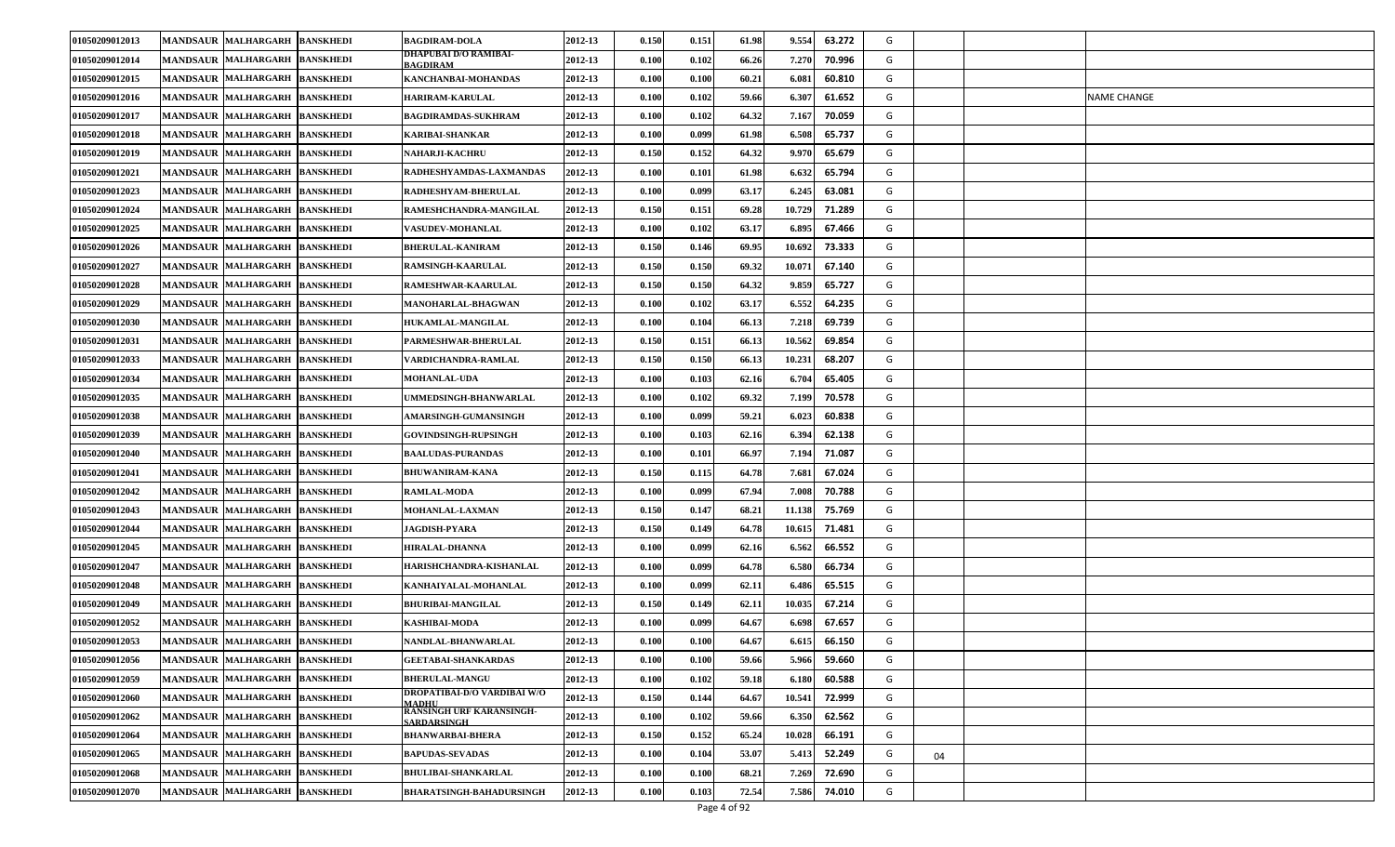| 01050209012013 | <b>MANDSAUR MALHARGARH</b>    | <b>BANSKHEDI</b> | <b>BAGDIRAM-DOLA</b>                               | 2012-13 | 0.150                | 0.151 | 61.98 | 9.554  | 63.272 | G |    |             |
|----------------|-------------------------------|------------------|----------------------------------------------------|---------|----------------------|-------|-------|--------|--------|---|----|-------------|
| 01050209012014 | <b>MANDSAUR MALHARGARH</b>    | <b>BANSKHEDI</b> | DHAPUBAI D/O RAMIBAI-<br><b>BAGDIRAM</b>           | 2012-13 | 0.100                | 0.102 | 66.26 | 7.270  | 70.996 | G |    |             |
| 01050209012015 | <b>MANDSAUR MALHARGARH</b>    | <b>BANSKHEDI</b> | KANCHANBAI-MOHANDAS                                | 2012-13 | 0.100                | 0.100 | 60.21 | 6.08   | 60.810 | G |    |             |
| 01050209012016 | <b>MANDSAUR MALHARGARH</b>    | <b>BANSKHEDI</b> | <b>HARIRAM-KARULAL</b>                             | 2012-13 | 0.100                | 0.102 | 59.66 | 6.307  | 61.652 | G |    | NAME CHANGE |
| 01050209012017 | <b>MANDSAUR MALHARGARH</b>    | <b>BANSKHEDI</b> | <b>BAGDIRAMDAS-SUKHRAM</b>                         | 2012-13 | 0.100                | 0.102 | 64.32 | 7.167  | 70.059 | G |    |             |
| 01050209012018 | <b>MANDSAUR MALHARGARH</b>    | <b>BANSKHEDI</b> | KARIBAI-SHANKAR                                    | 2012-13 | $\boldsymbol{0.100}$ | 0.099 | 61.98 | 6.508  | 65.737 | G |    |             |
| 01050209012019 | <b>MANDSAUR MALHARGARH</b>    | <b>BANSKHEDI</b> | NAHARJI-KACHRU                                     | 2012-13 | 0.150                | 0.152 | 64.32 | 9.970  | 65.679 | G |    |             |
| 01050209012021 | <b>MANDSAUR MALHARGARH</b>    | <b>BANSKHEDI</b> | RADHESHYAMDAS-LAXMANDAS                            | 2012-13 | 0.100                | 0.101 | 61.98 | 6.632  | 65.794 | G |    |             |
| 01050209012023 | <b>MANDSAUR MALHARGARH</b>    | <b>BANSKHEDI</b> | RADHESHYAM-BHERULAL                                | 2012-13 | 0.100                | 0.099 | 63.17 | 6.245  | 63.081 | G |    |             |
| 01050209012024 | <b>MANDSAUR MALHARGARH</b>    | <b>BANSKHEDI</b> | RAMESHCHANDRA-MANGILAL                             | 2012-13 | 0.150                | 0.151 | 69.28 | 10.729 | 71.289 | G |    |             |
| 01050209012025 | MANDSAUR MALHARGARH           | <b>BANSKHEDI</b> | <b>VASUDEV-MOHANLAL</b>                            | 2012-13 | 0.100                | 0.102 | 63.17 | 6.895  | 67.466 | G |    |             |
| 01050209012026 | <b>MANDSAUR MALHARGARH</b>    | <b>BANSKHEDI</b> | <b>BHERULAL-KANIRAM</b>                            | 2012-13 | 0.150                | 0.146 | 69.95 | 10.692 | 73.333 | G |    |             |
| 01050209012027 | <b>MANDSAUR MALHARGARH</b>    | <b>BANSKHEDI</b> | RAMSINGH-KAARULAL                                  | 2012-13 | 0.150                | 0.150 | 69.32 | 10.07  | 67.140 | G |    |             |
| 01050209012028 | <b>MANDSAUR MALHARGARH</b>    | <b>BANSKHEDI</b> | <b>RAMESHWAR-KAARULAL</b>                          | 2012-13 | 0.150                | 0.150 | 64.32 | 9.859  | 65.727 | G |    |             |
| 01050209012029 | <b>MANDSAUR MALHARGARH</b>    | <b>BANSKHEDI</b> | <b>MANOHARLAL-BHAGWAN</b>                          | 2012-13 | 0.100                | 0.102 | 63.17 | 6.552  | 64.235 | G |    |             |
| 01050209012030 | <b>MANDSAUR MALHARGARH</b>    | <b>BANSKHEDI</b> | <b>HUKAMLAL-MANGILAL</b>                           | 2012-13 | 0.100                | 0.104 | 66.13 | 7.218  | 69.739 | G |    |             |
| 01050209012031 | <b>MANDSAUR MALHARGARH</b>    | <b>BANSKHEDI</b> | PARMESHWAR-BHERULAL                                | 2012-13 | 0.150                | 0.151 | 66.13 | 10.562 | 69.854 | G |    |             |
| 01050209012033 | MANDSAUR MALHARGARH           | <b>BANSKHEDI</b> | VARDICHANDRA-RAMLAL                                | 2012-13 | 0.150                | 0.150 | 66.13 | 10.23  | 68.207 | G |    |             |
| 01050209012034 | <b>MANDSAUR MALHARGARH</b>    | <b>BANSKHEDI</b> | <b>MOHANLAL-UDA</b>                                | 2012-13 | 0.100                | 0.103 | 62.16 | 6.704  | 65.405 | G |    |             |
| 01050209012035 | <b>MANDSAUR MALHARGARH</b>    | <b>BANSKHEDI</b> | <b>JMMEDSINGH-BHANWARLAL</b>                       | 2012-13 | 0.100                | 0.102 | 69.32 | 7.199  | 70.578 | G |    |             |
| 01050209012038 | <b>MANDSAUR MALHARGARH</b>    | <b>BANSKHEDI</b> | <b>AMARSINGH-GUMANSINGH</b>                        | 2012-13 | 0.100                | 0.099 | 59.21 | 6.023  | 60.838 | G |    |             |
| 01050209012039 | <b>MANDSAUR MALHARGARH</b>    | <b>BANSKHEDI</b> | <b>GOVINDSINGH-RUPSINGH</b>                        | 2012-13 | 0.100                | 0.103 | 62.16 | 6.394  | 62.138 | G |    |             |
| 01050209012040 | <b>MANDSAUR MALHARGARH</b>    | <b>BANSKHEDI</b> | <b>BAALUDAS-PURANDAS</b>                           | 2012-13 | 0.100                | 0.101 | 66.97 | 7.194  | 71.087 | G |    |             |
| 01050209012041 | <b>MANDSAUR MALHARGARH</b>    | <b>BANSKHEDI</b> | <b>BHUWANIRAM-KANA</b>                             | 2012-13 | 0.150                | 0.115 | 64.78 | 7.681  | 67.024 | G |    |             |
| 01050209012042 | <b>MANDSAUR MALHARGARH</b>    | <b>BANSKHEDI</b> | <b>RAMLAL-MODA</b>                                 | 2012-13 | 0.100                | 0.099 | 67.94 | 7.008  | 70.788 | G |    |             |
| 01050209012043 | <b>MANDSAUR MALHARGARH</b>    | <b>BANSKHEDI</b> | <b>MOHANLAL-LAXMAN</b>                             | 2012-13 | 0.150                | 0.147 | 68.21 | 11.138 | 75.769 | G |    |             |
| 01050209012044 | <b>MANDSAUR MALHARGARH</b>    | <b>BANSKHEDI</b> | JAGDISH-PYARA                                      | 2012-13 | 0.150                | 0.149 | 64.78 | 10.615 | 71.481 | G |    |             |
| 01050209012045 | <b>MANDSAUR MALHARGARH</b>    | <b>BANSKHEDI</b> | <b>HIRALAL-DHANNA</b>                              | 2012-13 | 0.100                | 0.099 | 62.16 | 6.562  | 66.552 | G |    |             |
| 01050209012047 | <b>MANDSAUR MALHARGARH</b>    | <b>BANSKHEDI</b> | HARISHCHANDRA-KISHANLAL                            | 2012-13 | $\boldsymbol{0.100}$ | 0.099 | 64.78 | 6.580  | 66.734 | G |    |             |
| 01050209012048 | MANDSAUR MALHARGARH           | <b>BANSKHEDI</b> | KANHAIYALAL-MOHANLAL                               | 2012-13 | 0.100                | 0.099 | 62.11 | 6.486  | 65.515 | G |    |             |
| 01050209012049 | <b>MANDSAUR MALHARGARH</b>    | <b>BANSKHEDI</b> | <b>BHURIBAI-MANGILAL</b>                           | 2012-13 | 0.150                | 0.149 | 62.11 | 10.035 | 67.214 | G |    |             |
| 01050209012052 | <b>MANDSAUR MALHARGARH</b>    | <b>BANSKHEDI</b> | KASHIBAI-MODA                                      | 2012-13 | 0.100                | 0.099 | 64.67 | 6.698  | 67.657 | G |    |             |
| 01050209012053 | MANDSAUR MALHARGARH BANSKHEDI |                  | NANDLAL-BHANWARLAL                                 | 2012-13 | 0.100                | 0.100 | 64.67 | 6.615  | 66.150 | G |    |             |
| 01050209012056 | MANDSAUR MALHARGARH BANSKHEDI |                  | <b>GEETABAI-SHANKARDAS</b>                         | 2012-13 | 0.100                | 0.100 | 59.66 | 5.966  | 59.660 | G |    |             |
| 01050209012059 | <b>MANDSAUR MALHARGARH</b>    | <b>BANSKHEDI</b> | <b>BHERULAL-MANGU</b>                              | 2012-13 | 0.100                | 0.102 | 59.18 | 6.180  | 60.588 | G |    |             |
| 01050209012060 | MANDSAUR MALHARGARH BANSKHEDI |                  | <b>DROPATIBAI-D/O VARDIBAI W/O</b><br><b>MADHU</b> | 2012-13 | 0.150                | 0.144 | 64.67 | 10.54  | 72.999 | G |    |             |
| 01050209012062 | MANDSAUR MALHARGARH           | <b>BANSKHEDI</b> | RANSINGH URF KARANSINGH-<br><b>SARDARSINGH</b>     | 2012-13 | 0.100                | 0.102 | 59.66 | 6.350  | 62.562 | G |    |             |
| 01050209012064 | MANDSAUR MALHARGARH BANSKHEDI |                  | <b>BHANWARBAI-BHERA</b>                            | 2012-13 | 0.150                | 0.152 | 65.24 | 10.028 | 66.191 | G |    |             |
| 01050209012065 | <b>MANDSAUR MALHARGARH</b>    | <b>BANSKHEDI</b> | <b>BAPUDAS-SEVADAS</b>                             | 2012-13 | 0.100                | 0.104 | 53.07 | 5.41   | 52.249 | G | 04 |             |
| 01050209012068 | <b>MANDSAUR MALHARGARH</b>    | <b>BANSKHEDI</b> | <b>BHULIBAI-SHANKARLAL</b>                         | 2012-13 | 0.100                | 0.100 | 68.21 | 7.269  | 72.690 | G |    |             |
| 01050209012070 | <b>MANDSAUR MALHARGARH</b>    | <b>BANSKHEDI</b> | <b>BHARATSINGH-BAHADURSINGH</b>                    | 2012-13 | 0.100                | 0.103 | 72.54 | 7.586  | 74.010 | G |    |             |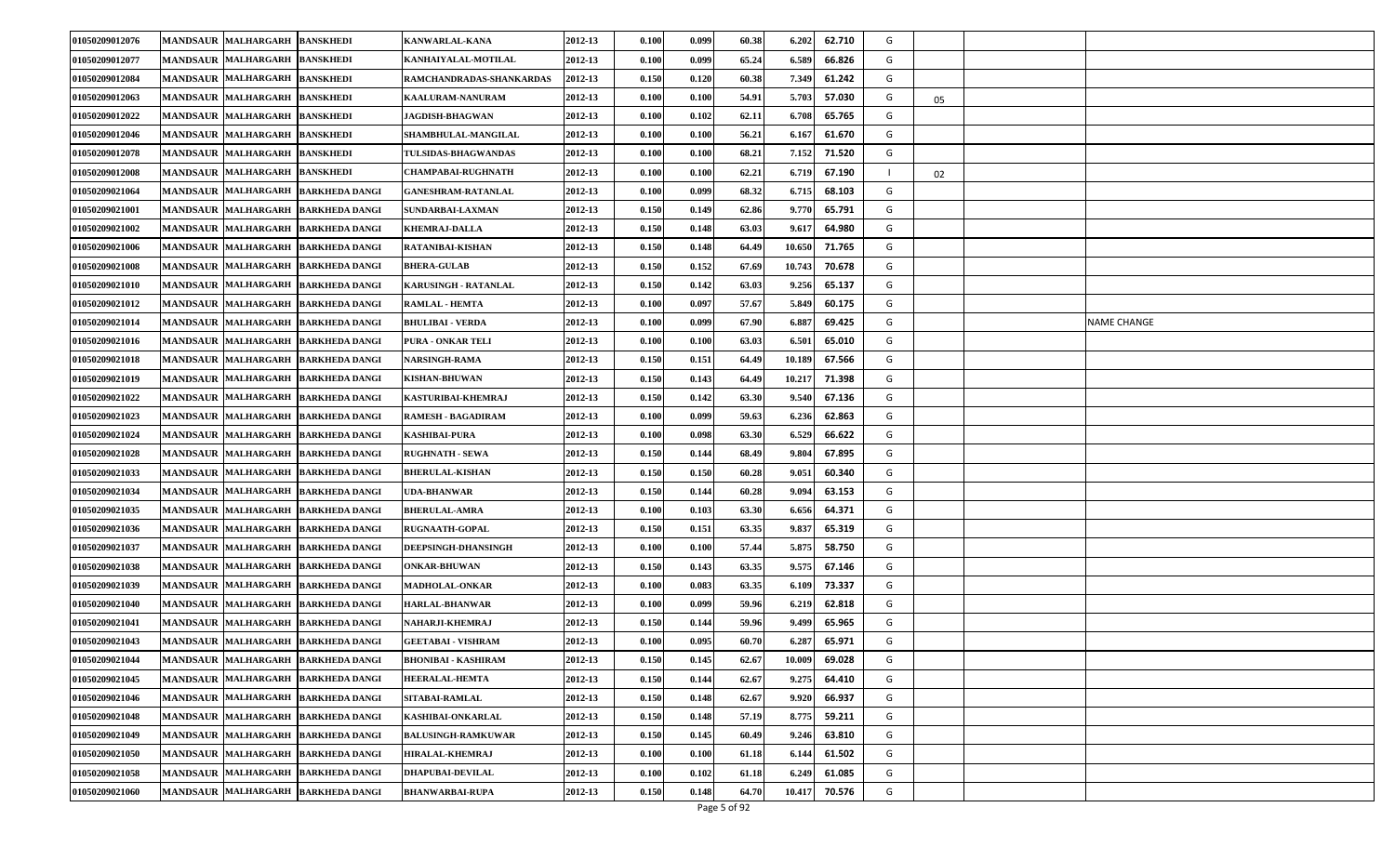| 01050209012076 | <b>BANSKHEDI</b><br><b>MANDSAUR MALHARGARH</b>                | <b>KANWARLAL-KANA</b>      | 2012-13 | 0.100 | 0.099 | 60.38 | 6.202<br>62.710  | G |    |             |
|----------------|---------------------------------------------------------------|----------------------------|---------|-------|-------|-------|------------------|---|----|-------------|
| 01050209012077 | <b>MANDSAUR MALHARGARH</b><br><b>BANSKHEDI</b>                | KANHAIYALAL-MOTILAL        | 2012-13 | 0.100 | 0.099 | 65.24 | 6.589<br>66.826  | G |    |             |
| 01050209012084 | MANDSAUR MALHARGARH BANSKHEDI                                 | RAMCHANDRADAS-SHANKARDAS   | 2012-13 | 0.150 | 0.120 | 60.38 | 7.349<br>61.242  | G |    |             |
| 01050209012063 | <b>MANDSAUR MALHARGARH</b><br><b>BANSKHEDI</b>                | <b>KAALURAM-NANURAM</b>    | 2012-13 | 0.100 | 0.100 | 54.91 | 5.703<br>57.030  | G | 05 |             |
| 01050209012022 | <b>MANDSAUR MALHARGARH</b><br><b>BANSKHEDI</b>                | <b>JAGDISH-BHAGWAN</b>     | 2012-13 | 0.100 | 0.102 | 62.11 | 6.708<br>65.765  | G |    |             |
| 01050209012046 | <b>MANDSAUR MALHARGARH</b><br><b>BANSKHEDI</b>                | <b>SHAMBHULAL-MANGILAL</b> | 2012-13 | 0.100 | 0.100 | 56.21 | 6.167<br>61.670  | G |    |             |
| 01050209012078 | <b>MANDSAUR MALHARGARH</b><br><b>BANSKHEDI</b>                | <b>TULSIDAS-BHAGWANDAS</b> | 2012-13 | 0.100 | 0.100 | 68.21 | 71.520<br>7.152  | G |    |             |
| 01050209012008 | <b>MANDSAUR MALHARGARH</b><br><b>BANSKHEDI</b>                | <b>CHAMPABAI-RUGHNATH</b>  | 2012-13 | 0.100 | 0.100 | 62.21 | 6.719<br>67.190  |   | 02 |             |
| 01050209021064 | <b>MANDSAUR</b><br><b>MALHARGARH</b><br><b>BARKHEDA DANGI</b> | <b>GANESHRAM-RATANLAL</b>  | 2012-13 | 0.100 | 0.099 | 68.32 | 68.103<br>6.715  | G |    |             |
| 01050209021001 | <b>MANDSAUR MALHARGARH</b><br><b>BARKHEDA DANGI</b>           | <b>SUNDARBAI-LAXMAN</b>    | 2012-13 | 0.150 | 0.149 | 62.86 | 9.770<br>65.791  | G |    |             |
| 01050209021002 | MANDSAUR MALHARGARH<br><b>BARKHEDA DANGI</b>                  | <b>KHEMRAJ-DALLA</b>       | 2012-13 | 0.150 | 0.148 | 63.03 | 64.980<br>9.61'  | G |    |             |
| 01050209021006 | <b>MANDSAUR MALHARGARH</b><br><b>BARKHEDA DANGI</b>           | RATANIBAI-KISHAN           | 2012-13 | 0.150 | 0.148 | 64.49 | 10.650<br>71.765 | G |    |             |
| 01050209021008 | <b>MANDSAUR</b><br><b>MALHARGARH</b><br><b>BARKHEDA DANGI</b> | <b>BHERA-GULAB</b>         | 2012-13 | 0.150 | 0.152 | 67.69 | 70.678<br>10.743 | G |    |             |
| 01050209021010 | <b>MANDSAUR MALHARGARH</b><br><b>BARKHEDA DANGI</b>           | KARUSINGH - RATANLAL       | 2012-13 | 0.150 | 0.142 | 63.03 | 9.256<br>65.137  | G |    |             |
| 01050209021012 | <b>MANDSAUR MALHARGARH</b><br><b>BARKHEDA DANGI</b>           | <b>RAMLAL - HEMTA</b>      | 2012-13 | 0.100 | 0.097 | 57.67 | 5.849<br>60.175  | G |    |             |
| 01050209021014 | <b>MANDSAUR MALHARGARH</b><br><b>BARKHEDA DANGI</b>           | <b>BHULIBAI - VERDA</b>    | 2012-13 | 0.100 | 0.099 | 67.90 | 69.425<br>6.88   | G |    | NAME CHANGE |
| 01050209021016 | <b>MANDSAUR MALHARGARH</b><br><b>BARKHEDA DANGI</b>           | PURA - ONKAR TELI          | 2012-13 | 0.100 | 0.100 | 63.03 | 6.50<br>65.010   | G |    |             |
| 01050209021018 | <b>MANDSAUR MALHARGARH</b><br><b>BARKHEDA DANGI</b>           | NARSINGH-RAMA              | 2012-13 | 0.150 | 0.151 | 64.49 | 67.566<br>10.189 | G |    |             |
| 01050209021019 | <b>MANDSAUR MALHARGARH</b><br><b>BARKHEDA DANGI</b>           | KISHAN-BHUWAN              | 2012-13 | 0.150 | 0.143 | 64.49 | 71.398<br>10.217 | G |    |             |
| 01050209021022 | <b>MANDSAUR MALHARGARH</b><br><b>BARKHEDA DANGI</b>           | KASTURIBAI-KHEMRAJ         | 2012-13 | 0.150 | 0.142 | 63.30 | 9.54<br>67.136   | G |    |             |
| 01050209021023 | MANDSAUR MALHARGARH<br><b>BARKHEDA DANGI</b>                  | RAMESH - BAGADIRAM         | 2012-13 | 0.100 | 0.099 | 59.63 | 6.236<br>62.863  | G |    |             |
| 01050209021024 | <b>MANDSAUR MALHARGARH</b><br><b>BARKHEDA DANGI</b>           | <b>KASHIBAI-PURA</b>       | 2012-13 | 0.100 | 0.098 | 63.30 | 6.529<br>66.622  | G |    |             |
| 01050209021028 | <b>MANDSAUR MALHARGARH</b><br><b>BARKHEDA DANGI</b>           | <b>RUGHNATH - SEWA</b>     | 2012-13 | 0.150 | 0.144 | 68.49 | 9.804<br>67.895  | G |    |             |
| 01050209021033 | <b>MANDSAUR MALHARGARH</b><br><b>BARKHEDA DANGI</b>           | <b>BHERULAL-KISHAN</b>     | 2012-13 | 0.150 | 0.150 | 60.28 | 60.340<br>9.05   | G |    |             |
| 01050209021034 | <b>MANDSAUR MALHARGARH</b><br><b>BARKHEDA DANGI</b>           | UDA-BHANWAR                | 2012-13 | 0.150 | 0.144 | 60.28 | 9.09<br>63.153   | G |    |             |
| 01050209021035 | <b>MANDSAUR MALHARGARH</b><br><b>BARKHEDA DANGI</b>           | <b>BHERULAL-AMRA</b>       | 2012-13 | 0.100 | 0.103 | 63.30 | 64.371<br>6.656  | G |    |             |
| 01050209021036 | <b>MANDSAUR MALHARGARH</b><br><b>BARKHEDA DANGI</b>           | <b>RUGNAATH-GOPAL</b>      | 2012-13 | 0.150 | 0.151 | 63.35 | 9.837<br>65.319  | G |    |             |
| 01050209021037 | <b>MANDSAUR MALHARGARH</b><br><b>BARKHEDA DANGI</b>           | <b>DEEPSINGH-DHANSINGH</b> | 2012-13 | 0.100 | 0.100 | 57.44 | 5.875<br>58.750  | G |    |             |
| 01050209021038 | MANDSAUR MALHARGARH BARKHEDA DANGI                            | <b>ONKAR-BHUWAN</b>        | 2012-13 | 0.150 | 0.143 | 63.35 | 9.575<br>67.146  | G |    |             |
| 01050209021039 | <b>MANDSAUR MALHARGARH</b><br><b>BARKHEDA DANGI</b>           | <b>MADHOLAL-ONKAR</b>      | 2012-13 | 0.100 | 0.083 | 63.35 | 73.337<br>6.109  | G |    |             |
| 01050209021040 | <b>MANDSAUR MALHARGARH</b><br><b>BARKHEDA DANGI</b>           | HARLAL-BHANWAR             | 2012-13 | 0.100 | 0.099 | 59.96 | 6.219<br>62.818  | G |    |             |
| 01050209021041 | <b>MANDSAUR MALHARGARH</b><br><b>BARKHEDA DANGI</b>           | NAHARJI-KHEMRAJ            | 2012-13 | 0.150 | 0.144 | 59.96 | 65.965<br>9.499  | G |    |             |
| 01050209021043 | MANDSAUR MALHARGARH BARKHEDA DANGI                            | <b>GEETABAI - VISHRAM</b>  | 2012-13 | 0.100 | 0.095 | 60.70 | 65.971<br>6.287  | G |    |             |
| 01050209021044 | MANDSAUR MALHARGARH BARKHEDA DANGI                            | <b>BHONIBAI - KASHIRAM</b> | 2012-13 | 0.150 | 0.145 | 62.67 | 69.028<br>10.009 | G |    |             |
| 01050209021045 | MANDSAUR MALHARGARH<br><b>BARKHEDA DANGI</b>                  | <b>HEERALAL-HEMTA</b>      | 2012-13 | 0.150 | 0.144 | 62.67 | 9.275<br>64.410  | G |    |             |
| 01050209021046 | MANDSAUR MALHARGARH BARKHEDA DANGI                            | <b>SITABAI-RAMLAL</b>      | 2012-13 | 0.150 | 0.148 | 62.67 | 66.937<br>9.920  | G |    |             |
| 01050209021048 | <b>MANDSAUR MALHARGARH</b><br><b>BARKHEDA DANGI</b>           | KASHIBAI-ONKARLAL          | 2012-13 | 0.150 | 0.148 | 57.19 | 8.775<br>59.211  | G |    |             |
| 01050209021049 | MANDSAUR MALHARGARH BARKHEDA DANGI                            | <b>BALUSINGH-RAMKUWAR</b>  | 2012-13 | 0.150 | 0.145 | 60.49 | 63.810<br>9.246  | G |    |             |
| 01050209021050 | <b>MANDSAUR MALHARGARH</b><br><b>BARKHEDA DANGI</b>           | HIRALAL-KHEMRAJ            | 2012-13 | 0.100 | 0.100 | 61.18 | 6.14<br>61.502   | G |    |             |
| 01050209021058 | <b>MANDSAUR MALHARGARH</b><br><b>BARKHEDA DANGI</b>           | <b>DHAPUBAI-DEVILAL</b>    | 2012-13 | 0.100 | 0.102 | 61.18 | 61.085<br>6.249  | G |    |             |
| 01050209021060 | MANDSAUR MALHARGARH<br><b>BARKHEDA DANGI</b>                  | <b>BHANWARBAI-RUPA</b>     | 2012-13 | 0.150 | 0.148 | 64.70 | 70.576<br>10.417 | G |    |             |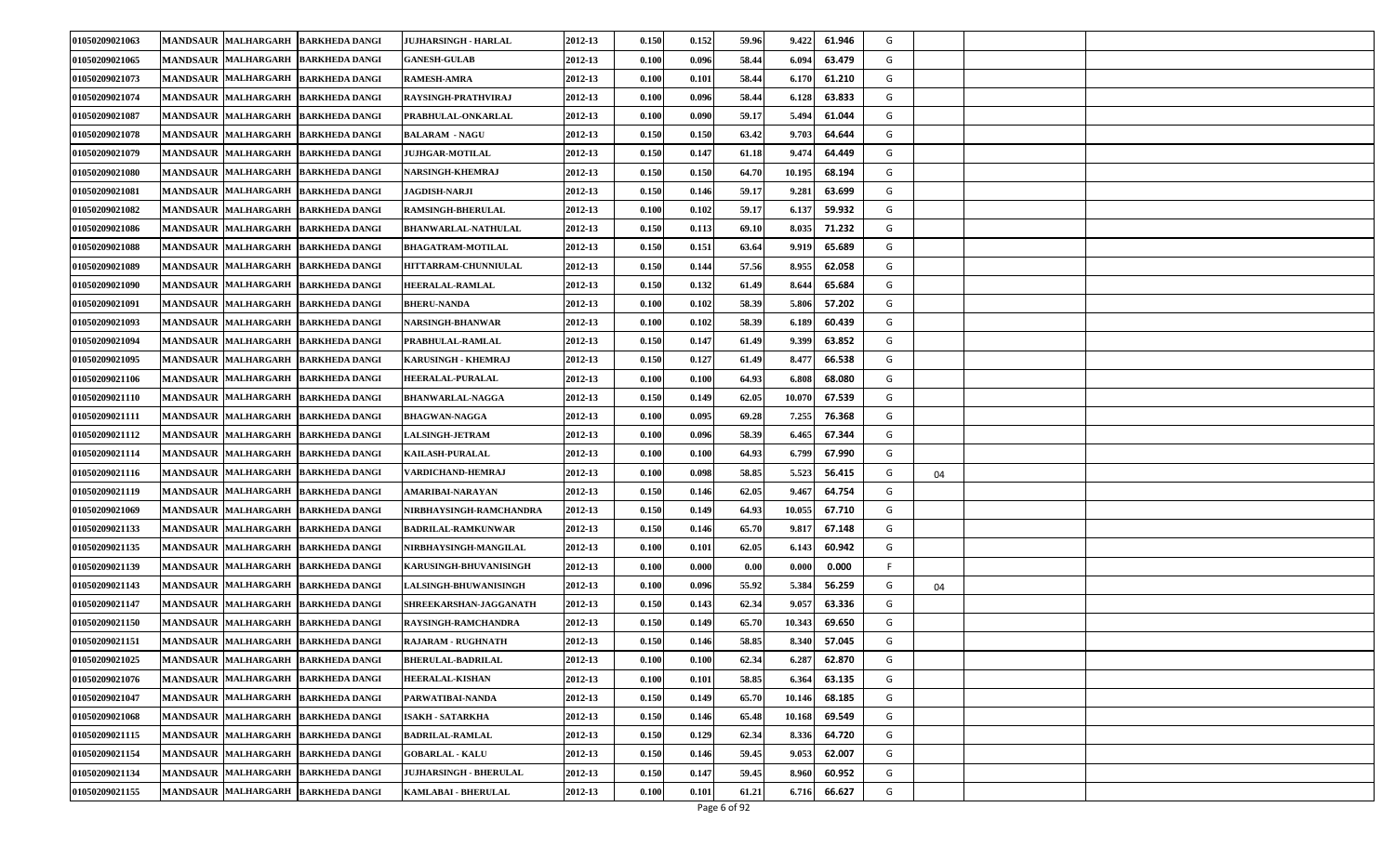| 01050209021063 | <b>MANDSAUR MALHARGARH</b>         | <b>BARKHEDA DANGI</b> | <b>JUJHARSINGH - HARLAL</b>   | 2012-13 | 0.150                | 0.152 | 59.96 | 9.422  | 61.946 | G |    |  |
|----------------|------------------------------------|-----------------------|-------------------------------|---------|----------------------|-------|-------|--------|--------|---|----|--|
| 01050209021065 | <b>MANDSAUR MALHARGARH</b>         | <b>BARKHEDA DANGI</b> | <b>GANESH-GULAB</b>           | 2012-13 | 0.100                | 0.096 | 58.44 | 6.09   | 63.479 | G |    |  |
| 01050209021073 | <b>MANDSAUR MALHARGARH</b>         | <b>BARKHEDA DANGI</b> | <b>RAMESH-AMRA</b>            | 2012-13 | 0.100                | 0.101 | 58.44 | 6.170  | 61.210 | G |    |  |
| 01050209021074 | <b>MANDSAUR MALHARGARH</b>         | <b>BARKHEDA DANGI</b> | RAYSINGH-PRATHVIRAJ           | 2012-13 | 0.100                | 0.096 | 58.44 | 6.128  | 63.833 | G |    |  |
| 01050209021087 | <b>MANDSAUR MALHARGARH</b>         | <b>BARKHEDA DANGI</b> | PRABHULAL-ONKARLAL            | 2012-13 | 0.100                | 0.090 | 59.17 | 5.494  | 61.044 | G |    |  |
| 01050209021078 | <b>MANDSAUR MALHARGARH</b>         | <b>BARKHEDA DANGI</b> | <b>BALARAM - NAGU</b>         | 2012-13 | 0.150                | 0.150 | 63.42 | 9.703  | 64.644 | G |    |  |
| 01050209021079 | MANDSAUR MALHARGARH                | <b>BARKHEDA DANGI</b> | <b>JUJHGAR-MOTILAL</b>        | 2012-13 | 0.150                | 0.147 | 61.18 | 9.47   | 64.449 | G |    |  |
| 01050209021080 | <b>MANDSAUR MALHARGARH</b>         | <b>BARKHEDA DANGI</b> | <b>NARSINGH-KHEMRAJ</b>       | 2012-13 | 0.150                | 0.150 | 64.70 | 10.195 | 68.194 | G |    |  |
| 01050209021081 | <b>MANDSAUR MALHARGARH</b>         | <b>BARKHEDA DANGI</b> | <b>JAGDISH-NARJI</b>          | 2012-13 | 0.150                | 0.146 | 59.17 | 9.28   | 63.699 | G |    |  |
| 01050209021082 | <b>MANDSAUR MALHARGARH</b>         | <b>BARKHEDA DANGI</b> | <b>RAMSINGH-BHERULAL</b>      | 2012-13 | 0.100                | 0.102 | 59.17 | 6.13'  | 59.932 | G |    |  |
| 01050209021086 | <b>MANDSAUR MALHARGARH</b>         | <b>BARKHEDA DANGI</b> | <b>BHANWARLAL-NATHULAL</b>    | 2012-13 | 0.150                | 0.113 | 69.10 | 8.035  | 71.232 | G |    |  |
| 01050209021088 | <b>MANDSAUR MALHARGARH</b>         | <b>BARKHEDA DANGI</b> | <b>BHAGATRAM-MOTILAL</b>      | 2012-13 | 0.150                | 0.151 | 63.64 | 9.919  | 65.689 | G |    |  |
| 01050209021089 | <b>MANDSAUR MALHARGARH</b>         | <b>BARKHEDA DANGI</b> | HITTARRAM-CHUNNIULAL          | 2012-13 | 0.150                | 0.144 | 57.56 | 8.955  | 62.058 | G |    |  |
| 01050209021090 | <b>MANDSAUR MALHARGARH</b>         | <b>BARKHEDA DANGI</b> | <b>HEERALAL-RAMLAL</b>        | 2012-13 | 0.150                | 0.132 | 61.49 | 8.644  | 65.684 | G |    |  |
| 01050209021091 | MANDSAUR MALHARGARH                | <b>BARKHEDA DANGI</b> | <b>BHERU-NANDA</b>            | 2012-13 | 0.100                | 0.102 | 58.39 | 5.806  | 57.202 | G |    |  |
| 01050209021093 | <b>MANDSAUR MALHARGARH</b>         | <b>BARKHEDA DANGI</b> | NARSINGH-BHANWAR              | 2012-13 | 0.100                | 0.102 | 58.39 | 6.189  | 60.439 | G |    |  |
| 01050209021094 | <b>MANDSAUR MALHARGARH</b>         | <b>BARKHEDA DANGI</b> | PRABHULAL-RAMLAL              | 2012-13 | 0.150                | 0.147 | 61.49 | 9.399  | 63.852 | G |    |  |
| 01050209021095 | MANDSAUR MALHARGARH                | <b>BARKHEDA DANGI</b> | KARUSINGH - KHEMRAJ           | 2012-13 | 0.150                | 0.127 | 61.49 | 8.47   | 66.538 | G |    |  |
| 01050209021106 | <b>MANDSAUR MALHARGARH</b>         | <b>BARKHEDA DANGI</b> | <b>HEERALAL-PURALAL</b>       | 2012-13 | 0.100                | 0.100 | 64.93 | 6.808  | 68.080 | G |    |  |
| 01050209021110 | <b>MANDSAUR MALHARGARH</b>         | <b>BARKHEDA DANGI</b> | <b>BHANWARLAL-NAGGA</b>       | 2012-13 | 0.150                | 0.149 | 62.05 | 10.070 | 67.539 | G |    |  |
| 01050209021111 | <b>MANDSAUR MALHARGARH</b>         | <b>BARKHEDA DANGI</b> | <b>BHAGWAN-NAGGA</b>          | 2012-13 | 0.100                | 0.095 | 69.28 | 7.255  | 76.368 | G |    |  |
| 01050209021112 | <b>MANDSAUR MALHARGARH</b>         | <b>BARKHEDA DANGI</b> | <b>LALSINGH-JETRAM</b>        | 2012-13 | 0.100                | 0.096 | 58.39 | 6.465  | 67.344 | G |    |  |
| 01050209021114 | <b>MANDSAUR MALHARGARH</b>         | <b>BARKHEDA DANGI</b> | <b>KAILASH-PURALAL</b>        | 2012-13 | 0.100                | 0.100 | 64.93 | 6.799  | 67.990 | G |    |  |
| 01050209021116 | <b>MANDSAUR MALHARGARH</b>         | <b>BARKHEDA DANGI</b> | VARDICHAND-HEMRAJ             | 2012-13 | 0.100                | 0.098 | 58.85 | 5.523  | 56.415 | G | 04 |  |
| 01050209021119 | <b>MANDSAUR MALHARGARH</b>         | <b>BARKHEDA DANGI</b> | AMARIBAI-NARAYAN              | 2012-13 | 0.150                | 0.146 | 62.05 | 9.46'  | 64.754 | G |    |  |
| 01050209021069 | <b>MANDSAUR MALHARGARH</b>         | <b>BARKHEDA DANGI</b> | NIRBHAYSINGH-RAMCHANDRA       | 2012-13 | 0.150                | 0.149 | 64.93 | 10.055 | 67.710 | G |    |  |
| 01050209021133 | <b>MANDSAUR MALHARGARH</b>         | <b>BARKHEDA DANGI</b> | BADRILAL-RAMKUNWAR            | 2012-13 | 0.150                | 0.146 | 65.70 | 9.81   | 67.148 | G |    |  |
| 01050209021135 | <b>MANDSAUR MALHARGARH</b>         | <b>BARKHEDA DANGI</b> | NIRBHAYSINGH-MANGILAL         | 2012-13 | 0.100                | 0.101 | 62.05 | 6.143  | 60.942 | G |    |  |
| 01050209021139 | <b>MANDSAUR MALHARGARH</b>         | <b>BARKHEDA DANGI</b> | <b>KARUSINGH-BHUVANISINGH</b> | 2012-13 | $\boldsymbol{0.100}$ | 0.000 | 0.00  | 0.000  | 0.000  | F |    |  |
| 01050209021143 | <b>MANDSAUR MALHARGARH</b>         | <b>BARKHEDA DANGI</b> | <b>LALSINGH-BHUWANISINGH</b>  | 2012-13 | 0.100                | 0.096 | 55.92 | 5.384  | 56.259 | G | 04 |  |
| 01050209021147 | <b>MANDSAUR MALHARGARH</b>         | <b>BARKHEDA DANGI</b> | SHREEKARSHAN-JAGGANATH        | 2012-13 | 0.150                | 0.143 | 62.34 | 9.057  | 63.336 | G |    |  |
| 01050209021150 | <b>MANDSAUR MALHARGARH</b>         | <b>BARKHEDA DANGI</b> | RAYSINGH-RAMCHANDRA           | 2012-13 | 0.150                | 0.149 | 65.70 | 10.34  | 69.650 | G |    |  |
| 01050209021151 | MANDSAUR MALHARGARH BARKHEDA DANGI |                       | <b>RAJARAM - RUGHNATH</b>     | 2012-13 | 0.150                | 0.146 | 58.85 | 8.340  | 57.045 | G |    |  |
| 01050209021025 | MANDSAUR MALHARGARH BARKHEDA DANGI |                       | <b>BHERULAL-BADRILAL</b>      | 2012-13 | 0.100                | 0.100 | 62.34 | 6.287  | 62.870 | G |    |  |
| 01050209021076 | <b>MANDSAUR MALHARGARH</b>         | <b>BARKHEDA DANGI</b> | <b>HEERALAL-KISHAN</b>        | 2012-13 | 0.100                | 0.101 | 58.85 | 6.364  | 63.135 | G |    |  |
| 01050209021047 | MANDSAUR MALHARGARH BARKHEDA DANGI |                       | PARWATIBAI-NANDA              | 2012-13 | 0.150                | 0.149 | 65.70 | 10.146 | 68.185 | G |    |  |
| 01050209021068 | MANDSAUR MALHARGARH                | <b>BARKHEDA DANGI</b> | <b>ISAKH - SATARKHA</b>       | 2012-13 | 0.150                | 0.146 | 65.48 | 10.168 | 69.549 | G |    |  |
| 01050209021115 | MANDSAUR MALHARGARH BARKHEDA DANGI |                       | <b>BADRILAL-RAMLAL</b>        | 2012-13 | 0.150                | 0.129 | 62.34 | 8.336  | 64.720 | G |    |  |
| 01050209021154 | <b>MANDSAUR MALHARGARH</b>         | <b>BARKHEDA DANGI</b> | <b>GOBARLAL - KALU</b>        | 2012-13 | 0.150                | 0.146 | 59.45 | 9.053  | 62.007 | G |    |  |
| 01050209021134 | <b>MANDSAUR MALHARGARH</b>         | <b>BARKHEDA DANGI</b> | <b>JUJHARSINGH - BHERULAL</b> | 2012-13 | 0.150                | 0.147 | 59.45 | 8.960  | 60.952 | G |    |  |
| 01050209021155 | <b>MANDSAUR MALHARGARH</b>         | <b>BARKHEDA DANGI</b> | KAMLABAI - BHERULAL           | 2012-13 | 0.100                | 0.101 | 61.21 | 6.716  | 66.627 | G |    |  |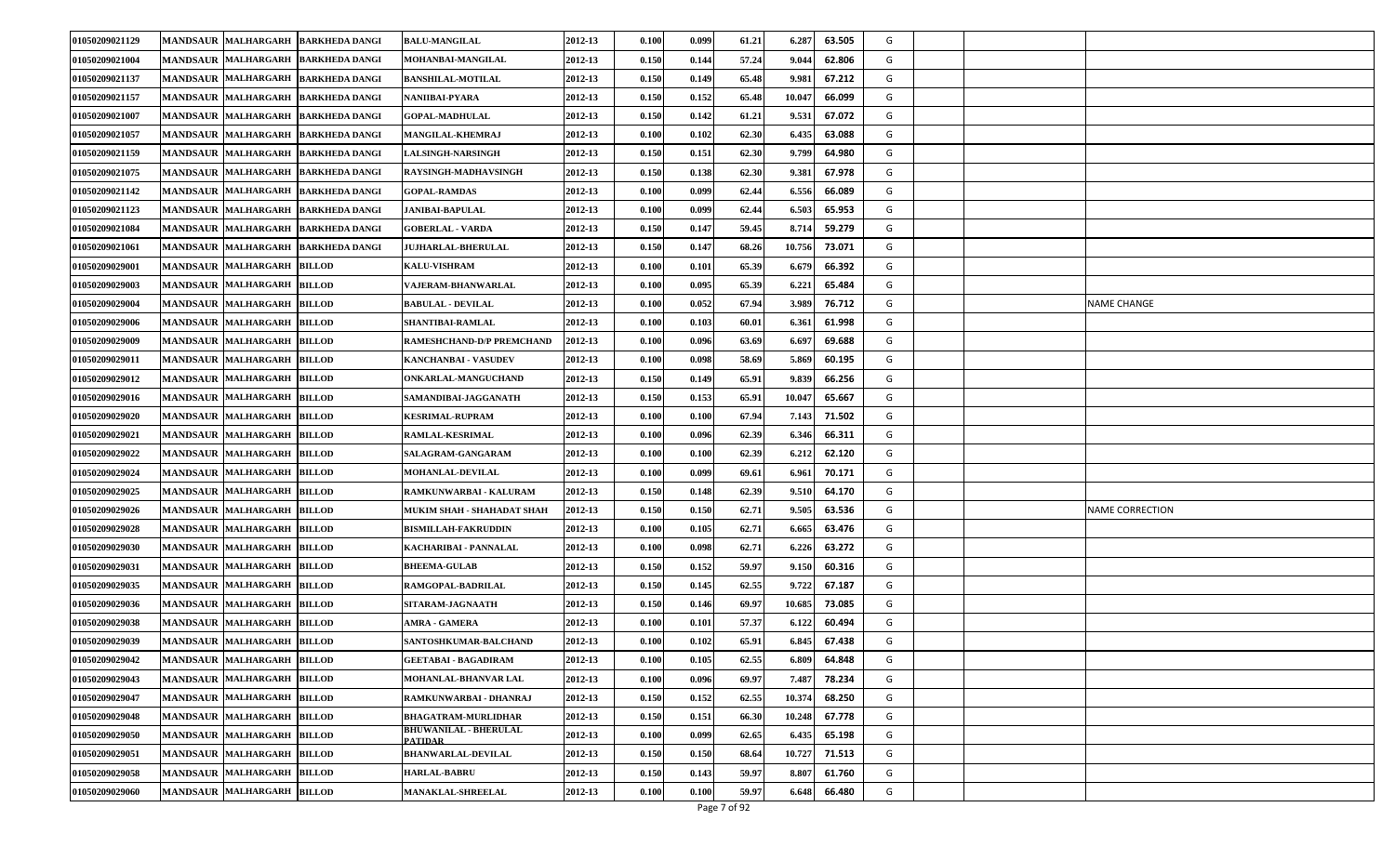| 01050209021129 | <b>MANDSAUR MALHARGARH</b>           | <b>BARKHEDA DANGI</b> | <b>BALU-MANGILAL</b>                           | 2012-13 | 0.100                | 0.099 | 61.21 | 6.287  | 63.505 | G |                        |
|----------------|--------------------------------------|-----------------------|------------------------------------------------|---------|----------------------|-------|-------|--------|--------|---|------------------------|
| 01050209021004 | <b>MANDSAUR MALHARGARH</b>           | <b>BARKHEDA DANGI</b> | MOHANBAI-MANGILAL                              | 2012-13 | 0.150                | 0.144 | 57.24 | 9.044  | 62.806 | G |                        |
| 01050209021137 | MANDSAUR MALHARGARH                  | <b>BARKHEDA DANGI</b> | <b>BANSHILAL-MOTILAL</b>                       | 2012-13 | 0.150                | 0.149 | 65.48 | 9.981  | 67.212 | G |                        |
| 01050209021157 | <b>MANDSAUR MALHARGARH</b>           | <b>BARKHEDA DANGI</b> | NANIIBAI-PYARA                                 | 2012-13 | 0.150                | 0.152 | 65.48 | 10.04  | 66.099 | G |                        |
| 01050209021007 | <b>MANDSAUR MALHARGARH</b>           | <b>BARKHEDA DANGI</b> | <b>GOPAL-MADHULAL</b>                          | 2012-13 | 0.150                | 0.142 | 61.21 | 9.53   | 67.072 | G |                        |
| 01050209021057 | MANDSAUR MALHARGARH                  | <b>BARKHEDA DANGI</b> | <b>MANGILAL-KHEMRAJ</b>                        | 2012-13 | $\boldsymbol{0.100}$ | 0.102 | 62.30 | 6.435  | 63.088 | G |                        |
| 01050209021159 | MANDSAUR MALHARGARH                  | <b>BARKHEDA DANGI</b> | <b>LALSINGH-NARSINGH</b>                       | 2012-13 | 0.150                | 0.151 | 62.30 | 9.799  | 64.980 | G |                        |
| 01050209021075 | <b>MANDSAUR MALHARGARH</b>           | <b>BARKHEDA DANGI</b> | RAYSINGH-MADHAVSINGH                           | 2012-13 | 0.150                | 0.138 | 62.30 | 9.381  | 67.978 | G |                        |
| 01050209021142 | <b>MANDSAUR MALHARGARH</b>           | <b>BARKHEDA DANGI</b> | <b>GOPAL-RAMDAS</b>                            | 2012-13 | 0.100                | 0.099 | 62.44 | 6.556  | 66.089 | G |                        |
| 01050209021123 | <b>MANDSAUR MALHARGARH</b>           | <b>BARKHEDA DANGI</b> | <b>JANIBAI-BAPULAL</b>                         | 2012-13 | $\boldsymbol{0.100}$ | 0.099 | 62.44 | 6.503  | 65.953 | G |                        |
| 01050209021084 | <b>MANDSAUR MALHARGARH</b>           | <b>BARKHEDA DANGI</b> | <b>GOBERLAL - VARDA</b>                        | 2012-13 | 0.150                | 0.147 | 59.45 | 8.714  | 59.279 | G |                        |
| 01050209021061 | <b>MANDSAUR MALHARGARH</b>           | <b>BARKHEDA DANGI</b> | <b>JUJHARLAL-BHERULAL</b>                      | 2012-13 | 0.150                | 0.147 | 68.26 | 10.756 | 73.071 | G |                        |
| 01050209029001 | <b>MANDSAUR MALHARGARH</b>           | <b>BILLOD</b>         | <b>KALU-VISHRAM</b>                            | 2012-13 | 0.100                | 0.101 | 65.39 | 6.67   | 66.392 | G |                        |
| 01050209029003 | MANDSAUR MALHARGARH                  | <b>BILLOD</b>         | <b>VAJERAM-BHANWARLAL</b>                      | 2012-13 | $\boldsymbol{0.100}$ | 0.095 | 65.39 | 6.221  | 65.484 | G |                        |
| 01050209029004 | MANDSAUR MALHARGARH                  | <b>BILLOD</b>         | <b>BABULAL - DEVILAL</b>                       | 2012-13 | 0.100                | 0.052 | 67.94 | 3.989  | 76.712 | G | NAME CHANGE            |
| 01050209029006 | <b>MANDSAUR</b><br><b>MALHARGARH</b> | <b>BILLOD</b>         | <b>SHANTIBAI-RAMLAL</b>                        | 2012-13 | 0.100                | 0.103 | 60.01 | 6.36   | 61.998 | G |                        |
| 01050209029009 | <b>MANDSAUR MALHARGARH</b>           | <b>BILLOD</b>         | RAMESHCHAND-D/P PREMCHAND                      | 2012-13 | 0.100                | 0.096 | 63.69 | 6.69'  | 69.688 | G |                        |
| 01050209029011 | MANDSAUR MALHARGARH                  | <b>BILLOD</b>         | KANCHANBAI - VASUDEV                           | 2012-13 | 0.100                | 0.098 | 58.69 | 5.869  | 60.195 | G |                        |
| 01050209029012 | <b>MANDSAUR MALHARGARH</b>           | <b>BILLOD</b>         | <b>ONKARLAL-MANGUCHAND</b>                     | 2012-13 | 0.150                | 0.149 | 65.91 | 9.839  | 66.256 | G |                        |
| 01050209029016 | <b>MANDSAUR MALHARGARH</b>           | <b>BILLOD</b>         | SAMANDIBAI-JAGGANATH                           | 2012-13 | 0.150                | 0.153 | 65.91 | 10.04  | 65.667 | G |                        |
| 01050209029020 | <b>MANDSAUR MALHARGARH</b>           | <b>BILLOD</b>         | <b>KESRIMAL-RUPRAM</b>                         | 2012-13 | 0.100                | 0.100 | 67.94 | 7.143  | 71.502 | G |                        |
| 01050209029021 | MANDSAUR MALHARGARH                  | <b>BILLOD</b>         | <b>RAMLAL-KESRIMAL</b>                         | 2012-13 | 0.100                | 0.096 | 62.39 | 6.346  | 66.311 | G |                        |
| 01050209029022 | <b>MANDSAUR MALHARGARH</b>           | <b>BILLOD</b>         | <b>SALAGRAM-GANGARAM</b>                       | 2012-13 | 0.100                | 0.100 | 62.39 | 6.212  | 62.120 | G |                        |
| 01050209029024 | <b>MALHARGARH</b><br><b>MANDSAUR</b> | <b>BILLOD</b>         | <b>MOHANLAL-DEVILAL</b>                        | 2012-13 | 0.100                | 0.099 | 69.61 | 6.96   | 70.171 | G |                        |
| 01050209029025 | <b>MANDSAUR MALHARGARH</b>           | <b>BILLOD</b>         | RAMKUNWARBAI - KALURAM                         | 2012-13 | 0.150                | 0.148 | 62.39 | 9.51   | 64.170 | G |                        |
| 01050209029026 | <b>MANDSAUR MALHARGARH</b>           | <b>BILLOD</b>         | MUKIM SHAH - SHAHADAT SHAH                     | 2012-13 | 0.150                | 0.150 | 62.71 | 9.505  | 63.536 | G | <b>NAME CORRECTION</b> |
| 01050209029028 | <b>MANDSAUR MALHARGARH</b>           | <b>BILLOD</b>         | BISMILLAH-FAKRUDDIN                            | 2012-13 | 0.100                | 0.105 | 62.71 | 6.665  | 63.476 | G |                        |
| 01050209029030 | <b>MANDSAUR MALHARGARH</b>           | <b>BILLOD</b>         | KACHARIBAI - PANNALAL                          | 2012-13 | 0.100                | 0.098 | 62.71 | 6.226  | 63.272 | G |                        |
| 01050209029031 | <b>MANDSAUR MALHARGARH</b>           | <b>BILLOD</b>         | <b>BHEEMA-GULAB</b>                            | 2012-13 | 0.150                | 0.152 | 59.97 | 9.150  | 60.316 | G |                        |
| 01050209029035 | MANDSAUR MALHARGARH                  | <b>BILLOD</b>         | RAMGOPAL-BADRILAL                              | 2012-13 | 0.150                | 0.145 | 62.55 | 9.722  | 67.187 | G |                        |
| 01050209029036 | <b>MANDSAUR MALHARGARH</b>           | <b>BILLOD</b>         | SITARAM-JAGNAATH                               | 2012-13 | 0.150                | 0.146 | 69.97 | 10.685 | 73.085 | G |                        |
| 01050209029038 | <b>MANDSAUR MALHARGARH</b>           | <b>BILLOD</b>         | <b>AMRA - GAMERA</b>                           | 2012-13 | 0.100                | 0.101 | 57.37 | 6.122  | 60.494 | G |                        |
| 01050209029039 | <b>MANDSAUR MALHARGARH</b>           | <b>BILLOD</b>         | SANTOSHKUMAR-BALCHAND                          | 2012-13 | 0.100                | 0.102 | 65.91 | 6.845  | 67.438 | G |                        |
| 01050209029042 | MANDSAUR MALHARGARH BILLOD           |                       | <b>GEETABAI - BAGADIRAM</b>                    | 2012-13 | 0.100                | 0.105 | 62.55 | 6.809  | 64.848 | G |                        |
| 01050209029043 | <b>MANDSAUR MALHARGARH</b>           | <b>BILLOD</b>         | <b>MOHANLAL-BHANVAR LAL</b>                    | 2012-13 | 0.100                | 0.096 | 69.97 | 7.487  | 78.234 | G |                        |
| 01050209029047 | MANDSAUR MALHARGARH BILLOD           |                       | RAMKUNWARBAI - DHANRAJ                         | 2012-13 | 0.150                | 0.152 | 62.55 | 10.374 | 68.250 | G |                        |
| 01050209029048 | MANDSAUR MALHARGARH                  | <b>BILLOD</b>         | <b>BHAGATRAM-MURLIDHAR</b>                     | 2012-13 | 0.150                | 0.151 | 66.30 | 10.248 | 67.778 | G |                        |
| 01050209029050 | MANDSAUR MALHARGARH BILLOD           |                       | <b>BHUWANILAL - BHERULAL</b><br><b>PATIDAR</b> | 2012-13 | 0.100                | 0.099 | 62.65 | 6.435  | 65.198 | G |                        |
| 01050209029051 | <b>MANDSAUR MALHARGARH</b>           | <b>BILLOD</b>         | <b>BHANWARLAL-DEVILAL</b>                      | 2012-13 | 0.150                | 0.150 | 68.64 | 10.727 | 71.513 | G |                        |
| 01050209029058 | <b>MANDSAUR MALHARGARH</b>           | <b>BILLOD</b>         | <b>HARLAL-BABRU</b>                            | 2012-13 | 0.150                | 0.143 | 59.97 | 8.80   | 61.760 | G |                        |
| 01050209029060 | MANDSAUR MALHARGARH                  | <b>BILLOD</b>         | <b>MANAKLAL-SHREELAL</b>                       | 2012-13 | 0.100                | 0.100 | 59.97 | 6.648  | 66.480 | G |                        |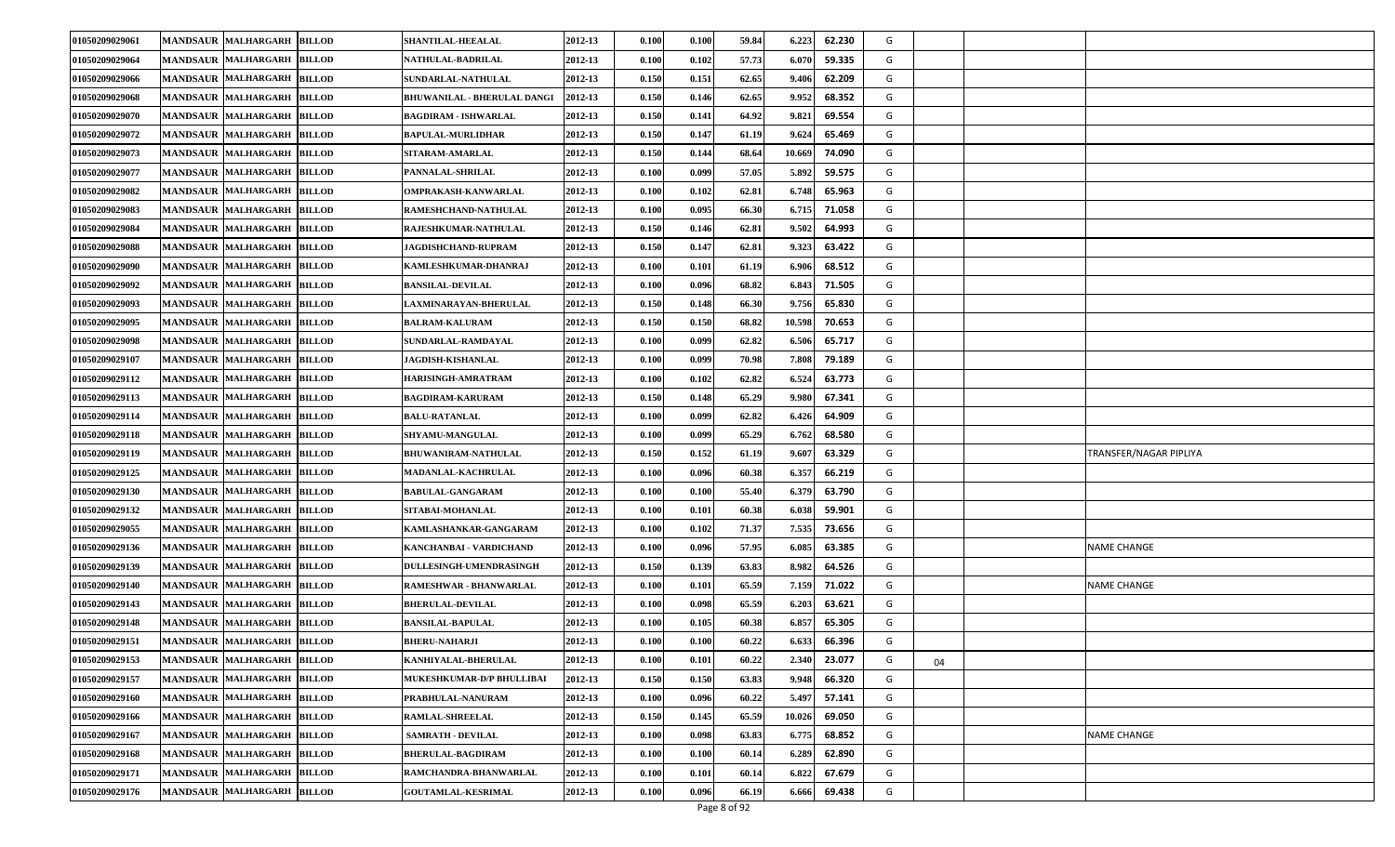| 01050209029061 | <b>BILLOD</b><br><b>MANDSAUR MALHARGARH</b>           | SHANTILAL-HEEALAL                  | 2012-13 | 0.100 | 0.100 | 59.84 | 6.223  | 62.230 | G       |                        |
|----------------|-------------------------------------------------------|------------------------------------|---------|-------|-------|-------|--------|--------|---------|------------------------|
| 01050209029064 | <b>MANDSAUR</b><br><b>MALHARGARH</b><br><b>BILLOD</b> | NATHULAL-BADRILAL                  | 2012-13 | 0.100 | 0.102 | 57.73 | 6.07   | 59.335 | G       |                        |
| 01050209029066 | MANDSAUR MALHARGARH BILLOD                            | SUNDARLAL-NATHULAL                 | 2012-13 | 0.150 | 0.151 | 62.65 | 9.40   | 62.209 | G       |                        |
| 01050209029068 | <b>MANDSAUR MALHARGARH</b><br><b>BILLOD</b>           | <b>BHUWANILAL - BHERULAL DANGI</b> | 2012-13 | 0.150 | 0.146 | 62.65 | 9.952  | 68.352 | G       |                        |
| 01050209029070 | <b>BILLOD</b><br><b>MANDSAUR MALHARGARH</b>           | <b>BAGDIRAM - ISHWARLAL</b>        | 2012-13 | 0.150 | 0.141 | 64.92 | 9.82   | 69.554 | G       |                        |
| 01050209029072 | <b>MANDSAUR MALHARGARH</b><br><b>BILLOD</b>           | <b>BAPULAL-MURLIDHAR</b>           | 2012-13 | 0.150 | 0.147 | 61.19 | 9.624  | 65.469 | G       |                        |
| 01050209029073 | MANDSAUR MALHARGARH BILLOD                            | SITARAM-AMARLAL                    | 2012-13 | 0.150 | 0.144 | 68.64 | 10.669 | 74.090 | G       |                        |
| 01050209029077 | <b>MANDSAUR MALHARGARH</b><br><b>BILLOD</b>           | PANNALAL-SHRILAL                   | 2012-13 | 0.100 | 0.099 | 57.05 | 5.892  | 59.575 | G       |                        |
| 01050209029082 | <b>MANDSAUR</b><br><b>MALHARGARH</b><br><b>BILLOD</b> | OMPRAKASH-KANWARLAL                | 2012-13 | 0.100 | 0.102 | 62.81 | 6.748  | 65.963 | G       |                        |
| 01050209029083 | <b>MANDSAUR MALHARGARH</b><br><b>BILLOD</b>           | RAMESHCHAND-NATHULAL               | 2012-13 | 0.100 | 0.095 | 66.30 | 6.71   | 71.058 | G       |                        |
| 01050209029084 | MANDSAUR MALHARGARH BILLOD                            | RAJESHKUMAR-NATHULAL               | 2012-13 | 0.150 | 0.146 | 62.81 | 9.502  | 64.993 | G       |                        |
| 01050209029088 | <b>MANDSAUR MALHARGARH</b><br><b>BILLOD</b>           | <b>JAGDISHCHAND-RUPRAM</b>         | 2012-13 | 0.150 | 0.147 | 62.81 | 9.323  | 63.422 | G       |                        |
| 01050209029090 | <b>MANDSAUR</b><br><b>MALHARGARH</b><br><b>BILLOD</b> | KAMLESHKUMAR-DHANRAJ               | 2012-13 | 0.100 | 0.101 | 61.19 | 6.90   | 68.512 | G       |                        |
| 01050209029092 | MANDSAUR MALHARGARH<br><b>BILLOD</b>                  | <b>BANSILAL-DEVILAL</b>            | 2012-13 | 0.100 | 0.096 | 68.82 | 6.843  | 71.505 | G       |                        |
| 01050209029093 | MANDSAUR MALHARGARH BILLOD                            | LAXMINARAYAN-BHERULAL              | 2012-13 | 0.150 | 0.148 | 66.30 | 9.756  | 65.830 | G       |                        |
| 01050209029095 | <b>MANDSAUR MALHARGARH</b><br><b>BILLOD</b>           | <b>BALRAM-KALURAM</b>              | 2012-13 | 0.150 | 0.150 | 68.82 | 10.598 | 70.653 | G       |                        |
| 01050209029098 | <b>MANDSAUR</b><br><b>MALHARGARH BILLOD</b>           | SUNDARLAL-RAMDAYAL                 | 2012-13 | 0.100 | 0.099 | 62.82 | 6.50   | 65.717 | G       |                        |
| 01050209029107 | <b>MANDSAUR MALHARGARH</b><br><b>BILLOD</b>           | <b>JAGDISH-KISHANLAL</b>           | 2012-13 | 0.100 | 0.099 | 70.98 | 7.808  | 79.189 | G       |                        |
| 01050209029112 | MANDSAUR MALHARGARH BILLOD                            | HARISINGH-AMRATRAM                 | 2012-13 | 0.100 | 0.102 | 62.82 | 6.524  | 63.773 | G       |                        |
| 01050209029113 | <b>MALHARGARH</b><br><b>MANDSAUR</b><br><b>BILLOD</b> | <b>BAGDIRAM-KARURAM</b>            | 2012-13 | 0.150 | 0.148 | 65.29 | 9.98   | 67.341 | G       |                        |
| 01050209029114 | <b>MANDSAUR</b><br><b>MALHARGARH</b><br><b>BILLOD</b> | <b>BALU-RATANLAL</b>               | 2012-13 | 0.100 | 0.099 | 62.82 | 6.42   | 64.909 | G       |                        |
| 01050209029118 | MANDSAUR MALHARGARH BILLOD                            | SHYAMU-MANGULAL                    | 2012-13 | 0.100 | 0.099 | 65.29 | 6.762  | 68.580 | G       |                        |
| 01050209029119 | <b>MANDSAUR MALHARGARH</b><br><b>BILLOD</b>           | <b>BHUWANIRAM-NATHULAL</b>         | 2012-13 | 0.150 | 0.152 | 61.19 | 9.60'  | 63.329 | G       | TRANSFER/NAGAR PIPLIYA |
| 01050209029125 | <b>BILLOD</b><br><b>MANDSAUR MALHARGARH</b>           | MADANLAL-KACHRULAL                 | 2012-13 | 0.100 | 0.096 | 60.38 | 6.35'  | 66.219 | G       |                        |
| 01050209029130 | <b>MANDSAUR MALHARGARH</b><br><b>BILLOD</b>           | <b>BABULAL-GANGARAM</b>            | 2012-13 | 0.100 | 0.100 | 55.40 | 6.379  | 63.790 | G       |                        |
| 01050209029132 | MANDSAUR MALHARGARH BILLOD                            | SITABAI-MOHANLAL                   | 2012-13 | 0.100 | 0.101 | 60.38 | 6.038  | 59.901 | G       |                        |
| 01050209029055 | <b>MANDSAUR MALHARGARH</b><br><b>BILLOD</b>           | KAMLASHANKAR-GANGARAM              | 2012-13 | 0.100 | 0.102 | 71.37 | 7.535  | 73.656 | G       |                        |
| 01050209029136 | <b>MANDSAUR MALHARGARH</b><br><b>BILLOD</b>           | KANCHANBAI - VARDICHAND            | 2012-13 | 0.100 | 0.096 | 57.95 | 6.08   | 63.385 | G       | <b>NAME CHANGE</b>     |
| 01050209029139 | MANDSAUR MALHARGARH BILLOD                            | <b>DULLESINGH-UMENDRASINGH</b>     | 2012-13 | 0.150 | 0.139 | 63.83 | 8.982  | 64.526 | G       |                        |
| 01050209029140 | MANDSAUR MALHARGARH BILLOD                            | RAMESHWAR - BHANWARLAL             | 2012-13 | 0.100 | 0.101 | 65.59 | 7.159  | 71.022 | G       | <b>NAME CHANGE</b>     |
| 01050209029143 | <b>MANDSAUR MALHARGARH</b><br><b>BILLOD</b>           | <b>BHERULAL-DEVILAL</b>            | 2012-13 | 0.100 | 0.098 | 65.59 | 6.203  | 63.621 | G       |                        |
| 01050209029148 | <b>MANDSAUR</b><br><b>MALHARGARH BILLOD</b>           | <b>BANSILAL-BAPULAL</b>            | 2012-13 | 0.100 | 0.105 | 60.38 | 6.85   | 65.305 | G       |                        |
| 01050209029151 | MANDSAUR MALHARGARH BILLOD                            | <b>BHERU-NAHARJI</b>               | 2012-13 | 0.100 | 0.100 | 60.22 | 6.633  | 66.396 | G       |                        |
| 01050209029153 | MANDSAUR MALHARGARH BILLOD                            | KANHIYALAL-BHERULAL                | 2012-13 | 0.100 | 0.101 | 60.22 | 2.340  | 23.077 | G<br>04 |                        |
| 01050209029157 | MANDSAUR MALHARGARH BILLOD                            | <b>MUKESHKUMAR-D/P BHULLIBAI</b>   | 2012-13 | 0.150 | 0.150 | 63.83 | 9.948  | 66.320 | G       |                        |
| 01050209029160 | MANDSAUR MALHARGARH BILLOD                            | PRABHULAL-NANURAM                  | 2012-13 | 0.100 | 0.096 | 60.22 | 5.49   | 57.141 | G       |                        |
| 01050209029166 | MANDSAUR MALHARGARH BILLOD                            | <b>RAMLAL-SHREELAL</b>             | 2012-13 | 0.150 | 0.145 | 65.59 | 10.02  | 69.050 | G       |                        |
| 01050209029167 | MANDSAUR MALHARGARH BILLOD                            | <b>SAMRATH - DEVILAL</b>           | 2012-13 | 0.100 | 0.098 | 63.83 | 6.775  | 68.852 | G       | <b>NAME CHANGE</b>     |
| 01050209029168 | MANDSAUR MALHARGARH BILLOD                            | <b>BHERULAL-BAGDIRAM</b>           | 2012-13 | 0.100 | 0.100 | 60.14 | 6.289  | 62.890 | G       |                        |
| 01050209029171 | MANDSAUR MALHARGARH BILLOD                            | RAMCHANDRA-BHANWARLAL              | 2012-13 | 0.100 | 0.101 | 60.14 | 6.822  | 67.679 | G       |                        |
| 01050209029176 | MANDSAUR MALHARGARH BILLOD                            | <b>GOUTAMLAL-KESRIMAL</b>          | 2012-13 | 0.100 | 0.096 | 66.19 | 6.666  | 69.438 | G       |                        |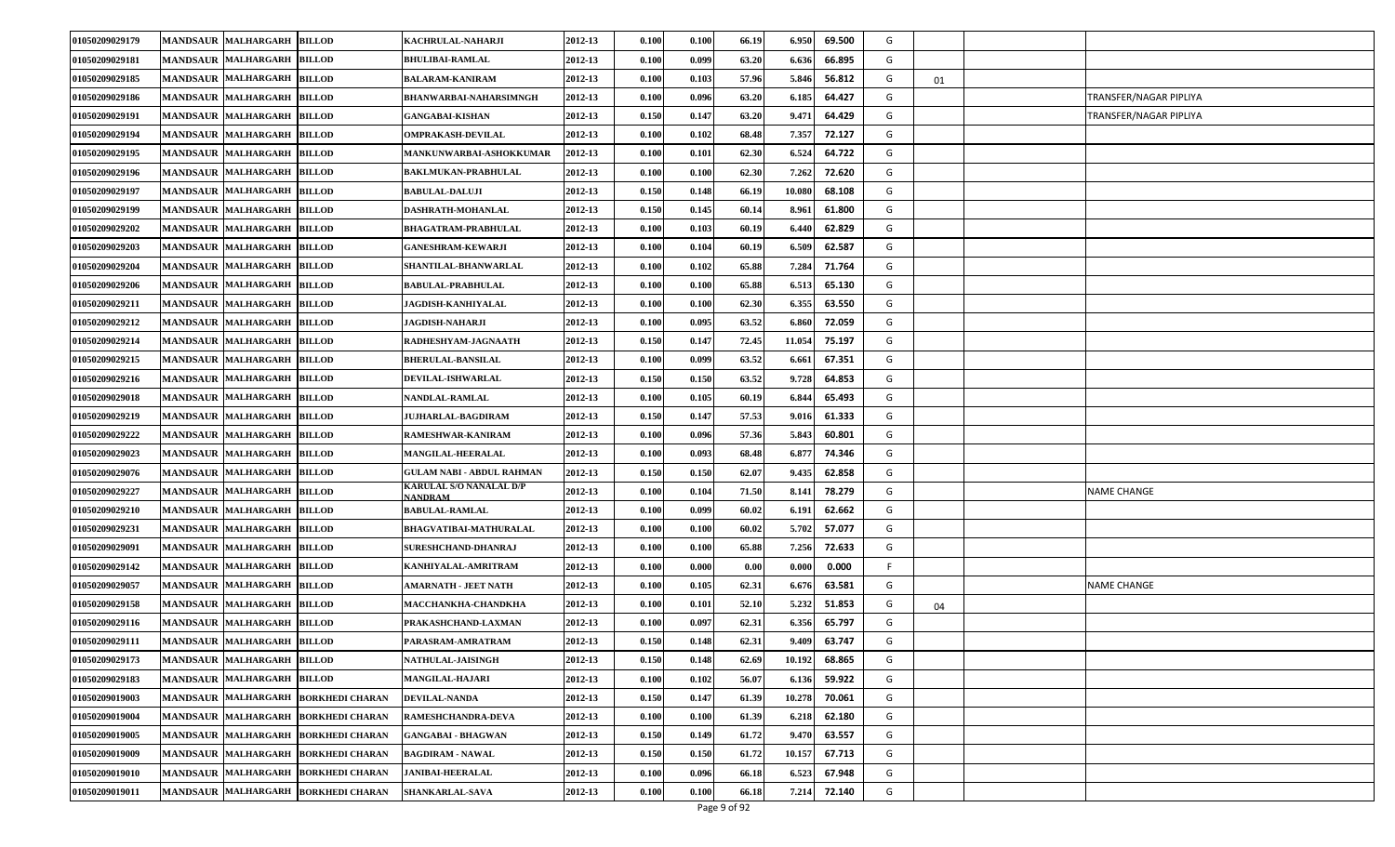| 01050209029179 | <b>BILLOD</b><br><b>MANDSAUR MALHARGARH</b>           | KACHRULAL-NAHARJI                  | 2012-13 | 0.100 | 0.100 | 66.19 | 69.500<br>6.950  | G  |    |                        |
|----------------|-------------------------------------------------------|------------------------------------|---------|-------|-------|-------|------------------|----|----|------------------------|
| 01050209029181 | <b>MANDSAUR MALHARGARH</b><br><b>BILLOD</b>           | <b>BHULIBAI-RAMLAL</b>             | 2012-13 | 0.100 | 0.099 | 63.20 | 6.636<br>66.895  | G  |    |                        |
| 01050209029185 | <b>MANDSAUR MALHARGARH</b><br><b>BILLOD</b>           | <b>BALARAM-KANIRAM</b>             | 2012-13 | 0.100 | 0.103 | 57.96 | 5.846<br>56.812  | G  | 01 |                        |
| 01050209029186 | MANDSAUR MALHARGARH BILLOD                            | BHANWARBAI-NAHARSIMNGH             | 2012-13 | 0.100 | 0.096 | 63.20 | 6.185<br>64.427  | G  |    | TRANSFER/NAGAR PIPLIYA |
| 01050209029191 | MANDSAUR MALHARGARH<br><b>BILLOD</b>                  | <b>GANGABAI-KISHAN</b>             | 2012-13 | 0.150 | 0.147 | 63.20 | 9.47<br>64.429   | G  |    | TRANSFER/NAGAR PIPLIYA |
| 01050209029194 | MANDSAUR MALHARGARH<br><b>BILLOD</b>                  | <b>OMPRAKASH-DEVILAL</b>           | 2012-13 | 0.100 | 0.102 | 68.48 | 7.357<br>72.127  | G  |    |                        |
| 01050209029195 | <b>BILLOD</b><br><b>MANDSAUR MALHARGARH</b>           | <b>MANKUNWARBAI-ASHOKKUMAR</b>     | 2012-13 | 0.100 | 0.101 | 62.30 | 6.524<br>64.722  | G  |    |                        |
| 01050209029196 | <b>MANDSAUR MALHARGARH</b><br><b>BILLOD</b>           | BAKLMUKAN-PRABHULAL                | 2012-13 | 0.100 | 0.100 | 62.30 | 7.262<br>72.620  | G  |    |                        |
| 01050209029197 | <b>MANDSAUR MALHARGARH</b><br><b>BILLOD</b>           | <b>BABULAL-DALUJI</b>              | 2012-13 | 0.150 | 0.148 | 66.19 | 10.08<br>68.108  | G  |    |                        |
| 01050209029199 | <b>MANDSAUR MALHARGARH</b><br><b>BILLOD</b>           | DASHRATH-MOHANLAL                  | 2012-13 | 0.150 | 0.145 | 60.14 | 8.96<br>61.800   | G  |    |                        |
| 01050209029202 | MANDSAUR MALHARGARH<br><b>BILLOD</b>                  | <b>BHAGATRAM-PRABHULAL</b>         | 2012-13 | 0.100 | 0.103 | 60.19 | 62.829<br>6.44   | G  |    |                        |
| 01050209029203 | <b>MANDSAUR MALHARGARH</b><br><b>BILLOD</b>           | GANESHRAM-KEWARJI                  | 2012-13 | 0.100 | 0.104 | 60.19 | 6.509<br>62.587  | G  |    |                        |
| 01050209029204 | <b>MALHARGARH</b><br><b>BILLOD</b><br><b>MANDSAUR</b> | <b>SHANTILAL-BHANWARLAL</b>        | 2012-13 | 0.100 | 0.102 | 65.88 | 7.284<br>71.764  | G  |    |                        |
| 01050209029206 | MANDSAUR MALHARGARH<br><b>BILLOD</b>                  | <b>BABULAL-PRABHULAL</b>           | 2012-13 | 0.100 | 0.100 | 65.88 | 6.513<br>65.130  | G  |    |                        |
| 01050209029211 | <b>MANDSAUR MALHARGARH</b><br><b>BILLOD</b>           | <b>JAGDISH-KANHIYALAL</b>          | 2012-13 | 0.100 | 0.100 | 62.30 | 63.550<br>6.355  | G  |    |                        |
| 01050209029212 | <b>MANDSAUR MALHARGARH</b><br><b>BILLOD</b>           | JAGDISH-NAHARJI                    | 2012-13 | 0.100 | 0.095 | 63.52 | 72.059<br>6.860  | G  |    |                        |
| 01050209029214 | <b>MANDSAUR</b><br><b>MALHARGARH</b><br><b>BILLOD</b> | RADHESHYAM-JAGNAATH                | 2012-13 | 0.150 | 0.147 | 72.45 | 11.054<br>75.197 | G  |    |                        |
| 01050209029215 | MANDSAUR MALHARGARH<br><b>BILLOD</b>                  | <b>BHERULAL-BANSILAL</b>           | 2012-13 | 0.100 | 0.099 | 63.52 | 67.351<br>6.66   | G  |    |                        |
| 01050209029216 | MANDSAUR MALHARGARH BILLOD                            | DEVILAL-ISHWARLAL                  | 2012-13 | 0.150 | 0.150 | 63.52 | 9.728<br>64.853  | G  |    |                        |
| 01050209029018 | MANDSAUR MALHARGARH<br><b>BILLOD</b>                  | NANDLAL-RAMLAL                     | 2012-13 | 0.100 | 0.105 | 60.19 | 6.84<br>65.493   | G  |    |                        |
| 01050209029219 | <b>MANDSAUR</b><br><b>MALHARGARH</b><br><b>BILLOD</b> | <b>JUJHARLAL-BAGDIRAM</b>          | 2012-13 | 0.150 | 0.147 | 57.53 | 9.01<br>61.333   | G  |    |                        |
| 01050209029222 | <b>MANDSAUR MALHARGARH</b><br><b>BILLOD</b>           | RAMESHWAR-KANIRAM                  | 2012-13 | 0.100 | 0.096 | 57.36 | 5.843<br>60.801  | G  |    |                        |
| 01050209029023 | MANDSAUR MALHARGARH BILLOD                            | <b>MANGILAL-HEERALAL</b>           | 2012-13 | 0.100 | 0.093 | 68.48 | 6.877<br>74.346  | G  |    |                        |
| 01050209029076 | <b>BILLOD</b><br><b>MANDSAUR MALHARGARH</b>           | GULAM NABI - ABDUL RAHMAN          | 2012-13 | 0.150 | 0.150 | 62.07 | 9.435<br>62.858  | G  |    |                        |
| 01050209029227 | <b>MANDSAUR MALHARGARH</b><br><b>BILLOD</b>           | KARULAL S/O NANALAL D/P<br>NANDRAM | 2012-13 | 0.100 | 0.104 | 71.50 | 8.14<br>78.279   | G  |    | NAME CHANGE            |
| 01050209029210 | <b>MANDSAUR MALHARGARH</b><br><b>BILLOD</b>           | <b>BABULAL-RAMLAL</b>              | 2012-13 | 0.100 | 0.099 | 60.02 | 62.662<br>6.191  | G  |    |                        |
| 01050209029231 | MANDSAUR MALHARGARH BILLOD                            | <b>BHAGVATIBAI-MATHURALAL</b>      | 2012-13 | 0.100 | 0.100 | 60.02 | 5.702<br>57.077  | G  |    |                        |
| 01050209029091 | <b>MANDSAUR MALHARGARH</b><br><b>BILLOD</b>           | <b>SURESHCHAND-DHANRAJ</b>         | 2012-13 | 0.100 | 0.100 | 65.88 | 7.256<br>72.633  | G  |    |                        |
| 01050209029142 | <b>BILLOD</b><br><b>MANDSAUR MALHARGARH</b>           | KANHIYALAL-AMRITRAM                | 2012-13 | 0.100 | 0.000 | 0.00  | 0.000<br>0.000   | F. |    |                        |
| 01050209029057 | <b>MANDSAUR MALHARGARH</b><br><b>BILLOD</b>           | AMARNATH - JEET NATH               | 2012-13 | 0.100 | 0.105 | 62.31 | 6.67<br>63.581   | G  |    | <b>NAME CHANGE</b>     |
| 01050209029158 | <b>MANDSAUR MALHARGARH</b><br><b>BILLOD</b>           | <b>MACCHANKHA-CHANDKHA</b>         | 2012-13 | 0.100 | 0.101 | 52.10 | 5.232<br>51.853  | G  | 04 |                        |
| 01050209029116 | <b>MANDSAUR MALHARGARH</b><br><b>BILLOD</b>           | PRAKASHCHAND-LAXMAN                | 2012-13 | 0.100 | 0.097 | 62.31 | 6.356<br>65.797  | G  |    |                        |
| 01050209029111 | <b>MANDSAUR MALHARGARH</b><br><b>BILLOD</b>           | PARASRAM-AMRATRAM                  | 2012-13 | 0.150 | 0.148 | 62.31 | 63.747<br>9.409  | G  |    |                        |
| 01050209029173 | MANDSAUR MALHARGARH BILLOD                            | NATHULAL-JAISINGH                  | 2012-13 | 0.150 | 0.148 | 62.69 | 10.192<br>68.865 | G  |    |                        |
| 01050209029183 | MANDSAUR MALHARGARH BILLOD                            | <b>MANGILAL-HAJARI</b>             | 2012-13 | 0.100 | 0.102 | 56.07 | 6.136<br>59.922  | G  |    |                        |
| 01050209019003 | MANDSAUR MALHARGARH<br><b>BORKHEDI CHARAN</b>         | <b>DEVILAL-NANDA</b>               | 2012-13 | 0.150 | 0.147 | 61.39 | 70.061<br>10.278 | G  |    |                        |
| 01050209019004 | MANDSAUR MALHARGARH<br><b>BORKHEDI CHARAN</b>         | RAMESHCHANDRA-DEVA                 | 2012-13 | 0.100 | 0.100 | 61.39 | 62.180<br>6.218  | G  |    |                        |
| 01050209019005 | MANDSAUR MALHARGARH BORKHEDI CHARAN                   | <b>GANGABAI - BHAGWAN</b>          | 2012-13 | 0.150 | 0.149 | 61.72 | 9.470<br>63.557  | G  |    |                        |
| 01050209019009 | MANDSAUR MALHARGARH BORKHEDI CHARAN                   | <b>BAGDIRAM - NAWAL</b>            | 2012-13 | 0.150 | 0.150 | 61.72 | 67.713<br>10.157 | G  |    |                        |
| 01050209019010 | MANDSAUR MALHARGARH<br><b>BORKHEDI CHARAN</b>         | <b>JANIBAI-HEERALAL</b>            | 2012-13 | 0.100 | 0.096 | 66.18 | 6.523<br>67.948  | G  |    |                        |
| 01050209019011 | MANDSAUR MALHARGARH<br><b>BORKHEDI CHARAN</b>         | SHANKARLAL-SAVA                    | 2012-13 | 0.100 | 0.100 | 66.18 | 7.214<br>72.140  | G  |    |                        |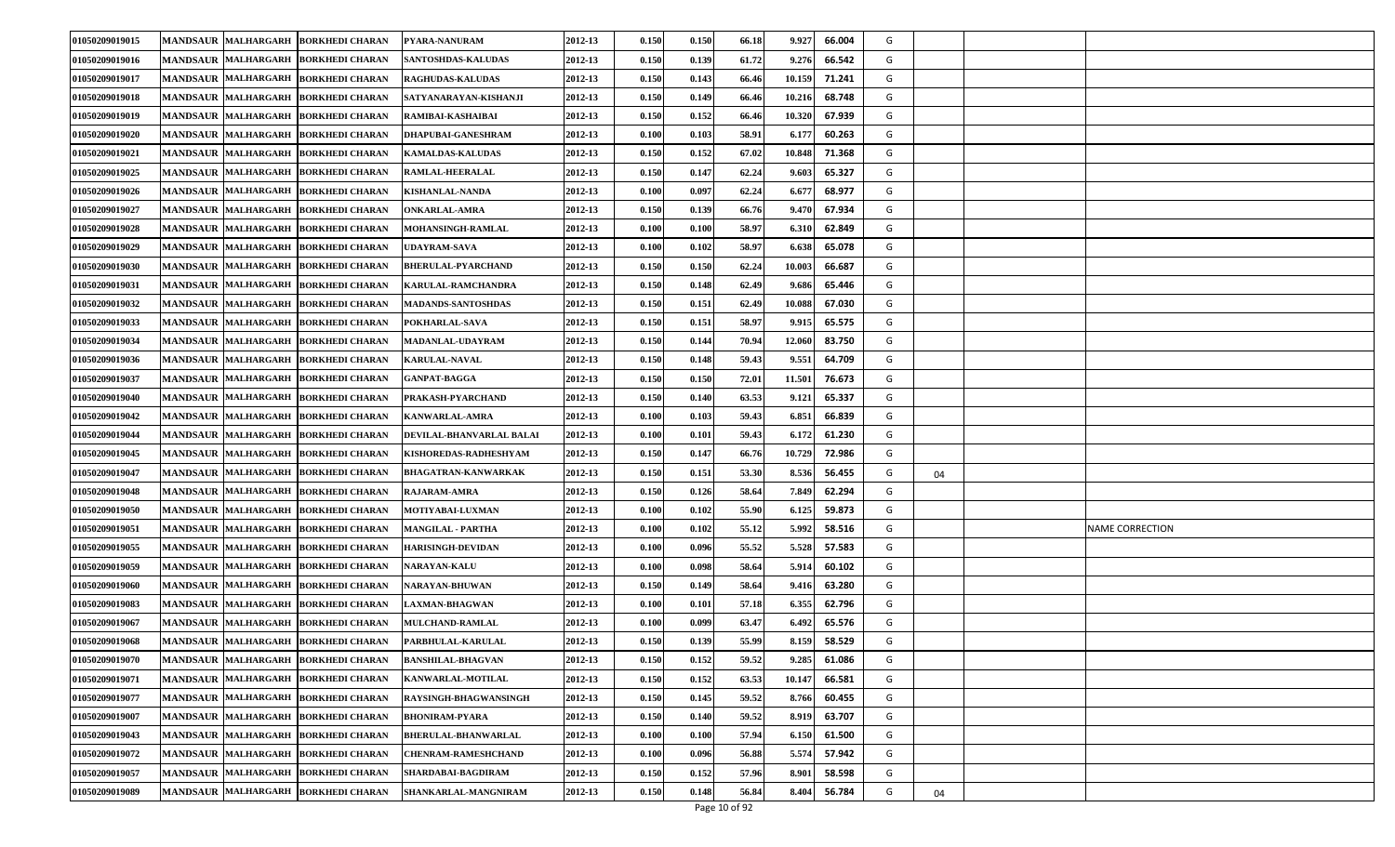| 01050209019015 | MANDSAUR MALHARGARH BORKHEDI CHARAN                  | PYARA-NANURAM              | 2012-13 | 0.150 | 0.150 | 66.18 | 9.927  | 66.004 | G |    |                        |
|----------------|------------------------------------------------------|----------------------------|---------|-------|-------|-------|--------|--------|---|----|------------------------|
| 01050209019016 | MANDSAUR MALHARGARH BORKHEDI CHARAN                  | <b>SANTOSHDAS-KALUDAS</b>  | 2012-13 | 0.150 | 0.139 | 61.72 | 9.276  | 66.542 | G |    |                        |
| 01050209019017 | MANDSAUR MALHARGARH BORKHEDI CHARAN                  | <b>RAGHUDAS-KALUDAS</b>    | 2012-13 | 0.150 | 0.143 | 66.46 | 10.159 | 71.241 | G |    |                        |
| 01050209019018 | MANDSAUR MALHARGARH BORKHEDI CHARAN                  | SATYANARAYAN-KISHANJI      | 2012-13 | 0.150 | 0.149 | 66.46 | 10.21  | 68.748 | G |    |                        |
| 01050209019019 | MANDSAUR MALHARGARH BORKHEDI CHARAN                  | RAMIBAI-KASHAIBAI          | 2012-13 | 0.150 | 0.152 | 66.46 | 10.320 | 67.939 | G |    |                        |
| 01050209019020 | <b>MANDSAUR MALHARGARH</b><br><b>BORKHEDI CHARAN</b> | <b>DHAPUBAI-GANESHRAM</b>  | 2012-13 | 0.100 | 0.103 | 58.91 | 6.17'  | 60.263 | G |    |                        |
| 01050209019021 | MANDSAUR MALHARGARH BORKHEDI CHARAN                  | <b>KAMALDAS-KALUDAS</b>    | 2012-13 | 0.150 | 0.152 | 67.02 | 10.848 | 71.368 | G |    |                        |
| 01050209019025 | MANDSAUR MALHARGARH BORKHEDI CHARAN                  | <b>RAMLAL-HEERALAL</b>     | 2012-13 | 0.150 | 0.147 | 62.24 | 9.603  | 65.327 | G |    |                        |
| 01050209019026 | MANDSAUR MALHARGARH BORKHEDI CHARAN                  | <b>KISHANLAL-NANDA</b>     | 2012-13 | 0.100 | 0.097 | 62.24 | 6.67   | 68.977 | G |    |                        |
| 01050209019027 | MANDSAUR MALHARGARH BORKHEDI CHARAN                  | <b>ONKARLAL-AMRA</b>       | 2012-13 | 0.150 | 0.139 | 66.76 | 9.47   | 67.934 | G |    |                        |
| 01050209019028 | MANDSAUR MALHARGARH BORKHEDI CHARAN                  | MOHANSINGH-RAMLAL          | 2012-13 | 0.100 | 0.100 | 58.97 | 6.31   | 62.849 | G |    |                        |
| 01050209019029 | <b>MANDSAUR MALHARGARH</b><br><b>BORKHEDI CHARAN</b> | <b>UDAYRAM-SAVA</b>        | 2012-13 | 0.100 | 0.102 | 58.97 | 6.638  | 65.078 | G |    |                        |
| 01050209019030 | <b>MANDSAUR MALHARGARH</b><br><b>BORKHEDI CHARAN</b> | <b>BHERULAL-PYARCHAND</b>  | 2012-13 | 0.150 | 0.150 | 62.24 | 10.003 | 66.687 | G |    |                        |
| 01050209019031 | MANDSAUR MALHARGARH BORKHEDI CHARAN                  | <b>KARULAL-RAMCHANDRA</b>  | 2012-13 | 0.150 | 0.148 | 62.49 | 9.686  | 65.446 | G |    |                        |
| 01050209019032 | <b>MANDSAUR MALHARGARH</b><br><b>BORKHEDI CHARAN</b> | <b>MADANDS-SANTOSHDAS</b>  | 2012-13 | 0.150 | 0.151 | 62.49 | 10.088 | 67.030 | G |    |                        |
| 01050209019033 | <b>MANDSAUR MALHARGARH</b><br><b>BORKHEDI CHARAN</b> | POKHARLAL-SAVA             | 2012-13 | 0.150 | 0.151 | 58.97 | 9.91   | 65.575 | G |    |                        |
| 01050209019034 | <b>MANDSAUR MALHARGARH</b><br><b>BORKHEDI CHARAN</b> | MADANLAL-UDAYRAM           | 2012-13 | 0.150 | 0.144 | 70.94 | 12.06  | 83.750 | G |    |                        |
| 01050209019036 | MANDSAUR MALHARGARH BORKHEDI CHARAN                  | <b>KARULAL-NAVAL</b>       | 2012-13 | 0.150 | 0.148 | 59.43 | 9.551  | 64.709 | G |    |                        |
| 01050209019037 | <b>MANDSAUR MALHARGARH</b><br><b>BORKHEDI CHARAN</b> | <b>GANPAT-BAGGA</b>        | 2012-13 | 0.150 | 0.150 | 72.01 | 11.501 | 76.673 | G |    |                        |
| 01050209019040 | <b>MANDSAUR MALHARGARH</b><br><b>BORKHEDI CHARAN</b> | PRAKASH-PYARCHAND          | 2012-13 | 0.150 | 0.140 | 63.53 | 9.121  | 65.337 | G |    |                        |
| 01050209019042 | <b>MANDSAUR MALHARGARH</b><br><b>BORKHEDI CHARAN</b> | KANWARLAL-AMRA             | 2012-13 | 0.100 | 0.103 | 59.43 | 6.851  | 66.839 | G |    |                        |
| 01050209019044 | MANDSAUR MALHARGARH BORKHEDI CHARAN                  | DEVILAL-BHANVARLAL BALAI   | 2012-13 | 0.100 | 0.101 | 59.43 | 6.172  | 61.230 | G |    |                        |
| 01050209019045 | MANDSAUR MALHARGARH BORKHEDI CHARAN                  | KISHOREDAS-RADHESHYAM      | 2012-13 | 0.150 | 0.147 | 66.76 | 10.729 | 72.986 | G |    |                        |
| 01050209019047 | MANDSAUR MALHARGARH BORKHEDI CHARAN                  | <b>BHAGATRAN-KANWARKAK</b> | 2012-13 | 0.150 | 0.151 | 53.30 | 8.536  | 56.455 | G | 04 |                        |
| 01050209019048 | MANDSAUR MALHARGARH BORKHEDI CHARAN                  | <b>RAJARAM-AMRA</b>        | 2012-13 | 0.150 | 0.126 | 58.64 | 7.849  | 62.294 | G |    |                        |
| 01050209019050 | MANDSAUR MALHARGARH BORKHEDI CHARAN                  | MOTIYABAI-LUXMAN           | 2012-13 | 0.100 | 0.102 | 55.90 | 6.125  | 59.873 | G |    |                        |
| 01050209019051 | MANDSAUR MALHARGARH BORKHEDI CHARAN                  | <b>MANGILAL - PARTHA</b>   | 2012-13 | 0.100 | 0.102 | 55.12 | 5.992  | 58.516 | G |    | <b>NAME CORRECTION</b> |
| 01050209019055 | MANDSAUR MALHARGARH BORKHEDI CHARAN                  | <b>HARISINGH-DEVIDAN</b>   | 2012-13 | 0.100 | 0.096 | 55.52 | 5.528  | 57.583 | G |    |                        |
| 01050209019059 | <b>MANDSAUR MALHARGARH</b><br><b>BORKHEDI CHARAN</b> | <b>NARAYAN-KALU</b>        | 2012-13 | 0.100 | 0.098 | 58.64 | 5.91   | 60.102 | G |    |                        |
| 01050209019060 | MANDSAUR MALHARGARH BORKHEDI CHARAN                  | <b>NARAYAN-BHUWAN</b>      | 2012-13 | 0.150 | 0.149 | 58.64 | 9.41   | 63.280 | G |    |                        |
| 01050209019083 | MANDSAUR MALHARGARH BORKHEDI CHARAN                  | <b>LAXMAN-BHAGWAN</b>      | 2012-13 | 0.100 | 0.101 | 57.18 | 6.355  | 62.796 | G |    |                        |
| 01050209019067 | MANDSAUR MALHARGARH BORKHEDI CHARAN                  | MULCHAND-RAMLAL            | 2012-13 | 0.100 | 0.099 | 63.47 | 6.49   | 65.576 | G |    |                        |
| 01050209019068 | MANDSAUR MALHARGARH BORKHEDI CHARAN                  | <b>PARBHULAL-KARULAL</b>   | 2012-13 | 0.150 | 0.139 | 55.99 | 8.159  | 58.529 | G |    |                        |
| 01050209019070 | MANDSAUR MALHARGARH BORKHEDI CHARAN                  | <b>BANSHILAL-BHAGVAN</b>   | 2012-13 | 0.150 | 0.152 | 59.52 | 9.285  | 61.086 | G |    |                        |
| 01050209019071 | MANDSAUR MALHARGARH BORKHEDI CHARAN                  | KANWARLAL-MOTILAL          | 2012-13 | 0.150 | 0.152 | 63.53 | 10.147 | 66.581 | G |    |                        |
| 01050209019077 | MANDSAUR MALHARGARH BORKHEDI CHARAN                  | RAYSINGH-BHAGWANSINGH      | 2012-13 | 0.150 | 0.145 | 59.52 | 8.766  | 60.455 | G |    |                        |
| 01050209019007 | MANDSAUR MALHARGARH BORKHEDI CHARAN                  | <b>BHONIRAM-PYARA</b>      | 2012-13 | 0.150 | 0.140 | 59.52 | 8.91   | 63.707 | G |    |                        |
| 01050209019043 | MANDSAUR MALHARGARH BORKHEDI CHARAN                  | <b>BHERULAL-BHANWARLAL</b> | 2012-13 | 0.100 | 0.100 | 57.94 | 6.150  | 61.500 | G |    |                        |
| 01050209019072 | MANDSAUR MALHARGARH BORKHEDI CHARAN                  | <b>CHENRAM-RAMESHCHAND</b> | 2012-13 | 0.100 | 0.096 | 56.88 | 5.574  | 57.942 | G |    |                        |
| 01050209019057 | MANDSAUR MALHARGARH BORKHEDI CHARAN                  | SHARDABAI-BAGDIRAM         | 2012-13 | 0.150 | 0.152 | 57.96 | 8.90   | 58.598 | G |    |                        |
| 01050209019089 | MANDSAUR MALHARGARH BORKHEDI CHARAN                  | SHANKARLAL-MANGNIRAM       | 2012-13 | 0.150 | 0.148 | 56.84 | 8.404  | 56.784 | G | 04 |                        |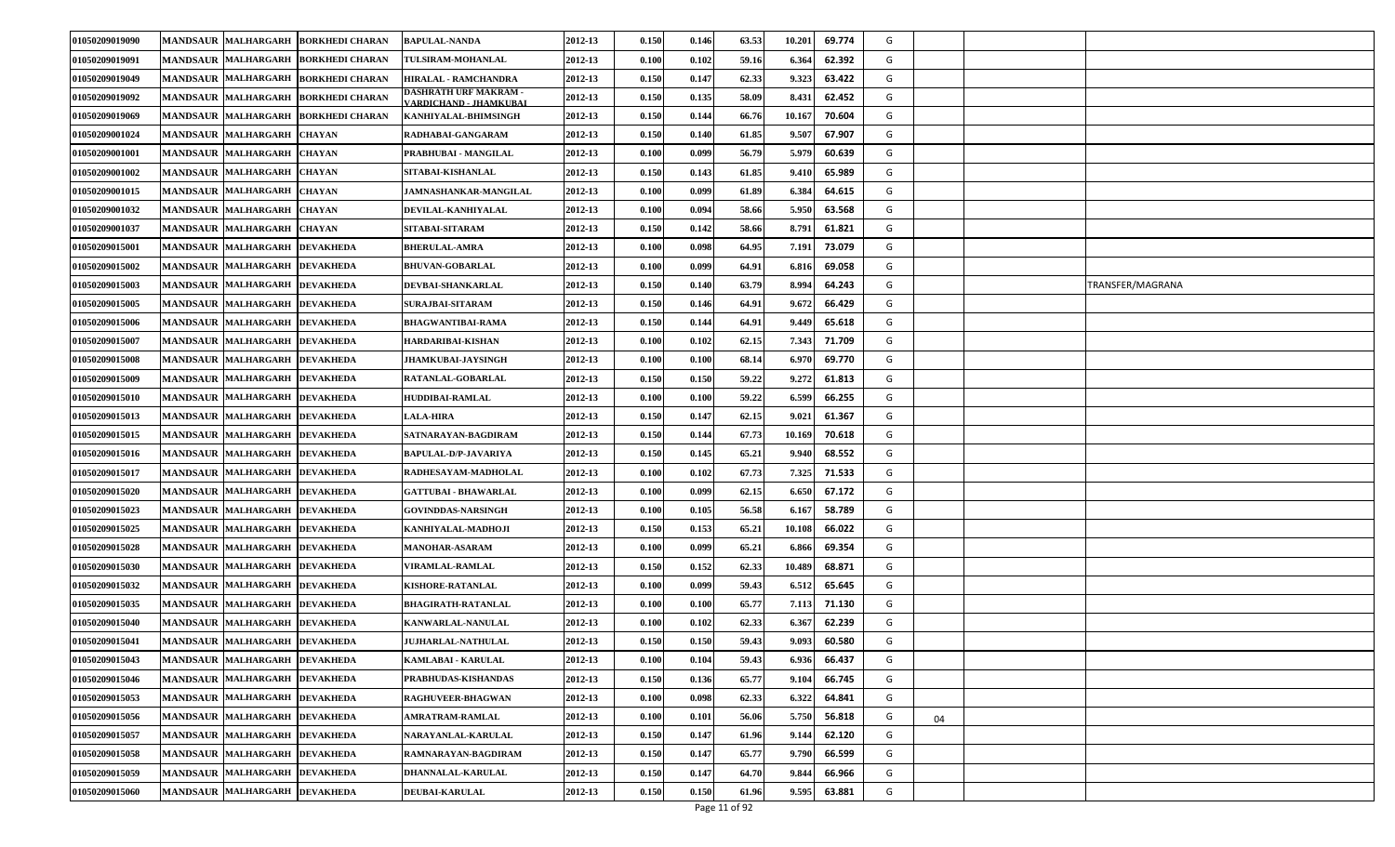| 01050209019090        |                               | MANDSAUR MALHARGARH BORKHEDI CHARAN | <b>BAPULAL-NANDA</b>                                          | 2012-13 | 0.150 | 0.146 | 63.53 | 10.201 | 69.774 | G |    |                  |
|-----------------------|-------------------------------|-------------------------------------|---------------------------------------------------------------|---------|-------|-------|-------|--------|--------|---|----|------------------|
| 01050209019091        | MANDSAUR MALHARGARH           | <b>BORKHEDI CHARAN</b>              | TULSIRAM-MOHANLAL                                             | 2012-13 | 0.100 | 0.102 | 59.16 | 6.364  | 62.392 | G |    |                  |
| 01050209019049        |                               | MANDSAUR MALHARGARH BORKHEDI CHARAN | HIRALAL - RAMCHANDRA                                          | 2012-13 | 0.150 | 0.147 | 62.33 | 9.323  | 63.422 | G |    |                  |
| 01050209019092        |                               | MANDSAUR MALHARGARH BORKHEDI CHARAN | <b>DASHRATH URF MAKRAM -</b><br><b>/ARDICHAND - JHAMKUBAI</b> | 2012-13 | 0.150 | 0.135 | 58.09 | 8.431  | 62.452 | G |    |                  |
| 01050209019069        | <b>MANDSAUR MALHARGARH</b>    | <b>BORKHEDI CHARAN</b>              | KANHIYALAL-BHIMSINGH                                          | 2012-13 | 0.150 | 0.144 | 66.76 | 10.16  | 70.604 | G |    |                  |
| 01050209001024        | <b>MANDSAUR MALHARGARH</b>    | <b>CHAYAN</b>                       | RADHABAI-GANGARAM                                             | 2012-13 | 0.150 | 0.140 | 61.85 | 9.50'  | 67.907 | G |    |                  |
| 01050209001001        | <b>MANDSAUR MALHARGARH</b>    | <b>CHAYAN</b>                       | PRABHUBAI - MANGILAL                                          | 2012-13 | 0.100 | 0.099 | 56.79 | 5.979  | 60.639 | G |    |                  |
| 01050209001002        | <b>MANDSAUR MALHARGARH</b>    | <b>CHAYAN</b>                       | SITABAI-KISHANLAL                                             | 2012-13 | 0.150 | 0.143 | 61.85 | 9.41   | 65.989 | G |    |                  |
| 01050209001015        | MANDSAUR MALHARGARH           | <b>CHAYAN</b>                       | JAMNASHANKAR-MANGILAL                                         | 2012-13 | 0.100 | 0.099 | 61.89 | 6.38   | 64.615 | G |    |                  |
| 01050209001032        | <b>MANDSAUR MALHARGARH</b>    | <b>CHAYAN</b>                       | DEVILAL-KANHIYALAL                                            | 2012-13 | 0.100 | 0.094 | 58.66 | 5.950  | 63.568 | G |    |                  |
| 01050209001037        | <b>MANDSAUR MALHARGARH</b>    | <b>CHAYAN</b>                       | SITABAI-SITARAM                                               | 2012-13 | 0.150 | 0.142 | 58.66 | 8.791  | 61.821 | G |    |                  |
| <b>01050209015001</b> | MANDSAUR MALHARGARH           | <b>DEVAKHEDA</b>                    | <b>BHERULAL-AMRA</b>                                          | 2012-13 | 0.100 | 0.098 | 64.95 | 7.191  | 73.079 | G |    |                  |
| 01050209015002        | MANDSAUR MALHARGARH           | <b>DEVAKHEDA</b>                    | <b>BHUVAN-GOBARLAL</b>                                        | 2012-13 | 0.100 | 0.099 | 64.91 | 6.81   | 69.058 | G |    |                  |
| 01050209015003        | MANDSAUR  MALHARGARH          | <b>DEVAKHEDA</b>                    | DEVBAI-SHANKARLAL                                             | 2012-13 | 0.150 | 0.140 | 63.79 | 8.994  | 64.243 | G |    | TRANSFER/MAGRANA |
| 01050209015005        | <b>MANDSAUR MALHARGARH</b>    | <b>DEVAKHEDA</b>                    | <b>SURAJBAI-SITARAM</b>                                       | 2012-13 | 0.150 | 0.146 | 64.91 | 9.672  | 66.429 | G |    |                  |
| 01050209015006        | MANDSAUR MALHARGARH           | <b>DEVAKHEDA</b>                    | BHAGWANTIBAI-RAMA                                             | 2012-13 | 0.150 | 0.144 | 64.91 | 9.449  | 65.618 | G |    |                  |
| 01050209015007        | MANDSAUR MALHARGARH           | <b>DEVAKHEDA</b>                    | HARDARIBAI-KISHAN                                             | 2012-13 | 0.100 | 0.102 | 62.15 | 7.343  | 71.709 | G |    |                  |
| 01050209015008        | <b>MANDSAUR MALHARGARH</b>    | <b>DEVAKHEDA</b>                    | <b>JHAMKUBAI-JAYSINGH</b>                                     | 2012-13 | 0.100 | 0.100 | 68.14 | 6.970  | 69.770 | G |    |                  |
| 01050209015009        | <b>MANDSAUR MALHARGARH</b>    | <b>DEVAKHEDA</b>                    | RATANLAL-GOBARLAL                                             | 2012-13 | 0.150 | 0.150 | 59.22 | 9.272  | 61.813 | G |    |                  |
| 01050209015010        | MANDSAUR  MALHARGARH          | <b>DEVAKHEDA</b>                    | HUDDIBAI-RAMLAL                                               | 2012-13 | 0.100 | 0.100 | 59.22 | 6.599  | 66.255 | G |    |                  |
| 01050209015013        | <b>MANDSAUR MALHARGARH</b>    | <b>DEVAKHEDA</b>                    | <b>LALA-HIRA</b>                                              | 2012-13 | 0.150 | 0.147 | 62.15 | 9.021  | 61.367 | G |    |                  |
| 01050209015015        | <b>MANDSAUR MALHARGARH</b>    | <b>DEVAKHEDA</b>                    | SATNARAYAN-BAGDIRAM                                           | 2012-13 | 0.150 | 0.144 | 67.73 | 10.169 | 70.618 | G |    |                  |
| 01050209015016        | <b>MANDSAUR MALHARGARH</b>    | <b>DEVAKHEDA</b>                    | BAPULAL-D/P-JAVARIYA                                          | 2012-13 | 0.150 | 0.145 | 65.21 | 9.940  | 68.552 | G |    |                  |
| 01050209015017        | MANDSAUR MALHARGARH DEVAKHEDA |                                     | RADHESAYAM-MADHOLAL                                           | 2012-13 | 0.100 | 0.102 | 67.73 | 7.325  | 71.533 | G |    |                  |
| 01050209015020        | MANDSAUR MALHARGARH DEVAKHEDA |                                     | <b>GATTUBAI - BHAWARLAL</b>                                   | 2012-13 | 0.100 | 0.099 | 62.15 | 6.650  | 67.172 | G |    |                  |
| 01050209015023        | MANDSAUR MALHARGARH DEVAKHEDA |                                     | <b>GOVINDDAS-NARSINGH</b>                                     | 2012-13 | 0.100 | 0.105 | 56.58 | 6.167  | 58.789 | G |    |                  |
| 01050209015025        | MANDSAUR MALHARGARH DEVAKHEDA |                                     | KANHIYALAL-MADHOJI                                            | 2012-13 | 0.150 | 0.153 | 65.21 | 10.108 | 66.022 | G |    |                  |
| 01050209015028        | <b>MANDSAUR MALHARGARH</b>    | <b>DEVAKHEDA</b>                    | <b>MANOHAR-ASARAM</b>                                         | 2012-13 | 0.100 | 0.099 | 65.21 | 6.86   | 69.354 | G |    |                  |
| 01050209015030        | MANDSAUR MALHARGARH           | <b>DEVAKHEDA</b>                    | <b>VIRAMLAL-RAMLAL</b>                                        | 2012-13 | 0.150 | 0.152 | 62.33 | 10.489 | 68.871 | G |    |                  |
| 01050209015032        | MANDSAUR MALHARGARH DEVAKHEDA |                                     | <b>KISHORE-RATANLAL</b>                                       | 2012-13 | 0.100 | 0.099 | 59.43 | 6.512  | 65.645 | G |    |                  |
| 01050209015035        | <b>MANDSAUR MALHARGARH</b>    | <b>DEVAKHEDA</b>                    | BHAGIRATH-RATANLAL                                            | 2012-13 | 0.100 | 0.100 | 65.77 | 7.11   | 71.130 | G |    |                  |
| 01050209015040        | MANDSAUR MALHARGARH           | <b>DEVAKHEDA</b>                    | KANWARLAL-NANULAL                                             | 2012-13 | 0.100 | 0.102 | 62.33 | 6.36   | 62.239 | G |    |                  |
| 01050209015041        | MANDSAUR MALHARGARH DEVAKHEDA |                                     | <b>JUJHARLAL-NATHULAL</b>                                     | 2012-13 | 0.150 | 0.150 | 59.43 | 9.093  | 60.580 | G |    |                  |
| 01050209015043        | MANDSAUR MALHARGARH DEVAKHEDA |                                     | KAMLABAI - KARULAL                                            | 2012-13 | 0.100 | 0.104 | 59.43 | 6.936  | 66.437 | G |    |                  |
| 01050209015046        | MANDSAUR MALHARGARH DEVAKHEDA |                                     | PRABHUDAS-KISHANDAS                                           | 2012-13 | 0.150 | 0.136 | 65.77 | 9.104  | 66.745 | G |    |                  |
| 01050209015053        | MANDSAUR MALHARGARH DEVAKHEDA |                                     | <b>RAGHUVEER-BHAGWAN</b>                                      | 2012-13 | 0.100 | 0.098 | 62.33 | 6.322  | 64.841 | G |    |                  |
| 01050209015056        | MANDSAUR MALHARGARH DEVAKHEDA |                                     | <b>AMRATRAM-RAMLAL</b>                                        | 2012-13 | 0.100 | 0.101 | 56.06 | 5.750  | 56.818 | G | 04 |                  |
| 01050209015057        | MANDSAUR MALHARGARH DEVAKHEDA |                                     | <b>NARAYANLAL-KARULAL</b>                                     | 2012-13 | 0.150 | 0.147 | 61.96 | 9.144  | 62.120 | G |    |                  |
| 01050209015058        | MANDSAUR MALHARGARH DEVAKHEDA |                                     | RAMNARAYAN-BAGDIRAM                                           | 2012-13 | 0.150 | 0.147 | 65.77 | 9.790  | 66.599 | G |    |                  |
| 01050209015059        | MANDSAUR MALHARGARH DEVAKHEDA |                                     | DHANNALAL-KARULAL                                             | 2012-13 | 0.150 | 0.147 | 64.70 | 9.844  | 66.966 | G |    |                  |
| 01050209015060        | MANDSAUR MALHARGARH DEVAKHEDA |                                     | <b>DEUBAI-KARULAL</b>                                         | 2012-13 | 0.150 | 0.150 | 61.96 | 9.595  | 63.881 | G |    |                  |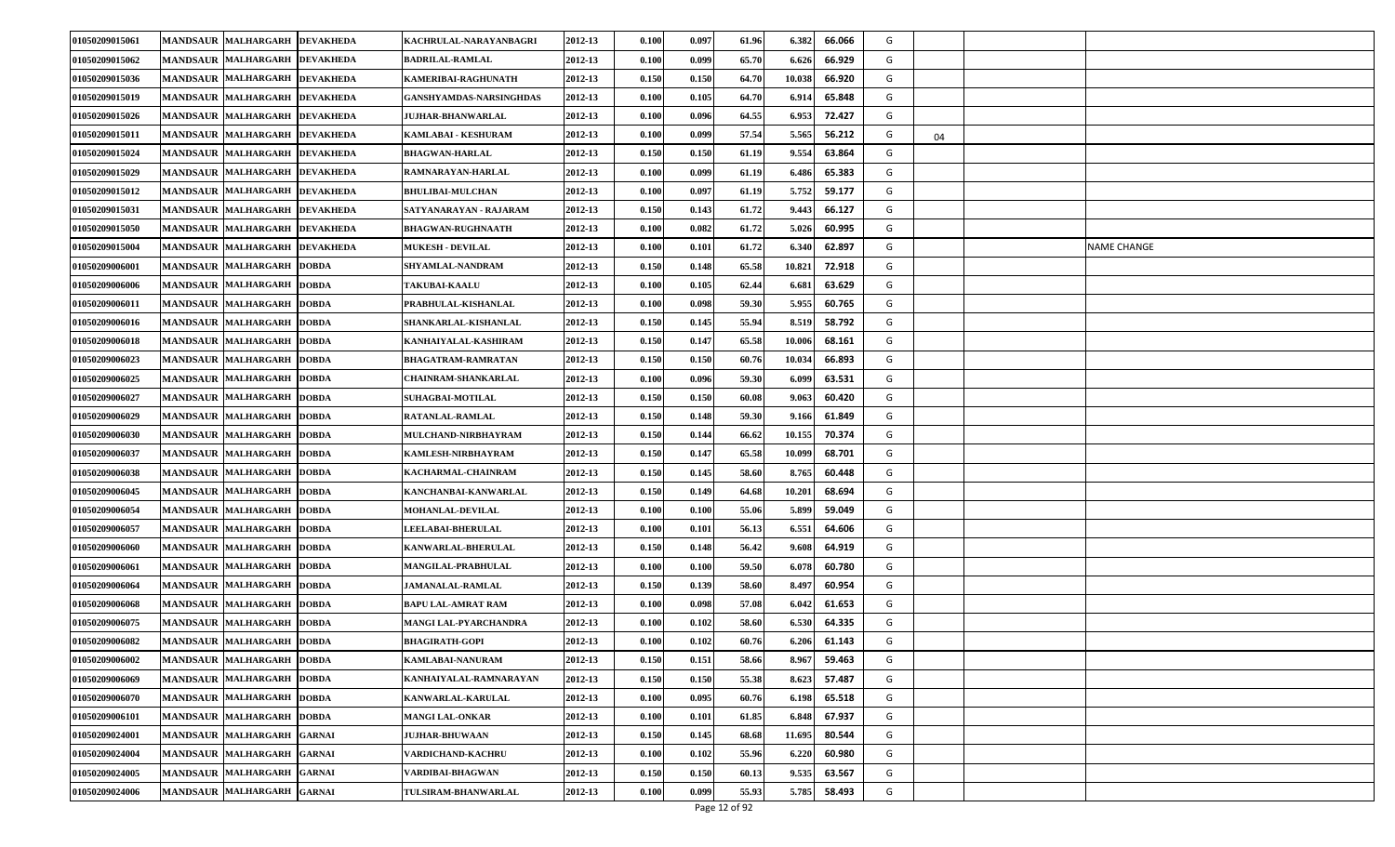| 01050209015061 | <b>MANDSAUR MALHARGARH</b> | <b>DEVAKHEDA</b> | KACHRULAL-NARAYANBAGRI     | 2012-13 | 0.100                | 0.097 | 61.96 | 6.382  | 66.066 | G |    |             |
|----------------|----------------------------|------------------|----------------------------|---------|----------------------|-------|-------|--------|--------|---|----|-------------|
| 01050209015062 | <b>MANDSAUR MALHARGARH</b> | <b>DEVAKHEDA</b> | <b>BADRILAL-RAMLAL</b>     | 2012-13 | 0.100                | 0.099 | 65.70 | 6.626  | 66.929 | G |    |             |
| 01050209015036 | <b>MANDSAUR MALHARGARH</b> | <b>DEVAKHEDA</b> | KAMERIBAI-RAGHUNATH        | 2012-13 | 0.150                | 0.150 | 64.70 | 10.038 | 66.920 | G |    |             |
| 01050209015019 | <b>MANDSAUR MALHARGARH</b> | <b>DEVAKHEDA</b> | GANSHYAMDAS-NARSINGHDAS    | 2012-13 | 0.100                | 0.105 | 64.70 | 6.91   | 65.848 | G |    |             |
| 01050209015026 | <b>MANDSAUR MALHARGARH</b> | <b>DEVAKHEDA</b> | <b>JUJHAR-BHANWARLAL</b>   | 2012-13 | 0.100                | 0.096 | 64.55 | 6.953  | 72.427 | G |    |             |
| 01050209015011 | MANDSAUR MALHARGARH        | <b>DEVAKHEDA</b> | <b>KAMLABAI - KESHURAM</b> | 2012-13 | $\boldsymbol{0.100}$ | 0.099 | 57.54 | 5.565  | 56.212 | G | 04 |             |
| 01050209015024 | MANDSAUR MALHARGARH        | <b>DEVAKHEDA</b> | <b>BHAGWAN-HARLAL</b>      | 2012-13 | 0.150                | 0.150 | 61.19 | 9.554  | 63.864 | G |    |             |
| 01050209015029 | <b>MANDSAUR MALHARGARH</b> | <b>DEVAKHEDA</b> | RAMNARAYAN-HARLAL          | 2012-13 | 0.100                | 0.099 | 61.19 | 6.486  | 65.383 | G |    |             |
| 01050209015012 | <b>MANDSAUR MALHARGARH</b> | <b>DEVAKHEDA</b> | <b>BHULIBAI-MULCHAN</b>    | 2012-13 | 0.100                | 0.097 | 61.19 | 5.752  | 59.177 | G |    |             |
| 01050209015031 | <b>MANDSAUR MALHARGARH</b> | <b>DEVAKHEDA</b> | SATYANARAYAN - RAJARAM     | 2012-13 | 0.150                | 0.143 | 61.72 | 9.443  | 66.127 | G |    |             |
| 01050209015050 | MANDSAUR MALHARGARH        | <b>DEVAKHEDA</b> | <b>BHAGWAN-RUGHNAATH</b>   | 2012-13 | 0.100                | 0.082 | 61.72 | 5.026  | 60.995 | G |    |             |
| 01050209015004 | <b>MANDSAUR MALHARGARH</b> | <b>DEVAKHEDA</b> | <b>MUKESH - DEVILAL</b>    | 2012-13 | 0.100                | 0.101 | 61.72 | 6.340  | 62.897 | G |    | NAME CHANGE |
| 01050209006001 | <b>MANDSAUR MALHARGARH</b> | <b>DOBDA</b>     | SHYAMLAL-NANDRAM           | 2012-13 | 0.150                | 0.148 | 65.58 | 10.821 | 72.918 | G |    |             |
| 01050209006006 | MANDSAUR MALHARGARH        | <b>DOBDA</b>     | <b>TAKUBAI-KAALU</b>       | 2012-13 | $\boldsymbol{0.100}$ | 0.105 | 62.44 | 6.681  | 63.629 | G |    |             |
| 01050209006011 | MANDSAUR MALHARGARH        | <b>DOBDA</b>     | PRABHULAL-KISHANLAL        | 2012-13 | 0.100                | 0.098 | 59.30 | 5.955  | 60.765 | G |    |             |
| 01050209006016 | <b>MANDSAUR MALHARGARH</b> | <b>DOBDA</b>     | SHANKARLAL-KISHANLAL       | 2012-13 | 0.150                | 0.145 | 55.94 | 8.519  | 58.792 | G |    |             |
| 01050209006018 | <b>MANDSAUR MALHARGARH</b> | <b>DOBDA</b>     | KANHAIYALAL-KASHIRAM       | 2012-13 | 0.150                | 0.147 | 65.58 | 10.006 | 68.161 | G |    |             |
| 01050209006023 | MANDSAUR MALHARGARH        | <b>DOBDA</b>     | <b>BHAGATRAM-RAMRATAN</b>  | 2012-13 | 0.150                | 0.150 | 60.76 | 10.034 | 66.893 | G |    |             |
| 01050209006025 | <b>MANDSAUR MALHARGARH</b> | <b>DOBDA</b>     | CHAINRAM-SHANKARLAL        | 2012-13 | 0.100                | 0.096 | 59.30 | 6.099  | 63.531 | G |    |             |
| 01050209006027 | <b>MANDSAUR MALHARGARH</b> | <b>DOBDA</b>     | <b>SUHAGBAI-MOTILAL</b>    | 2012-13 | 0.150                | 0.150 | 60.08 | 9.063  | 60.420 | G |    |             |
| 01050209006029 | <b>MANDSAUR MALHARGARH</b> | <b>DOBDA</b>     | RATANLAL-RAMLAL            | 2012-13 | 0.150                | 0.148 | 59.30 | 9.166  | 61.849 | G |    |             |
| 01050209006030 | MANDSAUR MALHARGARH        | <b>DOBDA</b>     | MULCHAND-NIRBHAYRAM        | 2012-13 | 0.150                | 0.144 | 66.62 | 10.155 | 70.374 | G |    |             |
| 01050209006037 | <b>MANDSAUR MALHARGARH</b> | <b>DOBDA</b>     | KAMLESH-NIRBHAYRAM         | 2012-13 | 0.150                | 0.147 | 65.58 | 10.099 | 68.701 | G |    |             |
| 01050209006038 | <b>MANDSAUR MALHARGARH</b> | <b>DOBDA</b>     | KACHARMAL-CHAINRAM         | 2012-13 | 0.150                | 0.145 | 58.60 | 8.765  | 60.448 | G |    |             |
| 01050209006045 | <b>MANDSAUR MALHARGARH</b> | <b>DOBDA</b>     | KANCHANBAI-KANWARLAL       | 2012-13 | 0.150                | 0.149 | 64.68 | 10.20  | 68.694 | G |    |             |
| 01050209006054 | MANDSAUR MALHARGARH        | <b>DOBDA</b>     | <b>MOHANLAL-DEVILAL</b>    | 2012-13 | 0.100                | 0.100 | 55.06 | 5.899  | 59.049 | G |    |             |
| 01050209006057 | <b>MANDSAUR MALHARGARH</b> | <b>DOBDA</b>     | <b>LEELABAI-BHERULAL</b>   | 2012-13 | 0.100                | 0.101 | 56.13 | 6.551  | 64.606 | G |    |             |
| 01050209006060 | <b>MANDSAUR MALHARGARH</b> | <b>DOBDA</b>     | KANWARLAL-BHERULAL         | 2012-13 | 0.150                | 0.148 | 56.42 | 9.608  | 64.919 | G |    |             |
| 01050209006061 | MANDSAUR MALHARGARH        | <b>DOBDA</b>     | <b>MANGILAL-PRABHULAL</b>  | 2012-13 | $\boldsymbol{0.100}$ | 0.100 | 59.50 | 6.078  | 60.780 | G |    |             |
| 01050209006064 | MANDSAUR MALHARGARH        | <b>DOBDA</b>     | <b>JAMANALAL-RAMLAL</b>    | 2012-13 | 0.150                | 0.139 | 58.60 | 8.497  | 60.954 | G |    |             |
| 01050209006068 | <b>MANDSAUR MALHARGARH</b> | <b>DOBDA</b>     | BAPU LAL-AMRAT RAM         | 2012-13 | 0.100                | 0.098 | 57.08 | 6.042  | 61.653 | G |    |             |
| 01050209006075 | <b>MANDSAUR MALHARGARH</b> | <b>DOBDA</b>     | MANGI LAL-PYARCHANDRA      | 2012-13 | 0.100                | 0.102 | 58.60 | 6.530  | 64.335 | G |    |             |
| 01050209006082 | <b>MANDSAUR MALHARGARH</b> | <b>DOBDA</b>     | <b>BHAGIRATH-GOPI</b>      | 2012-13 | 0.100                | 0.102 | 60.76 | 6.206  | 61.143 | G |    |             |
| 01050209006002 | MANDSAUR MALHARGARH DOBDA  |                  | KAMLABAI-NANURAM           | 2012-13 | 0.150                | 0.151 | 58.66 | 8.967  | 59.463 | G |    |             |
| 01050209006069 | MANDSAUR MALHARGARH        | <b>DOBDA</b>     | KANHAIYALAL-RAMNARAYAN     | 2012-13 | 0.150                | 0.150 | 55.38 | 8.623  | 57.487 | G |    |             |
| 01050209006070 | MANDSAUR MALHARGARH        | <b>DOBDA</b>     | <b>KANWARLAL-KARULAL</b>   | 2012-13 | 0.100                | 0.095 | 60.76 | 6.198  | 65.518 | G |    |             |
| 01050209006101 | MANDSAUR MALHARGARH        | <b>DOBDA</b>     | <b>MANGI LAL-ONKAR</b>     | 2012-13 | 0.100                | 0.101 | 61.85 | 6.848  | 67.937 | G |    |             |
| 01050209024001 | MANDSAUR MALHARGARH GARNAI |                  | <b>JUJHAR-BHUWAAN</b>      | 2012-13 | 0.150                | 0.145 | 68.68 | 11.695 | 80.544 | G |    |             |
| 01050209024004 | <b>MANDSAUR MALHARGARH</b> | <b>GARNAI</b>    | VARDICHAND-KACHRU          | 2012-13 | 0.100                | 0.102 | 55.96 | 6.220  | 60.980 | G |    |             |
| 01050209024005 | <b>MANDSAUR MALHARGARH</b> | <b>GARNAI</b>    | VARDIBAI-BHAGWAN           | 2012-13 | 0.150                | 0.150 | 60.13 | 9.535  | 63.567 | G |    |             |
| 01050209024006 | MANDSAUR MALHARGARH        | <b>GARNAI</b>    | TULSIRAM-BHANWARLAL        | 2012-13 | 0.100                | 0.099 | 55.93 | 5.785  | 58.493 | G |    |             |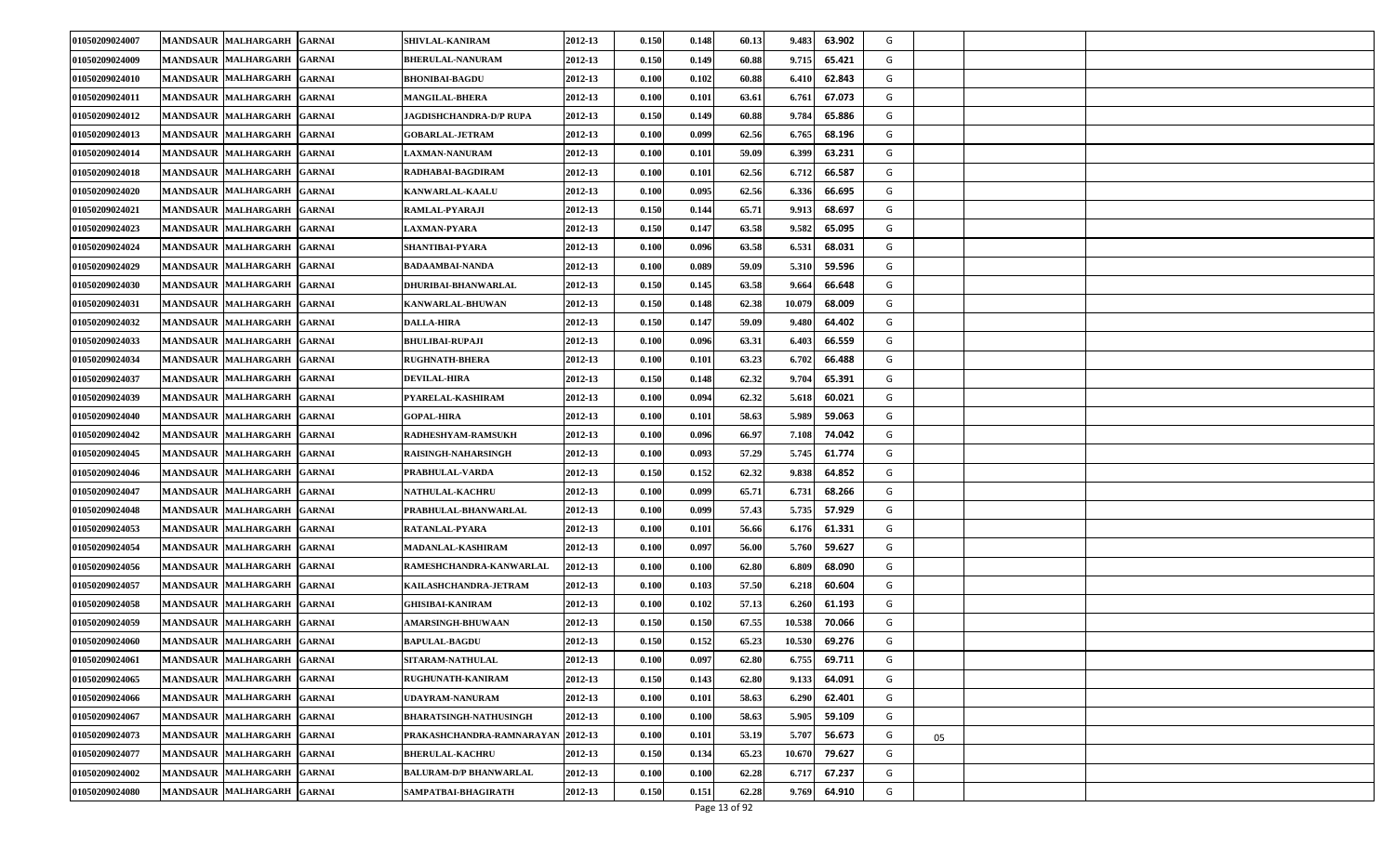| 01050209024007 | <b>MANDSAUR MALHARGARH</b>           | <b>GARNAI</b> | <b>SHIVLAL-KANIRAM</b>            | 2012-13 | 0.150                | 0.148 | 60.13 | 9.483  | 63.902 | G |    |  |
|----------------|--------------------------------------|---------------|-----------------------------------|---------|----------------------|-------|-------|--------|--------|---|----|--|
| 01050209024009 | <b>MANDSAUR MALHARGARH</b>           | <b>GARNAI</b> | <b>BHERULAL-NANURAM</b>           | 2012-13 | 0.150                | 0.149 | 60.88 | 9.715  | 65.421 | G |    |  |
| 01050209024010 | MANDSAUR MALHARGARH                  | <b>GARNAI</b> | <b>BHONIBAI-BAGDU</b>             | 2012-13 | 0.100                | 0.102 | 60.88 | 6.41   | 62.843 | G |    |  |
| 01050209024011 | MANDSAUR MALHARGARH                  | <b>GARNAI</b> | <b>MANGILAL-BHERA</b>             | 2012-13 | $\boldsymbol{0.100}$ | 0.101 | 63.61 | 6.761  | 67.073 | G |    |  |
| 01050209024012 | <b>MANDSAUR MALHARGARH</b>           | <b>GARNAI</b> | JAGDISHCHANDRA-D/P RUPA           | 2012-13 | 0.150                | 0.149 | 60.88 | 9.784  | 65.886 | G |    |  |
| 01050209024013 | MANDSAUR MALHARGARH                  | <b>GARNAI</b> | <b>GOBARLAL-JETRAM</b>            | 2012-13 | $\boldsymbol{0.100}$ | 0.099 | 62.56 | 6.765  | 68.196 | G |    |  |
| 01050209024014 | <b>MANDSAUR MALHARGARH</b>           | <b>GARNAI</b> | <b>LAXMAN-NANURAM</b>             | 2012-13 | 0.100                | 0.101 | 59.09 | 6.399  | 63.231 | G |    |  |
| 01050209024018 | <b>MANDSAUR MALHARGARH</b>           | <b>GARNAI</b> | RADHABAI-BAGDIRAM                 | 2012-13 | 0.100                | 0.101 | 62.56 | 6.71   | 66.587 | G |    |  |
| 01050209024020 | <b>MANDSAUR MALHARGARH</b>           | <b>GARNAI</b> | KANWARLAL-KAALU                   | 2012-13 | 0.100                | 0.095 | 62.56 | 6.336  | 66.695 | G |    |  |
| 01050209024021 | <b>MANDSAUR MALHARGARH</b>           | <b>GARNAI</b> | RAMLAL-PYARAJI                    | 2012-13 | 0.150                | 0.144 | 65.71 | 9.913  | 68.697 | G |    |  |
| 01050209024023 | <b>MANDSAUR MALHARGARH</b>           | <b>GARNAI</b> | <b>LAXMAN-PYARA</b>               | 2012-13 | 0.150                | 0.147 | 63.58 | 9.582  | 65.095 | G |    |  |
| 01050209024024 | <b>MANDSAUR MALHARGARH</b>           | <b>GARNAI</b> | SHANTIBAI-PYARA                   | 2012-13 | 0.100                | 0.096 | 63.58 | 6.53   | 68.031 | G |    |  |
| 01050209024029 | <b>MANDSAUR MALHARGARH</b>           | <b>GARNAI</b> | BADAAMBAI-NANDA                   | 2012-13 | 0.100                | 0.089 | 59.09 | 5.31   | 59.596 | G |    |  |
| 01050209024030 | MANDSAUR MALHARGARH                  | <b>GARNAI</b> | <b>DHURIBAI-BHANWARLAL</b>        | 2012-13 | 0.150                | 0.145 | 63.58 | 9.664  | 66.648 | G |    |  |
| 01050209024031 | <b>MANDSAUR MALHARGARH</b>           | <b>GARNAI</b> | KANWARLAL-BHUWAN                  | 2012-13 | 0.150                | 0.148 | 62.38 | 10.079 | 68.009 | G |    |  |
| 01050209024032 | <b>MANDSAUR</b><br><b>MALHARGARH</b> | <b>GARNAI</b> | <b>DALLA-HIRA</b>                 | 2012-13 | 0.150                | 0.147 | 59.09 | 9.480  | 64.402 | G |    |  |
| 01050209024033 | <b>MANDSAUR MALHARGARH</b>           | <b>GARNAI</b> | <b>BHULIBAI-RUPAJI</b>            | 2012-13 | 0.100                | 0.096 | 63.31 | 6.403  | 66.559 | G |    |  |
| 01050209024034 | <b>MANDSAUR MALHARGARH</b>           | <b>GARNAI</b> | <b>RUGHNATH-BHERA</b>             | 2012-13 | 0.100                | 0.101 | 63.23 | 6.702  | 66.488 | G |    |  |
| 01050209024037 | <b>MANDSAUR MALHARGARH</b>           | <b>GARNAI</b> | <b>DEVILAL-HIRA</b>               | 2012-13 | 0.150                | 0.148 | 62.32 | 9.70   | 65.391 | G |    |  |
| 01050209024039 | <b>MANDSAUR MALHARGARH</b>           | <b>GARNAI</b> | PYARELAL-KASHIRAM                 | 2012-13 | 0.100                | 0.094 | 62.32 | 5.61   | 60.021 | G |    |  |
| 01050209024040 | <b>MANDSAUR MALHARGARH</b>           | <b>GARNAI</b> | <b>GOPAL-HIRA</b>                 | 2012-13 | 0.100                | 0.101 | 58.63 | 5.989  | 59.063 | G |    |  |
| 01050209024042 | <b>MANDSAUR MALHARGARH</b>           | <b>GARNAI</b> | RADHESHYAM-RAMSUKH                | 2012-13 | 0.100                | 0.096 | 66.97 | 7.108  | 74.042 | G |    |  |
| 01050209024045 | <b>MANDSAUR MALHARGARH</b>           | <b>GARNAI</b> | RAISINGH-NAHARSINGH               | 2012-13 | 0.100                | 0.093 | 57.29 | 5.745  | 61.774 | G |    |  |
| 01050209024046 | <b>MANDSAUR MALHARGARH</b>           | <b>GARNAI</b> | PRABHULAL-VARDA                   | 2012-13 | 0.150                | 0.152 | 62.32 | 9.838  | 64.852 | G |    |  |
| 01050209024047 | <b>MANDSAUR MALHARGARH</b>           | <b>GARNAI</b> | <b>NATHULAL-KACHRU</b>            | 2012-13 | $\boldsymbol{0.100}$ | 0.099 | 65.71 | 6.731  | 68.266 | G |    |  |
| 01050209024048 | MANDSAUR MALHARGARH                  | <b>GARNAI</b> | PRABHULAL-BHANWARLAL              | 2012-13 | 0.100                | 0.099 | 57.43 | 5.735  | 57.929 | G |    |  |
| 01050209024053 | <b>MANDSAUR MALHARGARH</b>           | <b>GARNAI</b> | RATANLAL-PYARA                    | 2012-13 | $\boldsymbol{0.100}$ | 0.101 | 56.66 | 6.176  | 61.331 | G |    |  |
| 01050209024054 | <b>MANDSAUR MALHARGARH</b>           | <b>GARNAI</b> | MADANLAL-KASHIRAM                 | 2012-13 | 0.100                | 0.097 | 56.00 | 5.760  | 59.627 | G |    |  |
| 01050209024056 | MANDSAUR MALHARGARH                  | <b>GARNAI</b> | RAMESHCHANDRA-KANWARLAL           | 2012-13 | $\boldsymbol{0.100}$ | 0.100 | 62.80 | 6.809  | 68.090 | G |    |  |
| 01050209024057 | <b>MANDSAUR MALHARGARH</b>           | <b>GARNAI</b> | KAILASHCHANDRA-JETRAM             | 2012-13 | 0.100                | 0.103 | 57.50 | 6.218  | 60.604 | G |    |  |
| 01050209024058 | <b>MANDSAUR MALHARGARH</b>           | <b>GARNAI</b> | <b>GHISIBAI-KANIRAM</b>           | 2012-13 | 0.100                | 0.102 | 57.13 | 6.260  | 61.193 | G |    |  |
| 01050209024059 | <b>MANDSAUR</b><br><b>MALHARGARH</b> | <b>GARNAI</b> | <b>AMARSINGH-BHUWAAN</b>          | 2012-13 | 0.150                | 0.150 | 67.55 | 10.538 | 70.066 | G |    |  |
| 01050209024060 | <b>MANDSAUR MALHARGARH</b>           | <b>GARNAI</b> | <b>BAPULAL-BAGDU</b>              | 2012-13 | 0.150                | 0.152 | 65.23 | 10.530 | 69.276 | G |    |  |
| 01050209024061 | MANDSAUR MALHARGARH GARNAI           |               | SITARAM-NATHULAL                  | 2012-13 | 0.100                | 0.097 | 62.80 | 6.755  | 69.711 | G |    |  |
| 01050209024065 | <b>MANDSAUR MALHARGARH</b>           | <b>GARNAI</b> | RUGHUNATH-KANIRAM                 | 2012-13 | 0.150                | 0.143 | 62.80 | 9.133  | 64.091 | G |    |  |
| 01050209024066 | MANDSAUR MALHARGARH                  | <b>GARNAI</b> | UDAYRAM-NANURAM                   | 2012-13 | 0.100                | 0.101 | 58.63 | 6.290  | 62.401 | G |    |  |
| 01050209024067 | MANDSAUR MALHARGARH                  | <b>GARNAI</b> | <b>BHARATSINGH-NATHUSINGH</b>     | 2012-13 | 0.100                | 0.100 | 58.63 | 5.905  | 59.109 | G |    |  |
| 01050209024073 | MANDSAUR MALHARGARH                  | <b>GARNAI</b> | PRAKASHCHANDRA-RAMNARAYAN 2012-13 |         | 0.100                | 0.101 | 53.19 | 5.707  | 56.673 | G | 05 |  |
| 01050209024077 | <b>MANDSAUR MALHARGARH</b>           | <b>GARNAI</b> | <b>BHERULAL-KACHRU</b>            | 2012-13 | 0.150                | 0.134 | 65.23 | 10.670 | 79.627 | G |    |  |
| 01050209024002 | <b>MANDSAUR MALHARGARH</b>           | <b>GARNAI</b> | <b>BALURAM-D/P BHANWARLAL</b>     | 2012-13 | 0.100                | 0.100 | 62.28 | 6.71'  | 67.237 | G |    |  |
| 01050209024080 | MANDSAUR MALHARGARH                  | <b>GARNAI</b> | SAMPATBAI-BHAGIRATH               | 2012-13 | 0.150                | 0.151 | 62.28 | 9.769  | 64.910 | G |    |  |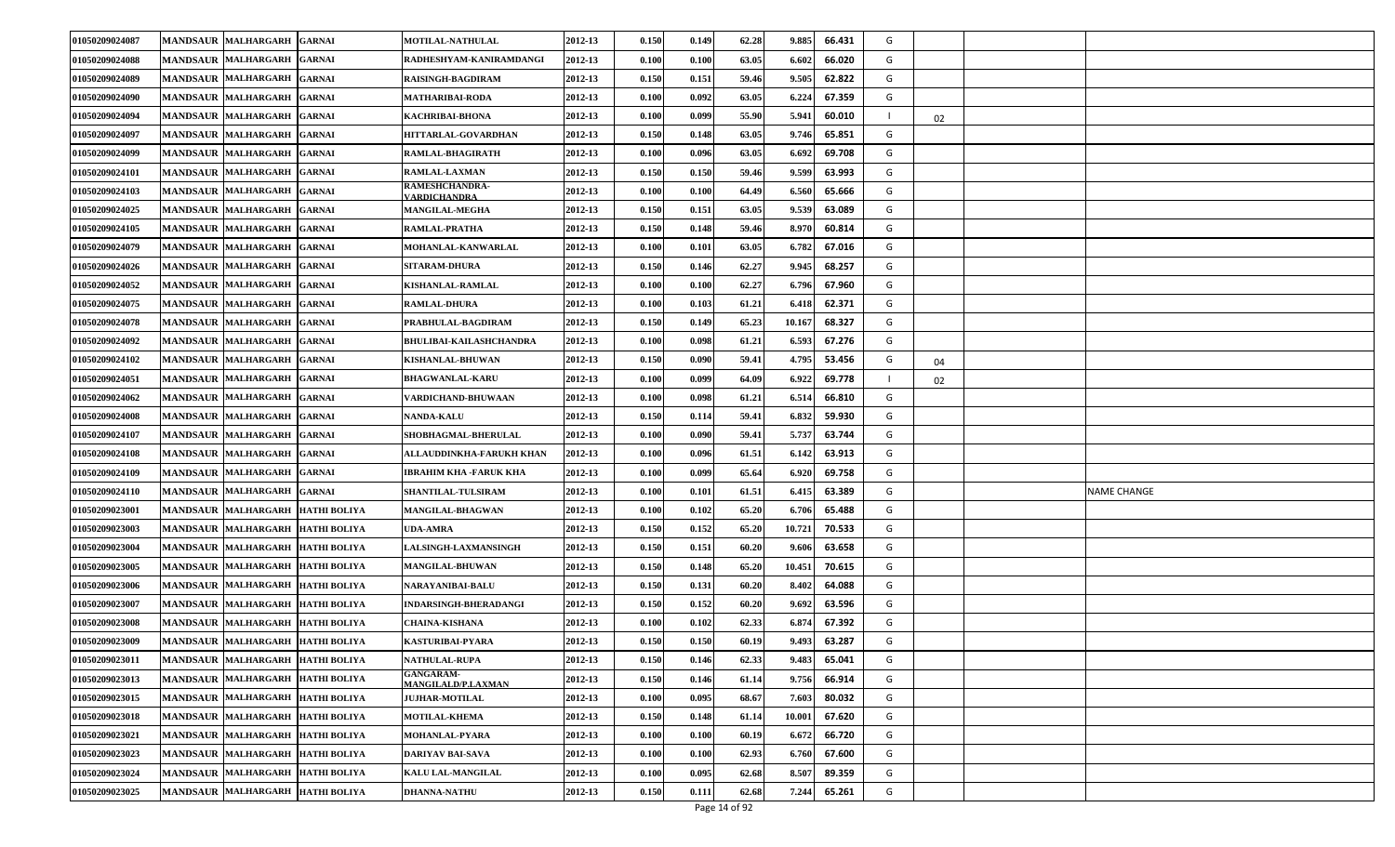| 01050209024087 | <b>MANDSAUR MALHARGARH</b>           | <b>GARNAI</b>       | <b>MOTILAL-NATHULAL</b>                       | 2012-13 | 0.150                | 0.149 | 62.28 | 9.885  | 66.431 | G |    |                    |
|----------------|--------------------------------------|---------------------|-----------------------------------------------|---------|----------------------|-------|-------|--------|--------|---|----|--------------------|
| 01050209024088 | <b>MANDSAUR MALHARGARH</b>           | <b>GARNAI</b>       | RADHESHYAM-KANIRAMDANGI                       | 2012-13 | 0.100                | 0.100 | 63.05 | 6.602  | 66.020 | G |    |                    |
| 01050209024089 | MANDSAUR MALHARGARH                  | <b>GARNAI</b>       | <b>RAISINGH-BAGDIRAM</b>                      | 2012-13 | 0.150                | 0.151 | 59.46 | 9.505  | 62.822 | G |    |                    |
| 01050209024090 | <b>MANDSAUR MALHARGARH</b>           | <b>GARNAI</b>       | MATHARIBAI-RODA                               | 2012-13 | 0.100                | 0.092 | 63.05 | 6.224  | 67.359 | G |    |                    |
| 01050209024094 | <b>MANDSAUR MALHARGARH</b>           | <b>GARNAI</b>       | KACHRIBAI-BHONA                               | 2012-13 | 0.100                | 0.099 | 55.90 | 5.94   | 60.010 |   | 02 |                    |
| 01050209024097 | MANDSAUR MALHARGARH                  | <b>GARNAI</b>       | HITTARLAL-GOVARDHAN                           | 2012-13 | 0.150                | 0.148 | 63.05 | 9.746  | 65.851 | G |    |                    |
| 01050209024099 | MANDSAUR MALHARGARH                  | <b>GARNAI</b>       | RAMLAL-BHAGIRATH                              | 2012-13 | 0.100                | 0.096 | 63.05 | 6.692  | 69.708 | G |    |                    |
| 01050209024101 | <b>MANDSAUR MALHARGARH</b>           | <b>GARNAI</b>       | RAMLAL-LAXMAN                                 | 2012-13 | 0.150                | 0.150 | 59.46 | 9.599  | 63.993 | G |    |                    |
| 01050209024103 | <b>MANDSAUR MALHARGARH</b>           | <b>GARNAI</b>       | <b>RAMESHCHANDRA-</b><br>VARDICHANDRA         | 2012-13 | 0.100                | 0.100 | 64.49 | 6.560  | 65.666 | G |    |                    |
| 01050209024025 | <b>MANDSAUR MALHARGARH</b>           | <b>GARNAI</b>       | <b>MANGILAL-MEGHA</b>                         | 2012-13 | 0.150                | 0.151 | 63.05 | 9.539  | 63.089 | G |    |                    |
| 01050209024105 | <b>MANDSAUR MALHARGARH</b>           | <b>GARNAI</b>       | RAMLAL-PRATHA                                 | 2012-13 | 0.150                | 0.148 | 59.46 | 8.970  | 60.814 | G |    |                    |
| 01050209024079 | <b>MANDSAUR MALHARGARH</b>           | <b>GARNAI</b>       | <b>MOHANLAL-KANWARLAL</b>                     | 2012-13 | 0.100                | 0.101 | 63.05 | 6.782  | 67.016 | G |    |                    |
| 01050209024026 | <b>MANDSAUR MALHARGARH</b>           | <b>GARNAI</b>       | <b>SITARAM-DHURA</b>                          | 2012-13 | 0.150                | 0.146 | 62.27 | 9.945  | 68.257 | G |    |                    |
| 01050209024052 | <b>MANDSAUR MALHARGARH</b>           | <b>GARNAI</b>       | KISHANLAL-RAMLAL                              | 2012-13 | $\boldsymbol{0.100}$ | 0.100 | 62.27 | 6.796  | 67.960 | G |    |                    |
| 01050209024075 | <b>MANDSAUR MALHARGARH</b>           | <b>GARNAI</b>       | <b>RAMLAL-DHURA</b>                           | 2012-13 | 0.100                | 0.103 | 61.21 | 6.418  | 62.371 | G |    |                    |
| 01050209024078 | <b>MANDSAUR</b><br><b>MALHARGARH</b> | <b>GARNAI</b>       | PRABHULAL-BAGDIRAM                            | 2012-13 | 0.150                | 0.149 | 65.23 | 10.167 | 68.327 | G |    |                    |
| 01050209024092 | <b>MANDSAUR MALHARGARH</b>           | <b>GARNAI</b>       | <b>BHULIBAI-KAILASHCHANDRA</b>                | 2012-13 | 0.100                | 0.098 | 61.21 | 6.593  | 67.276 | G |    |                    |
| 01050209024102 | MANDSAUR MALHARGARH                  | <b>GARNAI</b>       | KISHANLAL-BHUWAN                              | 2012-13 | 0.150                | 0.090 | 59.41 | 4.795  | 53.456 | G | 04 |                    |
| 01050209024051 | <b>MANDSAUR MALHARGARH</b>           | <b>GARNAI</b>       | <b>BHAGWANLAL-KARU</b>                        | 2012-13 | 0.100                | 0.099 | 64.09 | 6.922  | 69.778 |   | 02 |                    |
| 01050209024062 | <b>MANDSAUR MALHARGARH</b>           | <b>GARNAI</b>       | VARDICHAND-BHUWAAN                            | 2012-13 | 0.100                | 0.098 | 61.21 | 6.51   | 66.810 | G |    |                    |
| 01050209024008 | <b>MANDSAUR MALHARGARH</b>           | <b>GARNAI</b>       | <b>NANDA-KALU</b>                             | 2012-13 | 0.150                | 0.114 | 59.41 | 6.832  | 59.930 | G |    |                    |
| 01050209024107 | MANDSAUR MALHARGARH                  | <b>GARNAI</b>       | SHOBHAGMAL-BHERULAL                           | 2012-13 | 0.100                | 0.090 | 59.41 | 5.737  | 63.744 | G |    |                    |
| 01050209024108 | <b>MANDSAUR MALHARGARH</b>           | <b>GARNAI</b>       | ALLAUDDINKHA-FARUKH KHAN                      | 2012-13 | 0.100                | 0.096 | 61.51 | 6.142  | 63.913 | G |    |                    |
| 01050209024109 | <b>MALHARGARH</b><br><b>MANDSAUR</b> | <b>GARNAI</b>       | <b>IBRAHIM KHA -FARUK KHA</b>                 | 2012-13 | 0.100                | 0.099 | 65.64 | 6.920  | 69.758 | G |    |                    |
| 01050209024110 | <b>MANDSAUR MALHARGARH</b>           | <b>GARNAI</b>       | <b>SHANTILAL-TULSIRAM</b>                     | 2012-13 | 0.100                | 0.101 | 61.51 | 6.41   | 63.389 | G |    | <b>NAME CHANGE</b> |
| 01050209023001 | MANDSAUR MALHARGARH                  | <b>HATHI BOLIYA</b> | MANGILAL-BHAGWAN                              | 2012-13 | 0.100                | 0.102 | 65.20 | 6.706  | 65.488 | G |    |                    |
| 01050209023003 | <b>MANDSAUR MALHARGARH</b>           | <b>HATHI BOLIYA</b> | UDA-AMRA                                      | 2012-13 | 0.150                | 0.152 | 65.20 | 10.721 | 70.533 | G |    |                    |
| 01050209023004 | <b>MANDSAUR MALHARGARH</b>           | <b>HATHI BOLIYA</b> | <b>LALSINGH-LAXMANSINGH</b>                   | 2012-13 | 0.150                | 0.151 | 60.20 | 9.606  | 63.658 | G |    |                    |
| 01050209023005 | MANDSAUR MALHARGARH                  | <b>HATHI BOLIYA</b> | <b>MANGILAL-BHUWAN</b>                        | 2012-13 | 0.150                | 0.148 | 65.20 | 10.451 | 70.615 | G |    |                    |
| 01050209023006 | MANDSAUR MALHARGARH                  | <b>HATHI BOLIYA</b> | NARAYANIBAI-BALU                              | 2012-13 | 0.150                | 0.131 | 60.20 | 8.402  | 64.088 | G |    |                    |
| 01050209023007 | <b>MANDSAUR MALHARGARH</b>           | <b>HATHI BOLIYA</b> | INDARSINGH-BHERADANGI                         | 2012-13 | 0.150                | 0.152 | 60.20 | 9.692  | 63.596 | G |    |                    |
| 01050209023008 | <b>MANDSAUR MALHARGARH</b>           | <b>HATHI BOLIYA</b> | <b>CHAINA-KISHANA</b>                         | 2012-13 | 0.100                | 0.102 | 62.33 | 6.87   | 67.392 | G |    |                    |
| 01050209023009 | <b>MANDSAUR MALHARGARH</b>           | <b>HATHI BOLIYA</b> | KASTURIBAI-PYARA                              | 2012-13 | 0.150                | 0.150 | 60.19 | 9.493  | 63.287 | G |    |                    |
| 01050209023011 | MANDSAUR MALHARGARH HATHI BOLIYA     |                     | NATHULAL-RUPA                                 | 2012-13 | 0.150                | 0.146 | 62.33 | 9.483  | 65.041 | G |    |                    |
| 01050209023013 | <b>MANDSAUR MALHARGARH</b>           | <b>HATHI BOLIYA</b> | <b>GANGARAM-</b><br><b>MANGILALD/P.LAXMAN</b> | 2012-13 | 0.150                | 0.146 | 61.14 | 9.756  | 66.914 | G |    |                    |
| 01050209023015 | MANDSAUR MALHARGARH                  | <b>HATHI BOLIYA</b> | <b>JUJHAR-MOTILAL</b>                         | 2012-13 | 0.100                | 0.095 | 68.67 | 7.603  | 80.032 | G |    |                    |
| 01050209023018 | MANDSAUR MALHARGARH                  | <b>HATHI BOLIYA</b> | <b>MOTILAL-KHEMA</b>                          | 2012-13 | 0.150                | 0.148 | 61.14 | 10.001 | 67.620 | G |    |                    |
| 01050209023021 | MANDSAUR MALHARGARH HATHI BOLIYA     |                     | MOHANLAL-PYARA                                | 2012-13 | 0.100                | 0.100 | 60.19 | 6.672  | 66.720 | G |    |                    |
| 01050209023023 | <b>MANDSAUR MALHARGARH</b>           | <b>HATHI BOLIYA</b> | DARIYAV BAI-SAVA                              | 2012-13 | 0.100                | 0.100 | 62.93 | 6.760  | 67.600 | G |    |                    |
| 01050209023024 | MANDSAUR MALHARGARH                  | <b>HATHI BOLIYA</b> | <b>KALU LAL-MANGILAL</b>                      | 2012-13 | 0.100                | 0.095 | 62.68 | 8.507  | 89.359 | G |    |                    |
| 01050209023025 | <b>MANDSAUR MALHARGARH</b>           | <b>HATHI BOLIYA</b> | <b>DHANNA-NATHU</b>                           | 2012-13 | 0.150                | 0.111 | 62.68 | 7.244  | 65.261 | G |    |                    |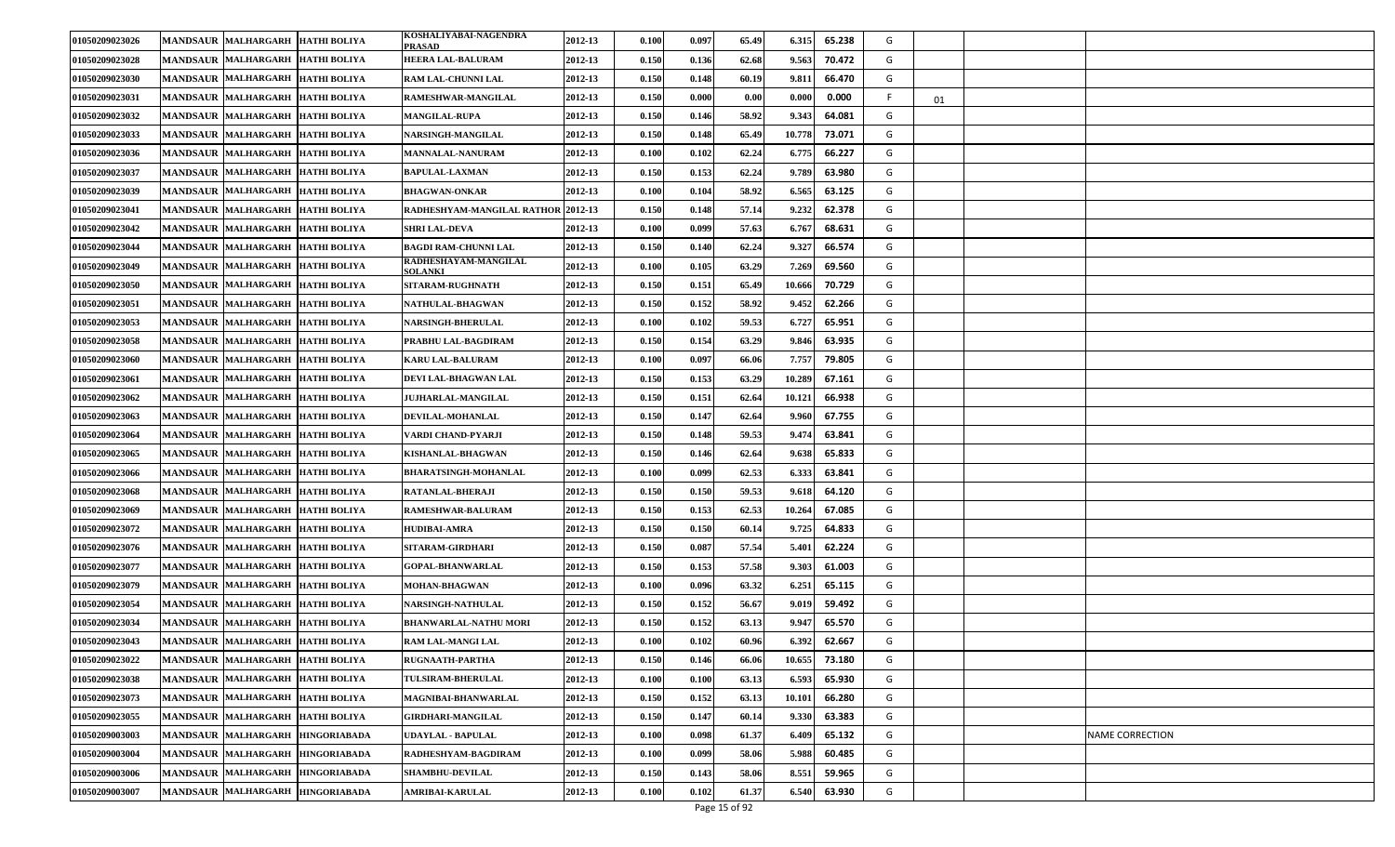| 01050209023026 | <b>MANDSAUR MALHARGARH</b>       | <b>HATHI BOLIYA</b> | KOSHALIYABAI-NAGENDRA<br>PRASAD        | 2012-13 | 0.100 | 0.097 | 65.49 | 6.315  | 65.238 | G |    |                        |
|----------------|----------------------------------|---------------------|----------------------------------------|---------|-------|-------|-------|--------|--------|---|----|------------------------|
| 01050209023028 | <b>MANDSAUR MALHARGARH</b>       | <b>HATHI BOLIYA</b> | <b>HEERA LAL-BALURAM</b>               | 2012-13 | 0.150 | 0.136 | 62.68 | 9.563  | 70.472 | G |    |                        |
| 01050209023030 | MANDSAUR MALHARGARH              | <b>HATHI BOLIYA</b> | <b>RAM LAL-CHUNNI LAL</b>              | 2012-13 | 0.150 | 0.148 | 60.19 | 9.81   | 66.470 | G |    |                        |
| 01050209023031 | <b>MANDSAUR MALHARGARH</b>       | <b>HATHI BOLIYA</b> | RAMESHWAR-MANGILAL                     | 2012-13 | 0.150 | 0.000 | 0.00  | 0.000  | 0.000  |   | 01 |                        |
| 01050209023032 | <b>MANDSAUR MALHARGARH</b>       | <b>HATHI BOLIYA</b> | <b>MANGILAL-RUPA</b>                   | 2012-13 | 0.150 | 0.146 | 58.92 | 9.343  | 64.081 | G |    |                        |
| 01050209023033 | <b>MANDSAUR MALHARGARH</b>       | <b>HATHI BOLIYA</b> | NARSINGH-MANGILAL                      | 2012-13 | 0.150 | 0.148 | 65.49 | 10.778 | 73.071 | G |    |                        |
| 01050209023036 | <b>MANDSAUR MALHARGARH</b>       | <b>HATHI BOLIYA</b> | <b>MANNALAL-NANURAM</b>                | 2012-13 | 0.100 | 0.102 | 62.24 | 6.775  | 66.227 | G |    |                        |
| 01050209023037 | <b>MANDSAUR MALHARGARH</b>       | <b>HATHI BOLIYA</b> | <b>BAPULAL-LAXMAN</b>                  | 2012-13 | 0.150 | 0.153 | 62.24 | 9.789  | 63.980 | G |    |                        |
| 01050209023039 | <b>MANDSAUR MALHARGARH</b>       | <b>HATHI BOLIYA</b> | <b>BHAGWAN-ONKAR</b>                   | 2012-13 | 0.100 | 0.104 | 58.92 | 6.565  | 63.125 | G |    |                        |
| 01050209023041 | <b>MANDSAUR MALHARGARH</b>       | <b>HATHI BOLIYA</b> | RADHESHYAM-MANGILAL RATHOR 2012-13     |         | 0.150 | 0.148 | 57.14 | 9.232  | 62.378 | G |    |                        |
| 01050209023042 | <b>MANDSAUR MALHARGARH</b>       | <b>HATHI BOLIYA</b> | SHRI LAL-DEVA                          | 2012-13 | 0.100 | 0.099 | 57.63 | 6.767  | 68.631 | G |    |                        |
| 01050209023044 | <b>MANDSAUR MALHARGARH</b>       | <b>HATHI BOLIYA</b> | <b>BAGDI RAM-CHUNNI LAL</b>            | 2012-13 | 0.150 | 0.140 | 62.24 | 9.327  | 66.574 | G |    |                        |
| 01050209023049 | <b>MANDSAUR MALHARGARH</b>       | <b>HATHI BOLIYA</b> | RADHESHAYAM-MANGILAL<br><b>SOLANKI</b> | 2012-13 | 0.100 | 0.105 | 63.29 | 7.269  | 69.560 | G |    |                        |
| 01050209023050 | MANDSAUR MALHARGARH              | <b>HATHI BOLIYA</b> | <b>SITARAM-RUGHNATH</b>                | 2012-13 | 0.150 | 0.151 | 65.49 | 10.666 | 70.729 | G |    |                        |
| 01050209023051 | <b>MANDSAUR MALHARGARH</b>       | <b>HATHI BOLIYA</b> | NATHULAL-BHAGWAN                       | 2012-13 | 0.150 | 0.152 | 58.92 | 9.452  | 62.266 | G |    |                        |
| 01050209023053 | <b>MANDSAUR MALHARGARH</b>       | <b>HATHI BOLIYA</b> | <b>NARSINGH-BHERULAL</b>               | 2012-13 | 0.100 | 0.102 | 59.53 | 6.727  | 65.951 | G |    |                        |
| 01050209023058 | <b>MANDSAUR MALHARGARH</b>       | <b>HATHI BOLIYA</b> | PRABHU LAL-BAGDIRAM                    | 2012-13 | 0.150 | 0.154 | 63.29 | 9.846  | 63.935 | G |    |                        |
| 01050209023060 | <b>MANDSAUR MALHARGARH</b>       | <b>HATHI BOLIYA</b> | <b>KARU LAL-BALURAM</b>                | 2012-13 | 0.100 | 0.097 | 66.06 | 7.757  | 79.805 | G |    |                        |
| 01050209023061 | <b>MANDSAUR MALHARGARH</b>       | <b>HATHI BOLIYA</b> | DEVI LAL-BHAGWAN LAL                   | 2012-13 | 0.150 | 0.153 | 63.29 | 10.289 | 67.161 | G |    |                        |
| 01050209023062 | <b>MANDSAUR MALHARGARH</b>       | <b>HATHI BOLIYA</b> | JUJHARLAL-MANGILAL                     | 2012-13 | 0.150 | 0.151 | 62.64 | 10.121 | 66.938 | G |    |                        |
| 01050209023063 | <b>MANDSAUR MALHARGARH</b>       | <b>HATHI BOLIYA</b> | DEVILAL-MOHANLAL                       | 2012-13 | 0.150 | 0.147 | 62.64 | 9.960  | 67.755 | G |    |                        |
| 01050209023064 | <b>MANDSAUR MALHARGARH</b>       | <b>HATHI BOLIYA</b> | VARDI CHAND-PYARJI                     | 2012-13 | 0.150 | 0.148 | 59.53 | 9.474  | 63.841 | G |    |                        |
| 01050209023065 | <b>MANDSAUR MALHARGARH</b>       | <b>HATHI BOLIYA</b> | KISHANLAL-BHAGWAN                      | 2012-13 | 0.150 | 0.146 | 62.64 | 9.638  | 65.833 | G |    |                        |
| 01050209023066 | <b>MANDSAUR MALHARGARH</b>       | <b>HATHI BOLIYA</b> | <b>BHARATSINGH-MOHANLAL</b>            | 2012-13 | 0.100 | 0.099 | 62.53 | 6.333  | 63.841 | G |    |                        |
| 01050209023068 | <b>MANDSAUR MALHARGARH</b>       | <b>HATHI BOLIYA</b> | <b>RATANLAL-BHERAJI</b>                | 2012-13 | 0.150 | 0.150 | 59.53 | 9.618  | 64.120 | G |    |                        |
| 01050209023069 | <b>MANDSAUR MALHARGARH</b>       | <b>HATHI BOLIYA</b> | <b>RAMESHWAR-BALURAM</b>               | 2012-13 | 0.150 | 0.153 | 62.53 | 10.264 | 67.085 | G |    |                        |
| 01050209023072 | <b>MANDSAUR MALHARGARH</b>       | <b>HATHI BOLIYA</b> | <b>HUDIBAI-AMRA</b>                    | 2012-13 | 0.150 | 0.150 | 60.14 | 9.725  | 64.833 | G |    |                        |
| 01050209023076 | <b>MANDSAUR MALHARGARH</b>       | <b>HATHI BOLIYA</b> | SITARAM-GIRDHARI                       | 2012-13 | 0.150 | 0.087 | 57.54 | 5.401  | 62.224 | G |    |                        |
| 01050209023077 | <b>MANDSAUR MALHARGARH</b>       | <b>HATHI BOLIYA</b> | <b>GOPAL-BHANWARLAL</b>                | 2012-13 | 0.150 | 0.153 | 57.58 | 9.303  | 61.003 | G |    |                        |
| 01050209023079 | <b>MANDSAUR MALHARGARH</b>       | <b>HATHI BOLIYA</b> | <b>MOHAN-BHAGWAN</b>                   | 2012-13 | 0.100 | 0.096 | 63.32 | 6.251  | 65.115 | G |    |                        |
| 01050209023054 | <b>MANDSAUR MALHARGARH</b>       | <b>HATHI BOLIYA</b> | <b>NARSINGH-NATHULAL</b>               | 2012-13 | 0.150 | 0.152 | 56.67 | 9.019  | 59.492 | G |    |                        |
| 01050209023034 | <b>MANDSAUR MALHARGARH</b>       | <b>HATHI BOLIYA</b> | BHANWARLAL-NATHU MORI                  | 2012-13 | 0.150 | 0.152 | 63.13 | 9.94   | 65.570 | G |    |                        |
| 01050209023043 | <b>MANDSAUR MALHARGARH</b>       | <b>HATHI BOLIYA</b> | <b>RAM LAL-MANGI LAL</b>               | 2012-13 | 0.100 | 0.102 | 60.96 | 6.392  | 62.667 | G |    |                        |
| 01050209023022 | MANDSAUR MALHARGARH HATHI BOLIYA |                     | RUGNAATH-PARTHA                        | 2012-13 | 0.150 | 0.146 | 66.06 | 10.655 | 73.180 | G |    |                        |
| 01050209023038 | <b>MANDSAUR MALHARGARH</b>       | <b>HATHI BOLIYA</b> | <b>TULSIRAM-BHERULAL</b>               | 2012-13 | 0.100 | 0.100 | 63.13 | 6.593  | 65.930 | G |    |                        |
| 01050209023073 | <b>MANDSAUR MALHARGARH</b>       | <b>HATHI BOLIYA</b> | MAGNIBAI-BHANWARLAL                    | 2012-13 | 0.150 | 0.152 | 63.13 | 10.101 | 66.280 | G |    |                        |
| 01050209023055 | MANDSAUR MALHARGARH              | <b>HATHI BOLIYA</b> | <b>GIRDHARI-MANGILAL</b>               | 2012-13 | 0.150 | 0.147 | 60.14 | 9.330  | 63.383 | G |    |                        |
| 01050209003003 | <b>MANDSAUR MALHARGARH</b>       | <b>HINGORIABADA</b> | UDAYLAL - BAPULAL                      | 2012-13 | 0.100 | 0.098 | 61.37 | 6.409  | 65.132 | G |    | <b>NAME CORRECTION</b> |
| 01050209003004 | <b>MANDSAUR MALHARGARH</b>       | <b>HINGORIABADA</b> | RADHESHYAM-BAGDIRAM                    | 2012-13 | 0.100 | 0.099 | 58.06 | 5.988  | 60.485 | G |    |                        |
| 01050209003006 | <b>MANDSAUR MALHARGARH</b>       | <b>HINGORIABADA</b> | <b>SHAMBHU-DEVILAL</b>                 | 2012-13 | 0.150 | 0.143 | 58.06 | 8.551  | 59.965 | G |    |                        |
| 01050209003007 | MANDSAUR MALHARGARH              | <b>HINGORIABADA</b> | <b>AMRIBAI-KARULAL</b>                 | 2012-13 | 0.100 | 0.102 | 61.37 | 6.540  | 63.930 | G |    |                        |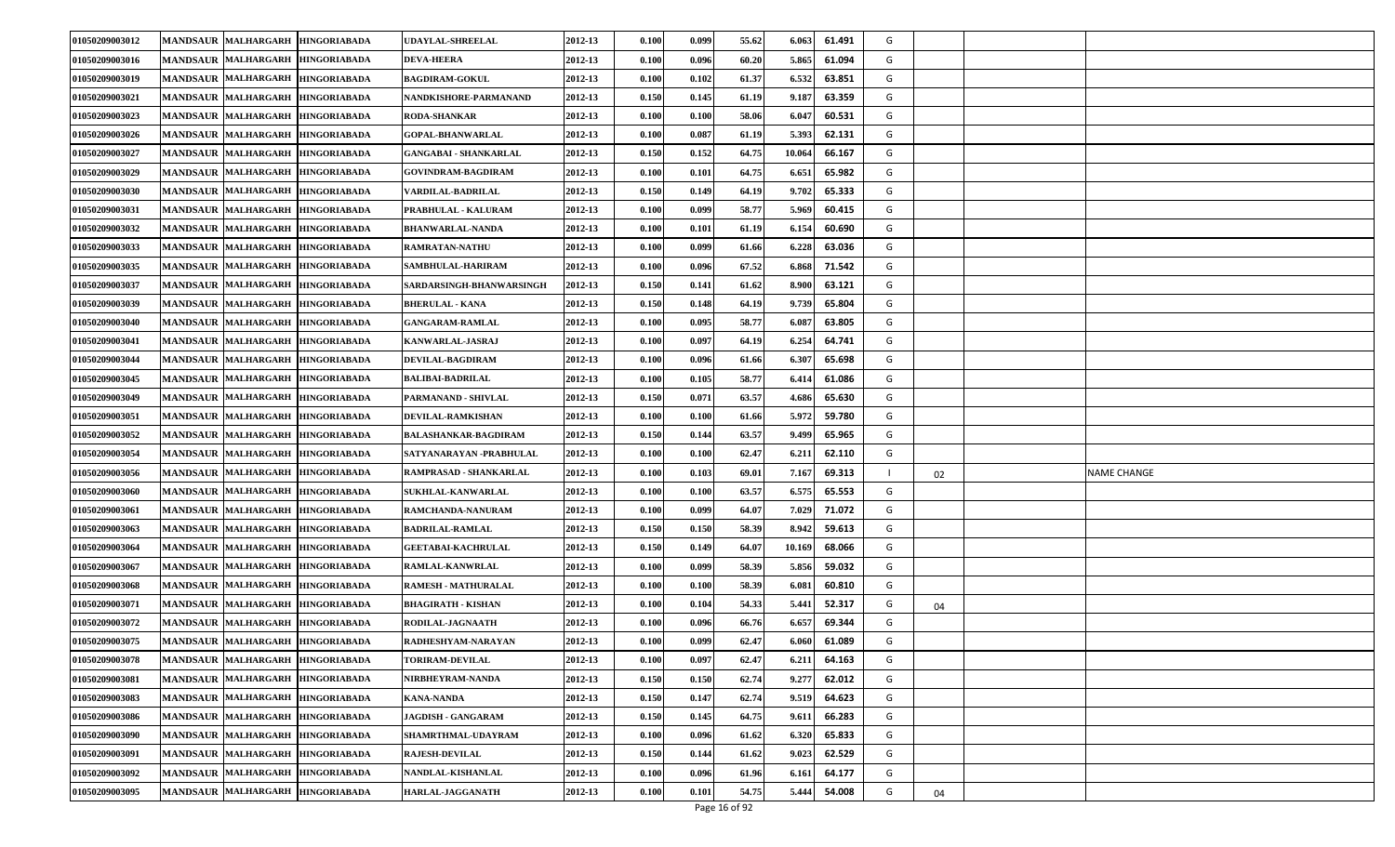| 01050209003012 | <b>MANDSAUR MALHARGARH</b>       | <b>HINGORIABADA</b> | UDAYLAL-SHREELAL            | 2012-13 | 0.100                | 0.099 | 55.62 | 6.063  | 61.491 | G |    |             |
|----------------|----------------------------------|---------------------|-----------------------------|---------|----------------------|-------|-------|--------|--------|---|----|-------------|
| 01050209003016 | <b>MANDSAUR MALHARGARH</b>       | <b>HINGORIABADA</b> | <b>DEVA-HEERA</b>           | 2012-13 | 0.100                | 0.096 | 60.20 | 5.865  | 61.094 | G |    |             |
| 01050209003019 | <b>MANDSAUR MALHARGARH</b>       | <b>HINGORIABADA</b> | <b>BAGDIRAM-GOKUL</b>       | 2012-13 | 0.100                | 0.102 | 61.37 | 6.532  | 63.851 | G |    |             |
| 01050209003021 | <b>MANDSAUR MALHARGARH</b>       | <b>HINGORIABADA</b> | NANDKISHORE-PARMANAND       | 2012-13 | 0.150                | 0.145 | 61.19 | 9.18'  | 63.359 | G |    |             |
| 01050209003023 | <b>MANDSAUR MALHARGARH</b>       | <b>HINGORIABADA</b> | <b>RODA-SHANKAR</b>         | 2012-13 | 0.100                | 0.100 | 58.06 | 6.04   | 60.531 | G |    |             |
| 01050209003026 | <b>MANDSAUR MALHARGARH</b>       | <b>HINGORIABADA</b> | <b>GOPAL-BHANWARLAL</b>     | 2012-13 | $\boldsymbol{0.100}$ | 0.087 | 61.19 | 5.393  | 62.131 | G |    |             |
| 01050209003027 | MANDSAUR MALHARGARH              | <b>HINGORIABADA</b> | GANGABAI - SHANKARLAL       | 2012-13 | 0.150                | 0.152 | 64.75 | 10.064 | 66.167 | G |    |             |
| 01050209003029 | <b>MANDSAUR MALHARGARH</b>       | <b>HINGORIABADA</b> | <b>GOVINDRAM-BAGDIRAM</b>   | 2012-13 | 0.100                | 0.101 | 64.75 | 6.651  | 65.982 | G |    |             |
| 01050209003030 | <b>MANDSAUR MALHARGARH</b>       | <b>HINGORIABADA</b> | VARDILAL-BADRILAL           | 2012-13 | 0.150                | 0.149 | 64.19 | 9.702  | 65.333 | G |    |             |
| 01050209003031 | <b>MANDSAUR MALHARGARH</b>       | <b>HINGORIABADA</b> | PRABHULAL - KALURAM         | 2012-13 | $\boldsymbol{0.100}$ | 0.099 | 58.77 | 5.969  | 60.415 | G |    |             |
| 01050209003032 | <b>MANDSAUR MALHARGARH</b>       | <b>HINGORIABADA</b> | BHANWARLAL-NANDA            | 2012-13 | 0.100                | 0.101 | 61.19 | 6.154  | 60.690 | G |    |             |
| 01050209003033 | <b>MANDSAUR MALHARGARH</b>       | <b>HINGORIABADA</b> | <b>RAMRATAN-NATHU</b>       | 2012-13 | 0.100                | 0.099 | 61.66 | 6.228  | 63.036 | G |    |             |
| 01050209003035 | <b>MANDSAUR MALHARGARH</b>       | <b>HINGORIABADA</b> | SAMBHULAL-HARIRAM           | 2012-13 | 0.100                | 0.096 | 67.52 | 6.868  | 71.542 | G |    |             |
| 01050209003037 | MANDSAUR MALHARGARH              | <b>HINGORIABADA</b> | SARDARSINGH-BHANWARSINGH    | 2012-13 | 0.150                | 0.141 | 61.62 | 8.900  | 63.121 | G |    |             |
| 01050209003039 | <b>MANDSAUR MALHARGARH</b>       | <b>HINGORIABADA</b> | <b>BHERULAL - KANA</b>      | 2012-13 | 0.150                | 0.148 | 64.19 | 9.739  | 65.804 | G |    |             |
| 01050209003040 | <b>MANDSAUR MALHARGARH</b>       | <b>HINGORIABADA</b> | <b>GANGARAM-RAMLAL</b>      | 2012-13 | 0.100                | 0.095 | 58.77 | 6.08'  | 63.805 | G |    |             |
| 01050209003041 | <b>MANDSAUR MALHARGARH</b>       | <b>HINGORIABADA</b> | <b>KANWARLAL-JASRAJ</b>     | 2012-13 | 0.100                | 0.097 | 64.19 | 6.254  | 64.741 | G |    |             |
| 01050209003044 | <b>MANDSAUR MALHARGARH</b>       | <b>HINGORIABADA</b> | DEVILAL-BAGDIRAM            | 2012-13 | 0.100                | 0.096 | 61.66 | 6.307  | 65.698 | G |    |             |
| 01050209003045 | <b>MANDSAUR MALHARGARH</b>       | <b>HINGORIABADA</b> | BALIBAI-BADRILAL            | 2012-13 | 0.100                | 0.105 | 58.77 | 6.41   | 61.086 | G |    |             |
| 01050209003049 | <b>MANDSAUR MALHARGARH</b>       | <b>HINGORIABADA</b> | PARMANAND - SHIVLAL         | 2012-13 | 0.150                | 0.071 | 63.57 | 4.686  | 65.630 | G |    |             |
| 01050209003051 | <b>MANDSAUR MALHARGARH</b>       | <b>HINGORIABADA</b> | <b>DEVILAL-RAMKISHAN</b>    | 2012-13 | 0.100                | 0.100 | 61.66 | 5.972  | 59.780 | G |    |             |
| 01050209003052 | MANDSAUR MALHARGARH              | <b>HINGORIABADA</b> | <b>BALASHANKAR-BAGDIRAM</b> | 2012-13 | 0.150                | 0.144 | 63.57 | 9.499  | 65.965 | G |    |             |
| 01050209003054 | <b>MANDSAUR MALHARGARH</b>       | <b>HINGORIABADA</b> | SATYANARAYAN -PRABHULAL     | 2012-13 | 0.100                | 0.100 | 62.47 | 6.21   | 62.110 | G |    |             |
| 01050209003056 | <b>MANDSAUR MALHARGARH</b>       | <b>HINGORIABADA</b> | RAMPRASAD - SHANKARLAL      | 2012-13 | 0.100                | 0.103 | 69.01 | 7.167  | 69.313 |   | 02 | NAME CHANGE |
| 01050209003060 | <b>MANDSAUR MALHARGARH</b>       | <b>HINGORIABADA</b> | <b>SUKHLAL-KANWARLAL</b>    | 2012-13 | 0.100                | 0.100 | 63.57 | 6.575  | 65.553 | G |    |             |
| 01050209003061 | MANDSAUR MALHARGARH              | <b>HINGORIABADA</b> | RAMCHANDA-NANURAM           | 2012-13 | 0.100                | 0.099 | 64.07 | 7.029  | 71.072 | G |    |             |
| 01050209003063 | <b>MANDSAUR MALHARGARH</b>       | <b>HINGORIABADA</b> | BADRILAL-RAMLAL             | 2012-13 | 0.150                | 0.150 | 58.39 | 8.942  | 59.613 | G |    |             |
| 01050209003064 | <b>MANDSAUR MALHARGARH</b>       | <b>HINGORIABADA</b> | <b>GEETABAI-KACHRULAL</b>   | 2012-13 | 0.150                | 0.149 | 64.07 | 10.169 | 68.066 | G |    |             |
| 01050209003067 | MANDSAUR MALHARGARH              | <b>HINGORIABADA</b> | RAMLAL-KANWRLAL             | 2012-13 | $\boldsymbol{0.100}$ | 0.099 | 58.39 | 5.856  | 59.032 | G |    |             |
| 01050209003068 | MANDSAUR MALHARGARH              | <b>HINGORIABADA</b> | RAMESH - MATHURALAL         | 2012-13 | 0.100                | 0.100 | 58.39 | 6.081  | 60.810 | G |    |             |
| 01050209003071 | <b>MANDSAUR MALHARGARH</b>       | <b>HINGORIABADA</b> | BHAGIRATH - KISHAN          | 2012-13 | 0.100                | 0.104 | 54.33 | 5.441  | 52.317 | G | 04 |             |
| 01050209003072 | <b>MANDSAUR MALHARGARH</b>       | <b>HINGORIABADA</b> | RODILAL-JAGNAATH            | 2012-13 | 0.100                | 0.096 | 66.76 | 6.657  | 69.344 | G |    |             |
| 01050209003075 | MANDSAUR MALHARGARH HINGORIABADA |                     | RADHESHYAM-NARAYAN          | 2012-13 | 0.100                | 0.099 | 62.47 | 6.060  | 61.089 | G |    |             |
| 01050209003078 | MANDSAUR MALHARGARH HINGORIABADA |                     | <b>TORIRAM-DEVILAL</b>      | 2012-13 | 0.100                | 0.097 | 62.47 | 6.211  | 64.163 | G |    |             |
| 01050209003081 | <b>MANDSAUR MALHARGARH</b>       | <b>HINGORIABADA</b> | NIRBHEYRAM-NANDA            | 2012-13 | 0.150                | 0.150 | 62.74 | 9.277  | 62.012 | G |    |             |
| 01050209003083 | <b>MANDSAUR MALHARGARH</b>       | <b>HINGORIABADA</b> | <b>KANA-NANDA</b>           | 2012-13 | 0.150                | 0.147 | 62.74 | 9.519  | 64.623 | G |    |             |
| 01050209003086 | MANDSAUR MALHARGARH              | <b>HINGORIABADA</b> | <b>JAGDISH - GANGARAM</b>   | 2012-13 | 0.150                | 0.145 | 64.75 | 9.61   | 66.283 | G |    |             |
| 01050209003090 | MANDSAUR MALHARGARH HINGORIABADA |                     | SHAMRTHMAL-UDAYRAM          | 2012-13 | 0.100                | 0.096 | 61.62 | 6.320  | 65.833 | G |    |             |
| 01050209003091 | <b>MANDSAUR MALHARGARH</b>       | <b>HINGORIABADA</b> | <b>RAJESH-DEVILAL</b>       | 2012-13 | 0.150                | 0.144 | 61.62 | 9.023  | 62.529 | G |    |             |
| 01050209003092 | <b>MANDSAUR MALHARGARH</b>       | <b>HINGORIABADA</b> | NANDLAL-KISHANLAL           | 2012-13 | 0.100                | 0.096 | 61.96 | 6.161  | 64.177 | G |    |             |
| 01050209003095 | <b>MANDSAUR MALHARGARH</b>       | <b>HINGORIABADA</b> | <b>HARLAL-JAGGANATH</b>     | 2012-13 | 0.100                | 0.101 | 54.75 | 5.444  | 54.008 | G | 04 |             |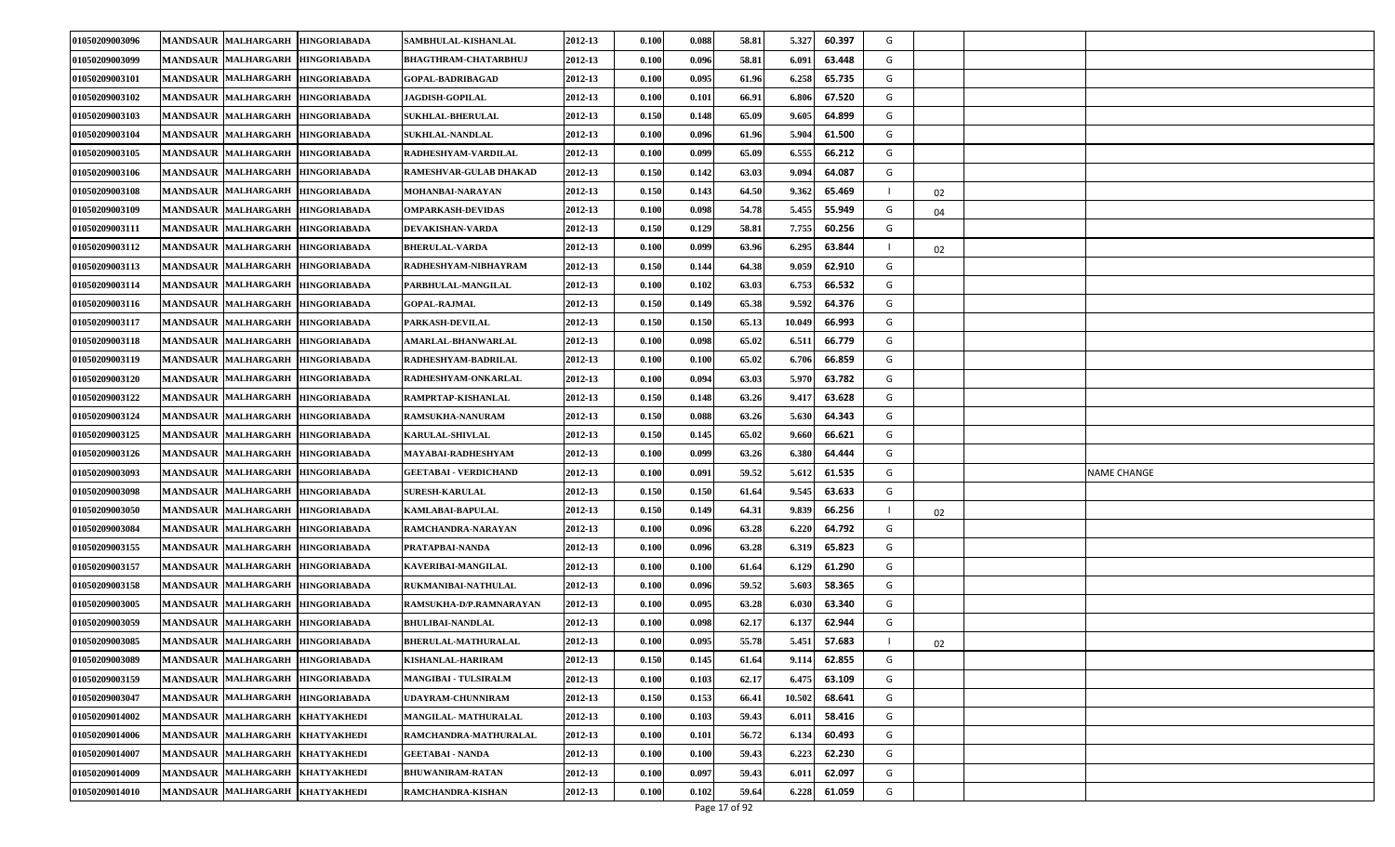| 01050209003096 | <b>MANDSAUR MALHARGARH</b>       | <b>HINGORIABADA</b> | SAMBHULAL-KISHANLAL         | 2012-13 | 0.100                | 0.088 | 58.81 | 5.327  | 60.397 | G |    |             |
|----------------|----------------------------------|---------------------|-----------------------------|---------|----------------------|-------|-------|--------|--------|---|----|-------------|
| 01050209003099 | <b>MANDSAUR MALHARGARH</b>       | <b>HINGORIABADA</b> | BHAGTHRAM-CHATARBHUJ        | 2012-13 | 0.100                | 0.096 | 58.81 | 6.09   | 63.448 | G |    |             |
| 01050209003101 | <b>MANDSAUR MALHARGARH</b>       | <b>HINGORIABADA</b> | <b>GOPAL-BADRIBAGAD</b>     | 2012-13 | 0.100                | 0.095 | 61.96 | 6.258  | 65.735 | G |    |             |
| 01050209003102 | <b>MANDSAUR MALHARGARH</b>       | <b>HINGORIABADA</b> | <b>JAGDISH-GOPILAL</b>      | 2012-13 | 0.100                | 0.101 | 66.91 | 6.806  | 67.520 | G |    |             |
| 01050209003103 | <b>MANDSAUR MALHARGARH</b>       | <b>HINGORIABADA</b> | <b>SUKHLAL-BHERULAL</b>     | 2012-13 | 0.150                | 0.148 | 65.09 | 9.605  | 64.899 | G |    |             |
| 01050209003104 | MANDSAUR MALHARGARH              | <b>HINGORIABADA</b> | <b>SUKHLAL-NANDLAL</b>      | 2012-13 | $\boldsymbol{0.100}$ | 0.096 | 61.96 | 5.904  | 61.500 | G |    |             |
| 01050209003105 | MANDSAUR MALHARGARH              | <b>HINGORIABADA</b> | RADHESHYAM-VARDILAL         | 2012-13 | 0.100                | 0.099 | 65.09 | 6.555  | 66.212 | G |    |             |
| 01050209003106 | <b>MANDSAUR MALHARGARH</b>       | <b>HINGORIABADA</b> | RAMESHVAR-GULAB DHAKAD      | 2012-13 | 0.150                | 0.142 | 63.03 | 9.094  | 64.087 | G |    |             |
| 01050209003108 | <b>MANDSAUR MALHARGARH</b>       | <b>HINGORIABADA</b> | MOHANBAI-NARAYAN            | 2012-13 | 0.150                | 0.143 | 64.50 | 9.362  | 65.469 |   | 02 |             |
| 01050209003109 | <b>MANDSAUR MALHARGARH</b>       | <b>HINGORIABADA</b> | <b>OMPARKASH-DEVIDAS</b>    | 2012-13 | 0.100                | 0.098 | 54.78 | 5.455  | 55.949 | G | 04 |             |
| 01050209003111 | <b>MANDSAUR MALHARGARH</b>       | <b>HINGORIABADA</b> | DEVAKISHAN-VARDA            | 2012-13 | 0.150                | 0.129 | 58.81 | 7.755  | 60.256 | G |    |             |
| 01050209003112 | <b>MANDSAUR MALHARGARH</b>       | <b>HINGORIABADA</b> | <b>BHERULAL-VARDA</b>       | 2012-13 | 0.100                | 0.099 | 63.96 | 6.295  | 63.844 |   | 02 |             |
| 01050209003113 | <b>MANDSAUR MALHARGARH</b>       | <b>HINGORIABADA</b> | RADHESHYAM-NIBHAYRAM        | 2012-13 | 0.150                | 0.144 | 64.38 | 9.059  | 62.910 | G |    |             |
| 01050209003114 | MANDSAUR MALHARGARH              | <b>HINGORIABADA</b> | PARBHULAL-MANGILAL          | 2012-13 | 0.100                | 0.102 | 63.03 | 6.753  | 66.532 | G |    |             |
| 01050209003116 | MANDSAUR MALHARGARH              | <b>HINGORIABADA</b> | <b>GOPAL-RAJMAL</b>         | 2012-13 | 0.150                | 0.149 | 65.38 | 9.592  | 64.376 | G |    |             |
| 01050209003117 | <b>MANDSAUR MALHARGARH</b>       | <b>HINGORIABADA</b> | PARKASH-DEVILAL             | 2012-13 | 0.150                | 0.150 | 65.13 | 10.049 | 66.993 | G |    |             |
| 01050209003118 | <b>MANDSAUR MALHARGARH</b>       | <b>HINGORIABADA</b> | <b>AMARLAL-BHANWARLAL</b>   | 2012-13 | 0.100                | 0.098 | 65.02 | 6.51   | 66.779 | G |    |             |
| 01050209003119 | <b>MANDSAUR MALHARGARH</b>       | <b>HINGORIABADA</b> | RADHESHYAM-BADRILAL         | 2012-13 | 0.100                | 0.100 | 65.02 | 6.706  | 66.859 | G |    |             |
| 01050209003120 | <b>MANDSAUR MALHARGARH</b>       | <b>HINGORIABADA</b> | RADHESHYAM-ONKARLAL         | 2012-13 | 0.100                | 0.094 | 63.03 | 5.970  | 63.782 | G |    |             |
| 01050209003122 | <b>MANDSAUR MALHARGARH</b>       | <b>HINGORIABADA</b> | RAMPRTAP-KISHANLAL          | 2012-13 | 0.150                | 0.148 | 63.26 | 9.41   | 63.628 | G |    |             |
| 01050209003124 | <b>MANDSAUR MALHARGARH</b>       | <b>HINGORIABADA</b> | RAMSUKHA-NANURAM            | 2012-13 | 0.150                | 0.088 | 63.26 | 5.630  | 64.343 | G |    |             |
| 01050209003125 | MANDSAUR MALHARGARH              | <b>HINGORIABADA</b> | <b>KARULAL-SHIVLAL</b>      | 2012-13 | 0.150                | 0.145 | 65.02 | 9.660  | 66.621 | G |    |             |
| 01050209003126 | <b>MANDSAUR MALHARGARH</b>       | <b>HINGORIABADA</b> | MAYABAI-RADHESHYAM          | 2012-13 | 0.100                | 0.099 | 63.26 | 6.380  | 64.444 | G |    |             |
| 01050209003093 | <b>MANDSAUR MALHARGARH</b>       | <b>HINGORIABADA</b> | GEETABAI - VERDICHAND       | 2012-13 | 0.100                | 0.091 | 59.52 | 5.612  | 61.535 | G |    | NAME CHANGE |
| 01050209003098 | <b>MANDSAUR MALHARGARH</b>       | <b>HINGORIABADA</b> | <b>SURESH-KARULAL</b>       | 2012-13 | 0.150                | 0.150 | 61.64 | 9.545  | 63.633 | G |    |             |
| 01050209003050 | MANDSAUR MALHARGARH              | <b>HINGORIABADA</b> | KAMLABAI-BAPULAL            | 2012-13 | 0.150                | 0.149 | 64.31 | 9.839  | 66.256 |   | 02 |             |
| 01050209003084 | <b>MANDSAUR MALHARGARH</b>       | <b>HINGORIABADA</b> | RAMCHANDRA-NARAYAN          | 2012-13 | 0.100                | 0.096 | 63.28 | 6.220  | 64.792 | G |    |             |
| 01050209003155 | <b>MANDSAUR MALHARGARH</b>       | <b>HINGORIABADA</b> | PRATAPBAI-NANDA             | 2012-13 | 0.100                | 0.096 | 63.28 | 6.31   | 65.823 | G |    |             |
| 01050209003157 | <b>MANDSAUR MALHARGARH</b>       | <b>HINGORIABADA</b> | KAVERIBAI-MANGILAL          | 2012-13 | $\boldsymbol{0.100}$ | 0.100 | 61.64 | 6.129  | 61.290 | G |    |             |
| 01050209003158 | MANDSAUR MALHARGARH              | <b>HINGORIABADA</b> | RUKMANIBAI-NATHULAL         | 2012-13 | 0.100                | 0.096 | 59.52 | 5.603  | 58.365 | G |    |             |
| 01050209003005 | <b>MANDSAUR MALHARGARH</b>       | <b>HINGORIABADA</b> | RAMSUKHA-D/P.RAMNARAYAN     | 2012-13 | 0.100                | 0.095 | 63.28 | 6.030  | 63.340 | G |    |             |
| 01050209003059 | <b>MANDSAUR MALHARGARH</b>       | <b>HINGORIABADA</b> | <b>BHULIBAI-NANDLAL</b>     | 2012-13 | 0.100                | 0.098 | 62.17 | 6.13   | 62.944 | G |    |             |
| 01050209003085 | MANDSAUR MALHARGARH HINGORIABADA |                     | <b>BHERULAL-MATHURALAL</b>  | 2012-13 | 0.100                | 0.095 | 55.78 | 5.451  | 57.683 |   | 02 |             |
| 01050209003089 | MANDSAUR MALHARGARH HINGORIABADA |                     | <b>KISHANLAL-HARIRAM</b>    | 2012-13 | 0.150                | 0.145 | 61.64 | 9.114  | 62.855 | G |    |             |
| 01050209003159 | <b>MANDSAUR MALHARGARH</b>       | <b>HINGORIABADA</b> | <b>MANGIBAI - TULSIRALM</b> | 2012-13 | 0.100                | 0.103 | 62.17 | 6.475  | 63.109 | G |    |             |
| 01050209003047 | <b>MANDSAUR MALHARGARH</b>       | <b>HINGORIABADA</b> | UDAYRAM-CHUNNIRAM           | 2012-13 | 0.150                | 0.153 | 66.41 | 10.502 | 68.641 | G |    |             |
| 01050209014002 | MANDSAUR MALHARGARH              | <b>KHATYAKHEDI</b>  | MANGILAL-MATHURALAL         | 2012-13 | 0.100                | 0.103 | 59.43 | 6.01   | 58.416 | G |    |             |
| 01050209014006 | MANDSAUR MALHARGARH KHATYAKHEDI  |                     | RAMCHANDRA-MATHURALAL       | 2012-13 | 0.100                | 0.101 | 56.72 | 6.134  | 60.493 | G |    |             |
| 01050209014007 | <b>MANDSAUR MALHARGARH</b>       | <b>KHATYAKHEDI</b>  | <b>GEETABAI - NANDA</b>     | 2012-13 | 0.100                | 0.100 | 59.43 | 6.223  | 62.230 | G |    |             |
| 01050209014009 | <b>MANDSAUR MALHARGARH</b>       | <b>KHATYAKHEDI</b>  | <b>BHUWANIRAM-RATAN</b>     | 2012-13 | 0.100                | 0.097 | 59.43 | 6.01   | 62.097 | G |    |             |
| 01050209014010 | <b>MANDSAUR MALHARGARH</b>       | <b>KHATYAKHEDI</b>  | RAMCHANDRA-KISHAN           | 2012-13 | 0.100                | 0.102 | 59.64 | 6.228  | 61.059 | G |    |             |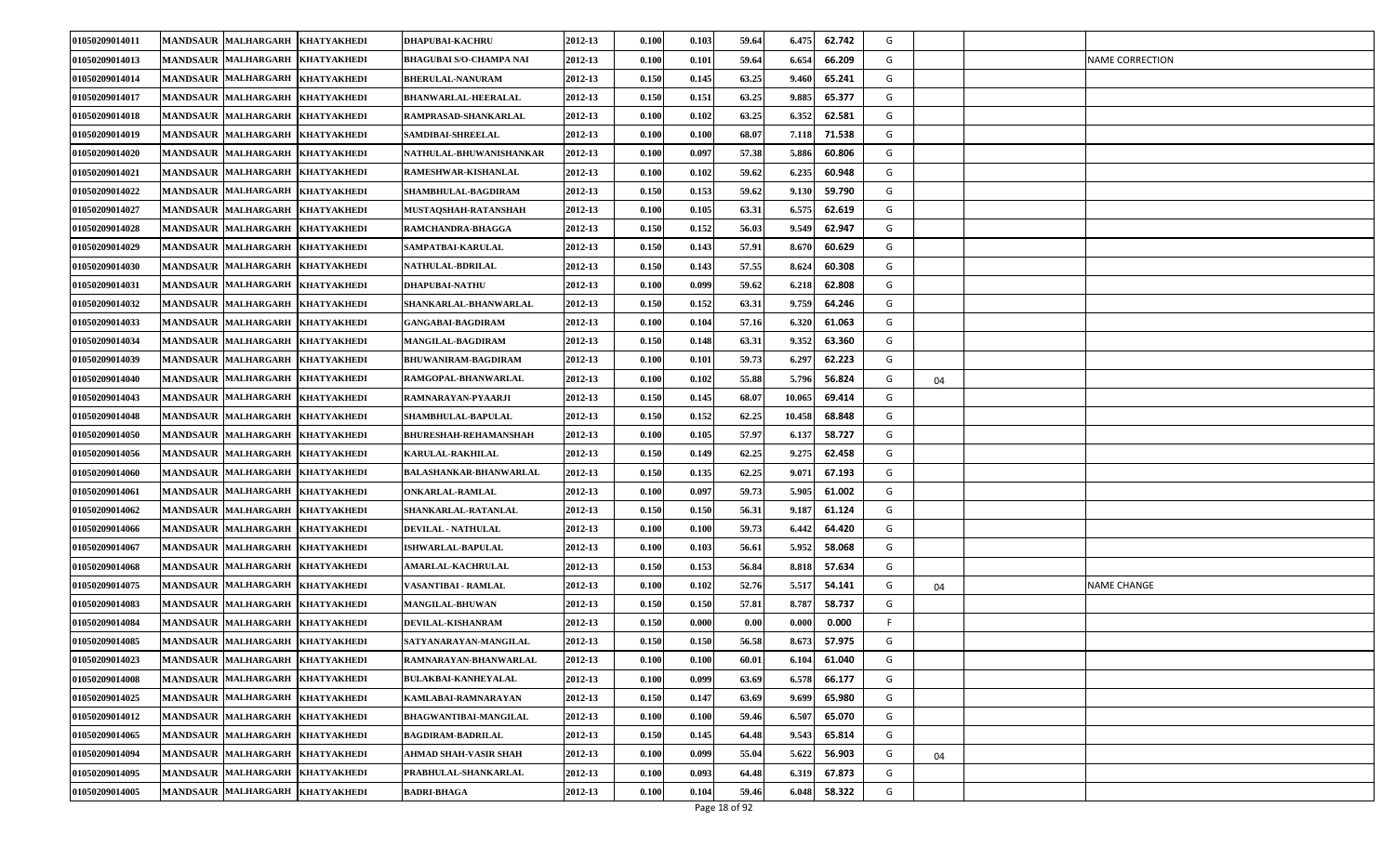| 01050209014011 | <b>MANDSAUR MALHARGARH</b>      | <b>KHATYAKHEDI</b> | <b>DHAPUBAI-KACHRU</b>       | 2012-13 | 0.100 | 0.103 | 59.64 | 6.475  | 62.742 | G  |    |                        |
|----------------|---------------------------------|--------------------|------------------------------|---------|-------|-------|-------|--------|--------|----|----|------------------------|
| 01050209014013 | <b>MANDSAUR MALHARGARH</b>      | <b>KHATYAKHEDI</b> | BHAGUBAI S/O-CHAMPA NAI      | 2012-13 | 0.100 | 0.101 | 59.64 | 6.654  | 66.209 | G  |    | <b>NAME CORRECTION</b> |
| 01050209014014 | <b>MANDSAUR MALHARGARH</b>      | <b>KHATYAKHEDI</b> | <b>BHERULAL-NANURAM</b>      | 2012-13 | 0.150 | 0.145 | 63.25 | 9.46   | 65.241 | G  |    |                        |
| 01050209014017 | <b>MANDSAUR MALHARGARH</b>      | <b>KHATYAKHEDI</b> | <b>BHANWARLAL-HEERALAL</b>   | 2012-13 | 0.150 | 0.151 | 63.25 | 9.88   | 65.377 | G  |    |                        |
| 01050209014018 | <b>MANDSAUR MALHARGARH</b>      | <b>KHATYAKHEDI</b> | RAMPRASAD-SHANKARLAL         | 2012-13 | 0.100 | 0.102 | 63.25 | 6.35   | 62.581 | G  |    |                        |
| 01050209014019 | <b>MANDSAUR MALHARGARH</b>      | <b>KHATYAKHEDI</b> | <b>SAMDIBAI-SHREELAL</b>     | 2012-13 | 0.100 | 0.100 | 68.07 | 7.118  | 71.538 | G  |    |                        |
| 01050209014020 | <b>MANDSAUR MALHARGARH</b>      | <b>KHATYAKHEDI</b> | NATHULAL-BHUWANISHANKAR      | 2012-13 | 0.100 | 0.097 | 57.38 | 5.886  | 60.806 | G  |    |                        |
| 01050209014021 | <b>MANDSAUR MALHARGARH</b>      | <b>KHATYAKHEDI</b> | RAMESHWAR-KISHANLAL          | 2012-13 | 0.100 | 0.102 | 59.62 | 6.235  | 60.948 | G  |    |                        |
| 01050209014022 | <b>MANDSAUR MALHARGARH</b>      | <b>KHATYAKHEDI</b> | SHAMBHULAL-BAGDIRAM          | 2012-13 | 0.150 | 0.153 | 59.62 | 9.13   | 59.790 | G  |    |                        |
| 01050209014027 | <b>MANDSAUR MALHARGARH</b>      | <b>KHATYAKHEDI</b> | MUSTAQSHAH-RATANSHAH         | 2012-13 | 0.100 | 0.105 | 63.31 | 6.57   | 62.619 | G  |    |                        |
| 01050209014028 | <b>MANDSAUR MALHARGARH</b>      | <b>KHATYAKHEDI</b> | RAMCHANDRA-BHAGGA            | 2012-13 | 0.150 | 0.152 | 56.03 | 9.549  | 62.947 | G  |    |                        |
| 01050209014029 | <b>MANDSAUR MALHARGARH</b>      | <b>KHATYAKHEDI</b> | <b>SAMPATBAI-KARULAL</b>     | 2012-13 | 0.150 | 0.143 | 57.91 | 8.670  | 60.629 | G  |    |                        |
| 01050209014030 | <b>MANDSAUR MALHARGARH</b>      | <b>KHATYAKHEDI</b> | <b>NATHULAL-BDRILAL</b>      | 2012-13 | 0.150 | 0.143 | 57.55 | 8.62   | 60.308 | G  |    |                        |
| 01050209014031 | <b>MANDSAUR MALHARGARH</b>      | <b>KHATYAKHEDI</b> | <b>DHAPUBAI-NATHU</b>        | 2012-13 | 0.100 | 0.099 | 59.62 | 6.218  | 62.808 | G  |    |                        |
| 01050209014032 | <b>MANDSAUR MALHARGARH</b>      | <b>KHATYAKHEDI</b> | SHANKARLAL-BHANWARLAL        | 2012-13 | 0.150 | 0.152 | 63.31 | 9.759  | 64.246 | G  |    |                        |
| 01050209014033 | <b>MANDSAUR MALHARGARH</b>      | <b>KHATYAKHEDI</b> | <b>GANGABAI-BAGDIRAM</b>     | 2012-13 | 0.100 | 0.104 | 57.16 | 6.320  | 61.063 | G  |    |                        |
| 01050209014034 | <b>MANDSAUR MALHARGARH</b>      | <b>KHATYAKHEDI</b> | MANGILAL-BAGDIRAM            | 2012-13 | 0.150 | 0.148 | 63.31 | 9.352  | 63.360 | G  |    |                        |
| 01050209014039 | <b>MANDSAUR MALHARGARH</b>      | <b>KHATYAKHEDI</b> | <b>BHUWANIRAM-BAGDIRAM</b>   | 2012-13 | 0.100 | 0.101 | 59.73 | 6.297  | 62.223 | G  |    |                        |
| 01050209014040 | <b>MANDSAUR MALHARGARH</b>      | <b>KHATYAKHEDI</b> | RAMGOPAL-BHANWARLAL          | 2012-13 | 0.100 | 0.102 | 55.88 | 5.796  | 56.824 | G  | 04 |                        |
| 01050209014043 | <b>MANDSAUR MALHARGARH</b>      | <b>КНАТҮАКНЕDI</b> | RAMNARAYAN-PYAARJI           | 2012-13 | 0.150 | 0.145 | 68.07 | 10.065 | 69.414 | G  |    |                        |
| 01050209014048 | <b>MANDSAUR MALHARGARH</b>      | <b>KHATYAKHEDI</b> | SHAMBHULAL-BAPULAL           | 2012-13 | 0.150 | 0.152 | 62.25 | 10.458 | 68.848 | G  |    |                        |
| 01050209014050 | <b>MANDSAUR MALHARGARH</b>      | <b>KHATYAKHEDI</b> | <b>BHURESHAH-REHAMANSHAH</b> | 2012-13 | 0.100 | 0.105 | 57.97 | 6.137  | 58.727 | G  |    |                        |
| 01050209014056 | <b>MANDSAUR MALHARGARH</b>      | <b>KHATYAKHEDI</b> | <b>KARULAL-RAKHILAL</b>      | 2012-13 | 0.150 | 0.149 | 62.25 | 9.275  | 62.458 | G  |    |                        |
| 01050209014060 | <b>MANDSAUR MALHARGARH</b>      | <b>KHATYAKHEDI</b> | BALASHANKAR-BHANWARLAL       | 2012-13 | 0.150 | 0.135 | 62.25 | 9.07   | 67.193 | G  |    |                        |
| 01050209014061 | <b>MANDSAUR MALHARGARH</b>      | <b>KHATYAKHEDI</b> | ONKARLAL-RAMLAL              | 2012-13 | 0.100 | 0.097 | 59.73 | 5.905  | 61.002 | G  |    |                        |
| 01050209014062 | <b>MANDSAUR MALHARGARH</b>      | <b>KHATYAKHEDI</b> | SHANKARLAL-RATANLAL          | 2012-13 | 0.150 | 0.150 | 56.31 | 9.18   | 61.124 | G  |    |                        |
| 01050209014066 | <b>MANDSAUR MALHARGARH</b>      | <b>KHATYAKHEDI</b> | <b>DEVILAL - NATHULAL</b>    | 2012-13 | 0.100 | 0.100 | 59.73 | 6.442  | 64.420 | G  |    |                        |
| 01050209014067 | <b>MANDSAUR MALHARGARH</b>      | <b>KHATYAKHEDI</b> | <b>ISHWARLAL-BAPULAL</b>     | 2012-13 | 0.100 | 0.103 | 56.61 | 5.952  | 58.068 | G  |    |                        |
| 01050209014068 | <b>MANDSAUR MALHARGARH</b>      | <b>KHATYAKHEDI</b> | <b>AMARLAL-KACHRULAL</b>     | 2012-13 | 0.150 | 0.153 | 56.84 | 8.818  | 57.634 | G  |    |                        |
| 01050209014075 | <b>MANDSAUR MALHARGARH</b>      | <b>KHATYAKHEDI</b> | VASANTIBAI - RAMLAL          | 2012-13 | 0.100 | 0.102 | 52.76 | 5.51   | 54.141 | G  | 04 | <b>NAME CHANGE</b>     |
| 01050209014083 | <b>MANDSAUR MALHARGARH</b>      | <b>KHATYAKHEDI</b> | <b>MANGILAL-BHUWAN</b>       | 2012-13 | 0.150 | 0.150 | 57.81 | 8.787  | 58.737 | G  |    |                        |
| 01050209014084 | <b>MANDSAUR MALHARGARH</b>      | <b>KHATYAKHEDI</b> | <b>DEVILAL-KISHANRAM</b>     | 2012-13 | 0.150 | 0.000 | 0.00  | 0.00   | 0.000  | F. |    |                        |
| 01050209014085 | MANDSAUR MALHARGARH KHATYAKHEDI |                    | SATYANARAYAN-MANGILAL        | 2012-13 | 0.150 | 0.150 | 56.58 | 8.673  | 57.975 | G  |    |                        |
| 01050209014023 | MANDSAUR MALHARGARH KHATYAKHEDI |                    | RAMNARAYAN-BHANWARLAL        | 2012-13 | 0.100 | 0.100 | 60.01 | 6.104  | 61.040 | G  |    |                        |
| 01050209014008 | MANDSAUR MALHARGARH             | <b>KHATYAKHEDI</b> | <b>BULAKBAI-KANHEYALAL</b>   | 2012-13 | 0.100 | 0.099 | 63.69 | 6.578  | 66.177 | G  |    |                        |
| 01050209014025 | MANDSAUR MALHARGARH KHATYAKHEDI |                    | KAMLABAI-RAMNARAYAN          | 2012-13 | 0.150 | 0.147 | 63.69 | 9.699  | 65.980 | G  |    |                        |
| 01050209014012 | <b>MANDSAUR MALHARGARH</b>      | <b>KHATYAKHEDI</b> | <b>BHAGWANTIBAI-MANGILAL</b> | 2012-13 | 0.100 | 0.100 | 59.46 | 6.507  | 65.070 | G  |    |                        |
| 01050209014065 | MANDSAUR MALHARGARH KHATYAKHEDI |                    | <b>BAGDIRAM-BADRILAL</b>     | 2012-13 | 0.150 | 0.145 | 64.48 | 9.543  | 65.814 | G  |    |                        |
| 01050209014094 | <b>MANDSAUR MALHARGARH</b>      | <b>KHATYAKHEDI</b> | AHMAD SHAH-VASIR SHAH        | 2012-13 | 0.100 | 0.099 | 55.04 | 5.622  | 56.903 | G  | 04 |                        |
| 01050209014095 | MANDSAUR MALHARGARH KHATYAKHEDI |                    | PRABHULAL-SHANKARLAL         | 2012-13 | 0.100 | 0.093 | 64.48 | 6.319  | 67.873 | G  |    |                        |
| 01050209014005 | MANDSAUR MALHARGARH KHATYAKHEDI |                    | <b>BADRI-BHAGA</b>           | 2012-13 | 0.100 | 0.104 | 59.46 | 6.048  | 58.322 | G  |    |                        |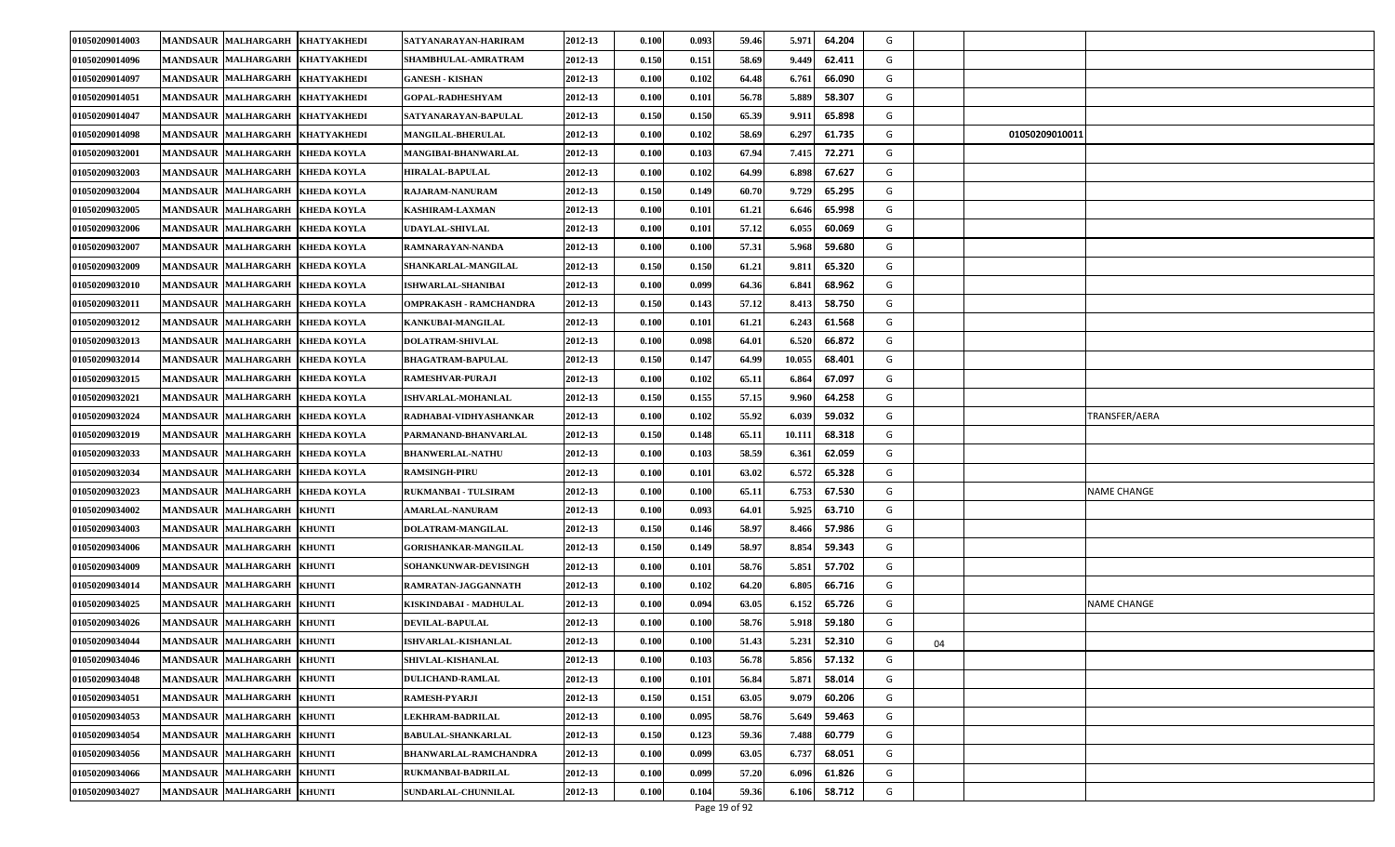| 01050209014003 | <b>MANDSAUR MALHARGARH</b>           | <b>KHATYAKHEDI</b> | SATYANARAYAN-HARIRAM         | 2012-13 | 0.100                | 0.093 | 59.46 | 5.971  | 64.204 | G |    |                    |
|----------------|--------------------------------------|--------------------|------------------------------|---------|----------------------|-------|-------|--------|--------|---|----|--------------------|
| 01050209014096 | <b>MANDSAUR MALHARGARH</b>           | <b>KHATYAKHEDI</b> | SHAMBHULAL-AMRATRAM          | 2012-13 | 0.150                | 0.151 | 58.69 | 9.449  | 62.411 | G |    |                    |
| 01050209014097 | MANDSAUR MALHARGARH                  | <b>KHATYAKHEDI</b> | <b>GANESH - KISHAN</b>       | 2012-13 | 0.100                | 0.102 | 64.48 | 6.761  | 66.090 | G |    |                    |
| 01050209014051 | <b>MANDSAUR MALHARGARH</b>           | <b>KHATYAKHEDI</b> | GOPAL-RADHESHYAM             | 2012-13 | 0.100                | 0.101 | 56.78 | 5.889  | 58.307 | G |    |                    |
| 01050209014047 | <b>MANDSAUR MALHARGARH</b>           | <b>KHATYAKHEDI</b> | SATYANARAYAN-BAPULAL         | 2012-13 | 0.150                | 0.150 | 65.39 | 9.91   | 65.898 | G |    |                    |
| 01050209014098 | MANDSAUR MALHARGARH                  | <b>KHATYAKHEDI</b> | <b>MANGILAL-BHERULAL</b>     | 2012-13 | $\boldsymbol{0.100}$ | 0.102 | 58.69 | 6.297  | 61.735 | G |    | 01050209010011     |
| 01050209032001 | MANDSAUR MALHARGARH                  | <b>KHEDA KOYLA</b> | MANGIBAI-BHANWARLAL          | 2012-13 | 0.100                | 0.103 | 67.94 | 7.415  | 72.271 | G |    |                    |
| 01050209032003 | <b>MANDSAUR MALHARGARH</b>           | <b>KHEDA KOYLA</b> | <b>HIRALAL-BAPULAL</b>       | 2012-13 | 0.100                | 0.102 | 64.99 | 6.898  | 67.627 | G |    |                    |
| 01050209032004 | <b>MANDSAUR MALHARGARH</b>           | <b>KHEDA KOYLA</b> | RAJARAM-NANURAM              | 2012-13 | 0.150                | 0.149 | 60.70 | 9.729  | 65.295 | G |    |                    |
| 01050209032005 | <b>MANDSAUR MALHARGARH</b>           | <b>KHEDA KOYLA</b> | KASHIRAM-LAXMAN              | 2012-13 | $\boldsymbol{0.100}$ | 0.101 | 61.21 | 6.646  | 65.998 | G |    |                    |
| 01050209032006 | <b>MANDSAUR MALHARGARH</b>           | <b>KHEDA KOYLA</b> | UDAYLAL-SHIVLAL              | 2012-13 | 0.100                | 0.101 | 57.12 | 6.055  | 60.069 | G |    |                    |
| 01050209032007 | <b>MANDSAUR MALHARGARH</b>           | <b>KHEDA KOYLA</b> | RAMNARAYAN-NANDA             | 2012-13 | 0.100                | 0.100 | 57.31 | 5.968  | 59.680 | G |    |                    |
| 01050209032009 | <b>MANDSAUR MALHARGARH</b>           | <b>KHEDA KOYLA</b> | SHANKARLAL-MANGILAL          | 2012-13 | 0.150                | 0.150 | 61.21 | 9.81   | 65.320 | G |    |                    |
| 01050209032010 | MANDSAUR MALHARGARH                  | <b>KHEDA KOYLA</b> | ISHWARLAL-SHANIBAI           | 2012-13 | 0.100                | 0.099 | 64.36 | 6.84   | 68.962 | G |    |                    |
| 01050209032011 | <b>MANDSAUR MALHARGARH</b>           | <b>KHEDA KOYLA</b> | OMPRAKASH - RAMCHANDRA       | 2012-13 | 0.150                | 0.143 | 57.12 | 8.413  | 58.750 | G |    |                    |
| 01050209032012 | <b>MANDSAUR</b><br><b>MALHARGARH</b> | <b>KHEDA KOYLA</b> | KANKUBAI-MANGILAL            | 2012-13 | 0.100                | 0.101 | 61.21 | 6.243  | 61.568 | G |    |                    |
| 01050209032013 | <b>MANDSAUR MALHARGARH</b>           | <b>KHEDA KOYLA</b> | <b>DOLATRAM-SHIVLAL</b>      | 2012-13 | 0.100                | 0.098 | 64.01 | 6.520  | 66.872 | G |    |                    |
| 01050209032014 | <b>MANDSAUR MALHARGARH</b>           | <b>KHEDA KOYLA</b> | <b>BHAGATRAM-BAPULAL</b>     | 2012-13 | 0.150                | 0.147 | 64.99 | 10.055 | 68.401 | G |    |                    |
| 01050209032015 | <b>MANDSAUR MALHARGARH</b>           | <b>KHEDA KOYLA</b> | RAMESHVAR-PURAJI             | 2012-13 | 0.100                | 0.102 | 65.11 | 6.864  | 67.097 | G |    |                    |
| 01050209032021 | <b>MANDSAUR MALHARGARH</b>           | <b>KHEDA KOYLA</b> | <b>ISHVARLAL-MOHANLAL</b>    | 2012-13 | 0.150                | 0.155 | 57.15 | 9.960  | 64.258 | G |    |                    |
| 01050209032024 | <b>MANDSAUR MALHARGARH</b>           | <b>KHEDA KOYLA</b> | RADHABAI-VIDHYASHANKAR       | 2012-13 | 0.100                | 0.102 | 55.92 | 6.039  | 59.032 | G |    | TRANSFER/AERA      |
| 01050209032019 | <b>MANDSAUR MALHARGARH</b>           | <b>KHEDA KOYLA</b> | PARMANAND-BHANVARLAL         | 2012-13 | 0.150                | 0.148 | 65.11 | 10.11  | 68.318 | G |    |                    |
| 01050209032033 | <b>MANDSAUR MALHARGARH</b>           | <b>KHEDA KOYLA</b> | <b>BHANWERLAL-NATHU</b>      | 2012-13 | 0.100                | 0.103 | 58.59 | 6.361  | 62.059 | G |    |                    |
| 01050209032034 | <b>MALHARGARH</b><br><b>MANDSAUR</b> | <b>KHEDA KOYLA</b> | <b>RAMSINGH-PIRU</b>         | 2012-13 | 0.100                | 0.101 | 63.02 | 6.572  | 65.328 | G |    |                    |
| 01050209032023 | <b>MANDSAUR MALHARGARH</b>           | <b>KHEDA KOYLA</b> | RUKMANBAI - TULSIRAM         | 2012-13 | 0.100                | 0.100 | 65.11 | 6.753  | 67.530 | G |    | <b>NAME CHANGE</b> |
| 01050209034002 | <b>MANDSAUR MALHARGARH</b>           | <b>KHUNTI</b>      | <b>AMARLAL-NANURAM</b>       | 2012-13 | 0.100                | 0.093 | 64.01 | 5.925  | 63.710 | G |    |                    |
| 01050209034003 | <b>MANDSAUR MALHARGARH</b>           | <b>KHUNTI</b>      | DOLATRAM-MANGILAL            | 2012-13 | 0.150                | 0.146 | 58.97 | 8.466  | 57.986 | G |    |                    |
| 01050209034006 | <b>MANDSAUR MALHARGARH</b>           | <b>KHUNTI</b>      | <b>GORISHANKAR-MANGILAL</b>  | 2012-13 | 0.150                | 0.149 | 58.97 | 8.854  | 59.343 | G |    |                    |
| 01050209034009 | MANDSAUR MALHARGARH                  | <b>KHUNTI</b>      | <b>SOHANKUNWAR-DEVISINGH</b> | 2012-13 | $\boldsymbol{0.100}$ | 0.101 | 58.76 | 5.851  | 57.702 | G |    |                    |
| 01050209034014 | MANDSAUR MALHARGARH                  | <b>KHUNTI</b>      | RAMRATAN-JAGGANNATH          | 2012-13 | 0.100                | 0.102 | 64.20 | 6.805  | 66.716 | G |    |                    |
| 01050209034025 | <b>MANDSAUR MALHARGARH</b>           | <b>KHUNTI</b>      | KISKINDABAI - MADHULAL       | 2012-13 | 0.100                | 0.094 | 63.05 | 6.152  | 65.726 | G |    | NAME CHANGE        |
| 01050209034026 | <b>MANDSAUR MALHARGARH</b>           | <b>KHUNTI</b>      | <b>DEVILAL-BAPULAL</b>       | 2012-13 | 0.100                | 0.100 | 58.76 | 5.918  | 59.180 | G |    |                    |
| 01050209034044 | MANDSAUR MALHARGARH KHUNTI           |                    | ISHVARLAL-KISHANLAL          | 2012-13 | 0.100                | 0.100 | 51.43 | 5.231  | 52.310 | G | 04 |                    |
| 01050209034046 | MANDSAUR MALHARGARH KHUNTI           |                    | SHIVLAL-KISHANLAL            | 2012-13 | 0.100                | 0.103 | 56.78 | 5.856  | 57.132 | G |    |                    |
| 01050209034048 | <b>MANDSAUR MALHARGARH</b>           | <b>KHUNTI</b>      | <b>DULICHAND-RAMLAL</b>      | 2012-13 | 0.100                | 0.101 | 56.84 | 5.871  | 58.014 | G |    |                    |
| 01050209034051 | MANDSAUR MALHARGARH KHUNTI           |                    | RAMESH-PYARJI                | 2012-13 | 0.150                | 0.151 | 63.05 | 9.07   | 60.206 | G |    |                    |
| 01050209034053 | MANDSAUR MALHARGARH                  | <b>KHUNTI</b>      | <b>LEKHRAM-BADRILAL</b>      | 2012-13 | 0.100                | 0.095 | 58.76 | 5.649  | 59.463 | G |    |                    |
| 01050209034054 | MANDSAUR MALHARGARH KHUNTI           |                    | <b>BABULAL-SHANKARLAL</b>    | 2012-13 | 0.150                | 0.123 | 59.36 | 7.488  | 60.779 | G |    |                    |
| 01050209034056 | <b>MANDSAUR MALHARGARH</b>           | <b>KHUNTI</b>      | <b>BHANWARLAL-RAMCHANDRA</b> | 2012-13 | 0.100                | 0.099 | 63.05 | 6.737  | 68.051 | G |    |                    |
| 01050209034066 | <b>MANDSAUR MALHARGARH</b>           | <b>KHUNTI</b>      | RUKMANBAI-BADRILAL           | 2012-13 | 0.100                | 0.099 | 57.20 | 6.096  | 61.826 | G |    |                    |
| 01050209034027 | <b>MANDSAUR MALHARGARH</b>           | <b>KHUNTI</b>      | SUNDARLAL-CHUNNILAL          | 2012-13 | 0.100                | 0.104 | 59.36 | 6.106  | 58.712 | G |    |                    |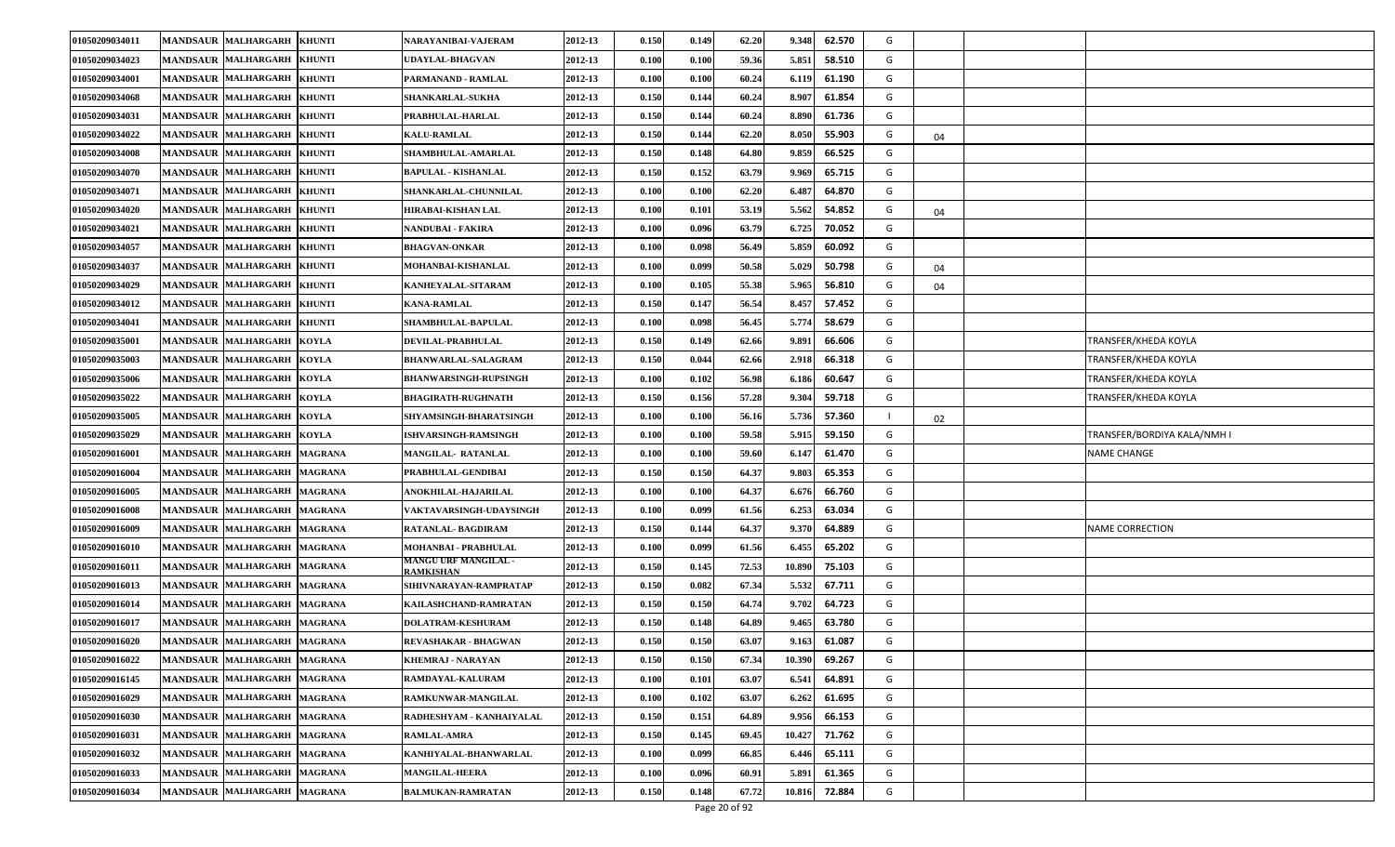| 01050209034011 | <b>MANDSAUR MALHARGARH</b><br><b>KHUNTI</b>            | NARAYANIBAI-VAJERAM                      | 2012-13 | 0.150 | 0.149 | 62.20 | 9.348<br>62.570  | G |    |                             |
|----------------|--------------------------------------------------------|------------------------------------------|---------|-------|-------|-------|------------------|---|----|-----------------------------|
| 01050209034023 | <b>MANDSAUR MALHARGARH</b><br><b>KHUNTI</b>            | <b>UDAYLAL-BHAGVAN</b>                   | 2012-13 | 0.100 | 0.100 | 59.36 | 5.851<br>58.510  | G |    |                             |
| 01050209034001 | <b>MANDSAUR MALHARGARH</b><br><b>KHUNTI</b>            | PARMANAND - RAMLAL                       | 2012-13 | 0.100 | 0.100 | 60.24 | 61.190<br>6.119  | G |    |                             |
| 01050209034068 | <b>MANDSAUR MALHARGARH</b><br><b>KHUNTI</b>            | <b>SHANKARLAL-SUKHA</b>                  | 2012-13 | 0.150 | 0.144 | 60.24 | 61.854<br>8.90'  | G |    |                             |
| 01050209034031 | <b>MANDSAUR</b><br><b>MALHARGARH</b><br><b>KHUNTI</b>  | PRABHULAL-HARLAL                         | 2012-13 | 0.150 | 0.144 | 60.24 | 61.736<br>8.89   | G |    |                             |
| 01050209034022 | MANDSAUR MALHARGARH<br><b>KHUNTI</b>                   | <b>KALU-RAMLAL</b>                       | 2012-13 | 0.150 | 0.144 | 62.20 | 8.050<br>55.903  | G | 04 |                             |
| 01050209034008 | MANDSAUR MALHARGARH<br><b>KHUNTI</b>                   | SHAMBHULAL-AMARLAL                       | 2012-13 | 0.150 | 0.148 | 64.80 | 9.859<br>66.525  | G |    |                             |
| 01050209034070 | MANDSAUR MALHARGARH<br><b>KHUNTI</b>                   | BAPULAL - KISHANLAL                      | 2012-13 | 0.150 | 0.152 | 63.79 | 65.715<br>9.969  | G |    |                             |
| 01050209034071 | <b>MALHARGARH</b><br><b>MANDSAUR</b><br><b>KHUNTI</b>  | SHANKARLAL-CHUNNILAL                     | 2012-13 | 0.100 | 0.100 | 62.20 | 6.48<br>64.870   | G |    |                             |
| 01050209034020 | <b>MANDSAUR MALHARGARH</b><br><b>KHUNTI</b>            | HIRABAI-KISHAN LAL                       | 2012-13 | 0.100 | 0.101 | 53.19 | 5.562<br>54.852  | G | 04 |                             |
| 01050209034021 | <b>MANDSAUR MALHARGARH</b><br><b>KHUNTI</b>            | NANDUBAI - FAKIRA                        | 2012-13 | 0.100 | 0.096 | 63.79 | 70.052<br>6.725  | G |    |                             |
| 01050209034057 | <b>MALHARGARH</b><br><b>KHUNTI</b><br><b>MANDSAUR</b>  | <b>BHAGVAN-ONKAR</b>                     | 2012-13 | 0.100 | 0.098 | 56.49 | 5.859<br>60.092  | G |    |                             |
| 01050209034037 | <b>MANDSAUR</b><br><b>MALHARGARH</b><br><b>KHUNTI</b>  | MOHANBAI-KISHANLAL                       | 2012-13 | 0.100 | 0.099 | 50.58 | 5.029<br>50.798  | G | 04 |                             |
| 01050209034029 | <b>MANDSAUR MALHARGARH</b><br><b>KHUNTI</b>            | KANHEYALAL-SITARAM                       | 2012-13 | 0.100 | 0.105 | 55.38 | 5.965<br>56.810  | G | 04 |                             |
| 01050209034012 | <b>MANDSAUR MALHARGARH</b><br><b>KHUNTI</b>            | <b>KANA-RAMLAL</b>                       | 2012-13 | 0.150 | 0.147 | 56.54 | 8.457<br>57.452  | G |    |                             |
| 01050209034041 | <b>KHUNTI</b><br><b>MANDSAUR</b><br><b>MALHARGARH</b>  | <b>SHAMBHULAL-BAPULAL</b>                | 2012-13 | 0.100 | 0.098 | 56.45 | 5.77<br>58.679   | G |    |                             |
| 01050209035001 | <b>MANDSAUR</b><br><b>MALHARGARH</b><br><b>KOYLA</b>   | DEVILAL-PRABHULAL                        | 2012-13 | 0.150 | 0.149 | 62.66 | 9.89<br>66.606   | G |    | TRANSFER/KHEDA KOYLA        |
| 01050209035003 | <b>MANDSAUR MALHARGARH</b><br><b>KOYLA</b>             | <b>BHANWARLAL-SALAGRAM</b>               | 2012-13 | 0.150 | 0.044 | 62.66 | 66.318<br>2.918  | G |    | TRANSFER/KHEDA KOYLA        |
| 01050209035006 | <b>MANDSAUR MALHARGARH</b><br><b>KOYLA</b>             | <b>BHANWARSINGH-RUPSINGH</b>             | 2012-13 | 0.100 | 0.102 | 56.98 | 6.186<br>60.647  | G |    | TRANSFER/KHEDA KOYLA        |
| 01050209035022 | <b>MANDSAUR MALHARGARH</b><br><b>KOYLA</b>             | <b>BHAGIRATH-RUGHNATH</b>                | 2012-13 | 0.150 | 0.156 | 57.28 | 9.304<br>59.718  | G |    | TRANSFER/KHEDA KOYLA        |
| 01050209035005 | <b>MANDSAUR MALHARGARH</b><br><b>KOYLA</b>             | SHYAMSINGH-BHARATSINGH                   | 2012-13 | 0.100 | 0.100 | 56.16 | 5.736<br>57.360  |   | 02 |                             |
| 01050209035029 | <b>MANDSAUR MALHARGARH</b><br><b>KOYLA</b>             | <b>ISHVARSINGH-RAMSINGH</b>              | 2012-13 | 0.100 | 0.100 | 59.58 | 5.915<br>59.150  | G |    | TRANSFER/BORDIYA KALA/NMH I |
| 01050209016001 | <b>MANDSAUR MALHARGARH</b><br><b>MAGRANA</b>           | <b>MANGILAL- RATANLAL</b>                | 2012-13 | 0.100 | 0.100 | 59.60 | 6.147<br>61.470  | G |    | NAME CHANGE                 |
| 01050209016004 | <b>MANDSAUR MALHARGARH</b><br><b>MAGRANA</b>           | PRABHULAL-GENDIBAI                       | 2012-13 | 0.150 | 0.150 | 64.37 | 65.353<br>9.80   | G |    |                             |
| 01050209016005 | <b>MANDSAUR MALHARGARH</b><br><b>MAGRANA</b>           | ANOKHILAL-HAJARILAL                      | 2012-13 | 0.100 | 0.100 | 64.37 | 6.67<br>66.760   | G |    |                             |
| 01050209016008 | <b>MANDSAUR MALHARGARH</b><br><b>MAGRANA</b>           | VAKTAVARSINGH-UDAYSINGH                  | 2012-13 | 0.100 | 0.099 | 61.56 | 6.253<br>63.034  | G |    |                             |
| 01050209016009 | <b>MANDSAUR MALHARGARH</b><br><b>MAGRANA</b>           | RATANLAL- BAGDIRAM                       | 2012-13 | 0.150 | 0.144 | 64.37 | 9.370<br>64.889  | G |    | NAME CORRECTION             |
| 01050209016010 | <b>MANDSAUR MALHARGARH</b><br><b>MAGRANA</b>           | MOHANBAI - PRABHULAL                     | 2012-13 | 0.100 | 0.099 | 61.56 | 65.202<br>6.455  | G |    |                             |
| 01050209016011 | <b>MANDSAUR MALHARGARH</b><br><b>MAGRANA</b>           | <b>MANGU URF MANGILAL -</b><br>RAMKISHAN | 2012-13 | 0.150 | 0.145 | 72.53 | 75.103<br>10.890 | G |    |                             |
| 01050209016013 | MANDSAUR MALHARGARH<br><b>MAGRANA</b>                  | SIHIVNARAYAN-RAMPRATAP                   | 2012-13 | 0.150 | 0.082 | 67.34 | 67.711<br>5.532  | G |    |                             |
| 01050209016014 | MANDSAUR MALHARGARH<br><b>MAGRANA</b>                  | KAILASHCHAND-RAMRATAN                    | 2012-13 | 0.150 | 0.150 | 64.74 | 64.723<br>9.702  | G |    |                             |
| 01050209016017 | <b>MALHARGARH</b><br><b>MANDSAUR</b><br><b>MAGRANA</b> | <b>DOLATRAM-KESHURAM</b>                 | 2012-13 | 0.150 | 0.148 | 64.89 | 9.465<br>63.780  | G |    |                             |
| 01050209016020 | MANDSAUR MALHARGARH MAGRANA                            | REVASHAKAR - BHAGWAN                     | 2012-13 | 0.150 | 0.150 | 63.07 | 61.087<br>9.163  | G |    |                             |
| 01050209016022 | MANDSAUR MALHARGARH MAGRANA                            | KHEMRAJ - NARAYAN                        | 2012-13 | 0.150 | 0.150 | 67.34 | 69.267<br>10.390 | G |    |                             |
| 01050209016145 | <b>MANDSAUR MALHARGARH</b><br><b>MAGRANA</b>           | RAMDAYAL-KALURAM                         | 2012-13 | 0.100 | 0.101 | 63.07 | 6.541<br>64.891  | G |    |                             |
| 01050209016029 | MANDSAUR MALHARGARH MAGRANA                            | RAMKUNWAR-MANGILAL                       | 2012-13 | 0.100 | 0.102 | 63.07 | 61.695<br>6.262  | G |    |                             |
| 01050209016030 | MANDSAUR MALHARGARH MAGRANA                            | RADHESHYAM - KANHAIYALAL                 | 2012-13 | 0.150 | 0.151 | 64.89 | 9.956<br>66.153  | G |    |                             |
| 01050209016031 | MANDSAUR MALHARGARH MAGRANA                            | <b>RAMLAL-AMRA</b>                       | 2012-13 | 0.150 | 0.145 | 69.45 | 10.427<br>71.762 | G |    |                             |
| 01050209016032 | <b>MANDSAUR MALHARGARH</b><br><b>MAGRANA</b>           | KANHIYALAL-BHANWARLAL                    | 2012-13 | 0.100 | 0.099 | 66.85 | 6.446<br>65.111  | G |    |                             |
| 01050209016033 | <b>MANDSAUR MALHARGARH</b><br><b>MAGRANA</b>           | <b>MANGILAL-HEERA</b>                    | 2012-13 | 0.100 | 0.096 | 60.91 | 61.365<br>5.891  | G |    |                             |
| 01050209016034 | MANDSAUR MALHARGARH<br><b>MAGRANA</b>                  | <b>BALMUKAN-RAMRATAN</b>                 | 2012-13 | 0.150 | 0.148 | 67.72 | 72.884<br>10.816 | G |    |                             |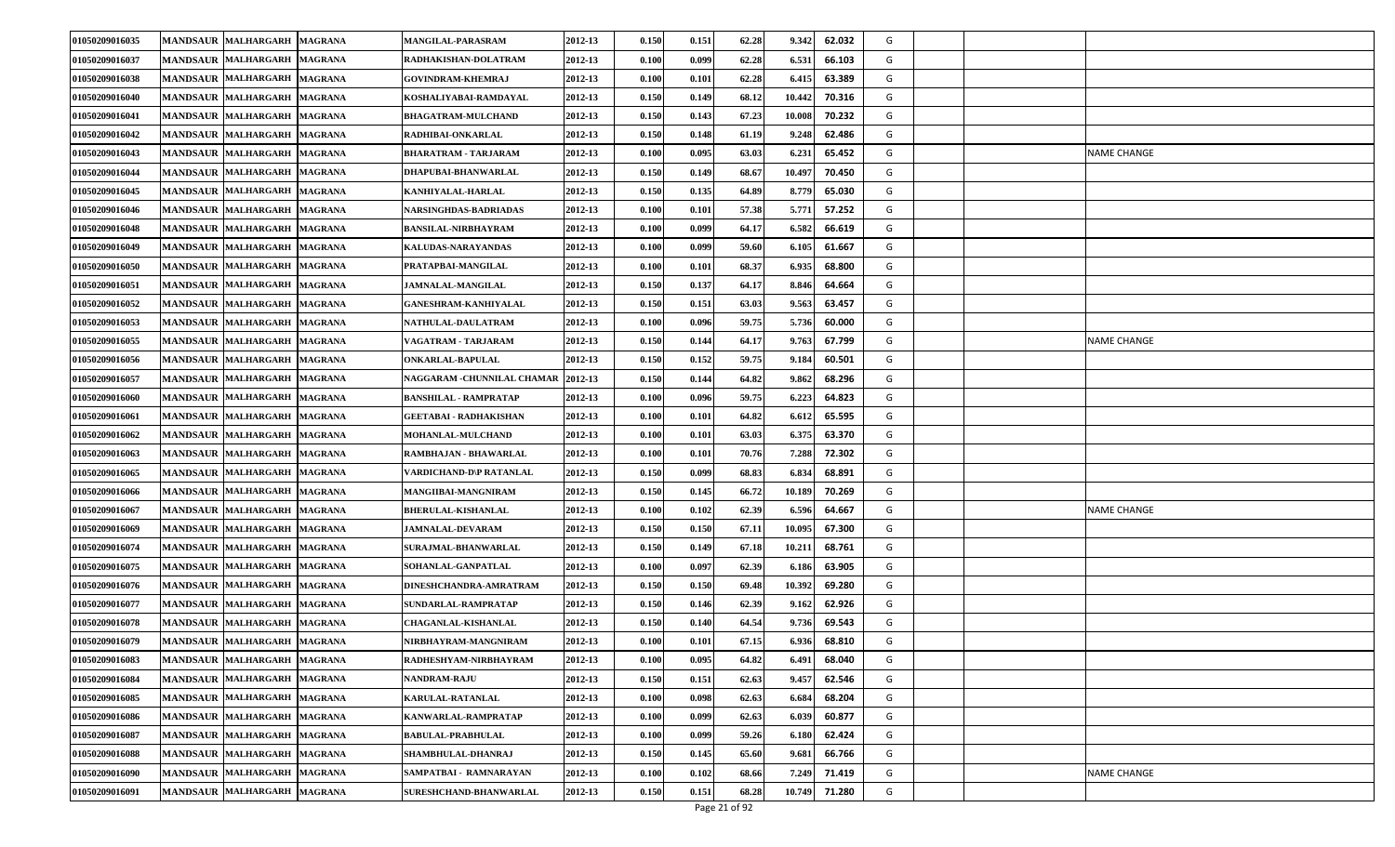| 01050209016035                    | <b>MANDSAUR MALHARGARH</b><br><b>MAGRANA</b> | <b>MANGILAL-PARASRAM</b>      | 2012-13 | 0.150 | 0.151 | 62.28 | 62.032<br>9.342  | G |                    |
|-----------------------------------|----------------------------------------------|-------------------------------|---------|-------|-------|-------|------------------|---|--------------------|
| 01050209016037                    | <b>MANDSAUR MALHARGARH</b><br><b>MAGRANA</b> | RADHAKISHAN-DOLATRAM          | 2012-13 | 0.100 | 0.099 | 62.28 | 6.531<br>66.103  | G |                    |
| 01050209016038                    | MANDSAUR MALHARGARH<br><b>MAGRANA</b>        | <b>GOVINDRAM-KHEMRAJ</b>      | 2012-13 | 0.100 | 0.101 | 62.28 | 63.389<br>6.415  | G |                    |
| 01050209016040                    | <b>MANDSAUR MALHARGARH</b><br><b>MAGRANA</b> | KOSHALIYABAI-RAMDAYAL         | 2012-13 | 0.150 | 0.149 | 68.12 | 10.442<br>70.316 | G |                    |
| 01050209016041                    | MANDSAUR MALHARGARH<br><b>MAGRANA</b>        | <b>BHAGATRAM-MULCHAND</b>     | 2012-13 | 0.150 | 0.143 | 67.23 | 70.232<br>10.008 | G |                    |
| 01050209016042                    | <b>MANDSAUR MALHARGARH</b><br><b>MAGRANA</b> | RADHIBAI-ONKARLAL             | 2012-13 | 0.150 | 0.148 | 61.19 | 62.486<br>9.248  | G |                    |
| 01050209016043                    | <b>MANDSAUR MALHARGARH</b><br><b>MAGRANA</b> | <b>BHARATRAM - TARJARAM</b>   | 2012-13 | 0.100 | 0.095 | 63.03 | 65.452<br>6.23   | G | <b>NAME CHANGE</b> |
| 01050209016044                    | <b>MANDSAUR MALHARGARH</b><br><b>MAGRANA</b> | DHAPUBAI-BHANWARLAL           | 2012-13 | 0.150 | 0.149 | 68.67 | 10.497<br>70.450 | G |                    |
| 01050209016045                    | MANDSAUR MALHARGARH<br><b>MAGRANA</b>        | KANHIYALAL-HARLAL             | 2012-13 | 0.150 | 0.135 | 64.89 | 8.779<br>65.030  | G |                    |
| 01050209016046                    | <b>MANDSAUR MALHARGARH</b><br><b>MAGRANA</b> | NARSINGHDAS-BADRIADAS         | 2012-13 | 0.100 | 0.101 | 57.38 | 5.771<br>57.252  | G |                    |
| 01050209016048                    | <b>MANDSAUR MALHARGARH</b><br><b>MAGRANA</b> | <b>BANSILAL-NIRBHAYRAM</b>    | 2012-13 | 0.100 | 0.099 | 64.17 | 6.582<br>66.619  | G |                    |
| 01050209016049                    | MANDSAUR MALHARGARH<br><b>MAGRANA</b>        | KALUDAS-NARAYANDAS            | 2012-13 | 0.100 | 0.099 | 59.60 | 61.667<br>6.105  | G |                    |
| 01050209016050<br><b>MANDSAUR</b> | <b>MALHARGARH</b><br><b>MAGRANA</b>          | PRATAPBAI-MANGILAL            | 2012-13 | 0.100 | 0.101 | 68.37 | 6.935<br>68.800  | G |                    |
| 01050209016051                    | <b>MANDSAUR MALHARGARH</b><br><b>MAGRANA</b> | <b>JAMNALAL-MANGILAL</b>      | 2012-13 | 0.150 | 0.137 | 64.17 | 64.664<br>8.846  | G |                    |
| 01050209016052                    | <b>MANDSAUR MALHARGARH</b><br><b>MAGRANA</b> | <b>GANESHRAM-KANHIYALAL</b>   | 2012-13 | 0.150 | 0.151 | 63.03 | 63.457<br>9.563  | G |                    |
| 01050209016053                    | <b>MANDSAUR MALHARGARH</b><br><b>MAGRANA</b> | <b>NATHULAL-DAULATRAM</b>     | 2012-13 | 0.100 | 0.096 | 59.75 | 5.736<br>60.000  | G |                    |
| 01050209016055                    | <b>MANDSAUR MALHARGARH</b><br><b>MAGRANA</b> | VAGATRAM - TARJARAM           | 2012-13 | 0.150 | 0.144 | 64.17 | 9.763<br>67.799  | G | <b>NAME CHANGE</b> |
| 01050209016056                    | MANDSAUR MALHARGARH<br><b>MAGRANA</b>        | <b>ONKARLAL-BAPULAL</b>       | 2012-13 | 0.150 | 0.152 | 59.75 | 60.501<br>9.18   | G |                    |
| 01050209016057                    | MANDSAUR MALHARGARH<br><b>MAGRANA</b>        | NAGGARAM -CHUNNILAL CHAMAR    | 2012-13 | 0.150 | 0.144 | 64.82 | 9.862<br>68.296  | G |                    |
| 01050209016060                    | MANDSAUR MALHARGARH<br><b>MAGRANA</b>        | <b>BANSHILAL - RAMPRATAP</b>  | 2012-13 | 0.100 | 0.096 | 59.75 | 6.223<br>64.823  | G |                    |
| 01050209016061                    | <b>MANDSAUR MALHARGARH</b><br><b>MAGRANA</b> | GEETABAI - RADHAKISHAN        | 2012-13 | 0.100 | 0.101 | 64.82 | 65.595<br>6.61   | G |                    |
| 01050209016062                    | <b>MANDSAUR MALHARGARH</b><br><b>MAGRANA</b> | <b>MOHANLAL-MULCHAND</b>      | 2012-13 | 0.100 | 0.101 | 63.03 | 6.375<br>63.370  | G |                    |
| 01050209016063                    | <b>MANDSAUR MALHARGARH</b><br><b>MAGRANA</b> | RAMBHAJAN - BHAWARLAL         | 2012-13 | 0.100 | 0.101 | 70.76 | 7.288<br>72.302  | G |                    |
| 01050209016065                    | <b>MANDSAUR MALHARGARH</b><br><b>MAGRANA</b> | VARDICHAND-D\P RATANLAL       | 2012-13 | 0.150 | 0.099 | 68.83 | 6.83<br>68.891   | G |                    |
| 01050209016066                    | <b>MANDSAUR MALHARGARH</b><br><b>MAGRANA</b> | <b>MANGIIBAI-MANGNIRAM</b>    | 2012-13 | 0.150 | 0.145 | 66.72 | 10.189<br>70.269 | G |                    |
| 01050209016067                    | <b>MANDSAUR MALHARGARH</b><br><b>MAGRANA</b> | <b>BHERULAL-KISHANLAL</b>     | 2012-13 | 0.100 | 0.102 | 62.39 | 6.596<br>64.667  | G | <b>NAME CHANGE</b> |
| 01050209016069                    | <b>MANDSAUR MALHARGARH</b><br><b>MAGRANA</b> | <b>JAMNALAL-DEVARAM</b>       | 2012-13 | 0.150 | 0.150 | 67.11 | 10.095<br>67.300 | G |                    |
| 01050209016074                    | <b>MANDSAUR MALHARGARH</b><br><b>MAGRANA</b> | <b>SURAJMAL-BHANWARLAL</b>    | 2012-13 | 0.150 | 0.149 | 67.18 | 10.21<br>68.761  | G |                    |
| 01050209016075                    | <b>MANDSAUR MALHARGARH</b><br><b>MAGRANA</b> | <b>SOHANLAL-GANPATLAL</b>     | 2012-13 | 0.100 | 0.097 | 62.39 | 6.18<br>63.905   | G |                    |
| 01050209016076                    | <b>MANDSAUR MALHARGARH</b><br><b>MAGRANA</b> | <b>DINESHCHANDRA-AMRATRAM</b> | 2012-13 | 0.150 | 0.150 | 69.48 | 10.392<br>69.280 | G |                    |
| 01050209016077                    | MANDSAUR MALHARGARH<br><b>MAGRANA</b>        | SUNDARLAL-RAMPRATAP           | 2012-13 | 0.150 | 0.146 | 62.39 | 62.926<br>9.162  | G |                    |
| 01050209016078                    | MANDSAUR MALHARGARH<br><b>MAGRANA</b>        | <b>CHAGANLAL-KISHANLAL</b>    | 2012-13 | 0.150 | 0.140 | 64.54 | 9.736<br>69.543  | G |                    |
| 01050209016079                    | MANDSAUR MALHARGARH MAGRANA                  | NIRBHAYRAM-MANGNIRAM          | 2012-13 | 0.100 | 0.101 | 67.15 | 68.810<br>6.936  | G |                    |
| 01050209016083                    | MANDSAUR MALHARGARH MAGRANA                  | RADHESHYAM-NIRBHAYRAM         | 2012-13 | 0.100 | 0.095 | 64.82 | 68.040<br>6.491  | G |                    |
| 01050209016084                    | MANDSAUR MALHARGARH MAGRANA                  | <b>NANDRAM-RAJU</b>           | 2012-13 | 0.150 | 0.151 | 62.63 | 9.457<br>62.546  | G |                    |
| 01050209016085                    | MANDSAUR MALHARGARH<br><b>MAGRANA</b>        | <b>KARULAL-RATANLAL</b>       | 2012-13 | 0.100 | 0.098 | 62.63 | 6.684<br>68.204  | G |                    |
| 01050209016086                    | MANDSAUR MALHARGARH<br><b>MAGRANA</b>        | KANWARLAL-RAMPRATAP           | 2012-13 | 0.100 | 0.099 | 62.63 | 6.039<br>60.877  | G |                    |
| 01050209016087                    | MANDSAUR MALHARGARH MAGRANA                  | <b>BABULAL-PRABHULAL</b>      | 2012-13 | 0.100 | 0.099 | 59.26 | 62.424<br>6.180  | G |                    |
| 01050209016088                    | MANDSAUR MALHARGARH<br><b>MAGRANA</b>        | SHAMBHULAL-DHANRAJ            | 2012-13 | 0.150 | 0.145 | 65.60 | 66.766<br>9.68   | G |                    |
| 01050209016090                    | MANDSAUR MALHARGARH<br><b>MAGRANA</b>        | SAMPATBAI - RAMNARAYAN        | 2012-13 | 0.100 | 0.102 | 68.66 | 71.419<br>7.249  | G | NAME CHANGE        |
| 01050209016091                    | MANDSAUR MALHARGARH<br><b>MAGRANA</b>        | SURESHCHAND-BHANWARLAL        | 2012-13 | 0.150 | 0.151 | 68.28 | 71.280<br>10.749 | G |                    |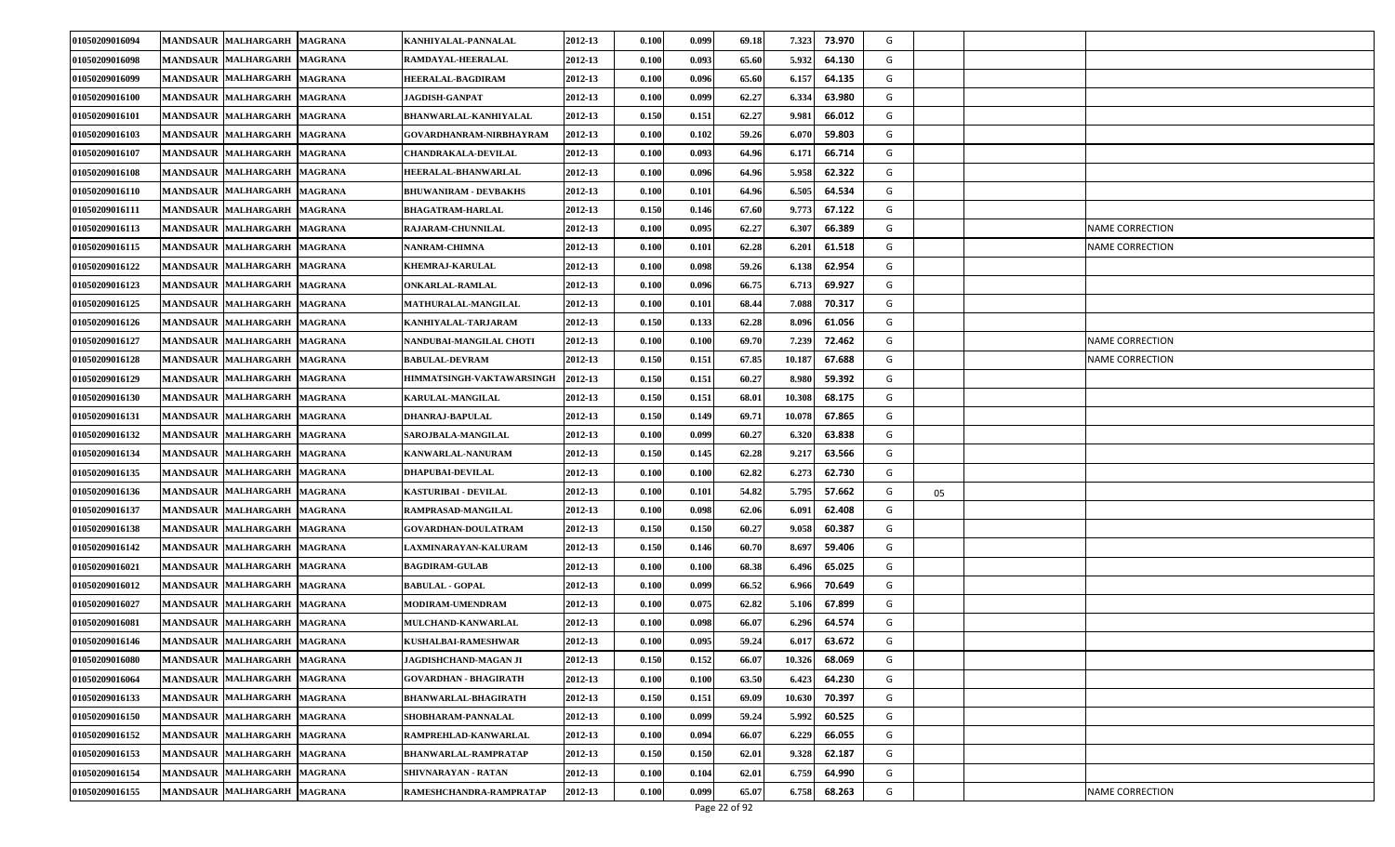| 01050209016094 | MANDSAUR MALHARGARH MAGRANA                  | KANHIYALAL-PANNALAL          | 2012-13 | 0.100 | 0.099 | 69.18                  | 7.323<br>73.970  | G |    |                        |
|----------------|----------------------------------------------|------------------------------|---------|-------|-------|------------------------|------------------|---|----|------------------------|
| 01050209016098 | MANDSAUR MALHARGARH MAGRANA                  | RAMDAYAL-HEERALAL            | 2012-13 | 0.100 | 0.093 | 65.60                  | 5.932<br>64.130  | G |    |                        |
| 01050209016099 | MANDSAUR MALHARGARH MAGRANA                  | <b>HEERALAL-BAGDIRAM</b>     | 2012-13 | 0.100 | 0.096 | 65.60                  | 64.135<br>6.157  | G |    |                        |
| 01050209016100 | MANDSAUR MALHARGARH MAGRANA                  | <b>JAGDISH-GANPAT</b>        | 2012-13 | 0.100 | 0.099 | 62.27                  | 6.334<br>63.980  | G |    |                        |
| 01050209016101 | MANDSAUR MALHARGARH MAGRANA                  | BHANWARLAL-KANHIYALAL        | 2012-13 | 0.150 | 0.151 | 62.27                  | 66.012<br>9.981  | G |    |                        |
| 01050209016103 | MANDSAUR MALHARGARH MAGRANA                  | GOVARDHANRAM-NIRBHAYRAM      | 2012-13 | 0.100 | 0.102 | 59.26                  | 6.070<br>59.803  | G |    |                        |
| 01050209016107 | MANDSAUR MALHARGARH MAGRANA                  | <b>CHANDRAKALA-DEVILAL</b>   | 2012-13 | 0.100 | 0.093 | 64.96                  | 6.171<br>66.714  | G |    |                        |
| 01050209016108 | <b>MANDSAUR MALHARGARH</b><br><b>MAGRANA</b> | HEERALAL-BHANWARLAL          | 2012-13 | 0.100 | 0.096 | 64.96                  | 5.958<br>62.322  | G |    |                        |
| 01050209016110 | MANDSAUR MALHARGARH MAGRANA                  | <b>BHUWANIRAM - DEVBAKHS</b> | 2012-13 | 0.100 | 0.101 | 64.96                  | 6.505<br>64.534  | G |    |                        |
| 01050209016111 | MANDSAUR MALHARGARH MAGRANA                  | <b>BHAGATRAM-HARLAL</b>      | 2012-13 | 0.150 | 0.146 | 67.60                  | 67.122<br>9.773  | G |    |                        |
| 01050209016113 | MANDSAUR MALHARGARH MAGRANA                  | RAJARAM-CHUNNILAL            | 2012-13 | 0.100 | 0.095 | 62.27                  | 6.307<br>66.389  | G |    | <b>NAME CORRECTION</b> |
| 01050209016115 | MANDSAUR MALHARGARH MAGRANA                  | <b>NANRAM-CHIMNA</b>         | 2012-13 | 0.100 | 0.101 | 62.28                  | 6.201<br>61.518  | G |    | NAME CORRECTION        |
| 01050209016122 | <b>MANDSAUR MALHARGARH</b><br><b>MAGRANA</b> | <b>KHEMRAJ-KARULAL</b>       | 2012-13 | 0.100 | 0.098 | 59.26                  | 6.138<br>62.954  | G |    |                        |
| 01050209016123 | MANDSAUR MALHARGARH MAGRANA                  | <b>ONKARLAL-RAMLAL</b>       | 2012-13 | 0.100 | 0.096 | 66.75                  | 6.713<br>69.927  | G |    |                        |
| 01050209016125 | MANDSAUR MALHARGARH MAGRANA                  | MATHURALAL-MANGILAL          | 2012-13 | 0.100 | 0.101 | 68.44                  | 7.088<br>70.317  | G |    |                        |
| 01050209016126 | MANDSAUR MALHARGARH MAGRANA                  | KANHIYALAL-TARJARAM          | 2012-13 | 0.150 | 0.133 | 62.28                  | 8.09<br>61.056   | G |    |                        |
| 01050209016127 | <b>MANDSAUR MALHARGARH</b><br><b>MAGRANA</b> | NANDUBAI-MANGILAL CHOTI      | 2012-13 | 0.100 | 0.100 | 69.70                  | 7.239<br>72.462  | G |    | <b>NAME CORRECTION</b> |
| 01050209016128 | MANDSAUR MALHARGARH MAGRANA                  | <b>BABULAL-DEVRAM</b>        | 2012-13 | 0.150 | 0.151 | 67.85                  | 10.187<br>67.688 | G |    | <b>NAME CORRECTION</b> |
| 01050209016129 | <b>MANDSAUR MALHARGARH</b><br><b>MAGRANA</b> | HIMMATSINGH-VAKTAWARSINGH    | 2012-13 | 0.150 | 0.151 | 60.27                  | 8.980<br>59.392  | G |    |                        |
| 01050209016130 | <b>MANDSAUR MALHARGARH</b><br><b>MAGRANA</b> | <b>KARULAL-MANGILAL</b>      | 2012-13 | 0.150 | 0.151 | 68.01                  | 10.308<br>68.175 | G |    |                        |
| 01050209016131 | MANDSAUR MALHARGARH MAGRANA                  | <b>DHANRAJ-BAPULAL</b>       | 2012-13 | 0.150 | 0.149 | 69.71                  | 10.078<br>67.865 | G |    |                        |
| 01050209016132 | MANDSAUR MALHARGARH MAGRANA                  | SAROJBALA-MANGILAL           | 2012-13 | 0.100 | 0.099 | 60.27                  | 63.838<br>6.320  | G |    |                        |
| 01050209016134 | MANDSAUR MALHARGARH MAGRANA                  | <b>KANWARLAL-NANURAM</b>     | 2012-13 | 0.150 | 0.145 | 62.28                  | 9.217<br>63.566  | G |    |                        |
| 01050209016135 | MANDSAUR MALHARGARH MAGRANA                  | <b>DHAPUBAI-DEVILAL</b>      | 2012-13 | 0.100 | 0.100 | 62.82                  | 6.27<br>62.730   | G |    |                        |
| 01050209016136 | MANDSAUR MALHARGARH MAGRANA                  | <b>KASTURIBAI - DEVILAL</b>  | 2012-13 | 0.100 | 0.101 | 54.82                  | 5.795<br>57.662  | G | 05 |                        |
| 01050209016137 | MANDSAUR MALHARGARH MAGRANA                  | RAMPRASAD-MANGILAL           | 2012-13 | 0.100 | 0.098 | 62.06                  | 62.408<br>6.091  | G |    |                        |
| 01050209016138 | <b>MANDSAUR MALHARGARH</b><br><b>MAGRANA</b> | GOVARDHAN-DOULATRAM          | 2012-13 | 0.150 | 0.150 | 60.27                  | 60.387<br>9.058  | G |    |                        |
| 01050209016142 | MANDSAUR MALHARGARH MAGRANA                  | LAXMINARAYAN-KALURAM         | 2012-13 | 0.150 | 0.146 | 60.70                  | 8.69<br>59.406   | G |    |                        |
| 01050209016021 | MANDSAUR MALHARGARH MAGRANA                  | <b>BAGDIRAM-GULAB</b>        | 2012-13 | 0.100 | 0.100 | 68.38                  | 6.496<br>65.025  | G |    |                        |
| 01050209016012 | MANDSAUR MALHARGARH MAGRANA                  | <b>BABULAL - GOPAL</b>       | 2012-13 | 0.100 | 0.099 | 66.52                  | 6.966<br>70.649  | G |    |                        |
| 01050209016027 | <b>MANDSAUR MALHARGARH</b><br><b>MAGRANA</b> | MODIRAM-UMENDRAM             | 2012-13 | 0.100 | 0.075 | 62.82                  | 5.106<br>67.899  | G |    |                        |
| 01050209016081 | MANDSAUR MALHARGARH MAGRANA                  | MULCHAND-KANWARLAL           | 2012-13 | 0.100 | 0.098 | 66.07                  | 6.29<br>64.574   | G |    |                        |
| 01050209016146 | MANDSAUR MALHARGARH MAGRANA                  | <b>KUSHALBAI-RAMESHWAR</b>   | 2012-13 | 0.100 | 0.095 | 59.24                  | 6.017<br>63.672  | G |    |                        |
| 01050209016080 | MANDSAUR MALHARGARH MAGRANA                  | JAGDISHCHAND-MAGAN JI        | 2012-13 | 0.150 | 0.152 | 66.07                  | 10.326<br>68.069 | G |    |                        |
| 01050209016064 | MANDSAUR MALHARGARH MAGRANA                  | <b>GOVARDHAN - BHAGIRATH</b> | 2012-13 | 0.100 | 0.100 | 63.50                  | 64.230<br>6.423  | G |    |                        |
| 01050209016133 | MANDSAUR MALHARGARH MAGRANA                  | <b>BHANWARLAL-BHAGIRATH</b>  | 2012-13 | 0.150 | 0.151 | 69.09                  | 70.397<br>10.630 | G |    |                        |
| 01050209016150 | MANDSAUR MALHARGARH MAGRANA                  | SHOBHARAM-PANNALAL           | 2012-13 | 0.100 | 0.099 | 59.24                  | 60.525<br>5.992  | G |    |                        |
| 01050209016152 | MANDSAUR MALHARGARH MAGRANA                  | RAMPREHLAD-KANWARLAL         | 2012-13 | 0.100 | 0.094 | 66.07                  | 6.229<br>66.055  | G |    |                        |
| 01050209016153 | MANDSAUR MALHARGARH MAGRANA                  | <b>BHANWARLAL-RAMPRATAP</b>  | 2012-13 | 0.150 | 0.150 | 62.01                  | 9.328<br>62.187  | G |    |                        |
| 01050209016154 | MANDSAUR MALHARGARH MAGRANA                  | SHIVNARAYAN - RATAN          | 2012-13 | 0.100 | 0.104 | 62.01                  | 64.990<br>6.759  | G |    |                        |
| 01050209016155 | MANDSAUR MALHARGARH MAGRANA                  | RAMESHCHANDRA-RAMPRATAP      | 2012-13 | 0.100 | 0.099 | 65.07<br>Page 22 of 92 | 6.758<br>68.263  | G |    | <b>NAME CORRECTION</b> |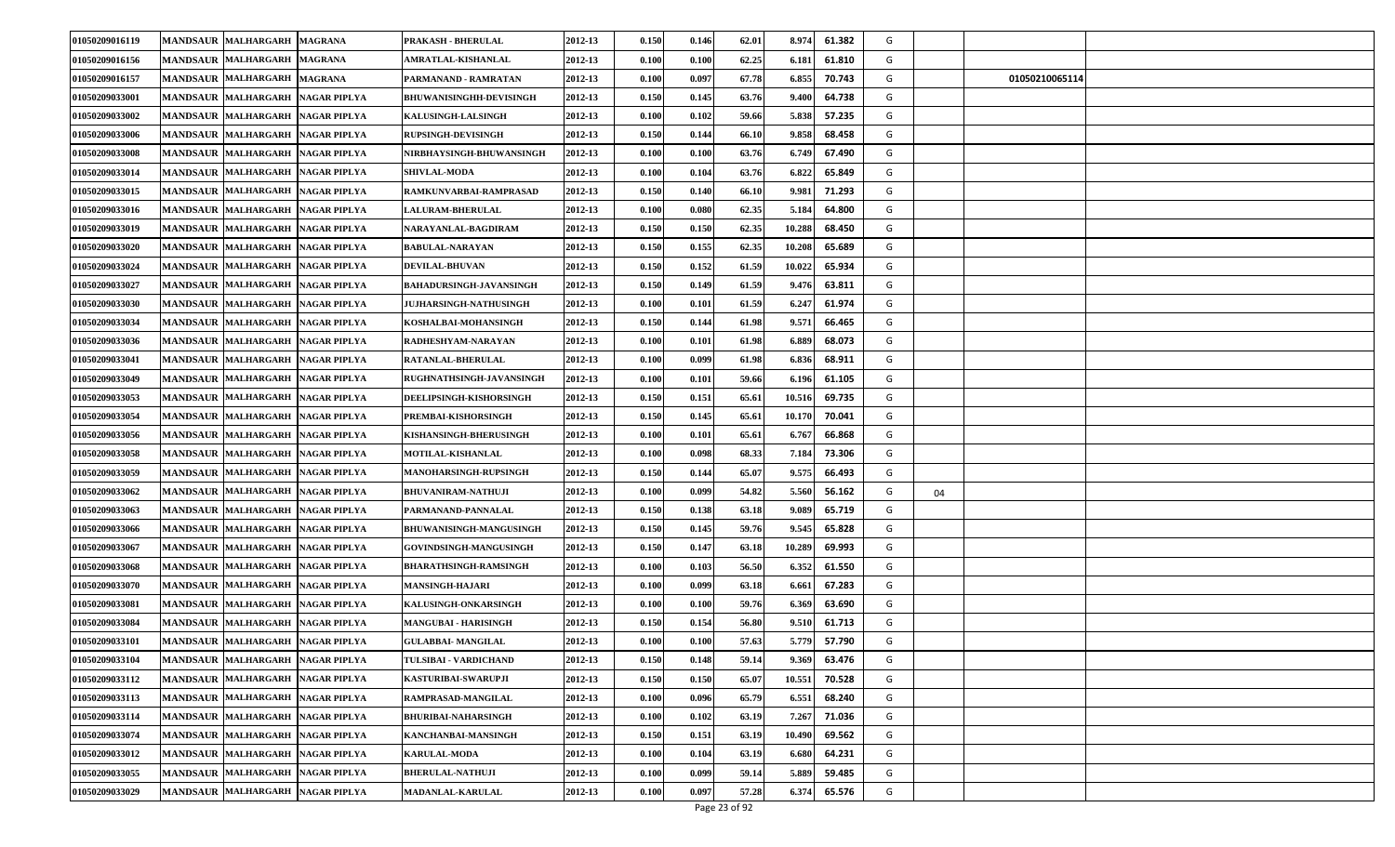| 01050209016119 | <b>MANDSAUR MALHARGARH</b>       | <b>MAGRANA</b>      | PRAKASH - BHERULAL              | 2012-13 | 0.150                | 0.146 | 62.01 | 8.974  | 61.382 | G |    |                |
|----------------|----------------------------------|---------------------|---------------------------------|---------|----------------------|-------|-------|--------|--------|---|----|----------------|
| 01050209016156 | <b>MANDSAUR MALHARGARH</b>       | <b>MAGRANA</b>      | AMRATLAL-KISHANLAL              | 2012-13 | 0.100                | 0.100 | 62.25 | 6.18   | 61.810 | G |    |                |
| 01050209016157 | <b>MANDSAUR MALHARGARH</b>       | <b>MAGRANA</b>      | PARMANAND - RAMRATAN            | 2012-13 | 0.100                | 0.097 | 67.78 | 6.855  | 70.743 | G |    | 01050210065114 |
| 01050209033001 | <b>MANDSAUR MALHARGARH</b>       | <b>NAGAR PIPLYA</b> | BHUWANISINGHH-DEVISINGH         | 2012-13 | 0.150                | 0.145 | 63.76 | 9.40   | 64.738 | G |    |                |
| 01050209033002 | <b>MANDSAUR MALHARGARH</b>       | <b>NAGAR PIPLYA</b> | <b>KALUSINGH-LALSINGH</b>       | 2012-13 | 0.100                | 0.102 | 59.66 | 5.838  | 57.235 | G |    |                |
| 01050209033006 | <b>MANDSAUR MALHARGARH</b>       | <b>NAGAR PIPLYA</b> | <b>RUPSINGH-DEVISINGH</b>       | 2012-13 | 0.150                | 0.144 | 66.10 | 9.858  | 68.458 | G |    |                |
| 01050209033008 | MANDSAUR MALHARGARH              | <b>NAGAR PIPLYA</b> | NIRBHAYSINGH-BHUWANSINGH        | 2012-13 | 0.100                | 0.100 | 63.76 | 6.749  | 67.490 | G |    |                |
| 01050209033014 | <b>MANDSAUR MALHARGARH</b>       | <b>NAGAR PIPLYA</b> | <b>SHIVLAL MODA</b>             | 2012-13 | 0.100                | 0.104 | 63.76 | 6.822  | 65.849 | G |    |                |
| 01050209033015 | <b>MANDSAUR MALHARGARH</b>       | <b>NAGAR PIPLYA</b> | RAMKUNVARBAI-RAMPRASAD          | 2012-13 | 0.150                | 0.140 | 66.10 | 9.98   | 71.293 | G |    |                |
| 01050209033016 | <b>MANDSAUR MALHARGARH</b>       | <b>NAGAR PIPLYA</b> | <b>LALURAM-BHERULAL</b>         | 2012-13 | $\boldsymbol{0.100}$ | 0.080 | 62.35 | 5.184  | 64.800 | G |    |                |
| 01050209033019 | <b>MANDSAUR MALHARGARH</b>       | <b>NAGAR PIPLYA</b> | NARAYANLAL-BAGDIRAM             | 2012-13 | 0.150                | 0.150 | 62.35 | 10.288 | 68.450 | G |    |                |
| 01050209033020 | <b>MANDSAUR MALHARGARH</b>       | <b>NAGAR PIPLYA</b> | <b>BABULAL-NARAYAN</b>          | 2012-13 | 0.150                | 0.155 | 62.35 | 10.208 | 65.689 | G |    |                |
| 01050209033024 | <b>MANDSAUR MALHARGARH</b>       | <b>NAGAR PIPLYA</b> | <b>DEVILAL-BHUVAN</b>           | 2012-13 | 0.150                | 0.152 | 61.59 | 10.022 | 65.934 | G |    |                |
| 01050209033027 | <b>MANDSAUR MALHARGARH</b>       | <b>NAGAR PIPLYA</b> | <b>BAHADURSINGH-JAVANSINGH</b>  | 2012-13 | 0.150                | 0.149 | 61.59 | 9.476  | 63.811 | G |    |                |
| 01050209033030 | <b>MANDSAUR MALHARGARH</b>       | <b>NAGAR PIPLYA</b> | <b>JUJHARSINGH-NATHUSINGH</b>   | 2012-13 | 0.100                | 0.101 | 61.59 | 6.247  | 61.974 | G |    |                |
| 01050209033034 | <b>MANDSAUR MALHARGARH</b>       | <b>NAGAR PIPLYA</b> | KOSHALBAI-MOHANSINGH            | 2012-13 | 0.150                | 0.144 | 61.98 | 9.57   | 66.465 | G |    |                |
| 01050209033036 | <b>MANDSAUR MALHARGARH</b>       | <b>NAGAR PIPLYA</b> | RADHESHYAM-NARAYAN              | 2012-13 | 0.100                | 0.101 | 61.98 | 6.88   | 68.073 | G |    |                |
| 01050209033041 | <b>MANDSAUR MALHARGARH</b>       | <b>NAGAR PIPLYA</b> | <b>RATANLAL-BHERULAL</b>        | 2012-13 | 0.100                | 0.099 | 61.98 | 6.836  | 68.911 | G |    |                |
| 01050209033049 | <b>MANDSAUR MALHARGARH</b>       | <b>NAGAR PIPLYA</b> | <b>RUGHNATHSINGH-JAVANSINGH</b> | 2012-13 | 0.100                | 0.101 | 59.66 | 6.196  | 61.105 | G |    |                |
| 01050209033053 | <b>MANDSAUR MALHARGARH</b>       | <b>NAGAR PIPLYA</b> | DEELIPSINGH-KISHORSINGH         | 2012-13 | 0.150                | 0.151 | 65.61 | 10.516 | 69.735 | G |    |                |
| 01050209033054 | <b>MANDSAUR MALHARGARH</b>       | <b>NAGAR PIPLYA</b> | PREMBAI-KISHORSINGH             | 2012-13 | 0.150                | 0.145 | 65.61 | 10.170 | 70.041 | G |    |                |
| 01050209033056 | <b>MANDSAUR MALHARGARH</b>       | <b>NAGAR PIPLYA</b> | KISHANSINGH-BHERUSINGH          | 2012-13 | 0.100                | 0.101 | 65.61 | 6.767  | 66.868 | G |    |                |
| 01050209033058 | <b>MANDSAUR MALHARGARH</b>       | <b>NAGAR PIPLYA</b> | <b>MOTILAL-KISHANLAL</b>        | 2012-13 | 0.100                | 0.098 | 68.33 | 7.184  | 73.306 | G |    |                |
| 01050209033059 | <b>MANDSAUR MALHARGARH</b>       | <b>NAGAR PIPLYA</b> | <b>MANOHARSINGH-RUPSINGH</b>    | 2012-13 | 0.150                | 0.144 | 65.07 | 9.575  | 66.493 | G |    |                |
| 01050209033062 | <b>MANDSAUR MALHARGARH</b>       | <b>NAGAR PIPLYA</b> | <b>BHUVANIRAM-NATHUJI</b>       | 2012-13 | 0.100                | 0.099 | 54.82 | 5.560  | 56.162 | G | 04 |                |
| 01050209033063 | <b>MANDSAUR MALHARGARH</b>       | <b>NAGAR PIPLYA</b> | PARMANAND-PANNALAL              | 2012-13 | 0.150                | 0.138 | 63.18 | 9.089  | 65.719 | G |    |                |
| 01050209033066 | <b>MANDSAUR MALHARGARH</b>       | <b>NAGAR PIPLYA</b> | BHUWANISINGH-MANGUSINGH         | 2012-13 | 0.150                | 0.145 | 59.76 | 9.545  | 65.828 | G |    |                |
| 01050209033067 | <b>MANDSAUR MALHARGARH</b>       | <b>NAGAR PIPLYA</b> | <b>GOVINDSINGH-MANGUSINGH</b>   | 2012-13 | 0.150                | 0.147 | 63.18 | 10.289 | 69.993 | G |    |                |
| 01050209033068 | <b>MANDSAUR MALHARGARH</b>       | <b>NAGAR PIPLYA</b> | <b>BHARATHSINGH-RAMSINGH</b>    | 2012-13 | $\boldsymbol{0.100}$ | 0.103 | 56.50 | 6.352  | 61.550 | G |    |                |
| 01050209033070 | <b>MANDSAUR MALHARGARH</b>       | <b>NAGAR PIPLYA</b> | <b>MANSINGH-HAJARI</b>          | 2012-13 | 0.100                | 0.099 | 63.18 | 6.66   | 67.283 | G |    |                |
| 01050209033081 | <b>MANDSAUR MALHARGARH</b>       | <b>NAGAR PIPLYA</b> | <b>KALUSINGH-ONKARSINGH</b>     | 2012-13 | 0.100                | 0.100 | 59.76 | 6.369  | 63.690 | G |    |                |
| 01050209033084 | <b>MANDSAUR MALHARGARH</b>       | <b>NAGAR PIPLYA</b> | <b>MANGUBAI - HARISINGH</b>     | 2012-13 | 0.150                | 0.154 | 56.80 | 9.510  | 61.713 | G |    |                |
| 01050209033101 | MANDSAUR MALHARGARH NAGAR PIPLYA |                     | <b>GULABBAI- MANGILAL</b>       | 2012-13 | 0.100                | 0.100 | 57.63 | 5.779  | 57.790 | G |    |                |
| 01050209033104 | MANDSAUR MALHARGARH NAGAR PIPLYA |                     | TULSIBAI - VARDICHAND           | 2012-13 | 0.150                | 0.148 | 59.14 | 9.369  | 63.476 | G |    |                |
| 01050209033112 | MANDSAUR MALHARGARH NAGAR PIPLYA |                     | KASTURIBAI-SWARUPJI             | 2012-13 | 0.150                | 0.150 | 65.07 | 10.551 | 70.528 | G |    |                |
| 01050209033113 | MANDSAUR MALHARGARH NAGAR PIPLYA |                     | RAMPRASAD-MANGILAL              | 2012-13 | 0.100                | 0.096 | 65.79 | 6.551  | 68.240 | G |    |                |
| 01050209033114 | MANDSAUR MALHARGARH NAGAR PIPLYA |                     | <b>BHURIBAI-NAHARSINGH</b>      | 2012-13 | 0.100                | 0.102 | 63.19 | 7.267  | 71.036 | G |    |                |
| 01050209033074 | MANDSAUR MALHARGARH NAGAR PIPLYA |                     | KANCHANBAI-MANSINGH             | 2012-13 | 0.150                | 0.151 | 63.19 | 10.490 | 69.562 | G |    |                |
| 01050209033012 | MANDSAUR MALHARGARH              | <b>NAGAR PIPLYA</b> | <b>KARULAL-MODA</b>             | 2012-13 | 0.100                | 0.104 | 63.19 | 6.680  | 64.231 | G |    |                |
| 01050209033055 | <b>MANDSAUR MALHARGARH</b>       | <b>NAGAR PIPLYA</b> | <b>BHERULAL-NATHUJI</b>         | 2012-13 | 0.100                | 0.099 | 59.14 | 5.889  | 59.485 | G |    |                |
| 01050209033029 | <b>MANDSAUR MALHARGARH</b>       | <b>NAGAR PIPLYA</b> | <b>MADANLAL-KARULAL</b>         | 2012-13 | 0.100                | 0.097 | 57.28 | 6.374  | 65.576 | G |    |                |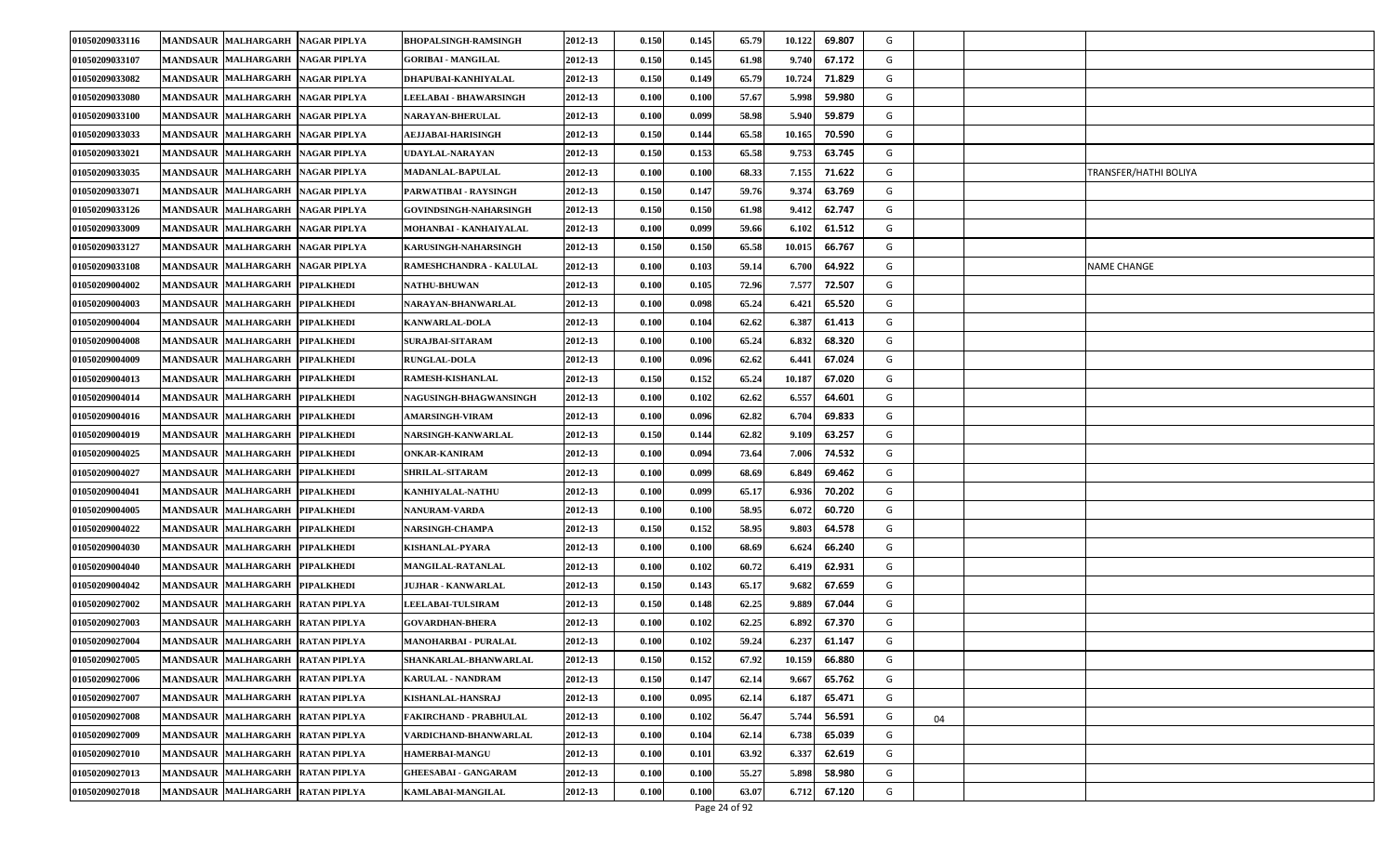| 01050209033116 | <b>MANDSAUR MALHARGARH</b>           | <b>NAGAR PIPLYA</b> | <b>BHOPALSINGH-RAMSINGH</b>   | 2012-13 | 0.150                | 0.145 | 65.79 | 10.122 | 69.807 | G |    |                       |
|----------------|--------------------------------------|---------------------|-------------------------------|---------|----------------------|-------|-------|--------|--------|---|----|-----------------------|
| 01050209033107 | <b>MANDSAUR MALHARGARH</b>           | <b>NAGAR PIPLYA</b> | <b>GORIBAI - MANGILAL</b>     | 2012-13 | 0.150                | 0.145 | 61.98 | 9.740  | 67.172 | G |    |                       |
| 01050209033082 | <b>MANDSAUR MALHARGARH</b>           | <b>NAGAR PIPLYA</b> | DHAPUBAI-KANHIYALAL           | 2012-13 | 0.150                | 0.149 | 65.79 | 10.724 | 71.829 | G |    |                       |
| 01050209033080 | <b>MANDSAUR MALHARGARH</b>           | <b>NAGAR PIPLYA</b> | <b>LEELABAI - BHAWARSINGH</b> | 2012-13 | 0.100                | 0.100 | 57.67 | 5.998  | 59.980 | G |    |                       |
| 01050209033100 | <b>MANDSAUR MALHARGARH</b>           | <b>NAGAR PIPLYA</b> | <b>NARAYAN-BHERULAL</b>       | 2012-13 | 0.100                | 0.099 | 58.98 | 5.940  | 59.879 | G |    |                       |
| 01050209033033 | MANDSAUR MALHARGARH                  | <b>NAGAR PIPLYA</b> | AEJJABAI-HARISINGH            | 2012-13 | 0.150                | 0.144 | 65.58 | 10.165 | 70.590 | G |    |                       |
| 01050209033021 | <b>MANDSAUR MALHARGARH</b>           | <b>NAGAR PIPLYA</b> | UDAYLAL-NARAYAN               | 2012-13 | 0.150                | 0.153 | 65.58 | 9.753  | 63.745 | G |    |                       |
| 01050209033035 | <b>MANDSAUR MALHARGARH</b>           | <b>NAGAR PIPLYA</b> | <b>MADANLAL-BAPULAL</b>       | 2012-13 | 0.100                | 0.100 | 68.33 | 7.155  | 71.622 | G |    | TRANSFER/HATHI BOLIYA |
| 01050209033071 | <b>MANDSAUR MALHARGARH</b>           | <b>NAGAR PIPLYA</b> | PARWATIBAI - RAYSINGH         | 2012-13 | 0.150                | 0.147 | 59.76 | 9.37   | 63.769 | G |    |                       |
| 01050209033126 | <b>MANDSAUR MALHARGARH</b>           | <b>NAGAR PIPLYA</b> | <b>GOVINDSINGH-NAHARSINGH</b> | 2012-13 | 0.150                | 0.150 | 61.98 | 9.41   | 62.747 | G |    |                       |
| 01050209033009 | <b>MANDSAUR MALHARGARH</b>           | <b>NAGAR PIPLYA</b> | MOHANBAI - KANHAIYALAL        | 2012-13 | 0.100                | 0.099 | 59.66 | 6.102  | 61.512 | G |    |                       |
| 01050209033127 | <b>MANDSAUR MALHARGARH</b>           | <b>NAGAR PIPLYA</b> | <b>KARUSINGH-NAHARSINGH</b>   | 2012-13 | 0.150                | 0.150 | 65.58 | 10.01. | 66.767 | G |    |                       |
| 01050209033108 | <b>MANDSAUR MALHARGARH</b>           | <b>NAGAR PIPLYA</b> | RAMESHCHANDRA - KALULAL       | 2012-13 | 0.100                | 0.103 | 59.14 | 6.700  | 64.922 | G |    | NAME CHANGE           |
| 01050209004002 | MANDSAUR MALHARGARH                  | <b>PIPALKHEDI</b>   | <b>NATHU-BHUWAN</b>           | 2012-13 | 0.100                | 0.105 | 72.96 | 7.577  | 72.507 | G |    |                       |
| 01050209004003 | MANDSAUR MALHARGARH                  | <b>PIPALKHEDI</b>   | NARAYAN-BHANWARLAL            | 2012-13 | 0.100                | 0.098 | 65.24 | 6.421  | 65.520 | G |    |                       |
| 01050209004004 | <b>MANDSAUR</b><br><b>MALHARGARH</b> | <b>PIPALKHEDI</b>   | <b>KANWARLAL-DOLA</b>         | 2012-13 | 0.100                | 0.104 | 62.62 | 6.387  | 61.413 | G |    |                       |
| 01050209004008 | <b>MANDSAUR MALHARGARH</b>           | <b>PIPALKHEDI</b>   | <b>SURAJBAI-SITARAM</b>       | 2012-13 | 0.100                | 0.100 | 65.24 | 6.832  | 68.320 | G |    |                       |
| 01050209004009 | MANDSAUR MALHARGARH                  | <b>PIPALKHEDI</b>   | <b>RUNGLAL-DOLA</b>           | 2012-13 | 0.100                | 0.096 | 62.62 | 6.44   | 67.024 | G |    |                       |
| 01050209004013 | <b>MANDSAUR MALHARGARH</b>           | <b>PIPALKHEDI</b>   | RAMESH-KISHANLAL              | 2012-13 | 0.150                | 0.152 | 65.24 | 10.187 | 67.020 | G |    |                       |
| 01050209004014 | <b>MANDSAUR MALHARGARH</b>           | <b>PIPALKHEDI</b>   | <b>NAGUSINGH-BHAGWANSINGH</b> | 2012-13 | 0.100                | 0.102 | 62.62 | 6.55'  | 64.601 | G |    |                       |
| 01050209004016 | <b>MANDSAUR MALHARGARH</b>           | <b>PIPALKHEDI</b>   | <b>AMARSINGH-VIRAM</b>        | 2012-13 | 0.100                | 0.096 | 62.82 | 6.704  | 69.833 | G |    |                       |
| 01050209004019 | <b>MANDSAUR MALHARGARH</b>           | <b>PIPALKHEDI</b>   | NARSINGH-KANWARLAL            | 2012-13 | 0.150                | 0.144 | 62.82 | 9.109  | 63.257 | G |    |                       |
| 01050209004025 | <b>MANDSAUR MALHARGARH</b>           | <b>PIPALKHEDI</b>   | ONKAR-KANIRAM                 | 2012-13 | 0.100                | 0.094 | 73.64 | 7.006  | 74.532 | G |    |                       |
| 01050209004027 | <b>MANDSAUR MALHARGARH</b>           | <b>PIPALKHEDI</b>   | <b>SHRILAL-SITARAM</b>        | 2012-13 | 0.100                | 0.099 | 68.69 | 6.849  | 69.462 | G |    |                       |
| 01050209004041 | <b>MANDSAUR MALHARGARH</b>           | <b>PIPALKHEDI</b>   | KANHIYALAL-NATHU              | 2012-13 | 0.100                | 0.099 | 65.17 | 6.936  | 70.202 | G |    |                       |
| 01050209004005 | <b>MANDSAUR MALHARGARH</b>           | <b>PIPALKHEDI</b>   | <b>NANURAM-VARDA</b>          | 2012-13 | 0.100                | 0.100 | 58.95 | 6.072  | 60.720 | G |    |                       |
| 01050209004022 | <b>MANDSAUR MALHARGARH</b>           | <b>PIPALKHEDI</b>   | NARSINGH-CHAMPA               | 2012-13 | 0.150                | 0.152 | 58.95 | 9.803  | 64.578 | G |    |                       |
| 01050209004030 | <b>MANDSAUR MALHARGARH</b>           | <b>PIPALKHEDI</b>   | KISHANLAL-PYARA               | 2012-13 | 0.100                | 0.100 | 68.69 | 6.62   | 66.240 | G |    |                       |
| 01050209004040 | MANDSAUR MALHARGARH                  | <b>PIPALKHEDI</b>   | <b>MANGILAL-RATANLAL</b>      | 2012-13 | $\boldsymbol{0.100}$ | 0.102 | 60.72 | 6.41   | 62.931 | G |    |                       |
| 01050209004042 | MANDSAUR MALHARGARH                  | <b>PIPALKHEDI</b>   | <b>JUJHAR - KANWARLAL</b>     | 2012-13 | 0.150                | 0.143 | 65.17 | 9.682  | 67.659 | G |    |                       |
| 01050209027002 | <b>MANDSAUR MALHARGARH</b>           | <b>RATAN PIPLYA</b> | <b>LEELABAI-TULSIRAM</b>      | 2012-13 | 0.150                | 0.148 | 62.25 | 9.889  | 67.044 | G |    |                       |
| 01050209027003 | <b>MANDSAUR MALHARGARH</b>           | <b>RATAN PIPLYA</b> | <b>GOVARDHAN-BHERA</b>        | 2012-13 | 0.100                | 0.102 | 62.25 | 6.892  | 67.370 | G |    |                       |
| 01050209027004 | MANDSAUR MALHARGARH RATAN PIPLYA     |                     | <b>MANOHARBAI - PURALAL</b>   | 2012-13 | 0.100                | 0.102 | 59.24 | 6.237  | 61.147 | G |    |                       |
| 01050209027005 | MANDSAUR MALHARGARH RATAN PIPLYA     |                     | SHANKARLAL-BHANWARLAL         | 2012-13 | 0.150                | 0.152 | 67.92 | 10.159 | 66.880 | G |    |                       |
| 01050209027006 | MANDSAUR MALHARGARH                  | <b>RATAN PIPLYA</b> | KARULAL - NANDRAM             | 2012-13 | 0.150                | 0.147 | 62.14 | 9.667  | 65.762 | G |    |                       |
| 01050209027007 | MANDSAUR MALHARGARH RATAN PIPLYA     |                     | KISHANLAL-HANSRAJ             | 2012-13 | 0.100                | 0.095 | 62.14 | 6.18   | 65.471 | G |    |                       |
| 01050209027008 | MANDSAUR MALHARGARH                  | <b>RATAN PIPLYA</b> | FAKIRCHAND - PRABHULAL        | 2012-13 | 0.100                | 0.102 | 56.47 | 5.744  | 56.591 | G | 04 |                       |
| 01050209027009 | MANDSAUR MALHARGARH RATAN PIPLYA     |                     | VARDICHAND-BHANWARLAL         | 2012-13 | 0.100                | 0.104 | 62.14 | 6.738  | 65.039 | G |    |                       |
| 01050209027010 | MANDSAUR MALHARGARH RATAN PIPLYA     |                     | HAMERBAI-MANGU                | 2012-13 | 0.100                | 0.101 | 63.92 | 6.33'  | 62.619 | G |    |                       |
| 01050209027013 | MANDSAUR MALHARGARH RATAN PIPLYA     |                     | <b>GHEESABAI - GANGARAM</b>   | 2012-13 | 0.100                | 0.100 | 55.27 | 5.898  | 58.980 | G |    |                       |
| 01050209027018 | MANDSAUR MALHARGARH                  | <b>RATAN PIPLYA</b> | KAMLABAI-MANGILAL             | 2012-13 | 0.100                | 0.100 | 63.07 | 6.712  | 67.120 | G |    |                       |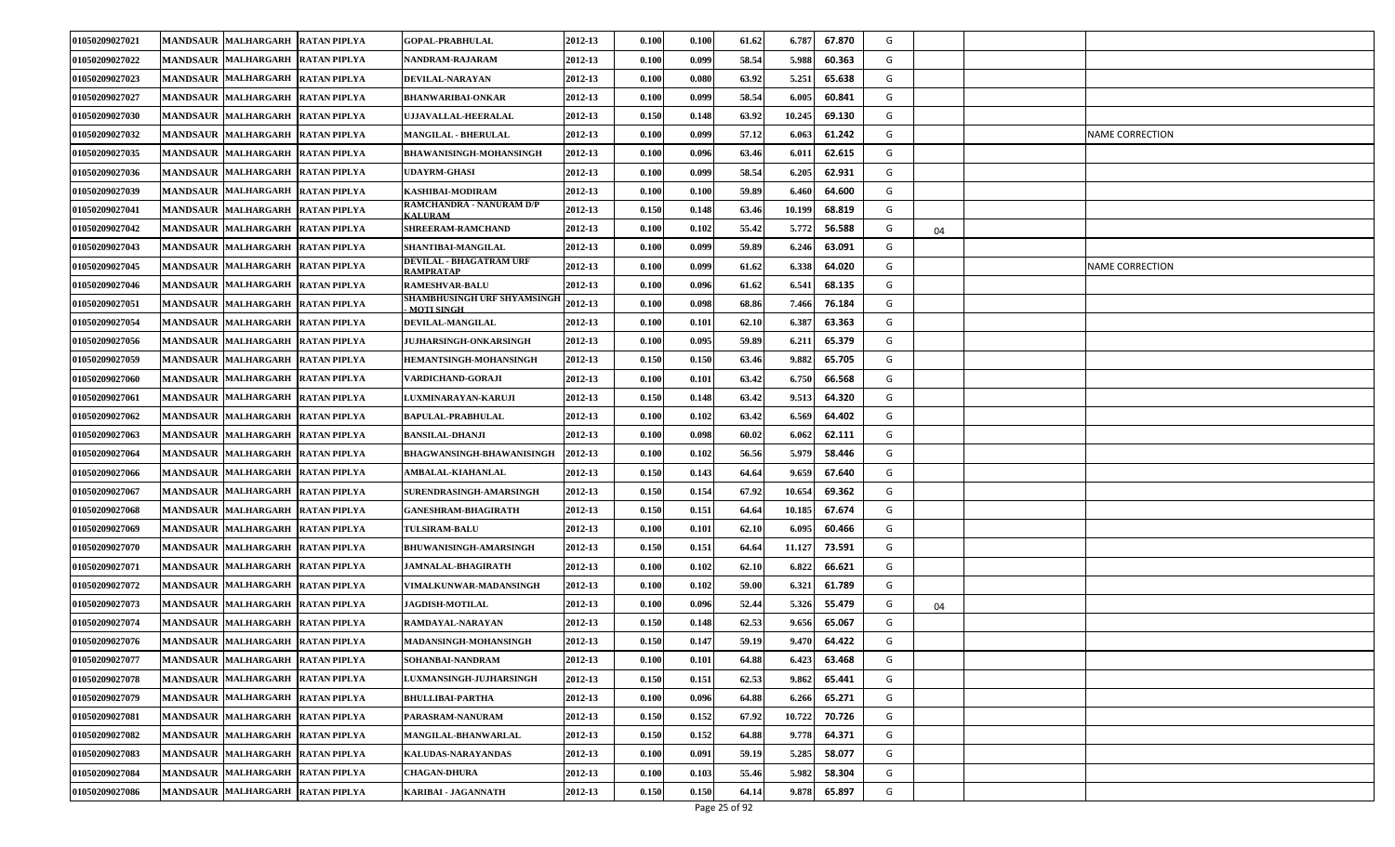| 01050209027021 | <b>MANDSAUR MALHARGARH</b>       | <b>RATAN PIPLYA</b> | <b>GOPAL-PRABHULAL</b>                           | 2012-13 | 0.100                | 0.100 | 61.62 | 6.787  | 67.870 | G |    |                 |
|----------------|----------------------------------|---------------------|--------------------------------------------------|---------|----------------------|-------|-------|--------|--------|---|----|-----------------|
| 01050209027022 | <b>MANDSAUR MALHARGARH</b>       | <b>RATAN PIPLYA</b> | NANDRAM-RAJARAM                                  | 2012-13 | 0.100                | 0.099 | 58.54 | 5.988  | 60.363 | G |    |                 |
| 01050209027023 | MANDSAUR MALHARGARH              | <b>RATAN PIPLYA</b> | DEVILAL-NARAYAN                                  | 2012-13 | 0.100                | 0.080 | 63.92 | 5.251  | 65.638 | G |    |                 |
| 01050209027027 | <b>MANDSAUR MALHARGARH</b>       | <b>RATAN PIPLYA</b> | BHANWARIBAI-ONKAR                                | 2012-13 | 0.100                | 0.099 | 58.54 | 6.005  | 60.841 | G |    |                 |
| 01050209027030 | <b>MANDSAUR MALHARGARH</b>       | <b>RATAN PIPLYA</b> | UJJAVALLAL-HEERALAL                              | 2012-13 | 0.150                | 0.148 | 63.92 | 10.245 | 69.130 | G |    |                 |
| 01050209027032 | <b>MANDSAUR MALHARGARH</b>       | <b>RATAN PIPLYA</b> | <b>MANGILAL - BHERULAL</b>                       | 2012-13 | $\boldsymbol{0.100}$ | 0.099 | 57.12 | 6.063  | 61.242 | G |    | NAME CORRECTION |
| 01050209027035 | <b>MANDSAUR MALHARGARH</b>       | <b>RATAN PIPLYA</b> | <b>BHAWANISINGH-MOHANSINGH</b>                   | 2012-13 | 0.100                | 0.096 | 63.46 | 6.011  | 62.615 | G |    |                 |
| 01050209027036 | <b>MANDSAUR MALHARGARH</b>       | <b>RATAN PIPLYA</b> | <b>UDAYRM-GHASI</b>                              | 2012-13 | 0.100                | 0.099 | 58.54 | 6.205  | 62.931 | G |    |                 |
| 01050209027039 | <b>MANDSAUR MALHARGARH</b>       | <b>RATAN PIPLYA</b> | KASHIBAI-MODIRAM                                 | 2012-13 | 0.100                | 0.100 | 59.89 | 6.460  | 64.600 | G |    |                 |
| 01050209027041 | <b>MANDSAUR MALHARGARH</b>       | <b>RATAN PIPLYA</b> | RAMCHANDRA - NANURAM D/P<br><b>KALURAM</b>       | 2012-13 | 0.150                | 0.148 | 63.46 | 10.199 | 68.819 | G |    |                 |
| 01050209027042 | <b>MANDSAUR MALHARGARH</b>       | <b>RATAN PIPLYA</b> | <b>SHREERAM-RAMCHAND</b>                         | 2012-13 | 0.100                | 0.102 | 55.42 | 5.772  | 56.588 | G | 04 |                 |
| 01050209027043 | <b>MANDSAUR MALHARGARH</b>       | <b>RATAN PIPLYA</b> | SHANTIBAI-MANGILAL                               | 2012-13 | 0.100                | 0.099 | 59.89 | 6.246  | 63.091 | G |    |                 |
| 01050209027045 | <b>MANDSAUR MALHARGARH</b>       | <b>RATAN PIPLYA</b> | DEVILAL - BHAGATRAM URF<br>RAMPRATAP             | 2012-13 | 0.100                | 0.099 | 61.62 | 6.338  | 64.020 | G |    | NAME CORRECTION |
| 01050209027046 | <b>MANDSAUR MALHARGARH</b>       | <b>RATAN PIPLYA</b> | <b>RAMESHVAR-BALU</b>                            | 2012-13 | $\boldsymbol{0.100}$ | 0.096 | 61.62 | 6.54   | 68.135 | G |    |                 |
| 01050209027051 | MANDSAUR MALHARGARH              | <b>RATAN PIPLYA</b> | SHAMBHUSINGH URF SHYAMSINGH<br><b>MOTI SINGH</b> | 2012-13 | 0.100                | 0.098 | 68.86 | 7.466  | 76.184 | G |    |                 |
| 01050209027054 | <b>MANDSAUR MALHARGARH</b>       | <b>RATAN PIPLYA</b> | <b>DEVILAL-MANGILAL</b>                          | 2012-13 | 0.100                | 0.101 | 62.10 | 6.387  | 63.363 | G |    |                 |
| 01050209027056 | <b>MANDSAUR MALHARGARH</b>       | <b>RATAN PIPLYA</b> | <b>JUJHARSINGH-ONKARSINGH</b>                    | 2012-13 | 0.100                | 0.095 | 59.89 | 6.21   | 65.379 | G |    |                 |
| 01050209027059 | MANDSAUR MALHARGARH              | <b>RATAN PIPLYA</b> | HEMANTSINGH-MOHANSINGH                           | 2012-13 | 0.150                | 0.150 | 63.46 | 9.882  | 65.705 | G |    |                 |
| 01050209027060 | <b>MANDSAUR MALHARGARH</b>       | <b>RATAN PIPLYA</b> | VARDICHAND-GORAJI                                | 2012-13 | 0.100                | 0.101 | 63.42 | 6.750  | 66.568 | G |    |                 |
| 01050209027061 | <b>MANDSAUR MALHARGARH</b>       | <b>RATAN PIPLYA</b> | LUXMINARAYAN-KARUJI                              | 2012-13 | 0.150                | 0.148 | 63.42 | 9.513  | 64.320 | G |    |                 |
| 01050209027062 | <b>MANDSAUR MALHARGARH</b>       | <b>RATAN PIPLYA</b> | BAPULAL-PRABHULAL                                | 2012-13 | 0.100                | 0.102 | 63.42 | 6.569  | 64.402 | G |    |                 |
| 01050209027063 | <b>MANDSAUR MALHARGARH</b>       | <b>RATAN PIPLYA</b> | <b>BANSILAL-DHANJI</b>                           | 2012-13 | 0.100                | 0.098 | 60.02 | 6.062  | 62.111 | G |    |                 |
| 01050209027064 | <b>MANDSAUR MALHARGARH</b>       | <b>RATAN PIPLYA</b> | <b>BHAGWANSINGH-BHAWANISINGH</b>                 | 2012-13 | 0.100                | 0.102 | 56.56 | 5.979  | 58.446 | G |    |                 |
| 01050209027066 | <b>MANDSAUR MALHARGARH</b>       | <b>RATAN PIPLYA</b> | AMBALAL-KIAHANLAL                                | 2012-13 | 0.150                | 0.143 | 64.64 | 9.659  | 67.640 | G |    |                 |
| 01050209027067 | <b>MANDSAUR MALHARGARH</b>       | <b>RATAN PIPLYA</b> | SURENDRASINGH-AMARSINGH                          | 2012-13 | 0.150                | 0.154 | 67.92 | 10.654 | 69.362 | G |    |                 |
| 01050209027068 | <b>MANDSAUR MALHARGARH</b>       | <b>RATAN PIPLYA</b> | <b>GANESHRAM-BHAGIRATH</b>                       | 2012-13 | 0.150                | 0.151 | 64.64 | 10.185 | 67.674 | G |    |                 |
| 01050209027069 | <b>MANDSAUR MALHARGARH</b>       | <b>RATAN PIPLYA</b> | <b>TULSIRAM-BALU</b>                             | 2012-13 | 0.100                | 0.101 | 62.10 | 6.095  | 60.466 | G |    |                 |
| 01050209027070 | <b>MANDSAUR MALHARGARH</b>       | <b>RATAN PIPLYA</b> | <b>BHUWANISINGH-AMARSINGH</b>                    | 2012-13 | 0.150                | 0.151 | 64.64 | 11.127 | 73.591 | G |    |                 |
| 01050209027071 | <b>MANDSAUR MALHARGARH</b>       | <b>RATAN PIPLYA</b> | JAMNALAL-BHAGIRATH                               | 2012-13 | $\boldsymbol{0.100}$ | 0.102 | 62.10 | 6.822  | 66.621 | G |    |                 |
| 01050209027072 | <b>MANDSAUR MALHARGARH</b>       | <b>RATAN PIPLYA</b> | <b>VIMALKUNWAR-MADANSINGH</b>                    | 2012-13 | 0.100                | 0.102 | 59.00 | 6.321  | 61.789 | G |    |                 |
| 01050209027073 | <b>MANDSAUR MALHARGARH</b>       | <b>RATAN PIPLYA</b> | <b>JAGDISH-MOTILAL</b>                           | 2012-13 | 0.100                | 0.096 | 52.44 | 5.326  | 55.479 | G | 04 |                 |
| 01050209027074 | <b>MANDSAUR MALHARGARH</b>       | <b>RATAN PIPLYA</b> | RAMDAYAL-NARAYAN                                 | 2012-13 | 0.150                | 0.148 | 62.53 | 9.656  | 65.067 | G |    |                 |
| 01050209027076 | MANDSAUR MALHARGARH RATAN PIPLYA |                     | MADANSINGH-MOHANSINGH                            | 2012-13 | 0.150                | 0.147 | 59.19 | 9.470  | 64.422 | G |    |                 |
| 01050209027077 | MANDSAUR MALHARGARH RATAN PIPLYA |                     | SOHANBAI-NANDRAM                                 | 2012-13 | 0.100                | 0.101 | 64.88 | 6.423  | 63.468 | G |    |                 |
| 01050209027078 | <b>MANDSAUR MALHARGARH</b>       | <b>RATAN PIPLYA</b> | <b>LUXMANSINGH-JUJHARSINGH</b>                   | 2012-13 | 0.150                | 0.151 | 62.53 | 9.862  | 65.441 | G |    |                 |
| 01050209027079 | MANDSAUR MALHARGARH RATAN PIPLYA |                     | <b>BHULLIBAI-PARTHA</b>                          | 2012-13 | 0.100                | 0.096 | 64.88 | 6.266  | 65.271 | G |    |                 |
| 01050209027081 | MANDSAUR MALHARGARH RATAN PIPLYA |                     | PARASRAM-NANURAM                                 | 2012-13 | 0.150                | 0.152 | 67.92 | 10.722 | 70.726 | G |    |                 |
| 01050209027082 | MANDSAUR MALHARGARH RATAN PIPLYA |                     | MANGILAL-BHANWARLAL                              | 2012-13 | 0.150                | 0.152 | 64.88 | 9.778  | 64.371 | G |    |                 |
| 01050209027083 | MANDSAUR MALHARGARH RATAN PIPLYA |                     | KALUDAS-NARAYANDAS                               | 2012-13 | 0.100                | 0.091 | 59.19 | 5.285  | 58.077 | G |    |                 |
| 01050209027084 | MANDSAUR MALHARGARH RATAN PIPLYA |                     | <b>CHAGAN-DHURA</b>                              | 2012-13 | 0.100                | 0.103 | 55.46 | 5.982  | 58.304 | G |    |                 |
| 01050209027086 | <b>MANDSAUR MALHARGARH</b>       | <b>RATAN PIPLYA</b> | KARIBAI - JAGANNATH                              | 2012-13 | 0.150                | 0.150 | 64.14 | 9.878  | 65.897 | G |    |                 |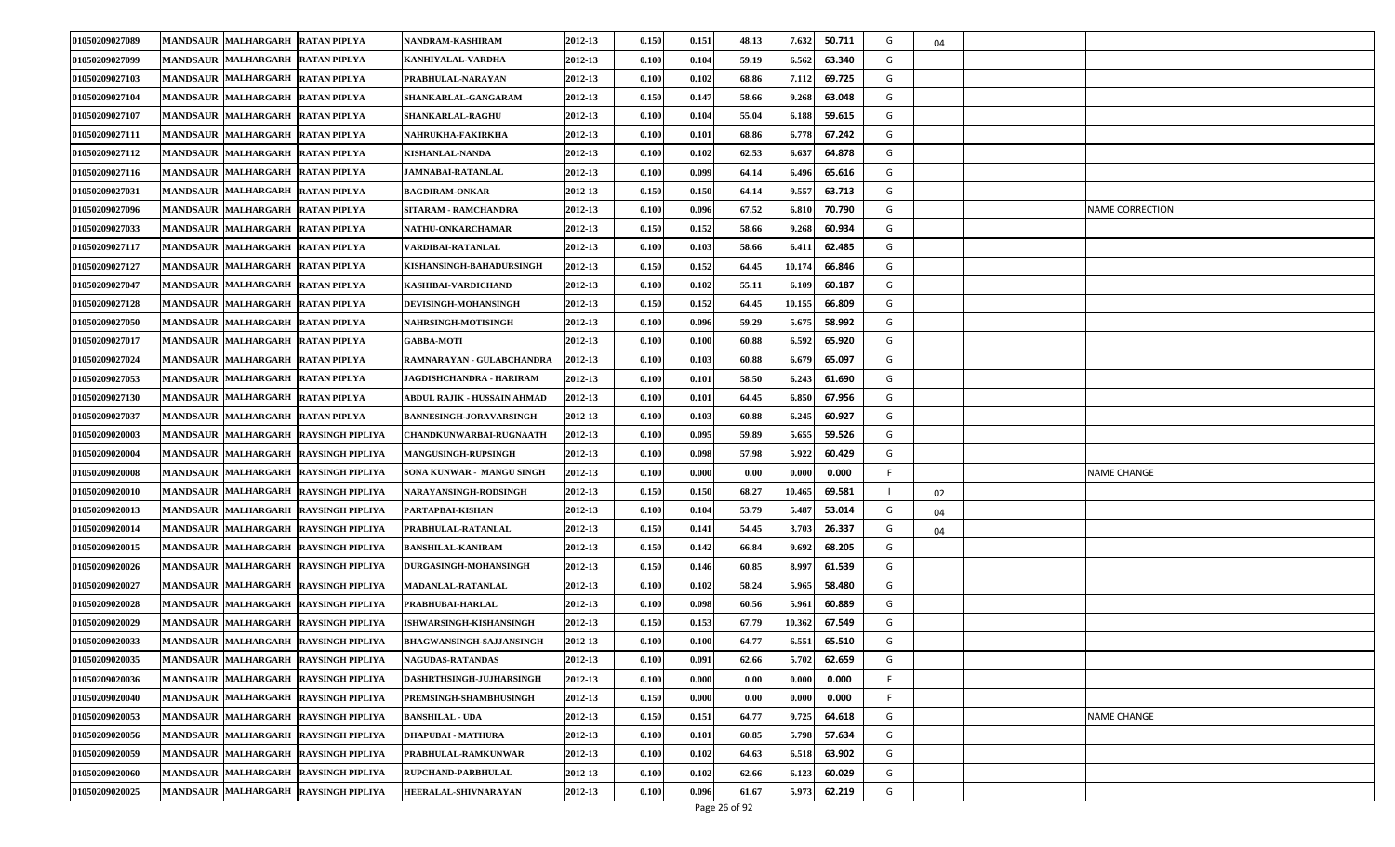| 01050209027089 | <b>MANDSAUR MALHARGARH</b><br><b>RATAN PIPLYA</b>           | NANDRAM-KASHIRAM                | 2012-13 | 0.150 | 0.151 | 48.13 | 7.632<br>50.711  | G  | 04 |                        |
|----------------|-------------------------------------------------------------|---------------------------------|---------|-------|-------|-------|------------------|----|----|------------------------|
| 01050209027099 | MANDSAUR MALHARGARH RATAN PIPLYA                            | KANHIYALAL-VARDHA               | 2012-13 | 0.100 | 0.104 | 59.19 | 6.562<br>63.340  | G  |    |                        |
| 01050209027103 | MANDSAUR MALHARGARH RATAN PIPLYA                            | PRABHULAL-NARAYAN               | 2012-13 | 0.100 | 0.102 | 68.86 | 69.725<br>7.112  | G  |    |                        |
| 01050209027104 | <b>MANDSAUR MALHARGARH</b><br><b>RATAN PIPLYA</b>           | <b>SHANKARLAL-GANGARAM</b>      | 2012-13 | 0.150 | 0.147 | 58.66 | 9.268<br>63.048  | G  |    |                        |
| 01050209027107 | MANDSAUR MALHARGARH<br><b>RATAN PIPLYA</b>                  | <b>SHANKARLAL-RAGHU</b>         | 2012-13 | 0.100 | 0.104 | 55.04 | 6.188<br>59.615  | G  |    |                        |
| 01050209027111 | MANDSAUR MALHARGARH RATAN PIPLYA                            | NAHRUKHA-FAKIRKHA               | 2012-13 | 0.100 | 0.101 | 68.86 | 6.778<br>67.242  | G  |    |                        |
| 01050209027112 | MANDSAUR MALHARGARH RATAN PIPLYA                            | KISHANLAL-NANDA                 | 2012-13 | 0.100 | 0.102 | 62.53 | 64.878<br>6.637  | G  |    |                        |
| 01050209027116 | <b>MANDSAUR MALHARGARH</b><br><b>RATAN PIPLYA</b>           | JAMNABAI-RATANLAL               | 2012-13 | 0.100 | 0.099 | 64.14 | 6.496<br>65.616  | G  |    |                        |
| 01050209027031 | <b>MANDSAUR</b><br><b>MALHARGARH</b><br><b>RATAN PIPLYA</b> | <b>BAGDIRAM-ONKAR</b>           | 2012-13 | 0.150 | 0.150 | 64.14 | 9.557<br>63.713  | G  |    |                        |
| 01050209027096 | MANDSAUR MALHARGARH RATAN PIPLYA                            | SITARAM - RAMCHANDRA            | 2012-13 | 0.100 | 0.096 | 67.52 | 6.810<br>70.790  | G  |    | <b>NAME CORRECTION</b> |
| 01050209027033 | MANDSAUR MALHARGARH RATAN PIPLYA                            | <b>NATHU-ONKARCHAMAR</b>        | 2012-13 | 0.150 | 0.152 | 58.66 | 9.268<br>60.934  | G  |    |                        |
| 01050209027117 | <b>MANDSAUR MALHARGARH</b><br><b>RATAN PIPLYA</b>           | /ARDIBAI-RATANLAL               | 2012-13 | 0.100 | 0.103 | 58.66 | 62.485<br>6.41   | G  |    |                        |
| 01050209027127 | <b>MANDSAUR</b><br><b>MALHARGARH</b><br><b>RATAN PIPLYA</b> | <b>KISHANSINGH-BAHADURSINGH</b> | 2012-13 | 0.150 | 0.152 | 64.45 | 66.846<br>10.174 | G  |    |                        |
| 01050209027047 | MANDSAUR MALHARGARH RATAN PIPLYA                            | KASHIBAI-VARDICHAND             | 2012-13 | 0.100 | 0.102 | 55.11 | 60.187<br>6.109  | G  |    |                        |
| 01050209027128 | MANDSAUR MALHARGARH RATAN PIPLYA                            | <b>DEVISINGH-MOHANSINGH</b>     | 2012-13 | 0.150 | 0.152 | 64.45 | 10.155<br>66.809 | G  |    |                        |
| 01050209027050 | <b>MANDSAUR MALHARGARH</b><br><b>RATAN PIPLYA</b>           | <b>NAHRSINGH-MOTISINGH</b>      | 2012-13 | 0.100 | 0.096 | 59.29 | 5.675<br>58.992  | G  |    |                        |
| 01050209027017 | MANDSAUR MALHARGARH RATAN PIPLYA                            | <b>GABBA-MOTI</b>               | 2012-13 | 0.100 | 0.100 | 60.88 | 6.592<br>65.920  | G  |    |                        |
| 01050209027024 | MANDSAUR MALHARGARH<br><b>RATAN PIPLYA</b>                  | RAMNARAYAN - GULABCHANDRA       | 2012-13 | 0.100 | 0.103 | 60.88 | 65.097<br>6.679  | G  |    |                        |
| 01050209027053 | MANDSAUR MALHARGARH RATAN PIPLYA                            | JAGDISHCHANDRA - HARIRAM        | 2012-13 | 0.100 | 0.101 | 58.50 | 6.243<br>61.690  | G  |    |                        |
| 01050209027130 | <b>MANDSAUR MALHARGARH</b><br><b>RATAN PIPLYA</b>           | ABDUL RAJIK - HUSSAIN AHMAD     | 2012-13 | 0.100 | 0.101 | 64.45 | 6.850<br>67.956  | G  |    |                        |
| 01050209027037 | <b>MANDSAUR MALHARGARH</b><br><b>RATAN PIPLYA</b>           | <b>BANNESINGH-JORAVARSINGH</b>  | 2012-13 | 0.100 | 0.103 | 60.88 | 6.245<br>60.927  | G  |    |                        |
| 01050209020003 | <b>MANDSAUR MALHARGARH</b><br><b>RAYSINGH PIPLIYA</b>       | CHANDKUNWARBAI-RUGNAATH         | 2012-13 | 0.100 | 0.095 | 59.89 | 5.655<br>59.526  | G  |    |                        |
| 01050209020004 | MANDSAUR MALHARGARH RAYSINGH PIPLIYA                        | <b>MANGUSINGH-RUPSINGH</b>      | 2012-13 | 0.100 | 0.098 | 57.98 | 5.922<br>60.429  | G  |    |                        |
| 01050209020008 | <b>MANDSAUR MALHARGARH</b><br><b>RAYSINGH PIPLIYA</b>       | SONA KUNWAR - MANGU SINGH       | 2012-13 | 0.100 | 0.000 | 0.00  | 0.00(<br>0.000   | F. |    | <b>NAME CHANGE</b>     |
| 01050209020010 | <b>MANDSAUR MALHARGARH</b><br><b>RAYSINGH PIPLIYA</b>       | <b>NARAYANSINGH-RODSINGH</b>    | 2012-13 | 0.150 | 0.150 | 68.27 | 69.581<br>10.465 |    | 02 |                        |
| 01050209020013 | MANDSAUR MALHARGARH RAYSINGH PIPLIYA                        | PARTAPBAI-KISHAN                | 2012-13 | 0.100 | 0.104 | 53.79 | 53.014<br>5.487  | G  | 04 |                        |
| 01050209020014 | <b>MANDSAUR MALHARGARH</b><br><b>RAYSINGH PIPLIYA</b>       | PRABHULAL-RATANLAL              | 2012-13 | 0.150 | 0.141 | 54.45 | 3.703<br>26.337  | G  | 04 |                        |
| 01050209020015 | MANDSAUR MALHARGARH RAYSINGH PIPLIYA                        | <b>BANSHILAL-KANIRAM</b>        | 2012-13 | 0.150 | 0.142 | 66.84 | 9.692<br>68.205  | G  |    |                        |
| 01050209020026 | MANDSAUR MALHARGARH RAYSINGH PIPLIYA                        | <b>DURGASINGH-MOHANSINGH</b>    | 2012-13 | 0.150 | 0.146 | 60.85 | 61.539<br>8.997  | G  |    |                        |
| 01050209020027 | MANDSAUR MALHARGARH RAYSINGH PIPLIYA                        | <b>MADANLAL-RATANLAL</b>        | 2012-13 | 0.100 | 0.102 | 58.24 | 5.965<br>58.480  | G  |    |                        |
| 01050209020028 | MANDSAUR MALHARGARH RAYSINGH PIPLIYA                        | PRABHUBAI-HARLAL                | 2012-13 | 0.100 | 0.098 | 60.56 | 5.961<br>60.889  | G  |    |                        |
| 01050209020029 | MANDSAUR MALHARGARH RAYSINGH PIPLIYA                        | ISHWARSINGH-KISHANSINGH         | 2012-13 | 0.150 | 0.153 | 67.79 | 67.549<br>10.362 | G  |    |                        |
| 01050209020033 | MANDSAUR MALHARGARH RAYSINGH PIPLIYA                        | <b>BHAGWANSINGH-SAJJANSINGH</b> | 2012-13 | 0.100 | 0.100 | 64.77 | 6.551<br>65.510  | G  |    |                        |
| 01050209020035 | MANDSAUR MALHARGARH RAYSINGH PIPLIYA                        | <b>NAGUDAS-RATANDAS</b>         | 2012-13 | 0.100 | 0.091 | 62.66 | 62.659<br>5.702  | G  |    |                        |
| 01050209020036 | MANDSAUR MALHARGARH RAYSINGH PIPLIYA                        | <b>DASHRTHSINGH-JUJHARSINGH</b> | 2012-13 | 0.100 | 0.000 | 0.00  | 0.000<br>0.000   | F. |    |                        |
| 01050209020040 | MANDSAUR MALHARGARH RAYSINGH PIPLIYA                        | PREMSINGH-SHAMBHUSINGH          | 2012-13 | 0.150 | 0.000 | 0.00  | 0.000<br>0.00(   | F. |    |                        |
| 01050209020053 | MANDSAUR MALHARGARH RAYSINGH PIPLIYA                        | <b>BANSHILAL - UDA</b>          | 2012-13 | 0.150 | 0.151 | 64.77 | 9.725<br>64.618  | G  |    | <b>NAME CHANGE</b>     |
| 01050209020056 | MANDSAUR MALHARGARH RAYSINGH PIPLIYA                        | <b>DHAPUBAI - MATHURA</b>       | 2012-13 | 0.100 | 0.101 | 60.85 | 57.634<br>5.798  | G  |    |                        |
| 01050209020059 | <b>MANDSAUR MALHARGARH</b><br><b>RAYSINGH PIPLIYA</b>       | PRABHULAL-RAMKUNWAR             | 2012-13 | 0.100 | 0.102 | 64.63 | 6.518<br>63.902  | G  |    |                        |
| 01050209020060 | <b>MANDSAUR MALHARGARH</b><br><b>RAYSINGH PIPLIYA</b>       | RUPCHAND-PARBHULAL              | 2012-13 | 0.100 | 0.102 | 62.66 | 60.029<br>6.123  | G  |    |                        |
| 01050209020025 | MANDSAUR MALHARGARH RAYSINGH PIPLIYA                        | <b>HEERALAL-SHIVNARAYAN</b>     | 2012-13 | 0.100 | 0.096 | 61.67 | 5.973<br>62.219  | G  |    |                        |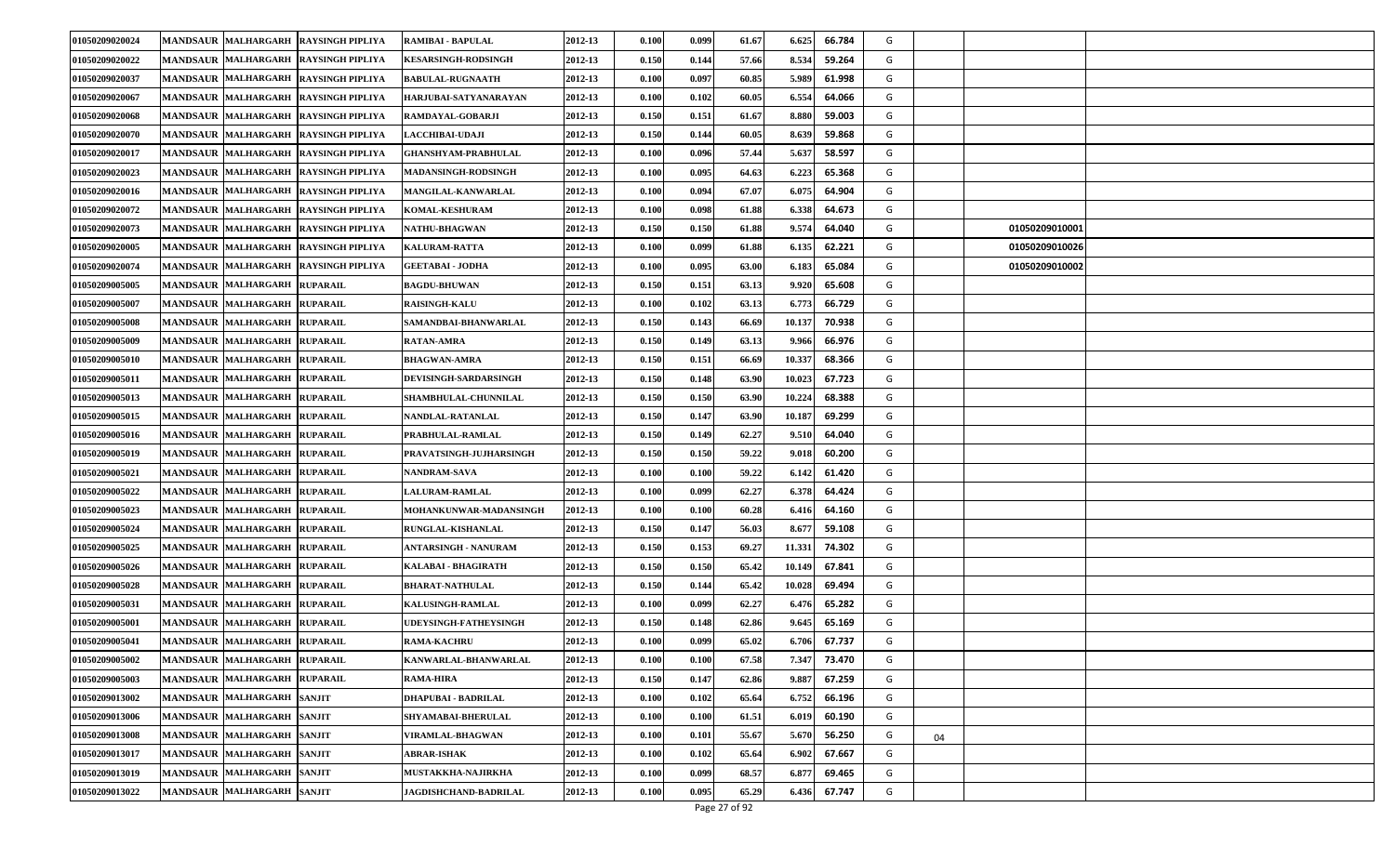| 01050209020024 | <b>MANDSAUR MALHARGARH</b>   | <b>RAYSINGH PIPLIYA</b>              | RAMIBAI - BAPULAL            | 2012-13 | 0.100 | 0.099 | 61.67 | 6.625  | 66.784 | G |                |  |
|----------------|------------------------------|--------------------------------------|------------------------------|---------|-------|-------|-------|--------|--------|---|----------------|--|
| 01050209020022 | MANDSAUR MALHARGARH          | <b>RAYSINGH PIPLIYA</b>              | <b>KESARSINGH-RODSINGH</b>   | 2012-13 | 0.150 | 0.144 | 57.66 | 8.534  | 59.264 | G |                |  |
| 01050209020037 |                              | MANDSAUR MALHARGARH RAYSINGH PIPLIYA | <b>BABULAL-RUGNAATH</b>      | 2012-13 | 0.100 | 0.097 | 60.85 | 5.989  | 61.998 | G |                |  |
| 01050209020067 | <b>MANDSAUR MALHARGARH</b>   | <b>RAYSINGH PIPLIYA</b>              | HARJUBAI-SATYANARAYAN        | 2012-13 | 0.100 | 0.102 | 60.05 | 6.554  | 64.066 | G |                |  |
| 01050209020068 | MANDSAUR MALHARGARH          | <b>RAYSINGH PIPLIYA</b>              | RAMDAYAL-GOBARJI             | 2012-13 | 0.150 | 0.151 | 61.67 | 8.880  | 59.003 | G |                |  |
| 01050209020070 |                              | MANDSAUR MALHARGARH RAYSINGH PIPLIYA | <b>LACCHIBAI-UDAJI</b>       | 2012-13 | 0.150 | 0.144 | 60.05 | 8.639  | 59.868 | G |                |  |
| 01050209020017 | <b>MANDSAUR MALHARGARH</b>   | <b>RAYSINGH PIPLIYA</b>              | <b>GHANSHYAM-PRABHULAL</b>   | 2012-13 | 0.100 | 0.096 | 57.44 | 5.63   | 58.597 | G |                |  |
| 01050209020023 | MANDSAUR MALHARGARH          | <b>RAYSINGH PIPLIYA</b>              | <b>MADANSINGH-RODSINGH</b>   | 2012-13 | 0.100 | 0.095 | 64.63 | 6.223  | 65.368 | G |                |  |
| 01050209020016 | <b>MANDSAUR MALHARGARH</b>   | <b>RAYSINGH PIPLIYA</b>              | MANGILAL-KANWARLAL           | 2012-13 | 0.100 | 0.094 | 67.07 | 6.07   | 64.904 | G |                |  |
| 01050209020072 | <b>MANDSAUR MALHARGARH</b>   | <b>RAYSINGH PIPLIYA</b>              | <b>KOMAL-KESHURAM</b>        | 2012-13 | 0.100 | 0.098 | 61.88 | 6.338  | 64.673 | G |                |  |
| 01050209020073 |                              | MANDSAUR MALHARGARH RAYSINGH PIPLIYA | <b>NATHU-BHAGWAN</b>         | 2012-13 | 0.150 | 0.150 | 61.88 | 9.574  | 64.040 | G | 01050209010001 |  |
| 01050209020005 |                              | MANDSAUR MALHARGARH RAYSINGH PIPLIYA | <b>KALURAM-RATTA</b>         | 2012-13 | 0.100 | 0.099 | 61.88 | 6.135  | 62.221 | G | 01050209010026 |  |
| 01050209020074 | <b>MANDSAUR MALHARGARH</b>   | <b>RAYSINGH PIPLIYA</b>              | <b>GEETABAI - JODHA</b>      | 2012-13 | 0.100 | 0.095 | 63.00 | 6.18.  | 65.084 | G | 01050209010002 |  |
| 01050209005005 | <b>MANDSAUR MALHARGARH</b>   | <b>RUPARAIL</b>                      | <b>BAGDU-BHUWAN</b>          | 2012-13 | 0.150 | 0.151 | 63.13 | 9.920  | 65.608 | G |                |  |
| 01050209005007 | <b>MANDSAUR MALHARGARH</b>   | <b>RUPARAIL</b>                      | <b>RAISINGH-KALU</b>         | 2012-13 | 0.100 | 0.102 | 63.13 | 6.773  | 66.729 | G |                |  |
| 01050209005008 | MANDSAUR MALHARGARH RUPARAIL |                                      | SAMANDBAI-BHANWARLAL         | 2012-13 | 0.150 | 0.143 | 66.69 | 10.137 | 70.938 | G |                |  |
| 01050209005009 | MANDSAUR MALHARGARH RUPARAIL |                                      | <b>RATAN-AMRA</b>            | 2012-13 | 0.150 | 0.149 | 63.13 | 9.96   | 66.976 | G |                |  |
| 01050209005010 | MANDSAUR MALHARGARH RUPARAIL |                                      | <b>BHAGWAN-AMRA</b>          | 2012-13 | 0.150 | 0.151 | 66.69 | 10.337 | 68.366 | G |                |  |
| 01050209005011 | MANDSAUR MALHARGARH RUPARAIL |                                      | <b>DEVISINGH-SARDARSINGH</b> | 2012-13 | 0.150 | 0.148 | 63.90 | 10.023 | 67.723 | G |                |  |
| 01050209005013 | MANDSAUR MALHARGARH RUPARAIL |                                      | SHAMBHULAL-CHUNNILAL         | 2012-13 | 0.150 | 0.150 | 63.90 | 10.224 | 68.388 | G |                |  |
| 01050209005015 | <b>MANDSAUR MALHARGARH</b>   | <b>RUPARAIL</b>                      | NANDLAL-RATANLAL             | 2012-13 | 0.150 | 0.147 | 63.90 | 10.18  | 69.299 | G |                |  |
| 01050209005016 | MANDSAUR MALHARGARH RUPARAIL |                                      | PRABHULAL-RAMLAL             | 2012-13 | 0.150 | 0.149 | 62.27 | 9.51   | 64.040 | G |                |  |
| 01050209005019 | <b>MANDSAUR MALHARGARH</b>   | <b>RUPARAIL</b>                      | PRAVATSINGH-JUJHARSINGH      | 2012-13 | 0.150 | 0.150 | 59.22 | 9.01   | 60.200 | G |                |  |
| 01050209005021 | MANDSAUR MALHARGARH RUPARAIL |                                      | <b>NANDRAM-SAVA</b>          | 2012-13 | 0.100 | 0.100 | 59.22 | 6.142  | 61.420 | G |                |  |
| 01050209005022 | MANDSAUR MALHARGARH          | <b>RUPARAIL</b>                      | <b>LALURAM-RAMLAL</b>        | 2012-13 | 0.100 | 0.099 | 62.27 | 6.378  | 64.424 | G |                |  |
| 01050209005023 | MANDSAUR MALHARGARH RUPARAIL |                                      | MOHANKUNWAR-MADANSINGH       | 2012-13 | 0.100 | 0.100 | 60.28 | 6.41   | 64.160 | G |                |  |
| 01050209005024 | MANDSAUR MALHARGARH RUPARAIL |                                      | <b>RUNGLAL-KISHANLAL</b>     | 2012-13 | 0.150 | 0.147 | 56.03 | 8.67   | 59.108 | G |                |  |
| 01050209005025 | <b>MANDSAUR MALHARGARH</b>   | <b>RUPARAIL</b>                      | ANTARSINGH - NANURAM         | 2012-13 | 0.150 | 0.153 | 69.27 | 11.331 | 74.302 | G |                |  |
| 01050209005026 | MANDSAUR MALHARGARH RUPARAIL |                                      | KALABAI - BHAGIRATH          | 2012-13 | 0.150 | 0.150 | 65.42 | 10.149 | 67.841 | G |                |  |
| 01050209005028 | <b>MANDSAUR MALHARGARH</b>   | <b>RUPARAIL</b>                      | <b>BHARAT-NATHULAL</b>       | 2012-13 | 0.150 | 0.144 | 65.42 | 10.028 | 69.494 | G |                |  |
| 01050209005031 | MANDSAUR MALHARGARH RUPARAIL |                                      | KALUSINGH-RAMLAL             | 2012-13 | 0.100 | 0.099 | 62.27 | 6.47   | 65.282 | G |                |  |
| 01050209005001 | MANDSAUR MALHARGARH RUPARAIL |                                      | <b>UDEYSINGH-FATHEYSINGH</b> | 2012-13 | 0.150 | 0.148 | 62.86 | 9.64   | 65.169 | G |                |  |
| 01050209005041 | MANDSAUR MALHARGARH RUPARAIL |                                      | <b>RAMA-KACHRU</b>           | 2012-13 | 0.100 | 0.099 | 65.02 | 6.706  | 67.737 | G |                |  |
| 01050209005002 | MANDSAUR MALHARGARH RUPARAIL |                                      | KANWARLAL-BHANWARLAL         | 2012-13 | 0.100 | 0.100 | 67.58 | 7.347  | 73.470 | G |                |  |
| 01050209005003 | MANDSAUR MALHARGARH RUPARAIL |                                      | RAMA-HIRA                    | 2012-13 | 0.150 | 0.147 | 62.86 | 9.887  | 67.259 | G |                |  |
| 01050209013002 | MANDSAUR MALHARGARH SANJIT   |                                      | <b>DHAPUBAI - BADRILAL</b>   | 2012-13 | 0.100 | 0.102 | 65.64 | 6.752  | 66.196 | G |                |  |
| 01050209013006 | MANDSAUR MALHARGARH SANJIT   |                                      | <b>SHYAMABAI-BHERULAL</b>    | 2012-13 | 0.100 | 0.100 | 61.51 | 6.019  | 60.190 | G |                |  |
| 01050209013008 | MANDSAUR MALHARGARH SANJIT   |                                      | VIRAMLAL-BHAGWAN             | 2012-13 | 0.100 | 0.101 | 55.67 | 5.670  | 56.250 | G | 04             |  |
| 01050209013017 | MANDSAUR MALHARGARH SANJIT   |                                      | ABRAR-ISHAK                  | 2012-13 | 0.100 | 0.102 | 65.64 | 6.902  | 67.667 | G |                |  |
| 01050209013019 | MANDSAUR MALHARGARH          | <b>SANJIT</b>                        | <b>MUSTAKKHA-NAJIRKHA</b>    | 2012-13 | 0.100 | 0.099 | 68.57 | 6.87   | 69.465 | G |                |  |
| 01050209013022 | MANDSAUR MALHARGARH SANJIT   |                                      | JAGDISHCHAND-BADRILAL        | 2012-13 | 0.100 | 0.095 | 65.29 | 6.436  | 67.747 | G |                |  |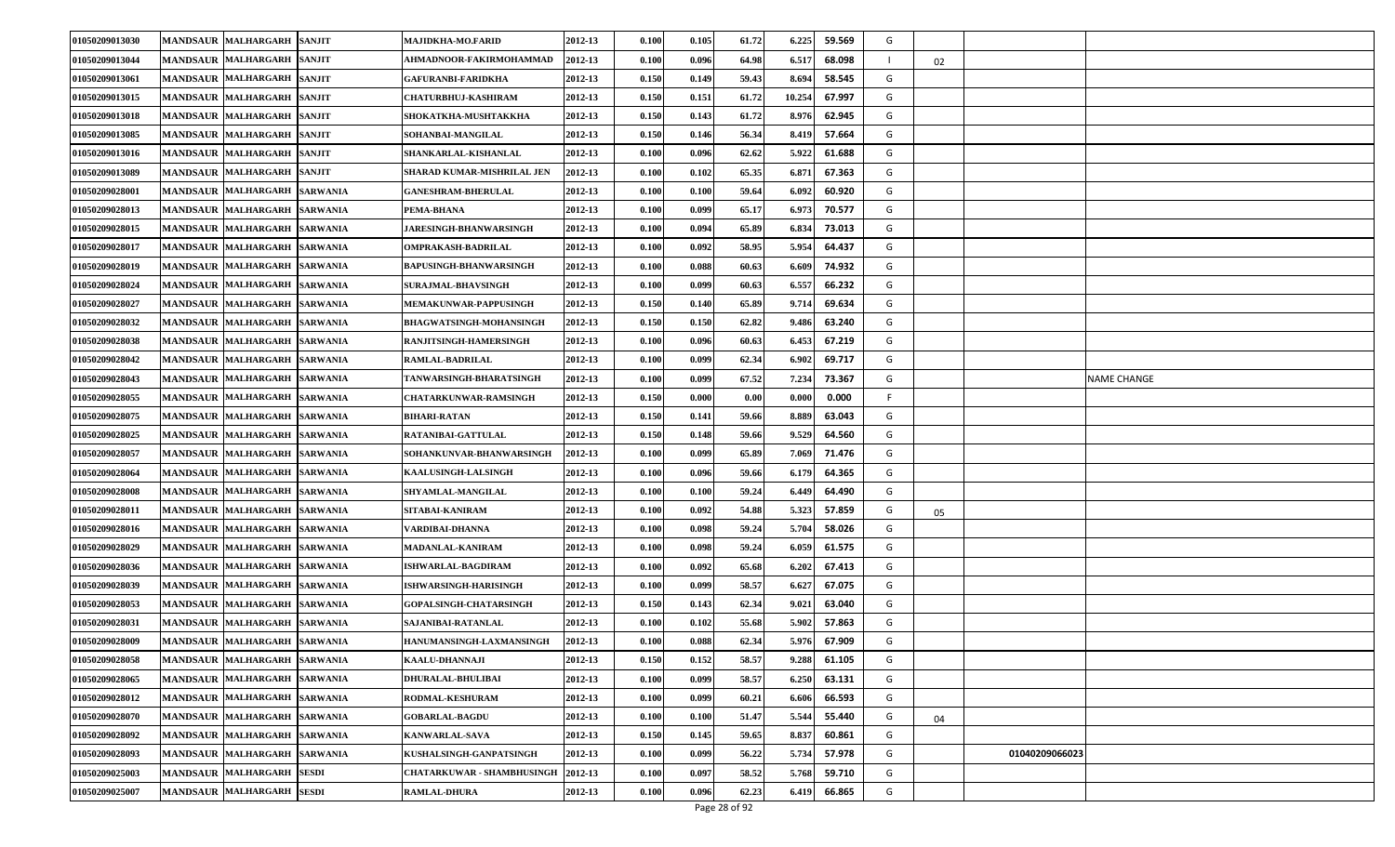| 01050209013030 | <b>MANDSAUR MALHARGARH</b><br><b>SANJIT</b>             | MAJIDKHA-MO.FARID              | 2012-13 | 0.100 | 0.105 | 61.72 | 6.225<br>59.569  | G |    |                |             |
|----------------|---------------------------------------------------------|--------------------------------|---------|-------|-------|-------|------------------|---|----|----------------|-------------|
| 01050209013044 | <b>MANDSAUR MALHARGARH</b><br><b>SANJIT</b>             | AHMADNOOR-FAKIRMOHAMMAD        | 2012-13 | 0.100 | 0.096 | 64.98 | 6.517<br>68.098  |   | 02 |                |             |
| 01050209013061 | <b>MANDSAUR MALHARGARH</b><br><b>SANJIT</b>             | <b>GAFURANBI-FARIDKHA</b>      | 2012-13 | 0.150 | 0.149 | 59.43 | 58.545<br>8.694  | G |    |                |             |
| 01050209013015 | <b>MANDSAUR MALHARGARH</b><br><b>SANJIT</b>             | <b>CHATURBHUJ-KASHIRAM</b>     | 2012-13 | 0.150 | 0.151 | 61.72 | 10.254<br>67.997 | G |    |                |             |
| 01050209013018 | <b>MANDSAUR MALHARGARH</b><br><b>SANJIT</b>             | SHOKATKHA-MUSHTAKKHA           | 2012-13 | 0.150 | 0.143 | 61.72 | 8.97<br>62.945   | G |    |                |             |
| 01050209013085 | MANDSAUR MALHARGARH<br><b>SANJIT</b>                    | SOHANBAI-MANGILAL              | 2012-13 | 0.150 | 0.146 | 56.34 | 57.664<br>8.419  | G |    |                |             |
| 01050209013016 | <b>MANDSAUR MALHARGARH</b><br><b>SANJIT</b>             | SHANKARLAL-KISHANLAL           | 2012-13 | 0.100 | 0.096 | 62.62 | 5.922<br>61.688  | G |    |                |             |
| 01050209013089 | <b>MANDSAUR MALHARGARH</b><br><b>SANJIT</b>             | SHARAD KUMAR-MISHRILAL JEN     | 2012-13 | 0.100 | 0.102 | 65.35 | 67.363<br>6.87   | G |    |                |             |
| 01050209028001 | <b>MALHARGARH</b><br><b>MANDSAUR</b><br><b>SARWANIA</b> | <b>GANESHRAM-BHERULAL</b>      | 2012-13 | 0.100 | 0.100 | 59.64 | 6.092<br>60.920  | G |    |                |             |
| 01050209028013 | <b>MANDSAUR MALHARGARH</b><br><b>SARWANIA</b>           | PEMA-BHANA                     | 2012-13 | 0.100 | 0.099 | 65.17 | 6.973<br>70.577  | G |    |                |             |
| 01050209028015 | <b>MANDSAUR MALHARGARH</b><br><b>SARWANIA</b>           | <b>JARESINGH-BHANWARSINGH</b>  | 2012-13 | 0.100 | 0.094 | 65.89 | 6.834<br>73.013  | G |    |                |             |
| 01050209028017 | <b>MANDSAUR MALHARGARH</b><br><b>SARWANIA</b>           | OMPRAKASH-BADRILAL             | 2012-13 | 0.100 | 0.092 | 58.95 | 5.954<br>64.437  | G |    |                |             |
| 01050209028019 | <b>MANDSAUR MALHARGARH</b><br><b>SARWANIA</b>           | BAPUSINGH-BHANWARSINGH         | 2012-13 | 0.100 | 0.088 | 60.63 | 6.609<br>74.932  | G |    |                |             |
| 01050209028024 | MANDSAUR MALHARGARH<br><b>SARWANIA</b>                  | <b>SURAJMAL-BHAVSINGH</b>      | 2012-13 | 0.100 | 0.099 | 60.63 | 6.557<br>66.232  | G |    |                |             |
| 01050209028027 | <b>MANDSAUR MALHARGARH</b><br><b>SARWANIA</b>           | <b>MEMAKUNWAR-PAPPUSINGH</b>   | 2012-13 | 0.150 | 0.140 | 65.89 | 69.634<br>9.71   | G |    |                |             |
| 01050209028032 | <b>MANDSAUR MALHARGARH</b><br><b>SARWANIA</b>           | <b>BHAGWATSINGH-MOHANSINGH</b> | 2012-13 | 0.150 | 0.150 | 62.82 | 9.486<br>63.240  | G |    |                |             |
| 01050209028038 | <b>MANDSAUR MALHARGARH</b><br><b>SARWANIA</b>           | RANJITSINGH-HAMERSINGH         | 2012-13 | 0.100 | 0.096 | 60.63 | 67.219<br>6.453  | G |    |                |             |
| 01050209028042 | MANDSAUR MALHARGARH<br><b>SARWANIA</b>                  | <b>RAMLAL-BADRILAL</b>         | 2012-13 | 0.100 | 0.099 | 62.34 | 69.717<br>6.902  | G |    |                |             |
| 01050209028043 | MANDSAUR MALHARGARH<br><b>SARWANIA</b>                  | <b>TANWARSINGH-BHARATSINGH</b> | 2012-13 | 0.100 | 0.099 | 67.52 | 7.234<br>73.367  | G |    |                | NAME CHANGE |
| 01050209028055 | <b>MANDSAUR MALHARGARH</b><br><b>SARWANIA</b>           | <b>CHATARKUNWAR-RAMSINGH</b>   | 2012-13 | 0.150 | 0.000 | 0.00  | 0.000<br>0.00    |   |    |                |             |
| 01050209028075 | <b>MANDSAUR MALHARGARH</b><br><b>SARWANIA</b>           | BIHARI-RATAN                   | 2012-13 | 0.150 | 0.141 | 59.66 | 8.889<br>63.043  | G |    |                |             |
| 01050209028025 | <b>MANDSAUR MALHARGARH</b><br><b>SARWANIA</b>           | RATANIBAI-GATTULAL             | 2012-13 | 0.150 | 0.148 | 59.66 | 9.529<br>64.560  | G |    |                |             |
| 01050209028057 | <b>MANDSAUR MALHARGARH</b><br><b>SARWANIA</b>           | SOHANKUNVAR-BHANWARSINGH       | 2012-13 | 0.100 | 0.099 | 65.89 | 71.476<br>7.069  | G |    |                |             |
| 01050209028064 | <b>MANDSAUR</b><br><b>MALHARGARH</b><br><b>SARWANIA</b> | <b>KAALUSINGH-LALSINGH</b>     | 2012-13 | 0.100 | 0.096 | 59.66 | 6.179<br>64.365  | G |    |                |             |
| 01050209028008 | <b>MANDSAUR MALHARGARH</b><br><b>SARWANIA</b>           | <b>SHYAMLAL-MANGILAL</b>       | 2012-13 | 0.100 | 0.100 | 59.24 | 6.449<br>64.490  | G |    |                |             |
| 01050209028011 | <b>MANDSAUR MALHARGARH</b><br><b>SARWANIA</b>           | SITABAI-KANIRAM                | 2012-13 | 0.100 | 0.092 | 54.88 | 5.323<br>57.859  | G | 05 |                |             |
| 01050209028016 | <b>MANDSAUR MALHARGARH</b><br><b>SARWANIA</b>           | /ARDIBAI-DHANNA                | 2012-13 | 0.100 | 0.098 | 59.24 | 5.704<br>58.026  | G |    |                |             |
| 01050209028029 | <b>MANDSAUR MALHARGARH</b><br><b>SARWANIA</b>           | <b>MADANLAL-KANIRAM</b>        | 2012-13 | 0.100 | 0.098 | 59.24 | 6.05<br>61.575   | G |    |                |             |
| 01050209028036 | <b>SARWANIA</b><br><b>MANDSAUR MALHARGARH</b>           | ISHWARLAL-BAGDIRAM             | 2012-13 | 0.100 | 0.092 | 65.68 | 6.202<br>67.413  | G |    |                |             |
| 01050209028039 | <b>MANDSAUR MALHARGARH</b><br><b>SARWANIA</b>           | ISHWARSINGH-HARISINGH          | 2012-13 | 0.100 | 0.099 | 58.57 | 6.627<br>67.075  | G |    |                |             |
| 01050209028053 | <b>MANDSAUR MALHARGARH</b><br><b>SARWANIA</b>           | <b>GOPALSINGH-CHATARSINGH</b>  | 2012-13 | 0.150 | 0.143 | 62.34 | 63.040<br>9.021  | G |    |                |             |
| 01050209028031 | <b>MANDSAUR</b><br><b>MALHARGARH</b><br><b>SARWANIA</b> | SAJANIBAI-RATANLAL             | 2012-13 | 0.100 | 0.102 | 55.68 | 5.902<br>57.863  | G |    |                |             |
| 01050209028009 | MANDSAUR MALHARGARH SARWANIA                            | HANUMANSINGH-LAXMANSINGH       | 2012-13 | 0.100 | 0.088 | 62.34 | 5.976<br>67.909  | G |    |                |             |
| 01050209028058 | MANDSAUR MALHARGARH SARWANIA                            | <b>KAALU-DHANNAJI</b>          | 2012-13 | 0.150 | 0.152 | 58.57 | 61.105<br>9.288  | G |    |                |             |
| 01050209028065 | <b>MANDSAUR MALHARGARH</b><br><b>SARWANIA</b>           | <b>DHURALAL-BHULIBAI</b>       | 2012-13 | 0.100 | 0.099 | 58.57 | 63.131<br>6.250  | G |    |                |             |
| 01050209028012 | MANDSAUR MALHARGARH<br><b>SARWANIA</b>                  | RODMAL-KESHURAM                | 2012-13 | 0.100 | 0.099 | 60.21 | 6.606<br>66.593  | G |    |                |             |
| 01050209028070 | MANDSAUR MALHARGARH<br><b>SARWANIA</b>                  | <b>GOBARLAL-BAGDU</b>          | 2012-13 | 0.100 | 0.100 | 51.47 | 5.544<br>55.440  | G | 04 |                |             |
| 01050209028092 | MANDSAUR MALHARGARH<br><b>SARWANIA</b>                  | KANWARLAL-SAVA                 | 2012-13 | 0.150 | 0.145 | 59.65 | 8.837<br>60.861  | G |    |                |             |
| 01050209028093 | <b>MANDSAUR MALHARGARH</b><br><b>SARWANIA</b>           | KUSHALSINGH-GANPATSINGH        | 2012-13 | 0.100 | 0.099 | 56.22 | 5.734<br>57.978  | G |    | 01040209066023 |             |
| 01050209025003 | MANDSAUR MALHARGARH<br><b>SESDI</b>                     | CHATARKUWAR - SHAMBHUSINGH     | 2012-13 | 0.100 | 0.097 | 58.52 | 5.768<br>59.710  | G |    |                |             |
| 01050209025007 | <b>MANDSAUR MALHARGARH</b><br><b>SESDI</b>              | <b>RAMLAL-DHURA</b>            | 2012-13 | 0.100 | 0.096 | 62.23 | 66.865<br>6.419  | G |    |                |             |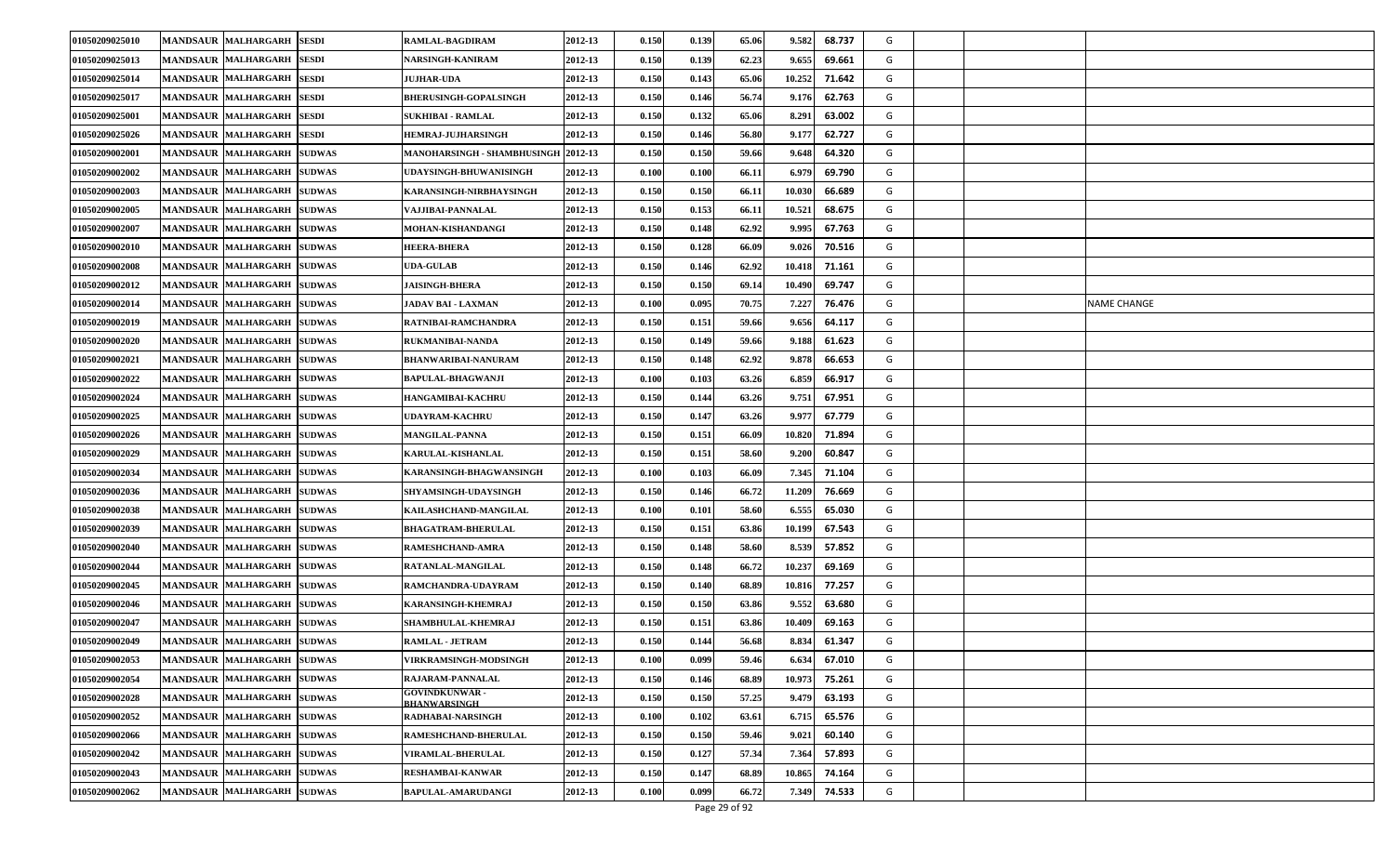| 01050209025010 | <b>MANDSAUR MALHARGARH</b><br><b>SESDI</b>            | RAMLAL-BAGDIRAM                              | 2012-13 | 0.150 | 0.139 | 65.06 | 68.737<br>9.582  | G |  |             |
|----------------|-------------------------------------------------------|----------------------------------------------|---------|-------|-------|-------|------------------|---|--|-------------|
| 01050209025013 | <b>MANDSAUR MALHARGARH</b><br><b>SESDI</b>            | NARSINGH-KANIRAM                             | 2012-13 | 0.150 | 0.139 | 62.23 | 9.655<br>69.661  | G |  |             |
| 01050209025014 | <b>MANDSAUR MALHARGARH</b><br><b>SESDI</b>            | <b>JUJHAR-UDA</b>                            | 2012-13 | 0.150 | 0.143 | 65.06 | 10.252<br>71.642 | G |  |             |
| 01050209025017 | <b>MANDSAUR MALHARGARH</b><br><b>SESDI</b>            | <b>BHERUSINGH-GOPALSINGH</b>                 | 2012-13 | 0.150 | 0.146 | 56.74 | 9.176<br>62.763  | G |  |             |
| 01050209025001 | <b>MANDSAUR MALHARGARH</b><br><b>SESDI</b>            | <b>SUKHIBAI - RAMLAL</b>                     | 2012-13 | 0.150 | 0.132 | 65.06 | 8.291<br>63.002  | G |  |             |
| 01050209025026 | <b>MANDSAUR MALHARGARH</b><br><b>SESDI</b>            | HEMRAJ-JUJHARSINGH                           | 2012-13 | 0.150 | 0.146 | 56.80 | 62.727<br>9.177  | G |  |             |
| 01050209002001 | <b>MANDSAUR MALHARGARH</b><br><b>SUDWAS</b>           | MANOHARSINGH - SHAMBHUSINGH 2012-13          |         | 0.150 | 0.150 | 59.66 | 64.320<br>9.648  | G |  |             |
| 01050209002002 | <b>MANDSAUR MALHARGARH</b><br><b>SUDWAS</b>           | UDAYSINGH-BHUWANISINGH                       | 2012-13 | 0.100 | 0.100 | 66.11 | 6.979<br>69.790  | G |  |             |
| 01050209002003 | MANDSAUR MALHARGARH<br><b>SUDWAS</b>                  | KARANSINGH-NIRBHAYSINGH                      | 2012-13 | 0.150 | 0.150 | 66.11 | 66.689<br>10.03  | G |  |             |
| 01050209002005 | <b>MANDSAUR MALHARGARH</b><br><b>SUDWAS</b>           | VAJJIBAI-PANNALAL                            | 2012-13 | 0.150 | 0.153 | 66.11 | 10.521<br>68.675 | G |  |             |
| 01050209002007 | <b>MANDSAUR MALHARGARH</b><br><b>SUDWAS</b>           | MOHAN-KISHANDANGI                            | 2012-13 | 0.150 | 0.148 | 62.92 | 9.995<br>67.763  | G |  |             |
| 01050209002010 | MANDSAUR MALHARGARH<br><b>SUDWAS</b>                  | HEERA-BHERA                                  | 2012-13 | 0.150 | 0.128 | 66.09 | 70.516<br>9.026  | G |  |             |
| 01050209002008 | <b>MALHARGARH</b><br><b>MANDSAUR</b><br><b>SUDWAS</b> | <b>UDA-GULAB</b>                             | 2012-13 | 0.150 | 0.146 | 62.92 | 10.418<br>71.161 | G |  |             |
| 01050209002012 | <b>MANDSAUR MALHARGARH</b><br><b>SUDWAS</b>           | <b>JAISINGH-BHERA</b>                        | 2012-13 | 0.150 | 0.150 | 69.14 | 69.747<br>10.490 | G |  |             |
| 01050209002014 | <b>MANDSAUR MALHARGARH</b><br><b>SUDWAS</b>           | <b>JADAV BAI - LAXMAN</b>                    | 2012-13 | 0.100 | 0.095 | 70.75 | 76.476<br>7.227  | G |  | NAME CHANGE |
| 01050209002019 | <b>MANDSAUR MALHARGARH</b><br><b>SUDWAS</b>           | RATNIBAI-RAMCHANDRA                          | 2012-13 | 0.150 | 0.151 | 59.66 | 9.656<br>64.117  | G |  |             |
| 01050209002020 | <b>MANDSAUR MALHARGARH</b><br><b>SUDWAS</b>           | RUKMANIBAI-NANDA                             | 2012-13 | 0.150 | 0.149 | 59.66 | 61.623<br>9.188  | G |  |             |
| 01050209002021 | <b>SUDWAS</b><br><b>MANDSAUR MALHARGARH</b>           | <b>BHANWARIBAI-NANURAM</b>                   | 2012-13 | 0.150 | 0.148 | 62.92 | 66.653<br>9.878  | G |  |             |
| 01050209002022 | <b>MANDSAUR MALHARGARH</b><br><b>SUDWAS</b>           | <b>BAPULAL-BHAGWANJI</b>                     | 2012-13 | 0.100 | 0.103 | 63.26 | 6.859<br>66.917  | G |  |             |
| 01050209002024 | MANDSAUR MALHARGARH<br><b>SUDWAS</b>                  | <b>HANGAMIBAI-KACHRU</b>                     | 2012-13 | 0.150 | 0.144 | 63.26 | 67.951<br>9.751  | G |  |             |
| 01050209002025 | <b>MANDSAUR MALHARGARH</b><br><b>SUDWAS</b>           | UDAYRAM-KACHRU                               | 2012-13 | 0.150 | 0.147 | 63.26 | 9.97<br>67.779   | G |  |             |
| 01050209002026 | <b>MANDSAUR MALHARGARH</b><br><b>SUDWAS</b>           | <b>MANGILAL-PANNA</b>                        | 2012-13 | 0.150 | 0.151 | 66.09 | 10.820<br>71.894 | G |  |             |
| 01050209002029 | <b>MANDSAUR MALHARGARH</b><br><b>SUDWAS</b>           | <b>KARULAL-KISHANLAL</b>                     | 2012-13 | 0.150 | 0.151 | 58.60 | 9.200<br>60.847  | G |  |             |
| 01050209002034 | <b>MANDSAUR MALHARGARH</b><br><b>SUDWAS</b>           | KARANSINGH-BHAGWANSINGH                      | 2012-13 | 0.100 | 0.103 | 66.09 | 7.345<br>71.104  | G |  |             |
| 01050209002036 | <b>MANDSAUR MALHARGARH</b><br><b>SUDWAS</b>           | <b>SHYAMSINGH-UDAYSINGH</b>                  | 2012-13 | 0.150 | 0.146 | 66.72 | 11.209<br>76.669 | G |  |             |
| 01050209002038 | MANDSAUR MALHARGARH<br><b>SUDWAS</b>                  | KAILASHCHAND-MANGILAL                        | 2012-13 | 0.100 | 0.101 | 58.60 | 6.555<br>65.030  | G |  |             |
| 01050209002039 | <b>MANDSAUR MALHARGARH</b><br><b>SUDWAS</b>           | <b>BHAGATRAM-BHERULAL</b>                    | 2012-13 | 0.150 | 0.151 | 63.86 | 10.199<br>67.543 | G |  |             |
| 01050209002040 | <b>MANDSAUR MALHARGARH</b><br><b>SUDWAS</b>           | RAMESHCHAND-AMRA                             | 2012-13 | 0.150 | 0.148 | 58.60 | 8.539<br>57.852  | G |  |             |
| 01050209002044 | <b>MANDSAUR MALHARGARH</b><br><b>SUDWAS</b>           | <b>RATANLAL-MANGILAL</b>                     | 2012-13 | 0.150 | 0.148 | 66.72 | 10.237<br>69.169 | G |  |             |
| 01050209002045 | <b>SUDWAS</b><br><b>MANDSAUR MALHARGARH</b>           | RAMCHANDRA-UDAYRAM                           | 2012-13 | 0.150 | 0.140 | 68.89 | 77.257<br>10.81  | G |  |             |
| 01050209002046 | <b>MANDSAUR MALHARGARH</b><br><b>SUDWAS</b>           | KARANSINGH-KHEMRAJ                           | 2012-13 | 0.150 | 0.150 | 63.86 | 9.552<br>63.680  | G |  |             |
| 01050209002047 | <b>MANDSAUR MALHARGARH</b><br><b>SUDWAS</b>           | SHAMBHULAL-KHEMRAJ                           | 2012-13 | 0.150 | 0.151 | 63.86 | 69.163<br>10.40  | G |  |             |
| 01050209002049 | <b>MANDSAUR MALHARGARH</b><br><b>SUDWAS</b>           | <b>RAMLAL - JETRAM</b>                       | 2012-13 | 0.150 | 0.144 | 56.68 | 61.347<br>8.834  | G |  |             |
| 01050209002053 | MANDSAUR MALHARGARH<br><b>SUDWAS</b>                  | <b>VIRKRAMSINGH-MODSINGH</b>                 | 2012-13 | 0.100 | 0.099 | 59.46 | 6.634<br>67.010  | G |  |             |
| 01050209002054 | MANDSAUR MALHARGARH<br><b>SUDWAS</b>                  | RAJARAM-PANNALAL                             | 2012-13 | 0.150 | 0.146 | 68.89 | 10.973<br>75.261 | G |  |             |
| 01050209002028 | MANDSAUR MALHARGARH<br><b>SUDWAS</b>                  | <b>GOVINDKUNWAR -</b><br><b>BHANWARSINGH</b> | 2012-13 | 0.150 | 0.150 | 57.25 | 63.193<br>9.47   | G |  |             |
| 01050209002052 | MANDSAUR MALHARGARH<br><b>SUDWAS</b>                  | RADHABAI-NARSINGH                            | 2012-13 | 0.100 | 0.102 | 63.61 | 65.576<br>6.715  | G |  |             |
| 01050209002066 | MANDSAUR MALHARGARH<br><b>SUDWAS</b>                  | RAMESHCHAND-BHERULAL                         | 2012-13 | 0.150 | 0.150 | 59.46 | 9.021<br>60.140  | G |  |             |
| 01050209002042 | MANDSAUR MALHARGARH<br><b>SUDWAS</b>                  | <b>VIRAMLAL-BHERULAL</b>                     | 2012-13 | 0.150 | 0.127 | 57.34 | 7.364<br>57.893  | G |  |             |
| 01050209002043 | MANDSAUR MALHARGARH<br><b>SUDWAS</b>                  | RESHAMBAI-KANWAR                             | 2012-13 | 0.150 | 0.147 | 68.89 | 74.164<br>10.865 | G |  |             |
| 01050209002062 | MANDSAUR MALHARGARH<br><b>SUDWAS</b>                  | BAPULAL-AMARUDANGI                           | 2012-13 | 0.100 | 0.099 | 66.72 | 7.349<br>74.533  | G |  |             |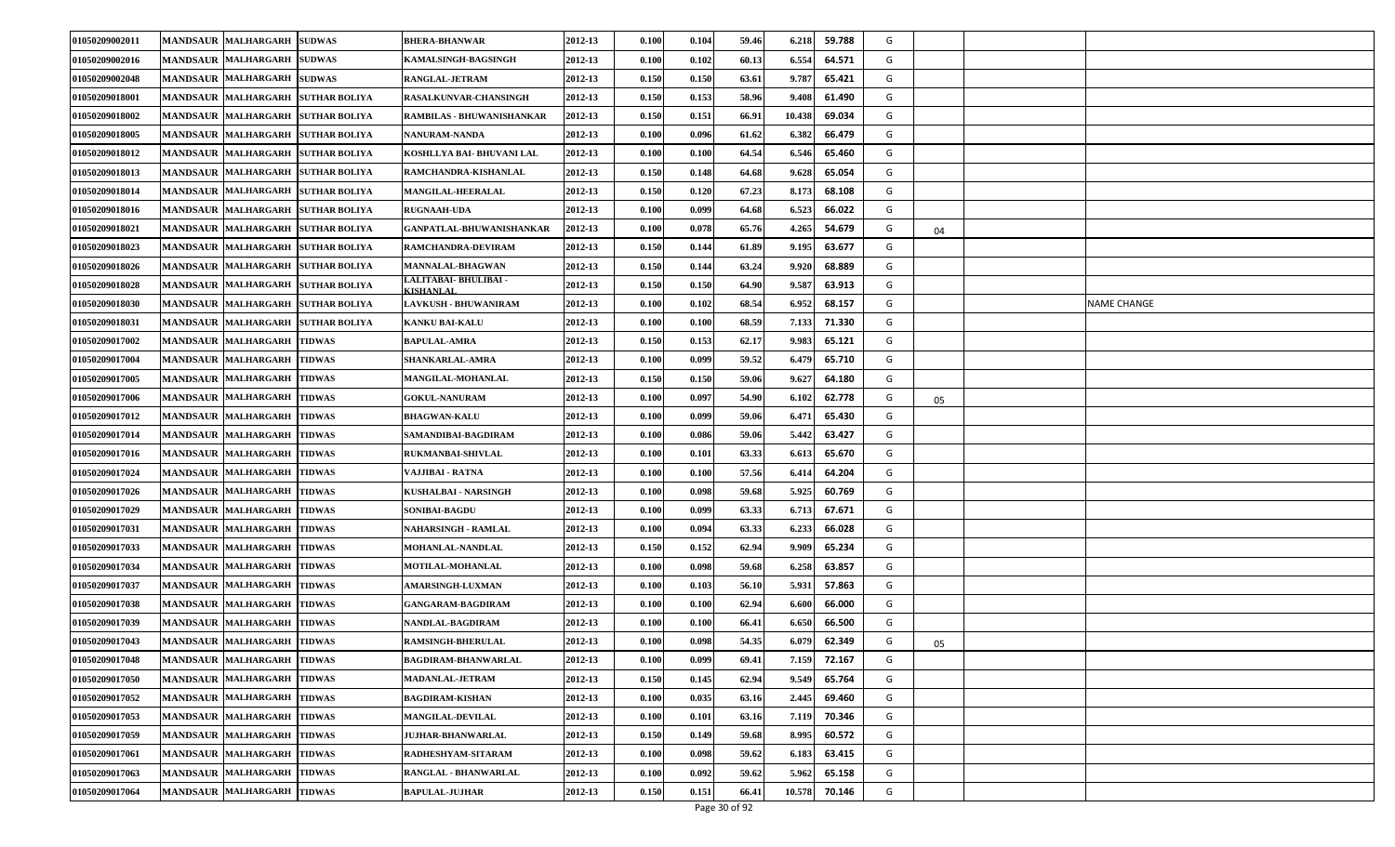| 01050209002011 | <b>SUDWAS</b><br><b>MANDSAUR MALHARGARH</b>                  | <b>BHERA-BHANWAR</b>                      | 2012-13 | 0.100 | 0.104 | 59.46 | 59.788<br>6.218  | G |    |             |
|----------------|--------------------------------------------------------------|-------------------------------------------|---------|-------|-------|-------|------------------|---|----|-------------|
| 01050209002016 | <b>MANDSAUR MALHARGARH</b><br><b>SUDWAS</b>                  | <b>KAMALSINGH-BAGSINGH</b>                | 2012-13 | 0.100 | 0.102 | 60.13 | 6.554<br>64.571  | G |    |             |
| 01050209002048 | <b>MANDSAUR MALHARGARH</b><br><b>SUDWAS</b>                  | <b>RANGLAL-JETRAM</b>                     | 2012-13 | 0.150 | 0.150 | 63.61 | 9.787<br>65.421  | G |    |             |
| 01050209018001 | <b>MANDSAUR MALHARGARH</b><br><b>SUTHAR BOLIYA</b>           | <b>RASALKUNVAR-CHANSINGH</b>              | 2012-13 | 0.150 | 0.153 | 58.96 | 61.490<br>9.408  | G |    |             |
| 01050209018002 | <b>MANDSAUR MALHARGARH</b><br><b>SUTHAR BOLIYA</b>           | RAMBILAS - BHUWANISHANKAR                 | 2012-13 | 0.150 | 0.151 | 66.91 | 10.438<br>69.034 | G |    |             |
| 01050209018005 | <b>MANDSAUR MALHARGARH</b><br><b>SUTHAR BOLIYA</b>           | NANURAM-NANDA                             | 2012-13 | 0.100 | 0.096 | 61.62 | 6.382<br>66.479  | G |    |             |
| 01050209018012 | <b>MANDSAUR MALHARGARH</b><br><b>SUTHAR BOLIYA</b>           | KOSHLLYA BAI- BHUVANI LAL                 | 2012-13 | 0.100 | 0.100 | 64.54 | 6.546<br>65.460  | G |    |             |
| 01050209018013 | <b>MANDSAUR MALHARGARH</b><br><b>SUTHAR BOLIYA</b>           | RAMCHANDRA-KISHANLAL                      | 2012-13 | 0.150 | 0.148 | 64.68 | 9.628<br>65.054  | G |    |             |
| 01050209018014 | <b>MANDSAUR</b><br><b>MALHARGARH</b><br><b>SUTHAR BOLIYA</b> | <b>MANGILAL-HEERALAL</b>                  | 2012-13 | 0.150 | 0.120 | 67.23 | 8.173<br>68.108  | G |    |             |
| 01050209018016 | <b>MANDSAUR MALHARGARH</b><br><b>SUTHAR BOLIYA</b>           | <b>RUGNAAH-UDA</b>                        | 2012-13 | 0.100 | 0.099 | 64.68 | 6.523<br>66.022  | G |    |             |
| 01050209018021 | MANDSAUR MALHARGARH SUTHAR BOLIYA                            | <b>GANPATLAL-BHUWANISHANKAR</b>           | 2012-13 | 0.100 | 0.078 | 65.76 | 4.265<br>54.679  | G | 04 |             |
| 01050209018023 | <b>MANDSAUR MALHARGARH</b><br><b>SUTHAR BOLIYA</b>           | RAMCHANDRA-DEVIRAM                        | 2012-13 | 0.150 | 0.144 | 61.89 | 63.677<br>9.195  | G |    |             |
| 01050209018026 | <b>MANDSAUR</b><br><b>MALHARGARH</b><br><b>SUTHAR BOLIYA</b> | <b>MANNALAL-BHAGWAN</b>                   | 2012-13 | 0.150 | 0.144 | 63.24 | 9.920<br>68.889  | G |    |             |
| 01050209018028 | <b>MANDSAUR MALHARGARH</b><br><b>SUTHAR BOLIYA</b>           | LALITABAI- BHULIBAI -<br><b>CISHANLAL</b> | 2012-13 | 0.150 | 0.150 | 64.90 | 9.587<br>63.913  | G |    |             |
| 01050209018030 | MANDSAUR MALHARGARH<br><b>SUTHAR BOLIYA</b>                  | <b>LAVKUSH - BHUWANIRAM</b>               | 2012-13 | 0.100 | 0.102 | 68.54 | 6.952<br>68.157  | G |    | NAME CHANGE |
| 01050209018031 | <b>MANDSAUR MALHARGARH</b><br><b>SUTHAR BOLIYA</b>           | <b>KANKU BAI-KALU</b>                     | 2012-13 | 0.100 | 0.100 | 68.59 | 7.133<br>71.330  | G |    |             |
| 01050209017002 | <b>MANDSAUR MALHARGARH</b><br><b>TIDWAS</b>                  | <b>BAPULAL-AMRA</b>                       | 2012-13 | 0.150 | 0.153 | 62.17 | 9.983<br>65.121  | G |    |             |
| 01050209017004 | <b>MANDSAUR MALHARGARH</b><br><b>TIDWAS</b>                  | SHANKARLAL-AMRA                           | 2012-13 | 0.100 | 0.099 | 59.52 | 65.710<br>6.479  | G |    |             |
| 01050209017005 | <b>MANDSAUR MALHARGARH</b><br><b>TIDWAS</b>                  | <b>MANGILAL-MOHANLAL</b>                  | 2012-13 | 0.150 | 0.150 | 59.06 | 9.627<br>64.180  | G |    |             |
| 01050209017006 | <b>MANDSAUR MALHARGARH</b><br><b>TIDWAS</b>                  | <b>GOKUL-NANURAM</b>                      | 2012-13 | 0.100 | 0.097 | 54.90 | 62.778<br>6.102  | G | 05 |             |
| 01050209017012 | MANDSAUR MALHARGARH<br><b>TIDWAS</b>                         | <b>BHAGWAN-KALU</b>                       | 2012-13 | 0.100 | 0.099 | 59.06 | 65.430<br>6.471  | G |    |             |
| 01050209017014 | <b>TIDWAS</b><br><b>MANDSAUR MALHARGARH</b>                  | SAMANDIBAI-BAGDIRAM                       | 2012-13 | 0.100 | 0.086 | 59.06 | 5.442<br>63.427  | G |    |             |
| 01050209017016 | <b>MANDSAUR MALHARGARH</b><br><b>TIDWAS</b>                  | <b>RUKMANBAI-SHIVLAL</b>                  | 2012-13 | 0.100 | 0.101 | 63.33 | 6.613<br>65.670  | G |    |             |
| 01050209017024 | <b>MANDSAUR MALHARGARH</b><br><b>TIDWAS</b>                  | VAJJIBAI - RATNA                          | 2012-13 | 0.100 | 0.100 | 57.56 | 64.204<br>6.41   | G |    |             |
| 01050209017026 | <b>MANDSAUR MALHARGARH</b><br><b>TIDWAS</b>                  | KUSHALBAI - NARSINGH                      | 2012-13 | 0.100 | 0.098 | 59.68 | 5.925<br>60.769  | G |    |             |
| 01050209017029 | <b>MANDSAUR MALHARGARH</b><br><b>TIDWAS</b>                  | <b>SONIBAI-BAGDU</b>                      | 2012-13 | 0.100 | 0.099 | 63.33 | 67.671<br>6.713  | G |    |             |
| 01050209017031 | <b>MANDSAUR MALHARGARH</b><br><b>TIDWAS</b>                  | NAHARSINGH - RAMLAL                       | 2012-13 | 0.100 | 0.094 | 63.33 | 6.233<br>66.028  | G |    |             |
| 01050209017033 | <b>MANDSAUR MALHARGARH</b><br><b>TIDWAS</b>                  | <b>MOHANLAL-NANDLAL</b>                   | 2012-13 | 0.150 | 0.152 | 62.94 | 9.909<br>65.234  | G |    |             |
| 01050209017034 | MANDSAUR MALHARGARH<br><b>TIDWAS</b>                         | <b>MOTILAL-MOHANLAL</b>                   | 2012-13 | 0.100 | 0.098 | 59.68 | 6.258<br>63.857  | G |    |             |
| 01050209017037 | <b>MANDSAUR MALHARGARH</b><br><b>TIDWAS</b>                  | <b>AMARSINGH-LUXMAN</b>                   | 2012-13 | 0.100 | 0.103 | 56.10 | 57.863<br>5.931  | G |    |             |
| 01050209017038 | <b>MANDSAUR MALHARGARH</b><br><b>TIDWAS</b>                  | <b>GANGARAM-BAGDIRAM</b>                  | 2012-13 | 0.100 | 0.100 | 62.94 | 6.600<br>66.000  | G |    |             |
| 01050209017039 | <b>MANDSAUR MALHARGARH</b><br><b>TIDWAS</b>                  | NANDLAL-BAGDIRAM                          | 2012-13 | 0.100 | 0.100 | 66.41 | 6.650<br>66.500  | G |    |             |
| 01050209017043 | MANDSAUR MALHARGARH TIDWAS                                   | <b>RAMSINGH-BHERULAL</b>                  | 2012-13 | 0.100 | 0.098 | 54.35 | 62.349<br>6.079  | G | 05 |             |
| 01050209017048 | MANDSAUR MALHARGARH TIDWAS                                   | <b>BAGDIRAM-BHANWARLAL</b>                | 2012-13 | 0.100 | 0.099 | 69.41 | 72.167<br>7.159  | G |    |             |
| 01050209017050 | <b>MANDSAUR MALHARGARH</b><br><b>TIDWAS</b>                  | <b>MADANLAL-JETRAM</b>                    | 2012-13 | 0.150 | 0.145 | 62.94 | 65.764<br>9.549  | G |    |             |
| 01050209017052 | MANDSAUR MALHARGARH<br><b>TIDWAS</b>                         | <b>BAGDIRAM-KISHAN</b>                    | 2012-13 | 0.100 | 0.035 | 63.16 | 2.445<br>69.460  | G |    |             |
| 01050209017053 | MANDSAUR MALHARGARH<br><b>TIDWAS</b>                         | <b>MANGILAL-DEVILAL</b>                   | 2012-13 | 0.100 | 0.101 | 63.16 | 70.346<br>7.119  | G |    |             |
| 01050209017059 | MANDSAUR MALHARGARH TIDWAS                                   | <b>JUJHAR-BHANWARLAL</b>                  | 2012-13 | 0.150 | 0.149 | 59.68 | 8.995<br>60.572  | G |    |             |
| 01050209017061 | <b>MANDSAUR MALHARGARH</b><br><b>TIDWAS</b>                  | RADHESHYAM-SITARAM                        | 2012-13 | 0.100 | 0.098 | 59.62 | 6.183<br>63.415  | G |    |             |
| 01050209017063 | <b>MANDSAUR MALHARGARH</b><br><b>TIDWAS</b>                  | RANGLAL - BHANWARLAL                      | 2012-13 | 0.100 | 0.092 | 59.62 | 65.158<br>5.962  | G |    |             |
| 01050209017064 | MANDSAUR MALHARGARH<br><b>TIDWAS</b>                         | <b>BAPULAL-JUJHAR</b>                     | 2012-13 | 0.150 | 0.151 | 66.41 | 10.578<br>70.146 | G |    |             |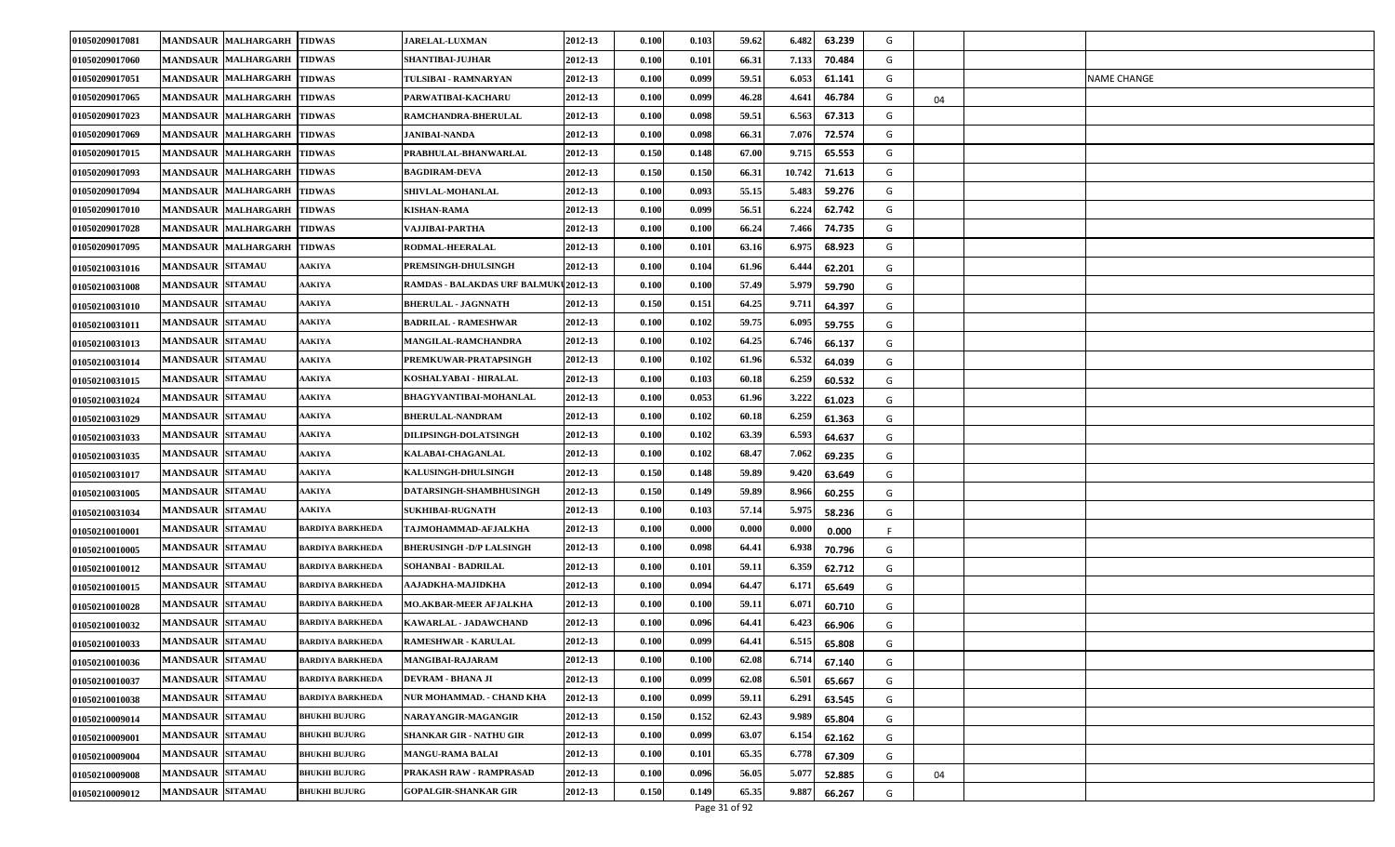| 01050209017081 | <b>MANDSAUR MALHARGARH</b> | <b>TIDWAS</b>           | <b>JARELAL-LUXMAN</b>                 | 2012-13 | 0.100 | 0.103 | 59.62 | 6.482<br>63.239  | G |    |                    |
|----------------|----------------------------|-------------------------|---------------------------------------|---------|-------|-------|-------|------------------|---|----|--------------------|
| 01050209017060 | <b>MANDSAUR MALHARGARH</b> | <b>TIDWAS</b>           | SHANTIBAI-JUJHAR                      | 2012-13 | 0.100 | 0.101 | 66.31 | 7.133<br>70.484  | G |    |                    |
| 01050209017051 | <b>MANDSAUR MALHARGARH</b> | <b>TIDWAS</b>           | TULSIBAI - RAMNARYAN                  | 2012-13 | 0.100 | 0.099 | 59.51 | 61.141<br>6.053  | G |    | <b>NAME CHANGE</b> |
| 01050209017065 | <b>MANDSAUR MALHARGARH</b> | <b>TIDWAS</b>           | PARWATIBAI-KACHARU                    | 2012-13 | 0.100 | 0.099 | 46.28 | 4.64<br>46.784   | G | 04 |                    |
| 01050209017023 | <b>MANDSAUR MALHARGARH</b> | <b>TIDWAS</b>           | <b>RAMCHANDRA-BHERULAL</b>            | 2012-13 | 0.100 | 0.098 | 59.51 | 6.563<br>67.313  | G |    |                    |
| 01050209017069 | <b>MANDSAUR MALHARGARH</b> | <b>TIDWAS</b>           | <b>JANIBAI-NANDA</b>                  | 2012-13 | 0.100 | 0.098 | 66.31 | 72.574<br>7.076  | G |    |                    |
| 01050209017015 | <b>MANDSAUR MALHARGARH</b> | <b>TIDWAS</b>           | PRABHULAL-BHANWARLAL                  | 2012-13 | 0.150 | 0.148 | 67.00 | 65.553<br>9.715  | G |    |                    |
| 01050209017093 | <b>MANDSAUR MALHARGARH</b> | <b>TIDWAS</b>           | <b>BAGDIRAM-DEVA</b>                  | 2012-13 | 0.150 | 0.150 | 66.31 | 10.742<br>71.613 | G |    |                    |
| 01050209017094 | <b>MANDSAUR MALHARGARH</b> | <b>TIDWAS</b>           | <b>SHIVLAL-MOHANLAL</b>               | 2012-13 | 0.100 | 0.093 | 55.15 | 59.276<br>5.483  | G |    |                    |
| 01050209017010 | <b>MANDSAUR MALHARGARH</b> | <b>TIDWAS</b>           | <b>KISHAN-RAMA</b>                    | 2012-13 | 0.100 | 0.099 | 56.51 | 6.224<br>62.742  | G |    |                    |
| 01050209017028 | <b>MANDSAUR MALHARGARH</b> | <b>TIDWAS</b>           | VAJJIBAI-PARTHA                       | 2012-13 | 0.100 | 0.100 | 66.24 | 74.735<br>7.466  | G |    |                    |
| 01050209017095 | <b>MANDSAUR MALHARGARH</b> | <b>TIDWAS</b>           | RODMAL-HEERALAL                       | 2012-13 | 0.100 | 0.101 | 63.16 | 6.975<br>68.923  | G |    |                    |
| 01050210031016 | <b>MANDSAUR SITAMAU</b>    | <b>AAKIYA</b>           | PREMSINGH-DHULSINGH                   | 2012-13 | 0.100 | 0.104 | 61.96 | 6.44<br>62.201   | G |    |                    |
| 01050210031008 | <b>MANDSAUR SITAMAU</b>    | AAKIYA                  | RAMDAS - BALAKDAS URF BALMUKU 2012-13 |         | 0.100 | 0.100 | 57.49 | 5.979<br>59.790  | G |    |                    |
| 01050210031010 | <b>MANDSAUR SITAMAU</b>    | <b>AAKIYA</b>           | <b>BHERULAL - JAGNNATH</b>            | 2012-13 | 0.150 | 0.151 | 64.25 | 9.711<br>64.397  | G |    |                    |
| 01050210031011 | <b>MANDSAUR SITAMAU</b>    | <b>AAKIYA</b>           | BADRILAL - RAMESHWAR                  | 2012-13 | 0.100 | 0.102 | 59.75 | 6.095<br>59.755  | G |    |                    |
| 01050210031013 | <b>MANDSAUR SITAMAU</b>    | <b>AAKIYA</b>           | <b>MANGILAL-RAMCHANDRA</b>            | 2012-13 | 0.100 | 0.102 | 64.25 | 6.746<br>66.137  | G |    |                    |
| 01050210031014 | <b>MANDSAUR SITAMAU</b>    | <b>AAKIYA</b>           | PREMKUWAR-PRATAPSINGH                 | 2012-13 | 0.100 | 0.102 | 61.96 | 6.532<br>64.039  | G |    |                    |
| 01050210031015 | <b>MANDSAUR SITAMAU</b>    | <b>AAKIYA</b>           | KOSHALYABAI - HIRALAL                 | 2012-13 | 0.100 | 0.103 | 60.18 | 6.259<br>60.532  | G |    |                    |
| 01050210031024 | <b>MANDSAUR SITAMAU</b>    | <b>AAKIYA</b>           | <b>BHAGYVANTIBAI-MOHANLAL</b>         | 2012-13 | 0.100 | 0.053 | 61.96 | 3.222<br>61.023  | G |    |                    |
| 01050210031029 | <b>MANDSAUR SITAMAU</b>    | <b>AAKIYA</b>           | <b>BHERULAL-NANDRAM</b>               | 2012-13 | 0.100 | 0.102 | 60.18 | 6.259<br>61.363  | G |    |                    |
| 01050210031033 | <b>MANDSAUR SITAMAU</b>    | AAKIYA                  | DILIPSINGH-DOLATSINGH                 | 2012-13 | 0.100 | 0.102 | 63.39 | 6.593<br>64.637  | G |    |                    |
| 01050210031035 | <b>MANDSAUR SITAMAU</b>    | <b>AAKIYA</b>           | KALABAI-CHAGANLAL                     | 2012-13 | 0.100 | 0.102 | 68.47 | 7.062<br>69.235  | G |    |                    |
| 01050210031017 | <b>MANDSAUR SITAMAU</b>    | <b>AAKIYA</b>           | <b>KALUSINGH-DHULSINGH</b>            | 2012-13 | 0.150 | 0.148 | 59.89 | 9.42(<br>63.649  | G |    |                    |
| 01050210031005 | <b>MANDSAUR SITAMAU</b>    | <b>AAKIYA</b>           | DATARSINGH-SHAMBHUSINGH               | 2012-13 | 0.150 | 0.149 | 59.89 | 8.966<br>60.255  | G |    |                    |
| 01050210031034 | <b>MANDSAUR SITAMAU</b>    | <b>AAKIYA</b>           | <b>SUKHIBAI-RUGNATH</b>               | 2012-13 | 0.100 | 0.103 | 57.14 | 5.975<br>58.236  | G |    |                    |
| 01050210010001 | <b>MANDSAUR SITAMAU</b>    | <b>BARDIYA BARKHEDA</b> | TAJMOHAMMAD-AFJALKHA                  | 2012-13 | 0.100 | 0.000 | 0.000 | 0.000<br>0.000   |   |    |                    |
| 01050210010005 | <b>MANDSAUR SITAMAU</b>    | <b>BARDIYA BARKHEDA</b> | BHERUSINGH -D/P LALSINGH              | 2012-13 | 0.100 | 0.098 | 64.41 | 6.93<br>70.796   | G |    |                    |
| 01050210010012 | <b>MANDSAUR SITAMAU</b>    | BARDIYA BARKHEDA        | SOHANBAI - BADRILAL                   | 2012-13 | 0.100 | 0.101 | 59.11 | 6.359<br>62.712  | G |    |                    |
| 01050210010015 | <b>MANDSAUR SITAMAU</b>    | BARDIYA BARKHEDA        | AAJADKHA-MAJIDKHA                     | 2012-13 | 0.100 | 0.094 | 64.47 | 6.171<br>65.649  | G |    |                    |
| 01050210010028 | <b>MANDSAUR SITAMAU</b>    | <b>BARDIYA BARKHEDA</b> | <b>MO.AKBAR-MEER AFJALKHA</b>         | 2012-13 | 0.100 | 0.100 | 59.11 | 6.07<br>60.710   | G |    |                    |
| 01050210010032 | <b>MANDSAUR SITAMAU</b>    | BARDIYA BARKHEDA        | KAWARLAL - JADAWCHAND                 | 2012-13 | 0.100 | 0.096 | 64.41 | 6.42<br>66.906   | G |    |                    |
| 01050210010033 | <b>MANDSAUR SITAMAU</b>    | BARDIYA BARKHEDA        | RAMESHWAR - KARULAL                   | 2012-13 | 0.100 | 0.099 | 64.41 | 6.515<br>65.808  | G |    |                    |
| 01050210010036 | MANDSAUR SITAMAU           | <b>BARDIYA BARKHEDA</b> | <b>MANGIBAI-RAJARAM</b>               | 2012-13 | 0.100 | 0.100 | 62.08 | 6.714<br>67.140  | G |    |                    |
| 01050210010037 | <b>MANDSAUR SITAMAU</b>    | <b>BARDIYA BARKHEDA</b> | DEVRAM - BHANA JI                     | 2012-13 | 0.100 | 0.099 | 62.08 | 6.501<br>65.667  | G |    |                    |
| 01050210010038 | <b>MANDSAUR SITAMAU</b>    | <b>BARDIYA BARKHEDA</b> | NUR MOHAMMAD. - CHAND KHA             | 2012-13 | 0.100 | 0.099 | 59.11 | 6.29<br>63.545   | G |    |                    |
| 01050210009014 | <b>MANDSAUR SITAMAU</b>    | <b>BHUKHI BUJURG</b>    | NARAYANGIR-MAGANGIR                   | 2012-13 | 0.150 | 0.152 | 62.43 | 9.989<br>65.804  | G |    |                    |
| 01050210009001 | <b>MANDSAUR SITAMAU</b>    | <b>BHUKHI BUJURG</b>    | <b>SHANKAR GIR - NATHU GIR</b>        | 2012-13 | 0.100 | 0.099 | 63.07 | 6.154<br>62.162  | G |    |                    |
| 01050210009004 | <b>MANDSAUR SITAMAU</b>    | <b>BHUKHI BUJURG</b>    | MANGU-RAMA BALAI                      | 2012-13 | 0.100 | 0.101 | 65.35 | 6.778<br>67.309  | G |    |                    |
| 01050210009008 | <b>MANDSAUR SITAMAU</b>    | <b>BHUKHI BUJURG</b>    | PRAKASH RAW - RAMPRASAD               | 2012-13 | 0.100 | 0.096 | 56.05 | 5.07<br>52.885   | G | 04 |                    |
| 01050210009012 | <b>MANDSAUR SITAMAU</b>    | <b>BHUKHI BUJURG</b>    | GOPALGIR-SHANKAR GIR                  | 2012-13 | 0.150 | 0.149 | 65.35 | 9.887<br>66.267  | G |    |                    |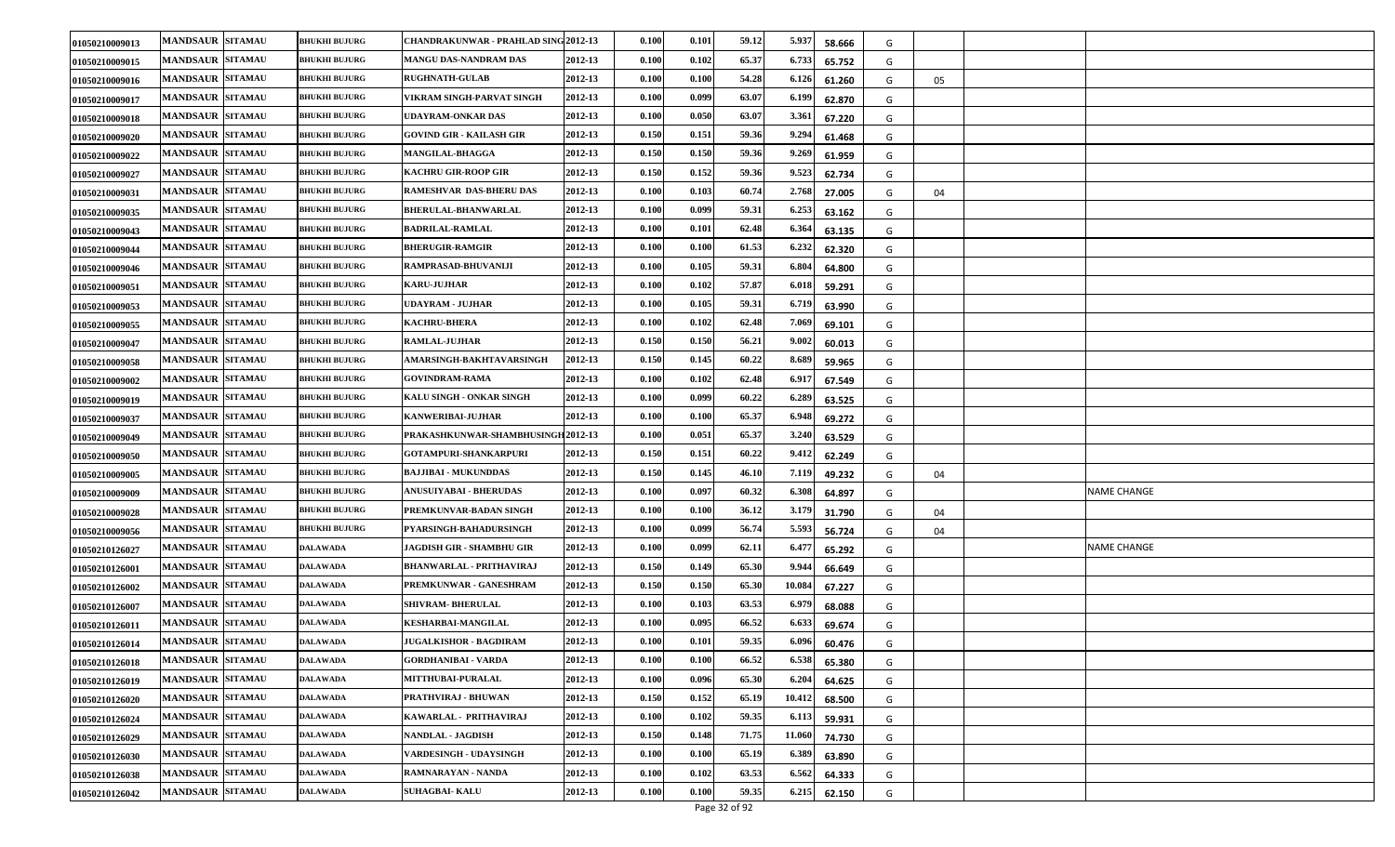| 01050210009013 | <b>MANDSAUR SITAMAU</b> | <b>BHUKHI BUJURG</b> | CHANDRAKUNWAR - PRAHLAD SING 2012-13 |         | 0.100                | 0.101 | 59.12 | 5.937  | 58.666 | G |    |                    |
|----------------|-------------------------|----------------------|--------------------------------------|---------|----------------------|-------|-------|--------|--------|---|----|--------------------|
| 01050210009015 | <b>MANDSAUR SITAMAU</b> | <b>BHUKHI BUJURG</b> | MANGU DAS-NANDRAM DAS                | 2012-13 | 0.100                | 0.102 | 65.37 | 6.733  | 65.752 | G |    |                    |
| 01050210009016 | <b>MANDSAUR SITAMAU</b> | <b>BHUKHI BUJURG</b> | <b>RUGHNATH-GULAB</b>                | 2012-13 | 0.100                | 0.100 | 54.28 | 6.126  | 61.260 | G | 05 |                    |
| 01050210009017 | <b>MANDSAUR SITAMAU</b> | <b>BHUKHI BUJURG</b> | VIKRAM SINGH-PARVAT SINGH            | 2012-13 | 0.100                | 0.099 | 63.07 | 6.199  | 62.870 | G |    |                    |
| 01050210009018 | <b>MANDSAUR SITAMAU</b> | <b>BHUKHI BUJURG</b> | UDAYRAM-ONKAR DAS                    | 2012-13 | 0.100                | 0.050 | 63.07 | 3.36   | 67.220 | G |    |                    |
| 01050210009020 | <b>MANDSAUR SITAMAU</b> | <b>BHUKHI BUJURG</b> | GOVIND GIR - KAILASH GIR             | 2012-13 | 0.150                | 0.151 | 59.36 | 9.294  | 61.468 | G |    |                    |
| 01050210009022 | <b>MANDSAUR SITAMAU</b> | <b>BHUKHI BUJURG</b> | MANGILAL-BHAGGA                      | 2012-13 | 0.150                | 0.150 | 59.36 | 9.269  | 61.959 | G |    |                    |
| 01050210009027 | <b>MANDSAUR SITAMAU</b> | <b>BHUKHI BUJURG</b> | KACHRU GIR-ROOP GIR                  | 2012-13 | 0.150                | 0.152 | 59.36 | 9.523  | 62.734 | G |    |                    |
| 01050210009031 | <b>MANDSAUR SITAMAU</b> | <b>BHUKHI BUJURG</b> | RAMESHVAR DAS-BHERU DAS              | 2012-13 | 0.100                | 0.103 | 60.74 | 2.768  | 27.005 | G | 04 |                    |
| 01050210009035 | <b>MANDSAUR SITAMAU</b> | <b>BHUKHI BUJURG</b> | <b>BHERULAL-BHANWARLAL</b>           | 2012-13 | 0.100                | 0.099 | 59.31 | 6.253  | 63.162 | G |    |                    |
| 01050210009043 | <b>MANDSAUR SITAMAU</b> | <b>BHUKHI BUJURG</b> | <b>BADRILAL-RAMLAL</b>               | 2012-13 | 0.100                | 0.101 | 62.48 | 6.364  | 63.135 | G |    |                    |
| 01050210009044 | <b>MANDSAUR SITAMAU</b> | <b>BHUKHI BUJURG</b> | <b>BHERUGIR-RAMGIR</b>               | 2012-13 | $\boldsymbol{0.100}$ | 0.100 | 61.53 | 6.232  | 62.320 | G |    |                    |
| 01050210009046 | <b>MANDSAUR SITAMAU</b> | <b>BHUKHI BUJURG</b> | RAMPRASAD-BHUVANLJI                  | 2012-13 | 0.100                | 0.105 | 59.31 | 6.80   | 64.800 | G |    |                    |
| 01050210009051 | <b>MANDSAUR SITAMAU</b> | <b>BHUKHI BUJURG</b> | KARU JUJHAR                          | 2012-13 | $\boldsymbol{0.100}$ | 0.102 | 57.87 | 6.018  | 59.291 | G |    |                    |
| 01050210009053 | MANDSAUR SITAMAU        | <b>BHUKHI BUJURG</b> | UDAYRAM - JUJHAR                     | 2012-13 | 0.100                | 0.105 | 59.31 | 6.719  | 63.990 | G |    |                    |
| 01050210009055 | <b>MANDSAUR SITAMAU</b> | <b>BHUKHI BUJURG</b> | <b>KACHRU-BHERA</b>                  | 2012-13 | 0.100                | 0.102 | 62.48 | 7.069  | 69.101 | G |    |                    |
| 01050210009047 | <b>MANDSAUR SITAMAU</b> | <b>BHUKHI BUJURG</b> | RAMLAL-JUJHAR                        | 2012-13 | 0.150                | 0.150 | 56.21 | 9.002  | 60.013 | G |    |                    |
| 01050210009058 | <b>MANDSAUR SITAMAU</b> | <b>BHUKHI BUJURG</b> | AMARSINGH-BAKHTAVARSINGH             | 2012-13 | 0.150                | 0.145 | 60.22 | 8.689  | 59.965 | G |    |                    |
| 01050210009002 | <b>MANDSAUR SITAMAU</b> | <b>BHUKHI BUJURG</b> | <b>GOVINDRAM-RAMA</b>                | 2012-13 | 0.100                | 0.102 | 62.48 | 6.91   | 67.549 | G |    |                    |
| 01050210009019 | <b>MANDSAUR SITAMAU</b> | <b>BHUKHI BUJURG</b> | KALU SINGH - ONKAR SINGH             | 2012-13 | 0.100                | 0.099 | 60.22 | 6.289  | 63.525 | G |    |                    |
| 01050210009037 | <b>MANDSAUR SITAMAU</b> | <b>BHUKHI BUJURG</b> | KANWERIBAI-JUJHAR                    | 2012-13 | 0.100                | 0.100 | 65.37 | 6.94   | 69.272 | G |    |                    |
| 01050210009049 | <b>MANDSAUR SITAMAU</b> | <b>BHUKHI BUJURG</b> | PRAKASHKUNWAR-SHAMBHUSINGH 2012-13   |         | 0.100                | 0.051 | 65.37 | 3.240  | 63.529 | G |    |                    |
| 01050210009050 | <b>MANDSAUR SITAMAU</b> | <b>BHUKHI BUJURG</b> | GOTAMPURI-SHANKARPURI                | 2012-13 | 0.150                | 0.151 | 60.22 | 9.412  | 62.249 | G |    |                    |
| 01050210009005 | <b>MANDSAUR SITAMAU</b> | <b>BHUKHI BUJURG</b> | <b>BAJJIBAI - MUKUNDDAS</b>          | 2012-13 | 0.150                | 0.145 | 46.10 | 7.119  | 49.232 | G | 04 |                    |
| 01050210009009 | <b>MANDSAUR SITAMAU</b> | <b>BHUKHI BUJURG</b> | ANUSUIYABAI - BHERUDAS               | 2012-13 | 0.100                | 0.097 | 60.32 | 6.308  | 64.897 | G |    | <b>NAME CHANGE</b> |
| 01050210009028 | <b>MANDSAUR SITAMAU</b> | <b>BHUKHI BUJURG</b> | PREMKUNVAR-BADAN SINGH               | 2012-13 | 0.100                | 0.100 | 36.12 | 3.179  | 31.790 | G | 04 |                    |
| 01050210009056 | <b>MANDSAUR SITAMAU</b> | <b>BHUKHI BUJURG</b> | <b>PYARSINGH-BAHADURSINGH</b>        | 2012-13 | 0.100                | 0.099 | 56.74 | 5.593  | 56.724 | G | 04 |                    |
| 01050210126027 | <b>MANDSAUR SITAMAU</b> | <b>DALAWADA</b>      | JAGDISH GIR - SHAMBHU GIR            | 2012-13 | 0.100                | 0.099 | 62.11 | 6.47   | 65.292 | G |    | NAME CHANGE        |
| 01050210126001 | <b>MANDSAUR SITAMAU</b> | <b>DALAWADA</b>      | <b>BHANWARLAL - PRITHAVIRAJ</b>      | 2012-13 | 0.150                | 0.149 | 65.30 | 9.944  | 66.649 | G |    |                    |
| 01050210126002 | <b>MANDSAUR SITAMAU</b> | <b>DALAWADA</b>      | PREMKUNWAR - GANESHRAM               | 2012-13 | 0.150                | 0.150 | 65.30 | 10.084 | 67.227 | G |    |                    |
| 01050210126007 | <b>MANDSAUR SITAMAU</b> | DALAWADA             | <b>SHIVRAM- BHERULAL</b>             | 2012-13 | 0.100                | 0.103 | 63.53 | 6.97   | 68.088 | G |    |                    |
| 01050210126011 | <b>MANDSAUR SITAMAU</b> | <b>DALAWADA</b>      | KESHARBAI-MANGILAL                   | 2012-13 | 0.100                | 0.095 | 66.52 | 6.63.  | 69.674 | G |    |                    |
| 01050210126014 | <b>MANDSAUR SITAMAU</b> | <b>DALAWADA</b>      | <b>JUGALKISHOR - BAGDIRAM</b>        | 2012-13 | 0.100                | 0.101 | 59.35 | 6.096  | 60.476 | G |    |                    |
| 01050210126018 | <b>MANDSAUR SITAMAU</b> | <b>DALAWADA</b>      | <b>GORDHANIBAI - VARDA</b>           | 2012-13 | 0.100                | 0.100 | 66.52 | 6.538  | 65.380 | G |    |                    |
| 01050210126019 | <b>MANDSAUR SITAMAU</b> | <b>DALAWADA</b>      | <b>MITTHUBAI-PURALAL</b>             | 2012-13 | 0.100                | 0.096 | 65.30 | 6.204  | 64.625 | G |    |                    |
| 01050210126020 | <b>MANDSAUR SITAMAU</b> | <b>DALAWADA</b>      | PRATHVIRAJ - BHUWAN                  | 2012-13 | 0.150                | 0.152 | 65.19 | 10.41  | 68.500 | G |    |                    |
| 01050210126024 | <b>MANDSAUR SITAMAU</b> | <b>DALAWADA</b>      | KAWARLAL - PRITHAVIRAJ               | 2012-13 | 0.100                | 0.102 | 59.35 | 6.113  | 59.931 | G |    |                    |
| 01050210126029 | <b>MANDSAUR SITAMAU</b> | <b>DALAWADA</b>      | <b>NANDLAL - JAGDISH</b>             | 2012-13 | 0.150                | 0.148 | 71.75 | 11.060 | 74.730 | G |    |                    |
| 01050210126030 | <b>MANDSAUR SITAMAU</b> | <b>DALAWADA</b>      | VARDESINGH - UDAYSINGH               | 2012-13 | 0.100                | 0.100 | 65.19 | 6.389  | 63.890 | G |    |                    |
| 01050210126038 | <b>MANDSAUR SITAMAU</b> | <b>DALAWADA</b>      | RAMNARAYAN - NANDA                   | 2012-13 | 0.100                | 0.102 | 63.53 | 6.562  | 64.333 | G |    |                    |
| 01050210126042 | <b>MANDSAUR SITAMAU</b> | <b>DALAWADA</b>      | <b>SUHAGBAI-KALU</b>                 | 2012-13 | 0.100                | 0.100 | 59.35 | 6.215  | 62.150 | G |    |                    |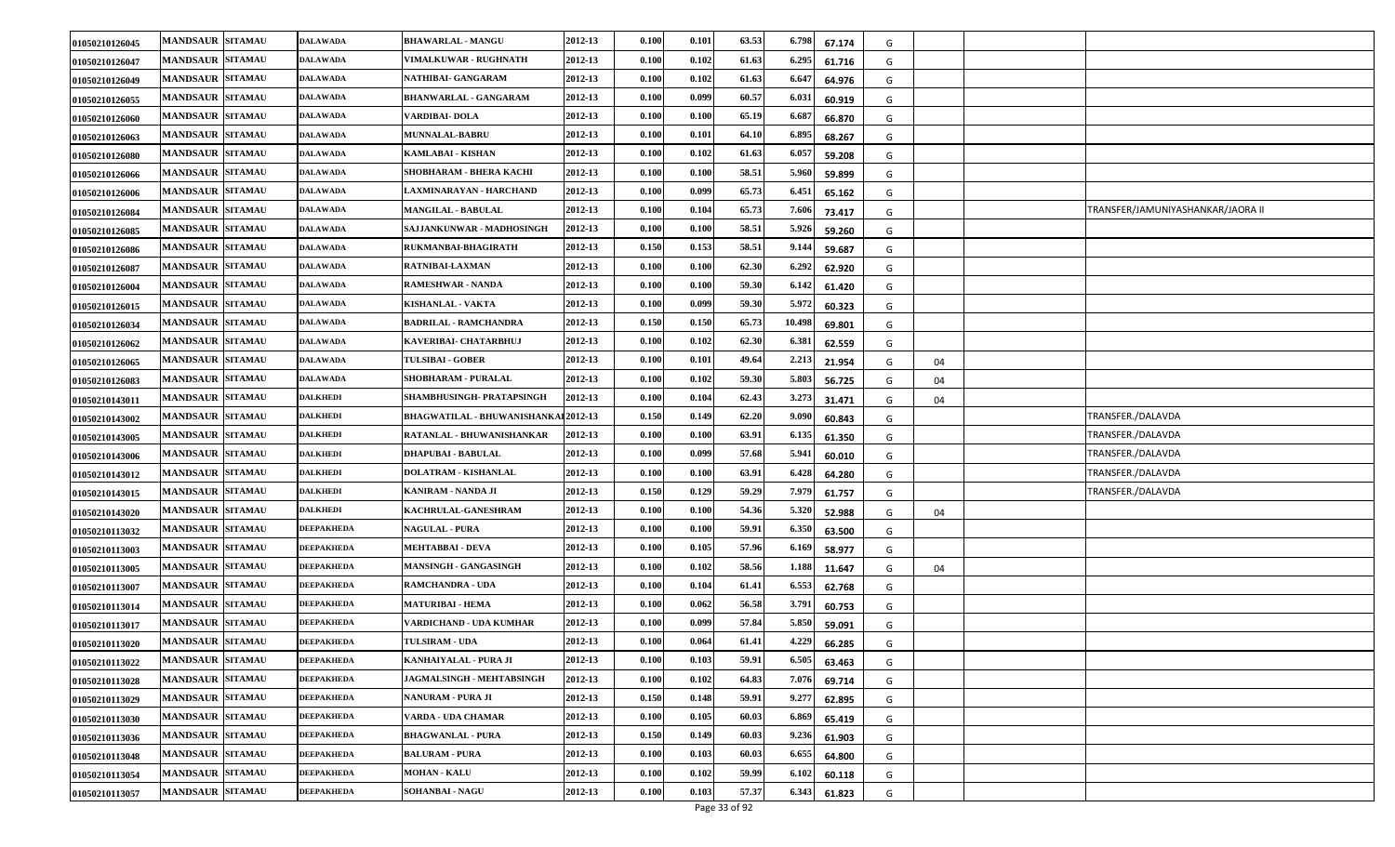| 01050210126045 | <b>MANDSAUR SITAMAU</b> | <b>DALAWADA</b>   | <b>BHAWARLAL - MANGU</b>             | 2012-13 | 0.100 | 0.101 | 63.53 | 6.798<br>67.174  | G |    |                                   |
|----------------|-------------------------|-------------------|--------------------------------------|---------|-------|-------|-------|------------------|---|----|-----------------------------------|
| 01050210126047 | <b>MANDSAUR SITAMAU</b> | <b>DALAWADA</b>   | <b>VIMALKUWAR - RUGHNATH</b>         | 2012-13 | 0.100 | 0.102 | 61.63 | 6.295<br>61.716  | G |    |                                   |
| 01050210126049 | <b>MANDSAUR SITAMAU</b> | DALAWADA          | NATHIBAI- GANGARAM                   | 2012-13 | 0.100 | 0.102 | 61.63 | 6.64<br>64.976   | G |    |                                   |
| 01050210126055 | <b>MANDSAUR SITAMAU</b> | DALAWADA          | BHANWARLAL - GANGARAM                | 2012-13 | 0.100 | 0.099 | 60.57 | 6.03<br>60.919   | G |    |                                   |
| 01050210126060 | <b>MANDSAUR SITAMAU</b> | DALAWADA          | VARDIBAI-DOLA                        | 2012-13 | 0.100 | 0.100 | 65.19 | 6.68<br>66.870   | G |    |                                   |
| 01050210126063 | <b>MANDSAUR SITAMAU</b> | DALAWADA          | <b>MUNNALAL-BABRU</b>                | 2012-13 | 0.100 | 0.101 | 64.10 | 6.895<br>68.267  | G |    |                                   |
| 01050210126080 | <b>MANDSAUR SITAMAU</b> | <b>DALAWADA</b>   | KAMLABAI - KISHAN                    | 2012-13 | 0.100 | 0.102 | 61.63 | 6.057<br>59.208  | G |    |                                   |
| 01050210126066 | <b>MANDSAUR SITAMAU</b> | DALAWADA          | SHOBHARAM - BHERA KACHI              | 2012-13 | 0.100 | 0.100 | 58.51 | 5.960<br>59.899  | G |    |                                   |
| 01050210126006 | <b>MANDSAUR SITAMAU</b> | DALAWADA          | LAXMINARAYAN - HARCHAND              | 2012-13 | 0.100 | 0.099 | 65.73 | 6.45<br>65.162   | G |    |                                   |
| 01050210126084 | <b>MANDSAUR SITAMAU</b> | DALAWADA          | <b>MANGILAL - BABULAL</b>            | 2012-13 | 0.100 | 0.104 | 65.73 | 7.606<br>73.417  | G |    | TRANSFER/JAMUNIYASHANKAR/JAORA II |
| 01050210126085 | <b>MANDSAUR SITAMAU</b> | <b>DALAWADA</b>   | SAJJANKUNWAR - MADHOSINGH            | 2012-13 | 0.100 | 0.100 | 58.51 | 5.926<br>59.260  | G |    |                                   |
| 01050210126086 | <b>MANDSAUR SITAMAU</b> | DALAWADA          | RUKMANBAI-BHAGIRATH                  | 2012-13 | 0.150 | 0.153 | 58.51 | 9.14<br>59.687   | G |    |                                   |
| 01050210126087 | <b>MANDSAUR SITAMAU</b> | DALAWADA          | RATNIBAI-LAXMAN                      | 2012-13 | 0.100 | 0.100 | 62.30 | 6.29'<br>62.920  | G |    |                                   |
| 01050210126004 | <b>MANDSAUR SITAMAU</b> | DALAWADA          | <b>RAMESHWAR - NANDA</b>             | 2012-13 | 0.100 | 0.100 | 59.30 | 6.142<br>61.420  | G |    |                                   |
| 01050210126015 | <b>MANDSAUR SITAMAU</b> | DALAWADA          | KISHANLAL - VAKTA                    | 2012-13 | 0.100 | 0.099 | 59.30 | 5.972<br>60.323  | G |    |                                   |
| 01050210126034 | <b>MANDSAUR SITAMAU</b> | DALAWADA          | <b>BADRILAL - RAMCHANDRA</b>         | 2012-13 | 0.150 | 0.150 | 65.73 | 10.498<br>69.801 | G |    |                                   |
| 01050210126062 | <b>MANDSAUR SITAMAU</b> | DALAWADA          | KAVERIBAI- CHATARBHUJ                | 2012-13 | 0.100 | 0.102 | 62.30 | 6.38<br>62.559   | G |    |                                   |
| 01050210126065 | <b>MANDSAUR SITAMAU</b> | DALAWADA          | <b>TULSIBAI - GOBER</b>              | 2012-13 | 0.100 | 0.101 | 49.64 | 2.213<br>21.954  | G | 04 |                                   |
| 01050210126083 | <b>MANDSAUR SITAMAU</b> | DALAWADA          | <b>SHOBHARAM - PURALAL</b>           | 2012-13 | 0.100 | 0.102 | 59.30 | 5.803<br>56.725  | G | 04 |                                   |
| 01050210143011 | <b>MANDSAUR SITAMAU</b> | DALKHEDI          | SHAMBHUSINGH- PRATAPSINGH            | 2012-13 | 0.100 | 0.104 | 62.43 | 3.273<br>31.471  | G | 04 |                                   |
| 01050210143002 | <b>MANDSAUR SITAMAU</b> | <b>DALKHEDI</b>   | BHAGWATILAL - BHUWANISHANKAI 2012-13 |         | 0.150 | 0.149 | 62.20 | 9.09<br>60.843   | G |    | TRANSFER./DALAVDA                 |
| 01050210143005 | <b>MANDSAUR SITAMAU</b> | <b>DALKHEDI</b>   | RATANLAL - BHUWANISHANKAR            | 2012-13 | 0.100 | 0.100 | 63.91 | 6.13<br>61.350   | G |    | TRANSFER./DALAVDA                 |
| 01050210143006 | <b>MANDSAUR SITAMAU</b> | <b>DALKHEDI</b>   | <b>DHAPUBAI - BABULAL</b>            | 2012-13 | 0.100 | 0.099 | 57.68 | 5.941<br>60.010  | G |    | TRANSFER./DALAVDA                 |
| 01050210143012 | <b>MANDSAUR SITAMAU</b> | DALKHEDI          | DOLATRAM - KISHANLAL                 | 2012-13 | 0.100 | 0.100 | 63.91 | 6.42<br>64.280   | G |    | TRANSFER./DALAVDA                 |
| 01050210143015 | <b>MANDSAUR SITAMAU</b> | <b>DALKHEDI</b>   | KANIRAM - NANDA JI                   | 2012-13 | 0.150 | 0.129 | 59.29 | 7.979<br>61.757  | G |    | TRANSFER./DALAVDA                 |
| 01050210143020 | <b>MANDSAUR SITAMAU</b> | <b>DALKHEDI</b>   | <b>KACHRULAL-GANESHRAM</b>           | 2012-13 | 0.100 | 0.100 | 54.36 | 5.320<br>52.988  | G | 04 |                                   |
| 01050210113032 | <b>MANDSAUR SITAMAU</b> | DEEPAKHEDA        | <b>NAGULAL - PURA</b>                | 2012-13 | 0.100 | 0.100 | 59.91 | 6.350<br>63.500  | G |    |                                   |
| 01050210113003 | <b>MANDSAUR SITAMAU</b> | <b>DEEPAKHEDA</b> | MEHTABBAI - DEVA                     | 2012-13 | 0.100 | 0.105 | 57.96 | 6.16<br>58.977   | G |    |                                   |
| 01050210113005 | <b>MANDSAUR SITAMAU</b> | <b>DEEPAKHEDA</b> | <b>MANSINGH - GANGASINGH</b>         | 2012-13 | 0.100 | 0.102 | 58.56 | 1.188<br>11.647  | G | 04 |                                   |
| 01050210113007 | <b>MANDSAUR SITAMAU</b> | <b>DEEPAKHEDA</b> | <b>RAMCHANDRA - UDA</b>              | 2012-13 | 0.100 | 0.104 | 61.41 | 6.553<br>62.768  | G |    |                                   |
| 01050210113014 | <b>MANDSAUR SITAMAU</b> | DEEPAKHEDA        | MATURIBAI - HEMA                     | 2012-13 | 0.100 | 0.062 | 56.58 | 3.791<br>60.753  | G |    |                                   |
| 01050210113017 | <b>MANDSAUR SITAMAU</b> | <b>DEEPAKHEDA</b> | VARDICHAND - UDA KUMHAR              | 2012-13 | 0.100 | 0.099 | 57.84 | 5.850<br>59.091  | G |    |                                   |
| 01050210113020 | <b>MANDSAUR SITAMAU</b> | DEEPAKHEDA        | <b>TULSIRAM - UDA</b>                | 2012-13 | 0.100 | 0.064 | 61.41 | 4.229<br>66.285  | G |    |                                   |
| 01050210113022 | <b>MANDSAUR SITAMAU</b> | <b>DEEPAKHEDA</b> | KANHAIYALAL - PURA JI                | 2012-13 | 0.100 | 0.103 | 59.91 | 6.505<br>63.463  | G |    |                                   |
| 01050210113028 | <b>MANDSAUR SITAMAU</b> | DEEPAKHEDA        | <b>IAGMALSINGH - MEHTABSINGH</b>     | 2012-13 | 0.100 | 0.102 | 64.83 | 7.076<br>69.714  | G |    |                                   |
| 01050210113029 | <b>MANDSAUR SITAMAU</b> | <b>DEEPAKHEDA</b> | NANURAM - PURA JI                    | 2012-13 | 0.150 | 0.148 | 59.91 | 9.277<br>62.895  | G |    |                                   |
| 01050210113030 | <b>MANDSAUR SITAMAU</b> | <b>DEEPAKHEDA</b> | VARDA - UDA CHAMAR                   | 2012-13 | 0.100 | 0.105 | 60.03 | 6.869<br>65.419  | G |    |                                   |
| 01050210113036 | <b>MANDSAUR SITAMAU</b> | <b>DEEPAKHEDA</b> | <b>BHAGWANLAL - PURA</b>             | 2012-13 | 0.150 | 0.149 | 60.03 | 9.236<br>61.903  | G |    |                                   |
| 01050210113048 | <b>MANDSAUR SITAMAU</b> | DEEPAKHEDA        | <b>BALURAM - PURA</b>                | 2012-13 | 0.100 | 0.103 | 60.03 | 6.655<br>64.800  | G |    |                                   |
| 01050210113054 | <b>MANDSAUR SITAMAU</b> | <b>DEEPAKHEDA</b> | <b>MOHAN - KALU</b>                  | 2012-13 | 0.100 | 0.102 | 59.99 | 6.102<br>60.118  | G |    |                                   |
| 01050210113057 | <b>MANDSAUR SITAMAU</b> | <b>DEEPAKHEDA</b> | <b>SOHANBAI - NAGU</b>               | 2012-13 | 0.100 | 0.103 | 57.37 | 6.343<br>61.823  | G |    |                                   |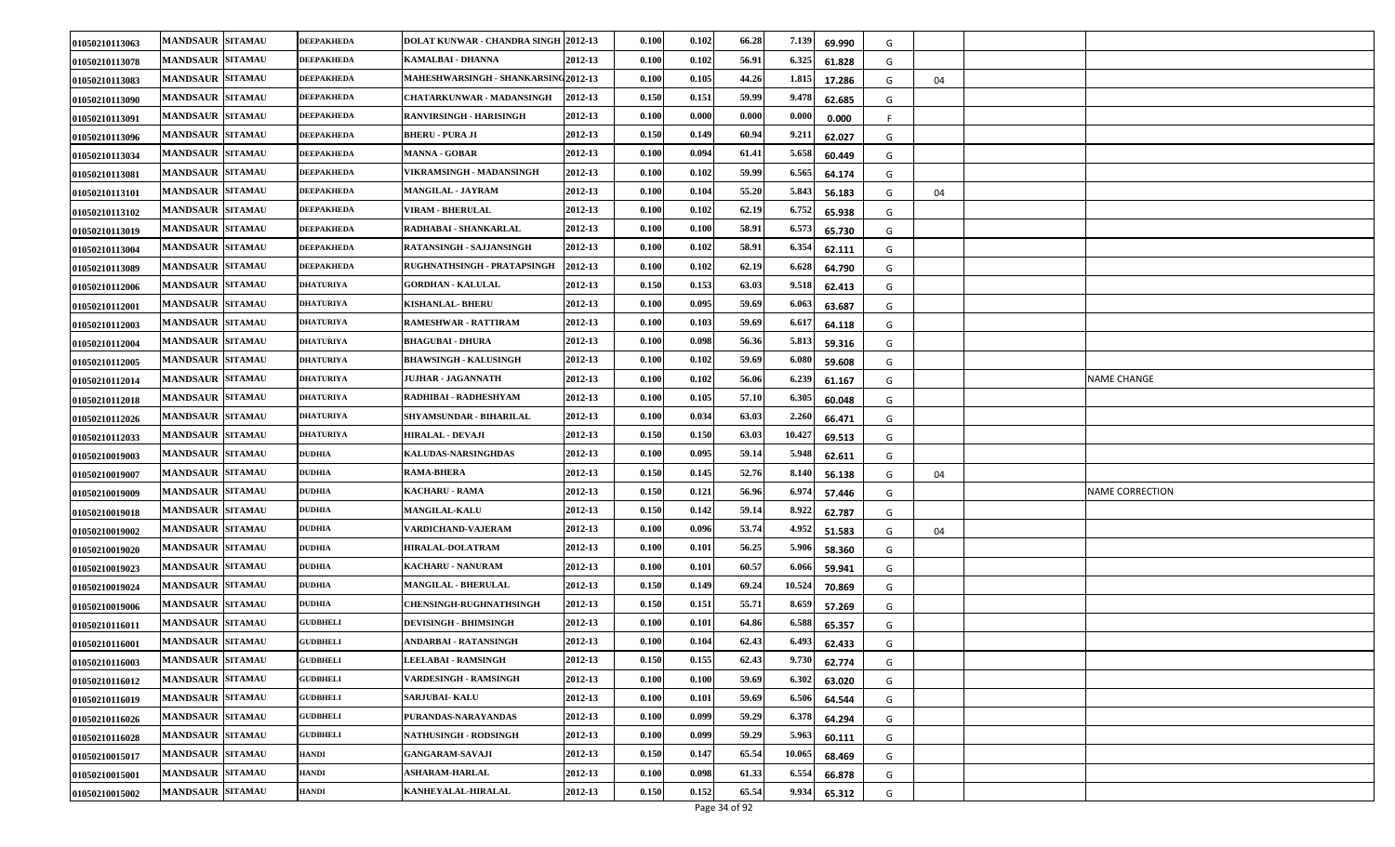| 01050210113063 | <b>MANDSAUR SITAMAU</b> | <b>DEEPAKHEDA</b> | <b>DOLAT KUNWAR - CHANDRA SINGH 2012-13</b> |         | 0.100                | 0.102 | 66.28 | 7.139  | 69.990 | G  |    |                        |
|----------------|-------------------------|-------------------|---------------------------------------------|---------|----------------------|-------|-------|--------|--------|----|----|------------------------|
| 01050210113078 | <b>MANDSAUR SITAMAU</b> | <b>DEEPAKHEDA</b> | KAMALBAI - DHANNA                           | 2012-13 | 0.100                | 0.102 | 56.91 | 6.325  | 61.828 | G  |    |                        |
| 01050210113083 | <b>MANDSAUR SITAMAU</b> | <b>DEEPAKHEDA</b> | MAHESHWARSINGH - SHANKARSING 2012-13        |         | 0.100                | 0.105 | 44.26 | 1.815  | 17.286 | G  | 04 |                        |
| 01050210113090 | <b>MANDSAUR SITAMAU</b> | <b>DEEPAKHEDA</b> | CHATARKUNWAR - MADANSINGH                   | 2012-13 | 0.150                | 0.151 | 59.99 | 9.478  | 62.685 | G  |    |                        |
| 01050210113091 | <b>MANDSAUR SITAMAU</b> | DEEPAKHEDA        | <b>RANVIRSINGH - HARISINGH</b>              | 2012-13 | 0.100                | 0.000 | 0.000 | 0.000  | 0.000  | F. |    |                        |
| 01050210113096 | <b>MANDSAUR SITAMAU</b> | DEEPAKHEDA        | <b>BHERU - PURA JI</b>                      | 2012-13 | 0.150                | 0.149 | 60.94 | 9.21   | 62.027 | G  |    |                        |
| 01050210113034 | <b>MANDSAUR SITAMAU</b> | <b>DEEPAKHEDA</b> | <b>MANNA - GOBAR</b>                        | 2012-13 | 0.100                | 0.094 | 61.41 | 5.658  | 60.449 | G  |    |                        |
| 01050210113081 | <b>MANDSAUR SITAMAU</b> | <b>DEEPAKHEDA</b> | VIKRAMSINGH - MADANSINGH                    | 2012-13 | 0.100                | 0.102 | 59.99 | 6.565  | 64.174 | G  |    |                        |
| 01050210113101 | <b>MANDSAUR SITAMAU</b> | <b>DEEPAKHEDA</b> | MANGILAL - JAYRAM                           | 2012-13 | 0.100                | 0.104 | 55.20 | 5.84   | 56.183 | G  | 04 |                        |
| 01050210113102 | <b>MANDSAUR SITAMAU</b> | <b>DEEPAKHEDA</b> | <b>VIRAM - BHERULAL</b>                     | 2012-13 | 0.100                | 0.102 | 62.19 | 6.752  | 65.938 | G  |    |                        |
| 01050210113019 | <b>MANDSAUR SITAMAU</b> | <b>DEEPAKHEDA</b> | RADHABAI - SHANKARLAL                       | 2012-13 | 0.100                | 0.100 | 58.91 | 6.57   | 65.730 | G  |    |                        |
| 01050210113004 | <b>MANDSAUR SITAMAU</b> | <b>DEEPAKHEDA</b> | RATANSINGH - SAJJANSINGH                    | 2012-13 | 0.100                | 0.102 | 58.91 | 6.354  | 62.111 | G  |    |                        |
| 01050210113089 | <b>MANDSAUR SITAMAU</b> | <b>DEEPAKHEDA</b> | RUGHNATHSINGH - PRATAPSINGH                 | 2012-13 | 0.100                | 0.102 | 62.19 | 6.628  | 64.790 | G  |    |                        |
| 01050210112006 | <b>MANDSAUR SITAMAU</b> | <b>DHATURIYA</b>  | <b>GORDHAN - KALULAL</b>                    | 2012-13 | 0.150                | 0.153 | 63.03 | 9.518  | 62.413 | G  |    |                        |
| 01050210112001 | MANDSAUR SITAMAU        | DHATURIYA         | KISHANLAL- BHERU                            | 2012-13 | 0.100                | 0.095 | 59.69 | 6.063  | 63.687 | G  |    |                        |
| 01050210112003 | <b>MANDSAUR SITAMAU</b> | DHATURIYA         | RAMESHWAR - RATTIRAM                        | 2012-13 | 0.100                | 0.103 | 59.69 | 6.61   | 64.118 | G  |    |                        |
| 01050210112004 | <b>MANDSAUR SITAMAU</b> | DHATURIYA         | <b>BHAGUBAI - DHURA</b>                     | 2012-13 | 0.100                | 0.098 | 56.36 | 5.81   | 59.316 | G  |    |                        |
| 01050210112005 | <b>MANDSAUR SITAMAU</b> | <b>DHATURIYA</b>  | <b>BHAWSINGH - KALUSINGH</b>                | 2012-13 | $\boldsymbol{0.100}$ | 0.102 | 59.69 | 6.080  | 59.608 | G  |    |                        |
| 01050210112014 | <b>MANDSAUR SITAMAU</b> | <b>DHATURIYA</b>  | <b>JUJHAR - JAGANNATH</b>                   | 2012-13 | 0.100                | 0.102 | 56.06 | 6.239  | 61.167 | G  |    | NAME CHANGE            |
| 01050210112018 | <b>MANDSAUR SITAMAU</b> | DHATURIYA         | RADHIBAI - RADHESHYAM                       | 2012-13 | 0.100                | 0.105 | 57.10 | 6.305  | 60.048 | G  |    |                        |
| 01050210112026 | <b>MANDSAUR SITAMAU</b> | DHATURIYA         | SHYAMSUNDAR - BIHARILAL                     | 2012-13 | 0.100                | 0.034 | 63.03 | 2.260  | 66.471 | G  |    |                        |
| 01050210112033 | <b>MANDSAUR SITAMAU</b> | <b>DHATURIYA</b>  | <b>HIRALAL - DEVAJI</b>                     | 2012-13 | 0.150                | 0.150 | 63.03 | 10.42  | 69.513 | G  |    |                        |
| 01050210019003 | <b>MANDSAUR SITAMAU</b> | <b>DUDHIA</b>     | KALUDAS-NARSINGHDAS                         | 2012-13 | 0.100                | 0.095 | 59.14 | 5.948  | 62.611 | G  |    |                        |
| 01050210019007 | <b>MANDSAUR SITAMAU</b> | <b>DUDHIA</b>     | <b>RAMA-BHERA</b>                           | 2012-13 | 0.150                | 0.145 | 52.76 | 8.140  | 56.138 | G  | 04 |                        |
| 01050210019009 | <b>MANDSAUR SITAMAU</b> | <b>DUDHIA</b>     | <b>KACHARU - RAMA</b>                       | 2012-13 | 0.150                | 0.121 | 56.96 | 6.97   | 57.446 | G  |    | <b>NAME CORRECTION</b> |
| 01050210019018 | <b>MANDSAUR SITAMAU</b> | <b>DUDHIA</b>     | <b>MANGILAL-KALU</b>                        | 2012-13 | 0.150                | 0.142 | 59.14 | 8.922  | 62.787 | G  |    |                        |
| 01050210019002 | <b>MANDSAUR SITAMAU</b> | <b>DUDHIA</b>     | VARDICHAND-VAJERAM                          | 2012-13 | 0.100                | 0.096 | 53.74 | 4.952  | 51.583 | G  | 04 |                        |
| 01050210019020 | <b>MANDSAUR SITAMAU</b> | <b>DUDHIA</b>     | HIRALAL-DOLATRAM                            | 2012-13 | 0.100                | 0.101 | 56.25 | 5.906  | 58.360 | G  |    |                        |
| 01050210019023 | <b>MANDSAUR SITAMAU</b> | <b>DUDHIA</b>     | <b>KACHARU - NANURAM</b>                    | 2012-13 | 0.100                | 0.101 | 60.57 | 6.066  | 59.941 | G  |    |                        |
| 01050210019024 | <b>MANDSAUR SITAMAU</b> | <b>DUDHIA</b>     | MANGILAL - BHERULAL                         | 2012-13 | 0.150                | 0.149 | 69.24 | 10.524 | 70.869 | G  |    |                        |
| 01050210019006 | <b>MANDSAUR SITAMAU</b> | <b>DUDHIA</b>     | <b>CHENSINGH-RUGHNATHSINGH</b>              | 2012-13 | 0.150                | 0.151 | 55.71 | 8.659  | 57.269 | G  |    |                        |
| 01050210116011 | <b>MANDSAUR SITAMAU</b> | <b>GUDBHELI</b>   | <b>DEVISINGH - BHIMSINGH</b>                | 2012-13 | 0.100                | 0.101 | 64.86 | 6.588  | 65.357 | G  |    |                        |
| 01050210116001 | <b>MANDSAUR SITAMAU</b> | <b>GUDBHELI</b>   | ANDARBAI - RATANSINGH                       | 2012-13 | 0.100                | 0.104 | 62.43 | 6.493  | 62.433 | G  |    |                        |
| 01050210116003 | <b>MANDSAUR SITAMAU</b> | <b>GUDBHELI</b>   | LEELABAI - RAMSINGH                         | 2012-13 | 0.150                | 0.155 | 62.43 | 9.730  | 62.774 | G  |    |                        |
| 01050210116012 | <b>MANDSAUR SITAMAU</b> | <b>GUDBHELI</b>   | VARDESINGH - RAMSINGH                       | 2012-13 | 0.100                | 0.100 | 59.69 | 6.302  | 63.020 | G  |    |                        |
| 01050210116019 | MANDSAUR SITAMAU        | <b>GUDBHELI</b>   | SARJUBAI- KALU                              | 2012-13 | 0.100                | 0.101 | 59.69 | 6.506  | 64.544 | G  |    |                        |
| 01050210116026 | <b>MANDSAUR SITAMAU</b> | <b>GUDBHELI</b>   | PURANDAS-NARAYANDAS                         | 2012-13 | 0.100                | 0.099 | 59.29 | 6.378  | 64.294 | G  |    |                        |
| 01050210116028 | <b>MANDSAUR SITAMAU</b> | <b>GUDBHELI</b>   | <b>NATHUSINGH - RODSINGH</b>                | 2012-13 | 0.100                | 0.099 | 59.29 | 5.963  | 60.111 | G  |    |                        |
| 01050210015017 | <b>MANDSAUR SITAMAU</b> | HANDI             | <b>GANGARAM-SAVAJI</b>                      | 2012-13 | 0.150                | 0.147 | 65.54 | 10.065 | 68.469 | G  |    |                        |
| 01050210015001 | <b>MANDSAUR SITAMAU</b> | HANDI             | <b>ASHARAM-HARLAL</b>                       | 2012-13 | 0.100                | 0.098 | 61.33 | 6.55   | 66.878 | G  |    |                        |
| 01050210015002 | <b>MANDSAUR SITAMAU</b> | <b>HANDI</b>      | KANHEYALAL-HIRALAL                          | 2012-13 | 0.150                | 0.152 | 65.54 | 9.934  | 65.312 | G  |    |                        |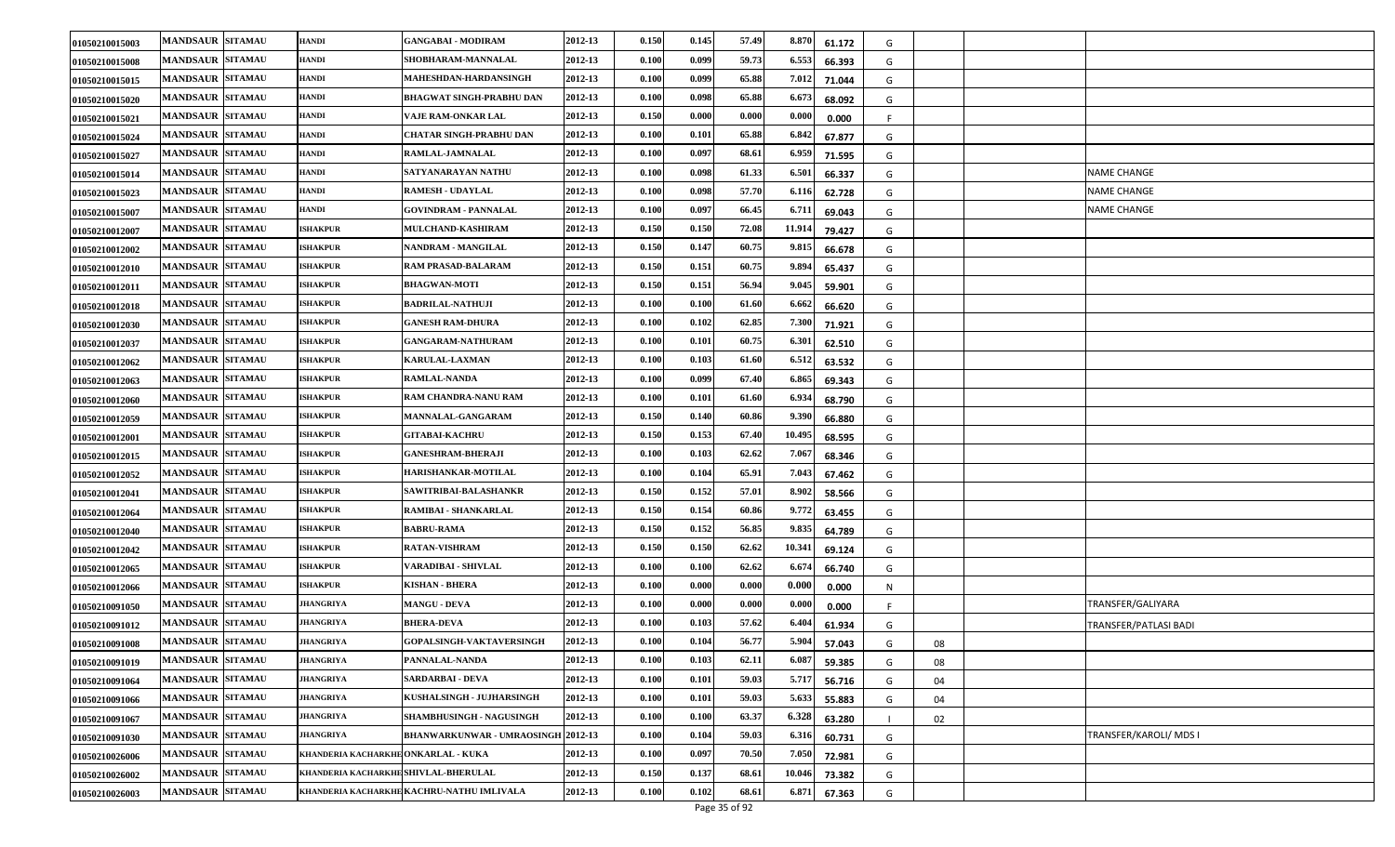| 01050210015003 | <b>MANDSAUR SITAMAU</b> | HANDI                                | <b>GANGABAI - MODIRAM</b>                 | 2012-13 | 0.150 | 0.145 | 57.49 | 8.870  | 61.172 | G       |  |                        |
|----------------|-------------------------|--------------------------------------|-------------------------------------------|---------|-------|-------|-------|--------|--------|---------|--|------------------------|
| 01050210015008 | <b>MANDSAUR SITAMAU</b> | HANDI                                | SHOBHARAM-MANNALAL                        | 2012-13 | 0.100 | 0.099 | 59.73 | 6.553  | 66.393 | G       |  |                        |
| 01050210015015 | <b>MANDSAUR SITAMAU</b> | HANDI                                | MAHESHDAN-HARDANSINGH                     | 2012-13 | 0.100 | 0.099 | 65.88 | 7.012  | 71.044 | G       |  |                        |
| 01050210015020 | <b>MANDSAUR SITAMAU</b> | HANDI                                | <b>BHAGWAT SINGH-PRABHU DAN</b>           | 2012-13 | 0.100 | 0.098 | 65.88 | 6.67   | 68.092 | G       |  |                        |
| 01050210015021 | <b>MANDSAUR SITAMAU</b> | HANDI                                | <b>VAJE RAM-ONKAR LAL</b>                 | 2012-13 | 0.150 | 0.000 | 0.000 | 0.000  | 0.000  | -F      |  |                        |
| 01050210015024 | <b>MANDSAUR SITAMAU</b> | HANDI                                | CHATAR SINGH-PRABHU DAN                   | 2012-13 | 0.100 | 0.101 | 65.88 | 6.842  | 67.877 | G       |  |                        |
| 01050210015027 | <b>MANDSAUR SITAMAU</b> | HANDI                                | RAMLAL-JAMNALAL                           | 2012-13 | 0.100 | 0.097 | 68.61 | 6.959  | 71.595 | G       |  |                        |
| 01050210015014 | <b>MANDSAUR SITAMAU</b> | HANDI                                | SATYANARAYAN NATHU                        | 2012-13 | 0.100 | 0.098 | 61.33 | 6.501  | 66.337 | G       |  | NAME CHANGE            |
| 01050210015023 | <b>MANDSAUR SITAMAU</b> | HANDI                                | <b>RAMESH - UDAYLAL</b>                   | 2012-13 | 0.100 | 0.098 | 57.70 | 6.11   | 62.728 | G       |  | <b>NAME CHANGE</b>     |
| 01050210015007 | <b>MANDSAUR SITAMAU</b> | HANDI                                | <b>GOVINDRAM - PANNALAL</b>               | 2012-13 | 0.100 | 0.097 | 66.45 | 6.71   | 69.043 | G       |  | <b>NAME CHANGE</b>     |
| 01050210012007 | <b>MANDSAUR SITAMAU</b> | <b>ISHAKPUR</b>                      | MULCHAND-KASHIRAM                         | 2012-13 | 0.150 | 0.150 | 72.08 | 11.91  | 79.427 | G       |  |                        |
| 01050210012002 | <b>MANDSAUR SITAMAU</b> | <b>ISHAKPUR</b>                      | NANDRAM - MANGILAL                        | 2012-13 | 0.150 | 0.147 | 60.75 | 9.81   | 66.678 | G       |  |                        |
| 01050210012010 | <b>MANDSAUR SITAMAU</b> | <b>ISHAKPUR</b>                      | RAM PRASAD-BALARAM                        | 2012-13 | 0.150 | 0.151 | 60.75 | 9.89   | 65.437 | G       |  |                        |
| 01050210012011 | <b>MANDSAUR SITAMAU</b> | <b>ISHAKPUR</b>                      | <b>BHAGWAN-MOTI</b>                       | 2012-13 | 0.150 | 0.151 | 56.94 | 9.045  | 59.901 | G       |  |                        |
| 01050210012018 | <b>MANDSAUR SITAMAU</b> | <b>ISHAKPUR</b>                      | <b>BADRILAL-NATHUJI</b>                   | 2012-13 | 0.100 | 0.100 | 61.60 | 6.662  | 66.620 | G       |  |                        |
| 01050210012030 | <b>MANDSAUR SITAMAU</b> | <b>ISHAKPUR</b>                      | <b>GANESH RAM-DHURA</b>                   | 2012-13 | 0.100 | 0.102 | 62.85 | 7.300  | 71.921 | G       |  |                        |
| 01050210012037 | <b>MANDSAUR SITAMAU</b> | <b>ISHAKPUR</b>                      | <b>GANGARAM-NATHURAM</b>                  | 2012-13 | 0.100 | 0.101 | 60.75 | 6.30   | 62.510 | G       |  |                        |
| 01050210012062 | <b>MANDSAUR SITAMAU</b> | <b>ISHAKPUR</b>                      | <b>KARULAL-LAXMAN</b>                     | 2012-13 | 0.100 | 0.103 | 61.60 | 6.51   | 63.532 | G       |  |                        |
| 01050210012063 | <b>MANDSAUR SITAMAU</b> | <b>ISHAKPUR</b>                      | <b>RAMLAL-NANDA</b>                       | 2012-13 | 0.100 | 0.099 | 67.40 | 6.86   | 69.343 | G       |  |                        |
| 01050210012060 | <b>MANDSAUR SITAMAU</b> | <b>ISHAKPUR</b>                      | RAM CHANDRA-NANU RAM                      | 2012-13 | 0.100 | 0.101 | 61.60 | 6.934  | 68.790 | G       |  |                        |
| 01050210012059 | <b>MANDSAUR SITAMAU</b> | <b>ISHAKPUR</b>                      | MANNALAL-GANGARAM                         | 2012-13 | 0.150 | 0.140 | 60.86 | 9.39   | 66.880 | G       |  |                        |
| 01050210012001 | <b>MANDSAUR SITAMAU</b> | <b>ISHAKPUR</b>                      | <b>GITABAI-KACHRU</b>                     | 2012-13 | 0.150 | 0.153 | 67.40 | 10.49  | 68.595 | G       |  |                        |
| 01050210012015 | <b>MANDSAUR SITAMAU</b> | <b>ISHAKPUR</b>                      | <b>GANESHRAM-BHERAJI</b>                  | 2012-13 | 0.100 | 0.103 | 62.62 | 7.06   | 68.346 | G       |  |                        |
| 01050210012052 | <b>MANDSAUR SITAMAU</b> | <b>ISHAKPUR</b>                      | <b>HARISHANKAR-MOTILAL</b>                | 2012-13 | 0.100 | 0.104 | 65.91 | 7.043  | 67.462 | G       |  |                        |
| 01050210012041 | <b>MANDSAUR SITAMAU</b> | <b>ISHAKPUR</b>                      | SAWITRIBAI-BALASHANKR                     | 2012-13 | 0.150 | 0.152 | 57.01 | 8.90   | 58.566 | G       |  |                        |
| 01050210012064 | <b>MANDSAUR SITAMAU</b> | <b>ISHAKPUR</b>                      | RAMIBAI - SHANKARLAL                      | 2012-13 | 0.150 | 0.154 | 60.86 | 9.77   | 63.455 | G       |  |                        |
| 01050210012040 | <b>MANDSAUR SITAMAU</b> | <b>ISHAKPUR</b>                      | <b>BABRU-RAMA</b>                         | 2012-13 | 0.150 | 0.152 | 56.85 | 9.83   | 64.789 | G       |  |                        |
| 01050210012042 | <b>MANDSAUR SITAMAU</b> | <b>ISHAKPUR</b>                      | <b>RATAN-VISHRAM</b>                      | 2012-13 | 0.150 | 0.150 | 62.62 | 10.341 | 69.124 | G       |  |                        |
| 01050210012065 | <b>MANDSAUR SITAMAU</b> | <b>ISHAKPUR</b>                      | VARADIBAI - SHIVLAL                       | 2012-13 | 0.100 | 0.100 | 62.62 | 6.67   | 66.740 | G       |  |                        |
| 01050210012066 | <b>MANDSAUR SITAMAU</b> | <b>ISHAKPUR</b>                      | <b>KISHAN - BHERA</b>                     | 2012-13 | 0.100 | 0.000 | 0.000 | 0.000  | 0.000  | N       |  |                        |
| 01050210091050 | <b>MANDSAUR SITAMAU</b> | JHANGRIYA                            | <b>MANGU - DEVA</b>                       | 2012-13 | 0.100 | 0.000 | 0.000 | 0.000  | 0.000  |         |  | TRANSFER/GALIYARA      |
| 01050210091012 | <b>MANDSAUR SITAMAU</b> | JHANGRIYA                            | <b>BHERA-DEVA</b>                         | 2012-13 | 0.100 | 0.103 | 57.62 | 6.40   | 61.934 | G       |  | TRANSFER/PATLASI BADI  |
| 01050210091008 | <b>MANDSAUR SITAMAU</b> | JHANGRIYA                            | GOPALSINGH-VAKTAVERSINGH                  | 2012-13 | 0.100 | 0.104 | 56.77 | 5.904  | 57.043 | G<br>08 |  |                        |
| 01050210091019 | <b>MANDSAUR SITAMAU</b> | <b>JHANGRIYA</b>                     | PANNALAL-NANDA                            | 2012-13 | 0.100 | 0.103 | 62.11 | 6.087  | 59.385 | 08<br>G |  |                        |
| 01050210091064 | <b>MANDSAUR SITAMAU</b> | <b>JHANGRIYA</b>                     | SARDARBAI - DEVA                          | 2012-13 | 0.100 | 0.101 | 59.03 | 5.717  | 56.716 | G<br>04 |  |                        |
| 01050210091066 | MANDSAUR SITAMAU        | <b>JHANGRIYA</b>                     | KUSHALSINGH - JUJHARSINGH                 | 2012-13 | 0.100 | 0.101 | 59.03 | 5.633  | 55.883 | G<br>04 |  |                        |
| 01050210091067 | <b>MANDSAUR SITAMAU</b> | <b>JHANGRIYA</b>                     | SHAMBHUSINGH - NAGUSINGH                  | 2012-13 | 0.100 | 0.100 | 63.37 | 6.328  | 63.280 | 02      |  |                        |
| 01050210091030 | MANDSAUR SITAMAU        | <b>JHANGRIYA</b>                     | <b>BHANWARKUNWAR - UMRAOSINGH 2012-13</b> |         | 0.100 | 0.104 | 59.03 | 6.31   | 60.731 | G       |  | TRANSFER/KAROLI/ MDS I |
| 01050210026006 | <b>MANDSAUR SITAMAU</b> | KHANDERIA KACHARKHE ONKARLAL - KUKA  |                                           | 2012-13 | 0.100 | 0.097 | 70.50 | 7.050  | 72.981 | G       |  |                        |
| 01050210026002 | <b>MANDSAUR SITAMAU</b> | KHANDERIA KACHARKHE SHIVLAL-BHERULAL |                                           | 2012-13 | 0.150 | 0.137 | 68.61 | 10.04  | 73.382 | G       |  |                        |
| 01050210026003 | <b>MANDSAUR SITAMAU</b> |                                      | KHANDERIA KACHARKHE KACHRU-NATHU IMLIVALA | 2012-13 | 0.100 | 0.102 | 68.61 | 6.871  | 67.363 | G       |  |                        |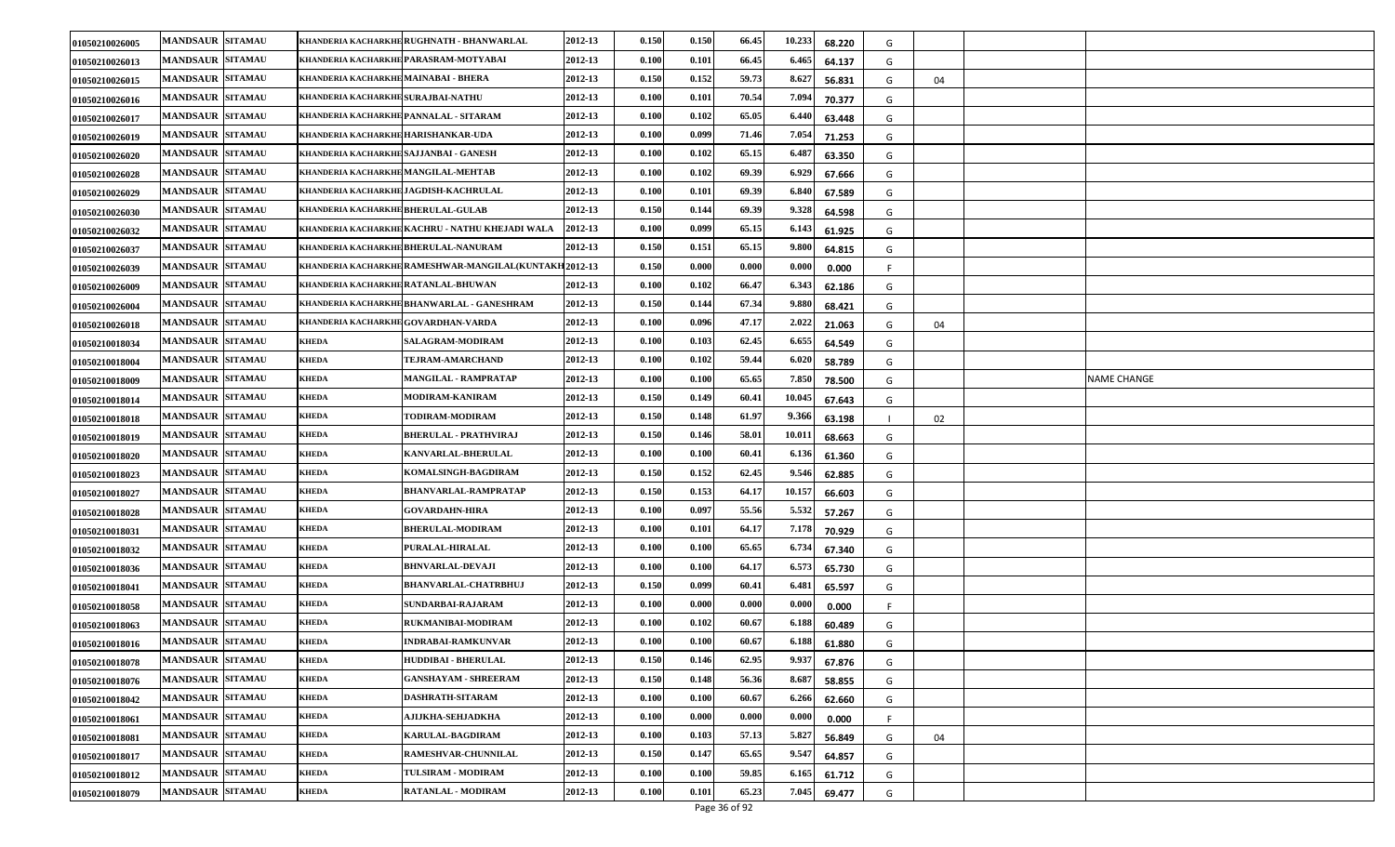| 01050210026005 | <b>MANDSAUR SITAMAU</b> |                                        | KHANDERIA KACHARKHE RUGHNATH - BHANWARLAL               | 2012-13 | 0.150 | 0.150 | 66.45 | 10.233 | 68.220 | G |    |                    |
|----------------|-------------------------|----------------------------------------|---------------------------------------------------------|---------|-------|-------|-------|--------|--------|---|----|--------------------|
| 01050210026013 | <b>MANDSAUR SITAMAU</b> |                                        | KHANDERIA KACHARKHE PARASRAM-MOTYABAI                   | 2012-13 | 0.100 | 0.101 | 66.45 | 6.465  | 64.137 | G |    |                    |
| 01050210026015 | <b>MANDSAUR SITAMAU</b> | KHANDERIA KACHARKHE MAINABAI - BHERA   |                                                         | 2012-13 | 0.150 | 0.152 | 59.73 | 8.627  | 56.831 | G | 04 |                    |
| 01050210026016 | <b>MANDSAUR SITAMAU</b> | KHANDERIA KACHARKHE SURAJBAI-NATHU     |                                                         | 2012-13 | 0.100 | 0.101 | 70.54 | 7.094  | 70.377 | G |    |                    |
| 01050210026017 | <b>MANDSAUR SITAMAU</b> | KHANDERIA KACHARKHE PANNALAL - SITARAM |                                                         | 2012-13 | 0.100 | 0.102 | 65.05 | 6.44   | 63.448 | G |    |                    |
| 01050210026019 | <b>MANDSAUR SITAMAU</b> | KHANDERIA KACHARKHE HARISHANKAR-UDA    |                                                         | 2012-13 | 0.100 | 0.099 | 71.46 | 7.054  | 71.253 | G |    |                    |
| 01050210026020 | <b>MANDSAUR SITAMAU</b> | KHANDERIA KACHARKHE SAJJANBAI - GANESH |                                                         | 2012-13 | 0.100 | 0.102 | 65.15 | 6.487  | 63.350 | G |    |                    |
| 01050210026028 | <b>MANDSAUR SITAMAU</b> | KHANDERIA KACHARKHE MANGILAL-MEHTAB    |                                                         | 2012-13 | 0.100 | 0.102 | 69.39 | 6.92   | 67.666 | G |    |                    |
| 01050210026029 | <b>MANDSAUR SITAMAU</b> |                                        | KHANDERIA KACHARKHE JAGDISH-KACHRULAL                   | 2012-13 | 0.100 | 0.101 | 69.39 | 6.84   | 67.589 | G |    |                    |
| 01050210026030 | <b>MANDSAUR SITAMAU</b> | KHANDERIA KACHARKHE BHERULAL-GULAB     |                                                         | 2012-13 | 0.150 | 0.144 | 69.39 | 9.328  | 64.598 | G |    |                    |
| 01050210026032 | <b>MANDSAUR SITAMAU</b> |                                        | KHANDERIA KACHARKHE KACHRU - NATHU KHEJADI WALA         | 2012-13 | 0.100 | 0.099 | 65.15 | 6.143  | 61.925 | G |    |                    |
| 01050210026037 | <b>MANDSAUR SITAMAU</b> |                                        | KHANDERIA KACHARKHE BHERULAL-NANURAM                    | 2012-13 | 0.150 | 0.151 | 65.15 | 9.80   | 64.815 | G |    |                    |
| 01050210026039 | <b>MANDSAUR SITAMAU</b> |                                        | KHANDERIA KACHARKHE RAMESHWAR-MANGILAL (KUNTAKH 2012-13 |         | 0.150 | 0.000 | 0.000 | 0.00(  | 0.000  |   |    |                    |
| 01050210026009 | <b>MANDSAUR SITAMAU</b> | KHANDERIA KACHARKHE RATANLAL-BHUWAN    |                                                         | 2012-13 | 0.100 | 0.102 | 66.47 | 6.343  | 62.186 | G |    |                    |
| 01050210026004 | <b>MANDSAUR SITAMAU</b> |                                        | KHANDERIA KACHARKHE BHANWARLAL - GANESHRAM              | 2012-13 | 0.150 | 0.144 | 67.34 | 9.88   | 68.421 | G |    |                    |
| 01050210026018 | <b>MANDSAUR SITAMAU</b> | KHANDERIA KACHARKHE GOVARDHAN-VARDA    |                                                         | 2012-13 | 0.100 | 0.096 | 47.17 | 2.022  | 21.063 | G | 04 |                    |
| 01050210018034 | <b>MANDSAUR SITAMAU</b> | <b>KHEDA</b>                           | SALAGRAM-MODIRAM                                        | 2012-13 | 0.100 | 0.103 | 62.45 | 6.655  | 64.549 | G |    |                    |
| 01050210018004 | <b>MANDSAUR SITAMAU</b> | <b>KHEDA</b>                           | TEJRAM-AMARCHAND                                        | 2012-13 | 0.100 | 0.102 | 59.44 | 6.020  | 58.789 | G |    |                    |
| 01050210018009 | <b>MANDSAUR SITAMAU</b> | <b>KHEDA</b>                           | MANGILAL - RAMPRATAP                                    | 2012-13 | 0.100 | 0.100 | 65.65 | 7.850  | 78.500 | G |    | <b>NAME CHANGE</b> |
| 01050210018014 | <b>MANDSAUR SITAMAU</b> | <b>KHEDA</b>                           | MODIRAM-KANIRAM                                         | 2012-13 | 0.150 | 0.149 | 60.41 | 10.045 | 67.643 | G |    |                    |
| 01050210018018 | <b>MANDSAUR SITAMAU</b> | <b>KHEDA</b>                           | TODIRAM-MODIRAM                                         | 2012-13 | 0.150 | 0.148 | 61.97 | 9.366  | 63.198 |   | 02 |                    |
| 01050210018019 | <b>MANDSAUR SITAMAU</b> | <b>KHEDA</b>                           | <b>BHERULAL - PRATHVIRAJ</b>                            | 2012-13 | 0.150 | 0.146 | 58.01 | 10.011 | 68.663 | G |    |                    |
| 01050210018020 | <b>MANDSAUR SITAMAU</b> | <b>KHEDA</b>                           | KANVARLAL-BHERULAL                                      | 2012-13 | 0.100 | 0.100 | 60.41 | 6.13   | 61.360 | G |    |                    |
| 01050210018023 | <b>MANDSAUR SITAMAU</b> | <b>KHEDA</b>                           | KOMALSINGH-BAGDIRAM                                     | 2012-13 | 0.150 | 0.152 | 62.45 | 9.54   | 62.885 | G |    |                    |
| 01050210018027 | <b>MANDSAUR SITAMAU</b> | <b>KHEDA</b>                           | <b>BHANVARLAL-RAMPRATAP</b>                             | 2012-13 | 0.150 | 0.153 | 64.17 | 10.15  | 66.603 | G |    |                    |
| 01050210018028 | <b>MANDSAUR SITAMAU</b> | <b>KHEDA</b>                           | <b>GOVARDAHN-HIRA</b>                                   | 2012-13 | 0.100 | 0.097 | 55.56 | 5.532  | 57.267 | G |    |                    |
| 01050210018031 | <b>MANDSAUR SITAMAU</b> | <b>KHEDA</b>                           | <b>BHERULAL-MODIRAM</b>                                 | 2012-13 | 0.100 | 0.101 | 64.17 | 7.178  | 70.929 | G |    |                    |
| 01050210018032 | <b>MANDSAUR SITAMAU</b> | <b>KHEDA</b>                           | PURALAL-HIRALAL                                         | 2012-13 | 0.100 | 0.100 | 65.65 | 6.73   | 67.340 | G |    |                    |
| 01050210018036 | <b>MANDSAUR SITAMAU</b> | <b>KHEDA</b>                           | <b>BHNVARLAL-DEVAJI</b>                                 | 2012-13 | 0.100 | 0.100 | 64.17 | 6.573  | 65.730 | G |    |                    |
| 01050210018041 | <b>MANDSAUR SITAMAU</b> | <b>KHEDA</b>                           | <b>BHANVARLAL-CHATRBHUJ</b>                             | 2012-13 | 0.150 | 0.099 | 60.41 | 6.481  | 65.597 | G |    |                    |
| 01050210018058 | <b>MANDSAUR SITAMAU</b> | <b>KHEDA</b>                           | SUNDARBAI-RAJARAM                                       | 2012-13 | 0.100 | 0.000 | 0.000 | 0.000  | 0.000  |   |    |                    |
| 01050210018063 | <b>MANDSAUR SITAMAU</b> | <b>KHEDA</b>                           | RUKMANIBAI-MODIRAM                                      | 2012-13 | 0.100 | 0.102 | 60.67 | 6.18   | 60.489 | G |    |                    |
| 01050210018016 | <b>MANDSAUR SITAMAU</b> | <b>KHEDA</b>                           | <b>INDRABAI-RAMKUNVAR</b>                               | 2012-13 | 0.100 | 0.100 | 60.67 | 6.188  | 61.880 | G |    |                    |
| 01050210018078 | <b>MANDSAUR SITAMAU</b> | <b>KHEDA</b>                           | <b>HUDDIBAI - BHERULAL</b>                              | 2012-13 | 0.150 | 0.146 | 62.95 | 9.937  | 67.876 | G |    |                    |
| 01050210018076 | <b>MANDSAUR SITAMAU</b> | <b>KHEDA</b>                           | <b>GANSHAYAM - SHREERAM</b>                             | 2012-13 | 0.150 | 0.148 | 56.36 | 8.687  | 58.855 | G |    |                    |
| 01050210018042 | <b>MANDSAUR SITAMAU</b> | <b>KHEDA</b>                           | DASHRATH-SITARAM                                        | 2012-13 | 0.100 | 0.100 | 60.67 | 6.26   | 62.660 | G |    |                    |
| 01050210018061 | <b>MANDSAUR SITAMAU</b> | <b>KHEDA</b>                           | AJIJKHA-SEHJADKHA                                       | 2012-13 | 0.100 | 0.000 | 0.000 | 0.000  | 0.000  |   |    |                    |
| 01050210018081 | MANDSAUR SITAMAU        | <b>KHEDA</b>                           | <b>KARULAL-BAGDIRAM</b>                                 | 2012-13 | 0.100 | 0.103 | 57.13 | 5.827  | 56.849 | G | 04 |                    |
| 01050210018017 | <b>MANDSAUR SITAMAU</b> | <b>KHEDA</b>                           | RAMESHVAR-CHUNNILAL                                     | 2012-13 | 0.150 | 0.147 | 65.65 | 9.54'  | 64.857 | G |    |                    |
| 01050210018012 | <b>MANDSAUR SITAMAU</b> | <b>KHEDA</b>                           | TULSIRAM - MODIRAM                                      | 2012-13 | 0.100 | 0.100 | 59.85 | 6.16   | 61.712 | G |    |                    |
| 01050210018079 | <b>MANDSAUR SITAMAU</b> | <b>KHEDA</b>                           | <b>RATANLAL - MODIRAM</b>                               | 2012-13 | 0.100 | 0.101 | 65.23 | 7.045  | 69.477 | G |    |                    |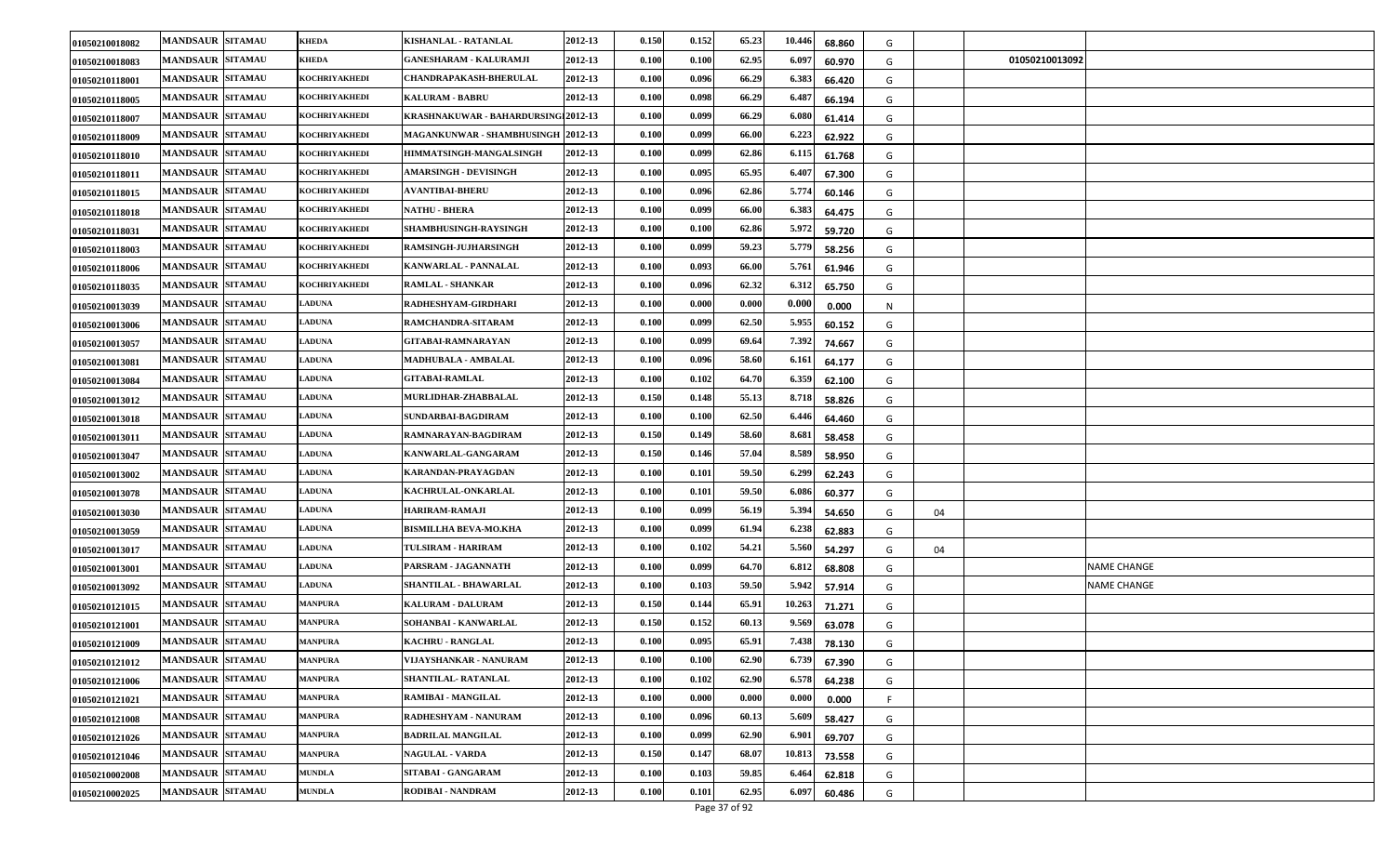| 01050210018082 | <b>MANDSAUR SITAMAU</b> | <b>KHEDA</b>   | KISHANLAL - RATANLAL                 | 2012-13 | 0.150 | 0.152 | 65.23 | 10.446 | 68.860 | G       |                |                    |
|----------------|-------------------------|----------------|--------------------------------------|---------|-------|-------|-------|--------|--------|---------|----------------|--------------------|
| 01050210018083 | <b>MANDSAUR SITAMAU</b> | KHEDA          | <b>GANESHARAM - KALURAMJI</b>        | 2012-13 | 0.100 | 0.100 | 62.95 | 6.09   | 60.970 | G       | 01050210013092 |                    |
| 01050210118001 | <b>MANDSAUR SITAMAU</b> | KOCHRIYAKHEDI  | <b>CHANDRAPAKASH-BHERULAL</b>        | 2012-13 | 0.100 | 0.096 | 66.29 | 6.38.  | 66.420 | G       |                |                    |
| 01050210118005 | <b>MANDSAUR SITAMAU</b> | KOCHRIYAKHEDI  | <b>KALURAM - BABRU</b>               | 2012-13 | 0.100 | 0.098 | 66.29 | 6.48   | 66.194 | G       |                |                    |
| 01050210118007 | <b>MANDSAUR SITAMAU</b> | KOCHRIYAKHEDI  | KRASHNAKUWAR - BAHARDURSINGI 2012-13 |         | 0.100 | 0.099 | 66.29 | 6.08   | 61.414 | G       |                |                    |
| 01050210118009 | <b>MANDSAUR SITAMAU</b> | KOCHRIYAKHEDI  | MAGANKUNWAR - SHAMBHUSINGH 2012-13   |         | 0.100 | 0.099 | 66.00 | 6.22   | 62.922 | G       |                |                    |
| 01050210118010 | <b>MANDSAUR SITAMAU</b> | KOCHRIYAKHEDI  | HIMMATSINGH-MANGALSINGH              | 2012-13 | 0.100 | 0.099 | 62.86 | 6.115  | 61.768 | G       |                |                    |
| 01050210118011 | <b>MANDSAUR SITAMAU</b> | KOCHRIYAKHEDI  | <b>AMARSINGH - DEVISINGH</b>         | 2012-13 | 0.100 | 0.095 | 65.95 | 6.40   | 67.300 | G       |                |                    |
| 01050210118015 | <b>MANDSAUR SITAMAU</b> | KOCHRIYAKHEDI  | <b>AVANTIBAI-BHERU</b>               | 2012-13 | 0.100 | 0.096 | 62.86 | 5.77   | 60.146 | G       |                |                    |
| 01050210118018 | <b>MANDSAUR SITAMAU</b> | KOCHRIYAKHEDI  | <b>NATHU - BHERA</b>                 | 2012-13 | 0.100 | 0.099 | 66.00 | 6.38   | 64.475 | G       |                |                    |
| 01050210118031 | <b>MANDSAUR SITAMAU</b> | KOCHRIYAKHEDI  | SHAMBHUSINGH-RAYSINGH                | 2012-13 | 0.100 | 0.100 | 62.86 | 5.972  | 59.720 | G       |                |                    |
| 01050210118003 | <b>MANDSAUR SITAMAU</b> | KOCHRIYAKHEDI  | <b>RAMSINGH-JUJHARSINGH</b>          | 2012-13 | 0.100 | 0.099 | 59.23 | 5.779  | 58.256 | G       |                |                    |
| 01050210118006 | <b>MANDSAUR SITAMAU</b> | KOCHRIYAKHEDI  | KANWARLAL - PANNALAL                 | 2012-13 | 0.100 | 0.093 | 66.00 | 5.761  | 61.946 | G       |                |                    |
| 01050210118035 | <b>MANDSAUR SITAMAU</b> | KOCHRIYAKHEDI  | <b>RAMLAL - SHANKAR</b>              | 2012-13 | 0.100 | 0.096 | 62.32 | 6.31   | 65.750 | G       |                |                    |
| 01050210013039 | <b>MANDSAUR SITAMAU</b> | <b>LADUNA</b>  | RADHESHYAM-GIRDHARI                  | 2012-13 | 0.100 | 0.000 | 0.000 | 0.000  | 0.000  | N       |                |                    |
| 01050210013006 | <b>MANDSAUR SITAMAU</b> | <b>LADUNA</b>  | RAMCHANDRA-SITARAM                   | 2012-13 | 0.100 | 0.099 | 62.50 | 5.95   | 60.152 | G       |                |                    |
| 01050210013057 | <b>MANDSAUR SITAMAU</b> | <b>LADUNA</b>  | <b>GITABAI-RAMNARAYAN</b>            | 2012-13 | 0.100 | 0.099 | 69.64 | 7.392  | 74.667 | G       |                |                    |
| 01050210013081 | <b>MANDSAUR SITAMAU</b> | <b>LADUNA</b>  | MADHUBALA - AMBALAL                  | 2012-13 | 0.100 | 0.096 | 58.60 | 6.161  | 64.177 | G       |                |                    |
| 01050210013084 | <b>MANDSAUR SITAMAU</b> | <b>LADUNA</b>  | <b>GITABAI-RAMLAL</b>                | 2012-13 | 0.100 | 0.102 | 64.70 | 6.359  | 62.100 | G       |                |                    |
| 01050210013012 | <b>MANDSAUR SITAMAU</b> | <b>ADUNA</b>   | <b>MURLIDHAR-ZHABBALAL</b>           | 2012-13 | 0.150 | 0.148 | 55.13 | 8.71   | 58.826 | G       |                |                    |
| 01050210013018 | <b>MANDSAUR SITAMAU</b> | <b>LADUNA</b>  | SUNDARBAI-BAGDIRAM                   | 2012-13 | 0.100 | 0.100 | 62.50 | 6.44   | 64.460 | G       |                |                    |
| 01050210013011 | <b>MANDSAUR SITAMAU</b> | <b>LADUNA</b>  | RAMNARAYAN-BAGDIRAM                  | 2012-13 | 0.150 | 0.149 | 58.60 | 8.681  | 58.458 | G       |                |                    |
| 01050210013047 | <b>MANDSAUR SITAMAU</b> | <b>ADUNA</b>   | KANWARLAL-GANGARAM                   | 2012-13 | 0.150 | 0.146 | 57.04 | 8.589  | 58.950 | G       |                |                    |
| 01050210013002 | <b>MANDSAUR SITAMAU</b> | ADUNA          | KARANDAN-PRAYAGDAN                   | 2012-13 | 0.100 | 0.101 | 59.50 | 6.299  | 62.243 | G       |                |                    |
| 01050210013078 | <b>MANDSAUR SITAMAU</b> | <b>ADUNA</b>   | KACHRULAL-ONKARLAL                   | 2012-13 | 0.100 | 0.101 | 59.50 | 6.08   | 60.377 | G       |                |                    |
| 01050210013030 | <b>MANDSAUR SITAMAU</b> | <b>LADUNA</b>  | HARIRAM-RAMAJI                       | 2012-13 | 0.100 | 0.099 | 56.19 | 5.394  | 54.650 | G<br>04 |                |                    |
| 01050210013059 | <b>MANDSAUR SITAMAU</b> | <b>ADUNA</b>   | <b>BISMILLHA BEVA-MO.KHA</b>         | 2012-13 | 0.100 | 0.099 | 61.94 | 6.238  | 62.883 | G       |                |                    |
| 01050210013017 | <b>MANDSAUR SITAMAU</b> | <b>ADUNA</b>   | <b>TULSIRAM - HARIRAM</b>            | 2012-13 | 0.100 | 0.102 | 54.21 | 5.560  | 54.297 | G<br>04 |                |                    |
| 01050210013001 | <b>MANDSAUR SITAMAU</b> | <b>ADUNA</b>   | PARSRAM - JAGANNATH                  | 2012-13 | 0.100 | 0.099 | 64.70 | 6.81   | 68.808 | G       |                | <b>NAME CHANGE</b> |
| 01050210013092 | <b>MANDSAUR SITAMAU</b> | <b>LADUNA</b>  | SHANTILAL - BHAWARLAL                | 2012-13 | 0.100 | 0.103 | 59.50 | 5.942  | 57.914 | G       |                | <b>NAME CHANGE</b> |
| 01050210121015 | <b>MANDSAUR SITAMAU</b> | MANPURA        | <b>KALURAM - DALURAM</b>             | 2012-13 | 0.150 | 0.144 | 65.91 | 10.263 | 71.271 | G       |                |                    |
| 01050210121001 | <b>MANDSAUR SITAMAU</b> | MANPURA        | SOHANBAI - KANWARLAL                 | 2012-13 | 0.150 | 0.152 | 60.13 | 9.56   | 63.078 | G       |                |                    |
| 01050210121009 | <b>MANDSAUR SITAMAU</b> | MANPURA        | <b>KACHRU - RANGLAL</b>              | 2012-13 | 0.100 | 0.095 | 65.91 | 7.438  | 78.130 | G       |                |                    |
| 01050210121012 | <b>MANDSAUR SITAMAU</b> | <b>MANPURA</b> | VIJAYSHANKAR - NANURAM               | 2012-13 | 0.100 | 0.100 | 62.90 | 6.739  | 67.390 | G       |                |                    |
| 01050210121006 | <b>MANDSAUR SITAMAU</b> | MANPURA        | SHANTILAL- RATANLAL                  | 2012-13 | 0.100 | 0.102 | 62.90 | 6.578  | 64.238 | G       |                |                    |
| 01050210121021 | <b>MANDSAUR SITAMAU</b> | <b>MANPURA</b> | RAMIBAI - MANGILAL                   | 2012-13 | 0.100 | 0.000 | 0.000 | 0.000  | 0.000  | F       |                |                    |
| 01050210121008 | <b>MANDSAUR SITAMAU</b> | <b>MANPURA</b> | RADHESHYAM - NANURAM                 | 2012-13 | 0.100 | 0.096 | 60.13 | 5.609  | 58.427 | G       |                |                    |
| 01050210121026 | <b>MANDSAUR SITAMAU</b> | <b>MANPURA</b> | <b>BADRILAL MANGILAL</b>             | 2012-13 | 0.100 | 0.099 | 62.90 | 6.901  | 69.707 | G       |                |                    |
| 01050210121046 | <b>MANDSAUR SITAMAU</b> | MANPURA        | <b>NAGULAL - VARDA</b>               | 2012-13 | 0.150 | 0.147 | 68.07 | 10.81  | 73.558 | G       |                |                    |
| 01050210002008 | <b>MANDSAUR SITAMAU</b> | <b>MUNDLA</b>  | SITABAI - GANGARAM                   | 2012-13 | 0.100 | 0.103 | 59.85 | 6.46   | 62.818 | G       |                |                    |
| 01050210002025 | <b>MANDSAUR SITAMAU</b> | <b>MUNDLA</b>  | RODIBAI - NANDRAM                    | 2012-13 | 0.100 | 0.101 | 62.95 | 6.09   | 60.486 | G       |                |                    |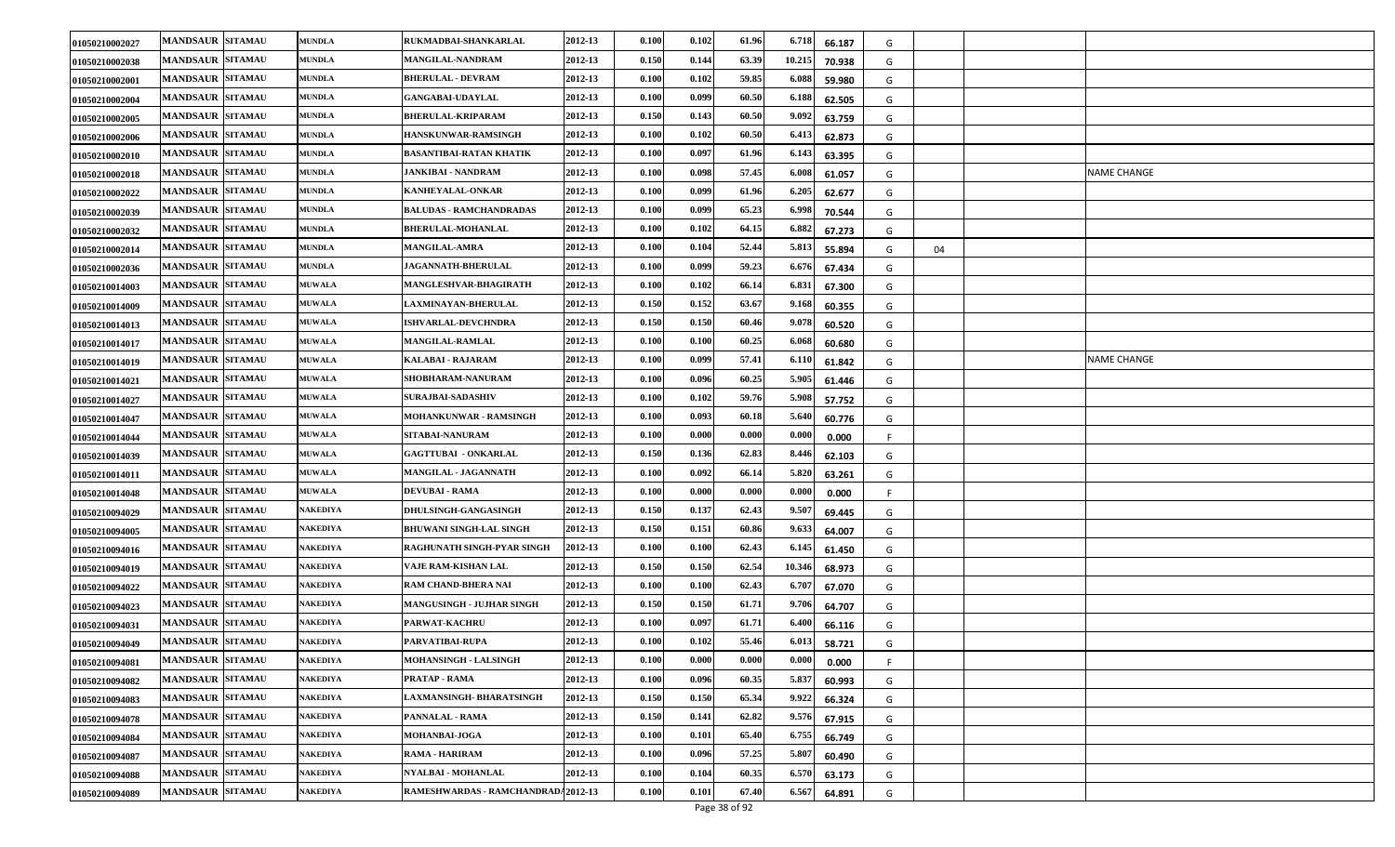| 01050210002027 | <b>MANDSAUR SITAMAU</b> | <b>MUNDLA</b>   | RUKMADBAI-SHANKARLAL               | 2012-13 | 0.100 | 0.102 | 61.96 | 6.718<br>66.187  | G  |    |             |
|----------------|-------------------------|-----------------|------------------------------------|---------|-------|-------|-------|------------------|----|----|-------------|
| 01050210002038 | <b>MANDSAUR SITAMAU</b> | <b>MUNDLA</b>   | <b>MANGILAL-NANDRAM</b>            | 2012-13 | 0.150 | 0.144 | 63.39 | 10.215<br>70.938 | G  |    |             |
| 01050210002001 | <b>MANDSAUR SITAMAU</b> | <b>MUNDLA</b>   | <b>BHERULAL - DEVRAM</b>           | 2012-13 | 0.100 | 0.102 | 59.85 | 6.088<br>59.980  | G  |    |             |
| 01050210002004 | <b>MANDSAUR SITAMAU</b> | <b>MUNDLA</b>   | <b>GANGABAI-UDAYLAL</b>            | 2012-13 | 0.100 | 0.099 | 60.50 | 6.188<br>62.505  | G  |    |             |
| 01050210002005 | <b>MANDSAUR SITAMAU</b> | <b>MUNDLA</b>   | <b>BHERULAL-KRIPARAM</b>           | 2012-13 | 0.150 | 0.143 | 60.50 | 9.092<br>63.759  | G  |    |             |
| 01050210002006 | <b>MANDSAUR SITAMAU</b> | <b>MUNDLA</b>   | <b>HANSKUNWAR-RAMSINGH</b>         | 2012-13 | 0.100 | 0.102 | 60.50 | 6.41<br>62.873   | G  |    |             |
| 01050210002010 | <b>MANDSAUR SITAMAU</b> | <b>MUNDLA</b>   | <b>BASANTIBAI-RATAN KHATIK</b>     | 2012-13 | 0.100 | 0.097 | 61.96 | 6.143<br>63.395  | G  |    |             |
| 01050210002018 | <b>MANDSAUR SITAMAU</b> | <b>MUNDLA</b>   | JANKIBAI - NANDRAM                 | 2012-13 | 0.100 | 0.098 | 57.45 | 6.00<br>61.057   | G  |    | NAME CHANGE |
| 01050210002022 | <b>MANDSAUR SITAMAU</b> | <b>MUNDLA</b>   | <b>KANHEYALAL-ONKAR</b>            | 2012-13 | 0.100 | 0.099 | 61.96 | 6.205<br>62.677  | G  |    |             |
| 01050210002039 | <b>MANDSAUR SITAMAU</b> | <b>MUNDLA</b>   | <b>BALUDAS - RAMCHANDRADAS</b>     | 2012-13 | 0.100 | 0.099 | 65.23 | 6.998<br>70.544  | G  |    |             |
| 01050210002032 | <b>MANDSAUR SITAMAU</b> | <b>MUNDLA</b>   | <b>BHERULAL-MOHANLAL</b>           | 2012-13 | 0.100 | 0.102 | 64.15 | 6.882<br>67.273  | G  |    |             |
| 01050210002014 | <b>MANDSAUR SITAMAU</b> | <b>MUNDLA</b>   | <b>MANGILAL-AMRA</b>               | 2012-13 | 0.100 | 0.104 | 52.44 | 5.813<br>55.894  | G  | 04 |             |
| 01050210002036 | <b>MANDSAUR SITAMAU</b> | <b>MUNDLA</b>   | <b>JAGANNATH-BHERULAL</b>          | 2012-13 | 0.100 | 0.099 | 59.23 | 6.67<br>67.434   | G  |    |             |
| 01050210014003 | <b>MANDSAUR SITAMAU</b> | <b>MUWALA</b>   | <b>MANGLESHVAR-BHAGIRATH</b>       | 2012-13 | 0.100 | 0.102 | 66.14 | 6.83<br>67.300   | G  |    |             |
| 01050210014009 | <b>MANDSAUR SITAMAU</b> | <b>MUWALA</b>   | <b>LAXMINAYAN-BHERULAL</b>         | 2012-13 | 0.150 | 0.152 | 63.67 | 9.168<br>60.355  | G  |    |             |
| 01050210014013 | <b>MANDSAUR SITAMAU</b> | <b>MUWALA</b>   | <b>ISHVARLAL-DEVCHNDRA</b>         | 2012-13 | 0.150 | 0.150 | 60.46 | 9.07<br>60.520   | G  |    |             |
| 01050210014017 | <b>MANDSAUR SITAMAU</b> | <b>MUWALA</b>   | <b>MANGILAL-RAMLAL</b>             | 2012-13 | 0.100 | 0.100 | 60.25 | 6.06<br>60.680   | G  |    |             |
| 01050210014019 | <b>MANDSAUR SITAMAU</b> | <b>MUWALA</b>   | KALABAI - RAJARAM                  | 2012-13 | 0.100 | 0.099 | 57.41 | 6.110<br>61.842  | G  |    | NAME CHANGE |
| 01050210014021 | <b>MANDSAUR SITAMAU</b> | <b>MUWALA</b>   | <b>SHOBHARAM-NANURAM</b>           | 2012-13 | 0.100 | 0.096 | 60.25 | 5.905<br>61.446  | G  |    |             |
| 01050210014027 | <b>MANDSAUR SITAMAU</b> | <b>MUWALA</b>   | <b>SURAJBAI-SADASHIV</b>           | 2012-13 | 0.100 | 0.102 | 59.76 | 5.908<br>57.752  | G  |    |             |
| 01050210014047 | <b>MANDSAUR SITAMAU</b> | <b>MUWALA</b>   | <b>MOHANKUNWAR - RAMSINGH</b>      | 2012-13 | 0.100 | 0.093 | 60.18 | 5.640<br>60.776  | G  |    |             |
| 01050210014044 | <b>MANDSAUR SITAMAU</b> | <b>MUWALA</b>   | SITABAI-NANURAM                    | 2012-13 | 0.100 | 0.000 | 0.000 | 0.000<br>0.000   | -F |    |             |
| 01050210014039 | <b>MANDSAUR SITAMAU</b> | <b>MUWALA</b>   | <b>GAGTTUBAI - ONKARLAL</b>        | 2012-13 | 0.150 | 0.136 | 62.83 | 8.446<br>62.103  | G  |    |             |
| 01050210014011 | <b>MANDSAUR SITAMAU</b> | <b>MUWALA</b>   | <b>MANGILAL - JAGANNATH</b>        | 2012-13 | 0.100 | 0.092 | 66.14 | 5.820<br>63.261  | G  |    |             |
| 01050210014048 | <b>MANDSAUR SITAMAU</b> | <b>MUWALA</b>   | <b>DEVUBAI - RAMA</b>              | 2012-13 | 0.100 | 0.000 | 0.000 | 0.000<br>0.000   |    |    |             |
| 01050210094029 | <b>MANDSAUR SITAMAU</b> | NAKEDIYA        | <b>DHULSINGH-GANGASINGH</b>        | 2012-13 | 0.150 | 0.137 | 62.43 | 9.507<br>69.445  | G  |    |             |
| 01050210094005 | <b>MANDSAUR SITAMAU</b> | NAKEDIYA        | <b>BHUWANI SINGH-LAL SINGH</b>     | 2012-13 | 0.150 | 0.151 | 60.86 | 9.633<br>64.007  | G  |    |             |
| 01050210094016 | <b>MANDSAUR SITAMAU</b> | NAKEDIYA        | RAGHUNATH SINGH-PYAR SINGH         | 2012-13 | 0.100 | 0.100 | 62.43 | 6.14<br>61.450   | G  |    |             |
| 01050210094019 | <b>MANDSAUR SITAMAU</b> | NAKEDIYA        | VAJE RAM-KISHAN LAL                | 2012-13 | 0.150 | 0.150 | 62.54 | 10.346<br>68.973 | G  |    |             |
| 01050210094022 | <b>MANDSAUR SITAMAU</b> | <b>NAKEDIYA</b> | <b>RAM CHAND-BHERA NAI</b>         | 2012-13 | 0.100 | 0.100 | 62.43 | 6.707<br>67.070  | G  |    |             |
| 01050210094023 | <b>MANDSAUR SITAMAU</b> | NAKEDIYA        | <b>MANGUSINGH - JUJHAR SINGH</b>   | 2012-13 | 0.150 | 0.150 | 61.71 | 9.706<br>64.707  | G  |    |             |
| 01050210094031 | <b>MANDSAUR SITAMAU</b> | NAKEDIYA        | PARWAT-KACHRU                      | 2012-13 | 0.100 | 0.097 | 61.71 | 6.40<br>66.116   | G  |    |             |
| 01050210094049 | <b>MANDSAUR SITAMAU</b> | NAKEDIYA        | PARVATIBAI-RUPA                    | 2012-13 | 0.100 | 0.102 | 55.46 | 6.013<br>58.721  | G  |    |             |
| 01050210094081 | <b>MANDSAUR SITAMAU</b> | <b>NAKEDIYA</b> | <b>MOHANSINGH - LALSINGH</b>       | 2012-13 | 0.100 | 0.000 | 0.000 | 0.000<br>0.000   | F  |    |             |
| 01050210094082 | <b>MANDSAUR SITAMAU</b> | <b>NAKEDIYA</b> | PRATAP - RAMA                      | 2012-13 | 0.100 | 0.096 | 60.35 | 5.837<br>60.993  | G  |    |             |
| 01050210094083 | <b>MANDSAUR SITAMAU</b> | <b>NAKEDIYA</b> | LAXMANSINGH- BHARATSINGH           | 2012-13 | 0.150 | 0.150 | 65.34 | 9.922<br>66.324  | G  |    |             |
| 01050210094078 | <b>MANDSAUR SITAMAU</b> | NAKEDIYA        | PANNALAL - RAMA                    | 2012-13 | 0.150 | 0.141 | 62.82 | 9.576<br>67.915  | G  |    |             |
| 01050210094084 | <b>MANDSAUR SITAMAU</b> | <b>NAKEDIYA</b> | <b>MOHANBAI-JOGA</b>               | 2012-13 | 0.100 | 0.101 | 65.40 | 6.755<br>66.749  | G  |    |             |
| 01050210094087 | <b>MANDSAUR SITAMAU</b> | NAKEDIYA        | RAMA - HARIRAM                     | 2012-13 | 0.100 | 0.096 | 57.25 | 5.807<br>60.490  | G  |    |             |
| 01050210094088 | <b>MANDSAUR SITAMAU</b> | <b>NAKEDIYA</b> | <b>NYALBAI - MOHANLAL</b>          | 2012-13 | 0.100 | 0.104 | 60.35 | 6.57<br>63.173   | G  |    |             |
| 01050210094089 | <b>MANDSAUR SITAMAU</b> | NAKEDIYA        | RAMESHWARDAS - RAMCHANDRAD42012-13 |         | 0.100 | 0.101 | 67.40 | 6.567<br>64.891  | G  |    |             |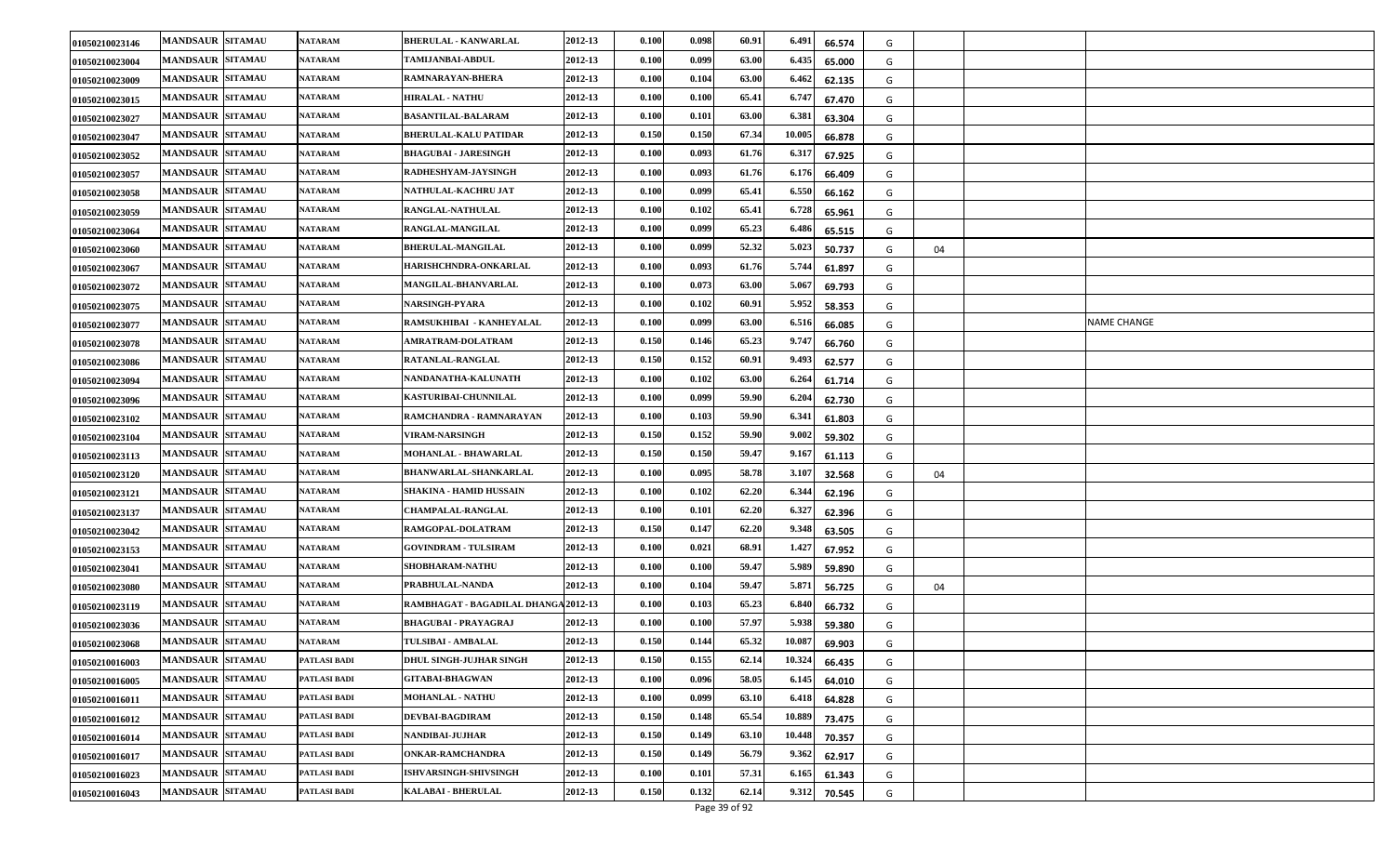| 01050210023146 | <b>MANDSAUR SITAMAU</b> | <b>NATARAM</b> | <b>BHERULAL - KANWARLAL</b>          | 2012-13 | 0.100                | 0.098 | 60.91 | 6.491<br>66.574  | G |    |             |
|----------------|-------------------------|----------------|--------------------------------------|---------|----------------------|-------|-------|------------------|---|----|-------------|
| 01050210023004 | <b>MANDSAUR SITAMAU</b> | <b>NATARAM</b> | <b>TAMIJANBAI-ABDUL</b>              | 2012-13 | 0.100                | 0.099 | 63.00 | 6.435<br>65.000  | G |    |             |
| 01050210023009 | <b>MANDSAUR SITAMAU</b> | <b>NATARAM</b> | RAMNARAYAN-BHERA                     | 2012-13 | 0.100                | 0.104 | 63.00 | 6.462<br>62.135  | G |    |             |
| 01050210023015 | <b>MANDSAUR SITAMAU</b> | <b>NATARAM</b> | <b>HIRALAL - NATHU</b>               | 2012-13 | 0.100                | 0.100 | 65.41 | 6.74'<br>67.470  | G |    |             |
| 01050210023027 | <b>MANDSAUR SITAMAU</b> | NATARAM        | <b>BASANTILAL-BALARAM</b>            | 2012-13 | 0.100                | 0.101 | 63.00 | 6.38<br>63.304   | G |    |             |
| 01050210023047 | <b>MANDSAUR SITAMAU</b> | <b>NATARAM</b> | <b>BHERULAL-KALU PATIDAR</b>         | 2012-13 | 0.150                | 0.150 | 67.34 | 10.005<br>66.878 | G |    |             |
| 01050210023052 | <b>MANDSAUR SITAMAU</b> | <b>NATARAM</b> | <b>BHAGUBAI - JARESINGH</b>          | 2012-13 | 0.100                | 0.093 | 61.76 | 6.31<br>67.925   | G |    |             |
| 01050210023057 | <b>MANDSAUR SITAMAU</b> | <b>NATARAM</b> | RADHESHYAM-JAYSINGH                  | 2012-13 | 0.100                | 0.093 | 61.76 | 6.17<br>66.409   | G |    |             |
| 01050210023058 | <b>MANDSAUR SITAMAU</b> | <b>NATARAM</b> | NATHULAL-KACHRU JAT                  | 2012-13 | 0.100                | 0.099 | 65.41 | 6.55<br>66.162   | G |    |             |
| 01050210023059 | <b>MANDSAUR SITAMAU</b> | <b>NATARAM</b> | RANGLAL-NATHULAL                     | 2012-13 | 0.100                | 0.102 | 65.41 | 6.728<br>65.961  | G |    |             |
| 01050210023064 | <b>MANDSAUR SITAMAU</b> | <b>NATARAM</b> | RANGLAL-MANGILAL                     | 2012-13 | 0.100                | 0.099 | 65.23 | 6.486<br>65.515  | G |    |             |
| 01050210023060 | <b>MANDSAUR SITAMAU</b> | <b>NATARAM</b> | <b>BHERULAL-MANGILAL</b>             | 2012-13 | 0.100                | 0.099 | 52.32 | 5.023<br>50.737  | G | 04 |             |
| 01050210023067 | <b>MANDSAUR SITAMAU</b> | <b>NATARAM</b> | HARISHCHNDRA-ONKARLAL                | 2012-13 | 0.100                | 0.093 | 61.76 | 5.744<br>61.897  | G |    |             |
| 01050210023072 | <b>MANDSAUR SITAMAU</b> | <b>NATARAM</b> | <b>MANGILAL-BHANVARLAL</b>           | 2012-13 | $\boldsymbol{0.100}$ | 0.073 | 63.00 | 5.067<br>69.793  | G |    |             |
| 01050210023075 | <b>MANDSAUR SITAMAU</b> | <b>NATARAM</b> | NARSINGH-PYARA                       | 2012-13 | 0.100                | 0.102 | 60.91 | 5.952<br>58.353  | G |    |             |
| 01050210023077 | <b>MANDSAUR SITAMAU</b> | NATARAM        | RAMSUKHIBAI - KANHEYALAL             | 2012-13 | 0.100                | 0.099 | 63.00 | 6.51<br>66.085   | G |    | NAME CHANGE |
| 01050210023078 | <b>MANDSAUR SITAMAU</b> | <b>NATARAM</b> | <b>AMRATRAM-DOLATRAM</b>             | 2012-13 | 0.150                | 0.146 | 65.23 | 9.74<br>66.760   | G |    |             |
| 01050210023086 | <b>MANDSAUR SITAMAU</b> | <b>NATARAM</b> | RATANLAL-RANGLAL                     | 2012-13 | 0.150                | 0.152 | 60.91 | 9.493<br>62.577  | G |    |             |
| 01050210023094 | <b>MANDSAUR SITAMAU</b> | <b>NATARAM</b> | NANDANATHA-KALUNATH                  | 2012-13 | 0.100                | 0.102 | 63.00 | 6.264<br>61.714  | G |    |             |
| 01050210023096 | <b>MANDSAUR SITAMAU</b> | NATARAM        | KASTURIBAI-CHUNNILAL                 | 2012-13 | 0.100                | 0.099 | 59.90 | 6.20<br>62.730   | G |    |             |
| 01050210023102 | <b>MANDSAUR SITAMAU</b> | <b>NATARAM</b> | RAMCHANDRA - RAMNARAYAN              | 2012-13 | 0.100                | 0.103 | 59.90 | 6.34<br>61.803   | G |    |             |
| 01050210023104 | <b>MANDSAUR SITAMAU</b> | <b>NATARAM</b> | <b>VIRAM-NARSINGH</b>                | 2012-13 | 0.150                | 0.152 | 59.90 | 9.002<br>59.302  | G |    |             |
| 01050210023113 | <b>MANDSAUR SITAMAU</b> | <b>NATARAM</b> | MOHANLAL - BHAWARLAL                 | 2012-13 | 0.150                | 0.150 | 59.47 | 9.167<br>61.113  | G |    |             |
| 01050210023120 | <b>MANDSAUR SITAMAU</b> | NATARAM        | BHANWARLAL-SHANKARLAL                | 2012-13 | 0.100                | 0.095 | 58.78 | 3.10'<br>32.568  | G | 04 |             |
| 01050210023121 | <b>MANDSAUR SITAMAU</b> | <b>NATARAM</b> | SHAKINA - HAMID HUSSAIN              | 2012-13 | 0.100                | 0.102 | 62.20 | 6.34<br>62.196   | G |    |             |
| 01050210023137 | <b>MANDSAUR SITAMAU</b> | <b>NATARAM</b> | <b>CHAMPALAL-RANGLAL</b>             | 2012-13 | 0.100                | 0.101 | 62.20 | 6.32'<br>62.396  | G |    |             |
| 01050210023042 | <b>MANDSAUR SITAMAU</b> | <b>NATARAM</b> | RAMGOPAL-DOLATRAM                    | 2012-13 | 0.150                | 0.147 | 62.20 | 9.348<br>63.505  | G |    |             |
| 01050210023153 | <b>MANDSAUR SITAMAU</b> | NATARAM        | <b>GOVINDRAM - TULSIRAM</b>          | 2012-13 | 0.100                | 0.021 | 68.91 | 1.42<br>67.952   | G |    |             |
| 01050210023041 | <b>MANDSAUR SITAMAU</b> | <b>NATARAM</b> | <b>SHOBHARAM-NATHU</b>               | 2012-13 | 0.100                | 0.100 | 59.47 | 5.989<br>59.890  | G |    |             |
| 01050210023080 | <b>MANDSAUR SITAMAU</b> | <b>NATARAM</b> | PRABHULAL-NANDA                      | 2012-13 | 0.100                | 0.104 | 59.47 | 5.871<br>56.725  | G | 04 |             |
| 01050210023119 | <b>MANDSAUR SITAMAU</b> | <b>NATARAM</b> | RAMBHAGAT - BAGADILAL DHANGA 2012-13 |         | 0.100                | 0.103 | 65.23 | 6.84<br>66.732   | G |    |             |
| 01050210023036 | <b>MANDSAUR SITAMAU</b> | <b>NATARAM</b> | BHAGUBAI - PRAYAGRAJ                 | 2012-13 | 0.100                | 0.100 | 57.97 | 5.938<br>59.380  | G |    |             |
| 01050210023068 | <b>MANDSAUR SITAMAU</b> | <b>NATARAM</b> | <b>TULSIBAI - AMBALAL</b>            | 2012-13 | 0.150                | 0.144 | 65.32 | 10.087<br>69.903 | G |    |             |
| 01050210016003 | MANDSAUR SITAMAU        | PATLASI BADI   | DHUL SINGH-JUJHAR SINGH              | 2012-13 | 0.150                | 0.155 | 62.14 | 10.324<br>66.435 | G |    |             |
| 01050210016005 | <b>MANDSAUR SITAMAU</b> | PATLASI BADI   | <b>GITABAI-BHAGWAN</b>               | 2012-13 | 0.100                | 0.096 | 58.05 | 6.145<br>64.010  | G |    |             |
| 01050210016011 | <b>MANDSAUR SITAMAU</b> | PATLASI BADI   | <b>MOHANLAL - NATHU</b>              | 2012-13 | 0.100                | 0.099 | 63.10 | 6.418<br>64.828  | G |    |             |
| 01050210016012 | <b>MANDSAUR SITAMAU</b> | PATLASI BADI   | <b>DEVBAI-BAGDIRAM</b>               | 2012-13 | 0.150                | 0.148 | 65.54 | 10.889<br>73.475 | G |    |             |
| 01050210016014 | <b>MANDSAUR SITAMAU</b> | PATLASI BADI   | NANDIBAI-JUJHAR                      | 2012-13 | 0.150                | 0.149 | 63.10 | 10.448<br>70.357 | G |    |             |
| 01050210016017 | <b>MANDSAUR SITAMAU</b> | PATLASI BADI   | <b>ONKAR-RAMCHANDRA</b>              | 2012-13 | 0.150                | 0.149 | 56.79 | 9.362<br>62.917  | G |    |             |
| 01050210016023 | <b>MANDSAUR SITAMAU</b> | PATLASI BADI   | ISHVARSINGH-SHIVSINGH                | 2012-13 | 0.100                | 0.101 | 57.31 | 6.165<br>61.343  | G |    |             |
| 01050210016043 | <b>MANDSAUR SITAMAU</b> | PATLASI BADI   | <b>KALABAI - BHERULAL</b>            | 2012-13 | 0.150                | 0.132 | 62.14 | 9.312<br>70.545  | G |    |             |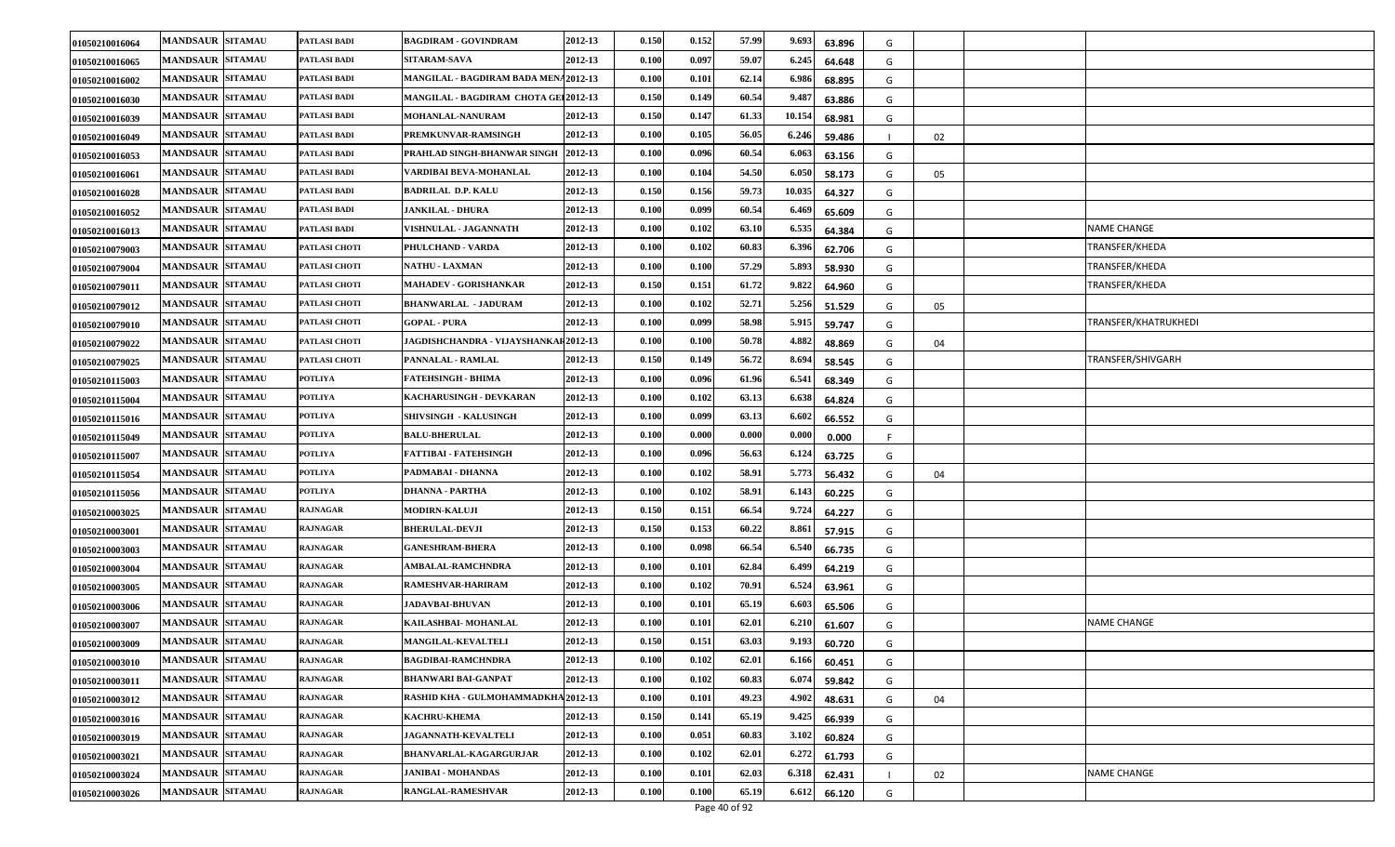| 01050210016064 | <b>MANDSAUR SITAMAU</b> | PATLASI BADI    | <b>BAGDIRAM - GOVINDRAM</b>           | 2012-13 | 0.150 | 0.152 | 57.99 | 9.693  | 63.896 | G  |    |                      |
|----------------|-------------------------|-----------------|---------------------------------------|---------|-------|-------|-------|--------|--------|----|----|----------------------|
| 01050210016065 | <b>MANDSAUR SITAMAU</b> | PATLASI BADI    | SITARAM-SAVA                          | 2012-13 | 0.100 | 0.097 | 59.07 | 6.245  | 64.648 | G  |    |                      |
| 01050210016002 | <b>MANDSAUR SITAMAU</b> | PATLASI BADI    | MANGILAL - BAGDIRAM BADA MENA2012-13  |         | 0.100 | 0.101 | 62.14 | 6.986  | 68.895 | G  |    |                      |
| 01050210016030 | <b>MANDSAUR SITAMAU</b> | PATLASI BADI    | MANGILAL - BAGDIRAM CHOTA GEI 2012-13 |         | 0.150 | 0.149 | 60.54 | 9.48'  | 63.886 | G  |    |                      |
| 01050210016039 | <b>MANDSAUR SITAMAU</b> | PATLASI BADI    | MOHANLAL-NANURAM                      | 2012-13 | 0.150 | 0.147 | 61.33 | 10.154 | 68.981 | G  |    |                      |
| 01050210016049 | <b>MANDSAUR SITAMAU</b> | PATLASI BADI    | PREMKUNVAR-RAMSINGH                   | 2012-13 | 0.100 | 0.105 | 56.05 | 6.24   | 59.486 |    | 02 |                      |
| 01050210016053 | <b>MANDSAUR SITAMAU</b> | PATLASI BADI    | PRAHLAD SINGH-BHANWAR SINGH           | 2012-13 | 0.100 | 0.096 | 60.54 | 6.06.  | 63.156 | G  |    |                      |
| 01050210016061 | <b>MANDSAUR SITAMAU</b> | PATLASI BADI    | VARDIBAI BEVA-MOHANLAL                | 2012-13 | 0.100 | 0.104 | 54.50 | 6.050  | 58.173 | G  | 05 |                      |
| 01050210016028 | <b>MANDSAUR SITAMAU</b> | PATLASI BADI    | <b>BADRILAL D.P. KALU</b>             | 2012-13 | 0.150 | 0.156 | 59.73 | 10.03  | 64.327 | G  |    |                      |
| 01050210016052 | <b>MANDSAUR SITAMAU</b> | PATLASI BADI    | <b>JANKILAL - DHURA</b>               | 2012-13 | 0.100 | 0.099 | 60.54 | 6.46   | 65.609 | G  |    |                      |
| 01050210016013 | <b>MANDSAUR SITAMAU</b> | PATLASI BADI    | VISHNULAL - JAGANNATH                 | 2012-13 | 0.100 | 0.102 | 63.10 | 6.535  | 64.384 | G  |    | <b>NAME CHANGE</b>   |
| 01050210079003 | <b>MANDSAUR SITAMAU</b> | PATLASI CHOTI   | PHULCHAND - VARDA                     | 2012-13 | 0.100 | 0.102 | 60.83 | 6.396  | 62.706 | G  |    | TRANSFER/KHEDA       |
| 01050210079004 | <b>MANDSAUR SITAMAU</b> | PATLASI CHOTI   | <b>NATHU - LAXMAN</b>                 | 2012-13 | 0.100 | 0.100 | 57.29 | 5.89   | 58.930 | G  |    | TRANSFER/KHEDA       |
| 01050210079011 | <b>MANDSAUR SITAMAU</b> | PATLASI CHOTI   | MAHADEV - GORISHANKAR                 | 2012-13 | 0.150 | 0.151 | 61.72 | 9.822  | 64.960 | G  |    | TRANSFER/KHEDA       |
| 01050210079012 | <b>MANDSAUR SITAMAU</b> | PATLASI CHOTI   | <b>BHANWARLAL - JADURAM</b>           | 2012-13 | 0.100 | 0.102 | 52.71 | 5.256  | 51.529 | G  | 05 |                      |
| 01050210079010 | <b>MANDSAUR SITAMAU</b> | PATLASI CHOTI   | <b>GOPAL - PURA</b>                   | 2012-13 | 0.100 | 0.099 | 58.98 | 5.91   | 59.747 | G  |    | TRANSFER/KHATRUKHEDI |
| 01050210079022 | <b>MANDSAUR SITAMAU</b> | PATLASI CHOTI   | JAGDISHCHANDRA - VIJAYSHANKAF 2012-13 |         | 0.100 | 0.100 | 50.78 | 4.88   | 48.869 | G  | 04 |                      |
| 01050210079025 | <b>MANDSAUR SITAMAU</b> | PATLASI CHOTI   | PANNALAL - RAMLAL                     | 2012-13 | 0.150 | 0.149 | 56.72 | 8.694  | 58.545 | G  |    | TRANSFER/SHIVGARH    |
| 01050210115003 | <b>MANDSAUR SITAMAU</b> | POTLIYA         | FATEHSINGH - BHIMA                    | 2012-13 | 0.100 | 0.096 | 61.96 | 6.541  | 68.349 | G  |    |                      |
| 01050210115004 | <b>MANDSAUR SITAMAU</b> | POTLIYA         | KACHARUSINGH - DEVKARAN               | 2012-13 | 0.100 | 0.102 | 63.13 | 6.63   | 64.824 | G  |    |                      |
| 01050210115016 | <b>MANDSAUR SITAMAU</b> | POTLIYA         | <b>SHIVSINGH - KALUSINGH</b>          | 2012-13 | 0.100 | 0.099 | 63.13 | 6.60   | 66.552 | G  |    |                      |
| 01050210115049 | <b>MANDSAUR SITAMAU</b> | POTLIYA         | <b>BALU-BHERULAL</b>                  | 2012-13 | 0.100 | 0.000 | 0.000 | 0.000  | 0.000  | -F |    |                      |
| 01050210115007 | <b>MANDSAUR SITAMAU</b> | POTLIYA         | FATTIBAI - FATEHSINGH                 | 2012-13 | 0.100 | 0.096 | 56.63 | 6.124  | 63.725 | G  |    |                      |
| 01050210115054 | <b>MANDSAUR SITAMAU</b> | POTLIYA         | PADMABAI - DHANNA                     | 2012-13 | 0.100 | 0.102 | 58.91 | 5.773  | 56.432 | G  | 04 |                      |
| 01050210115056 | <b>MANDSAUR SITAMAU</b> | POTLIYA         | DHANNA - PARTHA                       | 2012-13 | 0.100 | 0.102 | 58.91 | 6.143  | 60.225 | G  |    |                      |
| 01050210003025 | <b>MANDSAUR SITAMAU</b> | <b>RAJNAGAR</b> | <b>MODIRN-KALUJI</b>                  | 2012-13 | 0.150 | 0.151 | 66.54 | 9.724  | 64.227 | G  |    |                      |
| 01050210003001 | <b>MANDSAUR SITAMAU</b> | RAJNAGAR        | <b>BHERULAL-DEVJI</b>                 | 2012-13 | 0.150 | 0.153 | 60.22 | 8.861  | 57.915 | G  |    |                      |
| 01050210003003 | <b>MANDSAUR SITAMAU</b> | RAJNAGAR        | <b>GANESHRAM-BHERA</b>                | 2012-13 | 0.100 | 0.098 | 66.54 | 6.54   | 66.735 | G  |    |                      |
| 01050210003004 | <b>MANDSAUR SITAMAU</b> | <b>RAJNAGAR</b> | <b>AMBALAL-RAMCHNDRA</b>              | 2012-13 | 0.100 | 0.101 | 62.84 | 6.49   | 64.219 | G  |    |                      |
| 01050210003005 | <b>MANDSAUR SITAMAU</b> | <b>RAJNAGAR</b> | RAMESHVAR-HARIRAM                     | 2012-13 | 0.100 | 0.102 | 70.91 | 6.524  | 63.961 | G  |    |                      |
| 01050210003006 | <b>MANDSAUR SITAMAU</b> | RAJNAGAR        | <b>JADAVBAI-BHUVAN</b>                | 2012-13 | 0.100 | 0.101 | 65.19 | 6.60.  | 65.506 | G  |    |                      |
| 01050210003007 | <b>MANDSAUR SITAMAU</b> | <b>RAJNAGAR</b> | KAILASHBAI- MOHANLAL                  | 2012-13 | 0.100 | 0.101 | 62.01 | 6.21   | 61.607 | G  |    | <b>NAME CHANGE</b>   |
| 01050210003009 | <b>MANDSAUR SITAMAU</b> | <b>RAJNAGAR</b> | <b>MANGILAL-KEVALTELI</b>             | 2012-13 | 0.150 | 0.151 | 63.03 | 9.193  | 60.720 | G  |    |                      |
| 01050210003010 | <b>MANDSAUR SITAMAU</b> | <b>RAJNAGAR</b> | <b>BAGDIBAI-RAMCHNDRA</b>             | 2012-13 | 0.100 | 0.102 | 62.01 | 6.166  | 60.451 | G  |    |                      |
| 01050210003011 | <b>MANDSAUR SITAMAU</b> | RAJNAGAR        | <b>BHANWARI BAI-GANPAT</b>            | 2012-13 | 0.100 | 0.102 | 60.83 | 6.074  | 59.842 | G  |    |                      |
| 01050210003012 | MANDSAUR SITAMAU        | <b>RAJNAGAR</b> | RASHID KHA - GULMOHAMMADKHA 2012-13   |         | 0.100 | 0.101 | 49.23 | 4.902  | 48.631 | G  | 04 |                      |
| 01050210003016 | <b>MANDSAUR SITAMAU</b> | <b>RAJNAGAR</b> | <b>KACHRU-KHEMA</b>                   | 2012-13 | 0.150 | 0.141 | 65.19 | 9.425  | 66.939 | G  |    |                      |
| 01050210003019 | <b>MANDSAUR SITAMAU</b> | <b>RAJNAGAR</b> | <b>JAGANNATH-KEVALTELI</b>            | 2012-13 | 0.100 | 0.051 | 60.83 | 3.102  | 60.824 | G  |    |                      |
| 01050210003021 | <b>MANDSAUR SITAMAU</b> | <b>RAJNAGAR</b> | <b>BHANVARLAL-KAGARGURJAR</b>         | 2012-13 | 0.100 | 0.102 | 62.01 | 6.272  | 61.793 | G  |    |                      |
| 01050210003024 | <b>MANDSAUR SITAMAU</b> | <b>RAJNAGAR</b> | <b>JANIBAI - MOHANDAS</b>             | 2012-13 | 0.100 | 0.101 | 62.03 | 6.318  | 62.431 |    | 02 | <b>NAME CHANGE</b>   |
| 01050210003026 | <b>MANDSAUR SITAMAU</b> | <b>RAJNAGAR</b> | <b>RANGLAL-RAMESHVAR</b>              | 2012-13 | 0.100 | 0.100 | 65.19 | 6.612  | 66.120 | G  |    |                      |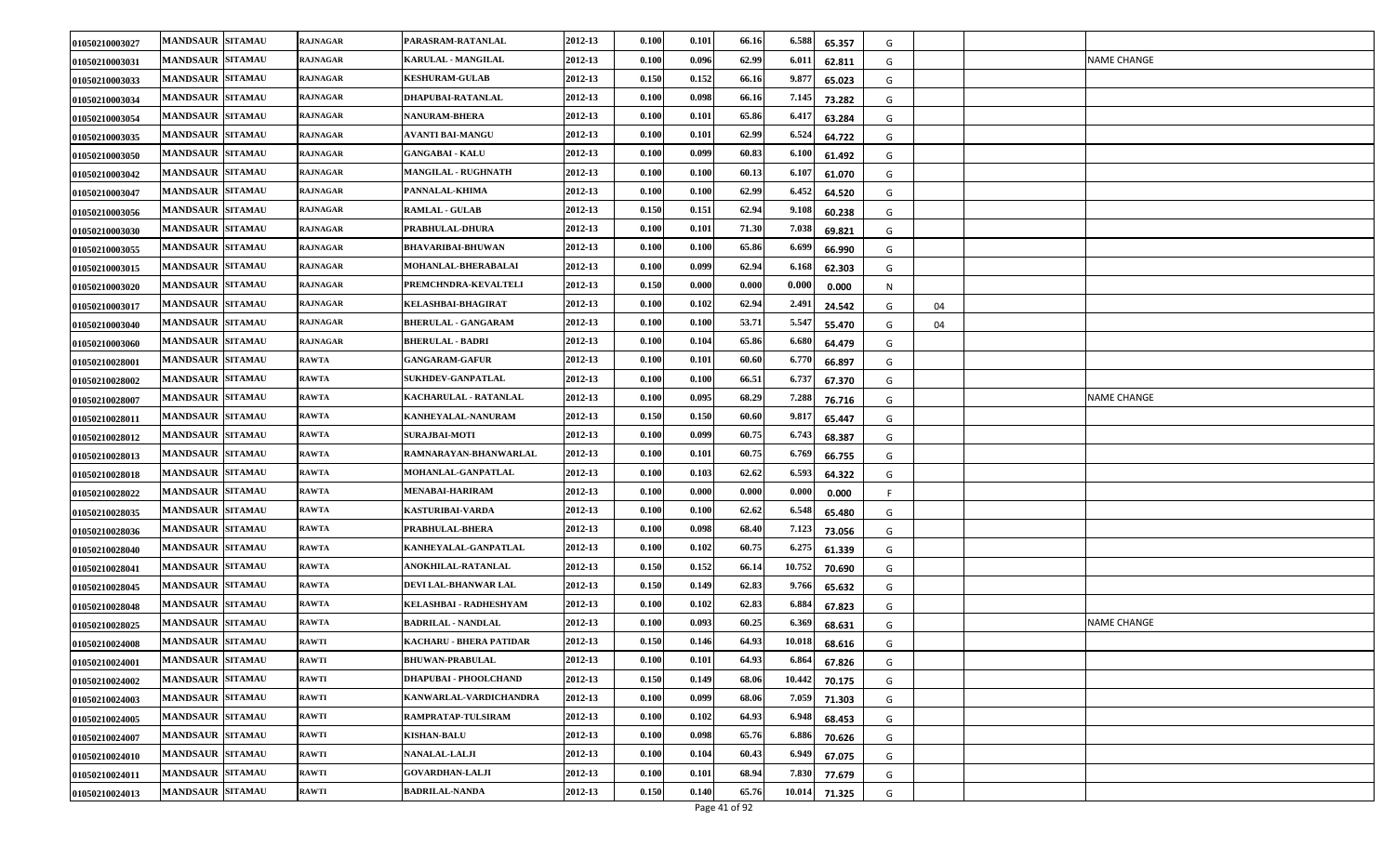| 01050210003027 | <b>MANDSAUR SITAMAU</b> | RAJNAGAR        | PARASRAM-RATANLAL            | 2012-13 | 0.100 | 0.101 | 66.16 | 6.588  | 65.357 | G       |                    |
|----------------|-------------------------|-----------------|------------------------------|---------|-------|-------|-------|--------|--------|---------|--------------------|
| 01050210003031 | <b>MANDSAUR SITAMAU</b> | RAJNAGAR        | <b>KARULAL - MANGILAL</b>    | 2012-13 | 0.100 | 0.096 | 62.99 | 6.01   | 62.811 | G       | <b>NAME CHANGE</b> |
| 01050210003033 | <b>MANDSAUR SITAMAU</b> | <b>RAJNAGAR</b> | <b>KESHURAM-GULAB</b>        | 2012-13 | 0.150 | 0.152 | 66.16 | 9.87   | 65.023 | G       |                    |
| 01050210003034 | <b>MANDSAUR SITAMAU</b> | RAJNAGAR        | DHAPUBAI-RATANLAL            | 2012-13 | 0.100 | 0.098 | 66.16 | 7.145  | 73.282 | G       |                    |
| 01050210003054 | <b>MANDSAUR SITAMAU</b> | RAJNAGAR        | <b>NANURAM-BHERA</b>         | 2012-13 | 0.100 | 0.101 | 65.86 | 6.41   | 63.284 | G       |                    |
| 01050210003035 | <b>MANDSAUR SITAMAU</b> | RAJNAGAR        | AVANTI BAI-MANGU             | 2012-13 | 0.100 | 0.101 | 62.99 | 6.52   | 64.722 | G       |                    |
| 01050210003050 | <b>MANDSAUR SITAMAU</b> | <b>RAJNAGAR</b> | <b>GANGABAI - KALU</b>       | 2012-13 | 0.100 | 0.099 | 60.83 | 6.10   | 61.492 | G       |                    |
| 01050210003042 | <b>MANDSAUR SITAMAU</b> | RAJNAGAR        | MANGILAL - RUGHNATH          | 2012-13 | 0.100 | 0.100 | 60.13 | 6.10   | 61.070 | G       |                    |
| 01050210003047 | <b>MANDSAUR SITAMAU</b> | <b>RAJNAGAR</b> | PANNALAL-KHIMA               | 2012-13 | 0.100 | 0.100 | 62.99 | 6.45   | 64.520 | G       |                    |
| 01050210003056 | <b>MANDSAUR SITAMAU</b> | <b>RAJNAGAR</b> | <b>RAMLAL - GULAB</b>        | 2012-13 | 0.150 | 0.151 | 62.94 | 9.108  | 60.238 | G       |                    |
| 01050210003030 | <b>MANDSAUR SITAMAU</b> | <b>RAJNAGAR</b> | PRABHULAL-DHURA              | 2012-13 | 0.100 | 0.101 | 71.30 | 7.038  | 69.821 | G       |                    |
| 01050210003055 | <b>MANDSAUR SITAMAU</b> | RAJNAGAR        | BHAVARIBAI-BHUWAN            | 2012-13 | 0.100 | 0.100 | 65.86 | 6.69   | 66.990 | G       |                    |
| 01050210003015 | <b>MANDSAUR SITAMAU</b> | <b>RAJNAGAR</b> | MOHANLAL-BHERABALAI          | 2012-13 | 0.100 | 0.099 | 62.94 | 6.168  | 62.303 | G       |                    |
| 01050210003020 | <b>MANDSAUR SITAMAU</b> | <b>RAJNAGAR</b> | PREMCHNDRA-KEVALTELI         | 2012-13 | 0.150 | 0.000 | 0.000 | 0.000  | 0.000  | N       |                    |
| 01050210003017 | <b>MANDSAUR SITAMAU</b> | <b>RAJNAGAR</b> | KELASHBAI-BHAGIRAT           | 2012-13 | 0.100 | 0.102 | 62.94 | 2.491  | 24.542 | G<br>04 |                    |
| 01050210003040 | <b>MANDSAUR SITAMAU</b> | RAJNAGAR        | <b>BHERULAL - GANGARAM</b>   | 2012-13 | 0.100 | 0.100 | 53.71 | 5.54   | 55.470 | G<br>04 |                    |
| 01050210003060 | <b>MANDSAUR SITAMAU</b> | <b>RAJNAGAR</b> | <b>BHERULAL - BADRI</b>      | 2012-13 | 0.100 | 0.104 | 65.86 | 6.680  | 64.479 | G       |                    |
| 01050210028001 | <b>MANDSAUR SITAMAU</b> | <b>RAWTA</b>    | <b>GANGARAM-GAFUR</b>        | 2012-13 | 0.100 | 0.101 | 60.60 | 6.770  | 66.897 | G       |                    |
| 01050210028002 | <b>MANDSAUR SITAMAU</b> | <b>RAWTA</b>    | SUKHDEV-GANPATLAL            | 2012-13 | 0.100 | 0.100 | 66.51 | 6.73   | 67.370 | G       |                    |
| 01050210028007 | <b>MANDSAUR SITAMAU</b> | <b>RAWTA</b>    | KACHARULAL - RATANLAL        | 2012-13 | 0.100 | 0.095 | 68.29 | 7.288  | 76.716 | G       | NAME CHANGE        |
| 01050210028011 | <b>MANDSAUR SITAMAU</b> | <b>RAWTA</b>    | KANHEYALAL-NANURAM           | 2012-13 | 0.150 | 0.150 | 60.60 | 9.81   | 65.447 | G       |                    |
| 01050210028012 | <b>MANDSAUR SITAMAU</b> | RAWTA           | <b>SURAJBAI-MOTI</b>         | 2012-13 | 0.100 | 0.099 | 60.75 | 6.743  | 68.387 | G       |                    |
| 01050210028013 | <b>MANDSAUR SITAMAU</b> | <b>RAWTA</b>    | RAMNARAYAN-BHANWARLAL        | 2012-13 | 0.100 | 0.101 | 60.75 | 6.769  | 66.755 | G       |                    |
| 01050210028018 | <b>MANDSAUR SITAMAU</b> | <b>RAWTA</b>    | <b>MOHANLAL-GANPATLAL</b>    | 2012-13 | 0.100 | 0.103 | 62.62 | 6.593  | 64.322 | G       |                    |
| 01050210028022 | <b>MANDSAUR SITAMAU</b> | <b>RAWTA</b>    | <b>MENABAI-HARIRAM</b>       | 2012-13 | 0.100 | 0.000 | 0.000 | 0.000  | 0.000  |         |                    |
| 01050210028035 | <b>MANDSAUR SITAMAU</b> | RAWTA           | KASTURIBAI-VARDA             | 2012-13 | 0.100 | 0.100 | 62.62 | 6.548  | 65.480 | G       |                    |
| 01050210028036 | <b>MANDSAUR SITAMAU</b> | <b>RAWTA</b>    | PRABHULAL-BHERA              | 2012-13 | 0.100 | 0.098 | 68.40 | 7.123  | 73.056 | G       |                    |
| 01050210028040 | <b>MANDSAUR SITAMAU</b> | <b>RAWTA</b>    | KANHEYALAL-GANPATLAL         | 2012-13 | 0.100 | 0.102 | 60.75 | 6.27   | 61.339 | G       |                    |
| 01050210028041 | <b>MANDSAUR SITAMAU</b> | <b>RAWTA</b>    | ANOKHILAL-RATANLAL           | 2012-13 | 0.150 | 0.152 | 66.14 | 10.752 | 70.690 | G       |                    |
| 01050210028045 | <b>MANDSAUR SITAMAU</b> | <b>RAWTA</b>    | DEVI LAL-BHANWAR LAL         | 2012-13 | 0.150 | 0.149 | 62.83 | 9.766  | 65.632 | G       |                    |
| 01050210028048 | <b>MANDSAUR SITAMAU</b> | RAWTA           | KELASHBAI - RADHESHYAM       | 2012-13 | 0.100 | 0.102 | 62.83 | 6.884  | 67.823 | G       |                    |
| 01050210028025 | <b>MANDSAUR SITAMAU</b> | <b>RAWTA</b>    | <b>BADRILAL - NANDLAL</b>    | 2012-13 | 0.100 | 0.093 | 60.25 | 6.36   | 68.631 | G       | <b>NAME CHANGE</b> |
| 01050210024008 | <b>MANDSAUR SITAMAU</b> | <b>RAWTI</b>    | KACHARU - BHERA PATIDAR      | 2012-13 | 0.150 | 0.146 | 64.93 | 10.018 | 68.616 | G       |                    |
| 01050210024001 | <b>MANDSAUR SITAMAU</b> | <b>RAWTI</b>    | <b>BHUWAN-PRABULAL</b>       | 2012-13 | 0.100 | 0.101 | 64.93 | 6.864  | 67.826 | G       |                    |
| 01050210024002 | <b>MANDSAUR SITAMAU</b> | <b>RAWTI</b>    | <b>DHAPUBAI - PHOOLCHAND</b> | 2012-13 | 0.150 | 0.149 | 68.06 | 10.442 | 70.175 | G       |                    |
| 01050210024003 | <b>MANDSAUR SITAMAU</b> | RAWTI           | KANWARLAL-VARDICHANDRA       | 2012-13 | 0.100 | 0.099 | 68.06 | 7.059  | 71.303 | G       |                    |
| 01050210024005 | <b>MANDSAUR SITAMAU</b> | <b>RAWTI</b>    | RAMPRATAP-TULSIRAM           | 2012-13 | 0.100 | 0.102 | 64.93 | 6.948  | 68.453 | G       |                    |
| 01050210024007 | <b>MANDSAUR SITAMAU</b> | <b>RAWTI</b>    | <b>KISHAN-BALU</b>           | 2012-13 | 0.100 | 0.098 | 65.76 | 6.886  | 70.626 | G       |                    |
| 01050210024010 | <b>MANDSAUR SITAMAU</b> | <b>RAWTI</b>    | <b>NANALAL-LALJI</b>         | 2012-13 | 0.100 | 0.104 | 60.43 | 6.949  | 67.075 | G       |                    |
| 01050210024011 | <b>MANDSAUR SITAMAU</b> | <b>RAWTI</b>    | <b>GOVARDHAN-LALJI</b>       | 2012-13 | 0.100 | 0.101 | 68.94 | 7.830  | 77.679 | G       |                    |
| 01050210024013 | <b>MANDSAUR SITAMAU</b> | <b>RAWTI</b>    | <b>BADRILAL-NANDA</b>        | 2012-13 | 0.150 | 0.140 | 65.76 | 10.014 | 71.325 | G       |                    |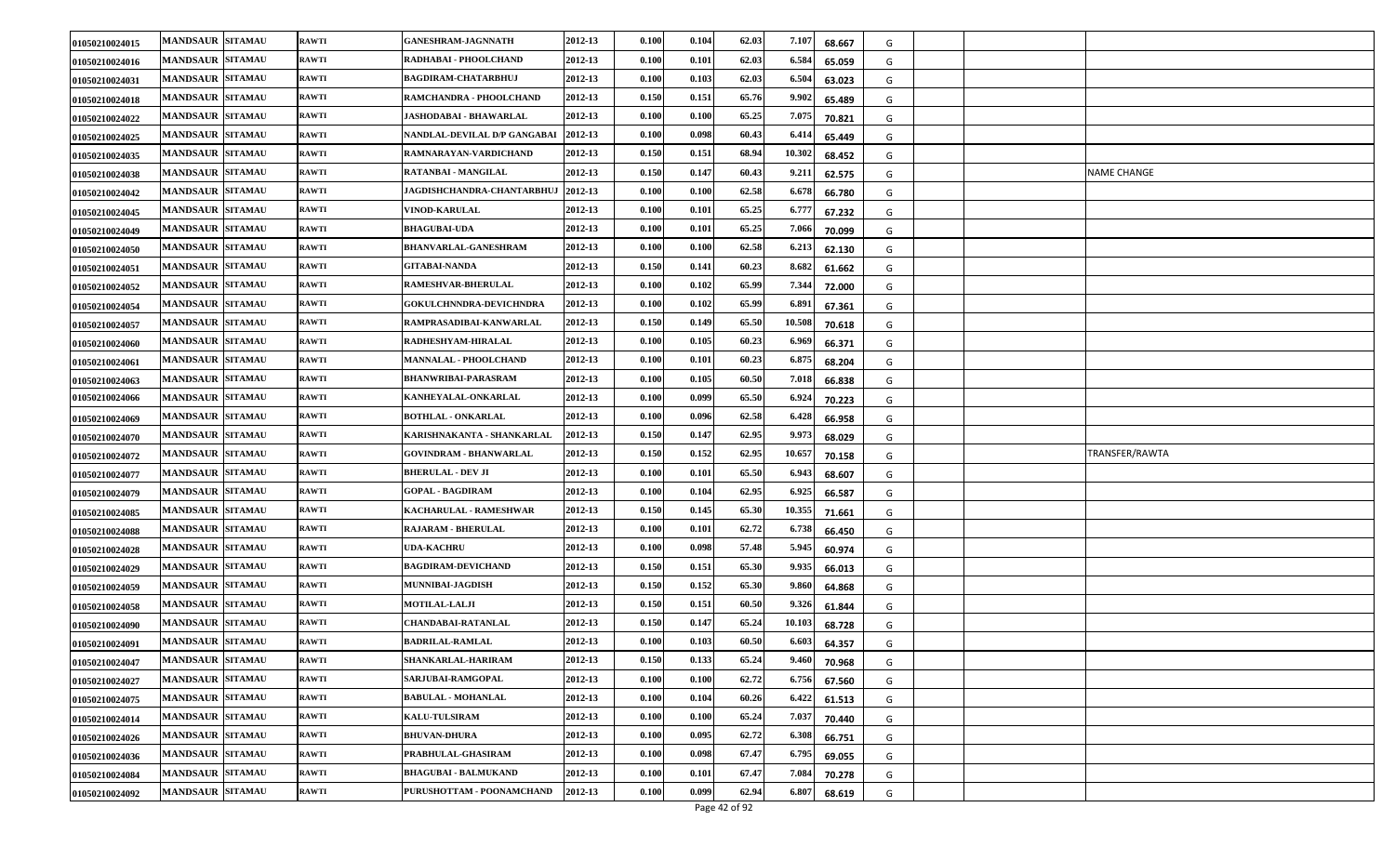| 01050210024015 | <b>MANDSAUR SITAMAU</b>           | <b>RAWTI</b> | <b>GANESHRAM-JAGNNATH</b>     | 2012-13 | 0.100                | 0.104 | 62.03 | 7.107  | 68.667 | G |                |
|----------------|-----------------------------------|--------------|-------------------------------|---------|----------------------|-------|-------|--------|--------|---|----------------|
| 01050210024016 | <b>MANDSAUR SITAMAU</b>           | <b>RAWTI</b> | RADHABAI - PHOOLCHAND         | 2012-13 | 0.100                | 0.101 | 62.03 | 6.584  | 65.059 | G |                |
| 01050210024031 | <b>MANDSAUR SITAMAU</b>           | <b>RAWTI</b> | <b>BAGDIRAM-CHATARBHUJ</b>    | 2012-13 | 0.100                | 0.103 | 62.03 | 6.50   | 63.023 | G |                |
| 01050210024018 | <b>MANDSAUR SITAMAU</b>           | <b>RAWTI</b> | RAMCHANDRA - PHOOLCHAND       | 2012-13 | 0.150                | 0.151 | 65.76 | 9.902  | 65.489 | G |                |
| 01050210024022 | <b>MANDSAUR SITAMAU</b>           | <b>RAWTI</b> | JASHODABAI - BHAWARLAL        | 2012-13 | 0.100                | 0.100 | 65.25 | 7.075  | 70.821 | G |                |
| 01050210024025 | <b>MANDSAUR SITAMAU</b>           | <b>RAWTI</b> | NANDLAL-DEVILAL D/P GANGABAI  | 2012-13 | 0.100                | 0.098 | 60.43 | 6.41   | 65.449 | G |                |
| 01050210024035 | <b>MANDSAUR SITAMAU</b>           | <b>RAWTI</b> | RAMNARAYAN-VARDICHAND         | 2012-13 | 0.150                | 0.151 | 68.94 | 10.302 | 68.452 | G |                |
| 01050210024038 | <b>MANDSAUR SITAMAU</b>           | <b>RAWTI</b> | RATANBAI - MANGILAL           | 2012-13 | 0.150                | 0.147 | 60.43 | 9.21   | 62.575 | G | NAME CHANGE    |
| 01050210024042 | <b>MANDSAUR SITAMAU</b>           | <b>RAWTI</b> | JAGDISHCHANDRA-CHANTARBHUJ    | 2012-13 | 0.100                | 0.100 | 62.58 | 6.67   | 66.780 | G |                |
| 01050210024045 | <b>MANDSAUR SITAMAU</b>           | <b>RAWTI</b> | <b>VINOD-KARULAL</b>          | 2012-13 | 0.100                | 0.101 | 65.25 | 6.77   | 67.232 | G |                |
| 01050210024049 | <b>MANDSAUR SITAMAU</b>           | <b>RAWTI</b> | <b>BHAGUBAI-UDA</b>           | 2012-13 | 0.100                | 0.101 | 65.25 | 7.066  | 70.099 | G |                |
| 01050210024050 | <b>MANDSAUR SITAMAU</b>           | <b>RAWTI</b> | BHANVARLAL-GANESHRAM          | 2012-13 | $\boldsymbol{0.100}$ | 0.100 | 62.58 | 6.21.  | 62.130 | G |                |
| 01050210024051 | <b>MANDSAUR SITAMAU</b>           | <b>RAWTI</b> | <b>GITABAI-NANDA</b>          | 2012-13 | 0.150                | 0.141 | 60.23 | 8.682  | 61.662 | G |                |
| 01050210024052 | <b>MANDSAUR SITAMAU</b>           | <b>RAWTI</b> | RAMESHVAR-BHERULAL            | 2012-13 | $\boldsymbol{0.100}$ | 0.102 | 65.99 | 7.344  | 72.000 | G |                |
| 01050210024054 | <b>MANDSAUR SITAMAU</b>           | <b>RAWTI</b> | GOKULCHNNDRA-DEVICHNDRA       | 2012-13 | 0.100                | 0.102 | 65.99 | 6.891  | 67.361 | G |                |
| 01050210024057 | <b>MANDSAUR SITAMAU</b>           | <b>RAWTI</b> | RAMPRASADIBAI-KANWARLAL       | 2012-13 | 0.150                | 0.149 | 65.50 | 10.508 | 70.618 | G |                |
| 01050210024060 | <b>MANDSAUR SITAMAU</b>           | <b>RAWTI</b> | RADHESHYAM-HIRALAL            | 2012-13 | 0.100                | 0.105 | 60.23 | 6.96   | 66.371 | G |                |
| 01050210024061 | <b>MANDSAUR</b><br><b>SITAMAU</b> | <b>RAWTI</b> | MANNALAL - PHOOLCHAND         | 2012-13 | $\boldsymbol{0.100}$ | 0.101 | 60.23 | 6.87   | 68.204 | G |                |
| 01050210024063 | <b>MANDSAUR SITAMAU</b>           | <b>RAWTI</b> | <b>BHANWRIBAI-PARASRAM</b>    | 2012-13 | 0.100                | 0.105 | 60.50 | 7.01   | 66.838 | G |                |
| 01050210024066 | <b>MANDSAUR SITAMAU</b>           | <b>RAWTI</b> | KANHEYALAL-ONKARLAL           | 2012-13 | 0.100                | 0.099 | 65.50 | 6.92   | 70.223 | G |                |
| 01050210024069 | <b>MANDSAUR SITAMAU</b>           | <b>RAWTI</b> | <b>BOTHLAL - ONKARLAL</b>     | 2012-13 | 0.100                | 0.096 | 62.58 | 6.42   | 66.958 | G |                |
| 01050210024070 | <b>MANDSAUR SITAMAU</b>           | <b>RAWTI</b> | KARISHNAKANTA - SHANKARLAL    | 2012-13 | 0.150                | 0.147 | 62.95 | 9.973  | 68.029 | G |                |
| 01050210024072 | <b>MANDSAUR SITAMAU</b>           | <b>RAWTI</b> | <b>GOVINDRAM - BHANWARLAL</b> | 2012-13 | 0.150                | 0.152 | 62.95 | 10.657 | 70.158 | G | TRANSFER/RAWTA |
| 01050210024077 | <b>MANDSAUR SITAMAU</b>           | <b>RAWTI</b> | <b>BHERULAL - DEV JI</b>      | 2012-13 | 0.100                | 0.101 | 65.50 | 6.943  | 68.607 | G |                |
| 01050210024079 | <b>MANDSAUR SITAMAU</b>           | <b>RAWTI</b> | <b>GOPAL - BAGDIRAM</b>       | 2012-13 | 0.100                | 0.104 | 62.95 | 6.92.  | 66.587 | G |                |
| 01050210024085 | <b>MANDSAUR SITAMAU</b>           | <b>RAWTI</b> | KACHARULAL - RAMESHWAR        | 2012-13 | 0.150                | 0.145 | 65.30 | 10.355 | 71.661 | G |                |
| 01050210024088 | <b>MANDSAUR SITAMAU</b>           | <b>RAWTI</b> | RAJARAM - BHERULAL            | 2012-13 | 0.100                | 0.101 | 62.72 | 6.738  | 66.450 | G |                |
| 01050210024028 | <b>MANDSAUR SITAMAU</b>           | <b>RAWTI</b> | <b>UDA-KACHRU</b>             | 2012-13 | 0.100                | 0.098 | 57.48 | 5.945  | 60.974 | G |                |
| 01050210024029 | <b>MANDSAUR SITAMAU</b>           | <b>RAWTI</b> | <b>BAGDIRAM-DEVICHAND</b>     | 2012-13 | 0.150                | 0.151 | 65.30 | 9.935  | 66.013 | G |                |
| 01050210024059 | <b>MANDSAUR SITAMAU</b>           | <b>RAWTI</b> | MUNNIBAI-JAGDISH              | 2012-13 | 0.150                | 0.152 | 65.30 | 9.860  | 64.868 | G |                |
| 01050210024058 | <b>MANDSAUR SITAMAU</b>           | <b>RAWTI</b> | <b>MOTILAL-LALJI</b>          | 2012-13 | 0.150                | 0.151 | 60.50 | 9.326  | 61.844 | G |                |
| 01050210024090 | <b>SITAMAU</b><br><b>MANDSAUR</b> | <b>RAWTI</b> | <b>CHANDABAI-RATANLAL</b>     | 2012-13 | 0.150                | 0.147 | 65.24 | 10.10  | 68.728 | G |                |
| 01050210024091 | <b>MANDSAUR SITAMAU</b>           | <b>RAWTI</b> | <b>BADRILAL-RAMLAL</b>        | 2012-13 | 0.100                | 0.103 | 60.50 | 6.603  | 64.357 | G |                |
| 01050210024047 | <b>MANDSAUR SITAMAU</b>           | <b>RAWTI</b> | SHANKARLAL-HARIRAM            | 2012-13 | 0.150                | 0.133 | 65.24 | 9.460  | 70.968 | G |                |
| 01050210024027 | <b>MANDSAUR SITAMAU</b>           | <b>RAWTI</b> | SARJUBAI-RAMGOPAL             | 2012-13 | 0.100                | 0.100 | 62.72 | 6.756  | 67.560 | G |                |
| 01050210024075 | <b>MANDSAUR SITAMAU</b>           | <b>RAWTI</b> | <b>BABULAL - MOHANLAL</b>     | 2012-13 | 0.100                | 0.104 | 60.26 | 6.422  | 61.513 | G |                |
| 01050210024014 | <b>MANDSAUR SITAMAU</b>           | <b>RAWTI</b> | <b>KALU-TULSIRAM</b>          | 2012-13 | 0.100                | 0.100 | 65.24 | 7.037  | 70.440 | G |                |
| 01050210024026 | <b>MANDSAUR SITAMAU</b>           | <b>RAWTI</b> | <b>BHUVAN-DHURA</b>           | 2012-13 | 0.100                | 0.095 | 62.72 | 6.308  | 66.751 | G |                |
| 01050210024036 | <b>MANDSAUR SITAMAU</b>           | <b>RAWTI</b> | PRABHULAL-GHASIRAM            | 2012-13 | 0.100                | 0.098 | 67.47 | 6.795  | 69.055 | G |                |
| 01050210024084 | <b>MANDSAUR SITAMAU</b>           | <b>RAWTI</b> | <b>BHAGUBAI - BALMUKAND</b>   | 2012-13 | 0.100                | 0.101 | 67.47 | 7.084  | 70.278 | G |                |
| 01050210024092 | MANDSAUR SITAMAU                  | <b>RAWTI</b> | PURUSHOTTAM - POONAMCHAND     | 2012-13 | 0.100                | 0.099 | 62.94 | 6.807  | 68.619 | G |                |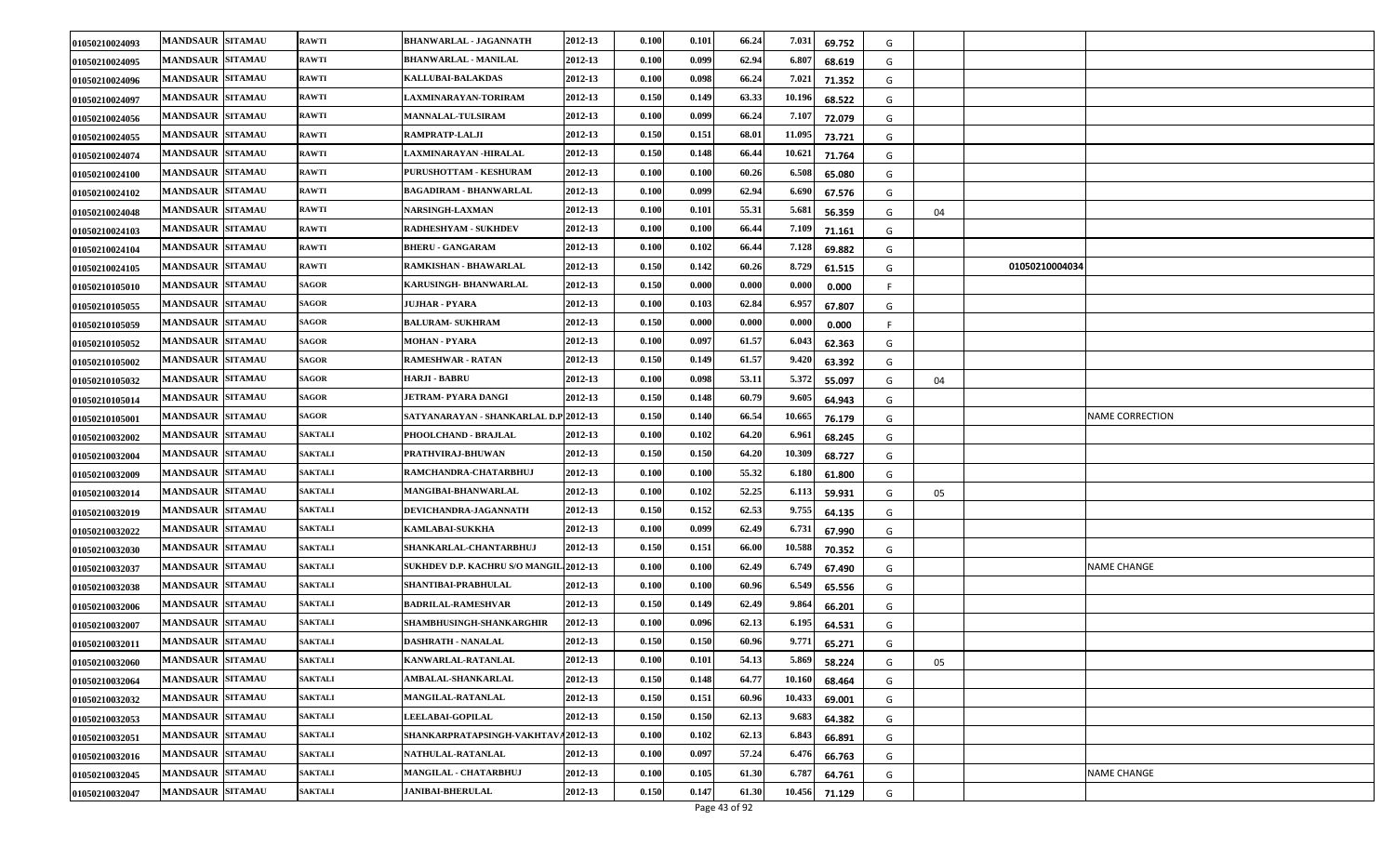| 01050210024093 | <b>MANDSAUR SITAMAU</b> | <b>RAWTI</b>   | BHANWARLAL - JAGANNATH<br>2012-13              | 0.100 | 0.101 | 66.24 | 7.031<br>69.752  | G |    |                        |
|----------------|-------------------------|----------------|------------------------------------------------|-------|-------|-------|------------------|---|----|------------------------|
| 01050210024095 | <b>MANDSAUR SITAMAU</b> | <b>RAWTI</b>   | <b>BHANWARLAL - MANILAL</b><br>2012-13         | 0.100 | 0.099 | 62.94 | 6.80'<br>68.619  | G |    |                        |
| 01050210024096 | <b>MANDSAUR SITAMAU</b> | <b>RAWTI</b>   | KALLUBAI-BALAKDAS<br>2012-13                   | 0.100 | 0.098 | 66.24 | 7.021<br>71.352  | G |    |                        |
| 01050210024097 | <b>MANDSAUR SITAMAU</b> | <b>RAWTI</b>   | 2012-13<br>LAXMINARAYAN-TORIRAM                | 0.150 | 0.149 | 63.33 | 10.196<br>68.522 | G |    |                        |
| 01050210024056 | <b>MANDSAUR SITAMAU</b> | <b>RAWTI</b>   | 2012-13<br><b>MANNALAL-TULSIRAM</b>            | 0.100 | 0.099 | 66.24 | 7.10<br>72.079   | G |    |                        |
| 01050210024055 | <b>MANDSAUR SITAMAU</b> | <b>RAWTI</b>   | RAMPRATP-LALJI<br>2012-13                      | 0.150 | 0.151 | 68.01 | 11.095<br>73.721 | G |    |                        |
| 01050210024074 | <b>MANDSAUR SITAMAU</b> | <b>RAWTI</b>   | LAXMINARAYAN -HIRALAL<br>2012-13               | 0.150 | 0.148 | 66.44 | 10.62<br>71.764  | G |    |                        |
| 01050210024100 | <b>MANDSAUR SITAMAU</b> | <b>RAWTI</b>   | PURUSHOTTAM - KESHURAM<br>2012-13              | 0.100 | 0.100 | 60.26 | 6.508<br>65.080  | G |    |                        |
| 01050210024102 | <b>MANDSAUR SITAMAU</b> | <b>RAWTI</b>   | BAGADIRAM - BHANWARLAL<br>2012-13              | 0.100 | 0.099 | 62.94 | 6.69<br>67.576   | G |    |                        |
| 01050210024048 | <b>MANDSAUR SITAMAU</b> | <b>RAWTI</b>   | 2012-13<br><b>NARSINGH-LAXMAN</b>              | 0.100 | 0.101 | 55.31 | 5.68<br>56.359   | G | 04 |                        |
| 01050210024103 | <b>MANDSAUR SITAMAU</b> | <b>RAWTI</b>   | RADHESHYAM - SUKHDEV<br>2012-13                | 0.100 | 0.100 | 66.44 | 7.109<br>71.161  | G |    |                        |
| 01050210024104 | <b>MANDSAUR SITAMAU</b> | <b>RAWTI</b>   | <b>BHERU - GANGARAM</b><br>2012-13             | 0.100 | 0.102 | 66.44 | 7.128<br>69.882  | G |    |                        |
| 01050210024105 | <b>MANDSAUR SITAMAU</b> | RAWTI          | RAMKISHAN - BHAWARLAL<br>2012-13               | 0.150 | 0.142 | 60.26 | 8.729<br>61.515  | G |    | 01050210004034         |
| 01050210105010 | <b>MANDSAUR SITAMAU</b> | <b>SAGOR</b>   | KARUSINGH- BHANWARLAL<br>2012-13               | 0.150 | 0.000 | 0.000 | 0.000<br>0.000   |   |    |                        |
| 01050210105055 | <b>MANDSAUR SITAMAU</b> | <b>SAGOR</b>   | JUJHAR - PYARA<br>2012-13                      | 0.100 | 0.103 | 62.84 | 6.957<br>67.807  | G |    |                        |
| 01050210105059 | <b>MANDSAUR SITAMAU</b> | SAGOR          | 2012-13<br><b>BALURAM- SUKHRAM</b>             | 0.150 | 0.000 | 0.000 | 0.000<br>0.000   |   |    |                        |
| 01050210105052 | <b>MANDSAUR SITAMAU</b> | SAGOR          | 2012-13<br><b>MOHAN - PYARA</b>                | 0.100 | 0.097 | 61.57 | 6.04<br>62.363   | G |    |                        |
| 01050210105002 | <b>MANDSAUR SITAMAU</b> | SAGOR          | <b>RAMESHWAR - RATAN</b><br>2012-13            | 0.150 | 0.149 | 61.57 | 9.420<br>63.392  | G |    |                        |
| 01050210105032 | <b>MANDSAUR SITAMAU</b> | <b>SAGOR</b>   | HARJI - BABRU<br>2012-13                       | 0.100 | 0.098 | 53.11 | 5.372<br>55.097  | G | 04 |                        |
| 01050210105014 | <b>MANDSAUR SITAMAU</b> | SAGOR          | JETRAM- PYARA DANGI<br>2012-13                 | 0.150 | 0.148 | 60.79 | 9.60<br>64.943   | G |    |                        |
| 01050210105001 | <b>MANDSAUR SITAMAU</b> | <b>SAGOR</b>   | SATYANARAYAN - SHANKARLAL D.P. 2012-13         | 0.150 | 0.140 | 66.54 | 10.665<br>76.179 | G |    | <b>NAME CORRECTION</b> |
| 01050210032002 | <b>MANDSAUR SITAMAU</b> | <b>SAKTALI</b> | PHOOLCHAND - BRAJLAL<br>2012-13                | 0.100 | 0.102 | 64.20 | 6.96<br>68.245   | G |    |                        |
| 01050210032004 | <b>MANDSAUR SITAMAU</b> | <b>SAKTALI</b> | 2012-13<br>PRATHVIRAJ-BHUWAN                   | 0.150 | 0.150 | 64.20 | 10.309<br>68.727 | G |    |                        |
| 01050210032009 | <b>MANDSAUR SITAMAU</b> | <b>SAKTALI</b> | RAMCHANDRA-CHATARBHUJ<br>2012-13               | 0.100 | 0.100 | 55.32 | 6.18<br>61.800   | G |    |                        |
| 01050210032014 | <b>MANDSAUR SITAMAU</b> | <b>SAKTALI</b> | <b>MANGIBAI-BHANWARLAL</b><br>2012-13          | 0.100 | 0.102 | 52.25 | 6.11.<br>59.931  | G | 05 |                        |
| 01050210032019 | <b>MANDSAUR SITAMAU</b> | <b>SAKTALI</b> | DEVICHANDRA-JAGANNATH<br>2012-13               | 0.150 | 0.152 | 62.53 | 9.755<br>64.135  | G |    |                        |
| 01050210032022 | <b>MANDSAUR SITAMAU</b> | <b>SAKTALI</b> | <b>KAMLABAI-SUKKHA</b><br>2012-13              | 0.100 | 0.099 | 62.49 | 6.731<br>67.990  | G |    |                        |
| 01050210032030 | <b>MANDSAUR SITAMAU</b> | <b>SAKTALI</b> | 2012-13<br>SHANKARLAL-CHANTARBHUJ              | 0.150 | 0.151 | 66.00 | 10.588<br>70.352 | G |    |                        |
| 01050210032037 | <b>MANDSAUR SITAMAU</b> | <b>SAKTALI</b> | <b>SUKHDEV D.P. KACHRU S/O MANGIL. 2012-13</b> | 0.100 | 0.100 | 62.49 | 6.749<br>67.490  | G |    | <b>NAME CHANGE</b>     |
| 01050210032038 | <b>MANDSAUR SITAMAU</b> | <b>SAKTALI</b> | SHANTIBAI-PRABHULAL<br>2012-13                 | 0.100 | 0.100 | 60.96 | 6.549<br>65.556  | G |    |                        |
| 01050210032006 | <b>MANDSAUR SITAMAU</b> | <b>SAKTALI</b> | BADRILAL-RAMESHVAR<br>2012-13                  | 0.150 | 0.149 | 62.49 | 9.86<br>66.201   | G |    |                        |
| 01050210032007 | <b>MANDSAUR SITAMAU</b> | <b>SAKTALI</b> | 2012-13<br>SHAMBHUSINGH-SHANKARGHIR            | 0.100 | 0.096 | 62.13 | 6.195<br>64.531  | G |    |                        |
| 01050210032011 | <b>MANDSAUR SITAMAU</b> | <b>SAKTALI</b> | 2012-13<br>DASHRATH - NANALAL                  | 0.150 | 0.150 | 60.96 | 9.771<br>65.271  | G |    |                        |
| 01050210032060 | <b>MANDSAUR SITAMAU</b> | <b>SAKTALI</b> | 2012-13<br>KANWARLAL-RATANLAL                  | 0.100 | 0.101 | 54.13 | 5.869<br>58.224  | G | 05 |                        |
| 01050210032064 | <b>MANDSAUR SITAMAU</b> | <b>SAKTALI</b> | 2012-13<br><b>AMBALAL-SHANKARLAL</b>           | 0.150 | 0.148 | 64.77 | 10.160<br>68.464 | G |    |                        |
| 01050210032032 | <b>MANDSAUR SITAMAU</b> | <b>SAKTALI</b> | <b>MANGILAL-RATANLAL</b><br>2012-13            | 0.150 | 0.151 | 60.96 | 10.433<br>69.001 | G |    |                        |
| 01050210032053 | <b>MANDSAUR SITAMAU</b> | <b>SAKTALI</b> | <b>LEELABAI-GOPILAL</b><br>2012-13             | 0.150 | 0.150 | 62.13 | 9.683<br>64.382  | G |    |                        |
| 01050210032051 | <b>MANDSAUR SITAMAU</b> | <b>SAKTALI</b> | SHANKARPRATAPSINGH-VAKHTAVA2012-13             | 0.100 | 0.102 | 62.13 | 6.843<br>66.891  | G |    |                        |
| 01050210032016 | <b>MANDSAUR SITAMAU</b> | <b>SAKTALI</b> | 2012-13<br><b>NATHULAL-RATANLAL</b>            | 0.100 | 0.097 | 57.24 | 6.47<br>66.763   | G |    |                        |
| 01050210032045 | <b>MANDSAUR SITAMAU</b> | <b>SAKTALI</b> | 2012-13<br>MANGILAL - CHATARBHUJ               | 0.100 | 0.105 | 61.30 | 6.78<br>64.761   | G |    | <b>NAME CHANGE</b>     |
| 01050210032047 | MANDSAUR SITAMAU        | <b>SAKTALI</b> | 2012-13<br><b>JANIBAI-BHERULAL</b>             | 0.150 | 0.147 | 61.30 | 10.456<br>71.129 | G |    |                        |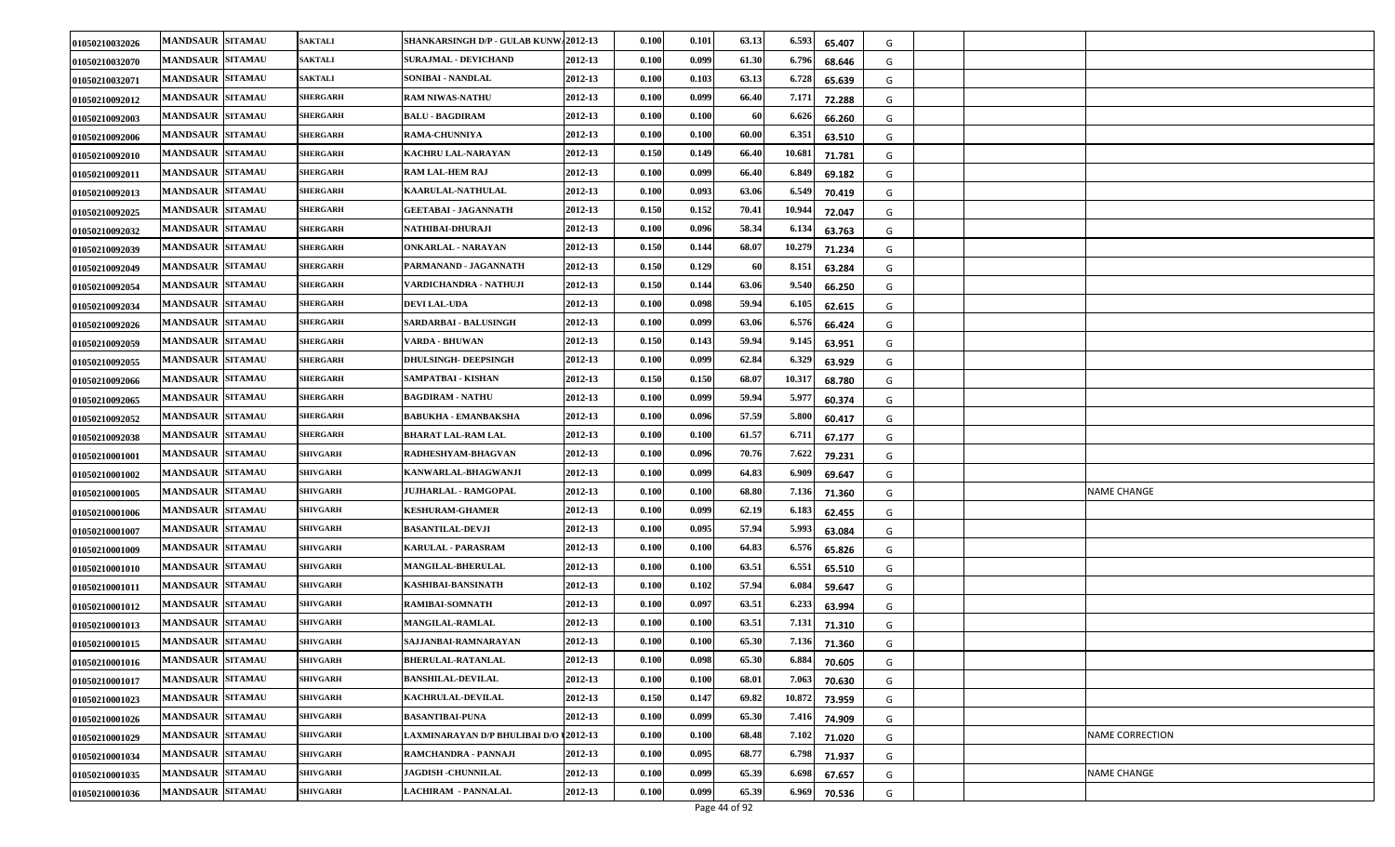| 01050210032026 | <b>MANDSAUR SITAMAU</b> | <b>SAKTALI</b>  | <b>SHANKARSINGH D/P - GULAB KUNW42012-13</b> | 0.100            | 0.101 | 63.13 | 6.593<br>65.407  | G |                        |
|----------------|-------------------------|-----------------|----------------------------------------------|------------------|-------|-------|------------------|---|------------------------|
| 01050210032070 | <b>MANDSAUR SITAMAU</b> | <b>SAKTALI</b>  | <b>SURAJMAL - DEVICHAND</b>                  | 2012-13<br>0.100 | 0.099 | 61.30 | 6.796<br>68.646  | G |                        |
| 01050210032071 | <b>MANDSAUR SITAMAU</b> | <b>SAKTALI</b>  | SONIBAI - NANDLAL                            | 2012-13<br>0.100 | 0.103 | 63.13 | 6.728<br>65.639  | G |                        |
| 01050210092012 | <b>MANDSAUR SITAMAU</b> | <b>SHERGARH</b> | RAM NIWAS-NATHU                              | 2012-13<br>0.100 | 0.099 | 66.40 | 7.171<br>72.288  | G |                        |
| 01050210092003 | <b>MANDSAUR SITAMAU</b> | <b>SHERGARH</b> | <b>BALU - BAGDIRAM</b>                       | 2012-13<br>0.100 | 0.100 | -60   | 6.62<br>66.260   | G |                        |
| 01050210092006 | <b>MANDSAUR SITAMAU</b> | <b>SHERGARH</b> | RAMA-CHUNNIYA                                | 2012-13<br>0.100 | 0.100 | 60.00 | 6.35<br>63.510   | G |                        |
| 01050210092010 | <b>MANDSAUR SITAMAU</b> | <b>SHERGARH</b> | KACHRU LAL-NARAYAN                           | 2012-13<br>0.150 | 0.149 | 66.40 | 10.68<br>71.781  | G |                        |
| 01050210092011 | <b>MANDSAUR SITAMAU</b> | <b>SHERGARH</b> | RAM LAL-HEM RAJ                              | 2012-13<br>0.100 | 0.099 | 66.40 | 6.84<br>69.182   | G |                        |
| 01050210092013 | <b>MANDSAUR SITAMAU</b> | <b>SHERGARH</b> | <b>KAARULAL-NATHULAL</b>                     | 2012-13<br>0.100 | 0.093 | 63.06 | 6.54<br>70.419   | G |                        |
| 01050210092025 | <b>MANDSAUR SITAMAU</b> | <b>SHERGARH</b> | <b>GEETABAI - JAGANNATH</b>                  | 2012-13<br>0.150 | 0.152 | 70.41 | 10.944<br>72.047 | G |                        |
| 01050210092032 | <b>MANDSAUR SITAMAU</b> | <b>SHERGARH</b> | NATHIBAI-DHURAJI                             | 2012-13<br>0.100 | 0.096 | 58.34 | 6.13<br>63.763   | G |                        |
| 01050210092039 | <b>MANDSAUR SITAMAU</b> | <b>SHERGARH</b> | ONKARLAL - NARAYAN                           | 2012-13<br>0.150 | 0.144 | 68.07 | 10.279<br>71.234 | G |                        |
| 01050210092049 | <b>MANDSAUR SITAMAU</b> | <b>SHERGARH</b> | PARMANAND - JAGANNATH                        | 0.150<br>2012-13 | 0.129 | 60    | 8.15<br>63.284   | G |                        |
| 01050210092054 | <b>MANDSAUR SITAMAU</b> | <b>SHERGARH</b> | VARDICHANDRA - NATHUJI                       | 2012-13<br>0.150 | 0.144 | 63.06 | 9.540<br>66.250  | G |                        |
| 01050210092034 | <b>MANDSAUR SITAMAU</b> | <b>SHERGARH</b> | <b>DEVI LAL-UDA</b>                          | 2012-13<br>0.100 | 0.098 | 59.94 | 6.105<br>62.615  | G |                        |
| 01050210092026 | <b>MANDSAUR SITAMAU</b> | <b>SHERGARH</b> | <b>SARDARBAI - BALUSINGH</b>                 | 2012-13<br>0.100 | 0.099 | 63.06 | 6.576<br>66.424  | G |                        |
| 01050210092059 | <b>MANDSAUR SITAMAU</b> | <b>SHERGARH</b> | VARDA - BHUWAN                               | 2012-13<br>0.150 | 0.143 | 59.94 | 9.145<br>63.951  | G |                        |
| 01050210092055 | <b>MANDSAUR SITAMAU</b> | <b>SHERGARH</b> | <b>DHULSINGH- DEEPSINGH</b>                  | 2012-13<br>0.100 | 0.099 | 62.84 | 6.329<br>63.929  | G |                        |
| 01050210092066 | <b>MANDSAUR SITAMAU</b> | <b>SHERGARH</b> | SAMPATBAI - KISHAN                           | 2012-13<br>0.150 | 0.150 | 68.07 | 10.31'<br>68.780 | G |                        |
| 01050210092065 | <b>MANDSAUR SITAMAU</b> | <b>SHERGARH</b> | <b>BAGDIRAM - NATHU</b>                      | 2012-13<br>0.100 | 0.099 | 59.94 | 5.97<br>60.374   | G |                        |
| 01050210092052 | <b>MANDSAUR SITAMAU</b> | <b>SHERGARH</b> | <b>BABUKHA - EMANBAKSHA</b>                  | 2012-13<br>0.100 | 0.096 | 57.59 | 5.800<br>60.417  | G |                        |
| 01050210092038 | <b>MANDSAUR SITAMAU</b> | <b>SHERGARH</b> | <b>BHARAT LAL-RAM LAL</b>                    | 2012-13<br>0.100 | 0.100 | 61.57 | 6.71<br>67.177   | G |                        |
| 01050210001001 | <b>MANDSAUR SITAMAU</b> | <b>SHIVGARH</b> | RADHESHYAM-BHAGVAN                           | 2012-13<br>0.100 | 0.096 | 70.76 | 7.622<br>79.231  | G |                        |
| 01050210001002 | <b>MANDSAUR SITAMAU</b> | SHIVGARH        | KANWARLAL-BHAGWANJI                          | 2012-13<br>0.100 | 0.099 | 64.83 | 6.90<br>69.647   | G |                        |
| 01050210001005 | <b>MANDSAUR SITAMAU</b> | SHIVGARH        | <b>JUJHARLAL - RAMGOPAL</b>                  | 2012-13<br>0.100 | 0.100 | 68.80 | 7.136<br>71.360  | G | NAME CHANGE            |
| 01050210001006 | <b>MANDSAUR SITAMAU</b> | SHIVGARH        | <b>KESHURAM-GHAMER</b>                       | 2012-13<br>0.100 | 0.099 | 62.19 | 6.183<br>62.455  | G |                        |
| 01050210001007 | <b>MANDSAUR SITAMAU</b> | SHIVGARH        | <b>BASANTILAL-DEVJI</b>                      | 2012-13<br>0.100 | 0.095 | 57.94 | 5.993<br>63.084  | G |                        |
| 01050210001009 | <b>MANDSAUR SITAMAU</b> | SHIVGARH        | KARULAL - PARASRAM                           | 2012-13<br>0.100 | 0.100 | 64.83 | 6.57<br>65.826   | G |                        |
| 01050210001010 | <b>MANDSAUR SITAMAU</b> | SHIVGARH        | <b>MANGILAL-BHERULAL</b>                     | 2012-13<br>0.100 | 0.100 | 63.51 | 6.551<br>65.510  | G |                        |
| 01050210001011 | <b>MANDSAUR SITAMAU</b> | <b>SHIVGARH</b> | <b>KASHIBAI-BANSINATH</b>                    | 2012-13<br>0.100 | 0.102 | 57.94 | 6.084<br>59.647  | G |                        |
| 01050210001012 | <b>MANDSAUR SITAMAU</b> | <b>SHIVGARH</b> | RAMIBAI-SOMNATH                              | 2012-13<br>0.100 | 0.097 | 63.51 | 6.233<br>63.994  | G |                        |
| 01050210001013 | <b>MANDSAUR SITAMAU</b> | SHIVGARH        | <b>MANGILAL-RAMLAL</b>                       | 2012-13<br>0.100 | 0.100 | 63.51 | 7.13<br>71.310   | G |                        |
| 01050210001015 | <b>MANDSAUR SITAMAU</b> | <b>SHIVGARH</b> | SAJJANBAI-RAMNARAYAN                         | 2012-13<br>0.100 | 0.100 | 65.30 | 7.136<br>71.360  | G |                        |
| 01050210001016 | <b>MANDSAUR SITAMAU</b> | <b>SHIVGARH</b> | <b>BHERULAL-RATANLAL</b>                     | 2012-13<br>0.100 | 0.098 | 65.30 | 6.884<br>70.605  | G |                        |
| 01050210001017 | <b>MANDSAUR SITAMAU</b> | <b>SHIVGARH</b> | <b>BANSHILAL-DEVILAL</b>                     | 2012-13<br>0.100 | 0.100 | 68.01 | 7.063<br>70.630  | G |                        |
| 01050210001023 | MANDSAUR SITAMAU        | <b>SHIVGARH</b> | <b>KACHRULAL-DEVILAL</b>                     | 2012-13<br>0.150 | 0.147 | 69.82 | 10.872<br>73.959 | G |                        |
| 01050210001026 | <b>MANDSAUR SITAMAU</b> | <b>SHIVGARH</b> | <b>BASANTIBAI-PUNA</b>                       | 2012-13<br>0.100 | 0.099 | 65.30 | 7.416<br>74.909  | G |                        |
| 01050210001029 | <b>MANDSAUR SITAMAU</b> | <b>SHIVGARH</b> | LAXMINARAYAN D/P BHULIBAI D/O 12012-13       | 0.100            | 0.100 | 68.48 | 7.102<br>71.020  | G | <b>NAME CORRECTION</b> |
| 01050210001034 | <b>MANDSAUR SITAMAU</b> | SHIVGARH        | RAMCHANDRA - PANNAJI                         | 2012-13<br>0.100 | 0.095 | 68.77 | 6.798<br>71.937  | G |                        |
| 01050210001035 | <b>MANDSAUR SITAMAU</b> | <b>SHIVGARH</b> | <b>JAGDISH -CHUNNILAL</b>                    | 2012-13<br>0.100 | 0.099 | 65.39 | 6.698<br>67.657  | G | <b>NAME CHANGE</b>     |
| 01050210001036 | MANDSAUR SITAMAU        | SHIVGARH        | <b>LACHIRAM - PANNALAL</b>                   | 2012-13<br>0.100 | 0.099 | 65.39 | 6.969<br>70.536  | G |                        |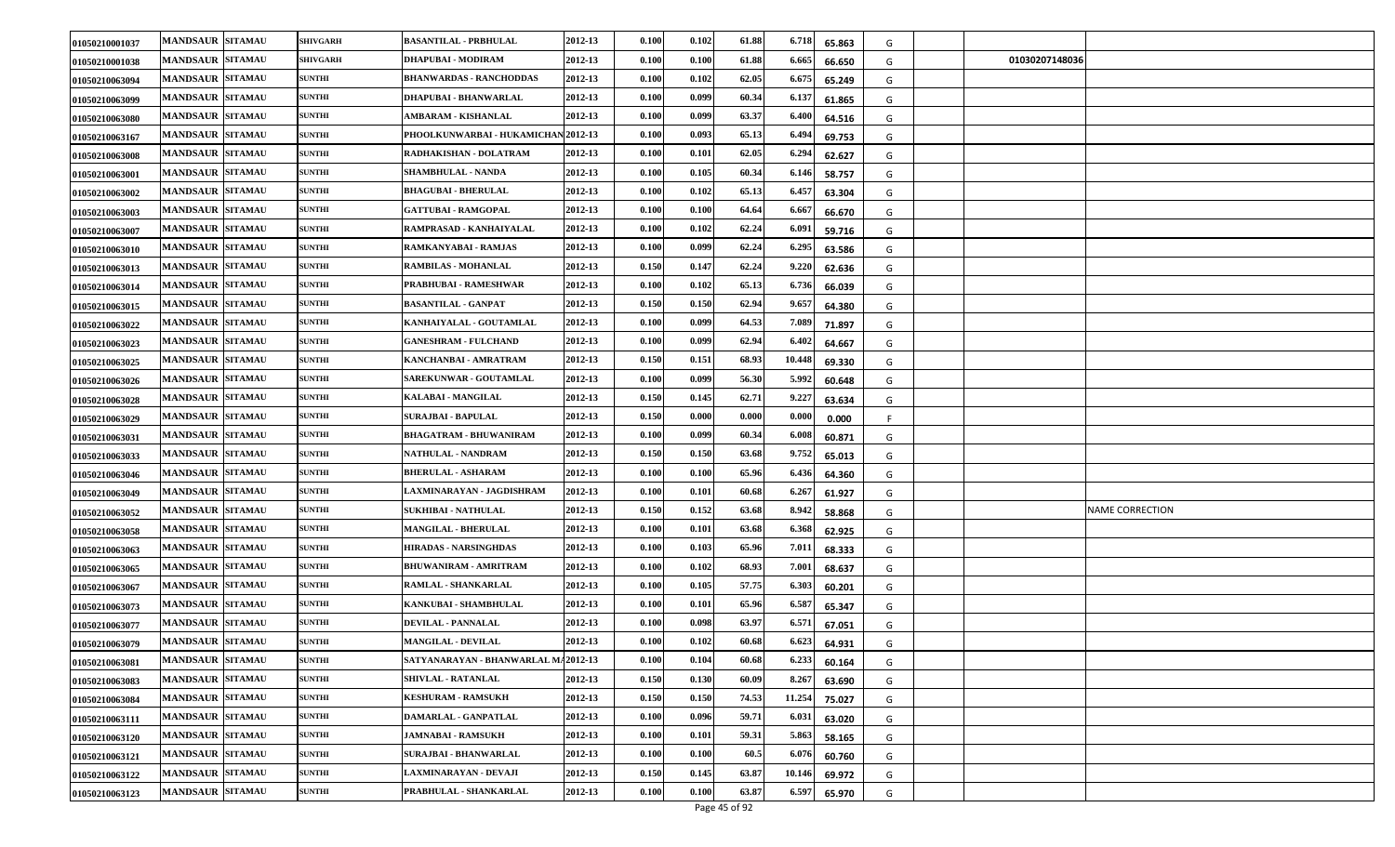| 01050210001037 | <b>MANDSAUR SITAMAU</b> | <b>SHIVGARH</b> | <b>BASANTILAL - PRBHULAL</b>        | 2012-13 | 0.100 | 0.102 | 61.88 | 6.718  | 65.863 | G  |                |                        |
|----------------|-------------------------|-----------------|-------------------------------------|---------|-------|-------|-------|--------|--------|----|----------------|------------------------|
| 01050210001038 | <b>MANDSAUR SITAMAU</b> | <b>SHIVGARH</b> | DHAPUBAI - MODIRAM                  | 2012-13 | 0.100 | 0.100 | 61.88 | 6.66   | 66.650 | G  | 01030207148036 |                        |
| 01050210063094 | <b>MANDSAUR SITAMAU</b> | <b>SUNTHI</b>   | <b>BHANWARDAS - RANCHODDAS</b>      | 2012-13 | 0.100 | 0.102 | 62.05 | 6.67   | 65.249 | G  |                |                        |
| 01050210063099 | <b>MANDSAUR SITAMAU</b> | <b>SUNTHI</b>   | DHAPUBAI - BHANWARLAL               | 2012-13 | 0.100 | 0.099 | 60.34 | 6.13   | 61.865 | G  |                |                        |
| 01050210063080 | <b>MANDSAUR SITAMAU</b> | <b>SUNTHI</b>   | AMBARAM - KISHANLAL                 | 2012-13 | 0.100 | 0.099 | 63.37 | 6.40   | 64.516 | G  |                |                        |
| 01050210063167 | <b>MANDSAUR SITAMAU</b> | <b>SUNTHI</b>   | PHOOLKUNWARBAI - HUKAMICHAN 2012-13 |         | 0.100 | 0.093 | 65.13 | 6.49   | 69.753 | G  |                |                        |
| 01050210063008 | <b>MANDSAUR SITAMAU</b> | <b>SUNTHI</b>   | RADHAKISHAN - DOLATRAM              | 2012-13 | 0.100 | 0.101 | 62.05 | 6.294  | 62.627 | G  |                |                        |
| 0105021006300  | <b>MANDSAUR SITAMAU</b> | <b>SUNTHI</b>   | SHAMBHULAL - NANDA                  | 2012-13 | 0.100 | 0.105 | 60.34 | 6.14   | 58.757 | G  |                |                        |
| 01050210063002 | <b>MANDSAUR SITAMAU</b> | <b>SUNTHI</b>   | <b>BHAGUBAI - BHERULAL</b>          | 2012-13 | 0.100 | 0.102 | 65.13 | 6.45'  | 63.304 | G  |                |                        |
| 01050210063003 | <b>MANDSAUR SITAMAU</b> | <b>SUNTHI</b>   | <b>GATTUBAI - RAMGOPAL</b>          | 2012-13 | 0.100 | 0.100 | 64.64 | 6.66   | 66.670 | G  |                |                        |
| 01050210063007 | <b>MANDSAUR SITAMAU</b> | <b>SUNTHI</b>   | RAMPRASAD - KANHAIYALAL             | 2012-13 | 0.100 | 0.102 | 62.24 | 6.09   | 59.716 | G  |                |                        |
| 01050210063010 | <b>MANDSAUR SITAMAU</b> | <b>SUNTHI</b>   | RAMKANYABAI - RAMJAS                | 2012-13 | 0.100 | 0.099 | 62.24 | 6.29   | 63.586 | G  |                |                        |
| 01050210063013 | <b>MANDSAUR SITAMAU</b> | <b>SUNTHI</b>   | RAMBILAS - MOHANLAL                 | 2012-13 | 0.150 | 0.147 | 62.24 | 9.220  | 62.636 | G  |                |                        |
| 01050210063014 | <b>MANDSAUR SITAMAU</b> | <b>SUNTHI</b>   | PRABHUBAI - RAMESHWAR               | 2012-13 | 0.100 | 0.102 | 65.13 | 6.736  | 66.039 | G  |                |                        |
| 01050210063015 | <b>MANDSAUR SITAMAU</b> | <b>SUNTHI</b>   | <b>BASANTILAL - GANPAT</b>          | 2012-13 | 0.150 | 0.150 | 62.94 | 9.65   | 64.380 | G  |                |                        |
| 01050210063022 | <b>MANDSAUR SITAMAU</b> | <b>SUNTHI</b>   | KANHAIYALAL - GOUTAMLAL             | 2012-13 | 0.100 | 0.099 | 64.53 | 7.089  | 71.897 | G  |                |                        |
| 01050210063023 | <b>MANDSAUR SITAMAU</b> | <b>SUNTHI</b>   | <b>GANESHRAM - FULCHAND</b>         | 2012-13 | 0.100 | 0.099 | 62.94 | 6.40   | 64.667 | G  |                |                        |
| 01050210063025 | <b>MANDSAUR SITAMAU</b> | <b>SUNTHI</b>   | KANCHANBAI - AMRATRAM               | 2012-13 | 0.150 | 0.151 | 68.93 | 10.448 | 69.330 | G  |                |                        |
| 01050210063026 | <b>MANDSAUR SITAMAU</b> | <b>SUNTHI</b>   | <b>SAREKUNWAR - GOUTAMLAL</b>       | 2012-13 | 0.100 | 0.099 | 56.30 | 5.992  | 60.648 | G  |                |                        |
| 01050210063028 | <b>MANDSAUR SITAMAU</b> | <b>SUNTHI</b>   | KALABAI - MANGILAL                  | 2012-13 | 0.150 | 0.145 | 62.71 | 9.22'  | 63.634 | G  |                |                        |
| 01050210063029 | <b>MANDSAUR SITAMAU</b> | <b>SUNTHI</b>   | SURAJBAI - BAPULAL                  | 2012-13 | 0.150 | 0.000 | 0.000 | 0.00   | 0.000  | -F |                |                        |
| 01050210063031 | <b>MANDSAUR SITAMAU</b> | <b>SUNTHI</b>   | <b>BHAGATRAM - BHUWANIRAM</b>       | 2012-13 | 0.100 | 0.099 | 60.34 | 6.008  | 60.871 | G  |                |                        |
| 01050210063033 | <b>MANDSAUR SITAMAU</b> | <b>SUNTHI</b>   | NATHULAL - NANDRAM                  | 2012-13 | 0.150 | 0.150 | 63.68 | 9.752  | 65.013 | G  |                |                        |
| 01050210063046 | <b>MANDSAUR SITAMAU</b> | <b>SUNTHI</b>   | <b>BHERULAL - ASHARAM</b>           | 2012-13 | 0.100 | 0.100 | 65.96 | 6.43   | 64.360 | G  |                |                        |
| 01050210063049 | <b>MANDSAUR SITAMAU</b> | <b>SUNTHI</b>   | LAXMINARAYAN - JAGDISHRAM           | 2012-13 | 0.100 | 0.101 | 60.68 | 6.26   | 61.927 | G  |                |                        |
| 01050210063052 | <b>MANDSAUR SITAMAU</b> | <b>SUNTHI</b>   | <b>SUKHIBAI - NATHULAL</b>          | 2012-13 | 0.150 | 0.152 | 63.68 | 8.942  | 58.868 | G  |                | <b>NAME CORRECTION</b> |
| 01050210063058 | <b>MANDSAUR SITAMAU</b> | <b>SUNTHI</b>   | MANGILAL - BHERULAL                 | 2012-13 | 0.100 | 0.101 | 63.68 | 6.368  | 62.925 | G  |                |                        |
| 01050210063063 | <b>MANDSAUR SITAMAU</b> | <b>SUNTHI</b>   | HIRADAS - NARSINGHDAS               | 2012-13 | 0.100 | 0.103 | 65.96 | 7.01   | 68.333 | G  |                |                        |
| 01050210063065 | <b>MANDSAUR SITAMAU</b> | <b>SUNTHI</b>   | <b>BHUWANIRAM - AMRITRAM</b>        | 2012-13 | 0.100 | 0.102 | 68.93 | 7.001  | 68.637 | G  |                |                        |
| 01050210063067 | <b>MANDSAUR SITAMAU</b> | <b>SUNTHI</b>   | RAMLAL - SHANKARLAL                 | 2012-13 | 0.100 | 0.105 | 57.75 | 6.303  | 60.201 | G  |                |                        |
| 01050210063073 | <b>MANDSAUR SITAMAU</b> | <b>SUNTHI</b>   | KANKUBAI - SHAMBHULAL               | 2012-13 | 0.100 | 0.101 | 65.96 | 6.58   | 65.347 | G  |                |                        |
| 01050210063077 | <b>MANDSAUR SITAMAU</b> | <b>SUNTHI</b>   | <b>DEVILAL - PANNALAL</b>           | 2012-13 | 0.100 | 0.098 | 63.97 | 6.57   | 67.051 | G  |                |                        |
| 01050210063079 | <b>MANDSAUR SITAMAU</b> | <b>SUNTHI</b>   | <b>MANGILAL - DEVILAL</b>           | 2012-13 | 0.100 | 0.102 | 60.68 | 6.62   | 64.931 | G  |                |                        |
| 01050210063081 | <b>MANDSAUR SITAMAU</b> | <b>SUNTHI</b>   | SATYANARAYAN - BHANWARLAL MA2012-13 |         | 0.100 | 0.104 | 60.68 | 6.233  | 60.164 | G  |                |                        |
| 01050210063083 | <b>MANDSAUR SITAMAU</b> | <b>SUNTHI</b>   | <b>SHIVLAL - RATANLAL</b>           | 2012-13 | 0.150 | 0.130 | 60.09 | 8.267  | 63.690 | G  |                |                        |
| 01050210063084 | MANDSAUR SITAMAU        | <b>SUNTHI</b>   | <b>KESHURAM - RAMSUKH</b>           | 2012-13 | 0.150 | 0.150 | 74.53 | 11.254 | 75.027 | G  |                |                        |
| 01050210063111 | <b>MANDSAUR SITAMAU</b> | <b>SUNTHI</b>   | DAMARLAL - GANPATLAL                | 2012-13 | 0.100 | 0.096 | 59.71 | 6.031  | 63.020 | G  |                |                        |
| 01050210063120 | <b>MANDSAUR SITAMAU</b> | <b>SUNTHI</b>   | <b>JAMNABAI - RAMSUKH</b>           | 2012-13 | 0.100 | 0.101 | 59.31 | 5.863  | 58.165 | G  |                |                        |
| 01050210063121 | <b>MANDSAUR SITAMAU</b> | <b>SUNTHI</b>   | SURAJBAI - BHANWARLAL               | 2012-13 | 0.100 | 0.100 | 60.5  | 6.07   | 60.760 | G  |                |                        |
| 01050210063122 | <b>MANDSAUR SITAMAU</b> | <b>SUNTHI</b>   | LAXMINARAYAN - DEVAJI               | 2012-13 | 0.150 | 0.145 | 63.87 | 10.14  | 69.972 | G  |                |                        |
| 01050210063123 | <b>MANDSAUR SITAMAU</b> | <b>SUNTHI</b>   | PRABHULAL - SHANKARLAL              | 2012-13 | 0.100 | 0.100 | 63.87 | 6.59   | 65.970 | G  |                |                        |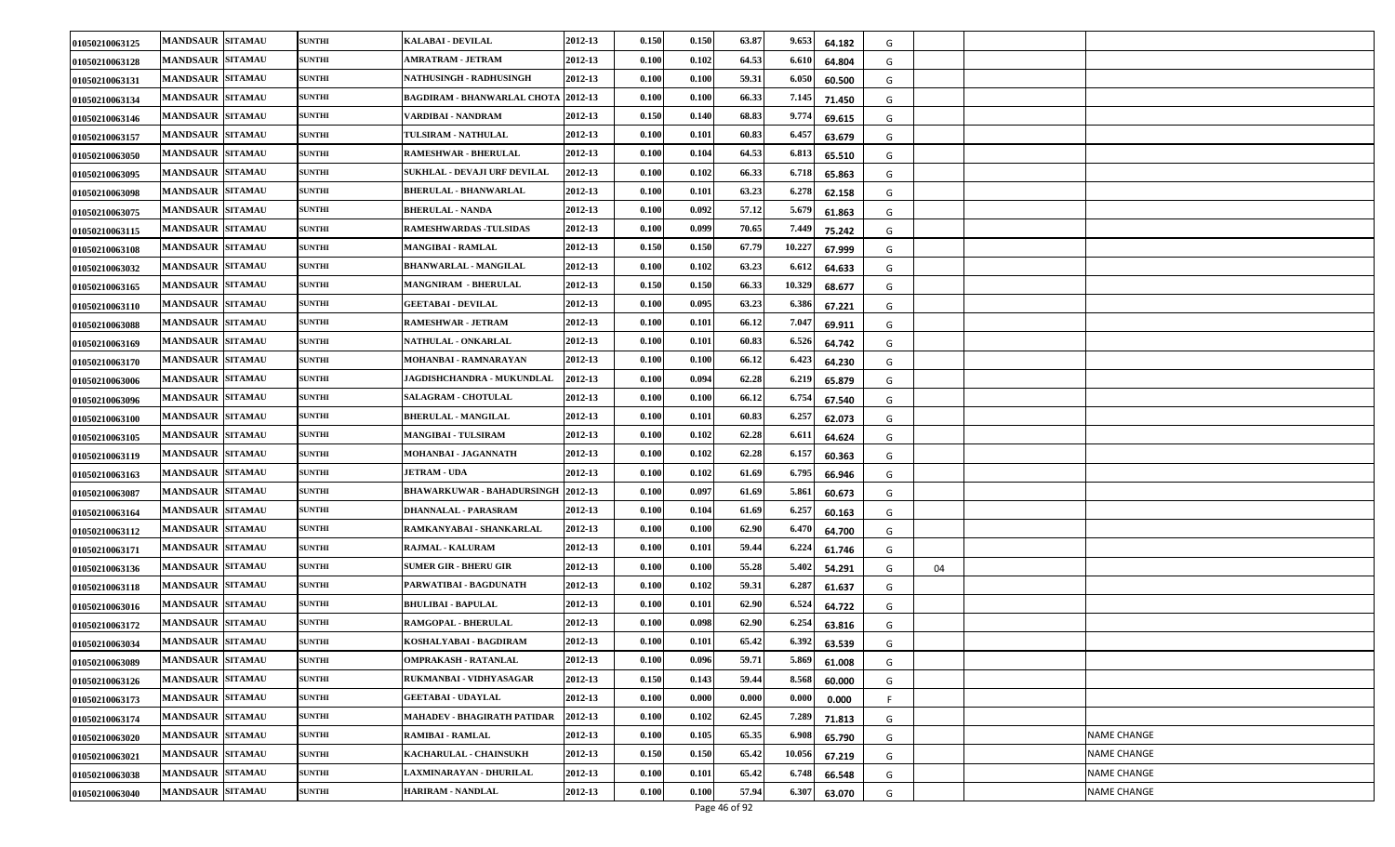| 01050210063125 | <b>MANDSAUR SITAMAU</b> | <b>SUNTHI</b> | KALABAI - DEVILAL                          | 2012-13 | 0.150 | 0.150 | 63.87 | 9.653<br>64.182          | G |    |                    |
|----------------|-------------------------|---------------|--------------------------------------------|---------|-------|-------|-------|--------------------------|---|----|--------------------|
| 01050210063128 | <b>MANDSAUR SITAMAU</b> | <b>SUNTHI</b> | AMRATRAM - JETRAM                          | 2012-13 | 0.100 | 0.102 | 64.53 | 6.61<br>64.804           | G |    |                    |
| 01050210063131 | <b>MANDSAUR SITAMAU</b> | <b>SUNTHI</b> | <b>NATHUSINGH - RADHUSINGH</b>             | 2012-13 | 0.100 | 0.100 | 59.31 | 6.05<br>60.500           | G |    |                    |
| 01050210063134 | <b>MANDSAUR SITAMAU</b> | <b>SUNTHI</b> | <b>BAGDIRAM - BHANWARLAL CHOTA 2012-13</b> |         | 0.100 | 0.100 | 66.33 | 7.145<br>71.450          | G |    |                    |
| 01050210063146 | <b>MANDSAUR SITAMAU</b> | <b>SUNTHI</b> | VARDIBAI - NANDRAM                         | 2012-13 | 0.150 | 0.140 | 68.83 | 9.77<br>69.615           | G |    |                    |
| 01050210063157 | <b>MANDSAUR SITAMAU</b> | <b>SUNTHI</b> | TULSIRAM - NATHULAL                        | 2012-13 | 0.100 | 0.101 | 60.83 | 6.457<br>63.679          | G |    |                    |
| 01050210063050 | <b>MANDSAUR SITAMAU</b> | <b>SUNTHI</b> | RAMESHWAR - BHERULAL                       | 2012-13 | 0.100 | 0.104 | 64.53 | 6.81.<br>65.510          | G |    |                    |
| 01050210063095 | <b>MANDSAUR SITAMAU</b> | <b>SUNTHI</b> | SUKHLAL - DEVAJI URF DEVILAL               | 2012-13 | 0.100 | 0.102 | 66.33 | 6.71<br>65.863           | G |    |                    |
| 01050210063098 | <b>MANDSAUR SITAMAU</b> | <b>SUNTHI</b> | <b>BHERULAL - BHANWARLAL</b>               | 2012-13 | 0.100 | 0.101 | 63.23 | 6.27<br>62.158           | G |    |                    |
| 01050210063075 | <b>MANDSAUR SITAMAU</b> | <b>SUNTHI</b> | <b>BHERULAL - NANDA</b>                    | 2012-13 | 0.100 | 0.092 | 57.12 | 5.67<br>61.863           | G |    |                    |
| 01050210063115 | <b>MANDSAUR SITAMAU</b> | <b>SUNTHI</b> | <b>RAMESHWARDAS -TULSIDAS</b>              | 2012-13 | 0.100 | 0.099 | 70.65 | 7.449<br>75.242          | G |    |                    |
| 01050210063108 | <b>MANDSAUR SITAMAU</b> | <b>SUNTHI</b> | <b>MANGIBAI - RAMLAL</b>                   | 2012-13 | 0.150 | 0.150 | 67.79 | 10.227<br>67.999         | G |    |                    |
| 01050210063032 | <b>MANDSAUR SITAMAU</b> | <b>SUNTHI</b> | <b>BHANWARLAL - MANGILAL</b>               | 2012-13 | 0.100 | 0.102 | 63.23 | 6.61<br>64.633           | G |    |                    |
| 01050210063165 | <b>MANDSAUR SITAMAU</b> | <b>SUNTHI</b> | <b>MANGNIRAM - BHERULAL</b>                | 2012-13 | 0.150 | 0.150 | 66.33 | 10.329<br>68.677         | G |    |                    |
| 01050210063110 | <b>MANDSAUR SITAMAU</b> | <b>SUNTHI</b> | <b>GEETABAI - DEVILAL</b>                  | 2012-13 | 0.100 | 0.095 | 63.23 | 6.386<br>67.221          | G |    |                    |
| 01050210063088 | <b>MANDSAUR SITAMAU</b> | <b>SUNTHI</b> | RAMESHWAR - JETRAM                         | 2012-13 | 0.100 | 0.101 | 66.12 | $7.04^{\circ}$<br>69.911 | G |    |                    |
| 01050210063169 | <b>MANDSAUR SITAMAU</b> | <b>SUNTHI</b> | <b>NATHULAL - ONKARLAL</b>                 | 2012-13 | 0.100 | 0.101 | 60.83 | 6.52<br>64.742           | G |    |                    |
| 01050210063170 | <b>MANDSAUR SITAMAU</b> | <b>SUNTHI</b> | MOHANBAI - RAMNARAYAN                      | 2012-13 | 0.100 | 0.100 | 66.12 | 6.423<br>64.230          | G |    |                    |
| 01050210063006 | <b>MANDSAUR SITAMAU</b> | <b>SUNTHI</b> | JAGDISHCHANDRA - MUKUNDLAL                 | 2012-13 | 0.100 | 0.094 | 62.28 | 6.219<br>65.879          | G |    |                    |
| 01050210063096 | <b>MANDSAUR SITAMAU</b> | <b>SUNTHI</b> | <b>SALAGRAM - CHOTULAL</b>                 | 2012-13 | 0.100 | 0.100 | 66.12 | 6.75<br>67.540           | G |    |                    |
| 01050210063100 | <b>MANDSAUR SITAMAU</b> | <b>SUNTHI</b> | <b>BHERULAL - MANGILAL</b>                 | 2012-13 | 0.100 | 0.101 | 60.83 | 6.25'<br>62.073          | G |    |                    |
| 01050210063105 | <b>MANDSAUR SITAMAU</b> | <b>SUNTHI</b> | MANGIBAI - TULSIRAM                        | 2012-13 | 0.100 | 0.102 | 62.28 | 6.61<br>64.624           | G |    |                    |
| 01050210063119 | <b>MANDSAUR SITAMAU</b> | <b>SUNTHI</b> | MOHANBAI - JAGANNATH                       | 2012-13 | 0.100 | 0.102 | 62.28 | 6.157<br>60.363          | G |    |                    |
| 01050210063163 | <b>MANDSAUR SITAMAU</b> | <b>SUNTHI</b> | JETRAM - UDA                               | 2012-13 | 0.100 | 0.102 | 61.69 | 6.795<br>66.946          | G |    |                    |
| 01050210063087 | <b>MANDSAUR SITAMAU</b> | <b>SUNTHI</b> | <b>BHAWARKUWAR - BAHADURSINGH 2012-13</b>  |         | 0.100 | 0.097 | 61.69 | 5.86<br>60.673           | G |    |                    |
| 01050210063164 | <b>MANDSAUR SITAMAU</b> | <b>SUNTHI</b> | DHANNALAL - PARASRAM                       | 2012-13 | 0.100 | 0.104 | 61.69 | 6.25'<br>60.163          | G |    |                    |
| 01050210063112 | <b>MANDSAUR SITAMAU</b> | <b>SUNTHI</b> | RAMKANYABAI - SHANKARLAL                   | 2012-13 | 0.100 | 0.100 | 62.90 | 6.47<br>64.700           | G |    |                    |
| 01050210063171 | <b>MANDSAUR SITAMAU</b> | <b>SUNTHI</b> | <b>RAJMAL - KALURAM</b>                    | 2012-13 | 0.100 | 0.101 | 59.44 | 6.22<br>61.746           | G |    |                    |
| 01050210063136 | <b>MANDSAUR SITAMAU</b> | <b>SUNTHI</b> | <b>SUMER GIR - BHERU GIR</b>               | 2012-13 | 0.100 | 0.100 | 55.28 | 5.402<br>54.291          | G | 04 |                    |
| 01050210063118 | <b>MANDSAUR SITAMAU</b> | <b>SUNTHI</b> | PARWATIBAI - BAGDUNATH                     | 2012-13 | 0.100 | 0.102 | 59.31 | 6.28'<br>61.637          | G |    |                    |
| 01050210063016 | <b>MANDSAUR SITAMAU</b> | <b>SUNTHI</b> | BHULIBAI - BAPULAL                         | 2012-13 | 0.100 | 0.101 | 62.90 | 6.524<br>64.722          | G |    |                    |
| 01050210063172 | <b>MANDSAUR SITAMAU</b> | <b>SUNTHI</b> | <b>RAMGOPAL - BHERULAL</b>                 | 2012-13 | 0.100 | 0.098 | 62.90 | 6.25<br>63.816           | G |    |                    |
| 01050210063034 | <b>MANDSAUR SITAMAU</b> | <b>SUNTHI</b> | KOSHALYABAI - BAGDIRAM                     | 2012-13 | 0.100 | 0.101 | 65.42 | 6.392<br>63.539          | G |    |                    |
| 01050210063089 | MANDSAUR SITAMAU        | <b>SUNTHI</b> | OMPRAKASH - RATANLAL                       | 2012-13 | 0.100 | 0.096 | 59.71 | 5.869<br>61.008          | G |    |                    |
| 01050210063126 | <b>MANDSAUR SITAMAU</b> | <b>SUNTHI</b> | RUKMANBAI - VIDHYASAGAR                    | 2012-13 | 0.150 | 0.143 | 59.44 | 8.568<br>60.000          | G |    |                    |
| 01050210063173 | <b>MANDSAUR SITAMAU</b> | <b>SUNTHI</b> | <b>GEETABAI - UDAYLAL</b>                  | 2012-13 | 0.100 | 0.000 | 0.000 | 0.000<br>0.000           | F |    |                    |
| 01050210063174 | <b>MANDSAUR SITAMAU</b> | <b>SUNTHI</b> | MAHADEV - BHAGIRATH PATIDAR                | 2012-13 | 0.100 | 0.102 | 62.45 | 7.289<br>71.813          | G |    |                    |
| 01050210063020 | <b>MANDSAUR SITAMAU</b> | <b>SUNTHI</b> | <b>RAMIBAI - RAMLAL</b>                    | 2012-13 | 0.100 | 0.105 | 65.35 | 6.908<br>65.790          | G |    | <b>NAME CHANGE</b> |
| 01050210063021 | <b>MANDSAUR SITAMAU</b> | <b>SUNTHI</b> | KACHARULAL - CHAINSUKH                     | 2012-13 | 0.150 | 0.150 | 65.42 | 10.056<br>67.219         | G |    | NAME CHANGE        |
| 01050210063038 | <b>MANDSAUR SITAMAU</b> | <b>SUNTHI</b> | LAXMINARAYAN - DHURILAL                    | 2012-13 | 0.100 | 0.101 | 65.42 | 6.748<br>66.548          | G |    | NAME CHANGE        |
| 01050210063040 | <b>MANDSAUR SITAMAU</b> | <b>SUNTHI</b> | HARIRAM - NANDLAL                          | 2012-13 | 0.100 | 0.100 | 57.94 | 6.307<br>63.070          | G |    | <b>NAME CHANGE</b> |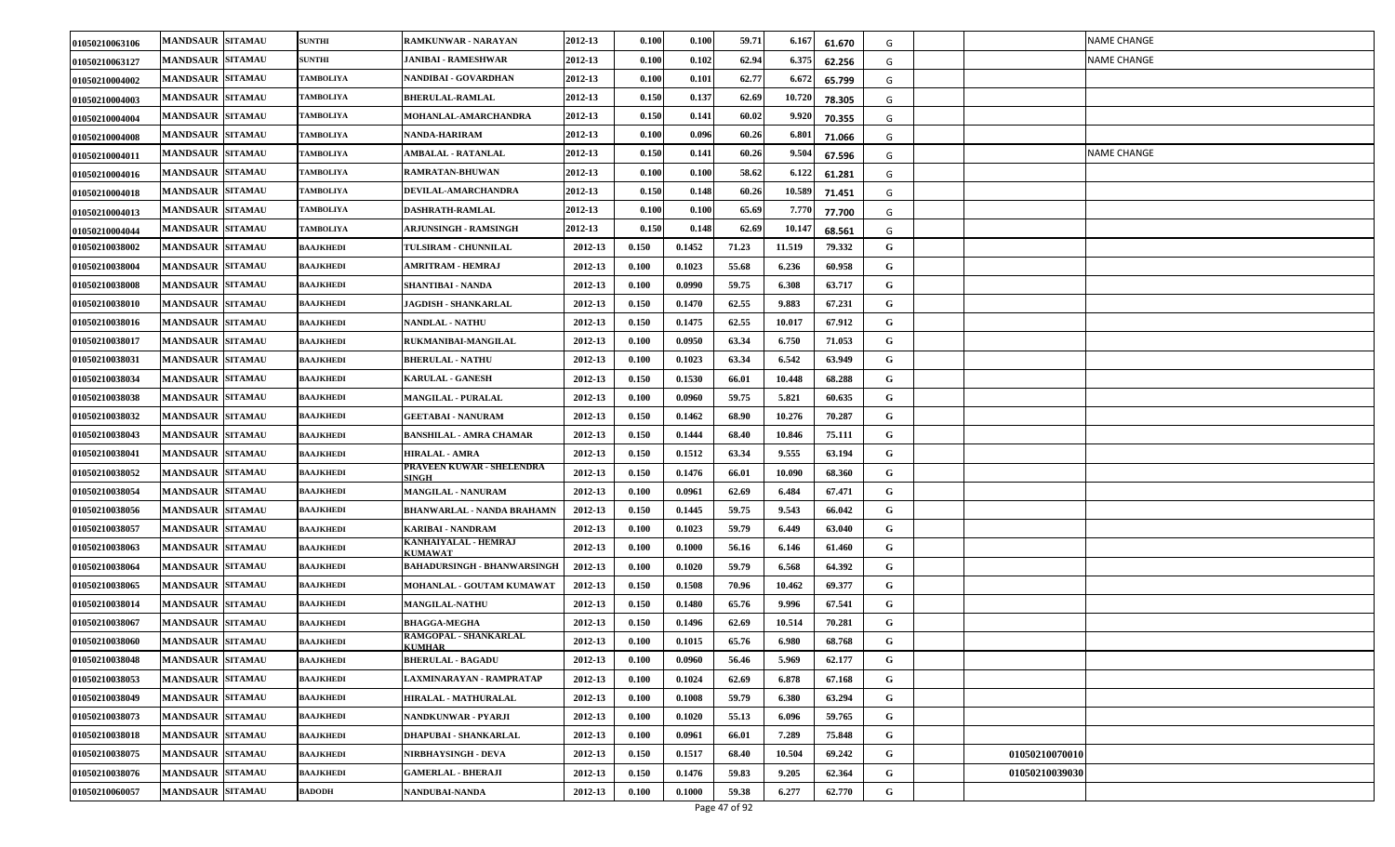| 01050210063106 | <b>MANDSAUR SITAMAU</b> | <b>SUNTHI</b>    | <b>RAMKUNWAR - NARAYAN</b>             | 2012-13 | 0.100 | 0.100  | 59.71 | 6.16   | 61.670 | G |                | NAME CHANGE        |
|----------------|-------------------------|------------------|----------------------------------------|---------|-------|--------|-------|--------|--------|---|----------------|--------------------|
| 01050210063127 | <b>MANDSAUR SITAMAU</b> | <b>SUNTHI</b>    | <b>JANIBAI - RAMESHWAR</b>             | 2012-13 | 0.100 | 0.102  | 62.94 | 6.375  | 62.256 | G |                | <b>NAME CHANGE</b> |
| 01050210004002 | <b>MANDSAUR SITAMAU</b> | <b>TAMBOLIYA</b> | NANDIBAI - GOVARDHAN                   | 2012-13 | 0.100 | 0.101  | 62.77 | 6.672  | 65.799 | G |                |                    |
| 01050210004003 | <b>MANDSAUR SITAMAU</b> | TAMBOLIYA        | <b>BHERULAL-RAMLAL</b>                 | 2012-13 | 0.150 | 0.137  | 62.69 | 10.720 | 78.305 | G |                |                    |
| 01050210004004 | <b>MANDSAUR SITAMAU</b> | TAMBOLIYA        | <b>MOHANLAL-AMARCHANDRA</b>            | 2012-13 | 0.150 | 0.141  | 60.02 | 9.920  | 70.355 | G |                |                    |
| 01050210004008 | <b>MANDSAUR SITAMAU</b> | TAMBOLIYA        | NANDA-HARIRAM                          | 2012-13 | 0.100 | 0.096  | 60.26 | 6.801  | 71.066 | G |                |                    |
| 01050210004011 | <b>MANDSAUR SITAMAU</b> | <b>TAMBOLIYA</b> | <b>AMBALAL - RATANLAL</b>              | 2012-13 | 0.150 | 0.141  | 60.26 | 9.504  | 67.596 | G |                | <b>NAME CHANGE</b> |
| 01050210004016 | <b>MANDSAUR SITAMAU</b> | TAMBOLIYA        | <b>RAMRATAN-BHUWAN</b>                 | 2012-13 | 0.100 | 0.100  | 58.62 | 6.12   | 61.281 | G |                |                    |
| 01050210004018 | <b>MANDSAUR SITAMAU</b> | TAMBOLIYA        | DEVILAL-AMARCHANDRA                    | 2012-13 | 0.150 | 0.148  | 60.26 | 10.58  | 71.451 | G |                |                    |
| 01050210004013 | <b>MANDSAUR SITAMAU</b> | TAMBOLIYA        | DASHRATH-RAMLAL                        | 2012-13 | 0.100 | 0.100  | 65.69 | 7.771  | 77.700 | G |                |                    |
| 01050210004044 | <b>MANDSAUR SITAMAU</b> | <b>TAMBOLIYA</b> | <b>ARJUNSINGH - RAMSINGH</b>           | 2012-13 | 0.150 | 0.148  | 62.69 | 10.14  | 68.561 | G |                |                    |
| 01050210038002 | <b>MANDSAUR SITAMAU</b> | BAAJKHEDI        | <b>TULSIRAM - CHUNNILAL</b>            | 2012-13 | 0.150 | 0.1452 | 71.23 | 11.519 | 79.332 | G |                |                    |
| 01050210038004 | <b>MANDSAUR SITAMAU</b> | <b>BAAJKHEDI</b> | AMRITRAM - HEMRAJ                      | 2012-13 | 0.100 | 0.1023 | 55.68 | 6.236  | 60.958 | G |                |                    |
| 01050210038008 | <b>MANDSAUR SITAMAU</b> | <b>BAAJKHEDI</b> | SHANTIBAI - NANDA                      | 2012-13 | 0.100 | 0.0990 | 59.75 | 6.308  | 63.717 | G |                |                    |
| 01050210038010 | <b>MANDSAUR SITAMAU</b> | <b>BAAJKHEDI</b> | <b>JAGDISH - SHANKARLAL</b>            | 2012-13 | 0.150 | 0.1470 | 62.55 | 9.883  | 67.231 | G |                |                    |
| 01050210038016 | <b>MANDSAUR SITAMAU</b> | BAAJKHEDI        | <b>NANDLAL - NATHU</b>                 | 2012-13 | 0.150 | 0.1475 | 62.55 | 10.017 | 67.912 | G |                |                    |
| 01050210038017 | <b>MANDSAUR SITAMAU</b> | <b>BAAJKHEDI</b> | RUKMANIBAI-MANGILAL                    | 2012-13 | 0.100 | 0.0950 | 63.34 | 6.750  | 71.053 | G |                |                    |
| 01050210038031 | <b>MANDSAUR SITAMAU</b> | <b>BAAJKHEDI</b> | <b>BHERULAL - NATHU</b>                | 2012-13 | 0.100 | 0.1023 | 63.34 | 6.542  | 63.949 | G |                |                    |
| 01050210038034 | <b>MANDSAUR SITAMAU</b> | <b>BAAJKHEDI</b> | <b>KARULAL - GANESH</b>                | 2012-13 | 0.150 | 0.1530 | 66.01 | 10.448 | 68.288 | G |                |                    |
| 01050210038038 | <b>MANDSAUR SITAMAU</b> | <b>BAAJKHEDI</b> | <b>MANGILAL - PURALAL</b>              | 2012-13 | 0.100 | 0.0960 | 59.75 | 5.821  | 60.635 | G |                |                    |
| 01050210038032 | <b>MANDSAUR SITAMAU</b> | <b>BAAJKHEDI</b> | <b>GEETABAI - NANURAM</b>              | 2012-13 | 0.150 | 0.1462 | 68.90 | 10.276 | 70.287 | G |                |                    |
| 01050210038043 | <b>MANDSAUR SITAMAU</b> | <b>BAAJKHEDI</b> | <b>BANSHILAL - AMRA CHAMAR</b>         | 2012-13 | 0.150 | 0.1444 | 68.40 | 10.846 | 75.111 | G |                |                    |
| 01050210038041 | <b>MANDSAUR SITAMAU</b> | <b>BAAJKHEDI</b> | <b>HIRALAL - AMRA</b>                  | 2012-13 | 0.150 | 0.1512 | 63.34 | 9.555  | 63.194 | G |                |                    |
| 01050210038052 | <b>MANDSAUR SITAMAU</b> | BAAJKHEDI        | PRAVEEN KUWAR - SHELENDRA<br>SINGH     | 2012-13 | 0.150 | 0.1476 | 66.01 | 10.090 | 68.360 | G |                |                    |
| 01050210038054 | <b>MANDSAUR SITAMAU</b> | <b>BAAJKHEDI</b> | MANGILAL - NANURAM                     | 2012-13 | 0.100 | 0.0961 | 62.69 | 6.484  | 67.471 | G |                |                    |
| 01050210038056 | <b>MANDSAUR SITAMAU</b> | <b>BAAJKHEDI</b> | <b>BHANWARLAL - NANDA BRAHAMN</b>      | 2012-13 | 0.150 | 0.1445 | 59.75 | 9.543  | 66.042 | G |                |                    |
| 01050210038057 | <b>MANDSAUR SITAMAU</b> | <b>BAAJKHEDI</b> | KARIBAI - NANDRAM                      | 2012-13 | 0.100 | 0.1023 | 59.79 | 6.449  | 63.040 | G |                |                    |
| 01050210038063 | <b>MANDSAUR SITAMAU</b> | BAAJKHEDI        | KANHAIYALAL - HEMRAJ<br><b>KUMAWAT</b> | 2012-13 | 0.100 | 0.1000 | 56.16 | 6.146  | 61.460 | G |                |                    |
| 01050210038064 | <b>MANDSAUR SITAMAU</b> | <b>BAAJKHEDI</b> | <b>BAHADURSINGH - BHANWARSINGH</b>     | 2012-13 | 0.100 | 0.1020 | 59.79 | 6.568  | 64.392 | G |                |                    |
| 01050210038065 | <b>MANDSAUR SITAMAU</b> | <b>BAAJKHEDI</b> | MOHANLAL - GOUTAM KUMAWAT              | 2012-13 | 0.150 | 0.1508 | 70.96 | 10.462 | 69.377 | G |                |                    |
| 01050210038014 | <b>MANDSAUR SITAMAU</b> | BAAJKHEDI        | <b>MANGILAL-NATHU</b>                  | 2012-13 | 0.150 | 0.1480 | 65.76 | 9.996  | 67.541 | G |                |                    |
| 01050210038067 | <b>MANDSAUR SITAMAU</b> | <b>BAAJKHEDI</b> | <b>BHAGGA-MEGHA</b>                    | 2012-13 | 0.150 | 0.1496 | 62.69 | 10.514 | 70.281 | G |                |                    |
| 01050210038060 | <b>MANDSAUR SITAMAU</b> | <b>BAAJKHEDI</b> | RAMGOPAL - SHANKARLAL<br><b>KUMHAR</b> | 2012-13 | 0.100 | 0.1015 | 65.76 | 6.980  | 68.768 | G |                |                    |
| 01050210038048 | <b>MANDSAUR SITAMAU</b> | <b>BAAJKHEDI</b> | <b>BHERULAL - BAGADU</b>               | 2012-13 | 0.100 | 0.0960 | 56.46 | 5.969  | 62.177 | G |                |                    |
| 01050210038053 | <b>MANDSAUR SITAMAU</b> | BAAJKHEDI        | LAXMINARAYAN - RAMPRATAP               | 2012-13 | 0.100 | 0.1024 | 62.69 | 6.878  | 67.168 | G |                |                    |
| 01050210038049 | <b>MANDSAUR SITAMAU</b> | <b>BAAJKHEDI</b> | HIRALAL - MATHURALAL                   | 2012-13 | 0.100 | 0.1008 | 59.79 | 6.380  | 63.294 | G |                |                    |
| 01050210038073 | <b>MANDSAUR SITAMAU</b> | <b>BAAJKHEDI</b> | NANDKUNWAR - PYARJI                    | 2012-13 | 0.100 | 0.1020 | 55.13 | 6.096  | 59.765 | G |                |                    |
| 01050210038018 | <b>MANDSAUR SITAMAU</b> | <b>BAAJKHEDI</b> | DHAPUBAI - SHANKARLAL                  | 2012-13 | 0.100 | 0.0961 | 66.01 | 7.289  | 75.848 | G |                |                    |
| 01050210038075 | <b>MANDSAUR SITAMAU</b> | <b>BAAJKHEDI</b> | NIRBHAYSINGH - DEVA                    | 2012-13 | 0.150 | 0.1517 | 68.40 | 10.504 | 69.242 | G | 01050210070010 |                    |
| 01050210038076 | <b>MANDSAUR SITAMAU</b> | <b>BAAJKHEDI</b> | <b>GAMERLAL - BHERAJI</b>              | 2012-13 | 0.150 | 0.1476 | 59.83 | 9.205  | 62.364 | G | 01050210039030 |                    |
| 01050210060057 | <b>MANDSAUR SITAMAU</b> | <b>BADODH</b>    | NANDUBAI-NANDA                         | 2012-13 | 0.100 | 0.1000 | 59.38 | 6.277  | 62.770 | G |                |                    |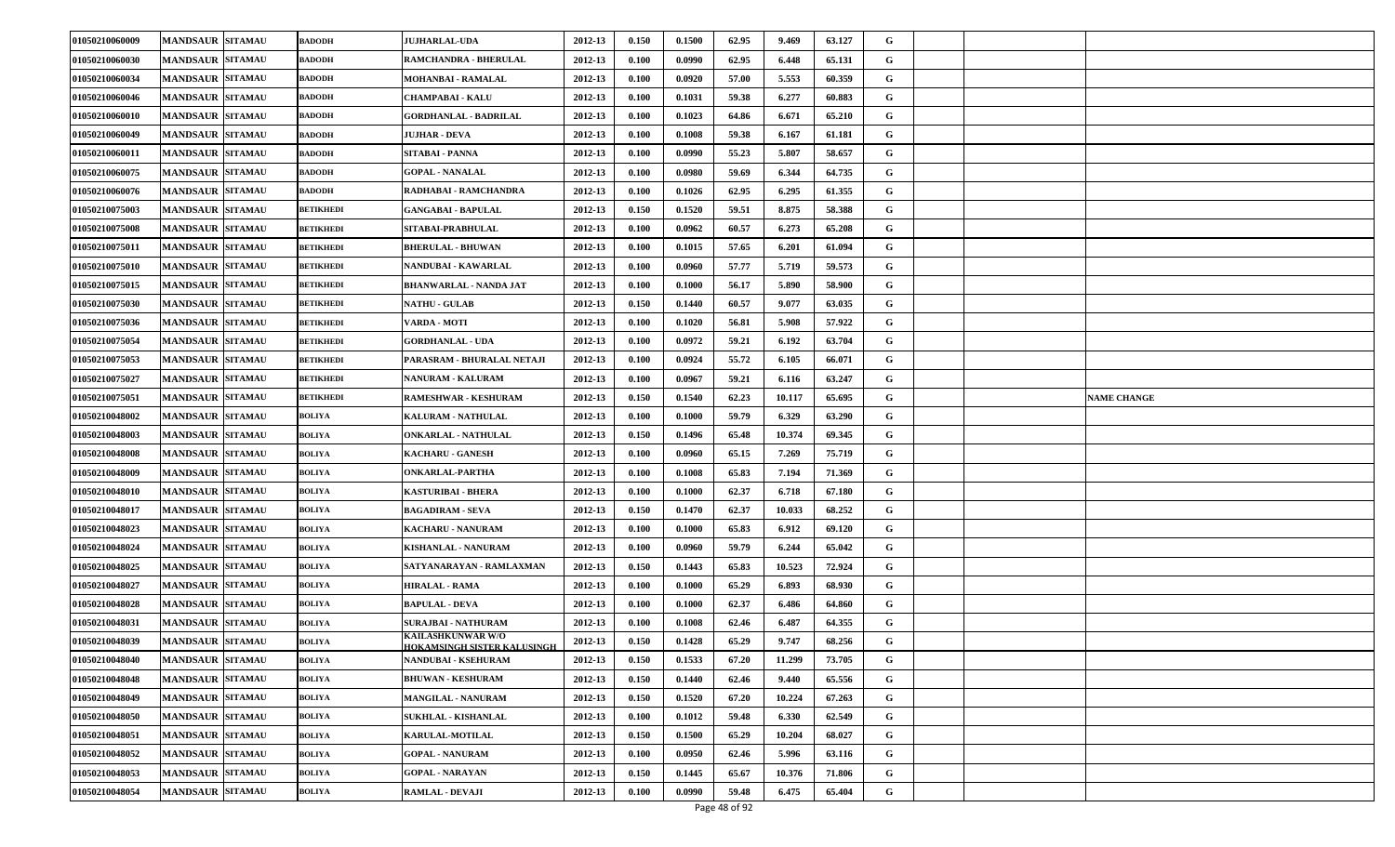| 01050210060009 | <b>MANDSAUR SITAMAU</b> | <b>BADODH</b>    | <b>JUJHARLAL-UDA</b>                             | 2012-13 | 0.150 | 0.1500 | 62.95 | 9.469  | 63.127 | G           |                    |
|----------------|-------------------------|------------------|--------------------------------------------------|---------|-------|--------|-------|--------|--------|-------------|--------------------|
| 01050210060030 | <b>MANDSAUR SITAMAU</b> | <b>BADODH</b>    | RAMCHANDRA - BHERULAL                            | 2012-13 | 0.100 | 0.0990 | 62.95 | 6.448  | 65.131 | G           |                    |
| 01050210060034 | <b>MANDSAUR SITAMAU</b> | <b>BADODH</b>    | MOHANBAI - RAMALAL                               | 2012-13 | 0.100 | 0.0920 | 57.00 | 5.553  | 60.359 | G           |                    |
| 01050210060046 | <b>MANDSAUR SITAMAU</b> | <b>BADODH</b>    | <b>CHAMPABAI - KALU</b>                          | 2012-13 | 0.100 | 0.1031 | 59.38 | 6.277  | 60.883 | G           |                    |
| 01050210060010 | <b>MANDSAUR SITAMAU</b> | <b>BADODH</b>    | <b>GORDHANLAL - BADRILAL</b>                     | 2012-13 | 0.100 | 0.1023 | 64.86 | 6.671  | 65.210 | G           |                    |
| 01050210060049 | <b>MANDSAUR SITAMAU</b> | <b>BADODH</b>    | JUJHAR - DEVA                                    | 2012-13 | 0.100 | 0.1008 | 59.38 | 6.167  | 61.181 | G           |                    |
| 01050210060011 | <b>MANDSAUR SITAMAU</b> | <b>BADODH</b>    | SITABAI - PANNA                                  | 2012-13 | 0.100 | 0.0990 | 55.23 | 5.807  | 58.657 | G           |                    |
| 01050210060075 | <b>MANDSAUR SITAMAU</b> | <b>BADODH</b>    | <b>GOPAL - NANALAL</b>                           | 2012-13 | 0.100 | 0.0980 | 59.69 | 6.344  | 64.735 | G           |                    |
| 01050210060076 | <b>MANDSAUR SITAMAU</b> | <b>BADODH</b>    | RADHABAI - RAMCHANDRA                            | 2012-13 | 0.100 | 0.1026 | 62.95 | 6.295  | 61.355 | G           |                    |
| 01050210075003 | <b>MANDSAUR SITAMAU</b> | <b>BETIKHEDI</b> | <b>GANGABAI - BAPULAL</b>                        | 2012-13 | 0.150 | 0.1520 | 59.51 | 8.875  | 58.388 | G           |                    |
| 01050210075008 | <b>MANDSAUR SITAMAU</b> | <b>BETIKHEDI</b> | SITABAI-PRABHULAL                                | 2012-13 | 0.100 | 0.0962 | 60.57 | 6.273  | 65.208 | G           |                    |
| 01050210075011 | <b>MANDSAUR SITAMAU</b> | <b>BETIKHEDI</b> | <b>BHERULAL - BHUWAN</b>                         | 2012-13 | 0.100 | 0.1015 | 57.65 | 6.201  | 61.094 | G           |                    |
| 01050210075010 | <b>MANDSAUR SITAMAU</b> | <b>BETIKHEDI</b> | NANDUBAI - KAWARLAL                              | 2012-13 | 0.100 | 0.0960 | 57.77 | 5.719  | 59.573 | G           |                    |
| 01050210075015 | <b>MANDSAUR SITAMAU</b> | <b>BETIKHEDI</b> | <b>BHANWARLAL - NANDA JAT</b>                    | 2012-13 | 0.100 | 0.1000 | 56.17 | 5.890  | 58.900 | G           |                    |
| 01050210075030 | <b>MANDSAUR SITAMAU</b> | <b>BETIKHEDI</b> | <b>NATHU - GULAB</b>                             | 2012-13 | 0.150 | 0.1440 | 60.57 | 9.077  | 63.035 | G           |                    |
| 01050210075036 | <b>MANDSAUR SITAMAU</b> | <b>BETIKHEDI</b> | VARDA - MOTI                                     | 2012-13 | 0.100 | 0.1020 | 56.81 | 5.908  | 57.922 | G           |                    |
| 01050210075054 | <b>MANDSAUR SITAMAU</b> | <b>BETIKHEDI</b> | <b>GORDHANLAL - UDA</b>                          | 2012-13 | 0.100 | 0.0972 | 59.21 | 6.192  | 63.704 | G           |                    |
| 01050210075053 | <b>MANDSAUR SITAMAU</b> | <b>BETIKHEDI</b> | PARASRAM - BHURALAL NETAJI                       | 2012-13 | 0.100 | 0.0924 | 55.72 | 6.105  | 66.071 | G           |                    |
| 01050210075027 | <b>MANDSAUR SITAMAU</b> | <b>BETIKHEDI</b> | NANURAM - KALURAM                                | 2012-13 | 0.100 | 0.0967 | 59.21 | 6.116  | 63.247 | G           |                    |
| 01050210075051 | <b>MANDSAUR SITAMAU</b> | <b>BETIKHEDI</b> | RAMESHWAR - KESHURAM                             | 2012-13 | 0.150 | 0.1540 | 62.23 | 10.117 | 65.695 | G           | <b>NAME CHANGE</b> |
| 01050210048002 | <b>MANDSAUR SITAMAU</b> | BOLIYA           | <b>KALURAM - NATHULAL</b>                        | 2012-13 | 0.100 | 0.1000 | 59.79 | 6.329  | 63.290 | G           |                    |
| 01050210048003 | <b>MANDSAUR SITAMAU</b> | <b>BOLIYA</b>    | ONKARLAL - NATHULAL                              | 2012-13 | 0.150 | 0.1496 | 65.48 | 10.374 | 69.345 | G           |                    |
| 01050210048008 | <b>MANDSAUR SITAMAU</b> | BOLIYA           | <b>KACHARU - GANESH</b>                          | 2012-13 | 0.100 | 0.0960 | 65.15 | 7.269  | 75.719 | G           |                    |
| 01050210048009 | <b>MANDSAUR SITAMAU</b> | BOLIYA           | <b>ONKARLAL-PARTHA</b>                           | 2012-13 | 0.100 | 0.1008 | 65.83 | 7.194  | 71.369 | G           |                    |
| 01050210048010 | <b>MANDSAUR SITAMAU</b> | <b>BOLIYA</b>    | KASTURIBAI - BHERA                               | 2012-13 | 0.100 | 0.1000 | 62.37 | 6.718  | 67.180 | G           |                    |
| 01050210048017 | <b>MANDSAUR SITAMAU</b> | <b>BOLIYA</b>    | <b>BAGADIRAM - SEVA</b>                          | 2012-13 | 0.150 | 0.1470 | 62.37 | 10.033 | 68.252 | G           |                    |
| 01050210048023 | <b>MANDSAUR SITAMAU</b> | <b>BOLIYA</b>    | KACHARU - NANURAM                                | 2012-13 | 0.100 | 0.1000 | 65.83 | 6.912  | 69.120 | G           |                    |
| 01050210048024 | <b>MANDSAUR SITAMAU</b> | BOLIYA           | KISHANLAL - NANURAM                              | 2012-13 | 0.100 | 0.0960 | 59.79 | 6.244  | 65.042 | G           |                    |
| 01050210048025 | <b>MANDSAUR SITAMAU</b> | <b>BOLIYA</b>    | SATYANARAYAN - RAMLAXMAN                         | 2012-13 | 0.150 | 0.1443 | 65.83 | 10.523 | 72.924 | G           |                    |
| 01050210048027 | <b>MANDSAUR SITAMAU</b> | <b>BOLIYA</b>    | <b>HIRALAL - RAMA</b>                            | 2012-13 | 0.100 | 0.1000 | 65.29 | 6.893  | 68.930 | G           |                    |
| 01050210048028 | <b>MANDSAUR SITAMAU</b> | BOLIYA           | <b>BAPULAL - DEVA</b>                            | 2012-13 | 0.100 | 0.1000 | 62.37 | 6.486  | 64.860 | G           |                    |
| 01050210048031 | <b>MANDSAUR SITAMAU</b> | <b>BOLIYA</b>    | <b>SURAJBAI - NATHURAM</b>                       | 2012-13 | 0.100 | 0.1008 | 62.46 | 6.487  | 64.355 | G           |                    |
| 01050210048039 | <b>MANDSAUR SITAMAU</b> | BOLIYA           | KAILASHKUNWAR W/O<br>HOKAMSINGH SISTER KALUSINGH | 2012-13 | 0.150 | 0.1428 | 65.29 | 9.747  | 68.256 | G           |                    |
| 01050210048040 | <b>MANDSAUR SITAMAU</b> | <b>BOLIYA</b>    | NANDUBAI - KSEHURAM                              | 2012-13 | 0.150 | 0.1533 | 67.20 | 11.299 | 73.705 | G           |                    |
| 01050210048048 | <b>MANDSAUR SITAMAU</b> | <b>BOLIYA</b>    | <b>BHUWAN - KESHURAM</b>                         | 2012-13 | 0.150 | 0.1440 | 62.46 | 9.440  | 65.556 | G           |                    |
| 01050210048049 | MANDSAUR SITAMAU        | <b>BOLIYA</b>    | <b>MANGILAL - NANURAM</b>                        | 2012-13 | 0.150 | 0.1520 | 67.20 | 10.224 | 67.263 | $\mathbf G$ |                    |
| 01050210048050 | <b>MANDSAUR SITAMAU</b> | <b>BOLIYA</b>    | SUKHLAL - KISHANLAL                              | 2012-13 | 0.100 | 0.1012 | 59.48 | 6.330  | 62.549 | G           |                    |
| 01050210048051 | <b>MANDSAUR SITAMAU</b> | <b>BOLIYA</b>    | <b>KARULAL-MOTILAL</b>                           | 2012-13 | 0.150 | 0.1500 | 65.29 | 10.204 | 68.027 | $\mathbf G$ |                    |
| 01050210048052 | <b>MANDSAUR SITAMAU</b> | <b>BOLIYA</b>    | <b>GOPAL - NANURAM</b>                           | 2012-13 | 0.100 | 0.0950 | 62.46 | 5.996  | 63.116 | G           |                    |
| 01050210048053 | <b>MANDSAUR SITAMAU</b> | <b>BOLIYA</b>    | <b>GOPAL - NARAYAN</b>                           | 2012-13 | 0.150 | 0.1445 | 65.67 | 10.376 | 71.806 | G           |                    |
| 01050210048054 | <b>MANDSAUR SITAMAU</b> | <b>BOLIYA</b>    | <b>RAMLAL - DEVAJI</b>                           | 2012-13 | 0.100 | 0.0990 | 59.48 | 6.475  | 65.404 | G           |                    |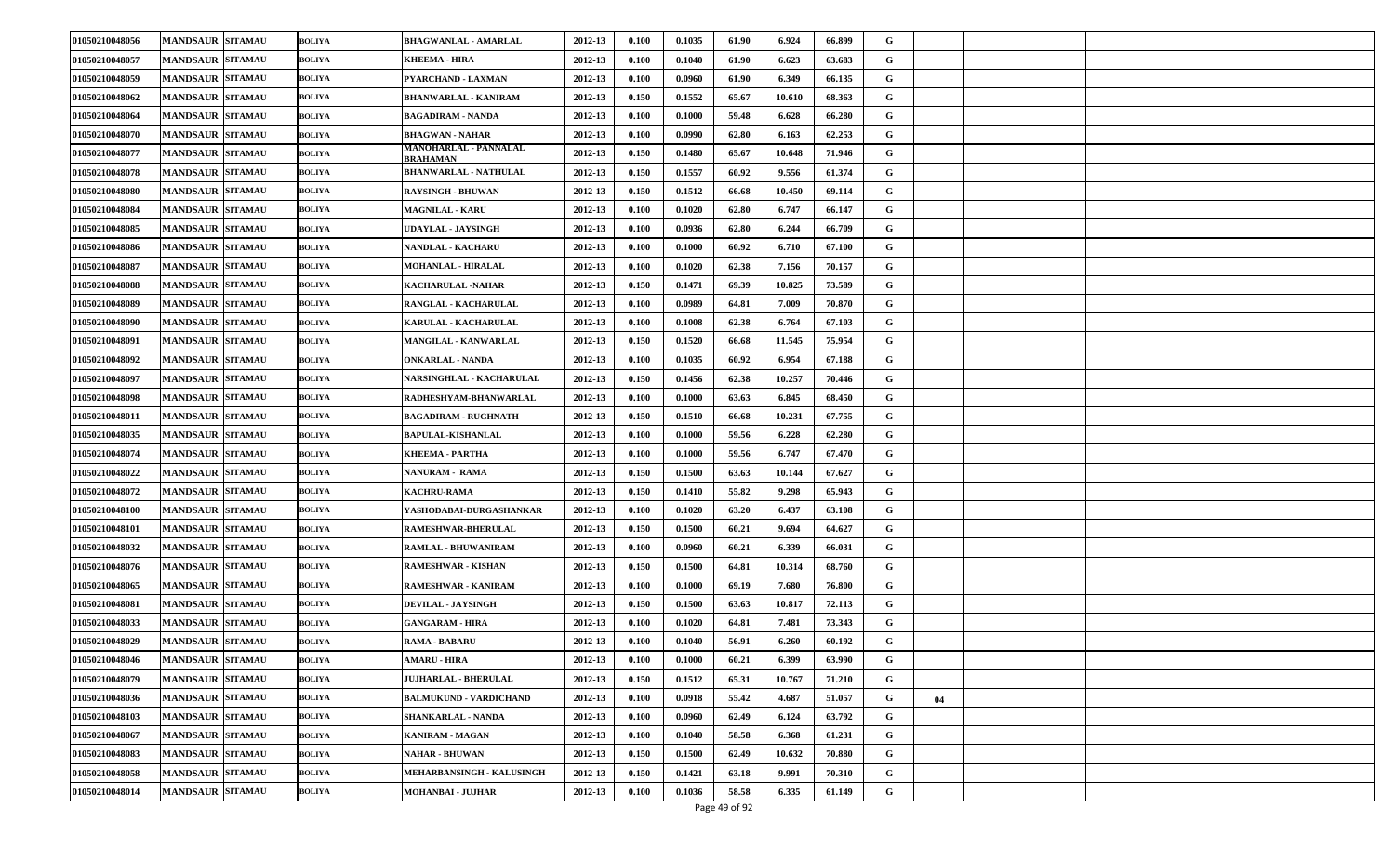| 01050210048056 | <b>MANDSAUR SITAMAU</b> | <b>BOLIYA</b> | <b>BHAGWANLAL - AMARLAL</b>       | 2012-13 | 0.100 | 0.1035 | 61.90 | 6.924  | 66.899 | G |    |  |
|----------------|-------------------------|---------------|-----------------------------------|---------|-------|--------|-------|--------|--------|---|----|--|
| 01050210048057 | <b>MANDSAUR SITAMAU</b> | <b>BOLIYA</b> | KHEEMA - HIRA                     | 2012-13 | 0.100 | 0.1040 | 61.90 | 6.623  | 63.683 | G |    |  |
| 01050210048059 | <b>MANDSAUR SITAMAU</b> | <b>BOLIYA</b> | PYARCHAND - LAXMAN                | 2012-13 | 0.100 | 0.0960 | 61.90 | 6.349  | 66.135 | G |    |  |
| 01050210048062 | <b>MANDSAUR SITAMAU</b> | <b>BOLIYA</b> | BHANWARLAL - KANIRAM              | 2012-13 | 0.150 | 0.1552 | 65.67 | 10.610 | 68.363 | G |    |  |
| 01050210048064 | <b>MANDSAUR SITAMAU</b> | BOLIYA        | BAGADIRAM - NANDA                 | 2012-13 | 0.100 | 0.1000 | 59.48 | 6.628  | 66.280 | G |    |  |
| 01050210048070 | <b>MANDSAUR SITAMAU</b> | <b>BOLIYA</b> | <b>BHAGWAN - NAHAR</b>            | 2012-13 | 0.100 | 0.0990 | 62.80 | 6.163  | 62.253 | G |    |  |
| 01050210048077 | <b>MANDSAUR SITAMAU</b> | <b>BOLIYA</b> | MANOHARLAL - PANNALAL<br>BRAHAMAN | 2012-13 | 0.150 | 0.1480 | 65.67 | 10.648 | 71.946 | G |    |  |
| 01050210048078 | <b>MANDSAUR SITAMAU</b> | BOLIYA        | <b>BHANWARLAL - NATHULAL</b>      | 2012-13 | 0.150 | 0.1557 | 60.92 | 9.556  | 61.374 | G |    |  |
| 01050210048080 | <b>MANDSAUR SITAMAU</b> | <b>BOLIYA</b> | <b>RAYSINGH - BHUWAN</b>          | 2012-13 | 0.150 | 0.1512 | 66.68 | 10.450 | 69.114 | G |    |  |
| 01050210048084 | <b>MANDSAUR SITAMAU</b> | <b>BOLIYA</b> | <b>MAGNILAL - KARU</b>            | 2012-13 | 0.100 | 0.1020 | 62.80 | 6.747  | 66.147 | G |    |  |
| 01050210048085 | <b>MANDSAUR SITAMAU</b> | <b>BOLIYA</b> | UDAYLAL - JAYSINGH                | 2012-13 | 0.100 | 0.0936 | 62.80 | 6.244  | 66.709 | G |    |  |
| 01050210048086 | <b>MANDSAUR SITAMAU</b> | <b>BOLIYA</b> | NANDLAL - KACHARU                 | 2012-13 | 0.100 | 0.1000 | 60.92 | 6.710  | 67.100 | G |    |  |
| 01050210048087 | <b>MANDSAUR SITAMAU</b> | <b>BOLIYA</b> | <b>MOHANLAL - HIRALAL</b>         | 2012-13 | 0.100 | 0.1020 | 62.38 | 7.156  | 70.157 | G |    |  |
| 01050210048088 | <b>MANDSAUR SITAMAU</b> | <b>BOLIYA</b> | KACHARULAL - NAHAR                | 2012-13 | 0.150 | 0.1471 | 69.39 | 10.825 | 73.589 | G |    |  |
| 01050210048089 | <b>MANDSAUR SITAMAU</b> | <b>BOLIYA</b> | RANGLAL - KACHARULAL              | 2012-13 | 0.100 | 0.0989 | 64.81 | 7.009  | 70.870 | G |    |  |
| 01050210048090 | <b>MANDSAUR SITAMAU</b> | <b>BOLIYA</b> | KARULAL - KACHARULAL              | 2012-13 | 0.100 | 0.1008 | 62.38 | 6.764  | 67.103 | G |    |  |
| 01050210048091 | <b>MANDSAUR SITAMAU</b> | BOLIYA        | MANGILAL - KANWARLAL              | 2012-13 | 0.150 | 0.1520 | 66.68 | 11.545 | 75.954 | G |    |  |
| 01050210048092 | <b>MANDSAUR SITAMAU</b> | <b>BOLIYA</b> | <b>ONKARLAL - NANDA</b>           | 2012-13 | 0.100 | 0.1035 | 60.92 | 6.954  | 67.188 | G |    |  |
| 01050210048097 | <b>MANDSAUR SITAMAU</b> | <b>BOLIYA</b> | NARSINGHLAL - KACHARULAL          | 2012-13 | 0.150 | 0.1456 | 62.38 | 10.257 | 70.446 | G |    |  |
| 01050210048098 | <b>MANDSAUR SITAMAU</b> | <b>BOLIYA</b> | RADHESHYAM-BHANWARLAL             | 2012-13 | 0.100 | 0.1000 | 63.63 | 6.845  | 68.450 | G |    |  |
| 01050210048011 | <b>MANDSAUR SITAMAU</b> | <b>BOLIYA</b> | <b>BAGADIRAM - RUGHNATH</b>       | 2012-13 | 0.150 | 0.1510 | 66.68 | 10.231 | 67.755 | G |    |  |
| 01050210048035 | <b>MANDSAUR SITAMAU</b> | <b>BOLIYA</b> | <b>BAPULAL-KISHANLAL</b>          | 2012-13 | 0.100 | 0.1000 | 59.56 | 6.228  | 62.280 | G |    |  |
| 01050210048074 | <b>MANDSAUR SITAMAU</b> | <b>BOLIYA</b> | KHEEMA - PARTHA                   | 2012-13 | 0.100 | 0.1000 | 59.56 | 6.747  | 67.470 | G |    |  |
| 01050210048022 | <b>MANDSAUR SITAMAU</b> | <b>BOLIYA</b> | <b>NANURAM - RAMA</b>             | 2012-13 | 0.150 | 0.1500 | 63.63 | 10.144 | 67.627 | G |    |  |
| 01050210048072 | <b>MANDSAUR SITAMAU</b> | <b>BOLIYA</b> | <b>KACHRU-RAMA</b>                | 2012-13 | 0.150 | 0.1410 | 55.82 | 9.298  | 65.943 | G |    |  |
| 01050210048100 | <b>MANDSAUR SITAMAU</b> | <b>BOLIYA</b> | YASHODABAI-DURGASHANKAR           | 2012-13 | 0.100 | 0.1020 | 63.20 | 6.437  | 63.108 | G |    |  |
| 01050210048101 | <b>MANDSAUR SITAMAU</b> | <b>BOLIYA</b> | <b>RAMESHWAR-BHERULAL</b>         | 2012-13 | 0.150 | 0.1500 | 60.21 | 9.694  | 64.627 | G |    |  |
| 01050210048032 | <b>MANDSAUR SITAMAU</b> | <b>BOLIYA</b> | RAMLAL - BHUWANIRAM               | 2012-13 | 0.100 | 0.0960 | 60.21 | 6.339  | 66.031 | G |    |  |
| 01050210048076 | <b>MANDSAUR SITAMAU</b> | <b>BOLIYA</b> | <b>RAMESHWAR - KISHAN</b>         | 2012-13 | 0.150 | 0.1500 | 64.81 | 10.314 | 68.760 | G |    |  |
| 01050210048065 | <b>MANDSAUR SITAMAU</b> | <b>BOLIYA</b> | <b>RAMESHWAR - KANIRAM</b>        | 2012-13 | 0.100 | 0.1000 | 69.19 | 7.680  | 76.800 | G |    |  |
| 01050210048081 | <b>MANDSAUR SITAMAU</b> | <b>BOLIYA</b> | <b>DEVILAL - JAYSINGH</b>         | 2012-13 | 0.150 | 0.1500 | 63.63 | 10.817 | 72.113 | G |    |  |
| 01050210048033 | <b>MANDSAUR SITAMAU</b> | <b>BOLIYA</b> | <b>GANGARAM - HIRA</b>            | 2012-13 | 0.100 | 0.1020 | 64.81 | 7.481  | 73.343 | G |    |  |
| 01050210048029 | <b>MANDSAUR SITAMAU</b> | <b>BOLIYA</b> | <b>RAMA - BABARU</b>              | 2012-13 | 0.100 | 0.1040 | 56.91 | 6.260  | 60.192 | G |    |  |
| 01050210048046 | <b>MANDSAUR SITAMAU</b> | <b>BOLIYA</b> | <b>AMARU - HIRA</b>               | 2012-13 | 0.100 | 0.1000 | 60.21 | 6.399  | 63.990 | G |    |  |
| 01050210048079 | <b>MANDSAUR SITAMAU</b> | <b>BOLIYA</b> | <b>JUJHARLAL - BHERULAL</b>       | 2012-13 | 0.150 | 0.1512 | 65.31 | 10.767 | 71.210 | G |    |  |
| 01050210048036 | <b>MANDSAUR SITAMAU</b> | <b>BOLIYA</b> | <b>BALMUKUND - VARDICHAND</b>     | 2012-13 | 0.100 | 0.0918 | 55.42 | 4.687  | 51.057 | G | 04 |  |
| 01050210048103 | <b>MANDSAUR SITAMAU</b> | <b>BOLIYA</b> | <b>SHANKARLAL - NANDA</b>         | 2012-13 | 0.100 | 0.0960 | 62.49 | 6.124  | 63.792 | G |    |  |
| 01050210048067 | <b>MANDSAUR SITAMAU</b> | <b>BOLIYA</b> | KANIRAM - MAGAN                   | 2012-13 | 0.100 | 0.1040 | 58.58 | 6.368  | 61.231 | G |    |  |
| 01050210048083 | <b>MANDSAUR SITAMAU</b> | <b>BOLIYA</b> | <b>NAHAR - BHUWAN</b>             | 2012-13 | 0.150 | 0.1500 | 62.49 | 10.632 | 70.880 | G |    |  |
| 01050210048058 | <b>MANDSAUR SITAMAU</b> | <b>BOLIYA</b> | MEHARBANSINGH - KALUSINGH         | 2012-13 | 0.150 | 0.1421 | 63.18 | 9.991  | 70.310 | G |    |  |
| 01050210048014 | <b>MANDSAUR SITAMAU</b> | <b>BOLIYA</b> | <b>MOHANBAI - JUJHAR</b>          | 2012-13 | 0.100 | 0.1036 | 58.58 | 6.335  | 61.149 | G |    |  |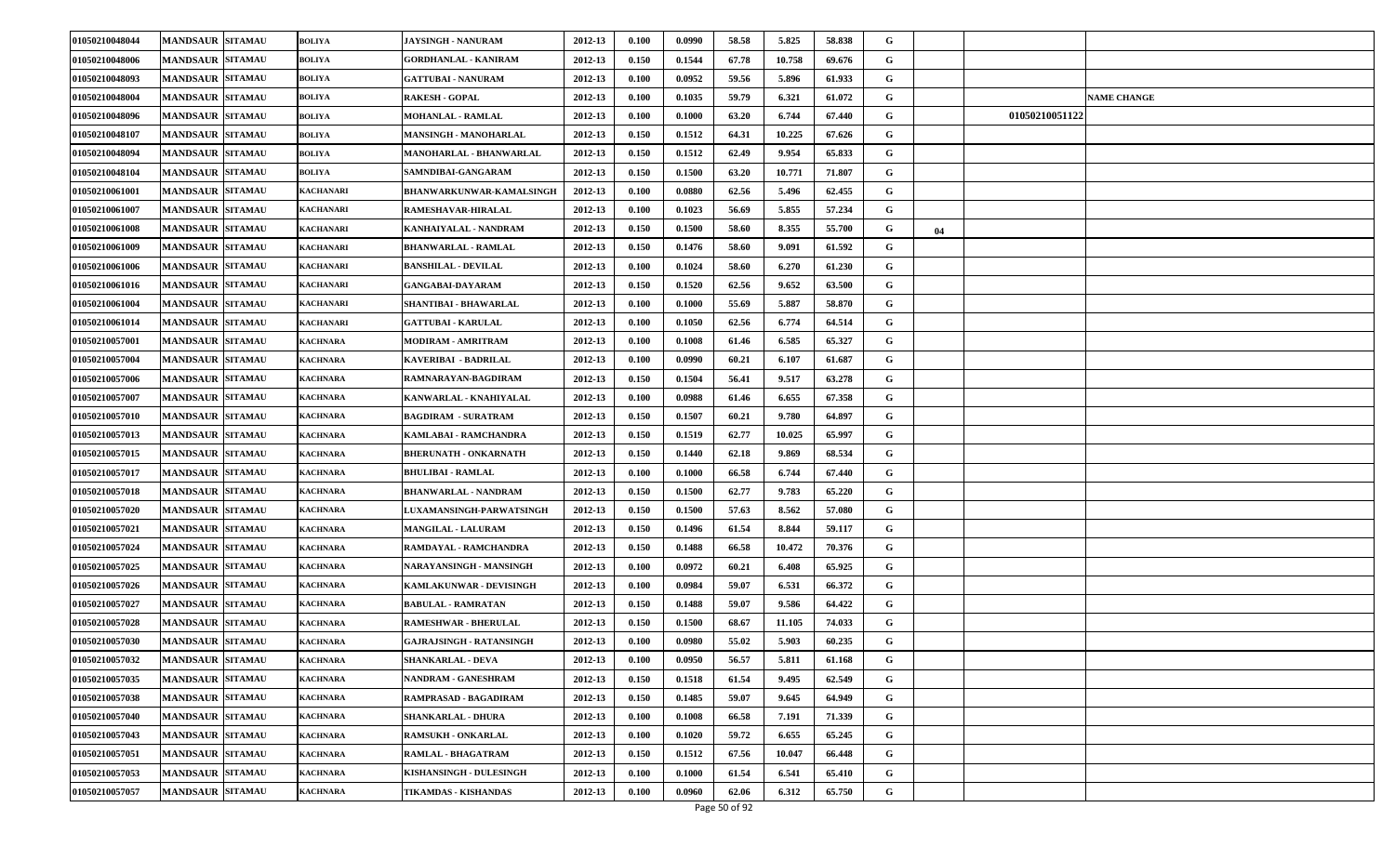| 01050210048044 | <b>MANDSAUR SITAMAU</b> | <b>BOLIYA</b>    | <b>JAYSINGH - NANURAM</b>       | 2012-13 | 0.100 | 0.0990 | 58.58 | 5.825  | 58.838 | G |    |                    |
|----------------|-------------------------|------------------|---------------------------------|---------|-------|--------|-------|--------|--------|---|----|--------------------|
| 01050210048006 | <b>MANDSAUR SITAMAU</b> | <b>BOLIYA</b>    | <b>GORDHANLAL - KANIRAM</b>     | 2012-13 | 0.150 | 0.1544 | 67.78 | 10.758 | 69.676 | G |    |                    |
| 01050210048093 | <b>MANDSAUR SITAMAU</b> | <b>BOLIYA</b>    | <b>GATTUBAI - NANURAM</b>       | 2012-13 | 0.100 | 0.0952 | 59.56 | 5.896  | 61.933 | G |    |                    |
| 01050210048004 | <b>MANDSAUR SITAMAU</b> | <b>BOLIYA</b>    | <b>RAKESH - GOPAL</b>           | 2012-13 | 0.100 | 0.1035 | 59.79 | 6.321  | 61.072 | G |    | <b>NAME CHANGE</b> |
| 01050210048096 | <b>MANDSAUR SITAMAU</b> | <b>BOLIYA</b>    | <b>MOHANLAL - RAMLAL</b>        | 2012-13 | 0.100 | 0.1000 | 63.20 | 6.744  | 67.440 | G |    | 01050210051122     |
| 01050210048107 | <b>MANDSAUR SITAMAU</b> | <b>BOLIYA</b>    | <b>MANSINGH - MANOHARLAL</b>    | 2012-13 | 0.150 | 0.1512 | 64.31 | 10.225 | 67.626 | G |    |                    |
| 01050210048094 | <b>MANDSAUR SITAMAU</b> | <b>BOLIYA</b>    | MANOHARLAL - BHANWARLAL         | 2012-13 | 0.150 | 0.1512 | 62.49 | 9.954  | 65.833 | G |    |                    |
| 01050210048104 | <b>MANDSAUR SITAMAU</b> | <b>BOLIYA</b>    | SAMNDIBAI-GANGARAM              | 2012-13 | 0.150 | 0.1500 | 63.20 | 10.771 | 71.807 | G |    |                    |
| 01050210061001 | <b>MANDSAUR SITAMAU</b> | <b>KACHANARI</b> | BHANWARKUNWAR-KAMALSINGH        | 2012-13 | 0.100 | 0.0880 | 62.56 | 5.496  | 62.455 | G |    |                    |
| 01050210061007 | <b>MANDSAUR SITAMAU</b> | <b>KACHANARI</b> | RAMESHAVAR-HIRALAL              | 2012-13 | 0.100 | 0.1023 | 56.69 | 5.855  | 57.234 | G |    |                    |
| 01050210061008 | <b>MANDSAUR SITAMAU</b> | <b>KACHANARI</b> | KANHAIYALAL - NANDRAM           | 2012-13 | 0.150 | 0.1500 | 58.60 | 8.355  | 55.700 | G | 04 |                    |
| 01050210061009 | <b>MANDSAUR SITAMAU</b> | KACHANARI        | BHANWARLAL - RAMLAL             | 2012-13 | 0.150 | 0.1476 | 58.60 | 9.091  | 61.592 | G |    |                    |
| 01050210061006 | <b>MANDSAUR SITAMAU</b> | <b>KACHANARI</b> | <b>BANSHILAL - DEVILAL</b>      | 2012-13 | 0.100 | 0.1024 | 58.60 | 6.270  | 61.230 | G |    |                    |
| 01050210061016 | <b>MANDSAUR SITAMAU</b> | <b>KACHANARI</b> | <b>GANGABAI-DAYARAM</b>         | 2012-13 | 0.150 | 0.1520 | 62.56 | 9.652  | 63.500 | G |    |                    |
| 01050210061004 | MANDSAUR SITAMAU        | <b>KACHANARI</b> | SHANTIBAI - BHAWARLAL           | 2012-13 | 0.100 | 0.1000 | 55.69 | 5.887  | 58.870 | G |    |                    |
| 01050210061014 | <b>MANDSAUR SITAMAU</b> | KACHANARI        | <b>GATTUBAI - KARULAL</b>       | 2012-13 | 0.100 | 0.1050 | 62.56 | 6.774  | 64.514 | G |    |                    |
| 01050210057001 | <b>MANDSAUR SITAMAU</b> | <b>KACHNARA</b>  | <b>MODIRAM - AMRITRAM</b>       | 2012-13 | 0.100 | 0.1008 | 61.46 | 6.585  | 65.327 | G |    |                    |
| 01050210057004 | <b>MANDSAUR SITAMAU</b> | <b>KACHNARA</b>  | KAVERIBAI - BADRILAL            | 2012-13 | 0.100 | 0.0990 | 60.21 | 6.107  | 61.687 | G |    |                    |
| 01050210057006 | <b>MANDSAUR SITAMAU</b> | <b>KACHNARA</b>  | RAMNARAYAN-BAGDIRAM             | 2012-13 | 0.150 | 0.1504 | 56.41 | 9.517  | 63.278 | G |    |                    |
| 01050210057007 | <b>MANDSAUR SITAMAU</b> | KACHNARA         | KANWARLAL - KNAHIYALAL          | 2012-13 | 0.100 | 0.0988 | 61.46 | 6.655  | 67.358 | G |    |                    |
| 01050210057010 | <b>MANDSAUR SITAMAU</b> | <b>KACHNARA</b>  | <b>BAGDIRAM - SURATRAM</b>      | 2012-13 | 0.150 | 0.1507 | 60.21 | 9.780  | 64.897 | G |    |                    |
| 01050210057013 | <b>MANDSAUR SITAMAU</b> | <b>KACHNARA</b>  | KAMLABAI - RAMCHANDRA           | 2012-13 | 0.150 | 0.1519 | 62.77 | 10.025 | 65.997 | G |    |                    |
| 01050210057015 | <b>MANDSAUR SITAMAU</b> | <b>KACHNARA</b>  | <b>BHERUNATH - ONKARNATH</b>    | 2012-13 | 0.150 | 0.1440 | 62.18 | 9.869  | 68.534 | G |    |                    |
| 01050210057017 | <b>MANDSAUR SITAMAU</b> | <b>KACHNARA</b>  | <b>BHULIBAI - RAMLAL</b>        | 2012-13 | 0.100 | 0.1000 | 66.58 | 6.744  | 67.440 | G |    |                    |
| 01050210057018 | <b>MANDSAUR SITAMAU</b> | <b>KACHNARA</b>  | <b>BHANWARLAL - NANDRAM</b>     | 2012-13 | 0.150 | 0.1500 | 62.77 | 9.783  | 65.220 | G |    |                    |
| 01050210057020 | <b>MANDSAUR SITAMAU</b> | <b>KACHNARA</b>  | <b>LUXAMANSINGH-PARWATSINGH</b> | 2012-13 | 0.150 | 0.1500 | 57.63 | 8.562  | 57.080 | G |    |                    |
| 01050210057021 | <b>MANDSAUR SITAMAU</b> | <b>KACHNARA</b>  | <b>MANGILAL - LALURAM</b>       | 2012-13 | 0.150 | 0.1496 | 61.54 | 8.844  | 59.117 | G |    |                    |
| 01050210057024 | <b>MANDSAUR SITAMAU</b> | KACHNARA         | RAMDAYAL - RAMCHANDRA           | 2012-13 | 0.150 | 0.1488 | 66.58 | 10.472 | 70.376 | G |    |                    |
| 01050210057025 | <b>MANDSAUR SITAMAU</b> | <b>KACHNARA</b>  | NARAYANSINGH - MANSINGH         | 2012-13 | 0.100 | 0.0972 | 60.21 | 6.408  | 65.925 | G |    |                    |
| 01050210057026 | <b>MANDSAUR SITAMAU</b> | <b>KACHNARA</b>  | <b>KAMLAKUNWAR - DEVISINGH</b>  | 2012-13 | 0.100 | 0.0984 | 59.07 | 6.531  | 66.372 | G |    |                    |
| 01050210057027 | <b>MANDSAUR SITAMAU</b> | KACHNARA         | <b>BABULAL - RAMRATAN</b>       | 2012-13 | 0.150 | 0.1488 | 59.07 | 9.586  | 64.422 | G |    |                    |
| 01050210057028 | <b>MANDSAUR SITAMAU</b> | <b>KACHNARA</b>  | <b>RAMESHWAR - BHERULAL</b>     | 2012-13 | 0.150 | 0.1500 | 68.67 | 11.105 | 74.033 | G |    |                    |
| 01050210057030 | <b>MANDSAUR SITAMAU</b> | KACHNARA         | <b>GAJRAJSINGH - RATANSINGH</b> | 2012-13 | 0.100 | 0.0980 | 55.02 | 5.903  | 60.235 | G |    |                    |
| 01050210057032 | <b>MANDSAUR SITAMAU</b> | <b>KACHNARA</b>  | <b>SHANKARLAL - DEVA</b>        | 2012-13 | 0.100 | 0.0950 | 56.57 | 5.811  | 61.168 | G |    |                    |
| 01050210057035 | <b>MANDSAUR SITAMAU</b> | <b>KACHNARA</b>  | NANDRAM - GANESHRAM             | 2012-13 | 0.150 | 0.1518 | 61.54 | 9.495  | 62.549 | G |    |                    |
| 01050210057038 | <b>MANDSAUR SITAMAU</b> | <b>KACHNARA</b>  | RAMPRASAD - BAGADIRAM           | 2012-13 | 0.150 | 0.1485 | 59.07 | 9.645  | 64.949 | G |    |                    |
| 01050210057040 | <b>MANDSAUR SITAMAU</b> | <b>KACHNARA</b>  | <b>SHANKARLAL - DHURA</b>       | 2012-13 | 0.100 | 0.1008 | 66.58 | 7.191  | 71.339 | G |    |                    |
| 01050210057043 | <b>MANDSAUR SITAMAU</b> | <b>KACHNARA</b>  | <b>RAMSUKH - ONKARLAL</b>       | 2012-13 | 0.100 | 0.1020 | 59.72 | 6.655  | 65.245 | G |    |                    |
| 01050210057051 | <b>MANDSAUR SITAMAU</b> | <b>KACHNARA</b>  | RAMLAL - BHAGATRAM              | 2012-13 | 0.150 | 0.1512 | 67.56 | 10.047 | 66.448 | G |    |                    |
| 01050210057053 | <b>MANDSAUR SITAMAU</b> | <b>KACHNARA</b>  | KISHANSINGH - DULESINGH         | 2012-13 | 0.100 | 0.1000 | 61.54 | 6.541  | 65.410 | G |    |                    |
| 01050210057057 | <b>MANDSAUR SITAMAU</b> | <b>KACHNARA</b>  | TIKAMDAS - KISHANDAS            | 2012-13 | 0.100 | 0.0960 | 62.06 | 6.312  | 65.750 | G |    |                    |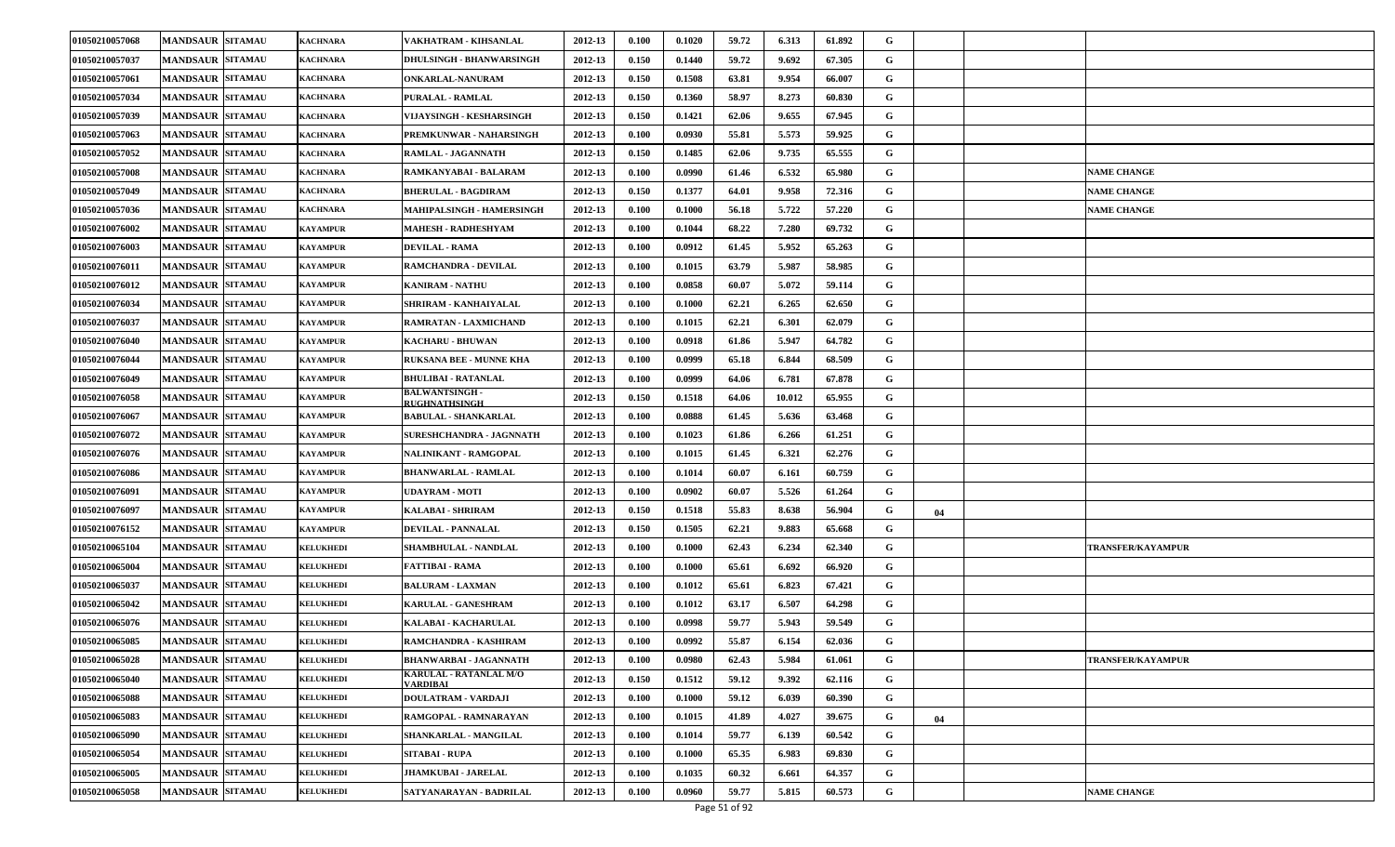| 01050210057068 | <b>MANDSAUR SITAMAU</b> | <b>KACHNARA</b>  | VAKHATRAM - KIHSANLAL                    | 2012-13 | 0.100 | 0.1020 | 59.72 | 6.313  | 61.892 | G |    |                          |
|----------------|-------------------------|------------------|------------------------------------------|---------|-------|--------|-------|--------|--------|---|----|--------------------------|
| 01050210057037 | <b>MANDSAUR SITAMAU</b> | <b>KACHNARA</b>  | DHULSINGH - BHANWARSINGH                 | 2012-13 | 0.150 | 0.1440 | 59.72 | 9.692  | 67.305 | G |    |                          |
| 01050210057061 | <b>MANDSAUR SITAMAU</b> | <b>KACHNARA</b>  | ONKARLAL-NANURAM                         | 2012-13 | 0.150 | 0.1508 | 63.81 | 9.954  | 66.007 | G |    |                          |
| 01050210057034 | <b>MANDSAUR SITAMAU</b> | KACHNARA         | <b>PURALAL - RAMLAL</b>                  | 2012-13 | 0.150 | 0.1360 | 58.97 | 8.273  | 60.830 | G |    |                          |
| 01050210057039 | <b>MANDSAUR SITAMAU</b> | <b>KACHNARA</b>  | VIJAYSINGH - KESHARSINGH                 | 2012-13 | 0.150 | 0.1421 | 62.06 | 9.655  | 67.945 | G |    |                          |
| 01050210057063 | <b>MANDSAUR SITAMAU</b> | <b>KACHNARA</b>  | PREMKUNWAR - NAHARSINGH                  | 2012-13 | 0.100 | 0.0930 | 55.81 | 5.573  | 59.925 | G |    |                          |
| 01050210057052 | <b>MANDSAUR SITAMAU</b> | <b>KACHNARA</b>  | RAMLAL - JAGANNATH                       | 2012-13 | 0.150 | 0.1485 | 62.06 | 9.735  | 65.555 | G |    |                          |
| 01050210057008 | <b>MANDSAUR SITAMAU</b> | <b>KACHNARA</b>  | RAMKANYABAI - BALARAM                    | 2012-13 | 0.100 | 0.0990 | 61.46 | 6.532  | 65.980 | G |    | <b>VAME CHANGE</b>       |
| 01050210057049 | <b>MANDSAUR SITAMAU</b> | <b>KACHNARA</b>  | <b>BHERULAL - BAGDIRAM</b>               | 2012-13 | 0.150 | 0.1377 | 64.01 | 9.958  | 72.316 | G |    | <b>NAME CHANGE</b>       |
| 01050210057036 | <b>MANDSAUR SITAMAU</b> | <b>KACHNARA</b>  | MAHIPALSINGH - HAMERSINGH                | 2012-13 | 0.100 | 0.1000 | 56.18 | 5.722  | 57.220 | G |    | <b>NAME CHANGE</b>       |
| 01050210076002 | <b>MANDSAUR SITAMAU</b> | KAYAMPUR         | <b>MAHESH - RADHESHYAM</b>               | 2012-13 | 0.100 | 0.1044 | 68.22 | 7.280  | 69.732 | G |    |                          |
| 01050210076003 | <b>MANDSAUR SITAMAU</b> | KAYAMPUR         | <b>DEVILAL - RAMA</b>                    | 2012-13 | 0.100 | 0.0912 | 61.45 | 5.952  | 65.263 | G |    |                          |
| 01050210076011 | <b>MANDSAUR SITAMAU</b> | KAYAMPUR         | RAMCHANDRA - DEVILAL                     | 2012-13 | 0.100 | 0.1015 | 63.79 | 5.987  | 58.985 | G |    |                          |
| 01050210076012 | <b>MANDSAUR SITAMAU</b> | KAYAMPUR         | <b>KANIRAM - NATHU</b>                   | 2012-13 | 0.100 | 0.0858 | 60.07 | 5.072  | 59.114 | G |    |                          |
| 01050210076034 | <b>MANDSAUR SITAMAU</b> | KAYAMPUR         | SHRIRAM - KANHAIYALAL                    | 2012-13 | 0.100 | 0.1000 | 62.21 | 6.265  | 62.650 | G |    |                          |
| 01050210076037 | <b>MANDSAUR SITAMAU</b> | KAYAMPUR         | RAMRATAN - LAXMICHAND                    | 2012-13 | 0.100 | 0.1015 | 62.21 | 6.301  | 62.079 | G |    |                          |
| 01050210076040 | <b>MANDSAUR SITAMAU</b> | KAYAMPUR         | <b>KACHARU - BHUWAN</b>                  | 2012-13 | 0.100 | 0.0918 | 61.86 | 5.947  | 64.782 | G |    |                          |
| 01050210076044 | <b>MANDSAUR SITAMAU</b> | KAYAMPUR         | <b>RUKSANA BEE - MUNNE KHA</b>           | 2012-13 | 0.100 | 0.0999 | 65.18 | 6.844  | 68.509 | G |    |                          |
| 01050210076049 | <b>MANDSAUR SITAMAU</b> | KAYAMPUR         | <b>BHULIBAI - RATANLAL</b>               | 2012-13 | 0.100 | 0.0999 | 64.06 | 6.781  | 67.878 | G |    |                          |
| 01050210076058 | <b>MANDSAUR SITAMAU</b> | KAYAMPUR         | <b>BALWANTSINGH -</b><br>RUGHNATHSINGH   | 2012-13 | 0.150 | 0.1518 | 64.06 | 10.012 | 65.955 | G |    |                          |
| 01050210076067 | <b>MANDSAUR SITAMAU</b> | KAYAMPUR         | <b>BABULAL - SHANKARLAL</b>              | 2012-13 | 0.100 | 0.0888 | 61.45 | 5.636  | 63.468 | G |    |                          |
| 01050210076072 | <b>MANDSAUR SITAMAU</b> | KAYAMPUR         | SURESHCHANDRA - JAGNNATH                 | 2012-13 | 0.100 | 0.1023 | 61.86 | 6.266  | 61.251 | G |    |                          |
| 01050210076076 | <b>MANDSAUR SITAMAU</b> | KAYAMPUR         | NALINIKANT - RAMGOPAL                    | 2012-13 | 0.100 | 0.1015 | 61.45 | 6.321  | 62.276 | G |    |                          |
| 01050210076086 | <b>MANDSAUR SITAMAU</b> | <b>KAYAMPUR</b>  | <b>BHANWARLAL - RAMLAL</b>               | 2012-13 | 0.100 | 0.1014 | 60.07 | 6.161  | 60.759 | G |    |                          |
| 01050210076091 | <b>MANDSAUR SITAMAU</b> | KAYAMPUR         | <b>UDAYRAM - MOTI</b>                    | 2012-13 | 0.100 | 0.0902 | 60.07 | 5.526  | 61.264 | G |    |                          |
| 01050210076097 | <b>MANDSAUR SITAMAU</b> | KAYAMPUR         | KALABAI - SHRIRAM                        | 2012-13 | 0.150 | 0.1518 | 55.83 | 8.638  | 56.904 | G | 04 |                          |
| 01050210076152 | <b>MANDSAUR SITAMAU</b> | KAYAMPUR         | DEVILAL - PANNALAL                       | 2012-13 | 0.150 | 0.1505 | 62.21 | 9.883  | 65.668 | G |    |                          |
| 01050210065104 | <b>MANDSAUR SITAMAU</b> | <b>KELUKHEDI</b> | <b>SHAMBHULAL - NANDLAL</b>              | 2012-13 | 0.100 | 0.1000 | 62.43 | 6.234  | 62.340 | G |    | <b>TRANSFER/KAYAMPUR</b> |
| 01050210065004 | <b>MANDSAUR SITAMAU</b> | <b>KELUKHEDI</b> | FATTIBAI - RAMA                          | 2012-13 | 0.100 | 0.1000 | 65.61 | 6.692  | 66.920 | G |    |                          |
| 01050210065037 | <b>MANDSAUR SITAMAU</b> | <b>KELUKHEDI</b> | <b>BALURAM - LAXMAN</b>                  | 2012-13 | 0.100 | 0.1012 | 65.61 | 6.823  | 67.421 | G |    |                          |
| 01050210065042 | <b>MANDSAUR SITAMAU</b> | <b>KELUKHEDI</b> | <b>KARULAL - GANESHRAM</b>               | 2012-13 | 0.100 | 0.1012 | 63.17 | 6.507  | 64.298 | G |    |                          |
| 01050210065076 | <b>MANDSAUR SITAMAU</b> | <b>KELUKHEDI</b> | KALABAI - KACHARULAL                     | 2012-13 | 0.100 | 0.0998 | 59.77 | 5.943  | 59.549 | G |    |                          |
| 01050210065085 | <b>MANDSAUR SITAMAU</b> | <b>KELUKHEDI</b> | RAMCHANDRA - KASHIRAM                    | 2012-13 | 0.100 | 0.0992 | 55.87 | 6.154  | 62.036 | G |    |                          |
| 01050210065028 | <b>MANDSAUR SITAMAU</b> | <b>KELUKHEDI</b> | <b>BHANWARBAI - JAGANNATH</b>            | 2012-13 | 0.100 | 0.0980 | 62.43 | 5.984  | 61.061 | G |    | <b>TRANSFER/KAYAMPUR</b> |
| 01050210065040 | <b>MANDSAUR SITAMAU</b> | <b>KELUKHEDI</b> | KARULAL - RATANLAL M/O<br><b>ARDIBAL</b> | 2012-13 | 0.150 | 0.1512 | 59.12 | 9.392  | 62.116 | G |    |                          |
| 01050210065088 | MANDSAUR SITAMAU        | <b>KELUKHEDI</b> | DOULATRAM - VARDAJI                      | 2012-13 | 0.100 | 0.1000 | 59.12 | 6.039  | 60.390 | G |    |                          |
| 01050210065083 | <b>MANDSAUR SITAMAU</b> | <b>KELUKHEDI</b> | RAMGOPAL - RAMNARAYAN                    | 2012-13 | 0.100 | 0.1015 | 41.89 | 4.027  | 39.675 | G | 04 |                          |
| 01050210065090 | <b>MANDSAUR SITAMAU</b> | <b>KELUKHEDI</b> | SHANKARLAL - MANGILAL                    | 2012-13 | 0.100 | 0.1014 | 59.77 | 6.139  | 60.542 | G |    |                          |
| 01050210065054 | <b>MANDSAUR SITAMAU</b> | <b>KELUKHEDI</b> | SITABAI - RUPA                           | 2012-13 | 0.100 | 0.1000 | 65.35 | 6.983  | 69.830 | G |    |                          |
| 01050210065005 | <b>MANDSAUR SITAMAU</b> | <b>KELUKHEDI</b> | <b>JHAMKUBAI - JARELAL</b>               | 2012-13 | 0.100 | 0.1035 | 60.32 | 6.661  | 64.357 | G |    |                          |
| 01050210065058 | <b>MANDSAUR SITAMAU</b> | <b>KELUKHEDI</b> | SATYANARAYAN - BADRILAL                  | 2012-13 | 0.100 | 0.0960 | 59.77 | 5.815  | 60.573 | G |    | <b>NAME CHANGE</b>       |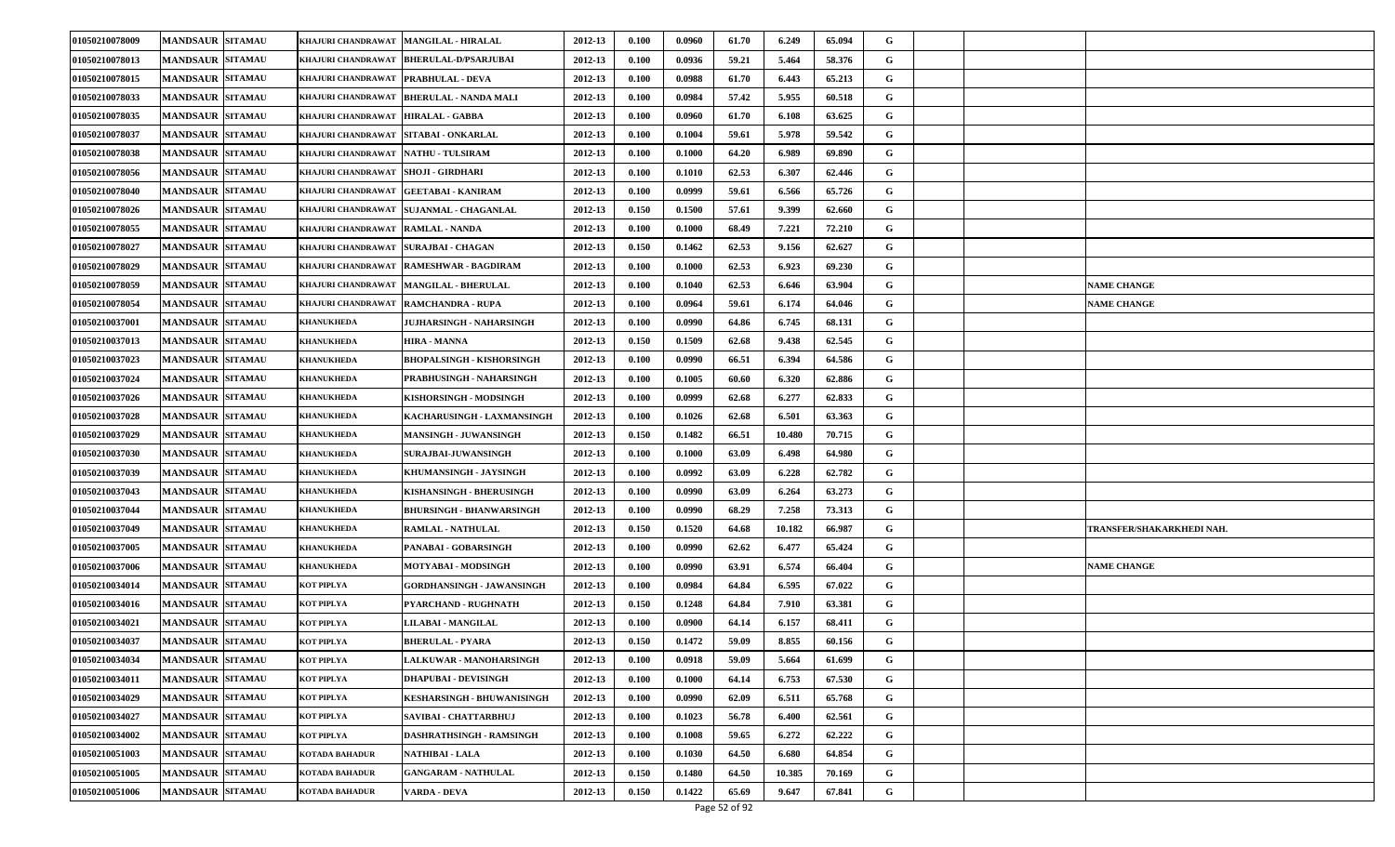| 01050210078009 | <b>MANDSAUR SITAMAU</b> | KHAJURI CHANDRAWAT                  | <b>MANGILAL - HIRALAL</b>                 | 2012-13 | 0.100                | 0.0960 | 61.70 | 6.249  | 65.094 | G |                           |
|----------------|-------------------------|-------------------------------------|-------------------------------------------|---------|----------------------|--------|-------|--------|--------|---|---------------------------|
| 01050210078013 | <b>MANDSAUR SITAMAU</b> | KHAJURI CHANDRAWAT                  | <b>BHERULAL-D/PSARJUBAI</b>               | 2012-13 | 0.100                | 0.0936 | 59.21 | 5.464  | 58.376 | G |                           |
| 01050210078015 | <b>MANDSAUR SITAMAU</b> | KHAJURI CHANDRAWAT PRABHULAL - DEVA |                                           | 2012-13 | 0.100                | 0.0988 | 61.70 | 6.443  | 65.213 | G |                           |
| 01050210078033 | <b>MANDSAUR SITAMAU</b> | KHAJURI CHANDRAWAT                  | <b>BHERULAL - NANDA MALI</b>              | 2012-13 | 0.100                | 0.0984 | 57.42 | 5.955  | 60.518 | G |                           |
| 01050210078035 | <b>MANDSAUR SITAMAU</b> | KHAJURI CHANDRAWAT                  | <b>HIRALAL - GABBA</b>                    | 2012-13 | 0.100                | 0.0960 | 61.70 | 6.108  | 63.625 | G |                           |
| 01050210078037 | <b>MANDSAUR SITAMAU</b> | KHAJURI CHANDRAWAT                  | SITABAI - ONKARLAL                        | 2012-13 | 0.100                | 0.1004 | 59.61 | 5.978  | 59.542 | G |                           |
| 01050210078038 | <b>MANDSAUR SITAMAU</b> | KHAJURI CHANDRAWAT NATHU TULSIRAM   |                                           | 2012-13 | 0.100                | 0.1000 | 64.20 | 6.989  | 69.890 | G |                           |
| 01050210078056 | <b>MANDSAUR SITAMAU</b> | KHAJURI CHANDRAWAT                  | <b>SHOJI - GIRDHARI</b>                   | 2012-13 | 0.100                | 0.1010 | 62.53 | 6.307  | 62.446 | G |                           |
| 01050210078040 | <b>MANDSAUR SITAMAU</b> | KHAJURI CHANDRAWAT                  | <b>GEETABAI - KANIRAM</b>                 | 2012-13 | 0.100                | 0.0999 | 59.61 | 6.566  | 65.726 | G |                           |
| 01050210078026 | <b>MANDSAUR SITAMAU</b> |                                     | KHAJURI CHANDRAWAT   SUJANMAL - CHAGANLAL | 2012-13 | 0.150                | 0.1500 | 57.61 | 9.399  | 62.660 | G |                           |
| 01050210078055 | <b>MANDSAUR SITAMAU</b> | KHAJURI CHANDRAWAT   RAMLAL - NANDA |                                           | 2012-13 | 0.100                | 0.1000 | 68.49 | 7.221  | 72.210 | G |                           |
| 01050210078027 | <b>MANDSAUR SITAMAU</b> | KHAJURI CHANDRAWAT                  | SURAJBAI - CHAGAN                         | 2012-13 | 0.150                | 0.1462 | 62.53 | 9.156  | 62.627 | G |                           |
| 01050210078029 | <b>MANDSAUR SITAMAU</b> | KHAJURI CHANDRAWAT                  | <b>RAMESHWAR - BAGDIRAM</b>               | 2012-13 | 0.100                | 0.1000 | 62.53 | 6.923  | 69.230 | G |                           |
| 01050210078059 | <b>MANDSAUR SITAMAU</b> |                                     | KHAJURI CHANDRAWAT   MANGILAL - BHERULAL  | 2012-13 | 0.100                | 0.1040 | 62.53 | 6.646  | 63.904 | G | <b>NAME CHANGE</b>        |
| 01050210078054 | <b>MANDSAUR SITAMAU</b> | KHAJURI CHANDRAWAT                  | RAMCHANDRA - RUPA                         | 2012-13 | 0.100                | 0.0964 | 59.61 | 6.174  | 64.046 | G | <b>NAME CHANGE</b>        |
| 01050210037001 | <b>MANDSAUR SITAMAU</b> | <b>KHANUKHEDA</b>                   | JUJHARSINGH - NAHARSINGH                  | 2012-13 | 0.100                | 0.0990 | 64.86 | 6.745  | 68.131 | G |                           |
| 01050210037013 | <b>MANDSAUR SITAMAU</b> | <b>KHANUKHEDA</b>                   | HIRA - MANNA                              | 2012-13 | 0.150                | 0.1509 | 62.68 | 9.438  | 62.545 | G |                           |
| 01050210037023 | <b>MANDSAUR SITAMAU</b> | <b>KHANUKHEDA</b>                   | <b>BHOPALSINGH - KISHORSINGH</b>          | 2012-13 | 0.100                | 0.0990 | 66.51 | 6.394  | 64.586 | G |                           |
| 01050210037024 | <b>MANDSAUR SITAMAU</b> | <b>KHANUKHEDA</b>                   | PRABHUSINGH - NAHARSINGH                  | 2012-13 | 0.100                | 0.1005 | 60.60 | 6.320  | 62.886 | G |                           |
| 01050210037026 | <b>MANDSAUR SITAMAU</b> | <b>KHANUKHEDA</b>                   | KISHORSINGH - MODSINGH                    | 2012-13 | 0.100                | 0.0999 | 62.68 | 6.277  | 62.833 | G |                           |
| 01050210037028 | <b>MANDSAUR SITAMAU</b> | <b>KHANUKHEDA</b>                   | KACHARUSINGH - LAXMANSINGH                | 2012-13 | 0.100                | 0.1026 | 62.68 | 6.501  | 63.363 | G |                           |
| 01050210037029 | <b>MANDSAUR SITAMAU</b> | <b>KHANUKHEDA</b>                   | <b>MANSINGH - JUWANSINGH</b>              | 2012-13 | 0.150                | 0.1482 | 66.51 | 10.480 | 70.715 | G |                           |
| 01050210037030 | <b>MANDSAUR SITAMAU</b> | <b>KHANUKHEDA</b>                   | <b>SURAJBAI-JUWANSINGH</b>                | 2012-13 | 0.100                | 0.1000 | 63.09 | 6.498  | 64.980 | G |                           |
| 01050210037039 | <b>MANDSAUR SITAMAU</b> | <b>KHANUKHEDA</b>                   | KHUMANSINGH - JAYSINGH                    | 2012-13 | 0.100                | 0.0992 | 63.09 | 6.228  | 62.782 | G |                           |
| 01050210037043 | <b>MANDSAUR SITAMAU</b> | <b>KHANUKHEDA</b>                   | KISHANSINGH - BHERUSINGH                  | 2012-13 | 0.100                | 0.0990 | 63.09 | 6.264  | 63.273 | G |                           |
| 01050210037044 | <b>MANDSAUR SITAMAU</b> | <b>KHANUKHEDA</b>                   | <b>BHURSINGH - BHANWARSINGH</b>           | 2012-13 | 0.100                | 0.0990 | 68.29 | 7.258  | 73.313 | G |                           |
| 01050210037049 | <b>MANDSAUR SITAMAU</b> | <b>KHANUKHEDA</b>                   | RAMLAL - NATHULAL                         | 2012-13 | 0.150                | 0.1520 | 64.68 | 10.182 | 66.987 | G | TRANSFER/SHAKARKHEDI NAH. |
| 01050210037005 | <b>MANDSAUR SITAMAU</b> | <b>KHANUKHEDA</b>                   | PANABAI - GOBARSINGH                      | 2012-13 | 0.100                | 0.0990 | 62.62 | 6.477  | 65.424 | G |                           |
| 01050210037006 | <b>MANDSAUR SITAMAU</b> | <b>KHANUKHEDA</b>                   | MOTYABAI - MODSINGH                       | 2012-13 | 0.100                | 0.0990 | 63.91 | 6.574  | 66.404 | G | <b>NAME CHANGE</b>        |
| 01050210034014 | <b>MANDSAUR SITAMAU</b> | KOT PIPLYA                          | GORDHANSINGH - JAWANSINGH                 | 2012-13 | 0.100                | 0.0984 | 64.84 | 6.595  | 67.022 | G |                           |
| 01050210034016 | <b>MANDSAUR SITAMAU</b> | KOT PIPLYA                          | PYARCHAND - RUGHNATH                      | 2012-13 | 0.150                | 0.1248 | 64.84 | 7.910  | 63.381 | G |                           |
| 01050210034021 | <b>MANDSAUR SITAMAU</b> | KOT PIPLYA                          | LILABAI - MANGILAL                        | 2012-13 | 0.100                | 0.0900 | 64.14 | 6.157  | 68.411 | G |                           |
| 01050210034037 | <b>MANDSAUR SITAMAU</b> | KOT PIPLYA                          | <b>BHERULAL - PYARA</b>                   | 2012-13 | 0.150                | 0.1472 | 59.09 | 8.855  | 60.156 | G |                           |
| 01050210034034 | <b>MANDSAUR SITAMAU</b> | KOT PIPLYA                          | LALKUWAR - MANOHARSINGH                   | 2012-13 | 0.100                | 0.0918 | 59.09 | 5.664  | 61.699 | G |                           |
| 01050210034011 | <b>MANDSAUR SITAMAU</b> | KOT PIPLYA                          | <b>DHAPUBAI - DEVISINGH</b>               | 2012-13 | 0.100                | 0.1000 | 64.14 | 6.753  | 67.530 | G |                           |
| 01050210034029 | <b>MANDSAUR SITAMAU</b> | KOT PIPLYA                          | KESHARSINGH - BHUWANISINGH                | 2012-13 | 0.100                | 0.0990 | 62.09 | 6.511  | 65.768 | G |                           |
| 01050210034027 | <b>MANDSAUR SITAMAU</b> | KOT PIPLYA                          | SAVIBAI - CHATTARBHUJ                     | 2012-13 | $\boldsymbol{0.100}$ | 0.1023 | 56.78 | 6.400  | 62.561 | G |                           |
| 01050210034002 | <b>MANDSAUR SITAMAU</b> | KOT PIPLYA                          | DASHRATHSINGH - RAMSINGH                  | 2012-13 | 0.100                | 0.1008 | 59.65 | 6.272  | 62.222 | G |                           |
| 01050210051003 | <b>MANDSAUR SITAMAU</b> | KOTADA BAHADUR                      | <b>NATHIBAI - LALA</b>                    | 2012-13 | 0.100                | 0.1030 | 64.50 | 6.680  | 64.854 | G |                           |
| 01050210051005 | <b>MANDSAUR SITAMAU</b> | KOTADA BAHADUR                      | <b>GANGARAM - NATHULAL</b>                | 2012-13 | 0.150                | 0.1480 | 64.50 | 10.385 | 70.169 | G |                           |
| 01050210051006 | <b>MANDSAUR SITAMAU</b> | KOTADA BAHADUR                      | VARDA - DEVA                              | 2012-13 | 0.150                | 0.1422 | 65.69 | 9.647  | 67.841 | G |                           |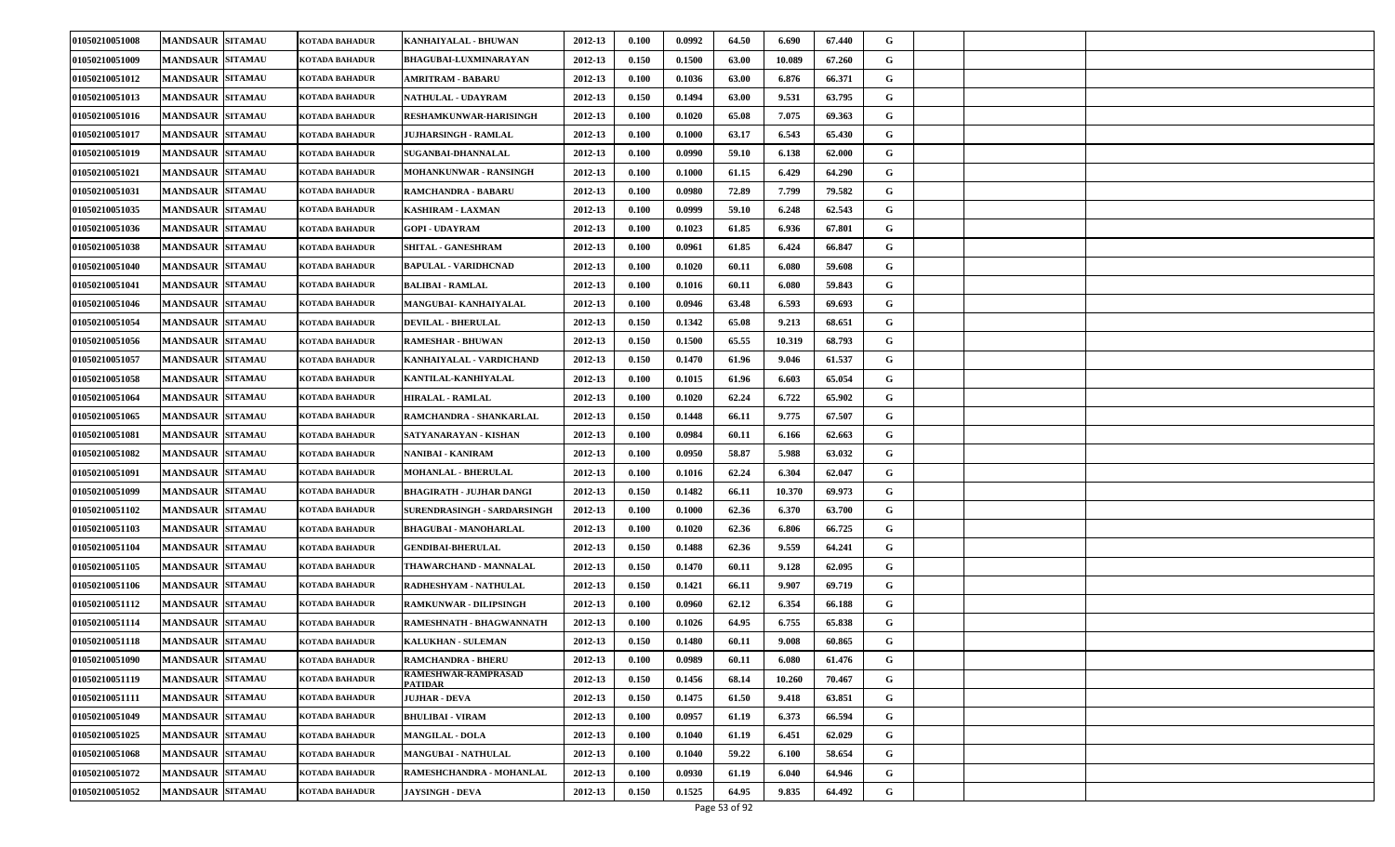| 01050210051008 | <b>MANDSAUR SITAMAU</b> | KOTADA BAHADUR        | KANHAIYALAL - BHUWAN                             | 2012-13 | 0.100 | 0.0992 | 64.50 | 6.690  | 67.440 | G |  |  |
|----------------|-------------------------|-----------------------|--------------------------------------------------|---------|-------|--------|-------|--------|--------|---|--|--|
| 01050210051009 | <b>MANDSAUR SITAMAU</b> | KOTADA BAHADUR        | <b>BHAGUBAI-LUXMINARAYAN</b>                     | 2012-13 | 0.150 | 0.1500 | 63.00 | 10.089 | 67.260 | G |  |  |
| 01050210051012 | <b>MANDSAUR SITAMAU</b> | KOTADA BAHADUR        | <b>AMRITRAM - BABARU</b>                         | 2012-13 | 0.100 | 0.1036 | 63.00 | 6.876  | 66.371 | G |  |  |
| 01050210051013 | <b>MANDSAUR SITAMAU</b> | KOTADA BAHADUR        | <b>NATHULAL - UDAYRAM</b>                        | 2012-13 | 0.150 | 0.1494 | 63.00 | 9.531  | 63.795 | G |  |  |
| 01050210051016 | <b>MANDSAUR SITAMAU</b> | KOTADA BAHADUR        | RESHAMKUNWAR-HARISINGH                           | 2012-13 | 0.100 | 0.1020 | 65.08 | 7.075  | 69.363 | G |  |  |
| 01050210051017 | <b>MANDSAUR SITAMAU</b> | KOTADA BAHADUR        | JUJHARSINGH - RAMLAL                             | 2012-13 | 0.100 | 0.1000 | 63.17 | 6.543  | 65.430 | G |  |  |
| 01050210051019 | <b>MANDSAUR SITAMAU</b> | KOTADA BAHADUR        | SUGANBAI-DHANNALAL                               | 2012-13 | 0.100 | 0.0990 | 59.10 | 6.138  | 62.000 | G |  |  |
| 01050210051021 | <b>MANDSAUR SITAMAU</b> | KOTADA BAHADUR        | <b>MOHANKUNWAR - RANSINGH</b>                    | 2012-13 | 0.100 | 0.1000 | 61.15 | 6.429  | 64.290 | G |  |  |
| 01050210051031 | <b>MANDSAUR SITAMAU</b> | KOTADA BAHADUR        | <b>RAMCHANDRA - BABARU</b>                       | 2012-13 | 0.100 | 0.0980 | 72.89 | 7.799  | 79.582 | G |  |  |
| 01050210051035 | <b>MANDSAUR SITAMAU</b> | KOTADA BAHADUR        | KASHIRAM - LAXMAN                                | 2012-13 | 0.100 | 0.0999 | 59.10 | 6.248  | 62.543 | G |  |  |
| 01050210051036 | <b>MANDSAUR SITAMAU</b> | KOTADA BAHADUR        | <b>GOPI - UDAYRAM</b>                            | 2012-13 | 0.100 | 0.1023 | 61.85 | 6.936  | 67.801 | G |  |  |
| 01050210051038 | <b>MANDSAUR SITAMAU</b> | KOTADA BAHADUR        | <b>SHITAL - GANESHRAM</b>                        | 2012-13 | 0.100 | 0.0961 | 61.85 | 6.424  | 66.847 | G |  |  |
| 01050210051040 | <b>MANDSAUR SITAMAU</b> | KOTADA BAHADUR        | BAPULAL - VARIDHCNAD                             | 2012-13 | 0.100 | 0.1020 | 60.11 | 6.080  | 59.608 | G |  |  |
| 01050210051041 | <b>MANDSAUR SITAMAU</b> | KOTADA BAHADUR        | <b>BALIBAI - RAMLAL</b>                          | 2012-13 | 0.100 | 0.1016 | 60.11 | 6.080  | 59.843 | G |  |  |
| 01050210051046 | <b>MANDSAUR SITAMAU</b> | KOTADA BAHADUR        | MANGUBAI- KANHAIYALAL                            | 2012-13 | 0.100 | 0.0946 | 63.48 | 6.593  | 69.693 | G |  |  |
| 01050210051054 | <b>MANDSAUR SITAMAU</b> | KOTADA BAHADUR        | <b>DEVILAL - BHERULAL</b>                        | 2012-13 | 0.150 | 0.1342 | 65.08 | 9.213  | 68.651 | G |  |  |
| 01050210051056 | <b>MANDSAUR SITAMAU</b> | KOTADA BAHADUR        | <b>RAMESHAR - BHUWAN</b>                         | 2012-13 | 0.150 | 0.1500 | 65.55 | 10.319 | 68.793 | G |  |  |
| 01050210051057 | <b>MANDSAUR SITAMAU</b> | KOTADA BAHADUR        | KANHAIYALAL - VARDICHAND                         | 2012-13 | 0.150 | 0.1470 | 61.96 | 9.046  | 61.537 | G |  |  |
| 01050210051058 | <b>MANDSAUR SITAMAU</b> | KOTADA BAHADUR        | KANTILAL-KANHIYALAL                              | 2012-13 | 0.100 | 0.1015 | 61.96 | 6.603  | 65.054 | G |  |  |
| 01050210051064 | <b>MANDSAUR SITAMAU</b> | KOTADA BAHADUR        | <b>HIRALAL - RAMLAL</b>                          | 2012-13 | 0.100 | 0.1020 | 62.24 | 6.722  | 65.902 | G |  |  |
| 01050210051065 | <b>MANDSAUR SITAMAU</b> | KOTADA BAHADUR        | RAMCHANDRA - SHANKARLAL                          | 2012-13 | 0.150 | 0.1448 | 66.11 | 9.775  | 67.507 | G |  |  |
| 01050210051081 | <b>MANDSAUR SITAMAU</b> | KOTADA BAHADUR        | SATYANARAYAN - KISHAN                            | 2012-13 | 0.100 | 0.0984 | 60.11 | 6.166  | 62.663 | G |  |  |
| 01050210051082 | <b>MANDSAUR SITAMAU</b> | KOTADA BAHADUR        | NANIBAI - KANIRAM                                | 2012-13 | 0.100 | 0.0950 | 58.87 | 5.988  | 63.032 | G |  |  |
| 01050210051091 | <b>MANDSAUR SITAMAU</b> | KOTADA BAHADUR        | <b>MOHANLAL - BHERULAL</b>                       | 2012-13 | 0.100 | 0.1016 | 62.24 | 6.304  | 62.047 | G |  |  |
| 01050210051099 | <b>MANDSAUR SITAMAU</b> | KOTADA BAHADUR        | BHAGIRATH - JUJHAR DANGI                         | 2012-13 | 0.150 | 0.1482 | 66.11 | 10.370 | 69.973 | G |  |  |
| 01050210051102 | <b>MANDSAUR SITAMAU</b> | KOTADA BAHADUR        | SURENDRASINGH - SARDARSINGH                      | 2012-13 | 0.100 | 0.1000 | 62.36 | 6.370  | 63.700 | G |  |  |
| 01050210051103 | <b>MANDSAUR SITAMAU</b> | KOTADA BAHADUR        | <b>BHAGUBAI - MANOHARLAL</b>                     | 2012-13 | 0.100 | 0.1020 | 62.36 | 6.806  | 66.725 | G |  |  |
| 01050210051104 | <b>MANDSAUR SITAMAU</b> | KOTADA BAHADUR        | <b>GENDIBAI-BHERULAL</b>                         | 2012-13 | 0.150 | 0.1488 | 62.36 | 9.559  | 64.241 | G |  |  |
| 01050210051105 | <b>MANDSAUR SITAMAU</b> | KOTADA BAHADUR        | THAWARCHAND - MANNALAL                           | 2012-13 | 0.150 | 0.1470 | 60.11 | 9.128  | 62.095 | G |  |  |
| 01050210051106 | <b>MANDSAUR SITAMAU</b> | KOTADA BAHADUR        | RADHESHYAM - NATHULAL                            | 2012-13 | 0.150 | 0.1421 | 66.11 | 9.907  | 69.719 | G |  |  |
| 01050210051112 | <b>MANDSAUR SITAMAU</b> | KOTADA BAHADUR        | RAMKUNWAR - DILIPSINGH                           | 2012-13 | 0.100 | 0.0960 | 62.12 | 6.354  | 66.188 | G |  |  |
| 01050210051114 | <b>MANDSAUR SITAMAU</b> | KOTADA BAHADUR        | RAMESHNATH - BHAGWANNATH                         | 2012-13 | 0.100 | 0.1026 | 64.95 | 6.755  | 65.838 | G |  |  |
| 01050210051118 | <b>MANDSAUR SITAMAU</b> | KOTADA BAHADUR        | <b>KALUKHAN - SULEMAN</b>                        | 2012-13 | 0.150 | 0.1480 | 60.11 | 9.008  | 60.865 | G |  |  |
| 01050210051090 | <b>MANDSAUR SITAMAU</b> | KOTADA BAHADUR        | <b>RAMCHANDRA - BHERU</b><br>RAMESHWAR-RAMPRASAD | 2012-13 | 0.100 | 0.0989 | 60.11 | 6.080  | 61.476 | G |  |  |
| 01050210051119 | <b>MANDSAUR SITAMAU</b> | KOTADA BAHADUR        | <b>PATIDAR</b>                                   | 2012-13 | 0.150 | 0.1456 | 68.14 | 10.260 | 70.467 | G |  |  |
| 01050210051111 | <b>MANDSAUR SITAMAU</b> | KOTADA BAHADUR        | JUJHAR - DEVA                                    | 2012-13 | 0.150 | 0.1475 | 61.50 | 9.418  | 63.851 | G |  |  |
| 01050210051049 | <b>MANDSAUR SITAMAU</b> | KOTADA BAHADUR        | <b>BHULIBAI - VIRAM</b>                          | 2012-13 | 0.100 | 0.0957 | 61.19 | 6.373  | 66.594 | G |  |  |
| 01050210051025 | <b>MANDSAUR SITAMAU</b> | KOTADA BAHADUR        | <b>MANGILAL - DOLA</b>                           | 2012-13 | 0.100 | 0.1040 | 61.19 | 6.451  | 62.029 | G |  |  |
| 01050210051068 | <b>MANDSAUR SITAMAU</b> | KOTADA BAHADUR        | <b>MANGUBAI - NATHULAL</b>                       | 2012-13 | 0.100 | 0.1040 | 59.22 | 6.100  | 58.654 | G |  |  |
| 01050210051072 | <b>MANDSAUR SITAMAU</b> | KOTADA BAHADUR        | RAMESHCHANDRA - MOHANLAL                         | 2012-13 | 0.100 | 0.0930 | 61.19 | 6.040  | 64.946 | G |  |  |
| 01050210051052 | <b>MANDSAUR SITAMAU</b> | <b>KOTADA BAHADUR</b> | <b>JAYSINGH - DEVA</b>                           | 2012-13 | 0.150 | 0.1525 | 64.95 | 9.835  | 64.492 | G |  |  |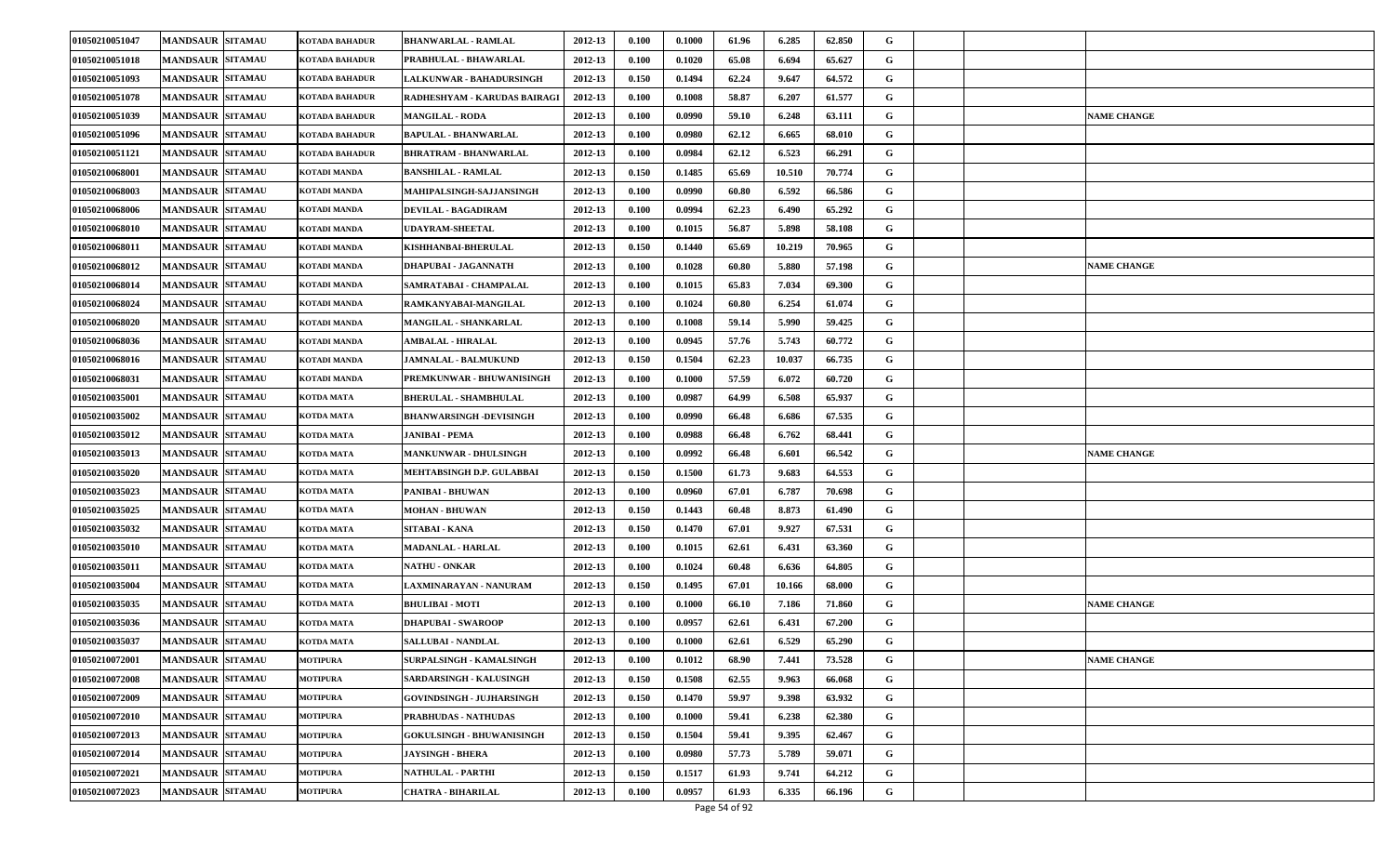| 01050210051047 | <b>MANDSAUR SITAMAU</b> | KOTADA BAHADUR      | <b>BHANWARLAL - RAMLAL</b>       | 2012-13 | 0.100 | 0.1000 | 61.96 | 6.285  | 62.850 | G           |                    |
|----------------|-------------------------|---------------------|----------------------------------|---------|-------|--------|-------|--------|--------|-------------|--------------------|
| 01050210051018 | <b>MANDSAUR SITAMAU</b> | KOTADA BAHADUR      | PRABHULAL - BHAWARLAL            | 2012-13 | 0.100 | 0.1020 | 65.08 | 6.694  | 65.627 | G           |                    |
| 01050210051093 | <b>MANDSAUR SITAMAU</b> | KOTADA BAHADUR      | LALKUNWAR - BAHADURSINGH         | 2012-13 | 0.150 | 0.1494 | 62.24 | 9.647  | 64.572 | G           |                    |
| 01050210051078 | <b>MANDSAUR SITAMAU</b> | KOTADA BAHADUR      | RADHESHYAM - KARUDAS BAIRAGI     | 2012-13 | 0.100 | 0.1008 | 58.87 | 6.207  | 61.577 | G           |                    |
| 01050210051039 | <b>MANDSAUR SITAMAU</b> | KOTADA BAHADUR      | <b>MANGILAL - RODA</b>           | 2012-13 | 0.100 | 0.0990 | 59.10 | 6.248  | 63.111 | G           | <b>NAME CHANGE</b> |
| 01050210051096 | <b>MANDSAUR SITAMAU</b> | KOTADA BAHADUR      | BAPULAL - BHANWARLAL             | 2012-13 | 0.100 | 0.0980 | 62.12 | 6.665  | 68.010 | G           |                    |
| 01050210051121 | <b>MANDSAUR SITAMAU</b> | KOTADA BAHADUR      | <b>BHRATRAM - BHANWARLAL</b>     | 2012-13 | 0.100 | 0.0984 | 62.12 | 6.523  | 66.291 | G           |                    |
| 01050210068001 | <b>MANDSAUR SITAMAU</b> | KOTADI MANDA        | <b>BANSHILAL - RAMLAL</b>        | 2012-13 | 0.150 | 0.1485 | 65.69 | 10.510 | 70.774 | G           |                    |
| 01050210068003 | <b>MANDSAUR SITAMAU</b> | KOTADI MANDA        | MAHIPALSINGH-SAJJANSINGH         | 2012-13 | 0.100 | 0.0990 | 60.80 | 6.592  | 66.586 | G           |                    |
| 01050210068006 | <b>MANDSAUR SITAMAU</b> | KOTADI MANDA        | <b>DEVILAL - BAGADIRAM</b>       | 2012-13 | 0.100 | 0.0994 | 62.23 | 6.490  | 65.292 | G           |                    |
| 01050210068010 | <b>MANDSAUR SITAMAU</b> | KOTADI MANDA        | <b>UDAYRAM-SHEETAL</b>           | 2012-13 | 0.100 | 0.1015 | 56.87 | 5.898  | 58.108 | G           |                    |
| 01050210068011 | <b>MANDSAUR SITAMAU</b> | KOTADI MANDA        | KISHHANBAI-BHERULAL              | 2012-13 | 0.150 | 0.1440 | 65.69 | 10.219 | 70.965 | G           |                    |
| 01050210068012 | <b>MANDSAUR SITAMAU</b> | KOTADI MANDA        | DHAPUBAI - JAGANNATH             | 2012-13 | 0.100 | 0.1028 | 60.80 | 5.880  | 57.198 | G           | <b>NAME CHANGE</b> |
| 01050210068014 | <b>MANDSAUR SITAMAU</b> | KOTADI MANDA        | SAMRATABAI - CHAMPALAL           | 2012-13 | 0.100 | 0.1015 | 65.83 | 7.034  | 69.300 | G           |                    |
| 01050210068024 | <b>MANDSAUR SITAMAU</b> | KOTADI MANDA        | RAMKANYABAI-MANGILAL             | 2012-13 | 0.100 | 0.1024 | 60.80 | 6.254  | 61.074 | G           |                    |
| 01050210068020 | <b>MANDSAUR SITAMAU</b> | KOTADI MANDA        | <b>MANGILAL - SHANKARLAL</b>     | 2012-13 | 0.100 | 0.1008 | 59.14 | 5.990  | 59.425 | G           |                    |
| 01050210068036 | <b>MANDSAUR SITAMAU</b> | KOTADI MANDA        | <b>AMBALAL - HIRALAL</b>         | 2012-13 | 0.100 | 0.0945 | 57.76 | 5.743  | 60.772 | G           |                    |
| 01050210068016 | <b>MANDSAUR SITAMAU</b> | <b>KOTADI MANDA</b> | <b>JAMNALAL - BALMUKUND</b>      | 2012-13 | 0.150 | 0.1504 | 62.23 | 10.037 | 66.735 | G           |                    |
| 01050210068031 | <b>MANDSAUR SITAMAU</b> | KOTADI MANDA        | PREMKUNWAR - BHUWANISINGH        | 2012-13 | 0.100 | 0.1000 | 57.59 | 6.072  | 60.720 | G           |                    |
| 01050210035001 | <b>MANDSAUR SITAMAU</b> | KOTDA MATA          | <b>BHERULAL - SHAMBHULAL</b>     | 2012-13 | 0.100 | 0.0987 | 64.99 | 6.508  | 65.937 | G           |                    |
| 01050210035002 | <b>MANDSAUR SITAMAU</b> | KOTDA MATA          | <b>BHANWARSINGH -DEVISINGH</b>   | 2012-13 | 0.100 | 0.0990 | 66.48 | 6.686  | 67.535 | G           |                    |
| 01050210035012 | <b>MANDSAUR SITAMAU</b> | <b>KOTDA MATA</b>   | <b>JANIBAI - PEMA</b>            | 2012-13 | 0.100 | 0.0988 | 66.48 | 6.762  | 68.441 | G           |                    |
| 01050210035013 | <b>MANDSAUR SITAMAU</b> | KOTDA MATA          | <b>MANKUNWAR - DHULSINGH</b>     | 2012-13 | 0.100 | 0.0992 | 66.48 | 6.601  | 66.542 | G           | <b>NAME CHANGE</b> |
| 01050210035020 | <b>MANDSAUR SITAMAU</b> | KOTDA MATA          | MEHTABSINGH D.P. GULABBAI        | 2012-13 | 0.150 | 0.1500 | 61.73 | 9.683  | 64.553 | G           |                    |
| 01050210035023 | <b>MANDSAUR SITAMAU</b> | KOTDA MATA          | PANIBAI - BHUWAN                 | 2012-13 | 0.100 | 0.0960 | 67.01 | 6.787  | 70.698 | G           |                    |
| 01050210035025 | <b>MANDSAUR SITAMAU</b> | <b>KOTDA MATA</b>   | <b>MOHAN - BHUWAN</b>            | 2012-13 | 0.150 | 0.1443 | 60.48 | 8.873  | 61.490 | G           |                    |
| 01050210035032 | <b>MANDSAUR SITAMAU</b> | KOTDA MATA          | SITABAI - KANA                   | 2012-13 | 0.150 | 0.1470 | 67.01 | 9.927  | 67.531 | G           |                    |
| 01050210035010 | <b>MANDSAUR SITAMAU</b> | KOTDA MATA          | <b>MADANLAL - HARLAL</b>         | 2012-13 | 0.100 | 0.1015 | 62.61 | 6.431  | 63.360 | G           |                    |
| 01050210035011 | <b>MANDSAUR SITAMAU</b> | KOTDA MATA          | <b>NATHU - ONKAR</b>             | 2012-13 | 0.100 | 0.1024 | 60.48 | 6.636  | 64.805 | G           |                    |
| 01050210035004 | <b>MANDSAUR SITAMAU</b> | KOTDA MATA          | LAXMINARAYAN - NANURAM           | 2012-13 | 0.150 | 0.1495 | 67.01 | 10.166 | 68.000 | G           |                    |
| 01050210035035 | <b>MANDSAUR SITAMAU</b> | KOTDA MATA          | <b>BHULIBAI - MOTI</b>           | 2012-13 | 0.100 | 0.1000 | 66.10 | 7.186  | 71.860 | G           | <b>NAME CHANGE</b> |
| 01050210035036 | <b>MANDSAUR SITAMAU</b> | KOTDA MATA          | DHAPUBAI - SWAROOP               | 2012-13 | 0.100 | 0.0957 | 62.61 | 6.431  | 67.200 | G           |                    |
| 01050210035037 | <b>MANDSAUR SITAMAU</b> | <b>KOTDA MATA</b>   | <b>SALLUBAI - NANDLAL</b>        | 2012-13 | 0.100 | 0.1000 | 62.61 | 6.529  | 65.290 | G           |                    |
| 01050210072001 | <b>MANDSAUR SITAMAU</b> | <b>MOTIPURA</b>     | SURPALSINGH - KAMALSINGH         | 2012-13 | 0.100 | 0.1012 | 68.90 | 7.441  | 73.528 | G           | <b>NAME CHANGE</b> |
| 01050210072008 | <b>MANDSAUR SITAMAU</b> | <b>MOTIPURA</b>     | SARDARSINGH - KALUSINGH          | 2012-13 | 0.150 | 0.1508 | 62.55 | 9.963  | 66.068 | $\mathbf G$ |                    |
| 01050210072009 | MANDSAUR SITAMAU        | <b>MOTIPURA</b>     | GOVINDSINGH - JUJHARSINGH        | 2012-13 | 0.150 | 0.1470 | 59.97 | 9.398  | 63.932 | $\mathbf G$ |                    |
| 01050210072010 | <b>MANDSAUR SITAMAU</b> | <b>MOTIPURA</b>     | PRABHUDAS - NATHUDAS             | 2012-13 | 0.100 | 0.1000 | 59.41 | 6.238  | 62.380 | $\mathbf G$ |                    |
| 01050210072013 | <b>MANDSAUR SITAMAU</b> | <b>MOTIPURA</b>     | <b>GOKULSINGH - BHUWANISINGH</b> | 2012-13 | 0.150 | 0.1504 | 59.41 | 9.395  | 62.467 | $\mathbf G$ |                    |
| 01050210072014 | <b>MANDSAUR SITAMAU</b> | <b>MOTIPURA</b>     | <b>JAYSINGH - BHERA</b>          | 2012-13 | 0.100 | 0.0980 | 57.73 | 5.789  | 59.071 | G           |                    |
| 01050210072021 | <b>MANDSAUR SITAMAU</b> | <b>MOTIPURA</b>     | <b>NATHULAL - PARTHI</b>         | 2012-13 | 0.150 | 0.1517 | 61.93 | 9.741  | 64.212 | G           |                    |
| 01050210072023 | <b>MANDSAUR SITAMAU</b> | <b>MOTIPURA</b>     | CHATRA - BIHARILAL               | 2012-13 | 0.100 | 0.0957 | 61.93 | 6.335  | 66.196 | G           |                    |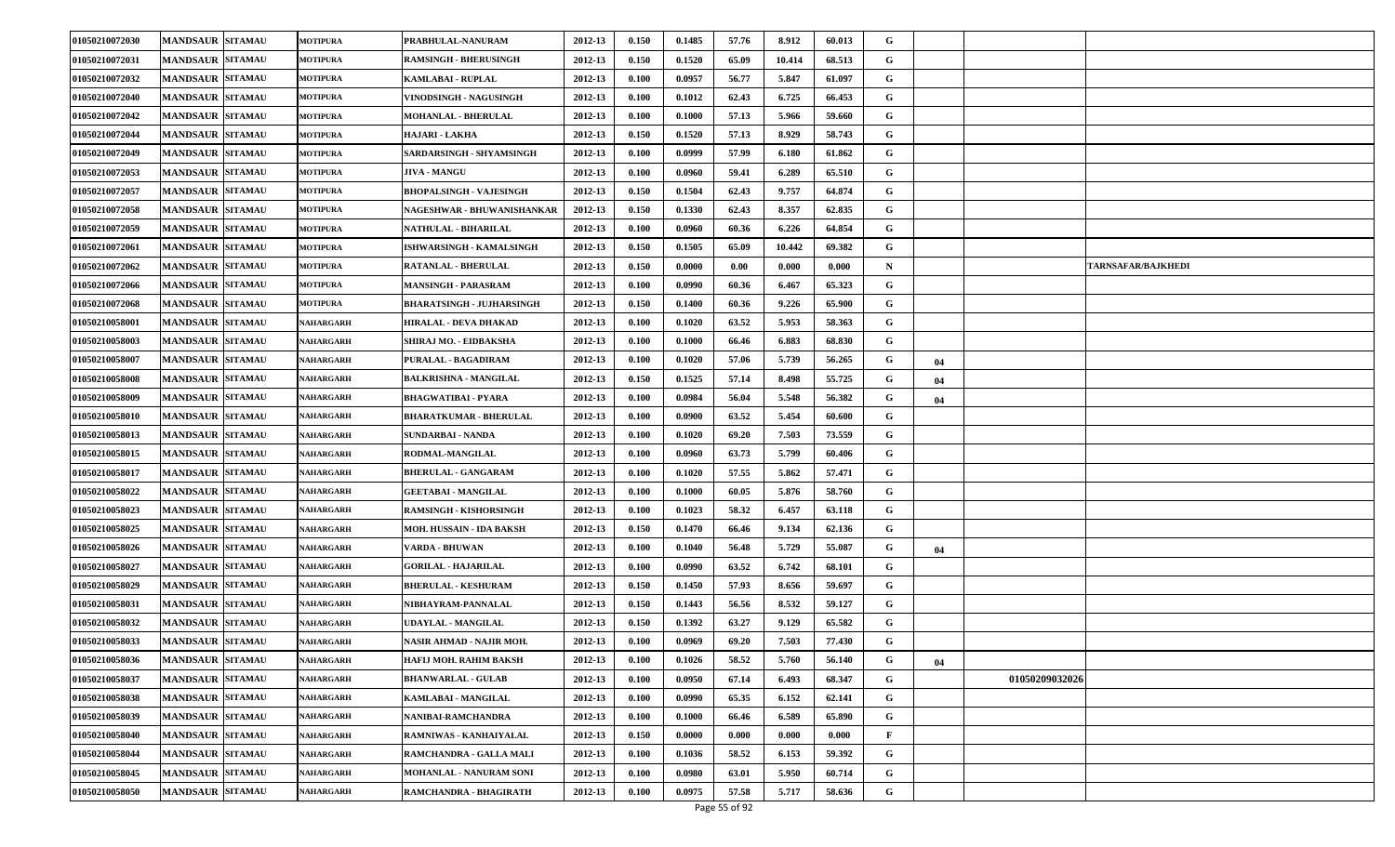| 01050210072030 | <b>MANDSAUR SITAMAU</b> | <b>MOTIPURA</b>  | PRABHULAL-NANURAM               | 2012-13 | 0.150 | 0.1485 | 57.76 | 8.912  | 60.013 | G            |    |                |                           |
|----------------|-------------------------|------------------|---------------------------------|---------|-------|--------|-------|--------|--------|--------------|----|----------------|---------------------------|
| 01050210072031 | <b>MANDSAUR SITAMAU</b> | <b>MOTIPURA</b>  | <b>RAMSINGH - BHERUSINGH</b>    | 2012-13 | 0.150 | 0.1520 | 65.09 | 10.414 | 68.513 | G            |    |                |                           |
| 01050210072032 | <b>MANDSAUR SITAMAU</b> | <b>MOTIPURA</b>  | KAMLABAI - RUPLAL               | 2012-13 | 0.100 | 0.0957 | 56.77 | 5.847  | 61.097 | G            |    |                |                           |
| 01050210072040 | <b>MANDSAUR SITAMAU</b> | <b>MOTIPURA</b>  | VINODSINGH - NAGUSINGH          | 2012-13 | 0.100 | 0.1012 | 62.43 | 6.725  | 66.453 | G            |    |                |                           |
| 01050210072042 | <b>MANDSAUR SITAMAU</b> | <b>MOTIPURA</b>  | <b>MOHANLAL - BHERULAL</b>      | 2012-13 | 0.100 | 0.1000 | 57.13 | 5.966  | 59.660 | G            |    |                |                           |
| 01050210072044 | <b>MANDSAUR SITAMAU</b> | <b>MOTIPURA</b>  | HAJARI - LAKHA                  | 2012-13 | 0.150 | 0.1520 | 57.13 | 8.929  | 58.743 | G            |    |                |                           |
| 01050210072049 | <b>MANDSAUR SITAMAU</b> | <b>MOTIPURA</b>  | SARDARSINGH - SHYAMSINGH        | 2012-13 | 0.100 | 0.0999 | 57.99 | 6.180  | 61.862 | G            |    |                |                           |
| 01050210072053 | <b>MANDSAUR SITAMAU</b> | <b>MOTIPURA</b>  | <b>JIVA - MANGU</b>             | 2012-13 | 0.100 | 0.0960 | 59.41 | 6.289  | 65.510 | G            |    |                |                           |
| 01050210072057 | <b>MANDSAUR SITAMAU</b> | <b>MOTIPURA</b>  | <b>BHOPALSINGH - VAJESINGH</b>  | 2012-13 | 0.150 | 0.1504 | 62.43 | 9.757  | 64.874 | G            |    |                |                           |
| 01050210072058 | <b>MANDSAUR SITAMAU</b> | <b>MOTIPURA</b>  | NAGESHWAR - BHUWANISHANKAR      | 2012-13 | 0.150 | 0.1330 | 62.43 | 8.357  | 62.835 | G            |    |                |                           |
| 01050210072059 | <b>MANDSAUR SITAMAU</b> | <b>MOTIPURA</b>  | NATHULAL - BIHARILAL            | 2012-13 | 0.100 | 0.0960 | 60.36 | 6.226  | 64.854 | G            |    |                |                           |
| 01050210072061 | <b>MANDSAUR SITAMAU</b> | <b>MOTIPURA</b>  | <b>ISHWARSINGH - KAMALSINGH</b> | 2012-13 | 0.150 | 0.1505 | 65.09 | 10.442 | 69.382 | G            |    |                |                           |
| 01050210072062 | <b>MANDSAUR SITAMAU</b> | <b>MOTIPURA</b>  | <b>RATANLAL - BHERULAL</b>      | 2012-13 | 0.150 | 0.0000 | 0.00  | 0.000  | 0.000  | $\mathbf N$  |    |                | <b>TARNSAFAR/BAJKHEDI</b> |
| 01050210072066 | <b>MANDSAUR SITAMAU</b> | <b>MOTIPURA</b>  | <b>MANSINGH - PARASRAM</b>      | 2012-13 | 0.100 | 0.0990 | 60.36 | 6.467  | 65.323 | G            |    |                |                           |
| 01050210072068 | <b>MANDSAUR SITAMAU</b> | <b>MOTIPURA</b>  | BHARATSINGH - JUJHARSINGH       | 2012-13 | 0.150 | 0.1400 | 60.36 | 9.226  | 65.900 | G            |    |                |                           |
| 01050210058001 | <b>MANDSAUR SITAMAU</b> | NAHARGARH        | HIRALAL - DEVA DHAKAD           | 2012-13 | 0.100 | 0.1020 | 63.52 | 5.953  | 58.363 | G            |    |                |                           |
| 01050210058003 | <b>MANDSAUR SITAMAU</b> | NAHARGARH        | SHIRAJ MO. - EIDBAKSHA          | 2012-13 | 0.100 | 0.1000 | 66.46 | 6.883  | 68.830 | G            |    |                |                           |
| 01050210058007 | <b>MANDSAUR SITAMAU</b> | NAHARGARH        | PURALAL - BAGADIRAM             | 2012-13 | 0.100 | 0.1020 | 57.06 | 5.739  | 56.265 | G            | 04 |                |                           |
| 01050210058008 | <b>MANDSAUR SITAMAU</b> | NAHARGARH        | BALKRISHNA - MANGILAL           | 2012-13 | 0.150 | 0.1525 | 57.14 | 8.498  | 55.725 | G            | 04 |                |                           |
| 01050210058009 | <b>MANDSAUR SITAMAU</b> | NAHARGARH        | BHAGWATIBAI - PYARA             | 2012-13 | 0.100 | 0.0984 | 56.04 | 5.548  | 56.382 | G            | 04 |                |                           |
| 01050210058010 | <b>MANDSAUR SITAMAU</b> | NAHARGARH        | <b>BHARATKUMAR - BHERULAL</b>   | 2012-13 | 0.100 | 0.0900 | 63.52 | 5.454  | 60.600 | G            |    |                |                           |
| 01050210058013 | <b>MANDSAUR SITAMAU</b> | NAHARGARH        | SUNDARBAI - NANDA               | 2012-13 | 0.100 | 0.1020 | 69.20 | 7.503  | 73.559 | G            |    |                |                           |
| 01050210058015 | <b>MANDSAUR SITAMAU</b> | NAHARGARH        | RODMAL-MANGILAL                 | 2012-13 | 0.100 | 0.0960 | 63.73 | 5.799  | 60.406 | G            |    |                |                           |
| 01050210058017 | <b>MANDSAUR SITAMAU</b> | NAHARGARH        | <b>BHERULAL - GANGARAM</b>      | 2012-13 | 0.100 | 0.1020 | 57.55 | 5.862  | 57.471 | G            |    |                |                           |
| 01050210058022 | <b>MANDSAUR SITAMAU</b> | NAHARGARH        | <b>GEETABAI - MANGILAL</b>      | 2012-13 | 0.100 | 0.1000 | 60.05 | 5.876  | 58.760 | G            |    |                |                           |
| 01050210058023 | <b>MANDSAUR SITAMAU</b> | NAHARGARH        | <b>RAMSINGH - KISHORSINGH</b>   | 2012-13 | 0.100 | 0.1023 | 58.32 | 6.457  | 63.118 | G            |    |                |                           |
| 01050210058025 | <b>MANDSAUR SITAMAU</b> | NAHARGARH        | MOH. HUSSAIN - IDA BAKSH        | 2012-13 | 0.150 | 0.1470 | 66.46 | 9.134  | 62.136 | G            |    |                |                           |
| 01050210058026 | <b>MANDSAUR SITAMAU</b> | NAHARGARH        | VARDA - BHUWAN                  | 2012-13 | 0.100 | 0.1040 | 56.48 | 5.729  | 55.087 | G            | 04 |                |                           |
| 01050210058027 | <b>MANDSAUR SITAMAU</b> | NAHARGARH        | <b>GORILAL - HAJARILAL</b>      | 2012-13 | 0.100 | 0.0990 | 63.52 | 6.742  | 68.101 | G            |    |                |                           |
| 01050210058029 | <b>MANDSAUR SITAMAU</b> | NAHARGARH        | <b>BHERULAL - KESHURAM</b>      | 2012-13 | 0.150 | 0.1450 | 57.93 | 8.656  | 59.697 | G            |    |                |                           |
| 01050210058031 | <b>MANDSAUR SITAMAU</b> | NAHARGARH        | NIBHAYRAM-PANNALAL              | 2012-13 | 0.150 | 0.1443 | 56.56 | 8.532  | 59.127 | G            |    |                |                           |
| 01050210058032 | <b>MANDSAUR SITAMAU</b> | NAHARGARH        | UDAYLAL - MANGILAL              | 2012-13 | 0.150 | 0.1392 | 63.27 | 9.129  | 65.582 | G            |    |                |                           |
| 01050210058033 | <b>MANDSAUR SITAMAU</b> | NAHARGARH        | NASIR AHMAD - NAJIR MOH.        | 2012-13 | 0.100 | 0.0969 | 69.20 | 7.503  | 77.430 | G            |    |                |                           |
| 01050210058036 | <b>MANDSAUR SITAMAU</b> | NAHARGARH        | HAFIJ MOH. RAHIM BAKSH          | 2012-13 | 0.100 | 0.1026 | 58.52 | 5.760  | 56.140 | G            | 04 |                |                           |
| 01050210058037 | <b>MANDSAUR SITAMAU</b> | <b>NAHARGARH</b> | <b>BHANWARLAL - GULAB</b>       | 2012-13 | 0.100 | 0.0950 | 67.14 | 6.493  | 68.347 | G            |    | 01050209032026 |                           |
| 01050210058038 | <b>MANDSAUR SITAMAU</b> | NAHARGARH        | KAMLABAI - MANGILAL             | 2012-13 | 0.100 | 0.0990 | 65.35 | 6.152  | 62.141 | G            |    |                |                           |
| 01050210058039 | <b>MANDSAUR SITAMAU</b> | <b>NAHARGARH</b> | NANIBAI-RAMCHANDRA              | 2012-13 | 0.100 | 0.1000 | 66.46 | 6.589  | 65.890 | G            |    |                |                           |
| 01050210058040 | <b>MANDSAUR SITAMAU</b> | NAHARGARH        | RAMNIWAS - KANHAIYALAL          | 2012-13 | 0.150 | 0.0000 | 0.000 | 0.000  | 0.000  | $\mathbf{F}$ |    |                |                           |
| 01050210058044 | <b>MANDSAUR SITAMAU</b> | NAHARGARH        | RAMCHANDRA - GALLA MALI         | 2012-13 | 0.100 | 0.1036 | 58.52 | 6.153  | 59.392 | G            |    |                |                           |
| 01050210058045 | <b>MANDSAUR SITAMAU</b> | <b>NAHARGARH</b> | <b>MOHANLAL - NANURAM SONI</b>  | 2012-13 | 0.100 | 0.0980 | 63.01 | 5.950  | 60.714 | G            |    |                |                           |
| 01050210058050 | <b>MANDSAUR SITAMAU</b> | NAHARGARH        | RAMCHANDRA - BHAGIRATH          | 2012-13 | 0.100 | 0.0975 | 57.58 | 5.717  | 58.636 | G            |    |                |                           |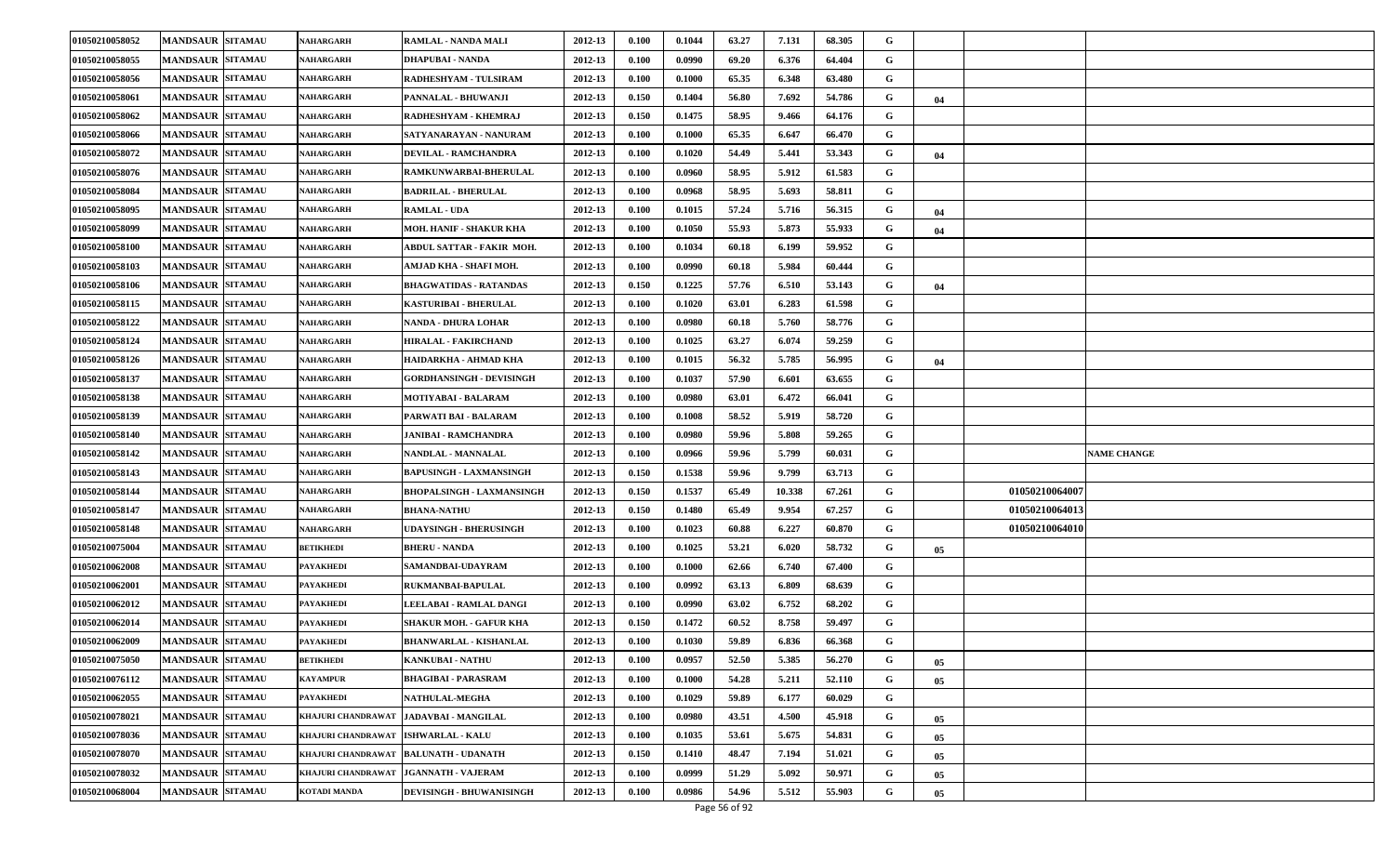| 01050210058052 | <b>MANDSAUR SITAMAU</b> | NAHARGARH                           | RAMLAL - NANDA MALI                      | 2012-13 | 0.100 | 0.1044 | 63.27 | 7.131  | 68.305 | G |    |                    |
|----------------|-------------------------|-------------------------------------|------------------------------------------|---------|-------|--------|-------|--------|--------|---|----|--------------------|
| 01050210058055 | <b>MANDSAUR SITAMAU</b> | NAHARGARH                           | DHAPUBAI - NANDA                         | 2012-13 | 0.100 | 0.0990 | 69.20 | 6.376  | 64.404 | G |    |                    |
| 01050210058056 | <b>MANDSAUR SITAMAU</b> | NAHARGARH                           | RADHESHYAM - TULSIRAM                    | 2012-13 | 0.100 | 0.1000 | 65.35 | 6.348  | 63.480 | G |    |                    |
| 01050210058061 | <b>MANDSAUR SITAMAU</b> | NAHARGARH                           | PANNALAL - BHUWANJI                      | 2012-13 | 0.150 | 0.1404 | 56.80 | 7.692  | 54.786 | G | 04 |                    |
| 01050210058062 | <b>MANDSAUR SITAMAU</b> | NAHARGARH                           | RADHESHYAM - KHEMRAJ                     | 2012-13 | 0.150 | 0.1475 | 58.95 | 9.466  | 64.176 | G |    |                    |
| 01050210058066 | <b>MANDSAUR SITAMAU</b> | NAHARGARH                           | SATYANARAYAN - NANURAM                   | 2012-13 | 0.100 | 0.1000 | 65.35 | 6.647  | 66.470 | G |    |                    |
| 01050210058072 | <b>MANDSAUR SITAMAU</b> | NAHARGARH                           | <b>DEVILAL - RAMCHANDRA</b>              | 2012-13 | 0.100 | 0.1020 | 54.49 | 5.441  | 53.343 | G | 04 |                    |
| 01050210058076 | <b>MANDSAUR SITAMAU</b> | NAHARGARH                           | RAMKUNWARBAI-BHERULAL                    | 2012-13 | 0.100 | 0.0960 | 58.95 | 5.912  | 61.583 | G |    |                    |
| 01050210058084 | <b>MANDSAUR SITAMAU</b> | NAHARGARH                           | <b>BADRILAL - BHERULAL</b>               | 2012-13 | 0.100 | 0.0968 | 58.95 | 5.693  | 58.811 | G |    |                    |
| 01050210058095 | <b>MANDSAUR SITAMAU</b> | NAHARGARH                           | <b>RAMLAL - UDA</b>                      | 2012-13 | 0.100 | 0.1015 | 57.24 | 5.716  | 56.315 | G | 04 |                    |
| 01050210058099 | <b>MANDSAUR SITAMAU</b> | <b>NAHARGARH</b>                    | MOH. HANIF - SHAKUR KHA                  | 2012-13 | 0.100 | 0.1050 | 55.93 | 5.873  | 55.933 | G | 04 |                    |
| 01050210058100 | <b>MANDSAUR SITAMAU</b> | NAHARGARH                           | ABDUL SATTAR - FAKIR MOH.                | 2012-13 | 0.100 | 0.1034 | 60.18 | 6.199  | 59.952 | G |    |                    |
| 01050210058103 | <b>MANDSAUR SITAMAU</b> | NAHARGARH                           | AMJAD KHA - SHAFI MOH.                   | 2012-13 | 0.100 | 0.0990 | 60.18 | 5.984  | 60.444 | G |    |                    |
| 01050210058106 | <b>MANDSAUR SITAMAU</b> | <b>NAHARGARH</b>                    | <b>BHAGWATIDAS - RATANDAS</b>            | 2012-13 | 0.150 | 0.1225 | 57.76 | 6.510  | 53.143 | G | 04 |                    |
| 01050210058115 | <b>MANDSAUR SITAMAU</b> | NAHARGARH                           | KASTURIBAI - BHERULAL                    | 2012-13 | 0.100 | 0.1020 | 63.01 | 6.283  | 61.598 | G |    |                    |
| 01050210058122 | <b>MANDSAUR SITAMAU</b> | NAHARGARH                           | NANDA - DHURA LOHAR                      | 2012-13 | 0.100 | 0.0980 | 60.18 | 5.760  | 58.776 | G |    |                    |
| 01050210058124 | <b>MANDSAUR SITAMAU</b> | NAHARGARH                           | HIRALAL - FAKIRCHAND                     | 2012-13 | 0.100 | 0.1025 | 63.27 | 6.074  | 59.259 | G |    |                    |
| 01050210058126 | <b>MANDSAUR SITAMAU</b> | <b>NAHARGARH</b>                    | HAIDARKHA - AHMAD KHA                    | 2012-13 | 0.100 | 0.1015 | 56.32 | 5.785  | 56.995 | G | 04 |                    |
| 01050210058137 | <b>MANDSAUR SITAMAU</b> | NAHARGARH                           | <b>GORDHANSINGH - DEVISINGH</b>          | 2012-13 | 0.100 | 0.1037 | 57.90 | 6.601  | 63.655 | G |    |                    |
| 01050210058138 | <b>MANDSAUR SITAMAU</b> | NAHARGARH                           | <b>MOTIYABAI - BALARAM</b>               | 2012-13 | 0.100 | 0.0980 | 63.01 | 6.472  | 66.041 | G |    |                    |
| 01050210058139 | <b>MANDSAUR SITAMAU</b> | NAHARGARH                           | PARWATI BAI - BALARAM                    | 2012-13 | 0.100 | 0.1008 | 58.52 | 5.919  | 58.720 | G |    |                    |
| 01050210058140 | <b>MANDSAUR SITAMAU</b> | <b>NAHARGARH</b>                    | JANIBAI - RAMCHANDRA                     | 2012-13 | 0.100 | 0.0980 | 59.96 | 5.808  | 59.265 | G |    |                    |
| 01050210058142 | <b>MANDSAUR SITAMAU</b> | NAHARGARH                           | NANDLAL - MANNALAL                       | 2012-13 | 0.100 | 0.0966 | 59.96 | 5.799  | 60.031 | G |    | <b>NAME CHANGE</b> |
| 01050210058143 | <b>MANDSAUR SITAMAU</b> | NAHARGARH                           | <b>BAPUSINGH - LAXMANSINGH</b>           | 2012-13 | 0.150 | 0.1538 | 59.96 | 9.799  | 63.713 | G |    |                    |
| 01050210058144 | <b>MANDSAUR SITAMAU</b> | NAHARGARH                           | <b>BHOPALSINGH - LAXMANSINGH</b>         | 2012-13 | 0.150 | 0.1537 | 65.49 | 10.338 | 67.261 | G |    | 01050210064007     |
| 01050210058147 | <b>MANDSAUR SITAMAU</b> | <b>NAHARGARH</b>                    | <b>BHANA-NATHU</b>                       | 2012-13 | 0.150 | 0.1480 | 65.49 | 9.954  | 67.257 | G |    | 01050210064013     |
| 01050210058148 | <b>MANDSAUR SITAMAU</b> | NAHARGARH                           | UDAYSINGH - BHERUSINGH                   | 2012-13 | 0.100 | 0.1023 | 60.88 | 6.227  | 60.870 | G |    | 01050210064010     |
| 01050210075004 | <b>MANDSAUR SITAMAU</b> | <b>BETIKHEDI</b>                    | <b>BHERU - NANDA</b>                     | 2012-13 | 0.100 | 0.1025 | 53.21 | 6.020  | 58.732 | G | 05 |                    |
| 01050210062008 | <b>MANDSAUR SITAMAU</b> | <b>PAYAKHEDI</b>                    | SAMANDBAI-UDAYRAM                        | 2012-13 | 0.100 | 0.1000 | 62.66 | 6.740  | 67.400 | G |    |                    |
| 01050210062001 | <b>MANDSAUR SITAMAU</b> | <b>PAYAKHEDI</b>                    | RUKMANBAI-BAPULAL                        | 2012-13 | 0.100 | 0.0992 | 63.13 | 6.809  | 68.639 | G |    |                    |
| 01050210062012 | <b>MANDSAUR SITAMAU</b> | PAYAKHEDI                           | LEELABAI - RAMLAL DANGI                  | 2012-13 | 0.100 | 0.0990 | 63.02 | 6.752  | 68.202 | G |    |                    |
| 01050210062014 | <b>MANDSAUR SITAMAU</b> | PAYAKHEDI                           | <b>SHAKUR MOH. - GAFUR KHA</b>           | 2012-13 | 0.150 | 0.1472 | 60.52 | 8.758  | 59.497 | G |    |                    |
| 01050210062009 | <b>MANDSAUR SITAMAU</b> | PAYAKHEDI                           | <b>BHANWARLAL - KISHANLAL</b>            | 2012-13 | 0.100 | 0.1030 | 59.89 | 6.836  | 66.368 | G |    |                    |
| 01050210075050 | <b>MANDSAUR SITAMAU</b> | <b>BETIKHEDI</b>                    | KANKUBAI - NATHU                         | 2012-13 | 0.100 | 0.0957 | 52.50 | 5.385  | 56.270 | G | 05 |                    |
| 01050210076112 | <b>MANDSAUR SITAMAU</b> | <b>KAYAMPUR</b>                     | BHAGIBAI - PARASRAM                      | 2012-13 | 0.100 | 0.1000 | 54.28 | 5.211  | 52.110 | G | 05 |                    |
| 01050210062055 | <b>MANDSAUR SITAMAU</b> | <b>PAYAKHEDI</b>                    | <b>NATHULAL-MEGHA</b>                    | 2012-13 | 0.100 | 0.1029 | 59.89 | 6.177  | 60.029 | G |    |                    |
| 01050210078021 | <b>MANDSAUR SITAMAU</b> |                                     | KHAJURI CHANDRAWAT   JADAVBAI - MANGILAL | 2012-13 | 0.100 | 0.0980 | 43.51 | 4.500  | 45.918 | G | 05 |                    |
| 01050210078036 | <b>MANDSAUR SITAMAU</b> | KHAJURI CHANDRAWAT ISHWARLAL - KALU |                                          | 2012-13 | 0.100 | 0.1035 | 53.61 | 5.675  | 54.831 | G | 05 |                    |
| 01050210078070 | <b>MANDSAUR SITAMAU</b> |                                     | KHAJURI CHANDRAWAT   BALUNATH - UDANATH  | 2012-13 | 0.150 | 0.1410 | 48.47 | 7.194  | 51.021 | G | 05 |                    |
| 01050210078032 | <b>MANDSAUR SITAMAU</b> | KHAJURI CHANDRAWAT                  | <b>JGANNATH - VAJERAM</b>                | 2012-13 | 0.100 | 0.0999 | 51.29 | 5.092  | 50.971 | G | 05 |                    |
| 01050210068004 | <b>MANDSAUR SITAMAU</b> | KOTADI MANDA                        | <b>DEVISINGH - BHUWANISINGH</b>          | 2012-13 | 0.100 | 0.0986 | 54.96 | 5.512  | 55.903 | G | 05 |                    |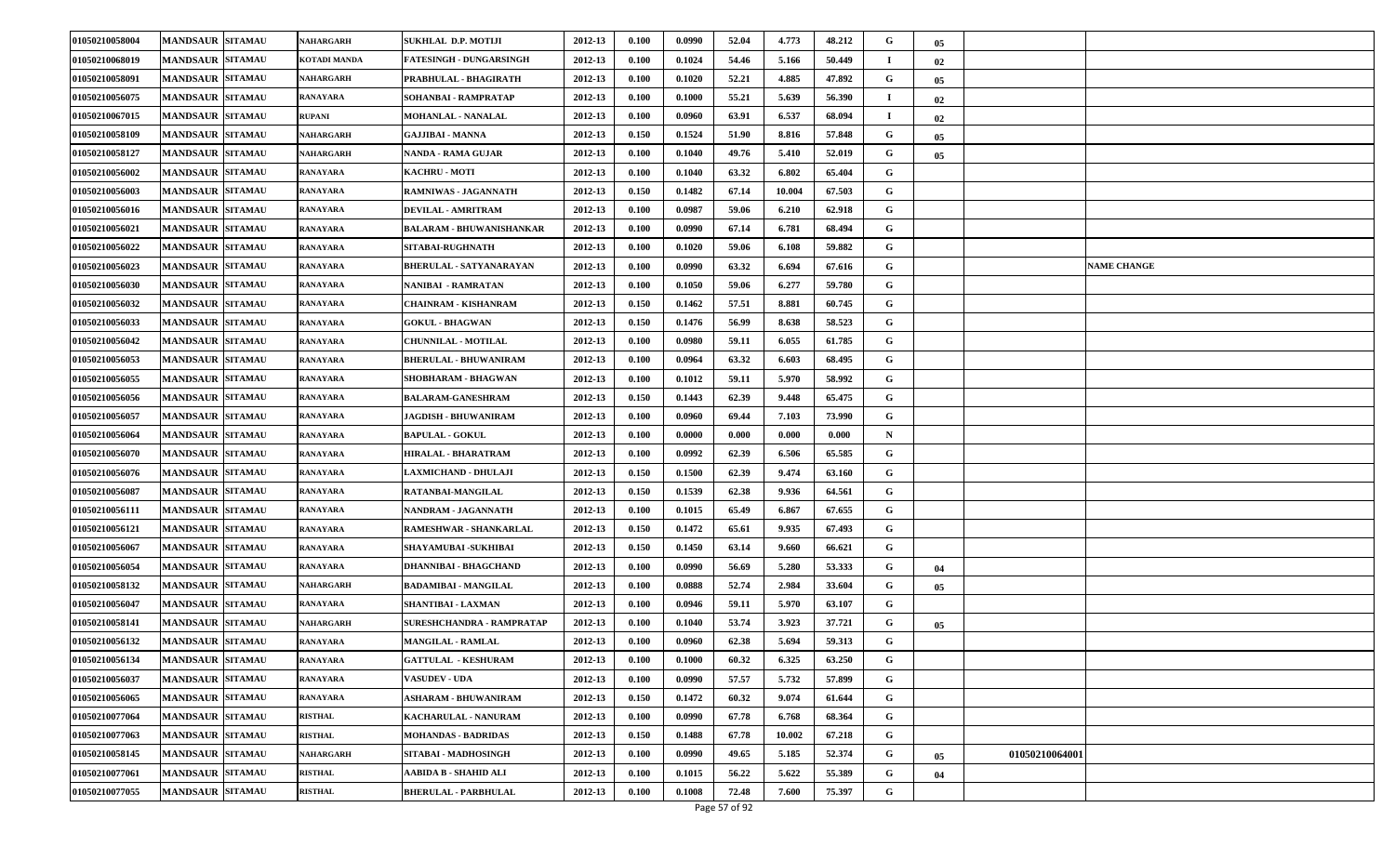| 01050210058004 | <b>MANDSAUR SITAMAU</b> | NAHARGARH       | SUKHLAL D.P. MOTIJI             | 2012-13 | 0.100 | 0.0990 | 52.04 | 4.773  | 48.212 | G           | 05 |                |                    |
|----------------|-------------------------|-----------------|---------------------------------|---------|-------|--------|-------|--------|--------|-------------|----|----------------|--------------------|
| 01050210068019 | <b>MANDSAUR SITAMAU</b> | KOTADI MANDA    | <b>FATESINGH - DUNGARSINGH</b>  | 2012-13 | 0.100 | 0.1024 | 54.46 | 5.166  | 50.449 |             | 02 |                |                    |
| 01050210058091 | <b>MANDSAUR SITAMAU</b> | NAHARGARH       | PRABHULAL - BHAGIRATH           | 2012-13 | 0.100 | 0.1020 | 52.21 | 4.885  | 47.892 | G           | 05 |                |                    |
| 01050210056075 | <b>MANDSAUR SITAMAU</b> | RANAYARA        | SOHANBAI - RAMPRATAP            | 2012-13 | 0.100 | 0.1000 | 55.21 | 5.639  | 56.390 |             | 02 |                |                    |
| 01050210067015 | <b>MANDSAUR SITAMAU</b> | <b>RUPANI</b>   | <b>MOHANLAL - NANALAL</b>       | 2012-13 | 0.100 | 0.0960 | 63.91 | 6.537  | 68.094 |             | 02 |                |                    |
| 01050210058109 | <b>MANDSAUR SITAMAU</b> | NAHARGARH       | GAJJIBAI - MANNA                | 2012-13 | 0.150 | 0.1524 | 51.90 | 8.816  | 57.848 | G           | 05 |                |                    |
| 01050210058127 | <b>MANDSAUR SITAMAU</b> | NAHARGARH       | NANDA - RAMA GUJAR              | 2012-13 | 0.100 | 0.1040 | 49.76 | 5.410  | 52.019 | G           | 05 |                |                    |
| 01050210056002 | <b>MANDSAUR SITAMAU</b> | RANAYARA        | <b>KACHRU - MOTI</b>            | 2012-13 | 0.100 | 0.1040 | 63.32 | 6.802  | 65.404 | G           |    |                |                    |
| 01050210056003 | <b>MANDSAUR SITAMAU</b> | RANAYARA        | RAMNIWAS - JAGANNATH            | 2012-13 | 0.150 | 0.1482 | 67.14 | 10.004 | 67.503 | G           |    |                |                    |
| 01050210056016 | <b>MANDSAUR SITAMAU</b> | RANAYARA        | DEVILAL - AMRITRAM              | 2012-13 | 0.100 | 0.0987 | 59.06 | 6.210  | 62.918 | G           |    |                |                    |
| 01050210056021 | <b>MANDSAUR SITAMAU</b> | RANAYARA        | <b>BALARAM - BHUWANISHANKAR</b> | 2012-13 | 0.100 | 0.0990 | 67.14 | 6.781  | 68.494 | G           |    |                |                    |
| 01050210056022 | <b>MANDSAUR SITAMAU</b> | RANAYARA        | <b>SITABAI-RUGHNATH</b>         | 2012-13 | 0.100 | 0.1020 | 59.06 | 6.108  | 59.882 | G           |    |                |                    |
| 01050210056023 | <b>MANDSAUR SITAMAU</b> | RANAYARA        | <b>BHERULAL - SATYANARAYAN</b>  | 2012-13 | 0.100 | 0.0990 | 63.32 | 6.694  | 67.616 | G           |    |                | <b>NAME CHANGE</b> |
| 01050210056030 | <b>MANDSAUR SITAMAU</b> | RANAYARA        | NANIBAI - RAMRATAN              | 2012-13 | 0.100 | 0.1050 | 59.06 | 6.277  | 59.780 | G           |    |                |                    |
| 01050210056032 | <b>MANDSAUR SITAMAU</b> | RANAYARA        | <b>CHAINRAM - KISHANRAM</b>     | 2012-13 | 0.150 | 0.1462 | 57.51 | 8.881  | 60.745 | G           |    |                |                    |
| 01050210056033 | <b>MANDSAUR SITAMAU</b> | RANAYARA        | <b>GOKUL - BHAGWAN</b>          | 2012-13 | 0.150 | 0.1476 | 56.99 | 8.638  | 58.523 | G           |    |                |                    |
| 01050210056042 | <b>MANDSAUR SITAMAU</b> | RANAYARA        | <b>CHUNNILAL - MOTILAL</b>      | 2012-13 | 0.100 | 0.0980 | 59.11 | 6.055  | 61.785 | G           |    |                |                    |
| 01050210056053 | <b>MANDSAUR SITAMAU</b> | RANAYARA        | <b>BHERULAL - BHUWANIRAM</b>    | 2012-13 | 0.100 | 0.0964 | 63.32 | 6.603  | 68.495 | G           |    |                |                    |
| 01050210056055 | <b>MANDSAUR SITAMAU</b> | RANAYARA        | SHOBHARAM - BHAGWAN             | 2012-13 | 0.100 | 0.1012 | 59.11 | 5.970  | 58.992 | G           |    |                |                    |
| 01050210056056 | <b>MANDSAUR SITAMAU</b> | RANAYARA        | <b>BALARAM-GANESHRAM</b>        | 2012-13 | 0.150 | 0.1443 | 62.39 | 9.448  | 65.475 | G           |    |                |                    |
| 01050210056057 | <b>MANDSAUR SITAMAU</b> | RANAYARA        | <b>JAGDISH - BHUWANIRAM</b>     | 2012-13 | 0.100 | 0.0960 | 69.44 | 7.103  | 73.990 | G           |    |                |                    |
| 01050210056064 | <b>MANDSAUR SITAMAU</b> | RANAYARA        | <b>BAPULAL - GOKUL</b>          | 2012-13 | 0.100 | 0.0000 | 0.000 | 0.000  | 0.000  | $\mathbf N$ |    |                |                    |
| 01050210056070 | <b>MANDSAUR SITAMAU</b> | RANAYARA        | HIRALAL - BHARATRAM             | 2012-13 | 0.100 | 0.0992 | 62.39 | 6.506  | 65.585 | G           |    |                |                    |
| 01050210056076 | <b>MANDSAUR SITAMAU</b> | RANAYARA        | <b>LAXMICHAND - DHULAJI</b>     | 2012-13 | 0.150 | 0.1500 | 62.39 | 9.474  | 63.160 | G           |    |                |                    |
| 01050210056087 | <b>MANDSAUR SITAMAU</b> | RANAYARA        | RATANBAI-MANGILAL               | 2012-13 | 0.150 | 0.1539 | 62.38 | 9.936  | 64.561 | G           |    |                |                    |
| 01050210056111 | <b>MANDSAUR SITAMAU</b> | RANAYARA        | NANDRAM - JAGANNATH             | 2012-13 | 0.100 | 0.1015 | 65.49 | 6.867  | 67.655 | G           |    |                |                    |
| 01050210056121 | <b>MANDSAUR SITAMAU</b> | RANAYARA        | RAMESHWAR - SHANKARLAL          | 2012-13 | 0.150 | 0.1472 | 65.61 | 9.935  | 67.493 | G           |    |                |                    |
| 01050210056067 | <b>MANDSAUR SITAMAU</b> | RANAYARA        | SHAYAMUBAI -SUKHIBAI            | 2012-13 | 0.150 | 0.1450 | 63.14 | 9.660  | 66.621 | G           |    |                |                    |
| 01050210056054 | <b>MANDSAUR SITAMAU</b> | RANAYARA        | <b>DHANNIBAI - BHAGCHAND</b>    | 2012-13 | 0.100 | 0.0990 | 56.69 | 5.280  | 53.333 | G           | 04 |                |                    |
| 01050210058132 | <b>MANDSAUR SITAMAU</b> | NAHARGARH       | <b>BADAMIBAI - MANGILAL</b>     | 2012-13 | 0.100 | 0.0888 | 52.74 | 2.984  | 33.604 | G           | 05 |                |                    |
| 01050210056047 | <b>MANDSAUR SITAMAU</b> | RANAYARA        | SHANTIBAI - LAXMAN              | 2012-13 | 0.100 | 0.0946 | 59.11 | 5.970  | 63.107 | G           |    |                |                    |
| 01050210058141 | <b>MANDSAUR SITAMAU</b> | NAHARGARH       | SURESHCHANDRA - RAMPRATAP       | 2012-13 | 0.100 | 0.1040 | 53.74 | 3.923  | 37.721 | G           | 05 |                |                    |
| 01050210056132 | <b>MANDSAUR SITAMAU</b> | RANAYARA        | <b>MANGILAL - RAMLAL</b>        | 2012-13 | 0.100 | 0.0960 | 62.38 | 5.694  | 59.313 | G           |    |                |                    |
| 01050210056134 | <b>MANDSAUR SITAMAU</b> | <b>RANAYARA</b> | <b>GATTULAL - KESHURAM</b>      | 2012-13 | 0.100 | 0.1000 | 60.32 | 6.325  | 63.250 | G           |    |                |                    |
| 01050210056037 | <b>MANDSAUR SITAMAU</b> | <b>RANAYARA</b> | <b>/ASUDEV - UDA</b>            | 2012-13 | 0.100 | 0.0990 | 57.57 | 5.732  | 57.899 | G           |    |                |                    |
| 01050210056065 | <b>MANDSAUR SITAMAU</b> | <b>RANAYARA</b> | <b>ASHARAM - BHUWANIRAM</b>     | 2012-13 | 0.150 | 0.1472 | 60.32 | 9.074  | 61.644 | G           |    |                |                    |
| 01050210077064 | <b>MANDSAUR SITAMAU</b> | <b>RISTHAL</b>  | KACHARULAL - NANURAM            | 2012-13 | 0.100 | 0.0990 | 67.78 | 6.768  | 68.364 | G           |    |                |                    |
| 01050210077063 | <b>MANDSAUR SITAMAU</b> | <b>RISTHAL</b>  | <b>MOHANDAS - BADRIDAS</b>      | 2012-13 | 0.150 | 0.1488 | 67.78 | 10.002 | 67.218 | G           |    |                |                    |
| 01050210058145 | <b>MANDSAUR SITAMAU</b> | NAHARGARH       | SITABAI - MADHOSINGH            | 2012-13 | 0.100 | 0.0990 | 49.65 | 5.185  | 52.374 | G           | 05 | 01050210064001 |                    |
| 01050210077061 | <b>MANDSAUR SITAMAU</b> | <b>RISTHAL</b>  | AABIDA B - SHAHID ALI           | 2012-13 | 0.100 | 0.1015 | 56.22 | 5.622  | 55.389 | G           | 04 |                |                    |
| 01050210077055 | <b>MANDSAUR SITAMAU</b> | <b>RISTHAL</b>  | <b>BHERULAL - PARBHULAL</b>     | 2012-13 | 0.100 | 0.1008 | 72.48 | 7.600  | 75.397 | G           |    |                |                    |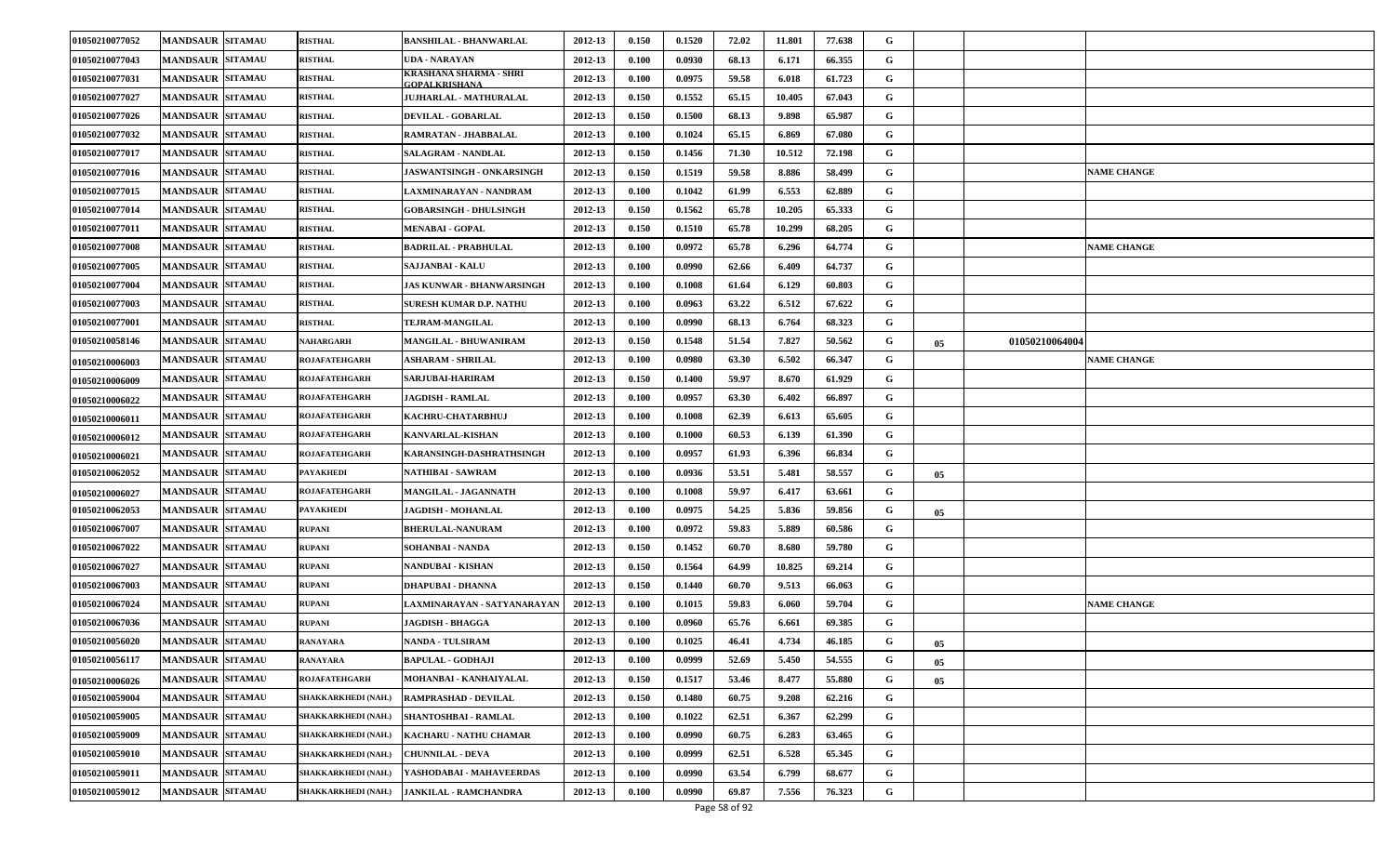| 01050210077052 | <b>MANDSAUR SITAMAU</b> | <b>RISTHAL</b>             | <b>BANSHILAL - BHANWARLAL</b>                  | 2012-13 | 0.150 | 0.1520 | 72.02 | 11.801 | 77.638 | G |    |                    |  |
|----------------|-------------------------|----------------------------|------------------------------------------------|---------|-------|--------|-------|--------|--------|---|----|--------------------|--|
| 01050210077043 | <b>MANDSAUR SITAMAU</b> | <b>RISTHAL</b>             | UDA - NARAYAN                                  | 2012-13 | 0.100 | 0.0930 | 68.13 | 6.171  | 66.355 | G |    |                    |  |
| 01050210077031 | <b>MANDSAUR SITAMAU</b> | <b>RISTHAL</b>             | KRASHANA SHARMA - SHRI<br><b>:OPALKRISHANA</b> | 2012-13 | 0.100 | 0.0975 | 59.58 | 6.018  | 61.723 | G |    |                    |  |
| 01050210077027 | <b>MANDSAUR SITAMAU</b> | <b>RISTHAL</b>             | UJHARLAL - MATHURALAL                          | 2012-13 | 0.150 | 0.1552 | 65.15 | 10.405 | 67.043 | G |    |                    |  |
| 01050210077026 | <b>MANDSAUR SITAMAU</b> | <b>RISTHAL</b>             | <b>DEVILAL - GOBARLAL</b>                      | 2012-13 | 0.150 | 0.1500 | 68.13 | 9.898  | 65.987 | G |    |                    |  |
| 01050210077032 | <b>MANDSAUR SITAMAU</b> | <b>RISTHAL</b>             | RAMRATAN - JHABBALAL                           | 2012-13 | 0.100 | 0.1024 | 65.15 | 6.869  | 67.080 | G |    |                    |  |
| 01050210077017 | <b>MANDSAUR SITAMAU</b> | <b>RISTHAL</b>             | <b>SALAGRAM - NANDLAL</b>                      | 2012-13 | 0.150 | 0.1456 | 71.30 | 10.512 | 72.198 | G |    |                    |  |
| 01050210077016 | <b>MANDSAUR SITAMAU</b> | <b>RISTHAL</b>             | <b>JASWANTSINGH - ONKARSINGH</b>               | 2012-13 | 0.150 | 0.1519 | 59.58 | 8.886  | 58.499 | G |    | <b>VAME CHANGE</b> |  |
| 01050210077015 | <b>MANDSAUR SITAMAU</b> | <b>RISTHAL</b>             | LAXMINARAYAN - NANDRAM                         | 2012-13 | 0.100 | 0.1042 | 61.99 | 6.553  | 62.889 | G |    |                    |  |
| 01050210077014 | <b>MANDSAUR SITAMAU</b> | <b>RISTHAL</b>             | <b>GOBARSINGH - DHULSINGH</b>                  | 2012-13 | 0.150 | 0.1562 | 65.78 | 10.205 | 65.333 | G |    |                    |  |
| 01050210077011 | <b>MANDSAUR SITAMAU</b> | <b>RISTHAL</b>             | <b>MENABAI - GOPAL</b>                         | 2012-13 | 0.150 | 0.1510 | 65.78 | 10.299 | 68.205 | G |    |                    |  |
| 01050210077008 | <b>MANDSAUR SITAMAU</b> | <b>RISTHAL</b>             | <b>BADRILAL - PRABHULAL</b>                    | 2012-13 | 0.100 | 0.0972 | 65.78 | 6.296  | 64.774 | G |    | <b>NAME CHANGE</b> |  |
| 01050210077005 | <b>MANDSAUR SITAMAU</b> | <b>RISTHAL</b>             | SAJJANBAI - KALU                               | 2012-13 | 0.100 | 0.0990 | 62.66 | 6.409  | 64.737 | G |    |                    |  |
| 01050210077004 | <b>MANDSAUR SITAMAU</b> | <b>RISTHAL</b>             | <b>JAS KUNWAR - BHANWARSINGH</b>               | 2012-13 | 0.100 | 0.1008 | 61.64 | 6.129  | 60.803 | G |    |                    |  |
| 01050210077003 | <b>MANDSAUR SITAMAU</b> | <b>RISTHAL</b>             | SURESH KUMAR D.P. NATHU                        | 2012-13 | 0.100 | 0.0963 | 63.22 | 6.512  | 67.622 | G |    |                    |  |
| 01050210077001 | <b>MANDSAUR SITAMAU</b> | <b>RISTHAL</b>             | <b>TEJRAM-MANGILAL</b>                         | 2012-13 | 0.100 | 0.0990 | 68.13 | 6.764  | 68.323 | G |    |                    |  |
| 01050210058146 | <b>MANDSAUR SITAMAU</b> | NAHARGARH                  | MANGILAL - BHUWANIRAM                          | 2012-13 | 0.150 | 0.1548 | 51.54 | 7.827  | 50.562 | G | 05 | 01050210064004     |  |
| 01050210006003 | <b>MANDSAUR SITAMAU</b> | ROJAFATEHGARH              | ASHARAM - SHRILAL                              | 2012-13 | 0.100 | 0.0980 | 63.30 | 6.502  | 66.347 | G |    | <b>NAME CHANGE</b> |  |
| 01050210006009 | <b>MANDSAUR SITAMAU</b> | ROJAFATEHGARH              | <b>SARJUBAI-HARIRAM</b>                        | 2012-13 | 0.150 | 0.1400 | 59.97 | 8.670  | 61.929 | G |    |                    |  |
| 01050210006022 | <b>MANDSAUR SITAMAU</b> | ROJAFATEHGARH              | <b>JAGDISH - RAMLAL</b>                        | 2012-13 | 0.100 | 0.0957 | 63.30 | 6.402  | 66.897 | G |    |                    |  |
| 01050210006011 | <b>MANDSAUR SITAMAU</b> | ROJAFATEHGARH              | KACHRU-CHATARBHUJ                              | 2012-13 | 0.100 | 0.1008 | 62.39 | 6.613  | 65.605 | G |    |                    |  |
| 01050210006012 | <b>MANDSAUR SITAMAU</b> | ROJAFATEHGARH              | KANVARLAL-KISHAN                               | 2012-13 | 0.100 | 0.1000 | 60.53 | 6.139  | 61.390 | G |    |                    |  |
| 01050210006021 | <b>MANDSAUR SITAMAU</b> | ROJAFATEHGARH              | KARANSINGH-DASHRATHSINGH                       | 2012-13 | 0.100 | 0.0957 | 61.93 | 6.396  | 66.834 | G |    |                    |  |
| 01050210062052 | <b>MANDSAUR SITAMAU</b> | PAYAKHEDI                  | NATHIBAI - SAWRAM                              | 2012-13 | 0.100 | 0.0936 | 53.51 | 5.481  | 58.557 | G | 05 |                    |  |
| 01050210006027 | <b>MANDSAUR SITAMAU</b> | ROJAFATEHGARH              | <b>MANGILAL - JAGANNATH</b>                    | 2012-13 | 0.100 | 0.1008 | 59.97 | 6.417  | 63.661 | G |    |                    |  |
| 01050210062053 | <b>MANDSAUR SITAMAU</b> | PAYAKHEDI                  | <b>JAGDISH - MOHANLAL</b>                      | 2012-13 | 0.100 | 0.0975 | 54.25 | 5.836  | 59.856 | G | 05 |                    |  |
| 01050210067007 | <b>MANDSAUR SITAMAU</b> | RUPANI                     | <b>BHERULAL-NANURAM</b>                        | 2012-13 | 0.100 | 0.0972 | 59.83 | 5.889  | 60.586 | G |    |                    |  |
| 01050210067022 | <b>MANDSAUR SITAMAU</b> | RUPANI                     | SOHANBAI - NANDA                               | 2012-13 | 0.150 | 0.1452 | 60.70 | 8.680  | 59.780 | G |    |                    |  |
| 01050210067027 | <b>MANDSAUR SITAMAU</b> | <b>RUPANI</b>              | NANDUBAI - KISHAN                              | 2012-13 | 0.150 | 0.1564 | 64.99 | 10.825 | 69.214 | G |    |                    |  |
| 01050210067003 | <b>MANDSAUR SITAMAU</b> | RUPANI                     | <b>DHAPUBAI - DHANNA</b>                       | 2012-13 | 0.150 | 0.1440 | 60.70 | 9.513  | 66.063 | G |    |                    |  |
| 01050210067024 | <b>MANDSAUR SITAMAU</b> | RUPANI                     | LAXMINARAYAN - SATYANARAYAN                    | 2012-13 | 0.100 | 0.1015 | 59.83 | 6.060  | 59.704 | G |    | <b>NAME CHANGE</b> |  |
| 01050210067036 | <b>MANDSAUR SITAMAU</b> | RUPANI                     | JAGDISH - BHAGGA                               | 2012-13 | 0.100 | 0.0960 | 65.76 | 6.661  | 69.385 | G |    |                    |  |
| 01050210056020 | <b>MANDSAUR SITAMAU</b> | RANAYARA                   | NANDA - TULSIRAM                               | 2012-13 | 0.100 | 0.1025 | 46.41 | 4.734  | 46.185 | G | 05 |                    |  |
| 01050210056117 | <b>MANDSAUR SITAMAU</b> | <b>RANAYARA</b>            | <b>BAPULAL - GODHAJI</b>                       | 2012-13 | 0.100 | 0.0999 | 52.69 | 5.450  | 54.555 | G | 05 |                    |  |
| 01050210006026 | <b>MANDSAUR SITAMAU</b> | ROJAFATEHGARH              | MOHANBAI - KANHAIYALAL                         | 2012-13 | 0.150 | 0.1517 | 53.46 | 8.477  | 55.880 | G | 05 |                    |  |
| 01050210059004 | <b>MANDSAUR SITAMAU</b> | SHAKKARKHEDI (NAH.)        | RAMPRASHAD - DEVILAL                           | 2012-13 | 0.150 | 0.1480 | 60.75 | 9.208  | 62.216 | G |    |                    |  |
| 01050210059005 | <b>MANDSAUR SITAMAU</b> | SHAKKARKHEDI (NAH.)        | SHANTOSHBAI - RAMLAL                           | 2012-13 | 0.100 | 0.1022 | 62.51 | 6.367  | 62.299 | G |    |                    |  |
| 01050210059009 | <b>MANDSAUR SITAMAU</b> | SHAKKARKHEDI (NAH.)        | <b>KACHARU - NATHU CHAMAR</b>                  | 2012-13 | 0.100 | 0.0990 | 60.75 | 6.283  | 63.465 | G |    |                    |  |
| 01050210059010 | <b>MANDSAUR SITAMAU</b> | <b>SHAKKARKHEDI (NAH.)</b> | <b>CHUNNILAL - DEVA</b>                        | 2012-13 | 0.100 | 0.0999 | 62.51 | 6.528  | 65.345 | G |    |                    |  |
| 01050210059011 | <b>MANDSAUR SITAMAU</b> | SHAKKARKHEDI (NAH.)        | YASHODABAI - MAHAVEERDAS                       | 2012-13 | 0.100 | 0.0990 | 63.54 | 6.799  | 68.677 | G |    |                    |  |
| 01050210059012 | <b>MANDSAUR SITAMAU</b> | SHAKKARKHEDI (NAH.)        | <b>JANKILAL - RAMCHANDRA</b>                   | 2012-13 | 0.100 | 0.0990 | 69.87 | 7.556  | 76.323 | G |    |                    |  |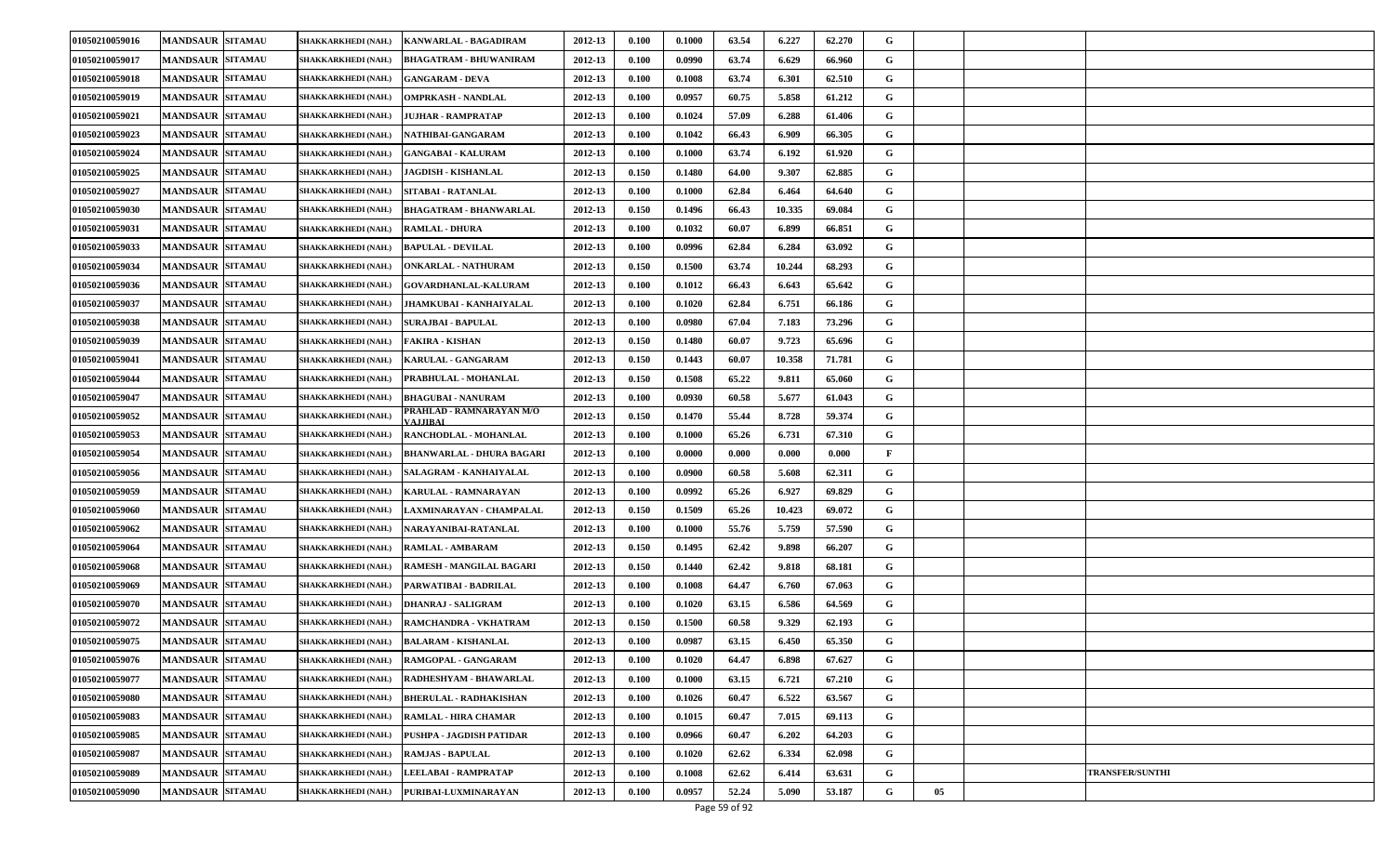| 01050210059016 | <b>MANDSAUR SITAMAU</b> | SHAKKARKHEDI (NAH.)        | KANWARLAL - BAGADIRAM                | 2012-13 | 0.100 | 0.1000 | 63.54 | 6.227  | 62.270 | G            |    |                        |
|----------------|-------------------------|----------------------------|--------------------------------------|---------|-------|--------|-------|--------|--------|--------------|----|------------------------|
| 01050210059017 | <b>MANDSAUR SITAMAU</b> | SHAKKARKHEDI (NAH.)        | <b>BHAGATRAM - BHUWANIRAM</b>        | 2012-13 | 0.100 | 0.0990 | 63.74 | 6.629  | 66.960 | G            |    |                        |
| 01050210059018 | <b>MANDSAUR SITAMAU</b> | SHAKKARKHEDI (NAH.)        | <b>GANGARAM - DEVA</b>               | 2012-13 | 0.100 | 0.1008 | 63.74 | 6.301  | 62.510 | G            |    |                        |
| 01050210059019 | <b>MANDSAUR SITAMAU</b> | SHAKKARKHEDI (NAH.)        | OMPRKASH - NANDLAL                   | 2012-13 | 0.100 | 0.0957 | 60.75 | 5.858  | 61.212 | G            |    |                        |
| 01050210059021 | <b>MANDSAUR SITAMAU</b> | SHAKKARKHEDI (NAH.)        | JUJHAR - RAMPRATAP                   | 2012-13 | 0.100 | 0.1024 | 57.09 | 6.288  | 61.406 | G            |    |                        |
| 01050210059023 | <b>MANDSAUR SITAMAU</b> | SHAKKARKHEDI (NAH.)        | NATHIBAI-GANGARAM                    | 2012-13 | 0.100 | 0.1042 | 66.43 | 6.909  | 66.305 | G            |    |                        |
| 01050210059024 | <b>MANDSAUR SITAMAU</b> | SHAKKARKHEDI (NAH.)        | <b>GANGABAI - KALURAM</b>            | 2012-13 | 0.100 | 0.1000 | 63.74 | 6.192  | 61.920 | G            |    |                        |
| 01050210059025 | <b>MANDSAUR SITAMAU</b> | SHAKKARKHEDI (NAH.)        | <b>JAGDISH - KISHANLAL</b>           | 2012-13 | 0.150 | 0.1480 | 64.00 | 9.307  | 62.885 | G            |    |                        |
| 01050210059027 | <b>MANDSAUR SITAMAU</b> | SHAKKARKHEDI (NAH.)        | SITABAI - RATANLAL                   | 2012-13 | 0.100 | 0.1000 | 62.84 | 6.464  | 64.640 | G            |    |                        |
| 01050210059030 | <b>MANDSAUR SITAMAU</b> | SHAKKARKHEDI (NAH.)        | <b>BHAGATRAM - BHANWARLAL</b>        | 2012-13 | 0.150 | 0.1496 | 66.43 | 10.335 | 69.084 | G            |    |                        |
| 01050210059031 | <b>MANDSAUR SITAMAU</b> | SHAKKARKHEDI (NAH.)        | <b>RAMLAL - DHURA</b>                | 2012-13 | 0.100 | 0.1032 | 60.07 | 6.899  | 66.851 | G            |    |                        |
| 01050210059033 | <b>MANDSAUR SITAMAU</b> | SHAKKARKHEDI (NAH.)        | <b>BAPULAL - DEVILAL</b>             | 2012-13 | 0.100 | 0.0996 | 62.84 | 6.284  | 63.092 | G            |    |                        |
| 01050210059034 | <b>MANDSAUR SITAMAU</b> | SHAKKARKHEDI (NAH.)        | <b>ONKARLAL - NATHURAM</b>           | 2012-13 | 0.150 | 0.1500 | 63.74 | 10.244 | 68.293 | G            |    |                        |
| 01050210059036 | MANDSAUR SITAMAU        | SHAKKARKHEDI (NAH.)        | <b>GOVARDHANLAL-KALURAM</b>          | 2012-13 | 0.100 | 0.1012 | 66.43 | 6.643  | 65.642 | G            |    |                        |
| 01050210059037 | <b>MANDSAUR SITAMAU</b> | SHAKKARKHEDI (NAH.)        | JHAMKUBAI - KANHAIYALAL              | 2012-13 | 0.100 | 0.1020 | 62.84 | 6.751  | 66.186 | G            |    |                        |
| 01050210059038 | <b>MANDSAUR SITAMAU</b> | SHAKKARKHEDI (NAH.)        | <b>SURAJBAI - BAPULAL</b>            | 2012-13 | 0.100 | 0.0980 | 67.04 | 7.183  | 73.296 | G            |    |                        |
| 01050210059039 | <b>MANDSAUR SITAMAU</b> | SHAKKARKHEDI (NAH.)        | FAKIRA - KISHAN                      | 2012-13 | 0.150 | 0.1480 | 60.07 | 9.723  | 65.696 | G            |    |                        |
| 01050210059041 | <b>MANDSAUR SITAMAU</b> | SHAKKARKHEDI (NAH.)        | <b>KARULAL - GANGARAM</b>            | 2012-13 | 0.150 | 0.1443 | 60.07 | 10.358 | 71.781 | G            |    |                        |
| 01050210059044 | <b>MANDSAUR SITAMAU</b> | SHAKKARKHEDI (NAH.)        | PRABHULAL - MOHANLAL                 | 2012-13 | 0.150 | 0.1508 | 65.22 | 9.811  | 65.060 | G            |    |                        |
| 01050210059047 | <b>MANDSAUR SITAMAU</b> | SHAKKARKHEDI (NAH.)        | <b>BHAGUBAI - NANURAM</b>            | 2012-13 | 0.100 | 0.0930 | 60.58 | 5.677  | 61.043 | G            |    |                        |
| 01050210059052 | <b>MANDSAUR SITAMAU</b> | SHAKKARKHEDI (NAH.)        | PRAHLAD - RAMNARAYAN M/O<br>VALIIBAI | 2012-13 | 0.150 | 0.1470 | 55.44 | 8.728  | 59.374 | G            |    |                        |
| 01050210059053 | <b>MANDSAUR SITAMAU</b> | SHAKKARKHEDI (NAH.)        | RANCHODLAL - MOHANLAL                | 2012-13 | 0.100 | 0.1000 | 65.26 | 6.731  | 67.310 | G            |    |                        |
| 01050210059054 | <b>MANDSAUR SITAMAU</b> | SHAKKARKHEDI (NAH.)        | <b>BHANWARLAL - DHURA BAGARI</b>     | 2012-13 | 0.100 | 0.0000 | 0.000 | 0.000  | 0.000  | $\mathbf{F}$ |    |                        |
| 01050210059056 | <b>MANDSAUR SITAMAU</b> | SHAKKARKHEDI (NAH.)        | SALAGRAM - KANHAIYALAL               | 2012-13 | 0.100 | 0.0900 | 60.58 | 5.608  | 62.311 | G            |    |                        |
| 01050210059059 | <b>MANDSAUR SITAMAU</b> | SHAKKARKHEDI (NAH.)        | KARULAL - RAMNARAYAN                 | 2012-13 | 0.100 | 0.0992 | 65.26 | 6.927  | 69.829 | G            |    |                        |
| 01050210059060 | <b>MANDSAUR SITAMAU</b> | SHAKKARKHEDI (NAH.)        | LAXMINARAYAN - CHAMPALAL             | 2012-13 | 0.150 | 0.1509 | 65.26 | 10.423 | 69.072 | G            |    |                        |
| 01050210059062 | <b>MANDSAUR SITAMAU</b> | <b>SHAKKARKHEDI (NAH.)</b> | NARAYANIBAI-RATANLAL                 | 2012-13 | 0.100 | 0.1000 | 55.76 | 5.759  | 57.590 | G            |    |                        |
| 01050210059064 | <b>MANDSAUR SITAMAU</b> | SHAKKARKHEDI (NAH.)        | <b>RAMLAL - AMBARAM</b>              | 2012-13 | 0.150 | 0.1495 | 62.42 | 9.898  | 66.207 | G            |    |                        |
| 01050210059068 | <b>MANDSAUR SITAMAU</b> | SHAKKARKHEDI (NAH.)        | RAMESH - MANGILAL BAGARI             | 2012-13 | 0.150 | 0.1440 | 62.42 | 9.818  | 68.181 | G            |    |                        |
| 01050210059069 | <b>MANDSAUR SITAMAU</b> | SHAKKARKHEDI (NAH.)        | PARWATIBAI - BADRILAL                | 2012-13 | 0.100 | 0.1008 | 64.47 | 6.760  | 67.063 | G            |    |                        |
| 01050210059070 | <b>MANDSAUR SITAMAU</b> | SHAKKARKHEDI (NAH.)        | <b>DHANRAJ - SALIGRAM</b>            | 2012-13 | 0.100 | 0.1020 | 63.15 | 6.586  | 64.569 | G            |    |                        |
| 01050210059072 | <b>MANDSAUR SITAMAU</b> | SHAKKARKHEDI (NAH.)        | RAMCHANDRA - VKHATRAM                | 2012-13 | 0.150 | 0.1500 | 60.58 | 9.329  | 62.193 | G            |    |                        |
| 01050210059075 | <b>MANDSAUR SITAMAU</b> | <b>SHAKKARKHEDI (NAH.)</b> | <b>BALARAM - KISHANLAL</b>           | 2012-13 | 0.100 | 0.0987 | 63.15 | 6.450  | 65.350 | G            |    |                        |
| 01050210059076 | <b>MANDSAUR SITAMAU</b> | SHAKKARKHEDI (NAH.)        | RAMGOPAL - GANGARAM                  | 2012-13 | 0.100 | 0.1020 | 64.47 | 6.898  | 67.627 | G            |    |                        |
| 01050210059077 | <b>MANDSAUR SITAMAU</b> | <b>SHAKKARKHEDI (NAH.)</b> | RADHESHYAM - BHAWARLAL               | 2012-13 | 0.100 | 0.1000 | 63.15 | 6.721  | 67.210 | G            |    |                        |
| 01050210059080 | <b>MANDSAUR SITAMAU</b> | SHAKKARKHEDI (NAH.)        | <b>BHERULAL - RADHAKISHAN</b>        | 2012-13 | 0.100 | 0.1026 | 60.47 | 6.522  | 63.567 | $\mathbf G$  |    |                        |
| 01050210059083 | <b>MANDSAUR SITAMAU</b> | SHAKKARKHEDI (NAH.)        | <b>RAMLAL - HIRA CHAMAR</b>          | 2012-13 | 0.100 | 0.1015 | 60.47 | 7.015  | 69.113 | G            |    |                        |
| 01050210059085 | <b>MANDSAUR SITAMAU</b> | SHAKKARKHEDI (NAH.)        | PUSHPA - JAGDISH PATIDAR             | 2012-13 | 0.100 | 0.0966 | 60.47 | 6.202  | 64.203 | $\mathbf G$  |    |                        |
| 01050210059087 | <b>MANDSAUR SITAMAU</b> | SHAKKARKHEDI (NAH.)        | <b>RAMJAS - BAPULAL</b>              | 2012-13 | 0.100 | 0.1020 | 62.62 | 6.334  | 62.098 | G            |    |                        |
| 01050210059089 | <b>MANDSAUR SITAMAU</b> | SHAKKARKHEDI (NAH.)        | LEELABAI - RAMPRATAP                 | 2012-13 | 0.100 | 0.1008 | 62.62 | 6.414  | 63.631 | G            |    | <b>TRANSFER/SUNTHI</b> |
| 01050210059090 | <b>MANDSAUR SITAMAU</b> | SHAKKARKHEDI (NAH.)        | PURIBAI-LUXMINARAYAN                 | 2012-13 | 0.100 | 0.0957 | 52.24 | 5.090  | 53.187 | G            | 05 |                        |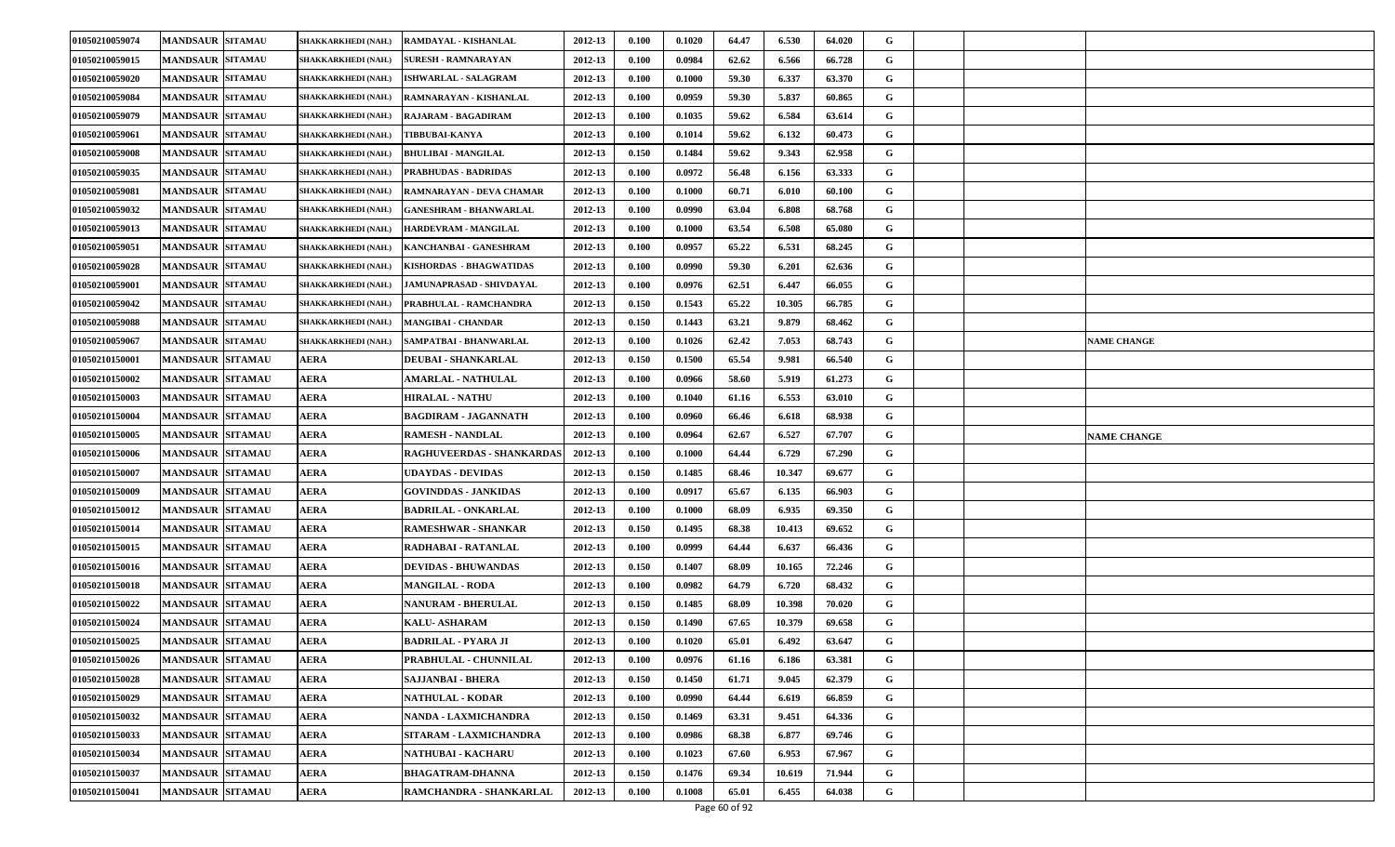| 01050210059074 | <b>MANDSAUR SITAMAU</b>  | SHAKKARKHEDI (NAH.)        | RAMDAYAL - KISHANLAL          | 2012-13 | 0.100 | 0.1020 | 64.47 | 6.530  | 64.020 | G |                    |
|----------------|--------------------------|----------------------------|-------------------------------|---------|-------|--------|-------|--------|--------|---|--------------------|
| 01050210059015 | <b>MANDSAUR SITAMAU</b>  | SHAKKARKHEDI (NAH.)        | <b>SURESH - RAMNARAYAN</b>    | 2012-13 | 0.100 | 0.0984 | 62.62 | 6.566  | 66.728 | G |                    |
| 01050210059020 | <b>MANDSAUR SITAMAU</b>  | SHAKKARKHEDI (NAH.)        | <b>ISHWARLAL - SALAGRAM</b>   | 2012-13 | 0.100 | 0.1000 | 59.30 | 6.337  | 63.370 | G |                    |
| 01050210059084 | <b>MANDSAUR SITAMAU</b>  | SHAKKARKHEDI (NAH.)        | RAMNARAYAN - KISHANLAL        | 2012-13 | 0.100 | 0.0959 | 59.30 | 5.837  | 60.865 | G |                    |
| 01050210059079 | <b>MANDSAUR SITAMAU</b>  | SHAKKARKHEDI (NAH.)        | RAJARAM - BAGADIRAM           | 2012-13 | 0.100 | 0.1035 | 59.62 | 6.584  | 63.614 | G |                    |
| 01050210059061 | <b>MANDSAUR SITAMAU</b>  | SHAKKARKHEDI (NAH.)        | <b>TIBBUBAI-KANYA</b>         | 2012-13 | 0.100 | 0.1014 | 59.62 | 6.132  | 60.473 | G |                    |
| 01050210059008 | <b>MANDSAUR SITAMAU</b>  | SHAKKARKHEDI (NAH.)        | <b>BHULIBAI - MANGILAL</b>    | 2012-13 | 0.150 | 0.1484 | 59.62 | 9.343  | 62.958 | G |                    |
| 01050210059035 | <b>MANDSAUR SITAMAU</b>  | SHAKKARKHEDI (NAH.)        | PRABHUDAS - BADRIDAS          | 2012-13 | 0.100 | 0.0972 | 56.48 | 6.156  | 63.333 | G |                    |
| 01050210059081 | <b>MANDSAUR  SITAMAU</b> | SHAKKARKHEDI (NAH.)        | RAMNARAYAN - DEVA CHAMAR      | 2012-13 | 0.100 | 0.1000 | 60.71 | 6.010  | 60.100 | G |                    |
| 01050210059032 | <b>MANDSAUR SITAMAU</b>  | SHAKKARKHEDI (NAH.)        | <b>GANESHRAM - BHANWARLAL</b> | 2012-13 | 0.100 | 0.0990 | 63.04 | 6.808  | 68.768 | G |                    |
| 01050210059013 | <b>MANDSAUR SITAMAU</b>  | SHAKKARKHEDI (NAH.)        | HARDEVRAM - MANGILAL          | 2012-13 | 0.100 | 0.1000 | 63.54 | 6.508  | 65.080 | G |                    |
| 01050210059051 | <b>MANDSAUR  SITAMAU</b> | <b>SHAKKARKHEDI (NAH.)</b> | KANCHANBAI - GANESHRAM        | 2012-13 | 0.100 | 0.0957 | 65.22 | 6.531  | 68.245 | G |                    |
| 01050210059028 | <b>MANDSAUR SITAMAU</b>  | SHAKKARKHEDI (NAH.)        | KISHORDAS - BHAGWATIDAS       | 2012-13 | 0.100 | 0.0990 | 59.30 | 6.201  | 62.636 | G |                    |
| 01050210059001 | <b>MANDSAUR SITAMAU</b>  | <b>SHAKKARKHEDI (NAH.)</b> | JAMUNAPRASAD - SHIVDAYAL      | 2012-13 | 0.100 | 0.0976 | 62.51 | 6.447  | 66.055 | G |                    |
| 01050210059042 | <b>MANDSAUR SITAMAU</b>  | SHAKKARKHEDI (NAH.)        | PRABHULAL - RAMCHANDRA        | 2012-13 | 0.150 | 0.1543 | 65.22 | 10.305 | 66.785 | G |                    |
| 01050210059088 | <b>MANDSAUR SITAMAU</b>  | SHAKKARKHEDI (NAH.)        | <b>MANGIBAI - CHANDAR</b>     | 2012-13 | 0.150 | 0.1443 | 63.21 | 9.879  | 68.462 | G |                    |
| 01050210059067 | <b>MANDSAUR SITAMAU</b>  | SHAKKARKHEDI (NAH.)        | SAMPATBAI - BHANWARLAL        | 2012-13 | 0.100 | 0.1026 | 62.42 | 7.053  | 68.743 | G | <b>NAME CHANGE</b> |
| 01050210150001 | <b>MANDSAUR SITAMAU</b>  | <b>AERA</b>                | <b>DEUBAI - SHANKARLAL</b>    | 2012-13 | 0.150 | 0.1500 | 65.54 | 9.981  | 66.540 | G |                    |
| 01050210150002 | <b>MANDSAUR SITAMAU</b>  | AERA                       | <b>AMARLAL - NATHULAL</b>     | 2012-13 | 0.100 | 0.0966 | 58.60 | 5.919  | 61.273 | G |                    |
| 01050210150003 | <b>MANDSAUR SITAMAU</b>  | AERA                       | <b>HIRALAL - NATHU</b>        | 2012-13 | 0.100 | 0.1040 | 61.16 | 6.553  | 63.010 | G |                    |
| 01050210150004 | <b>MANDSAUR SITAMAU</b>  | AERA                       | <b>BAGDIRAM - JAGANNATH</b>   | 2012-13 | 0.100 | 0.0960 | 66.46 | 6.618  | 68.938 | G |                    |
| 01050210150005 | <b>MANDSAUR SITAMAU</b>  | AERA                       | <b>RAMESH - NANDLAL</b>       | 2012-13 | 0.100 | 0.0964 | 62.67 | 6.527  | 67.707 | G | <b>NAME CHANGE</b> |
| 01050210150006 | <b>MANDSAUR SITAMAU</b>  | <b>AERA</b>                | RAGHUVEERDAS - SHANKARDAS     | 2012-13 | 0.100 | 0.1000 | 64.44 | 6.729  | 67.290 | G |                    |
| 01050210150007 | <b>MANDSAUR SITAMAU</b>  | AERA                       | UDAYDAS - DEVIDAS             | 2012-13 | 0.150 | 0.1485 | 68.46 | 10.347 | 69.677 | G |                    |
| 01050210150009 | <b>MANDSAUR SITAMAU</b>  | AERA                       | GOVINDDAS - JANKIDAS          | 2012-13 | 0.100 | 0.0917 | 65.67 | 6.135  | 66.903 | G |                    |
| 01050210150012 | <b>MANDSAUR SITAMAU</b>  | AERA                       | <b>BADRILAL - ONKARLAL</b>    | 2012-13 | 0.100 | 0.1000 | 68.09 | 6.935  | 69.350 | G |                    |
| 01050210150014 | <b>MANDSAUR SITAMAU</b>  | AERA                       | RAMESHWAR - SHANKAR           | 2012-13 | 0.150 | 0.1495 | 68.38 | 10.413 | 69.652 | G |                    |
| 01050210150015 | <b>MANDSAUR SITAMAU</b>  | AERA                       | RADHABAI - RATANLAL           | 2012-13 | 0.100 | 0.0999 | 64.44 | 6.637  | 66.436 | G |                    |
| 01050210150016 | <b>MANDSAUR SITAMAU</b>  | <b>AERA</b>                | <b>DEVIDAS - BHUWANDAS</b>    | 2012-13 | 0.150 | 0.1407 | 68.09 | 10.165 | 72.246 | G |                    |
| 01050210150018 | <b>MANDSAUR SITAMAU</b>  | <b>AERA</b>                | <b>MANGILAL - RODA</b>        | 2012-13 | 0.100 | 0.0982 | 64.79 | 6.720  | 68.432 | G |                    |
| 01050210150022 | <b>MANDSAUR SITAMAU</b>  | AERA                       | <b>NANURAM - BHERULAL</b>     | 2012-13 | 0.150 | 0.1485 | 68.09 | 10.398 | 70.020 | G |                    |
| 01050210150024 | <b>MANDSAUR SITAMAU</b>  | AERA                       | KALU- ASHARAM                 | 2012-13 | 0.150 | 0.1490 | 67.65 | 10.379 | 69.658 | G |                    |
| 01050210150025 | <b>MANDSAUR SITAMAU</b>  | <b>AERA</b>                | BADRILAL - PYARA JI           | 2012-13 | 0.100 | 0.1020 | 65.01 | 6.492  | 63.647 | G |                    |
| 01050210150026 | MANDSAUR SITAMAU         | <b>AERA</b>                | PRABHULAL - CHUNNILAL         | 2012-13 | 0.100 | 0.0976 | 61.16 | 6.186  | 63.381 | G |                    |
| 01050210150028 | <b>MANDSAUR SITAMAU</b>  | AERA                       | SAJJANBAI - BHERA             | 2012-13 | 0.150 | 0.1450 | 61.71 | 9.045  | 62.379 | G |                    |
| 01050210150029 | <b>MANDSAUR SITAMAU</b>  | <b>AERA</b>                | <b>NATHULAL - KODAR</b>       | 2012-13 | 0.100 | 0.0990 | 64.44 | 6.619  | 66.859 | G |                    |
| 01050210150032 | <b>MANDSAUR SITAMAU</b>  | <b>AERA</b>                | NANDA - LAXMICHANDRA          | 2012-13 | 0.150 | 0.1469 | 63.31 | 9.451  | 64.336 | G |                    |
| 01050210150033 | <b>MANDSAUR SITAMAU</b>  | <b>AERA</b>                | SITARAM - LAXMICHANDRA        | 2012-13 | 0.100 | 0.0986 | 68.38 | 6.877  | 69.746 | G |                    |
| 01050210150034 | <b>MANDSAUR SITAMAU</b>  | AERA                       | NATHUBAI - KACHARU            | 2012-13 | 0.100 | 0.1023 | 67.60 | 6.953  | 67.967 | G |                    |
| 01050210150037 | <b>MANDSAUR SITAMAU</b>  | AERA                       | <b>BHAGATRAM-DHANNA</b>       | 2012-13 | 0.150 | 0.1476 | 69.34 | 10.619 | 71.944 | G |                    |
| 01050210150041 | <b>MANDSAUR SITAMAU</b>  | AERA                       | RAMCHANDRA - SHANKARLAL       | 2012-13 | 0.100 | 0.1008 | 65.01 | 6.455  | 64.038 | G |                    |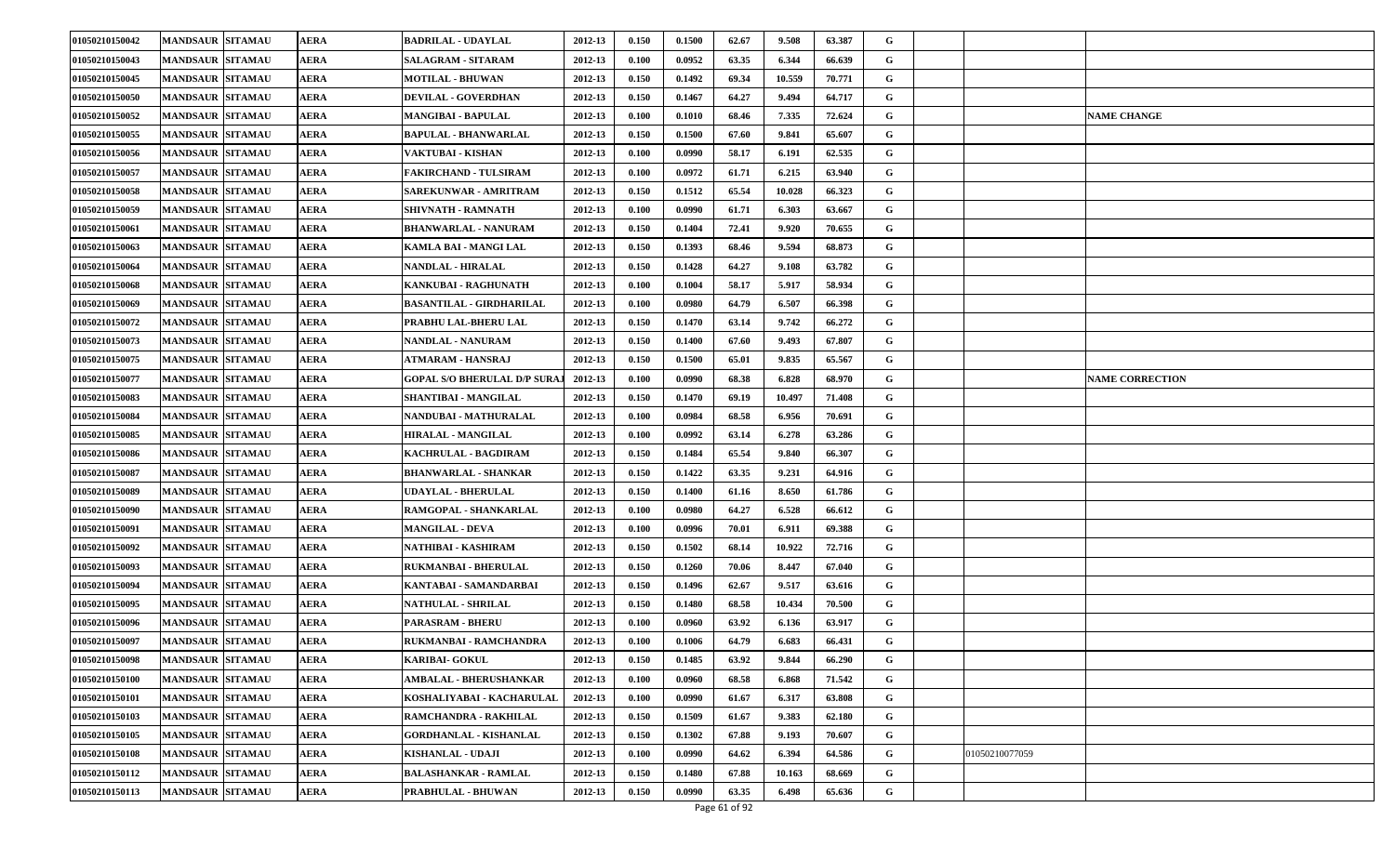| 01050210150042 | <b>MANDSAUR SITAMAU</b> | <b>AERA</b> | <b>BADRILAL - UDAYLAL</b>           | 2012-13 | 0.150 | 0.1500 | 62.67 | 9.508  | 63.387 | G |                |                        |
|----------------|-------------------------|-------------|-------------------------------------|---------|-------|--------|-------|--------|--------|---|----------------|------------------------|
| 01050210150043 | <b>MANDSAUR SITAMAU</b> | AERA        | <b>SALAGRAM - SITARAM</b>           | 2012-13 | 0.100 | 0.0952 | 63.35 | 6.344  | 66.639 | G |                |                        |
| 01050210150045 | <b>MANDSAUR SITAMAU</b> | AERA        | <b>MOTILAL - BHUWAN</b>             | 2012-13 | 0.150 | 0.1492 | 69.34 | 10.559 | 70.771 | G |                |                        |
| 01050210150050 | <b>MANDSAUR SITAMAU</b> | AERA        | <b>DEVILAL - GOVERDHAN</b>          | 2012-13 | 0.150 | 0.1467 | 64.27 | 9.494  | 64.717 | G |                |                        |
| 01050210150052 | <b>MANDSAUR SITAMAU</b> | AERA        | MANGIBAI - BAPULAL                  | 2012-13 | 0.100 | 0.1010 | 68.46 | 7.335  | 72.624 | G |                | <b>NAME CHANGE</b>     |
| 01050210150055 | <b>MANDSAUR SITAMAU</b> | <b>AERA</b> | BAPULAL - BHANWARLAL                | 2012-13 | 0.150 | 0.1500 | 67.60 | 9.841  | 65.607 | G |                |                        |
| 01050210150056 | <b>MANDSAUR SITAMAU</b> | <b>AERA</b> | VAKTUBAI - KISHAN                   | 2012-13 | 0.100 | 0.0990 | 58.17 | 6.191  | 62.535 | G |                |                        |
| 01050210150057 | <b>MANDSAUR SITAMAU</b> | AERA        | FAKIRCHAND - TULSIRAM               | 2012-13 | 0.100 | 0.0972 | 61.71 | 6.215  | 63.940 | G |                |                        |
| 01050210150058 | <b>MANDSAUR SITAMAU</b> | AERA        | SAREKUNWAR - AMRITRAM               | 2012-13 | 0.150 | 0.1512 | 65.54 | 10.028 | 66.323 | G |                |                        |
| 01050210150059 | <b>MANDSAUR SITAMAU</b> | AERA        | SHIVNATH - RAMNATH                  | 2012-13 | 0.100 | 0.0990 | 61.71 | 6.303  | 63.667 | G |                |                        |
| 01050210150061 | <b>MANDSAUR SITAMAU</b> | <b>AERA</b> | <b>BHANWARLAL - NANURAM</b>         | 2012-13 | 0.150 | 0.1404 | 72.41 | 9.920  | 70.655 | G |                |                        |
| 01050210150063 | <b>MANDSAUR SITAMAU</b> | AERA        | KAMLA BAI - MANGI LAL               | 2012-13 | 0.150 | 0.1393 | 68.46 | 9.594  | 68.873 | G |                |                        |
| 01050210150064 | <b>MANDSAUR SITAMAU</b> | AERA        | NANDLAL - HIRALAL                   | 2012-13 | 0.150 | 0.1428 | 64.27 | 9.108  | 63.782 | G |                |                        |
| 01050210150068 | <b>MANDSAUR SITAMAU</b> | AERA        | KANKUBAI - RAGHUNATH                | 2012-13 | 0.100 | 0.1004 | 58.17 | 5.917  | 58.934 | G |                |                        |
| 01050210150069 | <b>MANDSAUR SITAMAU</b> | AERA        | <b>BASANTILAL - GIRDHARILAL</b>     | 2012-13 | 0.100 | 0.0980 | 64.79 | 6.507  | 66.398 | G |                |                        |
| 01050210150072 | <b>MANDSAUR SITAMAU</b> | AERA        | PRABHU LAL-BHERU LAL                | 2012-13 | 0.150 | 0.1470 | 63.14 | 9.742  | 66.272 | G |                |                        |
| 01050210150073 | <b>MANDSAUR SITAMAU</b> | AERA        | NANDLAL - NANURAM                   | 2012-13 | 0.150 | 0.1400 | 67.60 | 9.493  | 67.807 | G |                |                        |
| 01050210150075 | <b>MANDSAUR SITAMAU</b> | AERA        | ATMARAM - HANSRAJ                   | 2012-13 | 0.150 | 0.1500 | 65.01 | 9.835  | 65.567 | G |                |                        |
| 01050210150077 | <b>MANDSAUR SITAMAU</b> | AERA        | <b>GOPAL S/O BHERULAL D/P SURA.</b> | 2012-13 | 0.100 | 0.0990 | 68.38 | 6.828  | 68.970 | G |                | <b>NAME CORRECTION</b> |
| 01050210150083 | <b>MANDSAUR SITAMAU</b> | AERA        | SHANTIBAI - MANGILAL                | 2012-13 | 0.150 | 0.1470 | 69.19 | 10.497 | 71.408 | G |                |                        |
| 01050210150084 | <b>MANDSAUR SITAMAU</b> | AERA        | NANDUBAI - MATHURALAL               | 2012-13 | 0.100 | 0.0984 | 68.58 | 6.956  | 70.691 | G |                |                        |
| 01050210150085 | <b>MANDSAUR SITAMAU</b> | AERA        | HIRALAL - MANGILAL                  | 2012-13 | 0.100 | 0.0992 | 63.14 | 6.278  | 63.286 | G |                |                        |
| 01050210150086 | <b>MANDSAUR SITAMAU</b> | AERA        | <b>KACHRULAL - BAGDIRAM</b>         | 2012-13 | 0.150 | 0.1484 | 65.54 | 9.840  | 66.307 | G |                |                        |
| 01050210150087 | <b>MANDSAUR SITAMAU</b> | AERA        | BHANWARLAL - SHANKAR                | 2012-13 | 0.150 | 0.1422 | 63.35 | 9.231  | 64.916 | G |                |                        |
| 01050210150089 | <b>MANDSAUR SITAMAU</b> | AERA        | UDAYLAL - BHERULAL                  | 2012-13 | 0.150 | 0.1400 | 61.16 | 8.650  | 61.786 | G |                |                        |
| 01050210150090 | <b>MANDSAUR SITAMAU</b> | AERA        | RAMGOPAL - SHANKARLAL               | 2012-13 | 0.100 | 0.0980 | 64.27 | 6.528  | 66.612 | G |                |                        |
| 01050210150091 | <b>MANDSAUR SITAMAU</b> | AERA        | <b>MANGILAL - DEVA</b>              | 2012-13 | 0.100 | 0.0996 | 70.01 | 6.911  | 69.388 | G |                |                        |
| 01050210150092 | <b>MANDSAUR SITAMAU</b> | AERA        | NATHIBAI - KASHIRAM                 | 2012-13 | 0.150 | 0.1502 | 68.14 | 10.922 | 72.716 | G |                |                        |
| 01050210150093 | <b>MANDSAUR SITAMAU</b> | <b>AERA</b> | RUKMANBAI - BHERULAL                | 2012-13 | 0.150 | 0.1260 | 70.06 | 8.447  | 67.040 | G |                |                        |
| 01050210150094 | <b>MANDSAUR SITAMAU</b> | <b>AERA</b> | KANTABAI - SAMANDARBAI              | 2012-13 | 0.150 | 0.1496 | 62.67 | 9.517  | 63.616 | G |                |                        |
| 01050210150095 | <b>MANDSAUR SITAMAU</b> | <b>AERA</b> | NATHULAL - SHRILAL                  | 2012-13 | 0.150 | 0.1480 | 68.58 | 10.434 | 70.500 | G |                |                        |
| 01050210150096 | <b>MANDSAUR SITAMAU</b> | AERA        | PARASRAM - BHERU                    | 2012-13 | 0.100 | 0.0960 | 63.92 | 6.136  | 63.917 | G |                |                        |
| 01050210150097 | <b>MANDSAUR SITAMAU</b> | AERA        | RUKMANBAI - RAMCHANDRA              | 2012-13 | 0.100 | 0.1006 | 64.79 | 6.683  | 66.431 | G |                |                        |
| 01050210150098 | MANDSAUR SITAMAU        | <b>AERA</b> | <b>KARIBAI- GOKUL</b>               | 2012-13 | 0.150 | 0.1485 | 63.92 | 9.844  | 66.290 | G |                |                        |
| 01050210150100 | <b>MANDSAUR SITAMAU</b> | AERA        | <b>AMBALAL - BHERUSHANKAR</b>       | 2012-13 | 0.100 | 0.0960 | 68.58 | 6.868  | 71.542 | G |                |                        |
| 01050210150101 | <b>MANDSAUR SITAMAU</b> | <b>AERA</b> | KOSHALIYABAI - KACHARULAL           | 2012-13 | 0.100 | 0.0990 | 61.67 | 6.317  | 63.808 | G |                |                        |
| 01050210150103 | <b>MANDSAUR SITAMAU</b> | AERA        | RAMCHANDRA - RAKHILAL               | 2012-13 | 0.150 | 0.1509 | 61.67 | 9.383  | 62.180 | G |                |                        |
| 01050210150105 | <b>MANDSAUR SITAMAU</b> | <b>AERA</b> | <b>GORDHANLAL - KISHANLAL</b>       | 2012-13 | 0.150 | 0.1302 | 67.88 | 9.193  | 70.607 | G |                |                        |
| 01050210150108 | <b>MANDSAUR SITAMAU</b> | AERA        | KISHANLAL - UDAJI                   | 2012-13 | 0.100 | 0.0990 | 64.62 | 6.394  | 64.586 | G | 01050210077059 |                        |
| 01050210150112 | <b>MANDSAUR SITAMAU</b> | <b>AERA</b> | <b>BALASHANKAR - RAMLAL</b>         | 2012-13 | 0.150 | 0.1480 | 67.88 | 10.163 | 68.669 | G |                |                        |
| 01050210150113 | MANDSAUR SITAMAU        | AERA        | PRABHULAL - BHUWAN                  | 2012-13 | 0.150 | 0.0990 | 63.35 | 6.498  | 65.636 | G |                |                        |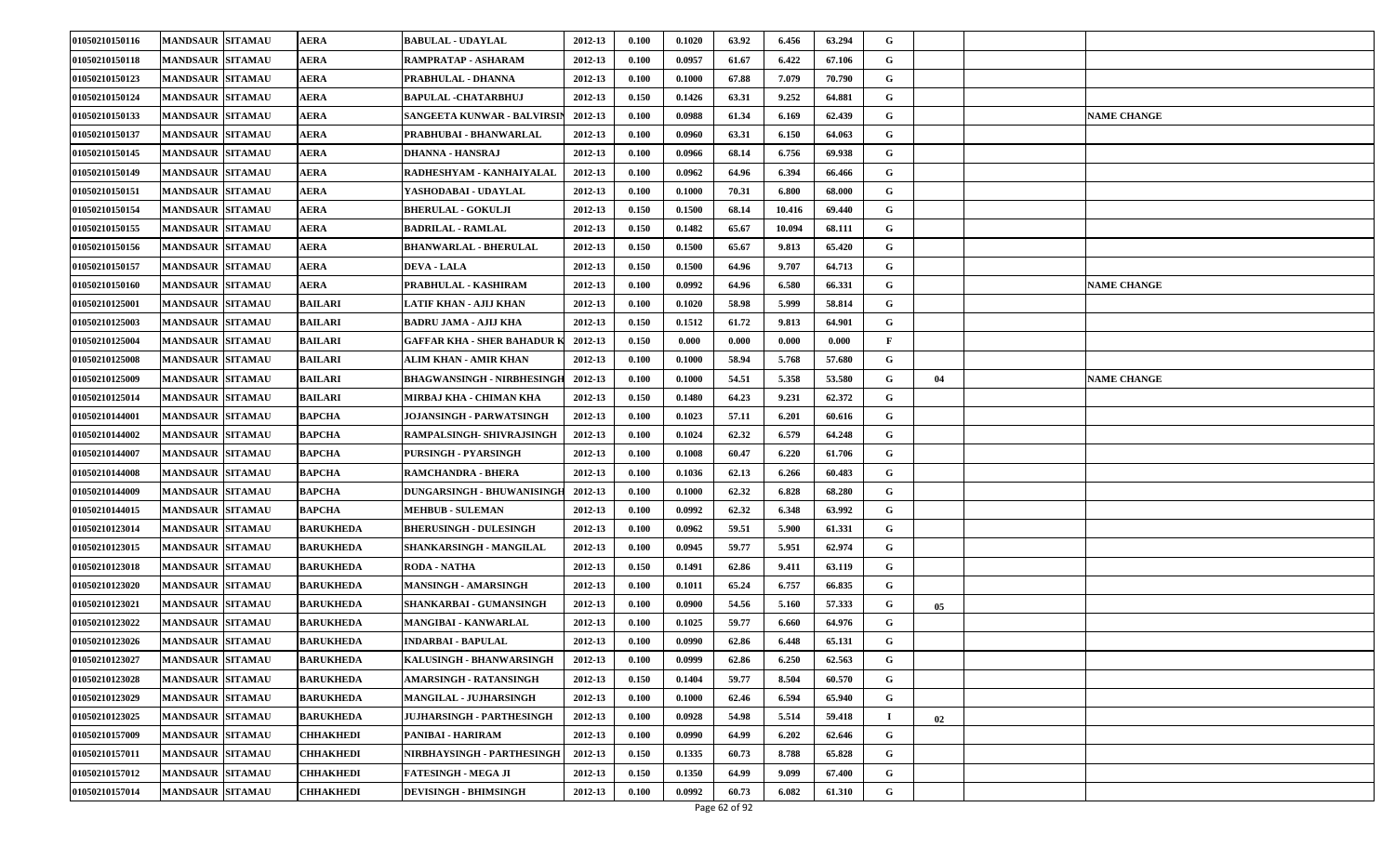| 01050210150116 | <b>MANDSAUR SITAMAU</b> | <b>AERA</b>      | <b>BABULAL - UDAYLAL</b>          | 2012-13 | 0.100 | 0.1020 | 63.92 | 6.456  | 63.294 | G            |    |                    |
|----------------|-------------------------|------------------|-----------------------------------|---------|-------|--------|-------|--------|--------|--------------|----|--------------------|
| 01050210150118 | <b>MANDSAUR SITAMAU</b> | AERA             | RAMPRATAP - ASHARAM               | 2012-13 | 0.100 | 0.0957 | 61.67 | 6.422  | 67.106 | G            |    |                    |
| 01050210150123 | <b>MANDSAUR SITAMAU</b> | <b>AERA</b>      | PRABHULAL - DHANNA                | 2012-13 | 0.100 | 0.1000 | 67.88 | 7.079  | 70.790 | G            |    |                    |
| 01050210150124 | <b>MANDSAUR SITAMAU</b> | <b>AERA</b>      | BAPULAL -CHATARBHUJ               | 2012-13 | 0.150 | 0.1426 | 63.31 | 9.252  | 64.881 | G            |    |                    |
| 01050210150133 | <b>MANDSAUR SITAMAU</b> | AERA             | SANGEETA KUNWAR - BALVIRSIN       | 2012-13 | 0.100 | 0.0988 | 61.34 | 6.169  | 62.439 | G            |    | <b>NAME CHANGE</b> |
| 01050210150137 | <b>MANDSAUR SITAMAU</b> | AERA             | PRABHUBAI - BHANWARLAL            | 2012-13 | 0.100 | 0.0960 | 63.31 | 6.150  | 64.063 | G            |    |                    |
| 01050210150145 | <b>MANDSAUR SITAMAU</b> | AERA             | DHANNA - HANSRAJ                  | 2012-13 | 0.100 | 0.0966 | 68.14 | 6.756  | 69.938 | G            |    |                    |
| 01050210150149 | <b>MANDSAUR SITAMAU</b> | AERA             | RADHESHYAM - KANHAIYALAL          | 2012-13 | 0.100 | 0.0962 | 64.96 | 6.394  | 66.466 | G            |    |                    |
| 01050210150151 | <b>MANDSAUR SITAMAU</b> | AERA             | YASHODABAI - UDAYLAL              | 2012-13 | 0.100 | 0.1000 | 70.31 | 6.800  | 68.000 | G            |    |                    |
| 01050210150154 | <b>MANDSAUR SITAMAU</b> | AERA             | <b>BHERULAL - GOKULJI</b>         | 2012-13 | 0.150 | 0.1500 | 68.14 | 10.416 | 69.440 | G            |    |                    |
| 01050210150155 | <b>MANDSAUR SITAMAU</b> | AERA             | <b>BADRILAL - RAMLAL</b>          | 2012-13 | 0.150 | 0.1482 | 65.67 | 10.094 | 68.111 | G            |    |                    |
| 01050210150156 | <b>MANDSAUR SITAMAU</b> | AERA             | <b>BHANWARLAL - BHERULAL</b>      | 2012-13 | 0.150 | 0.1500 | 65.67 | 9.813  | 65.420 | G            |    |                    |
| 01050210150157 | <b>MANDSAUR SITAMAU</b> | AERA             | <b>DEVA - LALA</b>                | 2012-13 | 0.150 | 0.1500 | 64.96 | 9.707  | 64.713 | G            |    |                    |
| 01050210150160 | <b>MANDSAUR SITAMAU</b> | AERA             | PRABHULAL - KASHIRAM              | 2012-13 | 0.100 | 0.0992 | 64.96 | 6.580  | 66.331 | G            |    | <b>NAME CHANGE</b> |
| 01050210125001 | <b>MANDSAUR SITAMAU</b> | <b>BAILARI</b>   | LATIF KHAN - AJIJ KHAN            | 2012-13 | 0.100 | 0.1020 | 58.98 | 5.999  | 58.814 | G            |    |                    |
| 01050210125003 | <b>MANDSAUR SITAMAU</b> | <b>BAILARI</b>   | BADRU JAMA - AJIJ KHA             | 2012-13 | 0.150 | 0.1512 | 61.72 | 9.813  | 64.901 | G            |    |                    |
| 01050210125004 | <b>MANDSAUR SITAMAU</b> | <b>BAILARI</b>   | GAFFAR KHA - SHER BAHADUR K       | 2012-13 | 0.150 | 0.000  | 0.000 | 0.000  | 0.000  | $\mathbf{F}$ |    |                    |
| 01050210125008 | <b>MANDSAUR SITAMAU</b> | <b>BAILARI</b>   | ALIM KHAN - AMIR KHAN             | 2012-13 | 0.100 | 0.1000 | 58.94 | 5.768  | 57.680 | G            |    |                    |
| 01050210125009 | <b>MANDSAUR SITAMAU</b> | <b>BAILARI</b>   | <b>BHAGWANSINGH - NIRBHESINGH</b> | 2012-13 | 0.100 | 0.1000 | 54.51 | 5.358  | 53.580 | G            | 04 | <b>NAME CHANGE</b> |
| 01050210125014 | <b>MANDSAUR SITAMAU</b> | <b>BAILARI</b>   | MIRBAJ KHA - CHIMAN KHA           | 2012-13 | 0.150 | 0.1480 | 64.23 | 9.231  | 62.372 | G            |    |                    |
| 01050210144001 | <b>MANDSAUR SITAMAU</b> | <b>BAPCHA</b>    | <b>JOJANSINGH - PARWATSINGH</b>   | 2012-13 | 0.100 | 0.1023 | 57.11 | 6.201  | 60.616 | G            |    |                    |
| 01050210144002 | <b>MANDSAUR SITAMAU</b> | <b>BAPCHA</b>    | RAMPALSINGH- SHIVRAJSINGH         | 2012-13 | 0.100 | 0.1024 | 62.32 | 6.579  | 64.248 | G            |    |                    |
| 01050210144007 | <b>MANDSAUR SITAMAU</b> | <b>BAPCHA</b>    | PURSINGH - PYARSINGH              | 2012-13 | 0.100 | 0.1008 | 60.47 | 6.220  | 61.706 | G            |    |                    |
| 01050210144008 | <b>MANDSAUR SITAMAU</b> | BAPCHA           | <b>RAMCHANDRA - BHERA</b>         | 2012-13 | 0.100 | 0.1036 | 62.13 | 6.266  | 60.483 | G            |    |                    |
| 01050210144009 | <b>MANDSAUR SITAMAU</b> | <b>BAPCHA</b>    | <b>DUNGARSINGH - BHUWANISINGH</b> | 2012-13 | 0.100 | 0.1000 | 62.32 | 6.828  | 68.280 | G            |    |                    |
| 01050210144015 | <b>MANDSAUR SITAMAU</b> | <b>BAPCHA</b>    | <b>MEHBUB - SULEMAN</b>           | 2012-13 | 0.100 | 0.0992 | 62.32 | 6.348  | 63.992 | G            |    |                    |
| 01050210123014 | <b>MANDSAUR SITAMAU</b> | <b>BARUKHEDA</b> | <b>BHERUSINGH - DULESINGH</b>     | 2012-13 | 0.100 | 0.0962 | 59.51 | 5.900  | 61.331 | G            |    |                    |
| 01050210123015 | <b>MANDSAUR SITAMAU</b> | <b>BARUKHEDA</b> | SHANKARSINGH - MANGILAL           | 2012-13 | 0.100 | 0.0945 | 59.77 | 5.951  | 62.974 | G            |    |                    |
| 01050210123018 | <b>MANDSAUR SITAMAU</b> | <b>BARUKHEDA</b> | <b>RODA - NATHA</b>               | 2012-13 | 0.150 | 0.1491 | 62.86 | 9.411  | 63.119 | G            |    |                    |
| 01050210123020 | <b>MANDSAUR SITAMAU</b> | <b>BARUKHEDA</b> | MANSINGH - AMARSINGH              | 2012-13 | 0.100 | 0.1011 | 65.24 | 6.757  | 66.835 | G            |    |                    |
| 01050210123021 | <b>MANDSAUR SITAMAU</b> | <b>BARUKHEDA</b> | SHANKARBAI - GUMANSINGH           | 2012-13 | 0.100 | 0.0900 | 54.56 | 5.160  | 57.333 | G            | 05 |                    |
| 01050210123022 | <b>MANDSAUR SITAMAU</b> | <b>BARUKHEDA</b> | MANGIBAI - KANWARLAL              | 2012-13 | 0.100 | 0.1025 | 59.77 | 6.660  | 64.976 | G            |    |                    |
| 01050210123026 | <b>MANDSAUR SITAMAU</b> | <b>BARUKHEDA</b> | INDARBAI - BAPULAL                | 2012-13 | 0.100 | 0.0990 | 62.86 | 6.448  | 65.131 | G            |    |                    |
| 01050210123027 | MANDSAUR SITAMAU        | <b>BARUKHEDA</b> | KALUSINGH - BHANWARSINGH          | 2012-13 | 0.100 | 0.0999 | 62.86 | 6.250  | 62.563 | G            |    |                    |
| 01050210123028 | <b>MANDSAUR SITAMAU</b> | <b>BARUKHEDA</b> | AMARSINGH - RATANSINGH            | 2012-13 | 0.150 | 0.1404 | 59.77 | 8.504  | 60.570 | G            |    |                    |
| 01050210123029 | <b>MANDSAUR SITAMAU</b> | <b>BARUKHEDA</b> | MANGILAL - JUJHARSINGH            | 2012-13 | 0.100 | 0.1000 | 62.46 | 6.594  | 65.940 | G            |    |                    |
| 01050210123025 | <b>MANDSAUR SITAMAU</b> | <b>BARUKHEDA</b> | JUJHARSINGH - PARTHESINGH         | 2012-13 | 0.100 | 0.0928 | 54.98 | 5.514  | 59.418 | $\bf{I}$     | 02 |                    |
| 01050210157009 | <b>MANDSAUR SITAMAU</b> | CHHAKHEDI        | PANIBAI - HARIRAM                 | 2012-13 | 0.100 | 0.0990 | 64.99 | 6.202  | 62.646 | G            |    |                    |
| 01050210157011 | <b>MANDSAUR SITAMAU</b> | <b>CHHAKHEDI</b> | NIRBHAYSINGH - PARTHESINGH        | 2012-13 | 0.150 | 0.1335 | 60.73 | 8.788  | 65.828 | G            |    |                    |
| 01050210157012 | <b>MANDSAUR SITAMAU</b> | CHHAKHEDI        | FATESINGH - MEGA JI               | 2012-13 | 0.150 | 0.1350 | 64.99 | 9.099  | 67.400 | G            |    |                    |
| 01050210157014 | <b>MANDSAUR SITAMAU</b> | <b>CHHAKHEDI</b> | <b>DEVISINGH - BHIMSINGH</b>      | 2012-13 | 0.100 | 0.0992 | 60.73 | 6.082  | 61.310 | G            |    |                    |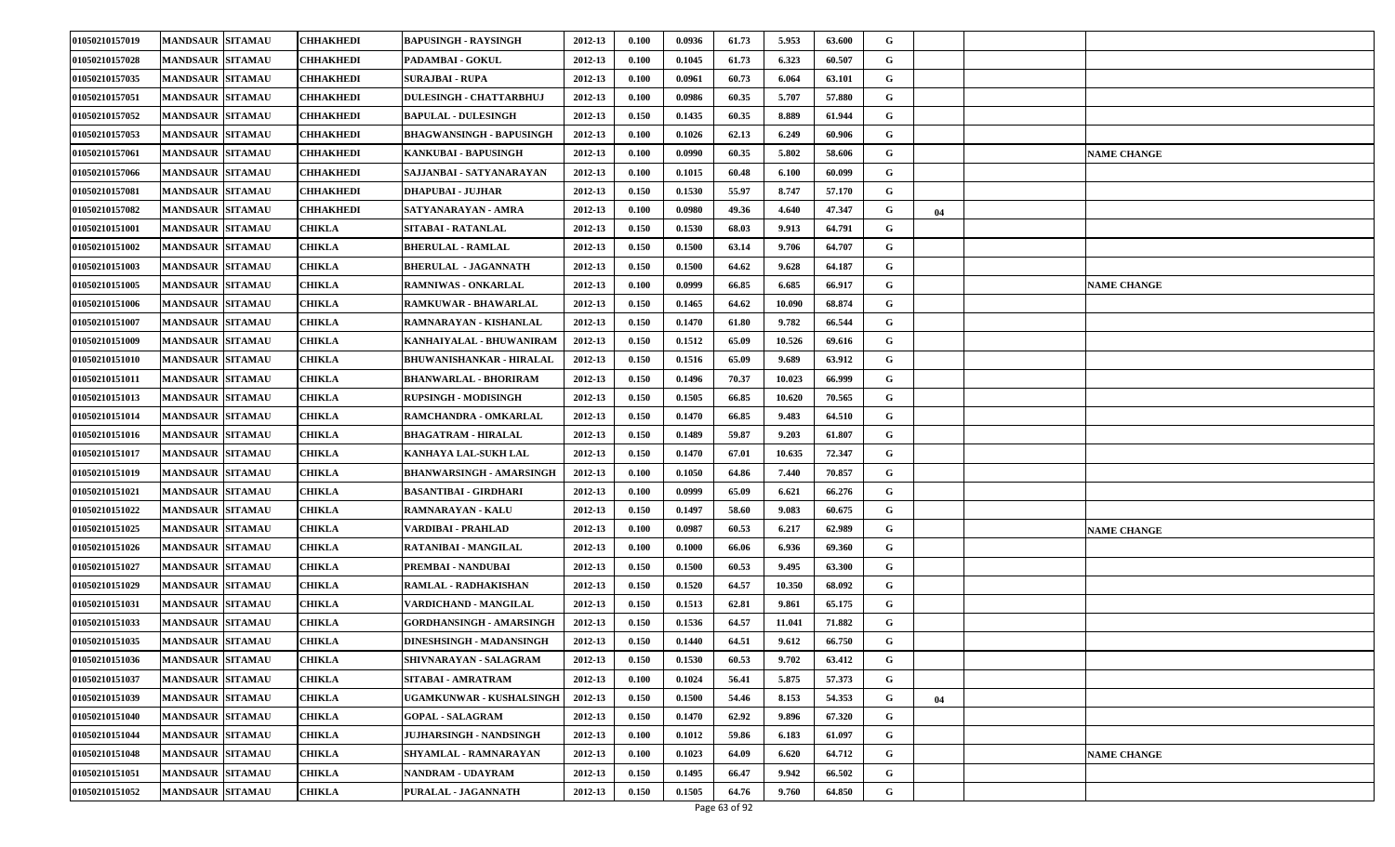| 01050210157019 | <b>MANDSAUR SITAMAU</b> | <b>CHHAKHEDI</b> | BAPUSINGH - RAYSINGH            | 2012-13 | 0.100 | 0.0936 | 61.73 | 5.953  | 63.600 | G |    |                    |
|----------------|-------------------------|------------------|---------------------------------|---------|-------|--------|-------|--------|--------|---|----|--------------------|
| 01050210157028 | <b>MANDSAUR SITAMAU</b> | CHHAKHEDI        | PADAMBAI - GOKUL                | 2012-13 | 0.100 | 0.1045 | 61.73 | 6.323  | 60.507 | G |    |                    |
| 01050210157035 | <b>MANDSAUR SITAMAU</b> | CHHAKHEDI        | <b>SURAJBAI - RUPA</b>          | 2012-13 | 0.100 | 0.0961 | 60.73 | 6.064  | 63.101 | G |    |                    |
| 01050210157051 | <b>MANDSAUR SITAMAU</b> | CHHAKHEDI        | <b>DULESINGH - CHATTARBHUJ</b>  | 2012-13 | 0.100 | 0.0986 | 60.35 | 5.707  | 57.880 | G |    |                    |
| 01050210157052 | <b>MANDSAUR SITAMAU</b> | CHHAKHEDI        | <b>BAPULAL - DULESINGH</b>      | 2012-13 | 0.150 | 0.1435 | 60.35 | 8.889  | 61.944 | G |    |                    |
| 01050210157053 | <b>MANDSAUR SITAMAU</b> | CHHAKHEDI        | BHAGWANSINGH - BAPUSINGH        | 2012-13 | 0.100 | 0.1026 | 62.13 | 6.249  | 60.906 | G |    |                    |
| 01050210157061 | <b>MANDSAUR SITAMAU</b> | CHHAKHEDI        | KANKUBAI - BAPUSINGH            | 2012-13 | 0.100 | 0.0990 | 60.35 | 5.802  | 58.606 | G |    | <b>NAME CHANGE</b> |
| 01050210157066 | <b>MANDSAUR SITAMAU</b> | CHHAKHEDI        | SAJJANBAI - SATYANARAYAN        | 2012-13 | 0.100 | 0.1015 | 60.48 | 6.100  | 60.099 | G |    |                    |
| 01050210157081 | <b>MANDSAUR SITAMAU</b> | CHHAKHEDI        | DHAPUBAI - JUJHAR               | 2012-13 | 0.150 | 0.1530 | 55.97 | 8.747  | 57.170 | G |    |                    |
| 01050210157082 | <b>MANDSAUR SITAMAU</b> | CHHAKHEDI        | SATYANARAYAN - AMRA             | 2012-13 | 0.100 | 0.0980 | 49.36 | 4.640  | 47.347 | G | 04 |                    |
| 01050210151001 | <b>MANDSAUR SITAMAU</b> | <b>CHIKLA</b>    | SITABAI - RATANLAL              | 2012-13 | 0.150 | 0.1530 | 68.03 | 9.913  | 64.791 | G |    |                    |
| 01050210151002 | <b>MANDSAUR SITAMAU</b> | CHIKLA           | <b>BHERULAL - RAMLAL</b>        | 2012-13 | 0.150 | 0.1500 | 63.14 | 9.706  | 64.707 | G |    |                    |
| 01050210151003 | <b>MANDSAUR SITAMAU</b> | CHIKLA           | <b>BHERULAL •JAGANNATH</b>      | 2012-13 | 0.150 | 0.1500 | 64.62 | 9.628  | 64.187 | G |    |                    |
| 01050210151005 | <b>MANDSAUR SITAMAU</b> | <b>CHIKLA</b>    | <b>RAMNIWAS - ONKARLAL</b>      | 2012-13 | 0.100 | 0.0999 | 66.85 | 6.685  | 66.917 | G |    | <b>NAME CHANGE</b> |
| 01050210151006 | <b>MANDSAUR SITAMAU</b> | CHIKLA           | <b>RAMKUWAR - BHAWARLAL</b>     | 2012-13 | 0.150 | 0.1465 | 64.62 | 10.090 | 68.874 | G |    |                    |
| 01050210151007 | <b>MANDSAUR SITAMAU</b> | CHIKLA           | RAMNARAYAN - KISHANLAL          | 2012-13 | 0.150 | 0.1470 | 61.80 | 9.782  | 66.544 | G |    |                    |
| 01050210151009 | <b>MANDSAUR SITAMAU</b> | CHIKLA           | KANHAIYALAL - BHUWANIRAM        | 2012-13 | 0.150 | 0.1512 | 65.09 | 10.526 | 69.616 | G |    |                    |
| 01050210151010 | <b>MANDSAUR SITAMAU</b> | CHIKLA           | <b>BHUWANISHANKAR - HIRALAL</b> | 2012-13 | 0.150 | 0.1516 | 65.09 | 9.689  | 63.912 | G |    |                    |
| 01050210151011 | <b>MANDSAUR SITAMAU</b> | CHIKLA           | <b>BHANWARLAL - BHORIRAM</b>    | 2012-13 | 0.150 | 0.1496 | 70.37 | 10.023 | 66.999 | G |    |                    |
| 01050210151013 | <b>MANDSAUR SITAMAU</b> | CHIKLA           | <b>RUPSINGH - MODISINGH</b>     | 2012-13 | 0.150 | 0.1505 | 66.85 | 10.620 | 70.565 | G |    |                    |
| 01050210151014 | <b>MANDSAUR SITAMAU</b> | CHIKLA           | <b>RAMCHANDRA - OMKARLAL</b>    | 2012-13 | 0.150 | 0.1470 | 66.85 | 9.483  | 64.510 | G |    |                    |
| 01050210151016 | <b>MANDSAUR SITAMAU</b> | CHIKLA           | <b>BHAGATRAM - HIRALAL</b>      | 2012-13 | 0.150 | 0.1489 | 59.87 | 9.203  | 61.807 | G |    |                    |
| 01050210151017 | <b>MANDSAUR SITAMAU</b> | CHIKLA           | KANHAYA LAL-SUKH LAL            | 2012-13 | 0.150 | 0.1470 | 67.01 | 10.635 | 72.347 | G |    |                    |
| 01050210151019 | <b>MANDSAUR SITAMAU</b> | CHIKLA           | BHANWARSINGH - AMARSINGH        | 2012-13 | 0.100 | 0.1050 | 64.86 | 7.440  | 70.857 | G |    |                    |
| 01050210151021 | <b>MANDSAUR SITAMAU</b> | CHIKLA           | BASANTIBAI - GIRDHARI           | 2012-13 | 0.100 | 0.0999 | 65.09 | 6.621  | 66.276 | G |    |                    |
| 01050210151022 | <b>MANDSAUR SITAMAU</b> | <b>CHIKLA</b>    | RAMNARAYAN - KALU               | 2012-13 | 0.150 | 0.1497 | 58.60 | 9.083  | 60.675 | G |    |                    |
| 01050210151025 | <b>MANDSAUR SITAMAU</b> | CHIKLA           | VARDIBAI - PRAHLAD              | 2012-13 | 0.100 | 0.0987 | 60.53 | 6.217  | 62.989 | G |    | <b>NAME CHANGE</b> |
| 01050210151026 | <b>MANDSAUR SITAMAU</b> | CHIKLA           | RATANIBAI - MANGILAL            | 2012-13 | 0.100 | 0.1000 | 66.06 | 6.936  | 69.360 | G |    |                    |
| 01050210151027 | <b>MANDSAUR SITAMAU</b> | CHIKLA           | PREMBAI - NANDUBAI              | 2012-13 | 0.150 | 0.1500 | 60.53 | 9.495  | 63.300 | G |    |                    |
| 01050210151029 | <b>MANDSAUR SITAMAU</b> | <b>CHIKLA</b>    | <b>RAMLAL - RADHAKISHAN</b>     | 2012-13 | 0.150 | 0.1520 | 64.57 | 10.350 | 68.092 | G |    |                    |
| 01050210151031 | <b>MANDSAUR SITAMAU</b> | CHIKLA           | VARDICHAND - MANGILAL           | 2012-13 | 0.150 | 0.1513 | 62.81 | 9.861  | 65.175 | G |    |                    |
| 01050210151033 | <b>MANDSAUR SITAMAU</b> | CHIKLA           | GORDHANSINGH - AMARSINGH        | 2012-13 | 0.150 | 0.1536 | 64.57 | 11.041 | 71.882 | G |    |                    |
| 01050210151035 | <b>MANDSAUR SITAMAU</b> | CHIKLA           | DINESHSINGH - MADANSINGH        | 2012-13 | 0.150 | 0.1440 | 64.51 | 9.612  | 66.750 | G |    |                    |
| 01050210151036 | MANDSAUR SITAMAU        | <b>CHIKLA</b>    | SHIVNARAYAN - SALAGRAM          | 2012-13 | 0.150 | 0.1530 | 60.53 | 9.702  | 63.412 | G |    |                    |
| 01050210151037 | <b>MANDSAUR SITAMAU</b> | CHIKLA           | SITABAI - AMRATRAM              | 2012-13 | 0.100 | 0.1024 | 56.41 | 5.875  | 57.373 | G |    |                    |
| 01050210151039 | <b>MANDSAUR SITAMAU</b> | CHIKLA           | UGAMKUNWAR - KUSHALSINGH        | 2012-13 | 0.150 | 0.1500 | 54.46 | 8.153  | 54.353 | G | 04 |                    |
| 01050210151040 | <b>MANDSAUR SITAMAU</b> | <b>CHIKLA</b>    | <b>GOPAL - SALAGRAM</b>         | 2012-13 | 0.150 | 0.1470 | 62.92 | 9.896  | 67.320 | G |    |                    |
| 01050210151044 | <b>MANDSAUR SITAMAU</b> | <b>CHIKLA</b>    | <b>JUJHARSINGH - NANDSINGH</b>  | 2012-13 | 0.100 | 0.1012 | 59.86 | 6.183  | 61.097 | G |    |                    |
| 01050210151048 | <b>MANDSAUR SITAMAU</b> | CHIKLA           | SHYAMLAL - RAMNARAYAN           | 2012-13 | 0.100 | 0.1023 | 64.09 | 6.620  | 64.712 | G |    | <b>NAME CHANGE</b> |
| 01050210151051 | <b>MANDSAUR SITAMAU</b> | CHIKLA           | NANDRAM - UDAYRAM               | 2012-13 | 0.150 | 0.1495 | 66.47 | 9.942  | 66.502 | G |    |                    |
| 01050210151052 | MANDSAUR SITAMAU        | CHIKLA           | PURALAL - JAGANNATH             | 2012-13 | 0.150 | 0.1505 | 64.76 | 9.760  | 64.850 | G |    |                    |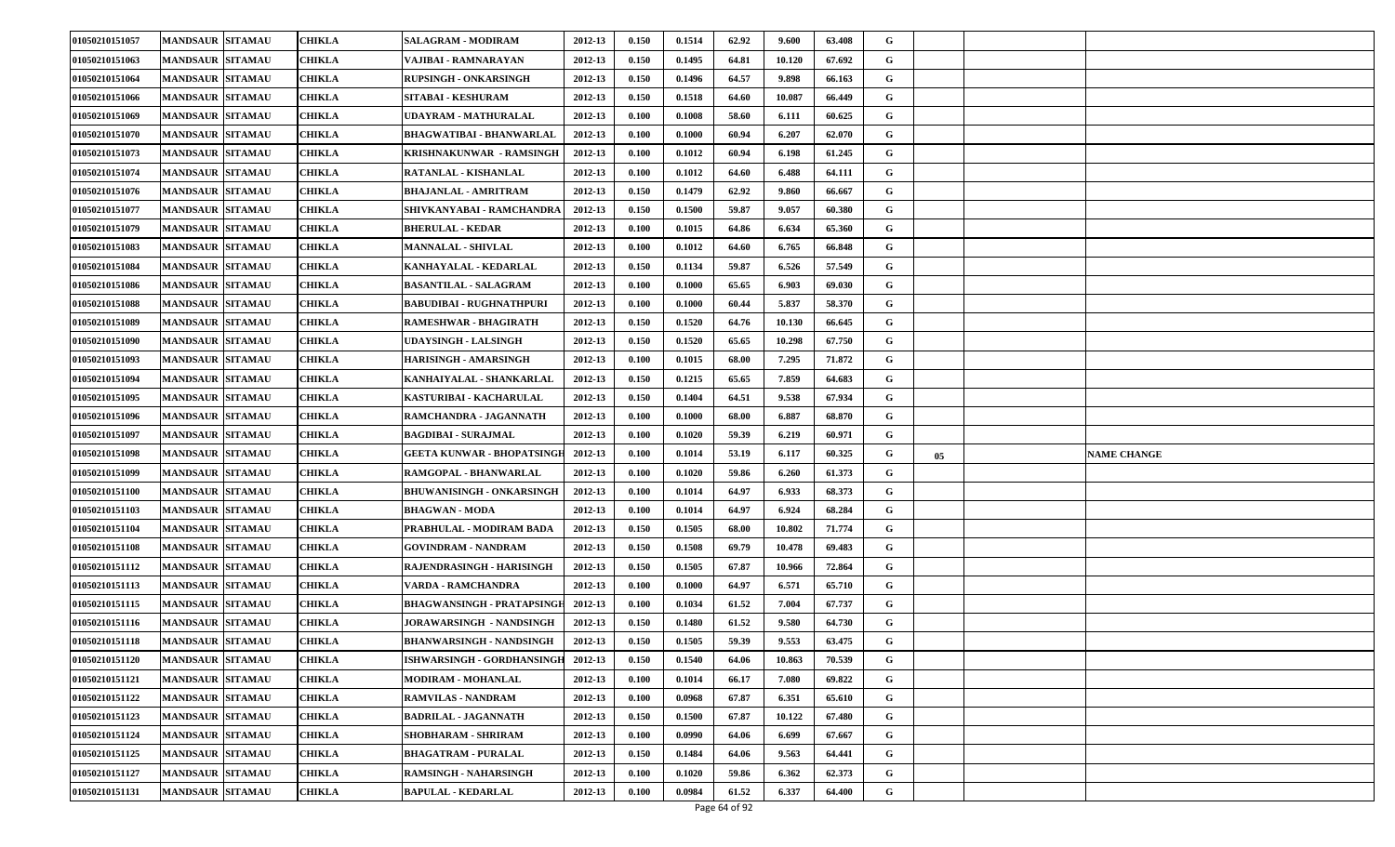| 01050210151057 | <b>MANDSAUR SITAMAU</b> | CHIKLA        | <b>SALAGRAM - MODIRAM</b>        | 2012-13 | 0.150 | 0.1514 | 62.92 | 9.600  | 63.408 | G |    |                    |
|----------------|-------------------------|---------------|----------------------------------|---------|-------|--------|-------|--------|--------|---|----|--------------------|
| 01050210151063 | <b>MANDSAUR SITAMAU</b> | CHIKLA        | VAJIBAI - RAMNARAYAN             | 2012-13 | 0.150 | 0.1495 | 64.81 | 10.120 | 67.692 | G |    |                    |
| 01050210151064 | <b>MANDSAUR SITAMAU</b> | CHIKLA        | <b>RUPSINGH - ONKARSINGH</b>     | 2012-13 | 0.150 | 0.1496 | 64.57 | 9.898  | 66.163 | G |    |                    |
| 01050210151066 | MANDSAUR   SITAMAU      | CHIKLA        | SITABAI - KESHURAM               | 2012-13 | 0.150 | 0.1518 | 64.60 | 10.087 | 66.449 | G |    |                    |
| 01050210151069 | <b>MANDSAUR SITAMAU</b> | CHIKLA        | UDAYRAM - MATHURALAL             | 2012-13 | 0.100 | 0.1008 | 58.60 | 6.111  | 60.625 | G |    |                    |
| 01050210151070 | <b>MANDSAUR SITAMAU</b> | CHIKLA        | BHAGWATIBAI - BHANWARLAL         | 2012-13 | 0.100 | 0.1000 | 60.94 | 6.207  | 62.070 | G |    |                    |
| 01050210151073 | <b>MANDSAUR SITAMAU</b> | CHIKLA        | KRISHNAKUNWAR - RAMSINGH         | 2012-13 | 0.100 | 0.1012 | 60.94 | 6.198  | 61.245 | G |    |                    |
| 01050210151074 | <b>MANDSAUR SITAMAU</b> | CHIKLA        | RATANLAL - KISHANLAL             | 2012-13 | 0.100 | 0.1012 | 64.60 | 6.488  | 64.111 | G |    |                    |
| 01050210151076 | <b>MANDSAUR SITAMAU</b> | CHIKLA        | BHAJANLAL - AMRITRAM             | 2012-13 | 0.150 | 0.1479 | 62.92 | 9.860  | 66.667 | G |    |                    |
| 01050210151077 | <b>MANDSAUR SITAMAU</b> | CHIKLA        | SHIVKANYABAI - RAMCHANDRA        | 2012-13 | 0.150 | 0.1500 | 59.87 | 9.057  | 60.380 | G |    |                    |
| 01050210151079 | <b>MANDSAUR SITAMAU</b> | <b>CHIKLA</b> | <b>BHERULAL - KEDAR</b>          | 2012-13 | 0.100 | 0.1015 | 64.86 | 6.634  | 65.360 | G |    |                    |
| 01050210151083 | <b>MANDSAUR SITAMAU</b> | CHIKLA        | <b>MANNALAL - SHIVLAL</b>        | 2012-13 | 0.100 | 0.1012 | 64.60 | 6.765  | 66.848 | G |    |                    |
| 01050210151084 | <b>MANDSAUR SITAMAU</b> | CHIKLA        | KANHAYALAL - KEDARLAL            | 2012-13 | 0.150 | 0.1134 | 59.87 | 6.526  | 57.549 | G |    |                    |
| 01050210151086 | <b>MANDSAUR SITAMAU</b> | <b>CHIKLA</b> | <b>BASANTILAL - SALAGRAM</b>     | 2012-13 | 0.100 | 0.1000 | 65.65 | 6.903  | 69.030 | G |    |                    |
| 01050210151088 | <b>MANDSAUR SITAMAU</b> | <b>CHIKLA</b> | <b>BABUDIBAI - RUGHNATHPURI</b>  | 2012-13 | 0.100 | 0.1000 | 60.44 | 5.837  | 58.370 | G |    |                    |
| 01050210151089 | <b>MANDSAUR SITAMAU</b> | CHIKLA        | RAMESHWAR - BHAGIRATH            | 2012-13 | 0.150 | 0.1520 | 64.76 | 10.130 | 66.645 | G |    |                    |
| 01050210151090 | <b>MANDSAUR SITAMAU</b> | CHIKLA        | <b>JDAYSINGH - LALSINGH</b>      | 2012-13 | 0.150 | 0.1520 | 65.65 | 10.298 | 67.750 | G |    |                    |
| 01050210151093 | <b>MANDSAUR SITAMAU</b> | <b>CHIKLA</b> | <b>HARISINGH - AMARSINGH</b>     | 2012-13 | 0.100 | 0.1015 | 68.00 | 7.295  | 71.872 | G |    |                    |
| 01050210151094 | <b>MANDSAUR SITAMAU</b> | CHIKLA        | KANHAIYALAL - SHANKARLAL         | 2012-13 | 0.150 | 0.1215 | 65.65 | 7.859  | 64.683 | G |    |                    |
| 01050210151095 | <b>MANDSAUR SITAMAU</b> | CHIKLA        | KASTURIBAI - KACHARULAL          | 2012-13 | 0.150 | 0.1404 | 64.51 | 9.538  | 67.934 | G |    |                    |
| 01050210151096 | <b>MANDSAUR SITAMAU</b> | CHIKLA        | RAMCHANDRA - JAGANNATH           | 2012-13 | 0.100 | 0.1000 | 68.00 | 6.887  | 68.870 | G |    |                    |
| 01050210151097 | <b>MANDSAUR SITAMAU</b> | <b>CHIKLA</b> | <b>BAGDIBAI - SURAJMAL</b>       | 2012-13 | 0.100 | 0.1020 | 59.39 | 6.219  | 60.971 | G |    |                    |
| 01050210151098 | <b>MANDSAUR SITAMAU</b> | CHIKLA        | GEETA KUNWAR - BHOPATSINGI       | 2012-13 | 0.100 | 0.1014 | 53.19 | 6.117  | 60.325 | G | 05 | <b>NAME CHANGE</b> |
| 01050210151099 | <b>MANDSAUR SITAMAU</b> | CHIKLA        | RAMGOPAL - BHANWARLAL            | 2012-13 | 0.100 | 0.1020 | 59.86 | 6.260  | 61.373 | G |    |                    |
| 01050210151100 | <b>MANDSAUR SITAMAU</b> | CHIKLA        | <b>BHUWANISINGH - ONKARSINGH</b> | 2012-13 | 0.100 | 0.1014 | 64.97 | 6.933  | 68.373 | G |    |                    |
| 01050210151103 | <b>MANDSAUR SITAMAU</b> | CHIKLA        | <b>BHAGWAN - MODA</b>            | 2012-13 | 0.100 | 0.1014 | 64.97 | 6.924  | 68.284 | G |    |                    |
| 01050210151104 | <b>MANDSAUR SITAMAU</b> | CHIKLA        | PRABHULAL - MODIRAM BADA         | 2012-13 | 0.150 | 0.1505 | 68.00 | 10.802 | 71.774 | G |    |                    |
| 01050210151108 | <b>MANDSAUR SITAMAU</b> | CHIKLA        | GOVINDRAM - NANDRAM              | 2012-13 | 0.150 | 0.1508 | 69.79 | 10.478 | 69.483 | G |    |                    |
| 01050210151112 | <b>MANDSAUR SITAMAU</b> | CHIKLA        | RAJENDRASINGH - HARISINGH        | 2012-13 | 0.150 | 0.1505 | 67.87 | 10.966 | 72.864 | G |    |                    |
| 01050210151113 | <b>MANDSAUR SITAMAU</b> | CHIKLA        | VARDA - RAMCHANDRA               | 2012-13 | 0.100 | 0.1000 | 64.97 | 6.571  | 65.710 | G |    |                    |
| 01050210151115 | <b>MANDSAUR SITAMAU</b> | CHIKLA        | BHAGWANSINGH - PRATAPSINGI       | 2012-13 | 0.100 | 0.1034 | 61.52 | 7.004  | 67.737 | G |    |                    |
| 01050210151116 | <b>MANDSAUR SITAMAU</b> | CHIKLA        | <b>JORAWARSINGH - NANDSINGH</b>  | 2012-13 | 0.150 | 0.1480 | 61.52 | 9.580  | 64.730 | G |    |                    |
| 01050210151118 | <b>MANDSAUR SITAMAU</b> | CHIKLA        | BHANWARSINGH - NANDSINGH         | 2012-13 | 0.150 | 0.1505 | 59.39 | 9.553  | 63.475 | G |    |                    |
| 01050210151120 | MANDSAUR SITAMAU        | <b>CHIKLA</b> | ISHWARSINGH - GORDHANSINGH       | 2012-13 | 0.150 | 0.1540 | 64.06 | 10.863 | 70.539 | G |    |                    |
| 01050210151121 | <b>MANDSAUR SITAMAU</b> | CHIKLA        | <b>MODIRAM - MOHANLAL</b>        | 2012-13 | 0.100 | 0.1014 | 66.17 | 7.080  | 69.822 | G |    |                    |
| 01050210151122 | <b>MANDSAUR SITAMAU</b> | CHIKLA        | <b>RAMVILAS - NANDRAM</b>        | 2012-13 | 0.100 | 0.0968 | 67.87 | 6.351  | 65.610 | G |    |                    |
| 01050210151123 | <b>MANDSAUR SITAMAU</b> | <b>CHIKLA</b> | <b>BADRILAL - JAGANNATH</b>      | 2012-13 | 0.150 | 0.1500 | 67.87 | 10.122 | 67.480 | G |    |                    |
| 01050210151124 | <b>MANDSAUR SITAMAU</b> | CHIKLA        | SHOBHARAM - SHRIRAM              | 2012-13 | 0.100 | 0.0990 | 64.06 | 6.699  | 67.667 | G |    |                    |
| 01050210151125 | <b>MANDSAUR SITAMAU</b> | CHIKLA        | <b>BHAGATRAM - PURALAL</b>       | 2012-13 | 0.150 | 0.1484 | 64.06 | 9.563  | 64.441 | G |    |                    |
| 01050210151127 | <b>MANDSAUR SITAMAU</b> | CHIKLA        | RAMSINGH - NAHARSINGH            | 2012-13 | 0.100 | 0.1020 | 59.86 | 6.362  | 62.373 | G |    |                    |
| 01050210151131 | <b>MANDSAUR SITAMAU</b> | <b>CHIKLA</b> | <b>BAPULAL - KEDARLAL</b>        | 2012-13 | 0.100 | 0.0984 | 61.52 | 6.337  | 64.400 | G |    |                    |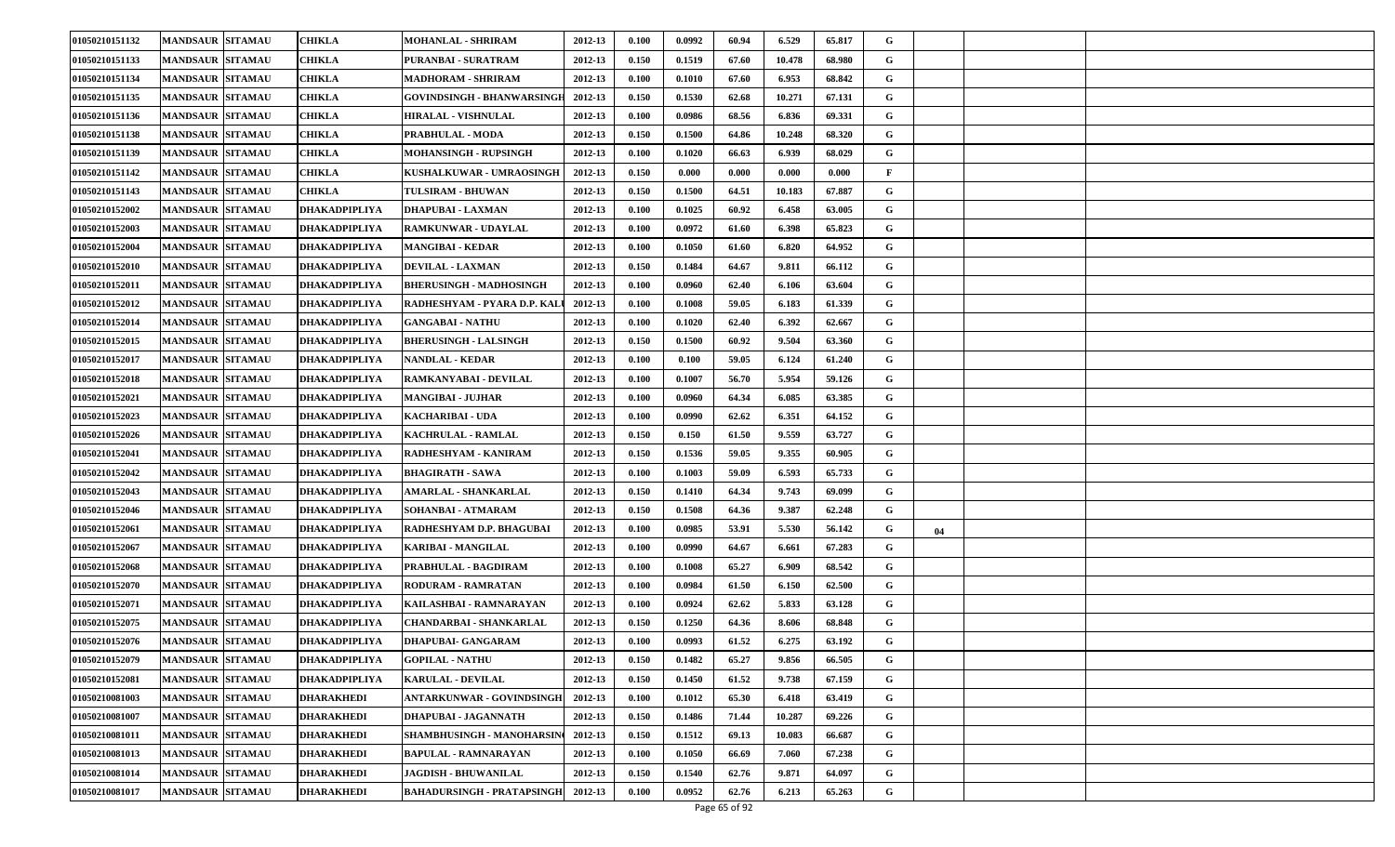| 01050210151132 | <b>MANDSAUR SITAMAU</b> | CHIKLA            | MOHANLAL - SHRIRAM                        | 2012-13 | 0.100 | 0.0992 | 60.94 | 6.529  | 65.817 | G |    |  |
|----------------|-------------------------|-------------------|-------------------------------------------|---------|-------|--------|-------|--------|--------|---|----|--|
| 01050210151133 | <b>MANDSAUR SITAMAU</b> | CHIKLA            | PURANBAI - SURATRAM                       | 2012-13 | 0.150 | 0.1519 | 67.60 | 10.478 | 68.980 | G |    |  |
| 01050210151134 | <b>MANDSAUR SITAMAU</b> | <b>CHIKLA</b>     | <b>MADHORAM - SHRIRAM</b>                 | 2012-13 | 0.100 | 0.1010 | 67.60 | 6.953  | 68.842 | G |    |  |
| 01050210151135 | <b>MANDSAUR SITAMAU</b> | CHIKLA            | GOVINDSINGH - BHANWARSINGH                | 2012-13 | 0.150 | 0.1530 | 62.68 | 10.271 | 67.131 | G |    |  |
| 01050210151136 | <b>MANDSAUR SITAMAU</b> | CHIKLA            | <b>HIRALAL - VISHNULAL</b>                | 2012-13 | 0.100 | 0.0986 | 68.56 | 6.836  | 69.331 | G |    |  |
| 01050210151138 | <b>MANDSAUR SITAMAU</b> | CHIKLA            | PRABHULAL - MODA                          | 2012-13 | 0.150 | 0.1500 | 64.86 | 10.248 | 68.320 | G |    |  |
| 01050210151139 | <b>MANDSAUR SITAMAU</b> | CHIKLA            | <b>MOHANSINGH - RUPSINGH</b>              | 2012-13 | 0.100 | 0.1020 | 66.63 | 6.939  | 68.029 | G |    |  |
| 01050210151142 | <b>MANDSAUR SITAMAU</b> | CHIKLA            | KUSHALKUWAR - UMRAOSINGH                  | 2012-13 | 0.150 | 0.000  | 0.000 | 0.000  | 0.000  | F |    |  |
| 01050210151143 | <b>MANDSAUR SITAMAU</b> | CHIKLA            | <b>TULSIRAM - BHUWAN</b>                  | 2012-13 | 0.150 | 0.1500 | 64.51 | 10.183 | 67.887 | G |    |  |
| 01050210152002 | <b>MANDSAUR SITAMAU</b> | DHAKADPIPLIYA     | <b>DHAPUBAI - LAXMAN</b>                  | 2012-13 | 0.100 | 0.1025 | 60.92 | 6.458  | 63.005 | G |    |  |
| 01050210152003 | <b>MANDSAUR SITAMAU</b> | DHAKADPIPLIYA     | <b>RAMKUNWAR - UDAYLAL</b>                | 2012-13 | 0.100 | 0.0972 | 61.60 | 6.398  | 65.823 | G |    |  |
| 01050210152004 | <b>MANDSAUR SITAMAU</b> | DHAKADPIPLIYA     | <b>MANGIBAI - KEDAR</b>                   | 2012-13 | 0.100 | 0.1050 | 61.60 | 6.820  | 64.952 | G |    |  |
| 01050210152010 | <b>MANDSAUR SITAMAU</b> | DHAKADPIPLIYA     | <b>DEVILAL - LAXMAN</b>                   | 2012-13 | 0.150 | 0.1484 | 64.67 | 9.811  | 66.112 | G |    |  |
| 01050210152011 | <b>MANDSAUR SITAMAU</b> | DHAKADPIPLIYA     | <b>BHERUSINGH - MADHOSINGH</b>            | 2012-13 | 0.100 | 0.0960 | 62.40 | 6.106  | 63.604 | G |    |  |
| 01050210152012 | <b>MANDSAUR SITAMAU</b> | DHAKADPIPLIYA     | RADHESHYAM - PYARA D.P. KALI              | 2012-13 | 0.100 | 0.1008 | 59.05 | 6.183  | 61.339 | G |    |  |
| 01050210152014 | <b>MANDSAUR SITAMAU</b> | DHAKADPIPLIYA     | <b>GANGABAI - NATHU</b>                   | 2012-13 | 0.100 | 0.1020 | 62.40 | 6.392  | 62.667 | G |    |  |
| 01050210152015 | <b>MANDSAUR SITAMAU</b> | DHAKADPIPLIYA     | <b>BHERUSINGH - LALSINGH</b>              | 2012-13 | 0.150 | 0.1500 | 60.92 | 9.504  | 63.360 | G |    |  |
| 01050210152017 | <b>MANDSAUR SITAMAU</b> | DHAKADPIPLIYA     | <b>NANDLAL - KEDAR</b>                    | 2012-13 | 0.100 | 0.100  | 59.05 | 6.124  | 61.240 | G |    |  |
| 01050210152018 | <b>MANDSAUR SITAMAU</b> | DHAKADPIPLIYA     | RAMKANYABAI - DEVILAL                     | 2012-13 | 0.100 | 0.1007 | 56.70 | 5.954  | 59.126 | G |    |  |
| 01050210152021 | <b>MANDSAUR SITAMAU</b> | DHAKADPIPLIYA     | <b>MANGIBAI - JUJHAR</b>                  | 2012-13 | 0.100 | 0.0960 | 64.34 | 6.085  | 63.385 | G |    |  |
| 01050210152023 | <b>MANDSAUR SITAMAU</b> | DHAKADPIPLIYA     | <b>KACHARIBAI - UDA</b>                   | 2012-13 | 0.100 | 0.0990 | 62.62 | 6.351  | 64.152 | G |    |  |
| 01050210152026 | <b>MANDSAUR SITAMAU</b> | DHAKADPIPLIYA     | <b>KACHRULAL - RAMLAL</b>                 | 2012-13 | 0.150 | 0.150  | 61.50 | 9.559  | 63.727 | G |    |  |
| 01050210152041 | <b>MANDSAUR SITAMAU</b> | DHAKADPIPLIYA     | RADHESHYAM - KANIRAM                      | 2012-13 | 0.150 | 0.1536 | 59.05 | 9.355  | 60.905 | G |    |  |
| 01050210152042 | <b>MANDSAUR SITAMAU</b> | DHAKADPIPLIYA     | <b>BHAGIRATH - SAWA</b>                   | 2012-13 | 0.100 | 0.1003 | 59.09 | 6.593  | 65.733 | G |    |  |
| 01050210152043 | <b>MANDSAUR SITAMAU</b> | DHAKADPIPLIYA     | <b>AMARLAL - SHANKARLAL</b>               | 2012-13 | 0.150 | 0.1410 | 64.34 | 9.743  | 69.099 | G |    |  |
| 01050210152046 | <b>MANDSAUR SITAMAU</b> | DHAKADPIPLIYA     | <b>SOHANBAI - ATMARAM</b>                 | 2012-13 | 0.150 | 0.1508 | 64.36 | 9.387  | 62.248 | G |    |  |
| 01050210152061 | <b>MANDSAUR SITAMAU</b> | DHAKADPIPLIYA     | RADHESHYAM D.P. BHAGUBAI                  | 2012-13 | 0.100 | 0.0985 | 53.91 | 5.530  | 56.142 | G | 04 |  |
| 01050210152067 | <b>MANDSAUR SITAMAU</b> | DHAKADPIPLIYA     | <b>KARIBAI - MANGILAL</b>                 | 2012-13 | 0.100 | 0.0990 | 64.67 | 6.661  | 67.283 | G |    |  |
| 01050210152068 | <b>MANDSAUR SITAMAU</b> | DHAKADPIPLIYA     | PRABHULAL - BAGDIRAM                      | 2012-13 | 0.100 | 0.1008 | 65.27 | 6.909  | 68.542 | G |    |  |
| 01050210152070 | <b>MANDSAUR SITAMAU</b> | DHAKADPIPLIYA     | <b>RODURAM - RAMRATAN</b>                 | 2012-13 | 0.100 | 0.0984 | 61.50 | 6.150  | 62.500 | G |    |  |
| 01050210152071 | <b>MANDSAUR SITAMAU</b> | DHAKADPIPLIYA     | KAILASHBAI - RAMNARAYAN                   | 2012-13 | 0.100 | 0.0924 | 62.62 | 5.833  | 63.128 | G |    |  |
| 01050210152075 | <b>MANDSAUR SITAMAU</b> | DHAKADPIPLIYA     | CHANDARBAI - SHANKARLAL                   | 2012-13 | 0.150 | 0.1250 | 64.36 | 8.606  | 68.848 | G |    |  |
| 01050210152076 | <b>MANDSAUR SITAMAU</b> | DHAKADPIPLIYA     | <b>DHAPUBAI- GANGARAM</b>                 | 2012-13 | 0.100 | 0.0993 | 61.52 | 6.275  | 63.192 | G |    |  |
| 01050210152079 | MANDSAUR SITAMAU        | DHAKADPIPLIYA     | <b>GOPILAL - NATHU</b>                    | 2012-13 | 0.150 | 0.1482 | 65.27 | 9.856  | 66.505 | G |    |  |
| 01050210152081 | <b>MANDSAUR SITAMAU</b> | DHAKADPIPLIYA     | <b>KARULAL - DEVILAL</b>                  | 2012-13 | 0.150 | 0.1450 | 61.52 | 9.738  | 67.159 | G |    |  |
| 01050210081003 | <b>MANDSAUR SITAMAU</b> | <b>DHARAKHEDI</b> | <b>ANTARKUNWAR - GOVINDSINGH</b>          | 2012-13 | 0.100 | 0.1012 | 65.30 | 6.418  | 63.419 | G |    |  |
| 01050210081007 | <b>MANDSAUR SITAMAU</b> | <b>DHARAKHEDI</b> | DHAPUBAI - JAGANNATH                      | 2012-13 | 0.150 | 0.1486 | 71.44 | 10.287 | 69.226 | G |    |  |
| 01050210081011 | <b>MANDSAUR SITAMAU</b> | <b>DHARAKHEDI</b> | SHAMBHUSINGH - MANOHARSIN                 | 2012-13 | 0.150 | 0.1512 | 69.13 | 10.083 | 66.687 | G |    |  |
| 01050210081013 | <b>MANDSAUR SITAMAU</b> | DHARAKHEDI        | <b>BAPULAL - RAMNARAYAN</b>               | 2012-13 | 0.100 | 0.1050 | 66.69 | 7.060  | 67.238 | G |    |  |
| 01050210081014 | <b>MANDSAUR SITAMAU</b> | DHARAKHEDI        | JAGDISH - BHUWANILAL                      | 2012-13 | 0.150 | 0.1540 | 62.76 | 9.871  | 64.097 | G |    |  |
| 01050210081017 | <b>MANDSAUR SITAMAU</b> | <b>DHARAKHEDI</b> | <b>BAHADURSINGH - PRATAPSINGH 2012-13</b> |         | 0.100 | 0.0952 | 62.76 | 6.213  | 65.263 | G |    |  |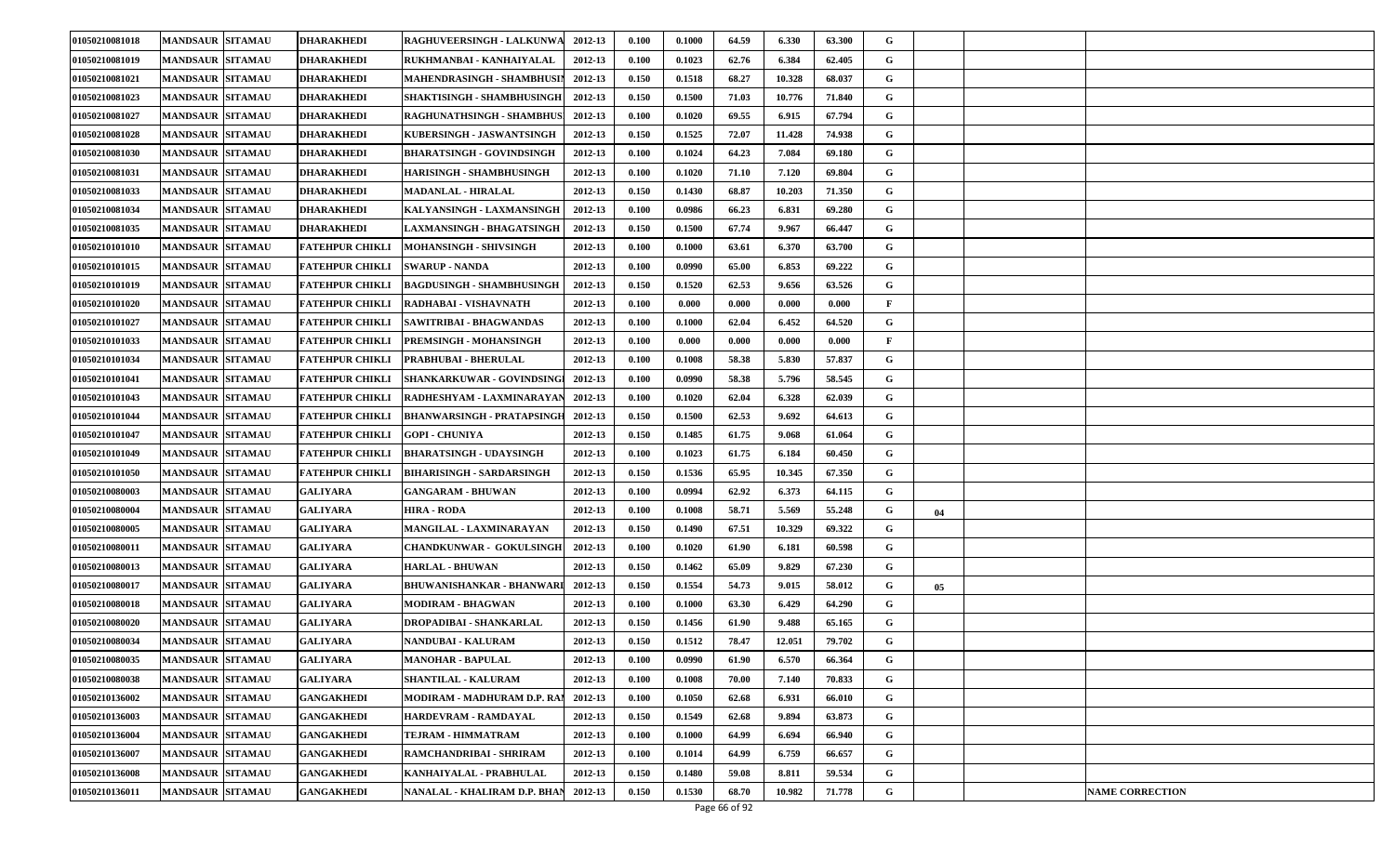| 01050210081018 | <b>MANDSAUR SITAMAU</b> |                 | <b>DHARAKHEDI</b>      | RAGHUVEERSINGH - LALKUNWA         | 2012-13 | 0.100 | 0.1000 | 64.59 | 6.330  | 63.300 | G            |    |                        |
|----------------|-------------------------|-----------------|------------------------|-----------------------------------|---------|-------|--------|-------|--------|--------|--------------|----|------------------------|
| 01050210081019 | <b>MANDSAUR SITAMAU</b> |                 | DHARAKHEDI             | RUKHMANBAI - KANHAIYALAL          | 2012-13 | 0.100 | 0.1023 | 62.76 | 6.384  | 62.405 | G            |    |                        |
| 01050210081021 | <b>MANDSAUR SITAMAU</b> |                 | <b>DHARAKHEDI</b>      | MAHENDRASINGH - SHAMBHUSIN        | 2012-13 | 0.150 | 0.1518 | 68.27 | 10.328 | 68.037 | G            |    |                        |
| 01050210081023 | <b>MANDSAUR SITAMAU</b> |                 | DHARAKHEDI             | SHAKTISINGH - SHAMBHUSINGH        | 2012-13 | 0.150 | 0.1500 | 71.03 | 10.776 | 71.840 | G            |    |                        |
| 01050210081027 | <b>MANDSAUR SITAMAU</b> |                 | DHARAKHEDI             | <b>RAGHUNATHSINGH - SHAMBHUS</b>  | 2012-13 | 0.100 | 0.1020 | 69.55 | 6.915  | 67.794 | G            |    |                        |
| 01050210081028 | <b>MANDSAUR SITAMAU</b> |                 | DHARAKHEDI             | KUBERSINGH - JASWANTSINGH         | 2012-13 | 0.150 | 0.1525 | 72.07 | 11.428 | 74.938 | G            |    |                        |
| 01050210081030 | <b>MANDSAUR SITAMAU</b> |                 | <b>DHARAKHEDI</b>      | BHARATSINGH - GOVINDSINGH         | 2012-13 | 0.100 | 0.1024 | 64.23 | 7.084  | 69.180 | G            |    |                        |
| 01050210081031 | <b>MANDSAUR SITAMAU</b> |                 | DHARAKHEDI             | HARISINGH - SHAMBHUSINGH          | 2012-13 | 0.100 | 0.1020 | 71.10 | 7.120  | 69.804 | G            |    |                        |
| 01050210081033 | <b>MANDSAUR SITAMAU</b> |                 | DHARAKHEDI             | <b>MADANLAL - HIRALAL</b>         | 2012-13 | 0.150 | 0.1430 | 68.87 | 10.203 | 71.350 | G            |    |                        |
| 01050210081034 | <b>MANDSAUR SITAMAU</b> |                 | DHARAKHEDI             | KALYANSINGH - LAXMANSINGH         | 2012-13 | 0.100 | 0.0986 | 66.23 | 6.831  | 69.280 | G            |    |                        |
| 01050210081035 | <b>MANDSAUR SITAMAU</b> |                 | DHARAKHEDI             | <b>LAXMANSINGH - BHAGATSINGH</b>  | 2012-13 | 0.150 | 0.1500 | 67.74 | 9.967  | 66.447 | G            |    |                        |
| 01050210101010 | <b>MANDSAUR SITAMAU</b> |                 | <b>FATEHPUR CHIKLI</b> | MOHANSINGH - SHIVSINGH            | 2012-13 | 0.100 | 0.1000 | 63.61 | 6.370  | 63.700 | G            |    |                        |
| 01050210101015 | <b>MANDSAUR SITAMAU</b> |                 | FATEHPUR CHIKLI        | <b>SWARUP - NANDA</b>             | 2012-13 | 0.100 | 0.0990 | 65.00 | 6.853  | 69.222 | G            |    |                        |
| 01050210101019 | <b>MANDSAUR SITAMAU</b> |                 | <b>FATEHPUR CHIKLI</b> | <b>BAGDUSINGH - SHAMBHUSINGH</b>  | 2012-13 | 0.150 | 0.1520 | 62.53 | 9.656  | 63.526 | G            |    |                        |
| 01050210101020 | <b>MANDSAUR SITAMAU</b> |                 | <b>FATEHPUR CHIKLI</b> | RADHABAI - VISHAVNATH             | 2012-13 | 0.100 | 0.000  | 0.000 | 0.000  | 0.000  | F            |    |                        |
| 01050210101027 | <b>MANDSAUR SITAMAU</b> |                 | FATEHPUR CHIKLI        | SAWITRIBAI - BHAGWANDAS           | 2012-13 | 0.100 | 0.1000 | 62.04 | 6.452  | 64.520 | G            |    |                        |
| 01050210101033 | <b>MANDSAUR SITAMAU</b> |                 | <b>FATEHPUR CHIKLI</b> | PREMSINGH - MOHANSINGH            | 2012-13 | 0.100 | 0.000  | 0.000 | 0.000  | 0.000  | $\mathbf{F}$ |    |                        |
| 01050210101034 | <b>MANDSAUR SITAMAU</b> |                 | <b>FATEHPUR CHIKLI</b> | <b>PRABHUBAI - BHERULAL</b>       | 2012-13 | 0.100 | 0.1008 | 58.38 | 5.830  | 57.837 | G            |    |                        |
| 01050210101041 | <b>MANDSAUR SITAMAU</b> |                 | FATEHPUR CHIKLI        | SHANKARKUWAR - GOVINDSINGI        | 2012-13 | 0.100 | 0.0990 | 58.38 | 5.796  | 58.545 | G            |    |                        |
| 01050210101043 | <b>MANDSAUR SITAMAU</b> |                 | FATEHPUR CHIKLI        | RADHESHYAM - LAXMINARAYAN         | 2012-13 | 0.100 | 0.1020 | 62.04 | 6.328  | 62.039 | G            |    |                        |
| 01050210101044 | <b>MANDSAUR SITAMAU</b> |                 | FATEHPUR CHIKLI        | <b>BHANWARSINGH - PRATAPSINGE</b> | 2012-13 | 0.150 | 0.1500 | 62.53 | 9.692  | 64.613 | G            |    |                        |
| 01050210101047 | <b>MANDSAUR SITAMAU</b> |                 | <b>FATEHPUR CHIKLI</b> | <b>GOPI - CHUNIYA</b>             | 2012-13 | 0.150 | 0.1485 | 61.75 | 9.068  | 61.064 | G            |    |                        |
| 01050210101049 | <b>MANDSAUR SITAMAU</b> |                 | <b>FATEHPUR CHIKLI</b> | <b>BHARATSINGH - UDAYSINGH</b>    | 2012-13 | 0.100 | 0.1023 | 61.75 | 6.184  | 60.450 | G            |    |                        |
| 01050210101050 | <b>MANDSAUR SITAMAU</b> |                 | FATEHPUR CHIKLI        | <b>BIHARISINGH - SARDARSINGH</b>  | 2012-13 | 0.150 | 0.1536 | 65.95 | 10.345 | 67.350 | G            |    |                        |
| 01050210080003 | <b>MANDSAUR SITAMAU</b> | <b>GALIYARA</b> |                        | <b>GANGARAM - BHUWAN</b>          | 2012-13 | 0.100 | 0.0994 | 62.92 | 6.373  | 64.115 | G            |    |                        |
| 01050210080004 | <b>MANDSAUR SITAMAU</b> | <b>GALIYARA</b> |                        | <b>HIRA - RODA</b>                | 2012-13 | 0.100 | 0.1008 | 58.71 | 5.569  | 55.248 | G            | 04 |                        |
| 01050210080005 | <b>MANDSAUR SITAMAU</b> | <b>GALIYARA</b> |                        | <b>MANGILAL - LAXMINARAYAN</b>    | 2012-13 | 0.150 | 0.1490 | 67.51 | 10.329 | 69.322 | G            |    |                        |
| 01050210080011 | <b>MANDSAUR SITAMAU</b> | <b>GALIYARA</b> |                        | CHANDKUNWAR - GOKULSINGH          | 2012-13 | 0.100 | 0.1020 | 61.90 | 6.181  | 60.598 | G            |    |                        |
| 01050210080013 | <b>MANDSAUR SITAMAU</b> | <b>GALIYARA</b> |                        | <b>HARLAL - BHUWAN</b>            | 2012-13 | 0.150 | 0.1462 | 65.09 | 9.829  | 67.230 | G            |    |                        |
| 01050210080017 | <b>MANDSAUR SITAMAU</b> | <b>GALIYARA</b> |                        | BHUWANISHANKAR - BHANWARI 2012-13 |         | 0.150 | 0.1554 | 54.73 | 9.015  | 58.012 | G            | 05 |                        |
| 01050210080018 | <b>MANDSAUR SITAMAU</b> | <b>GALIYARA</b> |                        | MODIRAM - BHAGWAN                 | 2012-13 | 0.100 | 0.1000 | 63.30 | 6.429  | 64.290 | G            |    |                        |
| 01050210080020 | <b>MANDSAUR SITAMAU</b> | <b>GALIYARA</b> |                        | DROPADIBAI - SHANKARLAL           | 2012-13 | 0.150 | 0.1456 | 61.90 | 9.488  | 65.165 | G            |    |                        |
| 01050210080034 | <b>MANDSAUR SITAMAU</b> | <b>GALIYARA</b> |                        | <b>NANDUBAI - KALURAM</b>         | 2012-13 | 0.150 | 0.1512 | 78.47 | 12.051 | 79.702 | G            |    |                        |
| 01050210080035 | MANDSAUR SITAMAU        | <b>GALIYARA</b> |                        | <b>MANOHAR - BAPULAL</b>          | 2012-13 | 0.100 | 0.0990 | 61.90 | 6.570  | 66.364 | G            |    |                        |
| 01050210080038 | <b>MANDSAUR SITAMAU</b> | GALIYARA        |                        | <b>SHANTILAL - KALURAM</b>        | 2012-13 | 0.100 | 0.1008 | 70.00 | 7.140  | 70.833 | G            |    |                        |
| 01050210136002 | <b>MANDSAUR SITAMAU</b> |                 | <b>GANGAKHEDI</b>      | MODIRAM - MADHURAM D.P. RAI       | 2012-13 | 0.100 | 0.1050 | 62.68 | 6.931  | 66.010 | G            |    |                        |
| 01050210136003 | <b>MANDSAUR SITAMAU</b> |                 | <b>GANGAKHEDI</b>      | HARDEVRAM - RAMDAYAL              | 2012-13 | 0.150 | 0.1549 | 62.68 | 9.894  | 63.873 | G            |    |                        |
| 01050210136004 | <b>MANDSAUR SITAMAU</b> |                 | <b>GANGAKHEDI</b>      | TEJRAM - HIMMATRAM                | 2012-13 | 0.100 | 0.1000 | 64.99 | 6.694  | 66.940 | G            |    |                        |
| 01050210136007 | <b>MANDSAUR SITAMAU</b> |                 | GANGAKHEDI             | RAMCHANDRIBAI - SHRIRAM           | 2012-13 | 0.100 | 0.1014 | 64.99 | 6.759  | 66.657 | G            |    |                        |
| 01050210136008 | <b>MANDSAUR SITAMAU</b> |                 | GANGAKHEDI             | KANHAIYALAL - PRABHULAL           | 2012-13 | 0.150 | 0.1480 | 59.08 | 8.811  | 59.534 | G            |    |                        |
| 01050210136011 | <b>MANDSAUR SITAMAU</b> |                 | <b>GANGAKHEDI</b>      | NANALAL - KHALIRAM D.P. BHAN      | 2012-13 | 0.150 | 0.1530 | 68.70 | 10.982 | 71.778 | G            |    | <b>NAME CORRECTION</b> |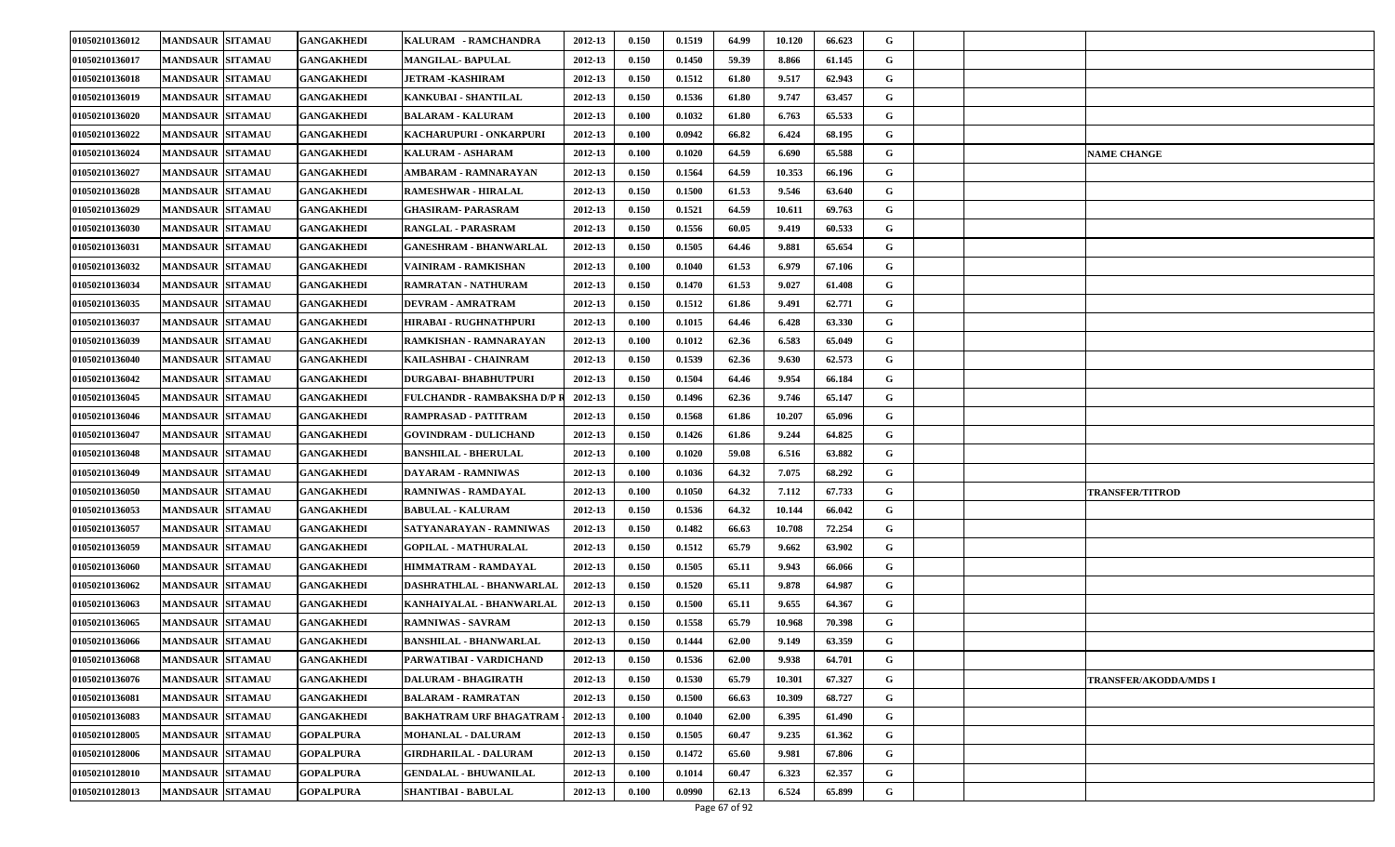| 01050210136012 | <b>MANDSAUR SITAMAU</b> | <b>GANGAKHEDI</b> | KALURAM - RAMCHANDRA           | 2012-13 | 0.150 | 0.1519 | 64.99 | 10.120 | 66.623 | G |  |                              |
|----------------|-------------------------|-------------------|--------------------------------|---------|-------|--------|-------|--------|--------|---|--|------------------------------|
| 01050210136017 | <b>MANDSAUR SITAMAU</b> | GANGAKHEDI        | <b>MANGILAL- BAPULAL</b>       | 2012-13 | 0.150 | 0.1450 | 59.39 | 8.866  | 61.145 | G |  |                              |
| 01050210136018 | <b>MANDSAUR SITAMAU</b> | <b>GANGAKHEDI</b> | JETRAM -KASHIRAM               | 2012-13 | 0.150 | 0.1512 | 61.80 | 9.517  | 62.943 | G |  |                              |
| 01050210136019 | <b>MANDSAUR SITAMAU</b> | GANGAKHEDI        | KANKUBAI - SHANTILAL           | 2012-13 | 0.150 | 0.1536 | 61.80 | 9.747  | 63.457 | G |  |                              |
| 01050210136020 | <b>MANDSAUR SITAMAU</b> | GANGAKHEDI        | <b>BALARAM - KALURAM</b>       | 2012-13 | 0.100 | 0.1032 | 61.80 | 6.763  | 65.533 | G |  |                              |
| 01050210136022 | <b>MANDSAUR SITAMAU</b> | <b>GANGAKHEDI</b> | KACHARUPURI - ONKARPURI        | 2012-13 | 0.100 | 0.0942 | 66.82 | 6.424  | 68.195 | G |  |                              |
| 01050210136024 | <b>MANDSAUR SITAMAU</b> | GANGAKHEDI        | <b>KALURAM - ASHARAM</b>       | 2012-13 | 0.100 | 0.1020 | 64.59 | 6.690  | 65.588 | G |  | <b>NAME CHANGE</b>           |
| 01050210136027 | <b>MANDSAUR SITAMAU</b> | <b>GANGAKHEDI</b> | AMBARAM - RAMNARAYAN           | 2012-13 | 0.150 | 0.1564 | 64.59 | 10.353 | 66.196 | G |  |                              |
| 01050210136028 | <b>MANDSAUR SITAMAU</b> | <b>GANGAKHEDI</b> | <b>RAMESHWAR - HIRALAL</b>     | 2012-13 | 0.150 | 0.1500 | 61.53 | 9.546  | 63.640 | G |  |                              |
| 01050210136029 | <b>MANDSAUR SITAMAU</b> | <b>GANGAKHEDI</b> | GHASIRAM- PARASRAM             | 2012-13 | 0.150 | 0.1521 | 64.59 | 10.611 | 69.763 | G |  |                              |
| 01050210136030 | <b>MANDSAUR SITAMAU</b> | GANGAKHEDI        | <b>RANGLAL - PARASRAM</b>      | 2012-13 | 0.150 | 0.1556 | 60.05 | 9.419  | 60.533 | G |  |                              |
| 01050210136031 | <b>MANDSAUR SITAMAU</b> | <b>GANGAKHEDI</b> | <b>GANESHRAM - BHANWARLAL</b>  | 2012-13 | 0.150 | 0.1505 | 64.46 | 9.881  | 65.654 | G |  |                              |
| 01050210136032 | <b>MANDSAUR SITAMAU</b> | GANGAKHEDI        | VAINIRAM - RAMKISHAN           | 2012-13 | 0.100 | 0.1040 | 61.53 | 6.979  | 67.106 | G |  |                              |
| 01050210136034 | <b>MANDSAUR SITAMAU</b> | GANGAKHEDI        | RAMRATAN - NATHURAM            | 2012-13 | 0.150 | 0.1470 | 61.53 | 9.027  | 61.408 | G |  |                              |
| 01050210136035 | <b>MANDSAUR SITAMAU</b> | GANGAKHEDI        | <b>DEVRAM - AMRATRAM</b>       | 2012-13 | 0.150 | 0.1512 | 61.86 | 9.491  | 62.771 | G |  |                              |
| 01050210136037 | <b>MANDSAUR SITAMAU</b> | <b>GANGAKHEDI</b> | HIRABAI - RUGHNATHPURI         | 2012-13 | 0.100 | 0.1015 | 64.46 | 6.428  | 63.330 | G |  |                              |
| 01050210136039 | <b>MANDSAUR SITAMAU</b> | GANGAKHEDI        | RAMKISHAN - RAMNARAYAN         | 2012-13 | 0.100 | 0.1012 | 62.36 | 6.583  | 65.049 | G |  |                              |
| 01050210136040 | <b>MANDSAUR SITAMAU</b> | GANGAKHEDI        | KAILASHBAI - CHAINRAM          | 2012-13 | 0.150 | 0.1539 | 62.36 | 9.630  | 62.573 | G |  |                              |
| 01050210136042 | <b>MANDSAUR SITAMAU</b> | GANGAKHEDI        | DURGABAI- BHABHUTPURI          | 2012-13 | 0.150 | 0.1504 | 64.46 | 9.954  | 66.184 | G |  |                              |
| 01050210136045 | <b>MANDSAUR SITAMAU</b> | GANGAKHEDI        | FULCHANDR - RAMBAKSHA D/P R    | 2012-13 | 0.150 | 0.1496 | 62.36 | 9.746  | 65.147 | G |  |                              |
| 01050210136046 | <b>MANDSAUR SITAMAU</b> | GANGAKHEDI        | RAMPRASAD - PATITRAM           | 2012-13 | 0.150 | 0.1568 | 61.86 | 10.207 | 65.096 | G |  |                              |
| 01050210136047 | <b>MANDSAUR SITAMAU</b> | GANGAKHEDI        | <b>GOVINDRAM - DULICHAND</b>   | 2012-13 | 0.150 | 0.1426 | 61.86 | 9.244  | 64.825 | G |  |                              |
| 01050210136048 | <b>MANDSAUR SITAMAU</b> | GANGAKHEDI        | <b>BANSHILAL - BHERULAL</b>    | 2012-13 | 0.100 | 0.1020 | 59.08 | 6.516  | 63.882 | G |  |                              |
| 01050210136049 | <b>MANDSAUR SITAMAU</b> | GANGAKHEDI        | DAYARAM - RAMNIWAS             | 2012-13 | 0.100 | 0.1036 | 64.32 | 7.075  | 68.292 | G |  |                              |
| 01050210136050 | <b>MANDSAUR SITAMAU</b> | GANGAKHEDI        | <b>RAMNIWAS - RAMDAYAL</b>     | 2012-13 | 0.100 | 0.1050 | 64.32 | 7.112  | 67.733 | G |  | <b>TRANSFER/TITROD</b>       |
| 01050210136053 | <b>MANDSAUR SITAMAU</b> | GANGAKHEDI        | <b>BABULAL - KALURAM</b>       | 2012-13 | 0.150 | 0.1536 | 64.32 | 10.144 | 66.042 | G |  |                              |
| 01050210136057 | <b>MANDSAUR SITAMAU</b> | <b>GANGAKHEDI</b> | SATYANARAYAN - RAMNIWAS        | 2012-13 | 0.150 | 0.1482 | 66.63 | 10.708 | 72.254 | G |  |                              |
| 01050210136059 | <b>MANDSAUR SITAMAU</b> | GANGAKHEDI        | <b>GOPILAL - MATHURALAL</b>    | 2012-13 | 0.150 | 0.1512 | 65.79 | 9.662  | 63.902 | G |  |                              |
| 01050210136060 | <b>MANDSAUR SITAMAU</b> | GANGAKHEDI        | HIMMATRAM - RAMDAYAL           | 2012-13 | 0.150 | 0.1505 | 65.11 | 9.943  | 66.066 | G |  |                              |
| 01050210136062 | <b>MANDSAUR SITAMAU</b> | GANGAKHEDI        | DASHRATHLAL - BHANWARLAL       | 2012-13 | 0.150 | 0.1520 | 65.11 | 9.878  | 64.987 | G |  |                              |
| 01050210136063 | <b>MANDSAUR SITAMAU</b> | <b>GANGAKHEDI</b> | KANHAIYALAL - BHANWARLAL       | 2012-13 | 0.150 | 0.1500 | 65.11 | 9.655  | 64.367 | G |  |                              |
| 01050210136065 | <b>MANDSAUR SITAMAU</b> | GANGAKHEDI        | <b>RAMNIWAS - SAVRAM</b>       | 2012-13 | 0.150 | 0.1558 | 65.79 | 10.968 | 70.398 | G |  |                              |
| 01050210136066 | <b>MANDSAUR SITAMAU</b> | <b>GANGAKHEDI</b> | <b>BANSHILAL - BHANWARLAL</b>  | 2012-13 | 0.150 | 0.1444 | 62.00 | 9.149  | 63.359 | G |  |                              |
| 01050210136068 | MANDSAUR SITAMAU        | <b>GANGAKHEDI</b> | PARWATIBAI - VARDICHAND        | 2012-13 | 0.150 | 0.1536 | 62.00 | 9.938  | 64.701 | G |  |                              |
| 01050210136076 | <b>MANDSAUR SITAMAU</b> | GANGAKHEDI        | DALURAM - BHAGIRATH            | 2012-13 | 0.150 | 0.1530 | 65.79 | 10.301 | 67.327 | G |  | <b>TRANSFER/AKODDA/MDS I</b> |
| 01050210136081 | <b>MANDSAUR SITAMAU</b> | <b>GANGAKHEDI</b> | <b>BALARAM - RAMRATAN</b>      | 2012-13 | 0.150 | 0.1500 | 66.63 | 10.309 | 68.727 | G |  |                              |
| 01050210136083 | <b>MANDSAUR SITAMAU</b> | <b>GANGAKHEDI</b> | <b>BAKHATRAM URF BHAGATRAM</b> | 2012-13 | 0.100 | 0.1040 | 62.00 | 6.395  | 61.490 | G |  |                              |
| 01050210128005 | <b>MANDSAUR SITAMAU</b> | <b>GOPALPURA</b>  | <b>MOHANLAL - DALURAM</b>      | 2012-13 | 0.150 | 0.1505 | 60.47 | 9.235  | 61.362 | G |  |                              |
| 01050210128006 | <b>MANDSAUR SITAMAU</b> | GOPALPURA         | <b>GIRDHARILAL - DALURAM</b>   | 2012-13 | 0.150 | 0.1472 | 65.60 | 9.981  | 67.806 | G |  |                              |
| 01050210128010 | <b>MANDSAUR SITAMAU</b> | GOPALPURA         | <b>GENDALAL - BHUWANILAL</b>   | 2012-13 | 0.100 | 0.1014 | 60.47 | 6.323  | 62.357 | G |  |                              |
| 01050210128013 | <b>MANDSAUR SITAMAU</b> | <b>GOPALPURA</b>  | <b>SHANTIBAI - BABULAL</b>     | 2012-13 | 0.100 | 0.0990 | 62.13 | 6.524  | 65.899 | G |  |                              |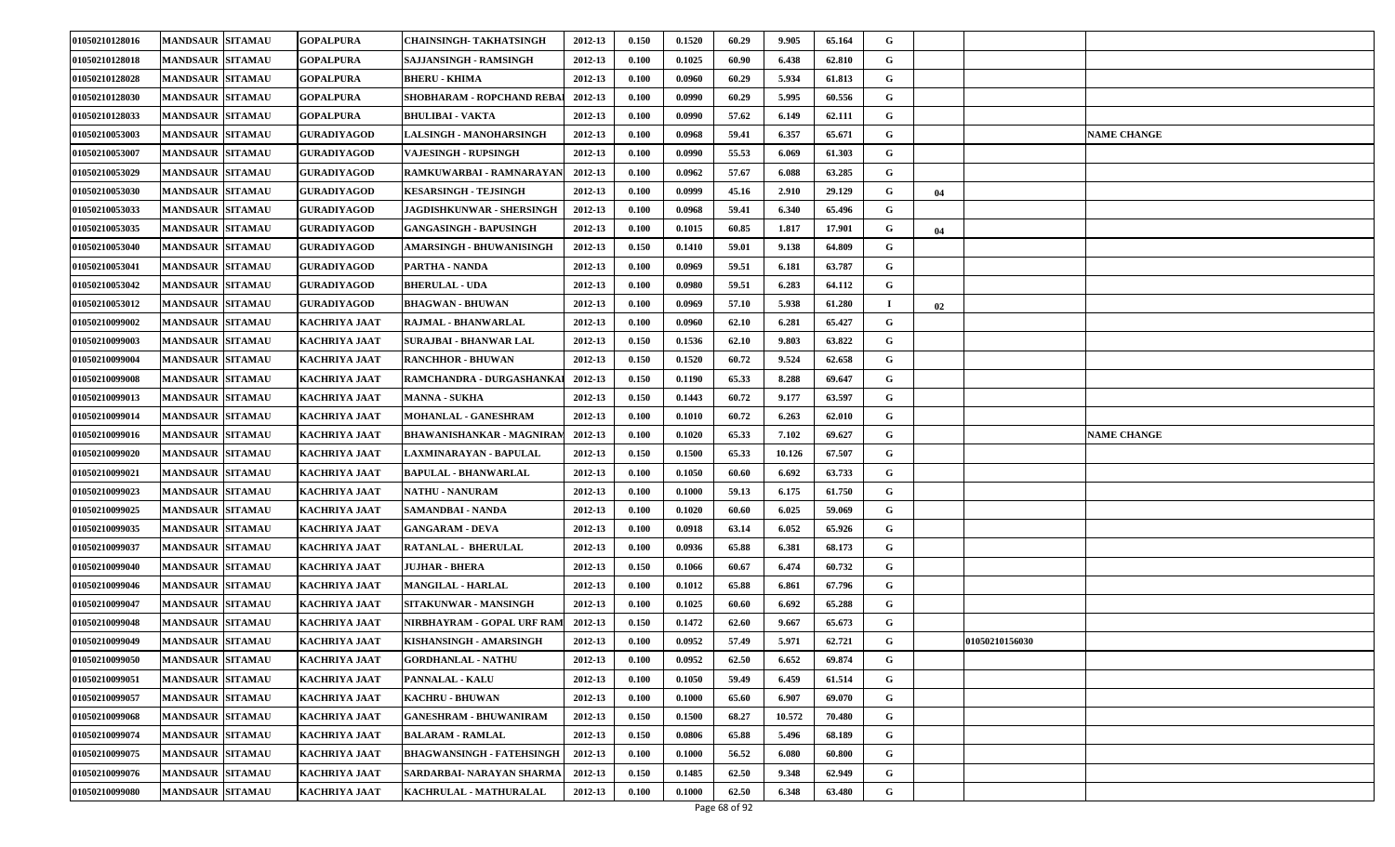| 01050210128016 | <b>MANDSAUR SITAMAU</b> | <b>GOPALPURA</b>     | CHAINSINGH- TAKHATSINGH          | 2012-13 | 0.150 | 0.1520 | 60.29 | 9.905  | 65.164 | G |    |                |                    |
|----------------|-------------------------|----------------------|----------------------------------|---------|-------|--------|-------|--------|--------|---|----|----------------|--------------------|
| 01050210128018 | <b>MANDSAUR SITAMAU</b> | <b>GOPALPURA</b>     | SAJJANSINGH - RAMSINGH           | 2012-13 | 0.100 | 0.1025 | 60.90 | 6.438  | 62.810 | G |    |                |                    |
| 01050210128028 | <b>MANDSAUR SITAMAU</b> | <b>GOPALPURA</b>     | <b>BHERU - KHIMA</b>             | 2012-13 | 0.100 | 0.0960 | 60.29 | 5.934  | 61.813 | G |    |                |                    |
| 01050210128030 | <b>MANDSAUR SITAMAU</b> | <b>GOPALPURA</b>     | SHOBHARAM - ROPCHAND REBA        | 2012-13 | 0.100 | 0.0990 | 60.29 | 5.995  | 60.556 | G |    |                |                    |
| 01050210128033 | <b>MANDSAUR SITAMAU</b> | <b>GOPALPURA</b>     | <b>BHULIBAI - VAKTA</b>          | 2012-13 | 0.100 | 0.0990 | 57.62 | 6.149  | 62.111 | G |    |                |                    |
| 01050210053003 | <b>MANDSAUR SITAMAU</b> | <b>GURADIYAGOD</b>   | LALSINGH - MANOHARSINGH          | 2012-13 | 0.100 | 0.0968 | 59.41 | 6.357  | 65.671 | G |    |                | <b>NAME CHANGE</b> |
| 01050210053007 | <b>MANDSAUR SITAMAU</b> | <b>GURADIYAGOD</b>   | <b>VAJESINGH - RUPSINGH</b>      | 2012-13 | 0.100 | 0.0990 | 55.53 | 6.069  | 61.303 | G |    |                |                    |
| 01050210053029 | <b>MANDSAUR SITAMAU</b> | <b>GURADIYAGOD</b>   | RAMKUWARBAI - RAMNARAYAN         | 2012-13 | 0.100 | 0.0962 | 57.67 | 6.088  | 63.285 | G |    |                |                    |
| 01050210053030 | <b>MANDSAUR SITAMAU</b> | <b>GURADIYAGOD</b>   | KESARSINGH - TEJSINGH            | 2012-13 | 0.100 | 0.0999 | 45.16 | 2.910  | 29.129 | G | 04 |                |                    |
| 01050210053033 | <b>MANDSAUR SITAMAU</b> | <b>GURADIYAGOD</b>   | JAGDISHKUNWAR - SHERSINGH        | 2012-13 | 0.100 | 0.0968 | 59.41 | 6.340  | 65.496 | G |    |                |                    |
| 01050210053035 | <b>MANDSAUR SITAMAU</b> | <b>GURADIYAGOD</b>   | <b>GANGASINGH - BAPUSINGH</b>    | 2012-13 | 0.100 | 0.1015 | 60.85 | 1.817  | 17.901 | G | 04 |                |                    |
| 01050210053040 | <b>MANDSAUR SITAMAU</b> | <b>GURADIYAGOD</b>   | AMARSINGH - BHUWANISINGH         | 2012-13 | 0.150 | 0.1410 | 59.01 | 9.138  | 64.809 | G |    |                |                    |
| 01050210053041 | <b>MANDSAUR SITAMAU</b> | <b>GURADIYAGOD</b>   | PARTHA - NANDA                   | 2012-13 | 0.100 | 0.0969 | 59.51 | 6.181  | 63.787 | G |    |                |                    |
| 01050210053042 | <b>MANDSAUR SITAMAU</b> | <b>GURADIYAGOD</b>   | <b>BHERULAL - UDA</b>            | 2012-13 | 0.100 | 0.0980 | 59.51 | 6.283  | 64.112 | G |    |                |                    |
| 01050210053012 | <b>MANDSAUR SITAMAU</b> | <b>GURADIYAGOD</b>   | <b>BHAGWAN - BHUWAN</b>          | 2012-13 | 0.100 | 0.0969 | 57.10 | 5.938  | 61.280 |   | 02 |                |                    |
| 01050210099002 | <b>MANDSAUR SITAMAU</b> | KACHRIYA JAAT        | RAJMAL - BHANWARLAL              | 2012-13 | 0.100 | 0.0960 | 62.10 | 6.281  | 65.427 | G |    |                |                    |
| 01050210099003 | <b>MANDSAUR SITAMAU</b> | KACHRIYA JAAT        | <b>SURAJBAI - BHANWAR LAL</b>    | 2012-13 | 0.150 | 0.1536 | 62.10 | 9.803  | 63.822 | G |    |                |                    |
| 01050210099004 | <b>MANDSAUR SITAMAU</b> | <b>KACHRIYA JAAT</b> | <b>RANCHHOR - BHUWAN</b>         | 2012-13 | 0.150 | 0.1520 | 60.72 | 9.524  | 62.658 | G |    |                |                    |
| 01050210099008 | <b>MANDSAUR SITAMAU</b> | KACHRIYA JAAT        | RAMCHANDRA - DURGASHANKAI        | 2012-13 | 0.150 | 0.1190 | 65.33 | 8.288  | 69.647 | G |    |                |                    |
| 01050210099013 | <b>MANDSAUR SITAMAU</b> | KACHRIYA JAAT        | <b>MANNA - SUKHA</b>             | 2012-13 | 0.150 | 0.1443 | 60.72 | 9.177  | 63.597 | G |    |                |                    |
| 01050210099014 | <b>MANDSAUR SITAMAU</b> | <b>KACHRIYA JAAT</b> | <b>MOHANLAL - GANESHRAM</b>      | 2012-13 | 0.100 | 0.1010 | 60.72 | 6.263  | 62.010 | G |    |                |                    |
| 01050210099016 | <b>MANDSAUR SITAMAU</b> | <b>KACHRIYA JAAT</b> | <b>BHAWANISHANKAR - MAGNIRAM</b> | 2012-13 | 0.100 | 0.1020 | 65.33 | 7.102  | 69.627 | G |    |                | <b>NAME CHANGE</b> |
| 01050210099020 | <b>MANDSAUR SITAMAU</b> | <b>KACHRIYA JAAT</b> | LAXMINARAYAN - BAPULAL           | 2012-13 | 0.150 | 0.1500 | 65.33 | 10.126 | 67.507 | G |    |                |                    |
| 01050210099021 | <b>MANDSAUR SITAMAU</b> | <b>KACHRIYA JAAT</b> | <b>BAPULAL - BHANWARLAL</b>      | 2012-13 | 0.100 | 0.1050 | 60.60 | 6.692  | 63.733 | G |    |                |                    |
| 01050210099023 | <b>MANDSAUR SITAMAU</b> | <b>KACHRIYA JAAT</b> | <b>NATHU - NANURAM</b>           | 2012-13 | 0.100 | 0.1000 | 59.13 | 6.175  | 61.750 | G |    |                |                    |
| 01050210099025 | <b>MANDSAUR SITAMAU</b> | <b>KACHRIYA JAAT</b> | <b>SAMANDBAI - NANDA</b>         | 2012-13 | 0.100 | 0.1020 | 60.60 | 6.025  | 59.069 | G |    |                |                    |
| 01050210099035 | <b>MANDSAUR SITAMAU</b> | KACHRIYA JAAT        | <b>GANGARAM - DEVA</b>           | 2012-13 | 0.100 | 0.0918 | 63.14 | 6.052  | 65.926 | G |    |                |                    |
| 01050210099037 | <b>MANDSAUR SITAMAU</b> | <b>KACHRIYA JAAT</b> | <b>RATANLAL - BHERULAL</b>       | 2012-13 | 0.100 | 0.0936 | 65.88 | 6.381  | 68.173 | G |    |                |                    |
| 01050210099040 | <b>MANDSAUR SITAMAU</b> | KACHRIYA JAAT        | JUJHAR - BHERA                   | 2012-13 | 0.150 | 0.1066 | 60.67 | 6.474  | 60.732 | G |    |                |                    |
| 01050210099046 | <b>MANDSAUR SITAMAU</b> | <b>KACHRIYA JAAT</b> | <b>MANGILAL - HARLAL</b>         | 2012-13 | 0.100 | 0.1012 | 65.88 | 6.861  | 67.796 | G |    |                |                    |
| 01050210099047 | <b>MANDSAUR SITAMAU</b> | KACHRIYA JAAT        | SITAKUNWAR - MANSINGH            | 2012-13 | 0.100 | 0.1025 | 60.60 | 6.692  | 65.288 | G |    |                |                    |
| 01050210099048 | <b>MANDSAUR SITAMAU</b> | KACHRIYA JAAT        | NIRBHAYRAM - GOPAL URF RAM       | 2012-13 | 0.150 | 0.1472 | 62.60 | 9.667  | 65.673 | G |    |                |                    |
| 01050210099049 | <b>MANDSAUR SITAMAU</b> | KACHRIYA JAAT        | KISHANSINGH - AMARSINGH          | 2012-13 | 0.100 | 0.0952 | 57.49 | 5.971  | 62.721 | G |    | 01050210156030 |                    |
| 01050210099050 | MANDSAUR SITAMAU        | <b>KACHRIYA JAAT</b> | <b>GORDHANLAL - NATHU</b>        | 2012-13 | 0.100 | 0.0952 | 62.50 | 6.652  | 69.874 | G |    |                |                    |
| 01050210099051 | <b>MANDSAUR SITAMAU</b> | KACHRIYA JAAT        | <b>PANNALAL - KALU</b>           | 2012-13 | 0.100 | 0.1050 | 59.49 | 6.459  | 61.514 | G |    |                |                    |
| 01050210099057 | <b>MANDSAUR SITAMAU</b> | <b>KACHRIYA JAAT</b> | <b>KACHRU - BHUWAN</b>           | 2012-13 | 0.100 | 0.1000 | 65.60 | 6.907  | 69.070 | G |    |                |                    |
| 01050210099068 | <b>MANDSAUR SITAMAU</b> | KACHRIYA JAAT        | <b>GANESHRAM - BHUWANIRAM</b>    | 2012-13 | 0.150 | 0.1500 | 68.27 | 10.572 | 70.480 | G |    |                |                    |
| 01050210099074 | <b>MANDSAUR SITAMAU</b> | KACHRIYA JAAT        | <b>BALARAM - RAMLAL</b>          | 2012-13 | 0.150 | 0.0806 | 65.88 | 5.496  | 68.189 | G |    |                |                    |
| 01050210099075 | <b>MANDSAUR SITAMAU</b> | KACHRIYA JAAT        | <b>BHAGWANSINGH - FATEHSINGH</b> | 2012-13 | 0.100 | 0.1000 | 56.52 | 6.080  | 60.800 | G |    |                |                    |
| 01050210099076 | <b>MANDSAUR SITAMAU</b> | KACHRIYA JAAT        | SARDARBAI- NARAYAN SHARMA        | 2012-13 | 0.150 | 0.1485 | 62.50 | 9.348  | 62.949 | G |    |                |                    |
| 01050210099080 | <b>MANDSAUR SITAMAU</b> | <b>KACHRIYA JAAT</b> | KACHRULAL - MATHURALAL           | 2012-13 | 0.100 | 0.1000 | 62.50 | 6.348  | 63.480 | G |    |                |                    |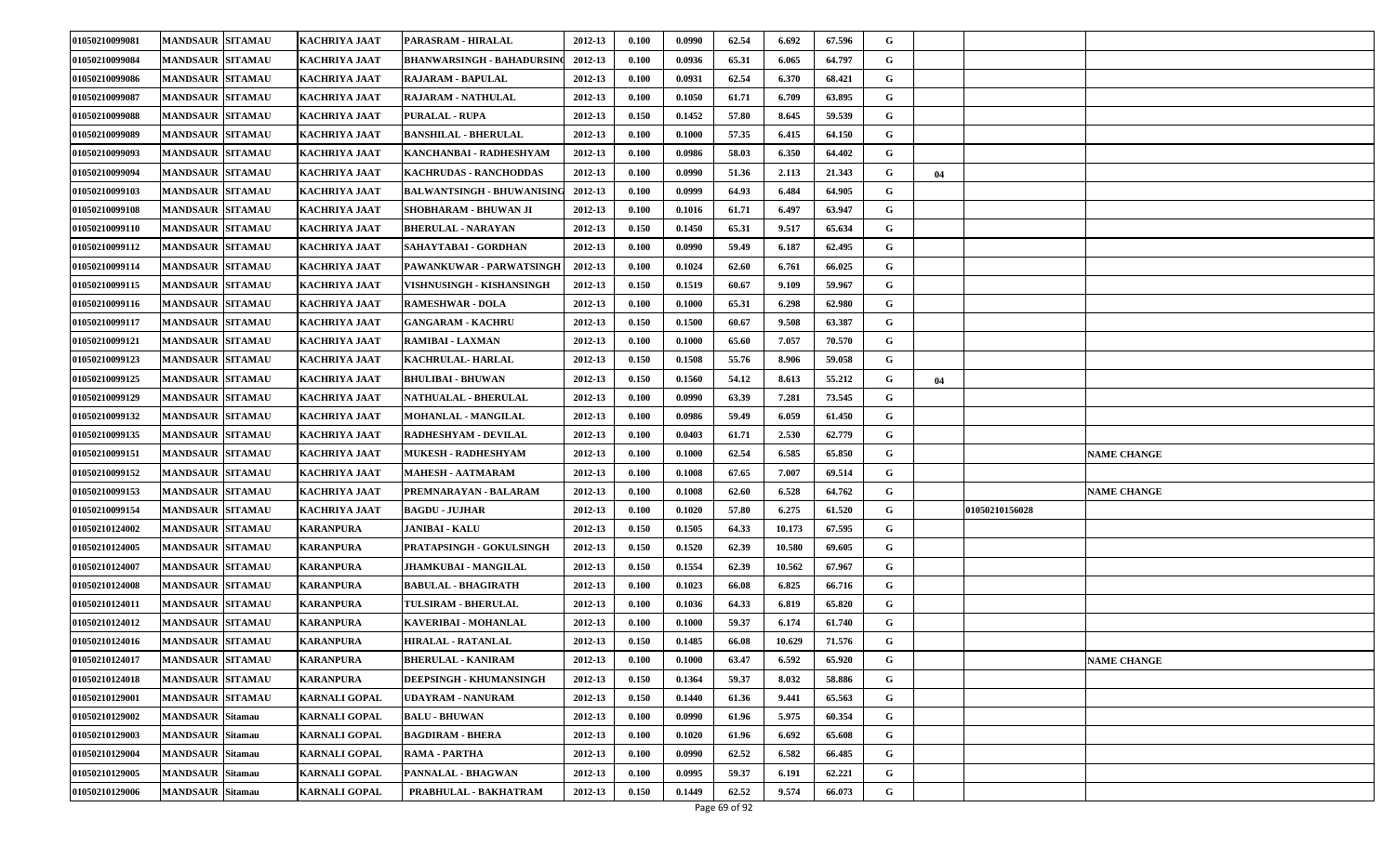| 01050210099081 | <b>MANDSAUR SITAMAU</b> | <b>KACHRIYA JAAT</b> | <b>PARASRAM - HIRALAL</b>         | 2012-13 | 0.100 | 0.0990 | 62.54 | 6.692  | 67.596 | G |    |                |                    |
|----------------|-------------------------|----------------------|-----------------------------------|---------|-------|--------|-------|--------|--------|---|----|----------------|--------------------|
| 01050210099084 | <b>MANDSAUR SITAMAU</b> | <b>KACHRIYA JAAT</b> | BHANWARSINGH - BAHADURSIN         | 2012-13 | 0.100 | 0.0936 | 65.31 | 6.065  | 64.797 | G |    |                |                    |
| 01050210099086 | <b>MANDSAUR SITAMAU</b> | <b>KACHRIYA JAAT</b> | <b>RAJARAM - BAPULAL</b>          | 2012-13 | 0.100 | 0.0931 | 62.54 | 6.370  | 68.421 | G |    |                |                    |
| 01050210099087 | <b>MANDSAUR SITAMAU</b> | KACHRIYA JAAT        | <b>RAJARAM - NATHULAL</b>         | 2012-13 | 0.100 | 0.1050 | 61.71 | 6.709  | 63.895 | G |    |                |                    |
| 01050210099088 | <b>MANDSAUR SITAMAU</b> | KACHRIYA JAAT        | <b>PURALAL - RUPA</b>             | 2012-13 | 0.150 | 0.1452 | 57.80 | 8.645  | 59.539 | G |    |                |                    |
| 01050210099089 | <b>MANDSAUR SITAMAU</b> | KACHRIYA JAAT        | <b>BANSHILAL - BHERULAL</b>       | 2012-13 | 0.100 | 0.1000 | 57.35 | 6.415  | 64.150 | G |    |                |                    |
| 01050210099093 | <b>MANDSAUR SITAMAU</b> | KACHRIYA JAAT        | KANCHANBAI - RADHESHYAM           | 2012-13 | 0.100 | 0.0986 | 58.03 | 6.350  | 64.402 | G |    |                |                    |
| 01050210099094 | <b>MANDSAUR SITAMAU</b> | KACHRIYA JAAT        | KACHRUDAS - RANCHODDAS            | 2012-13 | 0.100 | 0.0990 | 51.36 | 2.113  | 21.343 | G | 04 |                |                    |
| 01050210099103 | <b>MANDSAUR SITAMAU</b> | KACHRIYA JAAT        | <b>BALWANTSINGH - BHUWANISING</b> | 2012-13 | 0.100 | 0.0999 | 64.93 | 6.484  | 64.905 | G |    |                |                    |
| 01050210099108 | <b>MANDSAUR SITAMAU</b> | KACHRIYA JAAT        | SHOBHARAM - BHUWAN JI             | 2012-13 | 0.100 | 0.1016 | 61.71 | 6.497  | 63.947 | G |    |                |                    |
| 01050210099110 | <b>MANDSAUR SITAMAU</b> | <b>KACHRIYA JAAT</b> | <b>BHERULAL - NARAYAN</b>         | 2012-13 | 0.150 | 0.1450 | 65.31 | 9.517  | 65.634 | G |    |                |                    |
| 01050210099112 | <b>MANDSAUR SITAMAU</b> | KACHRIYA JAAT        | SAHAYTABAI - GORDHAN              | 2012-13 | 0.100 | 0.0990 | 59.49 | 6.187  | 62.495 | G |    |                |                    |
| 01050210099114 | <b>MANDSAUR SITAMAU</b> | KACHRIYA JAAT        | PAWANKUWAR - PARWATSINGH          | 2012-13 | 0.100 | 0.1024 | 62.60 | 6.761  | 66.025 | G |    |                |                    |
| 01050210099115 | <b>MANDSAUR SITAMAU</b> | <b>KACHRIYA JAAT</b> | VISHNUSINGH - KISHANSINGH         | 2012-13 | 0.150 | 0.1519 | 60.67 | 9.109  | 59.967 | G |    |                |                    |
| 01050210099116 | <b>MANDSAUR SITAMAU</b> | <b>KACHRIYA JAAT</b> | <b>RAMESHWAR - DOLA</b>           | 2012-13 | 0.100 | 0.1000 | 65.31 | 6.298  | 62.980 | G |    |                |                    |
| 01050210099117 | <b>MANDSAUR SITAMAU</b> | KACHRIYA JAAT        | <b>GANGARAM - KACHRU</b>          | 2012-13 | 0.150 | 0.1500 | 60.67 | 9.508  | 63.387 | G |    |                |                    |
| 01050210099121 | <b>MANDSAUR SITAMAU</b> | KACHRIYA JAAT        | <b>RAMIBAI - LAXMAN</b>           | 2012-13 | 0.100 | 0.1000 | 65.60 | 7.057  | 70.570 | G |    |                |                    |
| 01050210099123 | <b>MANDSAUR SITAMAU</b> | <b>KACHRIYA JAAT</b> | <b>KACHRULAL-HARLAL</b>           | 2012-13 | 0.150 | 0.1508 | 55.76 | 8.906  | 59.058 | G |    |                |                    |
| 01050210099125 | <b>MANDSAUR SITAMAU</b> | KACHRIYA JAAT        | <b>BHULIBAI - BHUWAN</b>          | 2012-13 | 0.150 | 0.1560 | 54.12 | 8.613  | 55.212 | G | 04 |                |                    |
| 01050210099129 | <b>MANDSAUR SITAMAU</b> | KACHRIYA JAAT        | <b>NATHUALAL - BHERULAL</b>       | 2012-13 | 0.100 | 0.0990 | 63.39 | 7.281  | 73.545 | G |    |                |                    |
| 01050210099132 | <b>MANDSAUR SITAMAU</b> | <b>KACHRIYA JAAT</b> | <b>MOHANLAL - MANGILAL</b>        | 2012-13 | 0.100 | 0.0986 | 59.49 | 6.059  | 61.450 | G |    |                |                    |
| 01050210099135 | <b>MANDSAUR SITAMAU</b> | <b>KACHRIYA JAAT</b> | <b>RADHESHYAM - DEVILAL</b>       | 2012-13 | 0.100 | 0.0403 | 61.71 | 2.530  | 62.779 | G |    |                |                    |
| 01050210099151 | <b>MANDSAUR SITAMAU</b> | <b>KACHRIYA JAAT</b> | <b>MUKESH - RADHESHYAM</b>        | 2012-13 | 0.100 | 0.1000 | 62.54 | 6.585  | 65.850 | G |    |                | <b>NAME CHANGE</b> |
| 01050210099152 | <b>MANDSAUR SITAMAU</b> | <b>KACHRIYA JAAT</b> | <b>MAHESH - AATMARAM</b>          | 2012-13 | 0.100 | 0.1008 | 67.65 | 7.007  | 69.514 | G |    |                |                    |
| 01050210099153 | <b>MANDSAUR SITAMAU</b> | <b>KACHRIYA JAAT</b> | PREMNARAYAN - BALARAM             | 2012-13 | 0.100 | 0.1008 | 62.60 | 6.528  | 64.762 | G |    |                | <b>NAME CHANGE</b> |
| 01050210099154 | <b>MANDSAUR SITAMAU</b> | <b>KACHRIYA JAAT</b> | <b>BAGDU - JUJHAR</b>             | 2012-13 | 0.100 | 0.1020 | 57.80 | 6.275  | 61.520 | G |    | 01050210156028 |                    |
| 01050210124002 | <b>MANDSAUR SITAMAU</b> | KARANPURA            | <b>JANIBAI - KALU</b>             | 2012-13 | 0.150 | 0.1505 | 64.33 | 10.173 | 67.595 | G |    |                |                    |
| 01050210124005 | <b>MANDSAUR SITAMAU</b> | <b>KARANPURA</b>     | PRATAPSINGH - GOKULSINGH          | 2012-13 | 0.150 | 0.1520 | 62.39 | 10.580 | 69.605 | G |    |                |                    |
| 01050210124007 | <b>MANDSAUR SITAMAU</b> | KARANPURA            | <b>JHAMKUBAI - MANGILAL</b>       | 2012-13 | 0.150 | 0.1554 | 62.39 | 10.562 | 67.967 | G |    |                |                    |
| 01050210124008 | <b>MANDSAUR SITAMAU</b> | <b>KARANPURA</b>     | <b>BABULAL - BHAGIRATH</b>        | 2012-13 | 0.100 | 0.1023 | 66.08 | 6.825  | 66.716 | G |    |                |                    |
| 01050210124011 | <b>MANDSAUR SITAMAU</b> | KARANPURA            | <b>TULSIRAM - BHERULAL</b>        | 2012-13 | 0.100 | 0.1036 | 64.33 | 6.819  | 65.820 | G |    |                |                    |
| 01050210124012 | <b>MANDSAUR SITAMAU</b> | KARANPURA            | KAVERIBAI - MOHANLAL              | 2012-13 | 0.100 | 0.1000 | 59.37 | 6.174  | 61.740 | G |    |                |                    |
| 01050210124016 | <b>MANDSAUR SITAMAU</b> | KARANPURA            | HIRALAL - RATANLAL                | 2012-13 | 0.150 | 0.1485 | 66.08 | 10.629 | 71.576 | G |    |                |                    |
| 01050210124017 | MANDSAUR SITAMAU        | <b>KARANPURA</b>     | <b>BHERULAL - KANIRAM</b>         | 2012-13 | 0.100 | 0.1000 | 63.47 | 6.592  | 65.920 | G |    |                | <b>NAME CHANGE</b> |
| 01050210124018 | <b>MANDSAUR SITAMAU</b> | KARANPURA            | DEEPSINGH - KHUMANSINGH           | 2012-13 | 0.150 | 0.1364 | 59.37 | 8.032  | 58.886 | G |    |                |                    |
| 01050210129001 | <b>MANDSAUR SITAMAU</b> | <b>KARNALI GOPAL</b> | UDAYRAM - NANURAM                 | 2012-13 | 0.150 | 0.1440 | 61.36 | 9.441  | 65.563 | G |    |                |                    |
| 01050210129002 | <b>MANDSAUR</b> Sitamau | <b>KARNALI GOPAL</b> | <b>BALU - BHUWAN</b>              | 2012-13 | 0.100 | 0.0990 | 61.96 | 5.975  | 60.354 | G |    |                |                    |
| 01050210129003 | <b>MANDSAUR Sitamau</b> | <b>KARNALI GOPAL</b> | <b>BAGDIRAM - BHERA</b>           | 2012-13 | 0.100 | 0.1020 | 61.96 | 6.692  | 65.608 | G |    |                |                    |
| 01050210129004 | <b>MANDSAUR Sitamau</b> | KARNALI GOPAL        | RAMA - PARTHA                     | 2012-13 | 0.100 | 0.0990 | 62.52 | 6.582  | 66.485 | G |    |                |                    |
| 01050210129005 | <b>MANDSAUR Sitamau</b> | <b>KARNALI GOPAL</b> | PANNALAL - BHAGWAN                | 2012-13 | 0.100 | 0.0995 | 59.37 | 6.191  | 62.221 | G |    |                |                    |
| 01050210129006 | <b>MANDSAUR</b> Sitamau | <b>KARNALI GOPAL</b> | PRABHULAL - BAKHATRAM             | 2012-13 | 0.150 | 0.1449 | 62.52 | 9.574  | 66.073 | G |    |                |                    |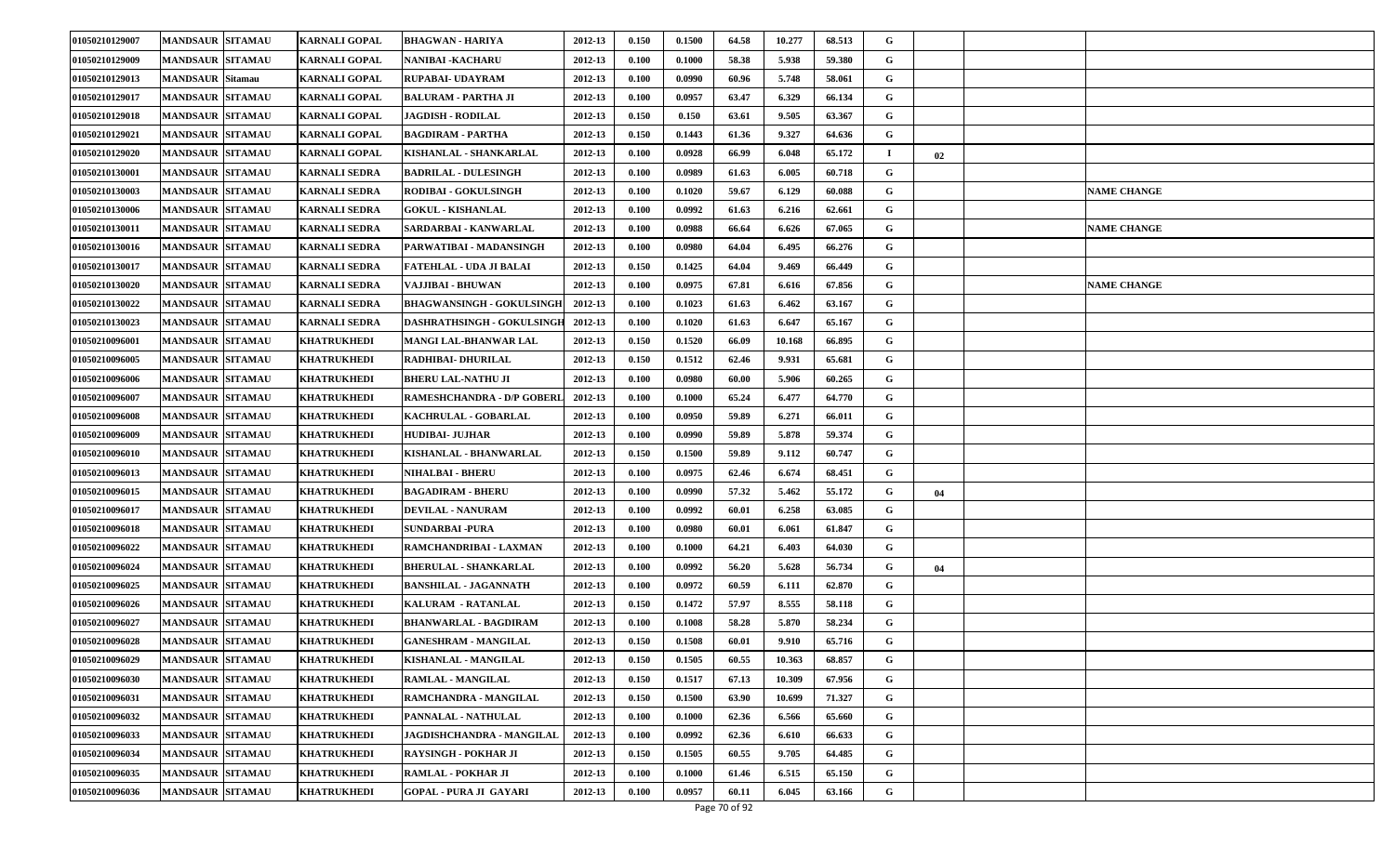| 01050210129007 | <b>MANDSAUR SITAMAU</b> | <b>KARNALI GOPAL</b> | <b>BHAGWAN - HARIYA</b>          | 2012-13 | 0.150 | 0.1500 | 64.58 | 10.277 | 68.513 | G  |    |                    |
|----------------|-------------------------|----------------------|----------------------------------|---------|-------|--------|-------|--------|--------|----|----|--------------------|
| 01050210129009 | <b>MANDSAUR SITAMAU</b> | <b>KARNALI GOPAL</b> | NANIBAI -KACHARU                 | 2012-13 | 0.100 | 0.1000 | 58.38 | 5.938  | 59.380 | G  |    |                    |
| 01050210129013 | <b>MANDSAUR</b> Sitamau | <b>KARNALI GOPAL</b> | <b>RUPABAI- UDAYRAM</b>          | 2012-13 | 0.100 | 0.0990 | 60.96 | 5.748  | 58.061 | G  |    |                    |
| 01050210129017 | <b>MANDSAUR SITAMAU</b> | <b>KARNALI GOPAL</b> | BALURAM - PARTHA JI              | 2012-13 | 0.100 | 0.0957 | 63.47 | 6.329  | 66.134 | G  |    |                    |
| 01050210129018 | <b>MANDSAUR SITAMAU</b> | <b>KARNALI GOPAL</b> | <b>JAGDISH - RODILAL</b>         | 2012-13 | 0.150 | 0.150  | 63.61 | 9.505  | 63.367 | G  |    |                    |
| 01050210129021 | <b>MANDSAUR SITAMAU</b> | <b>KARNALI GOPAL</b> | BAGDIRAM - PARTHA                | 2012-13 | 0.150 | 0.1443 | 61.36 | 9.327  | 64.636 | G  |    |                    |
| 01050210129020 | <b>MANDSAUR SITAMAU</b> | <b>KARNALI GOPAL</b> | KISHANLAL - SHANKARLAL           | 2012-13 | 0.100 | 0.0928 | 66.99 | 6.048  | 65.172 | -1 | 02 |                    |
| 01050210130001 | <b>MANDSAUR SITAMAU</b> | <b>KARNALI SEDRA</b> | <b>BADRILAL - DULESINGH</b>      | 2012-13 | 0.100 | 0.0989 | 61.63 | 6.005  | 60.718 | G  |    |                    |
| 01050210130003 | <b>MANDSAUR SITAMAU</b> | KARNALI SEDRA        | <b>RODIBAI - GOKULSINGH</b>      | 2012-13 | 0.100 | 0.1020 | 59.67 | 6.129  | 60.088 | G  |    | <b>NAME CHANGE</b> |
| 01050210130006 | <b>MANDSAUR SITAMAU</b> | <b>KARNALI SEDRA</b> | <b>GOKUL - KISHANLAL</b>         | 2012-13 | 0.100 | 0.0992 | 61.63 | 6.216  | 62.661 | G  |    |                    |
| 01050210130011 | <b>MANDSAUR SITAMAU</b> | <b>KARNALI SEDRA</b> | SARDARBAI - KANWARLAL            | 2012-13 | 0.100 | 0.0988 | 66.64 | 6.626  | 67.065 | G  |    | <b>NAME CHANGE</b> |
| 01050210130016 | <b>MANDSAUR SITAMAU</b> | KARNALI SEDRA        | PARWATIBAI - MADANSINGH          | 2012-13 | 0.100 | 0.0980 | 64.04 | 6.495  | 66.276 | G  |    |                    |
| 01050210130017 | <b>MANDSAUR SITAMAU</b> | KARNALI SEDRA        | FATEHLAL - UDA JI BALAI          | 2012-13 | 0.150 | 0.1425 | 64.04 | 9.469  | 66.449 | G  |    |                    |
| 01050210130020 | <b>MANDSAUR SITAMAU</b> | <b>KARNALI SEDRA</b> | VAJJIBAI - BHUWAN                | 2012-13 | 0.100 | 0.0975 | 67.81 | 6.616  | 67.856 | G  |    | <b>NAME CHANGE</b> |
| 01050210130022 | <b>MANDSAUR SITAMAU</b> | <b>KARNALI SEDRA</b> | <b>BHAGWANSINGH - GOKULSINGH</b> | 2012-13 | 0.100 | 0.1023 | 61.63 | 6.462  | 63.167 | G  |    |                    |
| 01050210130023 | <b>MANDSAUR SITAMAU</b> | KARNALI SEDRA        | DASHRATHSINGH - GOKULSINGH       | 2012-13 | 0.100 | 0.1020 | 61.63 | 6.647  | 65.167 | G  |    |                    |
| 01050210096001 | <b>MANDSAUR SITAMAU</b> | KHATRUKHEDI          | MANGI LAL-BHANWAR LAL            | 2012-13 | 0.150 | 0.1520 | 66.09 | 10.168 | 66.895 | G  |    |                    |
| 01050210096005 | <b>MANDSAUR SITAMAU</b> | KHATRUKHEDI          | RADHIBAI- DHURILAL               | 2012-13 | 0.150 | 0.1512 | 62.46 | 9.931  | 65.681 | G  |    |                    |
| 01050210096006 | <b>MANDSAUR SITAMAU</b> | KHATRUKHEDI          | BHERU LAL-NATHU JI               | 2012-13 | 0.100 | 0.0980 | 60.00 | 5.906  | 60.265 | G  |    |                    |
| 01050210096007 | <b>MANDSAUR SITAMAU</b> | KHATRUKHEDI          | RAMESHCHANDRA - D/P GOBERL       | 2012-13 | 0.100 | 0.1000 | 65.24 | 6.477  | 64.770 | G  |    |                    |
| 01050210096008 | <b>MANDSAUR SITAMAU</b> | KHATRUKHEDI          | <b>KACHRULAL - GOBARLAL</b>      | 2012-13 | 0.100 | 0.0950 | 59.89 | 6.271  | 66.011 | G  |    |                    |
| 01050210096009 | <b>MANDSAUR SITAMAU</b> | KHATRUKHEDI          | <b>HUDIBAI- JUJHAR</b>           | 2012-13 | 0.100 | 0.0990 | 59.89 | 5.878  | 59.374 | G  |    |                    |
| 01050210096010 | <b>MANDSAUR SITAMAU</b> | KHATRUKHEDI          | KISHANLAL - BHANWARLAL           | 2012-13 | 0.150 | 0.1500 | 59.89 | 9.112  | 60.747 | G  |    |                    |
| 01050210096013 | <b>MANDSAUR SITAMAU</b> | KHATRUKHEDI          | NIHALBAI - BHERU                 | 2012-13 | 0.100 | 0.0975 | 62.46 | 6.674  | 68.451 | G  |    |                    |
| 01050210096015 | <b>MANDSAUR SITAMAU</b> | KHATRUKHEDI          | <b>BAGADIRAM - BHERU</b>         | 2012-13 | 0.100 | 0.0990 | 57.32 | 5.462  | 55.172 | G  | 04 |                    |
| 01050210096017 | <b>MANDSAUR SITAMAU</b> | <b>KHATRUKHEDI</b>   | <b>DEVILAL - NANURAM</b>         | 2012-13 | 0.100 | 0.0992 | 60.01 | 6.258  | 63.085 | G  |    |                    |
| 01050210096018 | <b>MANDSAUR SITAMAU</b> | KHATRUKHEDI          | SUNDARBAI -PURA                  | 2012-13 | 0.100 | 0.0980 | 60.01 | 6.061  | 61.847 | G  |    |                    |
| 01050210096022 | <b>MANDSAUR SITAMAU</b> | KHATRUKHEDI          | RAMCHANDRIBAI - LAXMAN           | 2012-13 | 0.100 | 0.1000 | 64.21 | 6.403  | 64.030 | G  |    |                    |
| 01050210096024 | <b>MANDSAUR SITAMAU</b> | KHATRUKHEDI          | <b>BHERULAL - SHANKARLAL</b>     | 2012-13 | 0.100 | 0.0992 | 56.20 | 5.628  | 56.734 | G  | 04 |                    |
| 01050210096025 | <b>MANDSAUR SITAMAU</b> | KHATRUKHEDI          | <b>BANSHILAL - JAGANNATH</b>     | 2012-13 | 0.100 | 0.0972 | 60.59 | 6.111  | 62.870 | G  |    |                    |
| 01050210096026 | <b>MANDSAUR SITAMAU</b> | KHATRUKHEDI          | KALURAM - RATANLAL               | 2012-13 | 0.150 | 0.1472 | 57.97 | 8.555  | 58.118 | G  |    |                    |
| 01050210096027 | <b>MANDSAUR SITAMAU</b> | KHATRUKHEDI          | BHANWARLAL - BAGDIRAM            | 2012-13 | 0.100 | 0.1008 | 58.28 | 5.870  | 58.234 | G  |    |                    |
| 01050210096028 | <b>MANDSAUR SITAMAU</b> | KHATRUKHEDI          | <b>GANESHRAM - MANGILAL</b>      | 2012-13 | 0.150 | 0.1508 | 60.01 | 9.910  | 65.716 | G  |    |                    |
| 01050210096029 | MANDSAUR SITAMAU        | <b>KHATRUKHEDI</b>   | KISHANLAL - MANGILAL             | 2012-13 | 0.150 | 0.1505 | 60.55 | 10.363 | 68.857 | G  |    |                    |
| 01050210096030 | <b>MANDSAUR SITAMAU</b> | KHATRUKHEDI          | RAMLAL - MANGILAL                | 2012-13 | 0.150 | 0.1517 | 67.13 | 10.309 | 67.956 | G  |    |                    |
| 01050210096031 | <b>MANDSAUR SITAMAU</b> | KHATRUKHEDI          | RAMCHANDRA - MANGILAL            | 2012-13 | 0.150 | 0.1500 | 63.90 | 10.699 | 71.327 | G  |    |                    |
| 01050210096032 | <b>MANDSAUR SITAMAU</b> | <b>KHATRUKHEDI</b>   | PANNALAL - NATHULAL              | 2012-13 | 0.100 | 0.1000 | 62.36 | 6.566  | 65.660 | G  |    |                    |
| 01050210096033 | <b>MANDSAUR SITAMAU</b> | KHATRUKHEDI          | <b>JAGDISHCHANDRA - MANGILAL</b> | 2012-13 | 0.100 | 0.0992 | 62.36 | 6.610  | 66.633 | G  |    |                    |
| 01050210096034 | <b>MANDSAUR SITAMAU</b> | KHATRUKHEDI          | RAYSINGH - POKHAR JI             | 2012-13 | 0.150 | 0.1505 | 60.55 | 9.705  | 64.485 | G  |    |                    |
| 01050210096035 | <b>MANDSAUR SITAMAU</b> | KHATRUKHEDI          | RAMLAL - POKHAR JI               | 2012-13 | 0.100 | 0.1000 | 61.46 | 6.515  | 65.150 | G  |    |                    |
| 01050210096036 | <b>MANDSAUR SITAMAU</b> | <b>KHATRUKHEDI</b>   | <b>GOPAL - PURA JI GAYARI</b>    | 2012-13 | 0.100 | 0.0957 | 60.11 | 6.045  | 63.166 | G  |    |                    |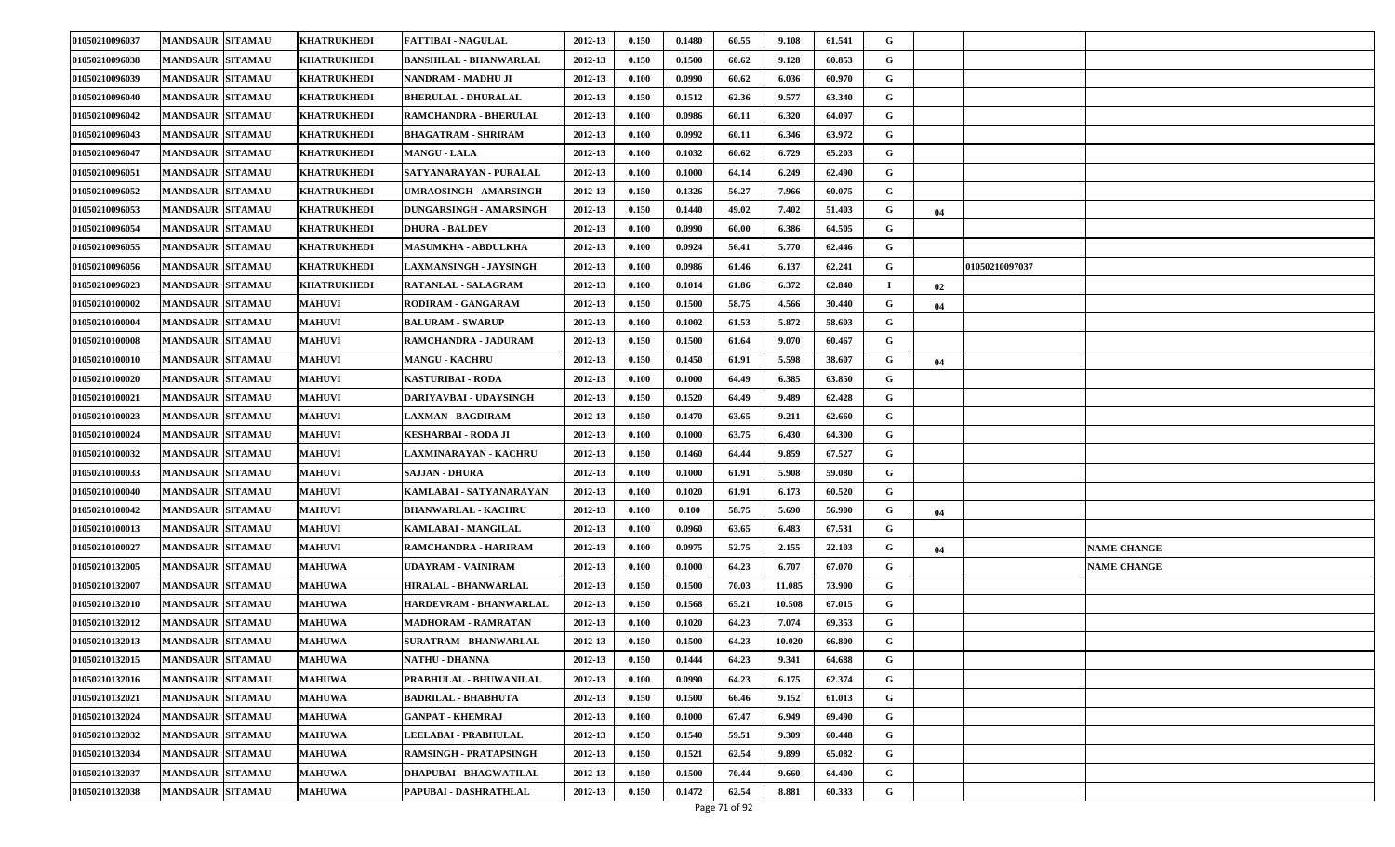| 01050210096037 | <b>MANDSAUR SITAMAU</b> | <b>KHATRUKHEDI</b> | <b>FATTIBAI - NAGULAL</b>      | 2012-13 | 0.150 | 0.1480 | 60.55 | 9.108  | 61.541 | G |    |                |                    |
|----------------|-------------------------|--------------------|--------------------------------|---------|-------|--------|-------|--------|--------|---|----|----------------|--------------------|
| 01050210096038 | <b>MANDSAUR SITAMAU</b> | KHATRUKHEDI        | BANSHILAL - BHANWARLAL         | 2012-13 | 0.150 | 0.1500 | 60.62 | 9.128  | 60.853 | G |    |                |                    |
| 01050210096039 | <b>MANDSAUR SITAMAU</b> | <b>KHATRUKHEDI</b> | <b>NANDRAM - MADHU JI</b>      | 2012-13 | 0.100 | 0.0990 | 60.62 | 6.036  | 60.970 | G |    |                |                    |
| 01050210096040 | <b>MANDSAUR SITAMAU</b> | KHATRUKHEDI        | <b>BHERULAL - DHURALAL</b>     | 2012-13 | 0.150 | 0.1512 | 62.36 | 9.577  | 63.340 | G |    |                |                    |
| 01050210096042 | <b>MANDSAUR SITAMAU</b> | KHATRUKHEDI        | RAMCHANDRA - BHERULAL          | 2012-13 | 0.100 | 0.0986 | 60.11 | 6.320  | 64.097 | G |    |                |                    |
| 01050210096043 | <b>MANDSAUR SITAMAU</b> | KHATRUKHEDI        | BHAGATRAM - SHRIRAM            | 2012-13 | 0.100 | 0.0992 | 60.11 | 6.346  | 63.972 | G |    |                |                    |
| 01050210096047 | <b>MANDSAUR SITAMAU</b> | KHATRUKHEDI        | <b>MANGU - LALA</b>            | 2012-13 | 0.100 | 0.1032 | 60.62 | 6.729  | 65.203 | G |    |                |                    |
| 01050210096051 | <b>MANDSAUR SITAMAU</b> | KHATRUKHEDI        | SATYANARAYAN - PURALAL         | 2012-13 | 0.100 | 0.1000 | 64.14 | 6.249  | 62.490 | G |    |                |                    |
| 01050210096052 | <b>MANDSAUR SITAMAU</b> | <b>KHATRUKHEDI</b> | UMRAOSINGH - AMARSINGH         | 2012-13 | 0.150 | 0.1326 | 56.27 | 7.966  | 60.075 | G |    |                |                    |
| 01050210096053 | <b>MANDSAUR SITAMAU</b> | KHATRUKHEDI        | <b>DUNGARSINGH - AMARSINGH</b> | 2012-13 | 0.150 | 0.1440 | 49.02 | 7.402  | 51.403 | G | 04 |                |                    |
| 01050210096054 | <b>MANDSAUR SITAMAU</b> | KHATRUKHEDI        | <b>DHURA - BALDEV</b>          | 2012-13 | 0.100 | 0.0990 | 60.00 | 6.386  | 64.505 | G |    |                |                    |
| 01050210096055 | <b>MANDSAUR SITAMAU</b> | KHATRUKHEDI        | <b>MASUMKHA - ABDULKHA</b>     | 2012-13 | 0.100 | 0.0924 | 56.41 | 5.770  | 62.446 | G |    |                |                    |
| 01050210096056 | <b>MANDSAUR SITAMAU</b> | KHATRUKHEDI        | <b>LAXMANSINGH - JAYSINGH</b>  | 2012-13 | 0.100 | 0.0986 | 61.46 | 6.137  | 62.241 | G |    | 01050210097037 |                    |
| 01050210096023 | <b>MANDSAUR SITAMAU</b> | <b>KHATRUKHEDI</b> | RATANLAL - SALAGRAM            | 2012-13 | 0.100 | 0.1014 | 61.86 | 6.372  | 62.840 |   | 02 |                |                    |
| 01050210100002 | <b>MANDSAUR SITAMAU</b> | <b>MAHUVI</b>      | <b>RODIRAM - GANGARAM</b>      | 2012-13 | 0.150 | 0.1500 | 58.75 | 4.566  | 30.440 | G | 04 |                |                    |
| 01050210100004 | <b>MANDSAUR SITAMAU</b> | <b>MAHUVI</b>      | <b>BALURAM - SWARUP</b>        | 2012-13 | 0.100 | 0.1002 | 61.53 | 5.872  | 58.603 | G |    |                |                    |
| 01050210100008 | <b>MANDSAUR SITAMAU</b> | <b>MAHUVI</b>      | RAMCHANDRA - JADURAM           | 2012-13 | 0.150 | 0.1500 | 61.64 | 9.070  | 60.467 | G |    |                |                    |
| 01050210100010 | <b>MANDSAUR SITAMAU</b> | <b>MAHUVI</b>      | <b>MANGU - KACHRU</b>          | 2012-13 | 0.150 | 0.1450 | 61.91 | 5.598  | 38.607 | G | 04 |                |                    |
| 01050210100020 | <b>MANDSAUR SITAMAU</b> | <b>MAHUVI</b>      | KASTURIBAI - RODA              | 2012-13 | 0.100 | 0.1000 | 64.49 | 6.385  | 63.850 | G |    |                |                    |
| 01050210100021 | <b>MANDSAUR SITAMAU</b> | <b>MAHUVI</b>      | DARIYAVBAI - UDAYSINGH         | 2012-13 | 0.150 | 0.1520 | 64.49 | 9.489  | 62.428 | G |    |                |                    |
| 01050210100023 | <b>MANDSAUR SITAMAU</b> | <b>MAHUVI</b>      | LAXMAN - BAGDIRAM              | 2012-13 | 0.150 | 0.1470 | 63.65 | 9.211  | 62.660 | G |    |                |                    |
| 01050210100024 | <b>MANDSAUR SITAMAU</b> | <b>MAHUVI</b>      | KESHARBAI - RODA JI            | 2012-13 | 0.100 | 0.1000 | 63.75 | 6.430  | 64.300 | G |    |                |                    |
| 01050210100032 | <b>MANDSAUR SITAMAU</b> | <b>MAHUVI</b>      | <b>LAXMINARAYAN - KACHRU</b>   | 2012-13 | 0.150 | 0.1460 | 64.44 | 9.859  | 67.527 | G |    |                |                    |
| 01050210100033 | <b>MANDSAUR SITAMAU</b> | <b>MAHUVI</b>      | SAJJAN - DHURA                 | 2012-13 | 0.100 | 0.1000 | 61.91 | 5.908  | 59.080 | G |    |                |                    |
| 01050210100040 | <b>MANDSAUR SITAMAU</b> | <b>MAHUVI</b>      | KAMLABAI - SATYANARAYAN        | 2012-13 | 0.100 | 0.1020 | 61.91 | 6.173  | 60.520 | G |    |                |                    |
| 01050210100042 | <b>MANDSAUR SITAMAU</b> | <b>MAHUVI</b>      | <b>BHANWARLAL - KACHRU</b>     | 2012-13 | 0.100 | 0.100  | 58.75 | 5.690  | 56.900 | G | 04 |                |                    |
| 01050210100013 | <b>MANDSAUR SITAMAU</b> | <b>MAHUVI</b>      | KAMLABAI - MANGILAL            | 2012-13 | 0.100 | 0.0960 | 63.65 | 6.483  | 67.531 | G |    |                |                    |
| 01050210100027 | <b>MANDSAUR SITAMAU</b> | <b>MAHUVI</b>      | RAMCHANDRA - HARIRAM           | 2012-13 | 0.100 | 0.0975 | 52.75 | 2.155  | 22.103 | G | 04 |                | <b>NAME CHANGE</b> |
| 01050210132005 | <b>MANDSAUR SITAMAU</b> | <b>MAHUWA</b>      | UDAYRAM - VAINIRAM             | 2012-13 | 0.100 | 0.1000 | 64.23 | 6.707  | 67.070 | G |    |                | <b>NAME CHANGE</b> |
| 01050210132007 | <b>MANDSAUR SITAMAU</b> | <b>MAHUWA</b>      | HIRALAL - BHANWARLAL           | 2012-13 | 0.150 | 0.1500 | 70.03 | 11.085 | 73.900 | G |    |                |                    |
| 01050210132010 | <b>MANDSAUR SITAMAU</b> | <b>MAHUWA</b>      | HARDEVRAM - BHANWARLAL         | 2012-13 | 0.150 | 0.1568 | 65.21 | 10.508 | 67.015 | G |    |                |                    |
| 01050210132012 | <b>MANDSAUR SITAMAU</b> | <b>MAHUWA</b>      | <b>MADHORAM - RAMRATAN</b>     | 2012-13 | 0.100 | 0.1020 | 64.23 | 7.074  | 69.353 | G |    |                |                    |
| 01050210132013 | <b>MANDSAUR SITAMAU</b> | <b>MAHUWA</b>      | <b>SURATRAM - BHANWARLAL</b>   | 2012-13 | 0.150 | 0.1500 | 64.23 | 10.020 | 66.800 | G |    |                |                    |
| 01050210132015 | <b>MANDSAUR SITAMAU</b> | <b>MAHUWA</b>      | <b>NATHU - DHANNA</b>          | 2012-13 | 0.150 | 0.1444 | 64.23 | 9.341  | 64.688 | G |    |                |                    |
| 01050210132016 | <b>MANDSAUR SITAMAU</b> | <b>MAHUWA</b>      | PRABHULAL - BHUWANILAL         | 2012-13 | 0.100 | 0.0990 | 64.23 | 6.175  | 62.374 | G |    |                |                    |
| 01050210132021 | <b>MANDSAUR SITAMAU</b> | <b>MAHUWA</b>      | <b>BADRILAL - BHABHUTA</b>     | 2012-13 | 0.150 | 0.1500 | 66.46 | 9.152  | 61.013 | G |    |                |                    |
| 01050210132024 | <b>MANDSAUR SITAMAU</b> | <b>MAHUWA</b>      | <b>GANPAT - KHEMRAJ</b>        | 2012-13 | 0.100 | 0.1000 | 67.47 | 6.949  | 69.490 | G |    |                |                    |
| 01050210132032 | <b>MANDSAUR SITAMAU</b> | <b>MAHUWA</b>      | LEELABAI - PRABHULAL           | 2012-13 | 0.150 | 0.1540 | 59.51 | 9.309  | 60.448 | G |    |                |                    |
| 01050210132034 | <b>MANDSAUR SITAMAU</b> | <b>MAHUWA</b>      | RAMSINGH - PRATAPSINGH         | 2012-13 | 0.150 | 0.1521 | 62.54 | 9.899  | 65.082 | G |    |                |                    |
| 01050210132037 | <b>MANDSAUR SITAMAU</b> | <b>MAHUWA</b>      | DHAPUBAI - BHAGWATILAL         | 2012-13 | 0.150 | 0.1500 | 70.44 | 9.660  | 64.400 | G |    |                |                    |
| 01050210132038 | <b>MANDSAUR SITAMAU</b> | <b>MAHUWA</b>      | PAPUBAI - DASHRATHLAL          | 2012-13 | 0.150 | 0.1472 | 62.54 | 8.881  | 60.333 | G |    |                |                    |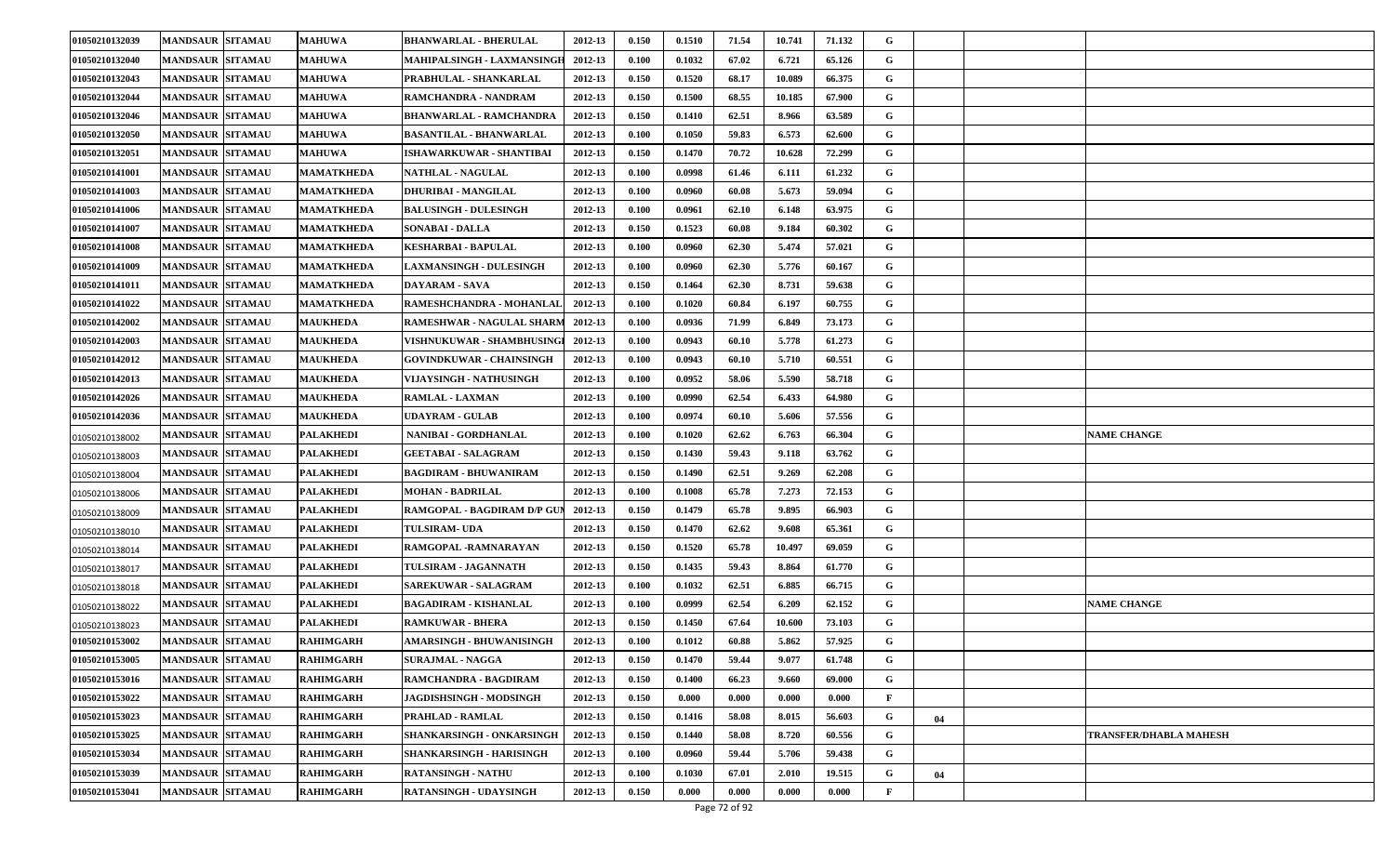| 01050210132039 | <b>MANDSAUR SITAMAU</b> | <b>MAHUWA</b>    | <b>BHANWARLAL - BHERULAL</b>      | 2012-13 | 0.150 | 0.1510 | 71.54 | 10.741 | 71.132 | G            |    |                               |
|----------------|-------------------------|------------------|-----------------------------------|---------|-------|--------|-------|--------|--------|--------------|----|-------------------------------|
| 01050210132040 | <b>MANDSAUR SITAMAU</b> | <b>MAHUWA</b>    | MAHIPALSINGH - LAXMANSINGH        | 2012-13 | 0.100 | 0.1032 | 67.02 | 6.721  | 65.126 | G            |    |                               |
| 01050210132043 | <b>MANDSAUR SITAMAU</b> | <b>MAHUWA</b>    | PRABHULAL - SHANKARLAL            | 2012-13 | 0.150 | 0.1520 | 68.17 | 10.089 | 66.375 | G            |    |                               |
| 01050210132044 | <b>MANDSAUR SITAMAU</b> | <b>MAHUWA</b>    | RAMCHANDRA - NANDRAM              | 2012-13 | 0.150 | 0.1500 | 68.55 | 10.185 | 67.900 | G            |    |                               |
| 01050210132046 | <b>MANDSAUR SITAMAU</b> | <b>MAHUWA</b>    | <b>BHANWARLAL - RAMCHANDRA</b>    | 2012-13 | 0.150 | 0.1410 | 62.51 | 8.966  | 63.589 | G            |    |                               |
| 01050210132050 | <b>MANDSAUR SITAMAU</b> | <b>MAHUWA</b>    | <b>BASANTILAL - BHANWARLAL</b>    | 2012-13 | 0.100 | 0.1050 | 59.83 | 6.573  | 62.600 | G            |    |                               |
| 01050210132051 | <b>MANDSAUR SITAMAU</b> | <b>MAHUWA</b>    | ISHAWARKUWAR - SHANTIBAI          | 2012-13 | 0.150 | 0.1470 | 70.72 | 10.628 | 72.299 | G            |    |                               |
| 01050210141001 | <b>MANDSAUR SITAMAU</b> | MAMATKHEDA       | <b>NATHLAL - NAGULAL</b>          | 2012-13 | 0.100 | 0.0998 | 61.46 | 6.111  | 61.232 | G            |    |                               |
| 01050210141003 | <b>MANDSAUR SITAMAU</b> | MAMATKHEDA       | <b>DHURIBAI - MANGILAL</b>        | 2012-13 | 0.100 | 0.0960 | 60.08 | 5.673  | 59.094 | G            |    |                               |
| 01050210141006 | <b>MANDSAUR SITAMAU</b> | MAMATKHEDA       | <b>BALUSINGH - DULESINGH</b>      | 2012-13 | 0.100 | 0.0961 | 62.10 | 6.148  | 63.975 | G            |    |                               |
| 01050210141007 | <b>MANDSAUR SITAMAU</b> | MAMATKHEDA       | <b>SONABAI - DALLA</b>            | 2012-13 | 0.150 | 0.1523 | 60.08 | 9.184  | 60.302 | G            |    |                               |
| 01050210141008 | <b>MANDSAUR SITAMAU</b> | MAMATKHEDA       | KESHARBAI - BAPULAL               | 2012-13 | 0.100 | 0.0960 | 62.30 | 5.474  | 57.021 | G            |    |                               |
| 01050210141009 | <b>MANDSAUR SITAMAU</b> | MAMATKHEDA       | <b>LAXMANSINGH - DULESINGH</b>    | 2012-13 | 0.100 | 0.0960 | 62.30 | 5.776  | 60.167 | G            |    |                               |
| 01050210141011 | <b>MANDSAUR SITAMAU</b> | MAMATKHEDA       | DAYARAM - SAVA                    | 2012-13 | 0.150 | 0.1464 | 62.30 | 8.731  | 59.638 | G            |    |                               |
| 01050210141022 | <b>MANDSAUR SITAMAU</b> | MAMATKHEDA       | RAMESHCHANDRA - MOHANLAL          | 2012-13 | 0.100 | 0.1020 | 60.84 | 6.197  | 60.755 | G            |    |                               |
| 01050210142002 | <b>MANDSAUR SITAMAU</b> | <b>MAUKHEDA</b>  | RAMESHWAR - NAGULAL SHARM 2012-13 |         | 0.100 | 0.0936 | 71.99 | 6.849  | 73.173 | G            |    |                               |
| 01050210142003 | <b>MANDSAUR SITAMAU</b> | <b>MAUKHEDA</b>  | VISHNUKUWAR - SHAMBHUSINGI        | 2012-13 | 0.100 | 0.0943 | 60.10 | 5.778  | 61.273 | G            |    |                               |
| 01050210142012 | <b>MANDSAUR SITAMAU</b> | <b>MAUKHEDA</b>  | <b>GOVINDKUWAR - CHAINSINGH</b>   | 2012-13 | 0.100 | 0.0943 | 60.10 | 5.710  | 60.551 | G            |    |                               |
| 01050210142013 | <b>MANDSAUR SITAMAU</b> | <b>MAUKHEDA</b>  | VIJAYSINGH - NATHUSINGH           | 2012-13 | 0.100 | 0.0952 | 58.06 | 5.590  | 58.718 | G            |    |                               |
| 01050210142026 | <b>MANDSAUR SITAMAU</b> | <b>MAUKHEDA</b>  | <b>RAMLAL - LAXMAN</b>            | 2012-13 | 0.100 | 0.0990 | 62.54 | 6.433  | 64.980 | G            |    |                               |
| 01050210142036 | <b>MANDSAUR SITAMAU</b> | <b>MAUKHEDA</b>  | UDAYRAM - GULAB                   | 2012-13 | 0.100 | 0.0974 | 60.10 | 5.606  | 57.556 | G            |    |                               |
| 01050210138002 | <b>MANDSAUR SITAMAU</b> | <b>PALAKHEDI</b> | NANIBAI - GORDHANLAL              | 2012-13 | 0.100 | 0.1020 | 62.62 | 6.763  | 66.304 | G            |    | <b>NAME CHANGE</b>            |
| 01050210138003 | <b>MANDSAUR SITAMAU</b> | <b>PALAKHEDI</b> | <b>GEETABAI - SALAGRAM</b>        | 2012-13 | 0.150 | 0.1430 | 59.43 | 9.118  | 63.762 | G            |    |                               |
| 01050210138004 | <b>MANDSAUR SITAMAU</b> | PALAKHEDI        | <b>BAGDIRAM - BHUWANIRAM</b>      | 2012-13 | 0.150 | 0.1490 | 62.51 | 9.269  | 62.208 | G            |    |                               |
| 01050210138006 | <b>MANDSAUR SITAMAU</b> | PALAKHEDI        | MOHAN - BADRILAL                  | 2012-13 | 0.100 | 0.1008 | 65.78 | 7.273  | 72.153 | G            |    |                               |
| 01050210138009 | <b>MANDSAUR SITAMAU</b> | <b>PALAKHEDI</b> | RAMGOPAL - BAGDIRAM D/P GUN       | 2012-13 | 0.150 | 0.1479 | 65.78 | 9.895  | 66.903 | G            |    |                               |
| 01050210138010 | <b>MANDSAUR SITAMAU</b> | PALAKHEDI        | <b>TULSIRAM- UDA</b>              | 2012-13 | 0.150 | 0.1470 | 62.62 | 9.608  | 65.361 | G            |    |                               |
| 01050210138014 | <b>MANDSAUR SITAMAU</b> | <b>PALAKHEDI</b> | RAMGOPAL - RAMNARAYAN             | 2012-13 | 0.150 | 0.1520 | 65.78 | 10.497 | 69.059 | G            |    |                               |
| 01050210138017 | <b>MANDSAUR SITAMAU</b> | PALAKHEDI        | <b>TULSIRAM - JAGANNATH</b>       | 2012-13 | 0.150 | 0.1435 | 59.43 | 8.864  | 61.770 | G            |    |                               |
| 01050210138018 | <b>MANDSAUR SITAMAU</b> | <b>PALAKHEDI</b> | <b>SAREKUWAR - SALAGRAM</b>       | 2012-13 | 0.100 | 0.1032 | 62.51 | 6.885  | 66.715 | G            |    |                               |
| 01050210138022 | <b>MANDSAUR SITAMAU</b> | PALAKHEDI        | BAGADIRAM - KISHANLAL             | 2012-13 | 0.100 | 0.0999 | 62.54 | 6.209  | 62.152 | G            |    | <b>NAME CHANGE</b>            |
| 01050210138023 | <b>MANDSAUR SITAMAU</b> | PALAKHEDI        | <b>RAMKUWAR - BHERA</b>           | 2012-13 | 0.150 | 0.1450 | 67.64 | 10.600 | 73.103 | G            |    |                               |
| 01050210153002 | <b>MANDSAUR SITAMAU</b> | <b>RAHIMGARH</b> | AMARSINGH - BHUWANISINGH          | 2012-13 | 0.100 | 0.1012 | 60.88 | 5.862  | 57.925 | G            |    |                               |
| 01050210153005 | <b>MANDSAUR SITAMAU</b> | <b>RAHIMGARH</b> | <b>SURAJMAL - NAGGA</b>           | 2012-13 | 0.150 | 0.1470 | 59.44 | 9.077  | 61.748 | G            |    |                               |
| 01050210153016 | <b>MANDSAUR SITAMAU</b> | <b>RAHIMGARH</b> | RAMCHANDRA - BAGDIRAM             | 2012-13 | 0.150 | 0.1400 | 66.23 | 9.660  | 69.000 | $\mathbf G$  |    |                               |
| 01050210153022 | <b>MANDSAUR SITAMAU</b> | <b>RAHIMGARH</b> | <b>JAGDISHSINGH - MODSINGH</b>    | 2012-13 | 0.150 | 0.000  | 0.000 | 0.000  | 0.000  | $\mathbf{F}$ |    |                               |
| 01050210153023 | <b>MANDSAUR SITAMAU</b> | <b>RAHIMGARH</b> | PRAHLAD - RAMLAL                  | 2012-13 | 0.150 | 0.1416 | 58.08 | 8.015  | 56.603 | G            | 04 |                               |
| 01050210153025 | <b>MANDSAUR SITAMAU</b> | <b>RAHIMGARH</b> | SHANKARSINGH - ONKARSINGH         | 2012-13 | 0.150 | 0.1440 | 58.08 | 8.720  | 60.556 | G            |    | <b>TRANSFER/DHABLA MAHESH</b> |
| 01050210153034 | <b>MANDSAUR SITAMAU</b> | <b>RAHIMGARH</b> | SHANKARSINGH - HARISINGH          | 2012-13 | 0.100 | 0.0960 | 59.44 | 5.706  | 59.438 | G            |    |                               |
| 01050210153039 | <b>MANDSAUR SITAMAU</b> | <b>RAHIMGARH</b> | RATANSINGH - NATHU                | 2012-13 | 0.100 | 0.1030 | 67.01 | 2.010  | 19.515 | G            | 04 |                               |
| 01050210153041 | <b>MANDSAUR SITAMAU</b> | <b>RAHIMGARH</b> | RATANSINGH - UDAYSINGH            | 2012-13 | 0.150 | 0.000  | 0.000 | 0.000  | 0.000  | F            |    |                               |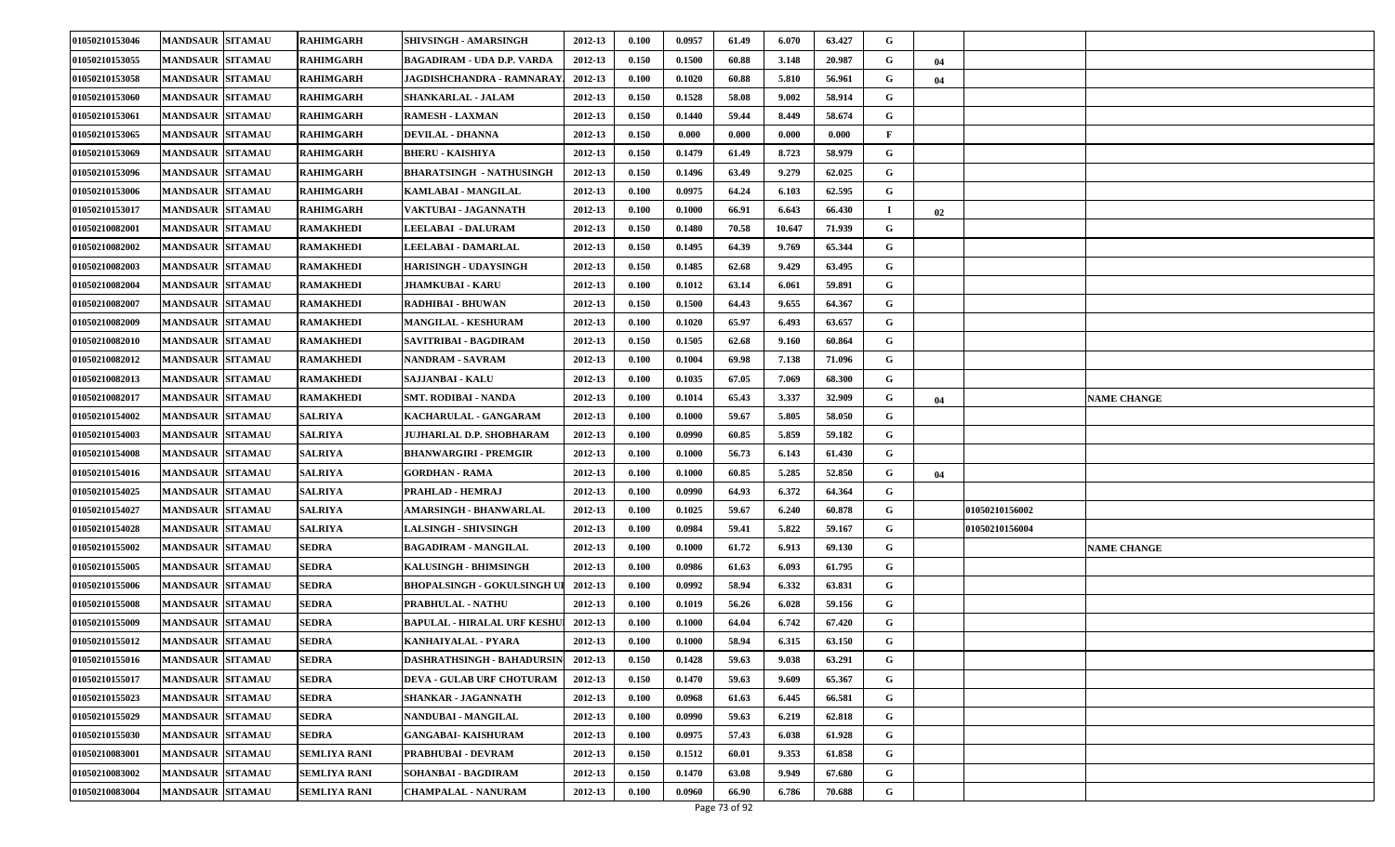| 01050210153046 | <b>MANDSAUR SITAMAU</b> | <b>RAHIMGARH</b>    | SHIVSINGH - AMARSINGH              | 2012-13 | 0.100 | 0.0957 | 61.49 | 6.070  | 63.427 | G |    |                       |                    |
|----------------|-------------------------|---------------------|------------------------------------|---------|-------|--------|-------|--------|--------|---|----|-----------------------|--------------------|
| 01050210153055 | <b>MANDSAUR SITAMAU</b> | <b>RAHIMGARH</b>    | BAGADIRAM - UDA D.P. VARDA         | 2012-13 | 0.150 | 0.1500 | 60.88 | 3.148  | 20.987 | G | 04 |                       |                    |
| 01050210153058 | <b>MANDSAUR SITAMAU</b> | <b>RAHIMGARH</b>    | JAGDISHCHANDRA - RAMNARAY.         | 2012-13 | 0.100 | 0.1020 | 60.88 | 5.810  | 56.961 | G | 04 |                       |                    |
| 01050210153060 | <b>MANDSAUR SITAMAU</b> | RAHIMGARH           | <b>SHANKARLAL - JALAM</b>          | 2012-13 | 0.150 | 0.1528 | 58.08 | 9.002  | 58.914 | G |    |                       |                    |
| 01050210153061 | <b>MANDSAUR SITAMAU</b> | RAHIMGARH           | <b>RAMESH - LAXMAN</b>             | 2012-13 | 0.150 | 0.1440 | 59.44 | 8.449  | 58.674 | G |    |                       |                    |
| 01050210153065 | <b>MANDSAUR SITAMAU</b> | <b>RAHIMGARH</b>    | <b>DEVILAL - DHANNA</b>            | 2012-13 | 0.150 | 0.000  | 0.000 | 0.000  | 0.000  | F |    |                       |                    |
| 01050210153069 | <b>MANDSAUR SITAMAU</b> | <b>RAHIMGARH</b>    | BHERU - KAISHIYA                   | 2012-13 | 0.150 | 0.1479 | 61.49 | 8.723  | 58.979 | G |    |                       |                    |
| 01050210153096 | <b>MANDSAUR SITAMAU</b> | RAHIMGARH           | BHARATSINGH - NATHUSINGH           | 2012-13 | 0.150 | 0.1496 | 63.49 | 9.279  | 62.025 | G |    |                       |                    |
| 01050210153006 | <b>MANDSAUR SITAMAU</b> | <b>RAHIMGARH</b>    | KAMLABAI - MANGILAL                | 2012-13 | 0.100 | 0.0975 | 64.24 | 6.103  | 62.595 | G |    |                       |                    |
| 01050210153017 | <b>MANDSAUR SITAMAU</b> | <b>RAHIMGARH</b>    | VAKTUBAI - JAGANNATH               | 2012-13 | 0.100 | 0.1000 | 66.91 | 6.643  | 66.430 |   | 02 |                       |                    |
| 01050210082001 | <b>MANDSAUR SITAMAU</b> | <b>RAMAKHEDI</b>    | <b>LEELABAI - DALURAM</b>          | 2012-13 | 0.150 | 0.1480 | 70.58 | 10.647 | 71.939 | G |    |                       |                    |
| 01050210082002 | <b>MANDSAUR SITAMAU</b> | RAMAKHEDI           | <b>LEELABAI - DAMARLAL</b>         | 2012-13 | 0.150 | 0.1495 | 64.39 | 9.769  | 65.344 | G |    |                       |                    |
| 01050210082003 | <b>MANDSAUR SITAMAU</b> | RAMAKHEDI           | HARISINGH - UDAYSINGH              | 2012-13 | 0.150 | 0.1485 | 62.68 | 9.429  | 63.495 | G |    |                       |                    |
| 01050210082004 | <b>MANDSAUR SITAMAU</b> | <b>RAMAKHEDI</b>    | <b>JHAMKUBAI - KARU</b>            | 2012-13 | 0.100 | 0.1012 | 63.14 | 6.061  | 59.891 | G |    |                       |                    |
| 01050210082007 | <b>MANDSAUR SITAMAU</b> | RAMAKHEDI           | RADHIBAI - BHUWAN                  | 2012-13 | 0.150 | 0.1500 | 64.43 | 9.655  | 64.367 | G |    |                       |                    |
| 01050210082009 | <b>MANDSAUR SITAMAU</b> | RAMAKHEDI           | <b>MANGILAL - KESHURAM</b>         | 2012-13 | 0.100 | 0.1020 | 65.97 | 6.493  | 63.657 | G |    |                       |                    |
| 01050210082010 | <b>MANDSAUR SITAMAU</b> | RAMAKHEDI           | SAVITRIBAI - BAGDIRAM              | 2012-13 | 0.150 | 0.1505 | 62.68 | 9.160  | 60.864 | G |    |                       |                    |
| 01050210082012 | <b>MANDSAUR SITAMAU</b> | <b>RAMAKHEDI</b>    | NANDRAM - SAVRAM                   | 2012-13 | 0.100 | 0.1004 | 69.98 | 7.138  | 71.096 | G |    |                       |                    |
| 01050210082013 | <b>MANDSAUR SITAMAU</b> | RAMAKHEDI           | <b>SAJJANBAI - KALU</b>            | 2012-13 | 0.100 | 0.1035 | 67.05 | 7.069  | 68.300 | G |    |                       |                    |
| 01050210082017 | <b>MANDSAUR SITAMAU</b> | RAMAKHEDI           | SMT. RODIBAI - NANDA               | 2012-13 | 0.100 | 0.1014 | 65.43 | 3.337  | 32.909 | G | 04 |                       | <b>NAME CHANGE</b> |
| 01050210154002 | <b>MANDSAUR SITAMAU</b> | SALRIYA             | KACHARULAL - GANGARAM              | 2012-13 | 0.100 | 0.1000 | 59.67 | 5.805  | 58.050 | G |    |                       |                    |
| 01050210154003 | <b>MANDSAUR SITAMAU</b> | <b>SALRIYA</b>      | JUJHARLAL D.P. SHOBHARAM           | 2012-13 | 0.100 | 0.0990 | 60.85 | 5.859  | 59.182 | G |    |                       |                    |
| 01050210154008 | <b>MANDSAUR SITAMAU</b> | SALRIYA             | BHANWARGIRI - PREMGIR              | 2012-13 | 0.100 | 0.1000 | 56.73 | 6.143  | 61.430 | G |    |                       |                    |
| 01050210154016 | <b>MANDSAUR SITAMAU</b> | SALRIYA             | <b>GORDHAN - RAMA</b>              | 2012-13 | 0.100 | 0.1000 | 60.85 | 5.285  | 52.850 | G | 04 |                       |                    |
| 01050210154025 | <b>MANDSAUR SITAMAU</b> | SALRIYA             | PRAHLAD - HEMRAJ                   | 2012-13 | 0.100 | 0.0990 | 64.93 | 6.372  | 64.364 | G |    |                       |                    |
| 01050210154027 | <b>MANDSAUR SITAMAU</b> | SALRIYA             | AMARSINGH - BHANWARLAL             | 2012-13 | 0.100 | 0.1025 | 59.67 | 6.240  | 60.878 | G |    | 01050210156002        |                    |
| 01050210154028 | <b>MANDSAUR SITAMAU</b> | <b>SALRIYA</b>      | <b>LALSINGH - SHIVSINGH</b>        | 2012-13 | 0.100 | 0.0984 | 59.41 | 5.822  | 59.167 | G |    | <b>01050210156004</b> |                    |
| 01050210155002 | <b>MANDSAUR SITAMAU</b> | SEDRA               | <b>BAGADIRAM - MANGILAL</b>        | 2012-13 | 0.100 | 0.1000 | 61.72 | 6.913  | 69.130 | G |    |                       | <b>NAME CHANGE</b> |
| 01050210155005 | <b>MANDSAUR SITAMAU</b> | <b>SEDRA</b>        | <b>KALUSINGH - BHIMSINGH</b>       | 2012-13 | 0.100 | 0.0986 | 61.63 | 6.093  | 61.795 | G |    |                       |                    |
| 01050210155006 | <b>MANDSAUR SITAMAU</b> | SEDRA               | BHOPALSINGH - GOKULSINGH UI        | 2012-13 | 0.100 | 0.0992 | 58.94 | 6.332  | 63.831 | G |    |                       |                    |
| 01050210155008 | <b>MANDSAUR SITAMAU</b> | SEDRA               | PRABHULAL - NATHU                  | 2012-13 | 0.100 | 0.1019 | 56.26 | 6.028  | 59.156 | G |    |                       |                    |
| 01050210155009 | <b>MANDSAUR SITAMAU</b> | SEDRA               | BAPULAL - HIRALAL URF KESHU        | 2012-13 | 0.100 | 0.1000 | 64.04 | 6.742  | 67.420 | G |    |                       |                    |
| 01050210155012 | <b>MANDSAUR SITAMAU</b> | SEDRA               | KANHAIYALAL - PYARA                | 2012-13 | 0.100 | 0.1000 | 58.94 | 6.315  | 63.150 | G |    |                       |                    |
| 01050210155016 | MANDSAUR SITAMAU        | <b>SEDRA</b>        | DASHRATHSINGH - BAHADURSIN 2012-13 |         | 0.150 | 0.1428 | 59.63 | 9.038  | 63.291 | G |    |                       |                    |
| 01050210155017 | <b>MANDSAUR SITAMAU</b> | SEDRA               | <b>DEVA - GULAB URF CHOTURAM</b>   | 2012-13 | 0.150 | 0.1470 | 59.63 | 9.609  | 65.367 | G |    |                       |                    |
| 01050210155023 | <b>MANDSAUR SITAMAU</b> | SEDRA               | <b>SHANKAR - JAGANNATH</b>         | 2012-13 | 0.100 | 0.0968 | 61.63 | 6.445  | 66.581 | G |    |                       |                    |
| 01050210155029 | <b>MANDSAUR SITAMAU</b> | <b>SEDRA</b>        | NANDUBAI - MANGILAL                | 2012-13 | 0.100 | 0.0990 | 59.63 | 6.219  | 62.818 | G |    |                       |                    |
| 01050210155030 | <b>MANDSAUR SITAMAU</b> | SEDRA               | <b>GANGABAI- KAISHURAM</b>         | 2012-13 | 0.100 | 0.0975 | 57.43 | 6.038  | 61.928 | G |    |                       |                    |
| 01050210083001 | <b>MANDSAUR SITAMAU</b> | SEMLIYA RANI        | PRABHUBAI - DEVRAM                 | 2012-13 | 0.150 | 0.1512 | 60.01 | 9.353  | 61.858 | G |    |                       |                    |
| 01050210083002 | <b>MANDSAUR SITAMAU</b> | SEMLIYA RANI        | SOHANBAI - BAGDIRAM                | 2012-13 | 0.150 | 0.1470 | 63.08 | 9.949  | 67.680 | G |    |                       |                    |
| 01050210083004 | <b>MANDSAUR SITAMAU</b> | <b>SEMLIYA RANI</b> | <b>CHAMPALAL - NANURAM</b>         | 2012-13 | 0.100 | 0.0960 | 66.90 | 6.786  | 70.688 | G |    |                       |                    |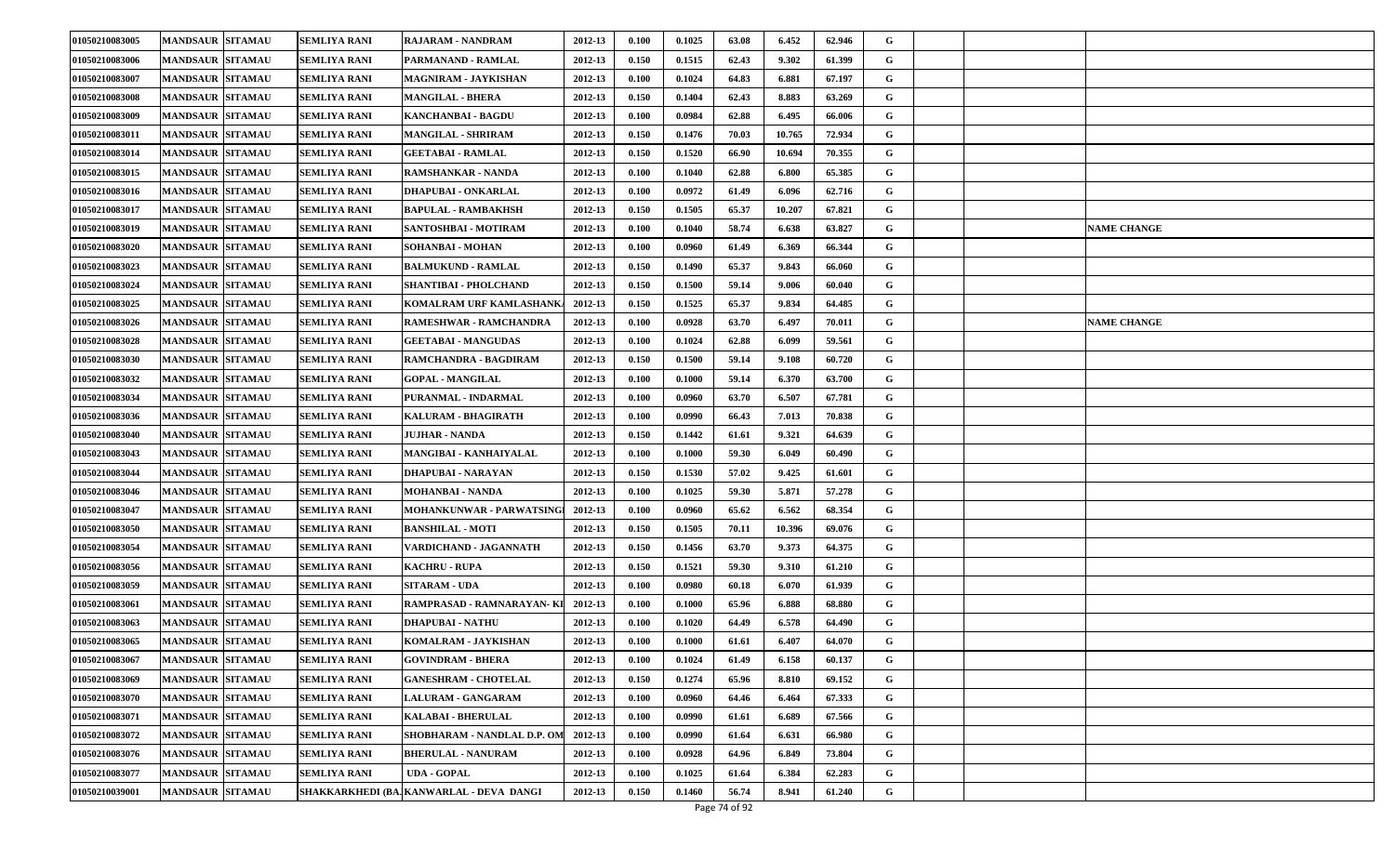| 01050210083005 | <b>MANDSAUR SITAMAU</b> | <b>SEMLIYA RANI</b> | <b>RAJARAM - NANDRAM</b>                | 2012-13 | 0.100 | 0.1025 | 63.08 | 6.452  | 62.946 | G |  |                    |
|----------------|-------------------------|---------------------|-----------------------------------------|---------|-------|--------|-------|--------|--------|---|--|--------------------|
| 01050210083006 | <b>MANDSAUR SITAMAU</b> | <b>SEMLIYA RANI</b> | PARMANAND - RAMLAL                      | 2012-13 | 0.150 | 0.1515 | 62.43 | 9.302  | 61.399 | G |  |                    |
| 01050210083007 | <b>MANDSAUR SITAMAU</b> | <b>SEMLIYA RANI</b> | <b>MAGNIRAM - JAYKISHAN</b>             | 2012-13 | 0.100 | 0.1024 | 64.83 | 6.881  | 67.197 | G |  |                    |
| 01050210083008 | <b>MANDSAUR SITAMAU</b> | <b>SEMLIYA RANI</b> | <b>MANGILAL - BHERA</b>                 | 2012-13 | 0.150 | 0.1404 | 62.43 | 8.883  | 63.269 | G |  |                    |
| 01050210083009 | <b>MANDSAUR SITAMAU</b> | <b>SEMLIYA RANI</b> | KANCHANBAI - BAGDU                      | 2012-13 | 0.100 | 0.0984 | 62.88 | 6.495  | 66.006 | G |  |                    |
| 01050210083011 | <b>MANDSAUR SITAMAU</b> | <b>SEMLIYA RANI</b> | <b>MANGILAL - SHRIRAM</b>               | 2012-13 | 0.150 | 0.1476 | 70.03 | 10.765 | 72.934 | G |  |                    |
| 01050210083014 | <b>MANDSAUR SITAMAU</b> | <b>SEMLIYA RANI</b> | <b>GEETABAI - RAMLAL</b>                | 2012-13 | 0.150 | 0.1520 | 66.90 | 10.694 | 70.355 | G |  |                    |
| 01050210083015 | <b>MANDSAUR SITAMAU</b> | <b>SEMLIYA RANI</b> | RAMSHANKAR - NANDA                      | 2012-13 | 0.100 | 0.1040 | 62.88 | 6.800  | 65.385 | G |  |                    |
| 01050210083016 | <b>MANDSAUR SITAMAU</b> | <b>SEMLIYA RANI</b> | DHAPUBAI - ONKARLAL                     | 2012-13 | 0.100 | 0.0972 | 61.49 | 6.096  | 62.716 | G |  |                    |
| 01050210083017 | <b>MANDSAUR SITAMAU</b> | <b>SEMLIYA RANI</b> | <b>BAPULAL - RAMBAKHSH</b>              | 2012-13 | 0.150 | 0.1505 | 65.37 | 10.207 | 67.821 | G |  |                    |
| 01050210083019 | <b>MANDSAUR SITAMAU</b> | <b>SEMLIYA RANI</b> | SANTOSHBAI - MOTIRAM                    | 2012-13 | 0.100 | 0.1040 | 58.74 | 6.638  | 63.827 | G |  | <b>NAME CHANGE</b> |
| 01050210083020 | <b>MANDSAUR SITAMAU</b> | <b>SEMLIYA RANI</b> | SOHANBAI - MOHAN                        | 2012-13 | 0.100 | 0.0960 | 61.49 | 6.369  | 66.344 | G |  |                    |
| 01050210083023 | <b>MANDSAUR SITAMAU</b> | <b>SEMLIYA RANI</b> | <b>BALMUKUND - RAMLAL</b>               | 2012-13 | 0.150 | 0.1490 | 65.37 | 9.843  | 66.060 | G |  |                    |
| 01050210083024 | <b>MANDSAUR SITAMAU</b> | <b>SEMLIYA RANI</b> | SHANTIBAI - PHOLCHAND                   | 2012-13 | 0.150 | 0.1500 | 59.14 | 9.006  | 60.040 | G |  |                    |
| 01050210083025 | <b>MANDSAUR SITAMAU</b> | <b>SEMLIYA RANI</b> | KOMALRAM URF KAMLASHANK/                | 2012-13 | 0.150 | 0.1525 | 65.37 | 9.834  | 64.485 | G |  |                    |
| 01050210083026 | <b>MANDSAUR SITAMAU</b> | <b>SEMLIYA RANI</b> | RAMESHWAR - RAMCHANDRA                  | 2012-13 | 0.100 | 0.0928 | 63.70 | 6.497  | 70.011 | G |  | <b>NAME CHANGE</b> |
| 01050210083028 | <b>MANDSAUR SITAMAU</b> | <b>SEMLIYA RANI</b> | <b>GEETABAI - MANGUDAS</b>              | 2012-13 | 0.100 | 0.1024 | 62.88 | 6.099  | 59.561 | G |  |                    |
| 01050210083030 | <b>MANDSAUR SITAMAU</b> | <b>SEMLIYA RANI</b> | <b>RAMCHANDRA - BAGDIRAM</b>            | 2012-13 | 0.150 | 0.1500 | 59.14 | 9.108  | 60.720 | G |  |                    |
| 01050210083032 | <b>MANDSAUR SITAMAU</b> | <b>SEMLIYA RANI</b> | <b>GOPAL - MANGILAL</b>                 | 2012-13 | 0.100 | 0.1000 | 59.14 | 6.370  | 63.700 | G |  |                    |
| 01050210083034 | <b>MANDSAUR SITAMAU</b> | <b>SEMLIYA RANI</b> | PURANMAL - INDARMAL                     | 2012-13 | 0.100 | 0.0960 | 63.70 | 6.507  | 67.781 | G |  |                    |
| 01050210083036 | <b>MANDSAUR SITAMAU</b> | <b>SEMLIYA RANI</b> | KALURAM - BHAGIRATH                     | 2012-13 | 0.100 | 0.0990 | 66.43 | 7.013  | 70.838 | G |  |                    |
| 01050210083040 | <b>MANDSAUR SITAMAU</b> | <b>SEMLIYA RANI</b> | <b>JUJHAR - NANDA</b>                   | 2012-13 | 0.150 | 0.1442 | 61.61 | 9.321  | 64.639 | G |  |                    |
| 01050210083043 | <b>MANDSAUR SITAMAU</b> | <b>SEMLIYA RANI</b> | MANGIBAI - KANHAIYALAL                  | 2012-13 | 0.100 | 0.1000 | 59.30 | 6.049  | 60.490 | G |  |                    |
| 01050210083044 | <b>MANDSAUR SITAMAU</b> | <b>SEMLIYA RANI</b> | DHAPUBAI - NARAYAN                      | 2012-13 | 0.150 | 0.1530 | 57.02 | 9.425  | 61.601 | G |  |                    |
| 01050210083046 | <b>MANDSAUR SITAMAU</b> | <b>SEMLIYA RANI</b> | MOHANBAI - NANDA                        | 2012-13 | 0.100 | 0.1025 | 59.30 | 5.871  | 57.278 | G |  |                    |
| 01050210083047 | <b>MANDSAUR SITAMAU</b> | <b>SEMLIYA RANI</b> | MOHANKUNWAR - PARWATSINGI               | 2012-13 | 0.100 | 0.0960 | 65.62 | 6.562  | 68.354 | G |  |                    |
| 01050210083050 | <b>MANDSAUR SITAMAU</b> | SEMLIYA RANI        | <b>BANSHILAL - MOTI</b>                 | 2012-13 | 0.150 | 0.1505 | 70.11 | 10.396 | 69.076 | G |  |                    |
| 01050210083054 | <b>MANDSAUR SITAMAU</b> | <b>SEMLIYA RANI</b> | VARDICHAND - JAGANNATH                  | 2012-13 | 0.150 | 0.1456 | 63.70 | 9.373  | 64.375 | G |  |                    |
| 01050210083056 | <b>MANDSAUR SITAMAU</b> | <b>SEMLIYA RANI</b> | <b>KACHRU - RUPA</b>                    | 2012-13 | 0.150 | 0.1521 | 59.30 | 9.310  | 61.210 | G |  |                    |
| 01050210083059 | <b>MANDSAUR SITAMAU</b> | <b>SEMLIYA RANI</b> | <b>SITARAM - UDA</b>                    | 2012-13 | 0.100 | 0.0980 | 60.18 | 6.070  | 61.939 | G |  |                    |
| 01050210083061 | <b>MANDSAUR SITAMAU</b> | <b>SEMLIYA RANI</b> | RAMPRASAD - RAMNARAYAN- KI              | 2012-13 | 0.100 | 0.1000 | 65.96 | 6.888  | 68.880 | G |  |                    |
| 01050210083063 | <b>MANDSAUR SITAMAU</b> | <b>SEMLIYA RANI</b> | DHAPUBAI - NATHU                        | 2012-13 | 0.100 | 0.1020 | 64.49 | 6.578  | 64.490 | G |  |                    |
| 01050210083065 | <b>MANDSAUR SITAMAU</b> | <b>SEMLIYA RANI</b> | KOMALRAM - JAYKISHAN                    | 2012-13 | 0.100 | 0.1000 | 61.61 | 6.407  | 64.070 | G |  |                    |
| 01050210083067 | MANDSAUR SITAMAU        | <b>SEMLIYA RANI</b> | <b>GOVINDRAM - BHERA</b>                | 2012-13 | 0.100 | 0.1024 | 61.49 | 6.158  | 60.137 | G |  |                    |
| 01050210083069 | MANDSAUR SITAMAU        | SEMLIYA RANI        | <b>GANESHRAM - CHOTELAL</b>             | 2012-13 | 0.150 | 0.1274 | 65.96 | 8.810  | 69.152 | G |  |                    |
| 01050210083070 | <b>MANDSAUR SITAMAU</b> | SEMLIYA RANI        | <b>LALURAM - GANGARAM</b>               | 2012-13 | 0.100 | 0.0960 | 64.46 | 6.464  | 67.333 | G |  |                    |
| 01050210083071 | <b>MANDSAUR SITAMAU</b> | <b>SEMLIYA RANI</b> | <b>KALABAI - BHERULAL</b>               | 2012-13 | 0.100 | 0.0990 | 61.61 | 6.689  | 67.566 | G |  |                    |
| 01050210083072 | <b>MANDSAUR SITAMAU</b> | SEMLIYA RANI        | SHOBHARAM - NANDLAL D.P. OM             | 2012-13 | 0.100 | 0.0990 | 61.64 | 6.631  | 66.980 | G |  |                    |
| 01050210083076 | <b>MANDSAUR SITAMAU</b> | SEMLIYA RANI        | <b>BHERULAL - NANURAM</b>               | 2012-13 | 0.100 | 0.0928 | 64.96 | 6.849  | 73.804 | G |  |                    |
| 01050210083077 | <b>MANDSAUR SITAMAU</b> | SEMLIYA RANI        | <b>UDA - GOPAL</b>                      | 2012-13 | 0.100 | 0.1025 | 61.64 | 6.384  | 62.283 | G |  |                    |
| 01050210039001 | <b>MANDSAUR SITAMAU</b> |                     | SHAKKARKHEDI (BAJKANWARLAL - DEVA DANGI | 2012-13 | 0.150 | 0.1460 | 56.74 | 8.941  | 61.240 | G |  |                    |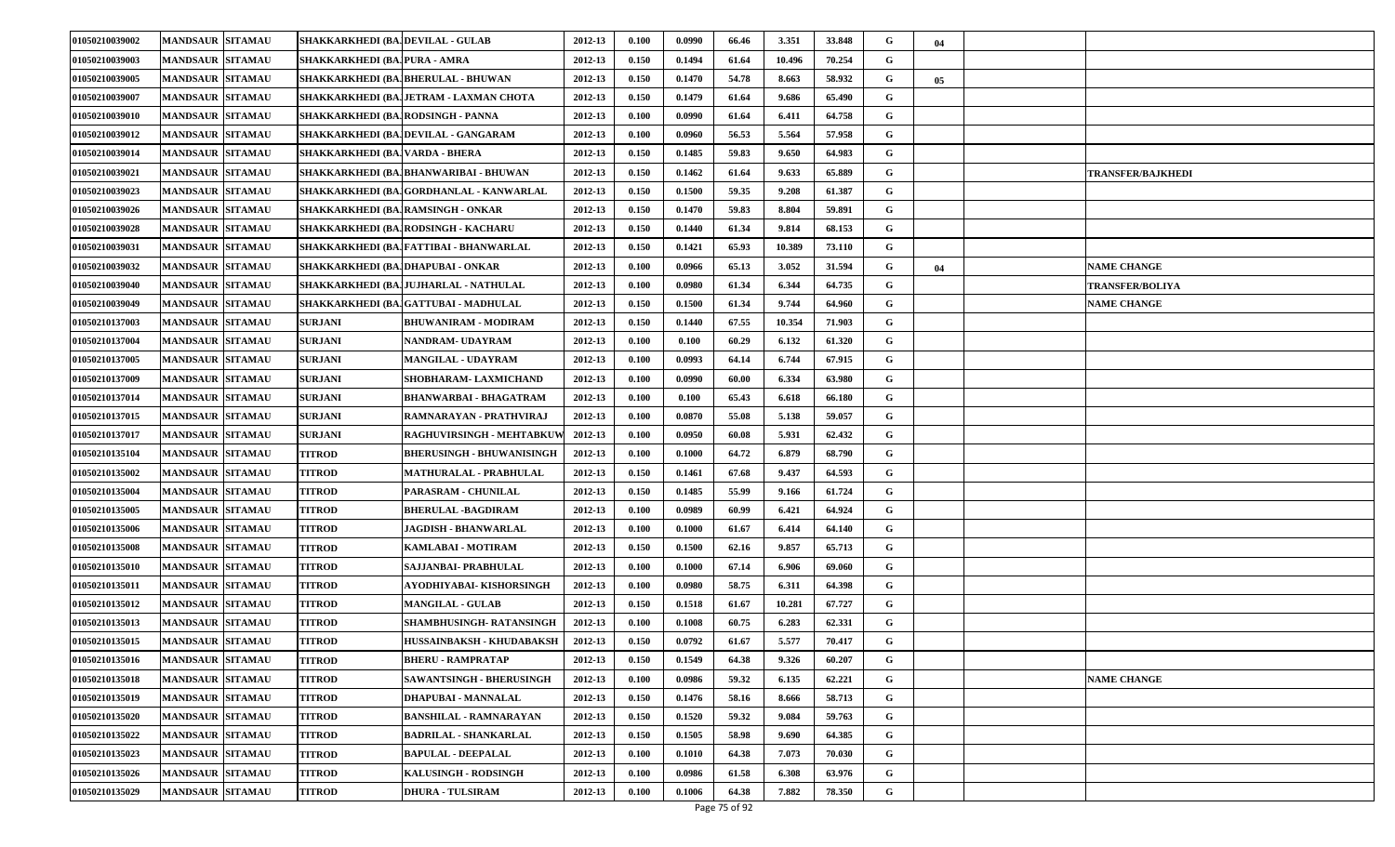| 01050210039002 | <b>MANDSAUR SITAMAU</b> | SHAKKARKHEDI (BA, DEVILAL - GULAB |                                         | 2012-13 | 0.100 | 0.0990 | 66.46 | 3.351  | 33.848 | G | 04 |                          |
|----------------|-------------------------|-----------------------------------|-----------------------------------------|---------|-------|--------|-------|--------|--------|---|----|--------------------------|
| 01050210039003 | <b>MANDSAUR SITAMAU</b> | SHAKKARKHEDI (BAJPURA - AMRA      |                                         | 2012-13 | 0.150 | 0.1494 | 61.64 | 10.496 | 70.254 | G |    |                          |
| 01050210039005 | <b>MANDSAUR SITAMAU</b> |                                   | SHAKKARKHEDI (BA, BHERULAL - BHUWAN     | 2012-13 | 0.150 | 0.1470 | 54.78 | 8.663  | 58.932 | G | 05 |                          |
| 01050210039007 | <b>MANDSAUR SITAMAU</b> |                                   | SHAKKARKHEDI (BAJJETRAM - LAXMAN CHOTA  | 2012-13 | 0.150 | 0.1479 | 61.64 | 9.686  | 65.490 | G |    |                          |
| 01050210039010 | <b>MANDSAUR SITAMAU</b> | SHAKKARKHEDI (BAJRODSINGH - PANNA |                                         | 2012-13 | 0.100 | 0.0990 | 61.64 | 6.411  | 64.758 | G |    |                          |
| 01050210039012 | <b>MANDSAUR SITAMAU</b> |                                   | SHAKKARKHEDI (BAJDEVILAL - GANGARAM     | 2012-13 | 0.100 | 0.0960 | 56.53 | 5.564  | 57.958 | G |    |                          |
| 01050210039014 | <b>MANDSAUR SITAMAU</b> | SHAKKARKHEDI (BAJVARDA - BHERA    |                                         | 2012-13 | 0.150 | 0.1485 | 59.83 | 9.650  | 64.983 | G |    |                          |
| 01050210039021 | <b>MANDSAUR SITAMAU</b> |                                   | SHAKKARKHEDI (BA, BHANWARIBAI - BHUWAN  | 2012-13 | 0.150 | 0.1462 | 61.64 | 9.633  | 65.889 | G |    | <b>TRANSFER/BAJKHEDI</b> |
| 01050210039023 | <b>MANDSAUR SITAMAU</b> |                                   | SHAKKARKHEDI (BAJGORDHANLAL - KANWARLAL | 2012-13 | 0.150 | 0.1500 | 59.35 | 9.208  | 61.387 | G |    |                          |
| 01050210039026 | <b>MANDSAUR SITAMAU</b> |                                   | SHAKKARKHEDI (BAJRAMSINGH - ONKAR       | 2012-13 | 0.150 | 0.1470 | 59.83 | 8.804  | 59.891 | G |    |                          |
| 01050210039028 | <b>MANDSAUR SITAMAU</b> |                                   | SHAKKARKHEDI (BAJRODSINGH - KACHARU     | 2012-13 | 0.150 | 0.1440 | 61.34 | 9.814  | 68.153 | G |    |                          |
| 01050210039031 | <b>MANDSAUR SITAMAU</b> |                                   | SHAKKARKHEDI (BA,]FATTIBAI - BHANWARLAL | 2012-13 | 0.150 | 0.1421 | 65.93 | 10.389 | 73.110 | G |    |                          |
| 01050210039032 | <b>MANDSAUR SITAMAU</b> |                                   | SHAKKARKHEDI (BAJDHAPUBAI - ONKAR       | 2012-13 | 0.100 | 0.0966 | 65.13 | 3.052  | 31.594 | G | 04 | <b>NAME CHANGE</b>       |
| 01050210039040 | <b>MANDSAUR SITAMAU</b> |                                   | SHAKKARKHEDI (BAJJUJHARLAL - NATHULAL   | 2012-13 | 0.100 | 0.0980 | 61.34 | 6.344  | 64.735 | G |    | <b>TRANSFER/BOLIYA</b>   |
| 01050210039049 | <b>MANDSAUR SITAMAU</b> |                                   | SHAKKARKHEDI (BAJGATTUBAI - MADHULAL    | 2012-13 | 0.150 | 0.1500 | 61.34 | 9.744  | 64.960 | G |    | <b>NAME CHANGE</b>       |
| 01050210137003 | <b>MANDSAUR SITAMAU</b> | <b>SURJANI</b>                    | BHUWANIRAM - MODIRAM                    | 2012-13 | 0.150 | 0.1440 | 67.55 | 10.354 | 71.903 | G |    |                          |
| 01050210137004 | <b>MANDSAUR SITAMAU</b> | <b>SURJANI</b>                    | NANDRAM- UDAYRAM                        | 2012-13 | 0.100 | 0.100  | 60.29 | 6.132  | 61.320 | G |    |                          |
| 01050210137005 | <b>MANDSAUR SITAMAU</b> | <b>SURJANI</b>                    | <b>MANGILAL - UDAYRAM</b>               | 2012-13 | 0.100 | 0.0993 | 64.14 | 6.744  | 67.915 | G |    |                          |
| 01050210137009 | <b>MANDSAUR SITAMAU</b> | <b>SURJANI</b>                    | SHOBHARAM- LAXMICHAND                   | 2012-13 | 0.100 | 0.0990 | 60.00 | 6.334  | 63.980 | G |    |                          |
| 01050210137014 | <b>MANDSAUR SITAMAU</b> | <b>SURJANI</b>                    | BHANWARBAI - BHAGATRAM                  | 2012-13 | 0.100 | 0.100  | 65.43 | 6.618  | 66.180 | G |    |                          |
| 01050210137015 | <b>MANDSAUR SITAMAU</b> | <b>SURJANI</b>                    | RAMNARAYAN - PRATHVIRAJ                 | 2012-13 | 0.100 | 0.0870 | 55.08 | 5.138  | 59.057 | G |    |                          |
| 01050210137017 | <b>MANDSAUR SITAMAU</b> | <b>SURJANI</b>                    | RAGHUVIRSINGH - MEHTABKUW               | 2012-13 | 0.100 | 0.0950 | 60.08 | 5.931  | 62.432 | G |    |                          |
| 01050210135104 | <b>MANDSAUR SITAMAU</b> | <b>TITROD</b>                     | <b>BHERUSINGH - BHUWANISINGH</b>        | 2012-13 | 0.100 | 0.1000 | 64.72 | 6.879  | 68.790 | G |    |                          |
| 01050210135002 | <b>MANDSAUR SITAMAU</b> | <b>TITROD</b>                     | <b>MATHURALAL - PRABHULAL</b>           | 2012-13 | 0.150 | 0.1461 | 67.68 | 9.437  | 64.593 | G |    |                          |
| 01050210135004 | <b>MANDSAUR SITAMAU</b> | <b>TITROD</b>                     | <b>PARASRAM - CHUNILAL</b>              | 2012-13 | 0.150 | 0.1485 | 55.99 | 9.166  | 61.724 | G |    |                          |
| 01050210135005 | <b>MANDSAUR SITAMAU</b> | <b>TITROD</b>                     | <b>BHERULAL -BAGDIRAM</b>               | 2012-13 | 0.100 | 0.0989 | 60.99 | 6.421  | 64.924 | G |    |                          |
| 01050210135006 | <b>MANDSAUR SITAMAU</b> | <b>TITROD</b>                     | <b>JAGDISH - BHANWARLAL</b>             | 2012-13 | 0.100 | 0.1000 | 61.67 | 6.414  | 64.140 | G |    |                          |
| 01050210135008 | <b>MANDSAUR SITAMAU</b> | <b>TITROD</b>                     | KAMLABAI - MOTIRAM                      | 2012-13 | 0.150 | 0.1500 | 62.16 | 9.857  | 65.713 | G |    |                          |
| 01050210135010 | <b>MANDSAUR SITAMAU</b> | <b>TITROD</b>                     | <b>SAJJANBAI- PRABHULAL</b>             | 2012-13 | 0.100 | 0.1000 | 67.14 | 6.906  | 69.060 | G |    |                          |
| 01050210135011 | <b>MANDSAUR SITAMAU</b> | <b>TITROD</b>                     | AYODHIYABAI- KISHORSINGH                | 2012-13 | 0.100 | 0.0980 | 58.75 | 6.311  | 64.398 | G |    |                          |
| 01050210135012 | <b>MANDSAUR SITAMAU</b> | <b>TITROD</b>                     | <b>MANGILAL - GULAB</b>                 | 2012-13 | 0.150 | 0.1518 | 61.67 | 10.281 | 67.727 | G |    |                          |
| 01050210135013 | <b>MANDSAUR SITAMAU</b> | <b>TITROD</b>                     | SHAMBHUSINGH- RATANSINGH                | 2012-13 | 0.100 | 0.1008 | 60.75 | 6.283  | 62.331 | G |    |                          |
| 01050210135015 | <b>MANDSAUR SITAMAU</b> | <b>TITROD</b>                     | HUSSAINBAKSH - KHUDABAKSH               | 2012-13 | 0.150 | 0.0792 | 61.67 | 5.577  | 70.417 | G |    |                          |
| 01050210135016 | MANDSAUR SITAMAU        | <b>TITROD</b>                     | <b>BHERU - RAMPRATAP</b>                | 2012-13 | 0.150 | 0.1549 | 64.38 | 9.326  | 60.207 | G |    |                          |
| 01050210135018 | <b>MANDSAUR SITAMAU</b> | <b>TITROD</b>                     | SAWANTSINGH - BHERUSINGH                | 2012-13 | 0.100 | 0.0986 | 59.32 | 6.135  | 62.221 | G |    | <b>NAME CHANGE</b>       |
| 01050210135019 | <b>MANDSAUR SITAMAU</b> | <b>TITROD</b>                     | DHAPUBAI - MANNALAL                     | 2012-13 | 0.150 | 0.1476 | 58.16 | 8.666  | 58.713 | G |    |                          |
| 01050210135020 | <b>MANDSAUR SITAMAU</b> | <b>TITROD</b>                     | <b>BANSHILAL - RAMNARAYAN</b>           | 2012-13 | 0.150 | 0.1520 | 59.32 | 9.084  | 59.763 | G |    |                          |
| 01050210135022 | <b>MANDSAUR SITAMAU</b> | <b>TITROD</b>                     | <b>BADRILAL - SHANKARLAL</b>            | 2012-13 | 0.150 | 0.1505 | 58.98 | 9.690  | 64.385 | G |    |                          |
| 01050210135023 | <b>MANDSAUR SITAMAU</b> | <b>TITROD</b>                     | <b>BAPULAL - DEEPALAL</b>               | 2012-13 | 0.100 | 0.1010 | 64.38 | 7.073  | 70.030 | G |    |                          |
| 01050210135026 | <b>MANDSAUR SITAMAU</b> | <b>TITROD</b>                     | <b>KALUSINGH - RODSINGH</b>             | 2012-13 | 0.100 | 0.0986 | 61.58 | 6.308  | 63.976 | G |    |                          |
| 01050210135029 | <b>MANDSAUR SITAMAU</b> | <b>TITROD</b>                     | <b>DHURA - TULSIRAM</b>                 | 2012-13 | 0.100 | 0.1006 | 64.38 | 7.882  | 78.350 | G |    |                          |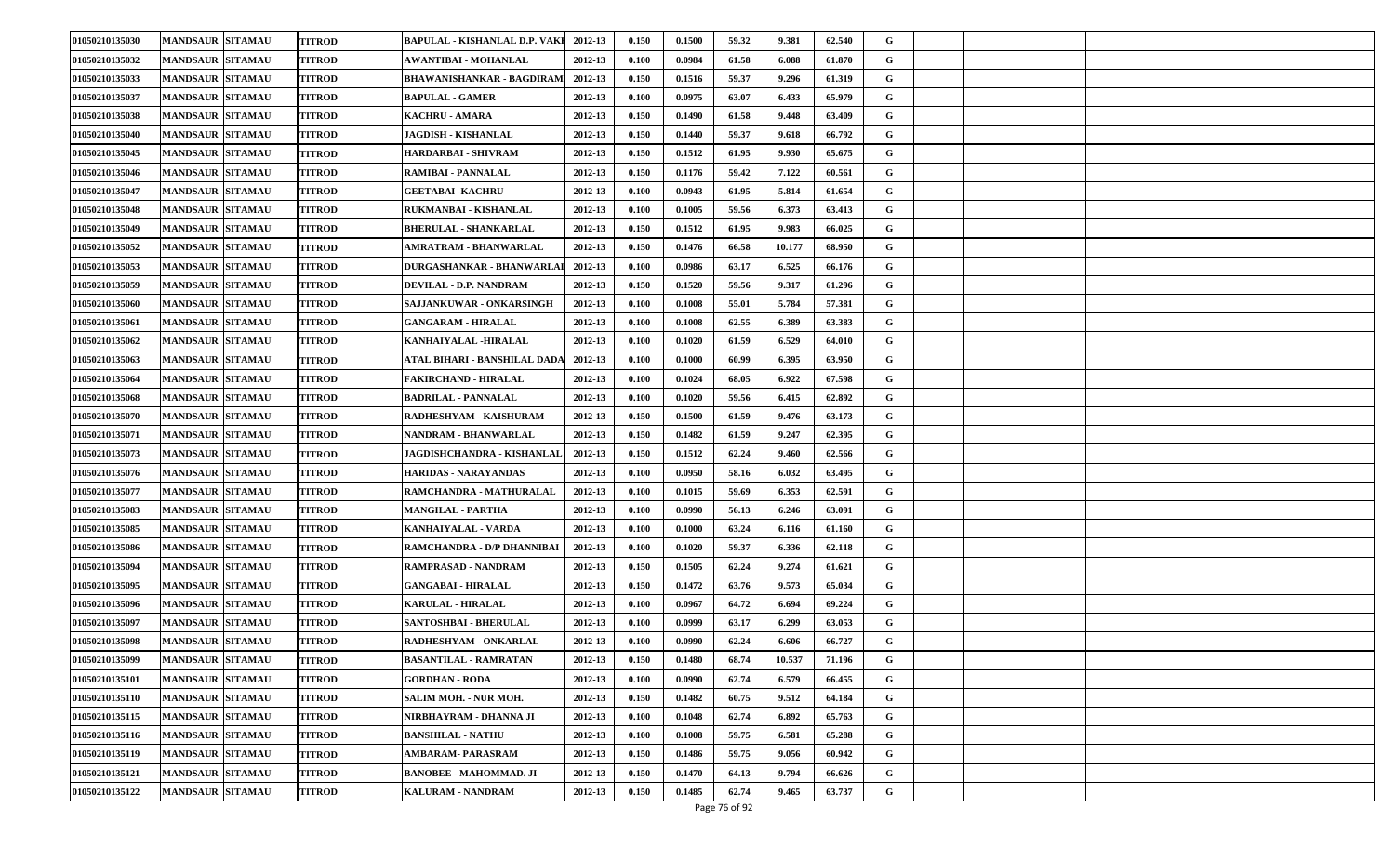| 01050210135030 | <b>MANDSAUR SITAMAU</b> | <b>TITROD</b> | <b>BAPULAL - KISHANLAL D.P. VAKI</b> | 2012-13 | 0.150 | 0.1500 | 59.32 | 9.381  | 62.540 | G |  |
|----------------|-------------------------|---------------|--------------------------------------|---------|-------|--------|-------|--------|--------|---|--|
| 01050210135032 | <b>MANDSAUR SITAMAU</b> | <b>TITROD</b> | <b>AWANTIBAI - MOHANLAL</b>          | 2012-13 | 0.100 | 0.0984 | 61.58 | 6.088  | 61.870 | G |  |
| 01050210135033 | <b>MANDSAUR SITAMAU</b> | <b>TITROD</b> | <b>BHAWANISHANKAR - BAGDIRAM</b>     | 2012-13 | 0.150 | 0.1516 | 59.37 | 9.296  | 61.319 | G |  |
| 01050210135037 | <b>MANDSAUR SITAMAU</b> | TITROD        | <b>BAPULAL - GAMER</b>               | 2012-13 | 0.100 | 0.0975 | 63.07 | 6.433  | 65.979 | G |  |
| 01050210135038 | <b>MANDSAUR SITAMAU</b> | TITROD        | <b>KACHRU - AMARA</b>                | 2012-13 | 0.150 | 0.1490 | 61.58 | 9.448  | 63.409 | G |  |
| 01050210135040 | <b>MANDSAUR SITAMAU</b> | <b>TITROD</b> | <b>JAGDISH - KISHANLAL</b>           | 2012-13 | 0.150 | 0.1440 | 59.37 | 9.618  | 66.792 | G |  |
| 01050210135045 | <b>MANDSAUR SITAMAU</b> | <b>TITROD</b> | HARDARBAI - SHIVRAM                  | 2012-13 | 0.150 | 0.1512 | 61.95 | 9.930  | 65.675 | G |  |
| 01050210135046 | <b>MANDSAUR SITAMAU</b> | TITROD        | <b>RAMIBAI - PANNALAL</b>            | 2012-13 | 0.150 | 0.1176 | 59.42 | 7.122  | 60.561 | G |  |
| 01050210135047 | <b>MANDSAUR SITAMAU</b> | <b>TITROD</b> | <b>GEETABAI - KACHRU</b>             | 2012-13 | 0.100 | 0.0943 | 61.95 | 5.814  | 61.654 | G |  |
| 01050210135048 | <b>MANDSAUR SITAMAU</b> | <b>TITROD</b> | RUKMANBAI - KISHANLAL                | 2012-13 | 0.100 | 0.1005 | 59.56 | 6.373  | 63.413 | G |  |
| 01050210135049 | <b>MANDSAUR SITAMAU</b> | <b>TITROD</b> | <b>BHERULAL - SHANKARLAL</b>         | 2012-13 | 0.150 | 0.1512 | 61.95 | 9.983  | 66.025 | G |  |
| 01050210135052 | <b>MANDSAUR SITAMAU</b> | <b>TITROD</b> | AMRATRAM - BHANWARLAL                | 2012-13 | 0.150 | 0.1476 | 66.58 | 10.177 | 68.950 | G |  |
| 01050210135053 | <b>MANDSAUR SITAMAU</b> | <b>TITROD</b> | <b>DURGASHANKAR - BHANWARLA</b>      | 2012-13 | 0.100 | 0.0986 | 63.17 | 6.525  | 66.176 | G |  |
| 01050210135059 | <b>MANDSAUR SITAMAU</b> | <b>TITROD</b> | DEVILAL - D.P. NANDRAM               | 2012-13 | 0.150 | 0.1520 | 59.56 | 9.317  | 61.296 | G |  |
| 01050210135060 | <b>MANDSAUR SITAMAU</b> | TITROD        | SAJJANKUWAR - ONKARSINGH             | 2012-13 | 0.100 | 0.1008 | 55.01 | 5.784  | 57.381 | G |  |
| 01050210135061 | <b>MANDSAUR SITAMAU</b> | TITROD        | <b>GANGARAM - HIRALAL</b>            | 2012-13 | 0.100 | 0.1008 | 62.55 | 6.389  | 63.383 | G |  |
| 01050210135062 | <b>MANDSAUR SITAMAU</b> | <b>TITROD</b> | KANHAIYALAL -HIRALAL                 | 2012-13 | 0.100 | 0.1020 | 61.59 | 6.529  | 64.010 | G |  |
| 01050210135063 | <b>MANDSAUR SITAMAU</b> | <b>TITROD</b> | ATAL BIHARI - BANSHILAL DADA         | 2012-13 | 0.100 | 0.1000 | 60.99 | 6.395  | 63.950 | G |  |
| 01050210135064 | <b>MANDSAUR SITAMAU</b> | TITROD        | <b>FAKIRCHAND - HIRALAL</b>          | 2012-13 | 0.100 | 0.1024 | 68.05 | 6.922  | 67.598 | G |  |
| 01050210135068 | <b>MANDSAUR SITAMAU</b> | <b>TITROD</b> | <b>BADRILAL - PANNALAL</b>           | 2012-13 | 0.100 | 0.1020 | 59.56 | 6.415  | 62.892 | G |  |
| 01050210135070 | <b>MANDSAUR SITAMAU</b> | <b>TITROD</b> | RADHESHYAM - KAISHURAM               | 2012-13 | 0.150 | 0.1500 | 61.59 | 9.476  | 63.173 | G |  |
| 01050210135071 | <b>MANDSAUR SITAMAU</b> | <b>TITROD</b> | NANDRAM - BHANWARLAL                 | 2012-13 | 0.150 | 0.1482 | 61.59 | 9.247  | 62.395 | G |  |
| 01050210135073 | <b>MANDSAUR SITAMAU</b> | TITROD        | <b>JAGDISHCHANDRA - KISHANLAL</b>    | 2012-13 | 0.150 | 0.1512 | 62.24 | 9.460  | 62.566 | G |  |
| 01050210135076 | <b>MANDSAUR SITAMAU</b> | <b>TITROD</b> | <b>HARIDAS - NARAYANDAS</b>          | 2012-13 | 0.100 | 0.0950 | 58.16 | 6.032  | 63.495 | G |  |
| 01050210135077 | <b>MANDSAUR SITAMAU</b> | <b>TITROD</b> | RAMCHANDRA - MATHURALAL              | 2012-13 | 0.100 | 0.1015 | 59.69 | 6.353  | 62.591 | G |  |
| 01050210135083 | <b>MANDSAUR SITAMAU</b> | <b>TITROD</b> | <b>MANGILAL - PARTHA</b>             | 2012-13 | 0.100 | 0.0990 | 56.13 | 6.246  | 63.091 | G |  |
| 01050210135085 | <b>MANDSAUR SITAMAU</b> | TITROD        | KANHAIYALAL - VARDA                  | 2012-13 | 0.100 | 0.1000 | 63.24 | 6.116  | 61.160 | G |  |
| 01050210135086 | <b>MANDSAUR SITAMAU</b> | <b>TITROD</b> | RAMCHANDRA - D/P DHANNIBAI           | 2012-13 | 0.100 | 0.1020 | 59.37 | 6.336  | 62.118 | G |  |
| 01050210135094 | <b>MANDSAUR SITAMAU</b> | <b>TITROD</b> | RAMPRASAD - NANDRAM                  | 2012-13 | 0.150 | 0.1505 | 62.24 | 9.274  | 61.621 | G |  |
| 01050210135095 | <b>MANDSAUR SITAMAU</b> | <b>TITROD</b> | <b>GANGABAI - HIRALAL</b>            | 2012-13 | 0.150 | 0.1472 | 63.76 | 9.573  | 65.034 | G |  |
| 01050210135096 | <b>MANDSAUR SITAMAU</b> | TITROD        | <b>KARULAL - HIRALAL</b>             | 2012-13 | 0.100 | 0.0967 | 64.72 | 6.694  | 69.224 | G |  |
| 01050210135097 | <b>MANDSAUR SITAMAU</b> | <b>TITROD</b> | SANTOSHBAI - BHERULAL                | 2012-13 | 0.100 | 0.0999 | 63.17 | 6.299  | 63.053 | G |  |
| 01050210135098 | MANDSAUR SITAMAU        | <b>TITROD</b> | RADHESHYAM - ONKARLAL                | 2012-13 | 0.100 | 0.0990 | 62.24 | 6.606  | 66.727 | G |  |
| 01050210135099 | <b>MANDSAUR SITAMAU</b> | <b>TITROD</b> | <b>BASANTILAL - RAMRATAN</b>         | 2012-13 | 0.150 | 0.1480 | 68.74 | 10.537 | 71.196 | G |  |
| 01050210135101 | <b>MANDSAUR SITAMAU</b> | <b>TITROD</b> | <b>GORDHAN - RODA</b>                | 2012-13 | 0.100 | 0.0990 | 62.74 | 6.579  | 66.455 | G |  |
| 01050210135110 | <b>MANDSAUR SITAMAU</b> | <b>TITROD</b> | SALIM MOH. - NUR MOH.                | 2012-13 | 0.150 | 0.1482 | 60.75 | 9.512  | 64.184 | G |  |
| 01050210135115 | <b>MANDSAUR SITAMAU</b> | <b>TITROD</b> | NIRBHAYRAM - DHANNA JI               | 2012-13 | 0.100 | 0.1048 | 62.74 | 6.892  | 65.763 | G |  |
| 01050210135116 | <b>MANDSAUR SITAMAU</b> | <b>TITROD</b> | <b>BANSHILAL - NATHU</b>             | 2012-13 | 0.100 | 0.1008 | 59.75 | 6.581  | 65.288 | G |  |
| 01050210135119 | <b>MANDSAUR SITAMAU</b> | <b>TITROD</b> | AMBARAM- PARASRAM                    | 2012-13 | 0.150 | 0.1486 | 59.75 | 9.056  | 60.942 | G |  |
| 01050210135121 | <b>MANDSAUR SITAMAU</b> | <b>TITROD</b> | <b>BANOBEE - MAHOMMAD. JI</b>        | 2012-13 | 0.150 | 0.1470 | 64.13 | 9.794  | 66.626 | G |  |
| 01050210135122 | <b>MANDSAUR SITAMAU</b> | <b>TITROD</b> | <b>KALURAM - NANDRAM</b>             | 2012-13 | 0.150 | 0.1485 | 62.74 | 9.465  | 63.737 | G |  |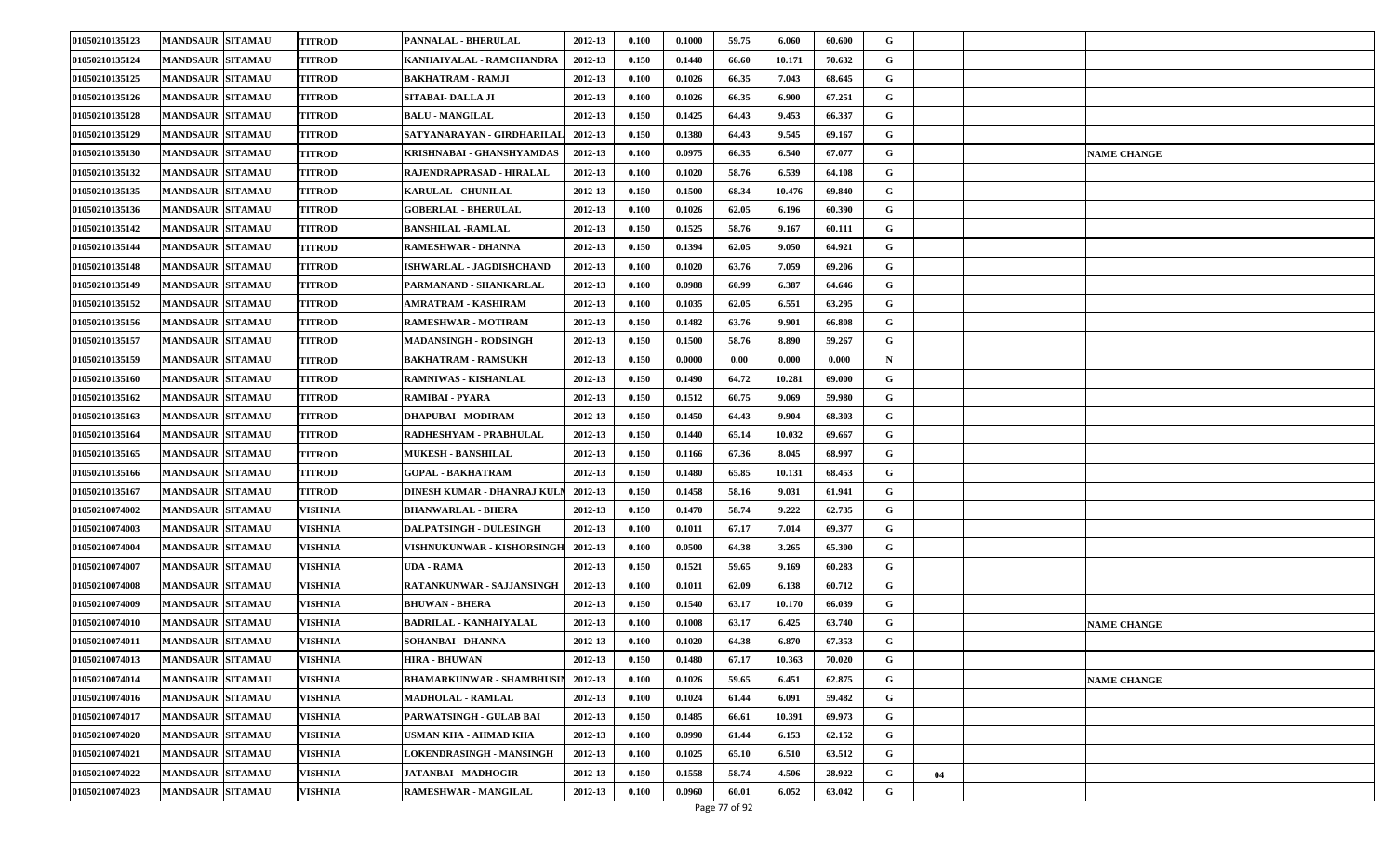| 01050210135123        | <b>MANDSAUR SITAMAU</b> | <b>TITROD</b> | PANNALAL - BHERULAL            | 2012-13 | 0.100 | 0.1000 | 59.75 | 6.060  | 60.600 | G           |    |                    |
|-----------------------|-------------------------|---------------|--------------------------------|---------|-------|--------|-------|--------|--------|-------------|----|--------------------|
| 01050210135124        | <b>MANDSAUR SITAMAU</b> | <b>TITROD</b> | KANHAIYALAL - RAMCHANDRA       | 2012-13 | 0.150 | 0.1440 | 66.60 | 10.171 | 70.632 | G           |    |                    |
| 01050210135125        | <b>MANDSAUR SITAMAU</b> | <b>TITROD</b> | <b>BAKHATRAM - RAMJI</b>       | 2012-13 | 0.100 | 0.1026 | 66.35 | 7.043  | 68.645 | G           |    |                    |
| 01050210135126        | <b>MANDSAUR SITAMAU</b> | TITROD        | SITABAI- DALLA JI              | 2012-13 | 0.100 | 0.1026 | 66.35 | 6.900  | 67.251 | G           |    |                    |
| 01050210135128        | <b>MANDSAUR SITAMAU</b> | TITROD        | <b>BALU - MANGILAL</b>         | 2012-13 | 0.150 | 0.1425 | 64.43 | 9.453  | 66.337 | G           |    |                    |
| 01050210135129        | <b>MANDSAUR SITAMAU</b> | TITROD        | SATYANARAYAN - GIRDHARILAL     | 2012-13 | 0.150 | 0.1380 | 64.43 | 9.545  | 69.167 | G           |    |                    |
| 01050210135130        | <b>MANDSAUR SITAMAU</b> | <b>TITROD</b> | KRISHNABAI - GHANSHYAMDAS      | 2012-13 | 0.100 | 0.0975 | 66.35 | 6.540  | 67.077 | G           |    | <b>NAME CHANGE</b> |
| 01050210135132        | <b>MANDSAUR SITAMAU</b> | TITROD        | RAJENDRAPRASAD - HIRALAL       | 2012-13 | 0.100 | 0.1020 | 58.76 | 6.539  | 64.108 | G           |    |                    |
| 01050210135135        | <b>MANDSAUR SITAMAU</b> | TITROD        | <b>KARULAL - CHUNILAL</b>      | 2012-13 | 0.150 | 0.1500 | 68.34 | 10.476 | 69.840 | G           |    |                    |
| 01050210135136        | <b>MANDSAUR SITAMAU</b> | <b>TITROD</b> | <b>GOBERLAL - BHERULAL</b>     | 2012-13 | 0.100 | 0.1026 | 62.05 | 6.196  | 60.390 | G           |    |                    |
| 01050210135142        | <b>MANDSAUR SITAMAU</b> | TITROD        | <b>BANSHILAL -RAMLAL</b>       | 2012-13 | 0.150 | 0.1525 | 58.76 | 9.167  | 60.111 | G           |    |                    |
| 01050210135144        | <b>MANDSAUR SITAMAU</b> | TITROD        | RAMESHWAR - DHANNA             | 2012-13 | 0.150 | 0.1394 | 62.05 | 9.050  | 64.921 | G           |    |                    |
| 01050210135148        | <b>MANDSAUR SITAMAU</b> | TITROD        | ISHWARLAL - JAGDISHCHAND       | 2012-13 | 0.100 | 0.1020 | 63.76 | 7.059  | 69.206 | G           |    |                    |
| 01050210135149        | <b>MANDSAUR SITAMAU</b> | TITROD        | PARMANAND - SHANKARLAL         | 2012-13 | 0.100 | 0.0988 | 60.99 | 6.387  | 64.646 | G           |    |                    |
| 01050210135152        | <b>MANDSAUR SITAMAU</b> | TITROD        | AMRATRAM - KASHIRAM            | 2012-13 | 0.100 | 0.1035 | 62.05 | 6.551  | 63.295 | G           |    |                    |
| 01050210135156        | <b>MANDSAUR SITAMAU</b> | TITROD        | RAMESHWAR - MOTIRAM            | 2012-13 | 0.150 | 0.1482 | 63.76 | 9.901  | 66.808 | G           |    |                    |
| 01050210135157        | <b>MANDSAUR SITAMAU</b> | TITROD        | <b>MADANSINGH - RODSINGH</b>   | 2012-13 | 0.150 | 0.1500 | 58.76 | 8.890  | 59.267 | G           |    |                    |
| 01050210135159        | <b>MANDSAUR SITAMAU</b> | <b>TITROD</b> | <b>BAKHATRAM - RAMSUKH</b>     | 2012-13 | 0.150 | 0.0000 | 0.00  | 0.000  | 0.000  | $\mathbf N$ |    |                    |
| 01050210135160        | <b>MANDSAUR SITAMAU</b> | TITROD        | RAMNIWAS - KISHANLAL           | 2012-13 | 0.150 | 0.1490 | 64.72 | 10.281 | 69.000 | G           |    |                    |
| 01050210135162        | <b>MANDSAUR SITAMAU</b> | TITROD        | RAMIBAI - PYARA                | 2012-13 | 0.150 | 0.1512 | 60.75 | 9.069  | 59.980 | G           |    |                    |
| 01050210135163        | <b>MANDSAUR SITAMAU</b> | TITROD        | DHAPUBAI - MODIRAM             | 2012-13 | 0.150 | 0.1450 | 64.43 | 9.904  | 68.303 | G           |    |                    |
| 01050210135164        | <b>MANDSAUR SITAMAU</b> | <b>TITROD</b> | RADHESHYAM - PRABHULAL         | 2012-13 | 0.150 | 0.1440 | 65.14 | 10.032 | 69.667 | G           |    |                    |
| 01050210135165        | <b>MANDSAUR SITAMAU</b> | TITROD        | <b>MUKESH - BANSHILAL</b>      | 2012-13 | 0.150 | 0.1166 | 67.36 | 8.045  | 68.997 | G           |    |                    |
| 01050210135166        | <b>MANDSAUR SITAMAU</b> | TITROD        | <b>GOPAL - BAKHATRAM</b>       | 2012-13 | 0.150 | 0.1480 | 65.85 | 10.131 | 68.453 | G           |    |                    |
| 01050210135167        | <b>MANDSAUR SITAMAU</b> | <b>TITROD</b> | DINESH KUMAR - DHANRAJ KUL     | 2012-13 | 0.150 | 0.1458 | 58.16 | 9.031  | 61.941 | G           |    |                    |
| 01050210074002        | <b>MANDSAUR SITAMAU</b> | VISHNIA       | <b>BHANWARLAL - BHERA</b>      | 2012-13 | 0.150 | 0.1470 | 58.74 | 9.222  | 62.735 | G           |    |                    |
| <b>01050210074003</b> | <b>MANDSAUR SITAMAU</b> | VISHNIA       | <b>DALPATSINGH - DULESINGH</b> | 2012-13 | 0.100 | 0.1011 | 67.17 | 7.014  | 69.377 | G           |    |                    |
| <b>01050210074004</b> | <b>MANDSAUR SITAMAU</b> | VISHNIA       | VISHNUKUNWAR - KISHORSINGH     | 2012-13 | 0.100 | 0.0500 | 64.38 | 3.265  | 65.300 | G           |    |                    |
| 01050210074007        | <b>MANDSAUR SITAMAU</b> | VISHNIA       | UDA - RAMA                     | 2012-13 | 0.150 | 0.1521 | 59.65 | 9.169  | 60.283 | G           |    |                    |
| 01050210074008        | <b>MANDSAUR SITAMAU</b> | VISHNIA       | RATANKUNWAR - SAJJANSINGH      | 2012-13 | 0.100 | 0.1011 | 62.09 | 6.138  | 60.712 | G           |    |                    |
| 01050210074009        | <b>MANDSAUR SITAMAU</b> | VISHNIA       | BHUWAN - BHERA                 | 2012-13 | 0.150 | 0.1540 | 63.17 | 10.170 | 66.039 | G           |    |                    |
| 01050210074010        | <b>MANDSAUR SITAMAU</b> | VISHNIA       | <b>BADRILAL - KANHAIYALAL</b>  | 2012-13 | 0.100 | 0.1008 | 63.17 | 6.425  | 63.740 | G           |    | <b>NAME CHANGE</b> |
| 01050210074011        | <b>MANDSAUR SITAMAU</b> | VISHNIA       | SOHANBAI - DHANNA              | 2012-13 | 0.100 | 0.1020 | 64.38 | 6.870  | 67.353 | G           |    |                    |
| 01050210074013        | <b>MANDSAUR SITAMAU</b> | VISHNIA       | <b>HIRA - BHUWAN</b>           | 2012-13 | 0.150 | 0.1480 | 67.17 | 10.363 | 70.020 | G           |    |                    |
| 01050210074014        | <b>MANDSAUR SITAMAU</b> | VISHNIA       | BHAMARKUNWAR - SHAMBHUSIN      | 2012-13 | 0.100 | 0.1026 | 59.65 | 6.451  | 62.875 | G           |    | <b>NAME CHANGE</b> |
| 01050210074016        | <b>MANDSAUR SITAMAU</b> | VISHNIA       | <b>MADHOLAL - RAMLAL</b>       | 2012-13 | 0.100 | 0.1024 | 61.44 | 6.091  | 59.482 | $\mathbf G$ |    |                    |
| 01050210074017        | <b>MANDSAUR SITAMAU</b> | VISHNIA       | PARWATSINGH - GULAB BAI        | 2012-13 | 0.150 | 0.1485 | 66.61 | 10.391 | 69.973 | G           |    |                    |
| 01050210074020        | <b>MANDSAUR SITAMAU</b> | VISHNIA       | USMAN KHA - AHMAD KHA          | 2012-13 | 0.100 | 0.0990 | 61.44 | 6.153  | 62.152 | G           |    |                    |
| 01050210074021        | <b>MANDSAUR SITAMAU</b> | VISHNIA       | LOKENDRASINGH - MANSINGH       | 2012-13 | 0.100 | 0.1025 | 65.10 | 6.510  | 63.512 | G           |    |                    |
| 01050210074022        | <b>MANDSAUR SITAMAU</b> | VISHNIA       | JATANBAI - MADHOGIR            | 2012-13 | 0.150 | 0.1558 | 58.74 | 4.506  | 28.922 | G           | 04 |                    |
| 01050210074023        | <b>MANDSAUR SITAMAU</b> | VISHNIA       | <b>RAMESHWAR - MANGILAL</b>    | 2012-13 | 0.100 | 0.0960 | 60.01 | 6.052  | 63.042 | G           |    |                    |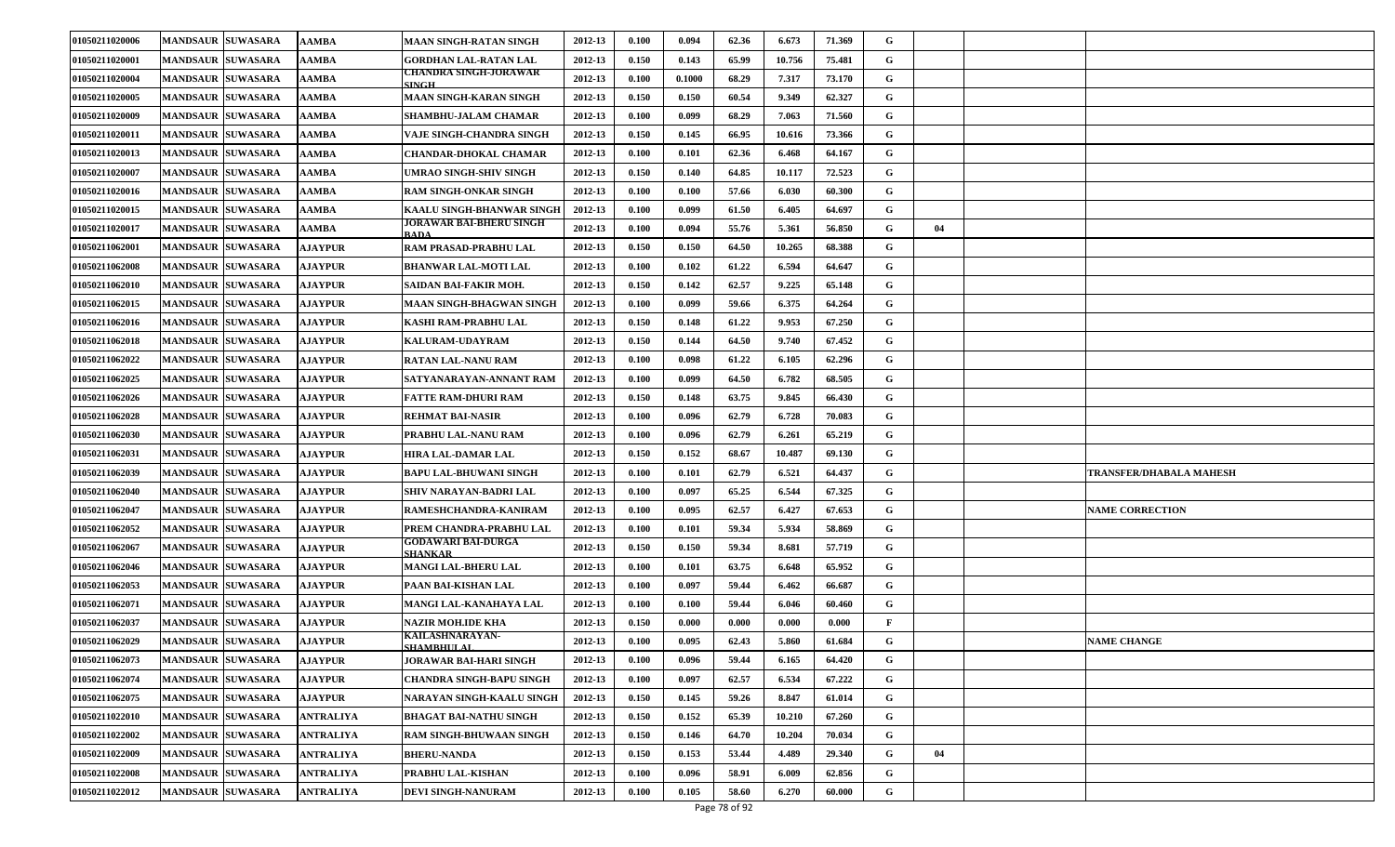| 01050211020006        | <b>MANDSAUR SUWASARA</b> | AAMBA            | <b>MAAN SINGH-RATAN SINGH</b>         | 2012-13 | 0.100 | 0.094  | 62.36 | 6.673  | 71.369 | G            |    |                         |
|-----------------------|--------------------------|------------------|---------------------------------------|---------|-------|--------|-------|--------|--------|--------------|----|-------------------------|
| 01050211020001        | <b>MANDSAUR SUWASARA</b> | AAMBA            | <b>GORDHAN LAL-RATAN LAL</b>          | 2012-13 | 0.150 | 0.143  | 65.99 | 10.756 | 75.481 | G            |    |                         |
| 01050211020004        | <b>MANDSAUR SUWASARA</b> | <b>AAMBA</b>     | CHANDRA SINGH-JORAWAR<br><b>SINGH</b> | 2012-13 | 0.100 | 0.1000 | 68.29 | 7.317  | 73.170 | G            |    |                         |
| <b>01050211020005</b> | <b>MANDSAUR SUWASARA</b> | AAMBA            | MAAN SINGH-KARAN SINGH                | 2012-13 | 0.150 | 0.150  | 60.54 | 9.349  | 62.327 | G            |    |                         |
| 01050211020009        | <b>MANDSAUR SUWASARA</b> | AAMBA            | SHAMBHU-JALAM CHAMAR                  | 2012-13 | 0.100 | 0.099  | 68.29 | 7.063  | 71.560 | G            |    |                         |
| 01050211020011        | <b>MANDSAUR SUWASARA</b> | AAMBA            | VAJE SINGH-CHANDRA SINGH              | 2012-13 | 0.150 | 0.145  | 66.95 | 10.616 | 73.366 | G            |    |                         |
| 01050211020013        | <b>MANDSAUR SUWASARA</b> | AAMBA            | CHANDAR-DHOKAL CHAMAR                 | 2012-13 | 0.100 | 0.101  | 62.36 | 6.468  | 64.167 | G            |    |                         |
| 01050211020007        | <b>MANDSAUR SUWASARA</b> | AAMBA            | UMRAO SINGH-SHIV SINGH                | 2012-13 | 0.150 | 0.140  | 64.85 | 10.117 | 72.523 | G            |    |                         |
| 01050211020016        | <b>MANDSAUR SUWASARA</b> | AAMBA            | RAM SINGH-ONKAR SINGH                 | 2012-13 | 0.100 | 0.100  | 57.66 | 6.030  | 60.300 | G            |    |                         |
| 01050211020015        | <b>MANDSAUR SUWASARA</b> | AAMBA            | KAALU SINGH-BHANWAR SINGH             | 2012-13 | 0.100 | 0.099  | 61.50 | 6.405  | 64.697 | G            |    |                         |
| 01050211020017        | <b>MANDSAUR SUWASARA</b> | AAMBA            | JORAWAR BAI-BHERU SINGH<br>RADA       | 2012-13 | 0.100 | 0.094  | 55.76 | 5.361  | 56.850 | G            | 04 |                         |
| 01050211062001        | <b>MANDSAUR SUWASARA</b> | <b>AJAYPUR</b>   | RAM PRASAD-PRABHU LAL                 | 2012-13 | 0.150 | 0.150  | 64.50 | 10.265 | 68.388 | G            |    |                         |
| 01050211062008        | <b>MANDSAUR SUWASARA</b> | <b>AJAYPUR</b>   | <b>BHANWAR LAL-MOTI LAL</b>           | 2012-13 | 0.100 | 0.102  | 61.22 | 6.594  | 64.647 | G            |    |                         |
| 01050211062010        | <b>MANDSAUR SUWASARA</b> | <b>AJAYPUR</b>   | SAIDAN BAI-FAKIR MOH.                 | 2012-13 | 0.150 | 0.142  | 62.57 | 9.225  | 65.148 | G            |    |                         |
| 01050211062015        | <b>MANDSAUR SUWASARA</b> | <b>AJAYPUR</b>   | MAAN SINGH-BHAGWAN SINGH              | 2012-13 | 0.100 | 0.099  | 59.66 | 6.375  | 64.264 | G            |    |                         |
| 01050211062016        | <b>MANDSAUR SUWASARA</b> | <b>AJAYPUR</b>   | KASHI RAM-PRABHU LAL                  | 2012-13 | 0.150 | 0.148  | 61.22 | 9.953  | 67.250 | G            |    |                         |
| 01050211062018        | <b>MANDSAUR SUWASARA</b> | <b>AJAYPUR</b>   | KALURAM-UDAYRAM                       | 2012-13 | 0.150 | 0.144  | 64.50 | 9.740  | 67.452 | G            |    |                         |
| 01050211062022        | <b>MANDSAUR SUWASARA</b> | <b>AJAYPUR</b>   | <b>RATAN LAL-NANU RAM</b>             | 2012-13 | 0.100 | 0.098  | 61.22 | 6.105  | 62.296 | G            |    |                         |
| 01050211062025        | <b>MANDSAUR SUWASARA</b> | <b>AJAYPUR</b>   | SATYANARAYAN-ANNANT RAM               | 2012-13 | 0.100 | 0.099  | 64.50 | 6.782  | 68.505 | G            |    |                         |
| 01050211062026        | <b>MANDSAUR SUWASARA</b> | <b>AJAYPUR</b>   | FATTE RAM-DHURI RAM                   | 2012-13 | 0.150 | 0.148  | 63.75 | 9.845  | 66.430 | G            |    |                         |
| 01050211062028        | <b>MANDSAUR SUWASARA</b> | <b>AJAYPUR</b>   | <b>REHMAT BAI-NASIR</b>               | 2012-13 | 0.100 | 0.096  | 62.79 | 6.728  | 70.083 | G            |    |                         |
| 01050211062030        | <b>MANDSAUR SUWASARA</b> | <b>AJAYPUR</b>   | PRABHU LAL-NANU RAM                   | 2012-13 | 0.100 | 0.096  | 62.79 | 6.261  | 65.219 | G            |    |                         |
| 01050211062031        | <b>MANDSAUR SUWASARA</b> | <b>AJAYPUR</b>   | HIRA LAL-DAMAR LAL                    | 2012-13 | 0.150 | 0.152  | 68.67 | 10.487 | 69.130 | G            |    |                         |
| 01050211062039        | <b>MANDSAUR SUWASARA</b> | <b>AJAYPUR</b>   | <b>BAPU LAL-BHUWANI SINGH</b>         | 2012-13 | 0.100 | 0.101  | 62.79 | 6.521  | 64.437 | G            |    | TRANSFER/DHABALA MAHESH |
| 01050211062040        | <b>MANDSAUR SUWASARA</b> | <b>AJAYPUR</b>   | SHIV NARAYAN-BADRI LAL                | 2012-13 | 0.100 | 0.097  | 65.25 | 6.544  | 67.325 | G            |    |                         |
| 01050211062047        | <b>MANDSAUR SUWASARA</b> | <b>AJAYPUR</b>   | RAMESHCHANDRA-KANIRAM                 | 2012-13 | 0.100 | 0.095  | 62.57 | 6.427  | 67.653 | G            |    | <b>NAME CORRECTION</b>  |
| <b>01050211062052</b> | <b>MANDSAUR SUWASARA</b> | <b>AJAYPUR</b>   | PREM CHANDRA-PRABHU LAL               | 2012-13 | 0.100 | 0.101  | 59.34 | 5.934  | 58.869 | G            |    |                         |
| 01050211062067        | <b>MANDSAUR SUWASARA</b> | <b>AJAYPUR</b>   | GODAWARI BAI-DURGA<br><b>SHANKAR</b>  | 2012-13 | 0.150 | 0.150  | 59.34 | 8.681  | 57.719 | G            |    |                         |
| 01050211062046        | <b>MANDSAUR SUWASARA</b> | <b>AJAYPUR</b>   | MANGI LAL-BHERU LAL                   | 2012-13 | 0.100 | 0.101  | 63.75 | 6.648  | 65.952 | G            |    |                         |
| 01050211062053        | <b>MANDSAUR SUWASARA</b> | <b>AJAYPUR</b>   | PAAN BAI-KISHAN LAL                   | 2012-13 | 0.100 | 0.097  | 59.44 | 6.462  | 66.687 | G            |    |                         |
| 01050211062071        | <b>MANDSAUR SUWASARA</b> | <b>AJAYPUR</b>   | MANGI LAL-KANAHAYA LAL                | 2012-13 | 0.100 | 0.100  | 59.44 | 6.046  | 60.460 | G            |    |                         |
| 01050211062037        | <b>MANDSAUR SUWASARA</b> | <b>AJAYPUR</b>   | NAZIR MOH.IDE KHA                     | 2012-13 | 0.150 | 0.000  | 0.000 | 0.000  | 0.000  | $\mathbf{F}$ |    |                         |
| 01050211062029        | MANDSAUR SUWASARA        | <b>AJAYPUR</b>   | KAILASHNARAYAN-<br>SHAMRHI II.AL.     | 2012-13 | 0.100 | 0.095  | 62.43 | 5.860  | 61.684 | G            |    | <b>NAME CHANGE</b>      |
| 01050211062073        | MANDSAUR SUWASARA        | <b>AJAYPUR</b>   | JORAWAR BAI-HARI SINGH                | 2012-13 | 0.100 | 0.096  | 59.44 | 6.165  | 64.420 | G            |    |                         |
| 01050211062074        | MANDSAUR SUWASARA        | <b>AJAYPUR</b>   | CHANDRA SINGH-BAPU SINGH              | 2012-13 | 0.100 | 0.097  | 62.57 | 6.534  | 67.222 | $\mathbf G$  |    |                         |
| 01050211062075        | <b>MANDSAUR SUWASARA</b> | <b>AJAYPUR</b>   | NARAYAN SINGH-KAALU SINGH             | 2012-13 | 0.150 | 0.145  | 59.26 | 8.847  | 61.014 | $\mathbf G$  |    |                         |
| 01050211022010        | MANDSAUR SUWASARA        | ANTRALIYA        | BHAGAT BAI-NATHU SINGH                | 2012-13 | 0.150 | 0.152  | 65.39 | 10.210 | 67.260 | $\mathbf G$  |    |                         |
| 01050211022002        | <b>MANDSAUR SUWASARA</b> | ANTRALIYA        | <b>RAM SINGH-BHUWAAN SINGH</b>        | 2012-13 | 0.150 | 0.146  | 64.70 | 10.204 | 70.034 | $\mathbf G$  |    |                         |
| 01050211022009        | <b>MANDSAUR SUWASARA</b> | ANTRALIYA        | <b>BHERU-NANDA</b>                    | 2012-13 | 0.150 | 0.153  | 53.44 | 4.489  | 29.340 | G            | 04 |                         |
| 01050211022008        | <b>MANDSAUR SUWASARA</b> | <b>ANTRALIYA</b> | PRABHU LAL-KISHAN                     | 2012-13 | 0.100 | 0.096  | 58.91 | 6.009  | 62.856 | G            |    |                         |
| 01050211022012        | <b>MANDSAUR SUWASARA</b> | ANTRALIYA        | <b>DEVI SINGH-NANURAM</b>             | 2012-13 | 0.100 | 0.105  | 58.60 | 6.270  | 60.000 | G            |    |                         |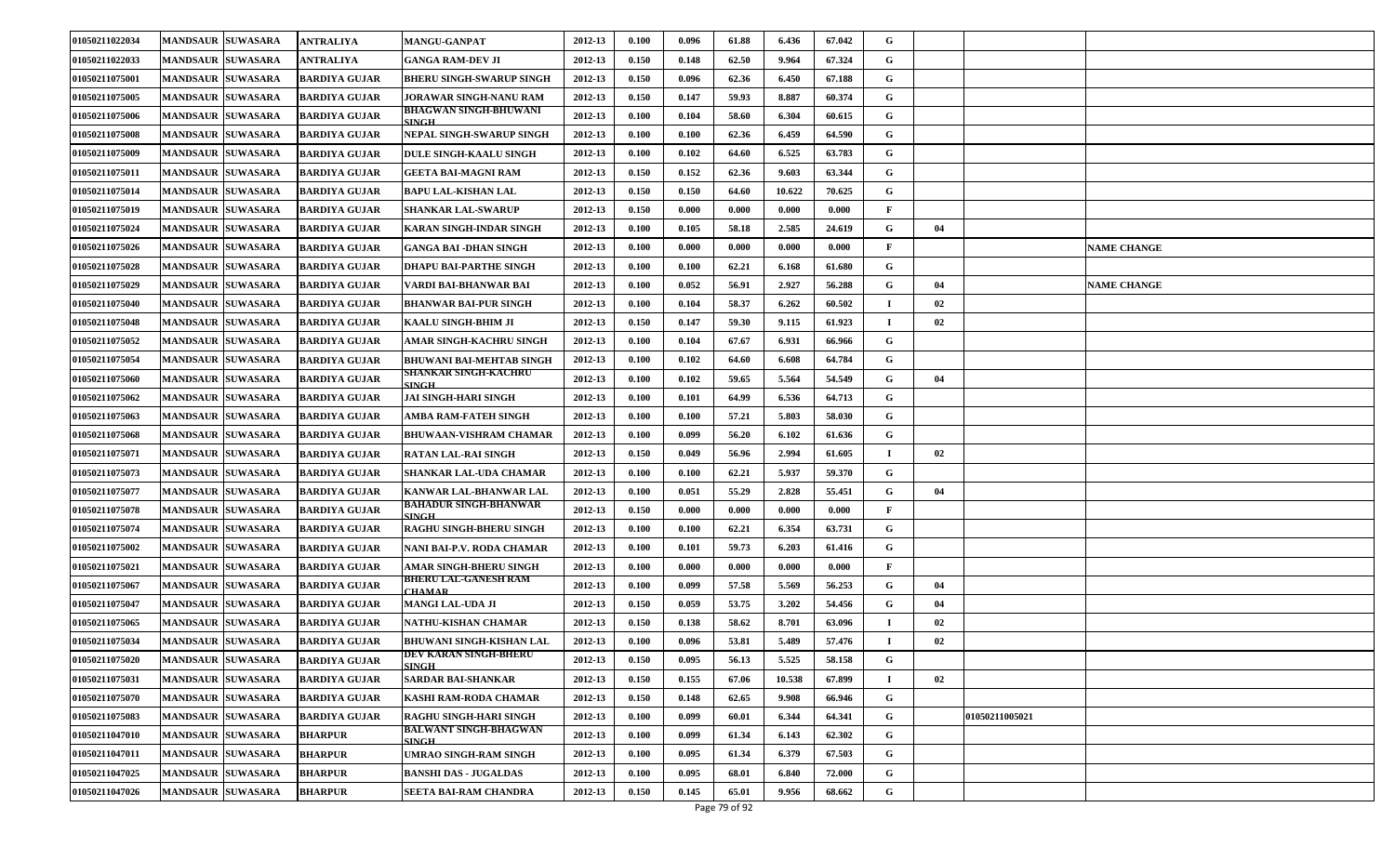| 01050211022034 | <b>MANDSAUR SUWASARA</b> | ANTRALIYA            | <b>MANGU-GANPAT</b>                   | 2012-13 | 0.100 | 0.096 | 61.88 | 6.436  | 67.042 | G            |    |                |                    |
|----------------|--------------------------|----------------------|---------------------------------------|---------|-------|-------|-------|--------|--------|--------------|----|----------------|--------------------|
| 01050211022033 | <b>MANDSAUR SUWASARA</b> | ANTRALIYA            | GANGA RAM-DEV JI                      | 2012-13 | 0.150 | 0.148 | 62.50 | 9.964  | 67.324 | G            |    |                |                    |
| 01050211075001 | <b>MANDSAUR SUWASARA</b> | <b>BARDIYA GUJAR</b> | <b>BHERU SINGH-SWARUP SINGH</b>       | 2012-13 | 0.150 | 0.096 | 62.36 | 6.450  | 67.188 | G            |    |                |                    |
| 01050211075005 | <b>MANDSAUR SUWASARA</b> | <b>BARDIYA GUJAR</b> | JORAWAR SINGH-NANU RAM                | 2012-13 | 0.150 | 0.147 | 59.93 | 8.887  | 60.374 | G            |    |                |                    |
| 01050211075006 | <b>MANDSAUR SUWASARA</b> | <b>BARDIYA GUJAR</b> | BHAGWAN SINGH-BHUWANI<br><b>INGH</b>  | 2012-13 | 0.100 | 0.104 | 58.60 | 6.304  | 60.615 | G            |    |                |                    |
| 01050211075008 | <b>MANDSAUR SUWASARA</b> | <b>BARDIYA GUJAR</b> | NEPAL SINGH-SWARUP SINGH              | 2012-13 | 0.100 | 0.100 | 62.36 | 6.459  | 64.590 | G            |    |                |                    |
| 01050211075009 | <b>MANDSAUR SUWASARA</b> | <b>BARDIYA GUJAR</b> | <b>DULE SINGH-KAALU SINGH</b>         | 2012-13 | 0.100 | 0.102 | 64.60 | 6.525  | 63.783 | G            |    |                |                    |
| 01050211075011 | <b>MANDSAUR SUWASARA</b> | <b>BARDIYA GUJAR</b> | GEETA BAI-MAGNI RAM                   | 2012-13 | 0.150 | 0.152 | 62.36 | 9.603  | 63.344 | G            |    |                |                    |
| 01050211075014 | <b>MANDSAUR SUWASARA</b> | <b>BARDIYA GUJAR</b> | BAPU LAL-KISHAN LAL                   | 2012-13 | 0.150 | 0.150 | 64.60 | 10.622 | 70.625 | G            |    |                |                    |
| 01050211075019 | <b>MANDSAUR SUWASARA</b> | <b>BARDIYA GUJAR</b> | <b>SHANKAR LAL-SWARUP</b>             | 2012-13 | 0.150 | 0.000 | 0.000 | 0.000  | 0.000  | $\mathbf{F}$ |    |                |                    |
| 01050211075024 | <b>MANDSAUR SUWASARA</b> | <b>BARDIYA GUJAR</b> | <b>KARAN SINGH-INDAR SINGH</b>        | 2012-13 | 0.100 | 0.105 | 58.18 | 2.585  | 24.619 | G            | 04 |                |                    |
| 01050211075026 | <b>MANDSAUR SUWASARA</b> | <b>BARDIYA GUJAR</b> | GANGA BAI -DHAN SINGH                 | 2012-13 | 0.100 | 0.000 | 0.000 | 0.000  | 0.000  | F            |    |                | <b>NAME CHANGE</b> |
| 01050211075028 | <b>MANDSAUR SUWASARA</b> | <b>BARDIYA GUJAR</b> | DHAPU BAI-PARTHE SINGH                | 2012-13 | 0.100 | 0.100 | 62.21 | 6.168  | 61.680 | G            |    |                |                    |
| 01050211075029 | <b>MANDSAUR SUWASARA</b> | <b>BARDIYA GUJAR</b> | VARDI BAI-BHANWAR BAI                 | 2012-13 | 0.100 | 0.052 | 56.91 | 2.927  | 56.288 | G            | 04 |                | <b>NAME CHANGE</b> |
| 01050211075040 | <b>MANDSAUR SUWASARA</b> | <b>BARDIYA GUJAR</b> | BHANWAR BAI-PUR SINGH                 | 2012-13 | 0.100 | 0.104 | 58.37 | 6.262  | 60.502 |              | 02 |                |                    |
| 01050211075048 | <b>MANDSAUR SUWASARA</b> | <b>BARDIYA GUJAR</b> | KAALU SINGH-BHIM JI                   | 2012-13 | 0.150 | 0.147 | 59.30 | 9.115  | 61.923 |              | 02 |                |                    |
| 01050211075052 | <b>MANDSAUR SUWASARA</b> | <b>BARDIYA GUJAR</b> | AMAR SINGH-KACHRU SINGH               | 2012-13 | 0.100 | 0.104 | 67.67 | 6.931  | 66.966 | G            |    |                |                    |
| 01050211075054 | <b>MANDSAUR SUWASARA</b> | <b>BARDIYA GUJAR</b> | BHUWANI BAI-MEHTAB SINGH              | 2012-13 | 0.100 | 0.102 | 64.60 | 6.608  | 64.784 | G            |    |                |                    |
| 01050211075060 | <b>MANDSAUR SUWASARA</b> | <b>BARDIYA GUJAR</b> | SHANKAR SINGH-KACHRU<br><b>SINGH</b>  | 2012-13 | 0.100 | 0.102 | 59.65 | 5.564  | 54.549 | G            | 04 |                |                    |
| 01050211075062 | <b>MANDSAUR SUWASARA</b> | <b>BARDIYA GUJAR</b> | JAI SINGH-HARI SINGH                  | 2012-13 | 0.100 | 0.101 | 64.99 | 6.536  | 64.713 | G            |    |                |                    |
| 01050211075063 | <b>MANDSAUR SUWASARA</b> | <b>BARDIYA GUJAR</b> | AMBA RAM-FATEH SINGH                  | 2012-13 | 0.100 | 0.100 | 57.21 | 5.803  | 58.030 | G            |    |                |                    |
| 01050211075068 | <b>MANDSAUR SUWASARA</b> | <b>BARDIYA GUJAR</b> | <b>BHUWAAN-VISHRAM CHAMAR</b>         | 2012-13 | 0.100 | 0.099 | 56.20 | 6.102  | 61.636 | G            |    |                |                    |
| 01050211075071 | <b>MANDSAUR SUWASARA</b> | <b>BARDIYA GUJAR</b> | <b>RATAN LAL-RAI SINGH</b>            | 2012-13 | 0.150 | 0.049 | 56.96 | 2.994  | 61.605 |              | 02 |                |                    |
| 01050211075073 | <b>MANDSAUR SUWASARA</b> | <b>BARDIYA GUJAR</b> | SHANKAR LAL-UDA CHAMAR                | 2012-13 | 0.100 | 0.100 | 62.21 | 5.937  | 59.370 | G            |    |                |                    |
| 01050211075077 | <b>MANDSAUR SUWASARA</b> | <b>BARDIYA GUJAR</b> | KANWAR LAL-BHANWAR LAL                | 2012-13 | 0.100 | 0.051 | 55.29 | 2.828  | 55.451 | G            | 04 |                |                    |
| 01050211075078 | <b>MANDSAUR SUWASARA</b> | <b>BARDIYA GUJAR</b> | BAHADUR SINGH-BHANWAR<br><b>SINGH</b> | 2012-13 | 0.150 | 0.000 | 0.000 | 0.000  | 0.000  | $\mathbf{F}$ |    |                |                    |
| 01050211075074 | <b>MANDSAUR SUWASARA</b> | <b>BARDIYA GUJAR</b> | RAGHU SINGH-BHERU SINGH               | 2012-13 | 0.100 | 0.100 | 62.21 | 6.354  | 63.731 | G            |    |                |                    |
| 01050211075002 | <b>MANDSAUR SUWASARA</b> | <b>BARDIYA GUJAR</b> | NANI BAI-P.V. RODA CHAMAR             | 2012-13 | 0.100 | 0.101 | 59.73 | 6.203  | 61.416 | G            |    |                |                    |
| 01050211075021 | <b>MANDSAUR SUWASARA</b> | <b>BARDIYA GUJAR</b> | AMAR SINGH-BHERU SINGH                | 2012-13 | 0.100 | 0.000 | 0.000 | 0.000  | 0.000  | $\mathbf{F}$ |    |                |                    |
| 01050211075067 | <b>MANDSAUR SUWASARA</b> | <b>BARDIYA GUJAR</b> | BHERU LAL-GANESH RAM<br><b>HAMAR</b>  | 2012-13 | 0.100 | 0.099 | 57.58 | 5.569  | 56.253 | G            | 04 |                |                    |
| 01050211075047 | <b>MANDSAUR SUWASARA</b> | <b>BARDIYA GUJAR</b> | MANGI LAL-UDA JI                      | 2012-13 | 0.150 | 0.059 | 53.75 | 3.202  | 54.456 | G            | 04 |                |                    |
| 01050211075065 | <b>MANDSAUR SUWASARA</b> | <b>BARDIYA GUJAR</b> | NATHU-KISHAN CHAMAR                   | 2012-13 | 0.150 | 0.138 | 58.62 | 8.701  | 63.096 |              | 02 |                |                    |
| 01050211075034 | <b>MANDSAUR SUWASARA</b> | <b>BARDIYA GUJAR</b> | BHUWANI SINGH-KISHAN LAL              | 2012-13 | 0.100 | 0.096 | 53.81 | 5.489  | 57.476 |              | 02 |                |                    |
| 01050211075020 | MANDSAUR SUWASARA        | <b>BARDIYA GUJAR</b> | DEV KARAN SINGH-BHERU<br><b>SINGH</b> | 2012-13 | 0.150 | 0.095 | 56.13 | 5.525  | 58.158 | G            |    |                |                    |
| 01050211075031 | <b>MANDSAUR SUWASARA</b> | <b>BARDIYA GUJAR</b> | SARDAR BAI-SHANKAR                    | 2012-13 | 0.150 | 0.155 | 67.06 | 10.538 | 67.899 |              | 02 |                |                    |
| 01050211075070 | <b>MANDSAUR SUWASARA</b> | <b>BARDIYA GUJAR</b> | KASHI RAM-RODA CHAMAR                 | 2012-13 | 0.150 | 0.148 | 62.65 | 9.908  | 66.946 | G            |    |                |                    |
| 01050211075083 | <b>MANDSAUR SUWASARA</b> | <b>BARDIYA GUJAR</b> | <b>RAGHU SINGH-HARI SINGH</b>         | 2012-13 | 0.100 | 0.099 | 60.01 | 6.344  | 64.341 | G            |    | 01050211005021 |                    |
| 01050211047010 | <b>MANDSAUR SUWASARA</b> | <b>BHARPUR</b>       | BALWANT SINGH-BHAGWAN<br><b>SINGH</b> | 2012-13 | 0.100 | 0.099 | 61.34 | 6.143  | 62.302 | G            |    |                |                    |
| 01050211047011 | <b>MANDSAUR SUWASARA</b> | BHARPUR              | UMRAO SINGH-RAM SINGH                 | 2012-13 | 0.100 | 0.095 | 61.34 | 6.379  | 67.503 | G            |    |                |                    |
| 01050211047025 | <b>MANDSAUR SUWASARA</b> | BHARPUR              | <b>BANSHI DAS - JUGALDAS</b>          | 2012-13 | 0.100 | 0.095 | 68.01 | 6.840  | 72.000 | G            |    |                |                    |
| 01050211047026 | <b>MANDSAUR SUWASARA</b> | BHARPUR              | SEETA BAI-RAM CHANDRA                 | 2012-13 | 0.150 | 0.145 | 65.01 | 9.956  | 68.662 | G            |    |                |                    |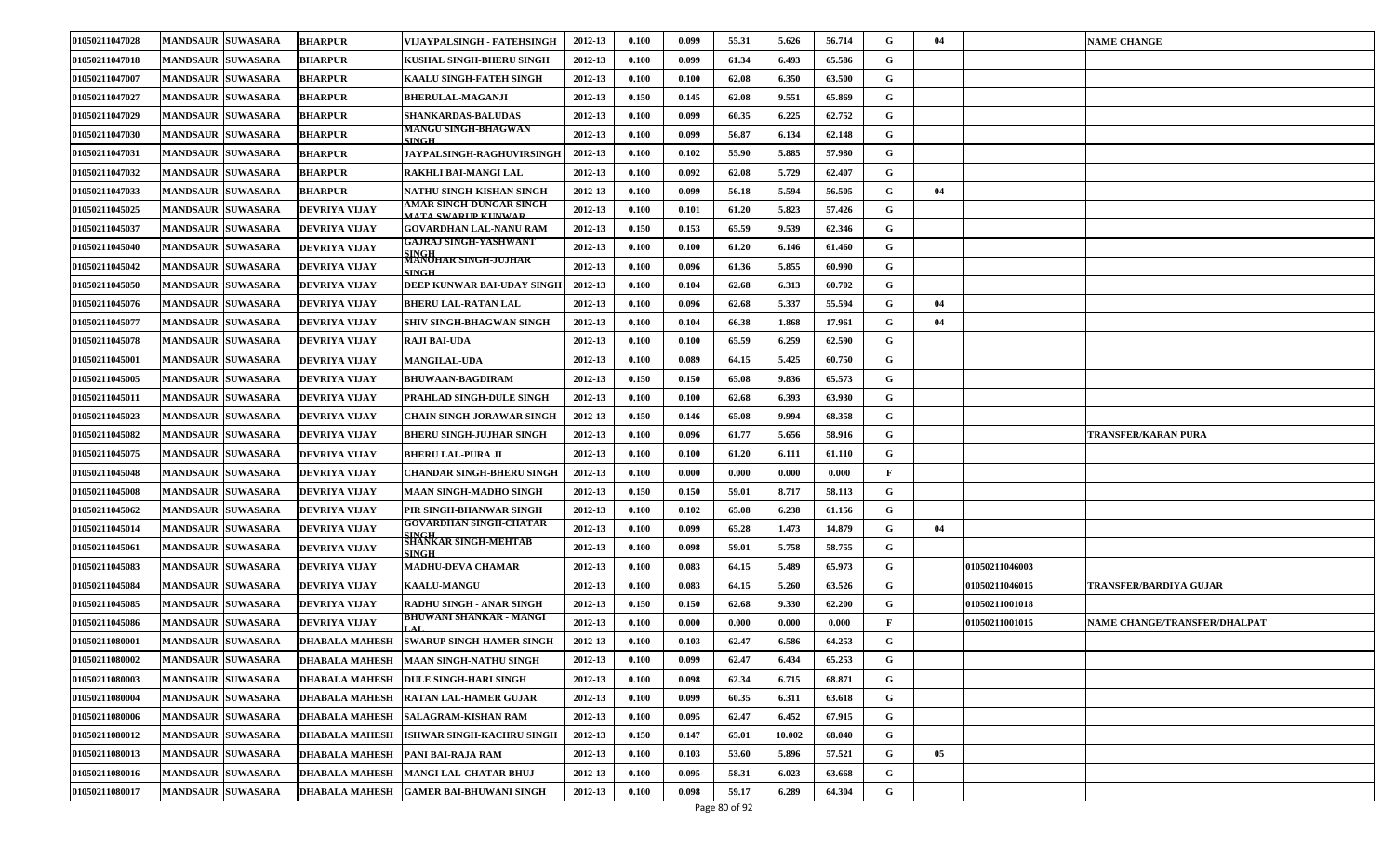| 01050211047028        | <b>MANDSAUR SUWASARA</b> | <b>BHARPUR</b>        | VIJAYPALSINGH - FATEHSINGH                      | 2012-13 | 0.100 | 0.099 | 55.31 | 5.626  | 56.714 | G            | 04 |                       | <b>NAME CHANGE</b>           |
|-----------------------|--------------------------|-----------------------|-------------------------------------------------|---------|-------|-------|-------|--------|--------|--------------|----|-----------------------|------------------------------|
| 01050211047018        | <b>MANDSAUR SUWASARA</b> | <b>BHARPUR</b>        | KUSHAL SINGH-BHERU SINGH                        | 2012-13 | 0.100 | 0.099 | 61.34 | 6.493  | 65.586 | G            |    |                       |                              |
| 01050211047007        | <b>MANDSAUR SUWASARA</b> | <b>BHARPUR</b>        | KAALU SINGH-FATEH SINGH                         | 2012-13 | 0.100 | 0.100 | 62.08 | 6.350  | 63.500 | G            |    |                       |                              |
| 01050211047027        | <b>MANDSAUR SUWASARA</b> | <b>BHARPUR</b>        | <b>BHERULAL-MAGANJI</b>                         | 2012-13 | 0.150 | 0.145 | 62.08 | 9.551  | 65.869 | G            |    |                       |                              |
| <b>01050211047029</b> | <b>MANDSAUR SUWASARA</b> | <b>BHARPUR</b>        | <b>SHANKARDAS-BALUDAS</b>                       | 2012-13 | 0.100 | 0.099 | 60.35 | 6.225  | 62.752 | G            |    |                       |                              |
| 01050211047030        | <b>MANDSAUR SUWASARA</b> | <b>BHARPUR</b>        | MANGU SINGH-BHAGWAN<br><b>SINGH</b>             | 2012-13 | 0.100 | 0.099 | 56.87 | 6.134  | 62.148 | G            |    |                       |                              |
| 01050211047031        | <b>MANDSAUR SUWASARA</b> | <b>BHARPUR</b>        | <b>JAYPALSINGH-RAGHUVIRSINGH</b>                | 2012-13 | 0.100 | 0.102 | 55.90 | 5.885  | 57.980 | G            |    |                       |                              |
| 01050211047032        | <b>MANDSAUR SUWASARA</b> | <b>BHARPUR</b>        | RAKHLI BAI-MANGI LAL                            | 2012-13 | 0.100 | 0.092 | 62.08 | 5.729  | 62.407 | G            |    |                       |                              |
| 01050211047033        | <b>MANDSAUR SUWASARA</b> | <b>BHARPUR</b>        | NATHU SINGH-KISHAN SINGH                        | 2012-13 | 0.100 | 0.099 | 56.18 | 5.594  | 56.505 | G            | 04 |                       |                              |
| 01050211045025        | <b>MANDSAUR SUWASARA</b> | DEVRIYA VIJAY         | AMAR SINGH-DUNGAR SINGH<br>MATA SWARIIP KIINWAR | 2012-13 | 0.100 | 0.101 | 61.20 | 5.823  | 57.426 | G            |    |                       |                              |
| 01050211045037        | <b>MANDSAUR SUWASARA</b> | DEVRIYA VIJAY         | GOVARDHAN LAL-NANU RAM                          | 2012-13 | 0.150 | 0.153 | 65.59 | 9.539  | 62.346 | G            |    |                       |                              |
| 01050211045040        | <b>MANDSAUR SUWASARA</b> | DEVRIYA VIJAY         | GAJRAJ SINGH-YASHWANT<br>SINGH                  | 2012-13 | 0.100 | 0.100 | 61.20 | 6.146  | 61.460 | G            |    |                       |                              |
| 01050211045042        | <b>MANDSAUR SUWASARA</b> | DEVRIYA VIJAY         | MANOHAR SINGH-JUJHAR<br><b>SINGH</b>            | 2012-13 | 0.100 | 0.096 | 61.36 | 5.855  | 60.990 | G            |    |                       |                              |
| 01050211045050        | <b>MANDSAUR SUWASARA</b> | DEVRIYA VIJAY         | DEEP KUNWAR BAI-UDAY SINGE                      | 2012-13 | 0.100 | 0.104 | 62.68 | 6.313  | 60.702 | G            |    |                       |                              |
| 01050211045076        | <b>MANDSAUR SUWASARA</b> | DEVRIYA VIJAY         | <b>BHERU LAL-RATAN LAL</b>                      | 2012-13 | 0.100 | 0.096 | 62.68 | 5.337  | 55.594 | G            | 04 |                       |                              |
| 01050211045077        | <b>MANDSAUR SUWASARA</b> | DEVRIYA VIJAY         | SHIV SINGH-BHAGWAN SINGH                        | 2012-13 | 0.100 | 0.104 | 66.38 | 1.868  | 17.961 | G            | 04 |                       |                              |
| 01050211045078        | <b>MANDSAUR SUWASARA</b> | DEVRIYA VIJAY         | <b>RAJI BAI-UDA</b>                             | 2012-13 | 0.100 | 0.100 | 65.59 | 6.259  | 62.590 | G            |    |                       |                              |
| 01050211045001        | <b>MANDSAUR SUWASARA</b> | DEVRIYA VIJAY         | <b>MANGILAL-UDA</b>                             | 2012-13 | 0.100 | 0.089 | 64.15 | 5.425  | 60.750 | G            |    |                       |                              |
| 01050211045005        | <b>MANDSAUR SUWASARA</b> | DEVRIYA VIJAY         | <b>BHUWAAN-BAGDIRAM</b>                         | 2012-13 | 0.150 | 0.150 | 65.08 | 9.836  | 65.573 | G            |    |                       |                              |
| 01050211045011        | <b>MANDSAUR SUWASARA</b> | DEVRIYA VIJAY         | PRAHLAD SINGH-DULE SINGH                        | 2012-13 | 0.100 | 0.100 | 62.68 | 6.393  | 63.930 | G            |    |                       |                              |
| 01050211045023        | <b>MANDSAUR SUWASARA</b> | DEVRIYA VIJAY         | CHAIN SINGH-JORAWAR SINGH                       | 2012-13 | 0.150 | 0.146 | 65.08 | 9.994  | 68.358 | G            |    |                       |                              |
| 01050211045082        | <b>MANDSAUR SUWASARA</b> | DEVRIYA VIJAY         | BHERU SINGH-JUJHAR SINGH                        | 2012-13 | 0.100 | 0.096 | 61.77 | 5.656  | 58.916 | G            |    |                       | TRANSFER/KARAN PURA          |
| 01050211045075        | <b>MANDSAUR SUWASARA</b> | DEVRIYA VIJAY         | BHERU LAL-PURA JI                               | 2012-13 | 0.100 | 0.100 | 61.20 | 6.111  | 61.110 | G            |    |                       |                              |
| 01050211045048        | <b>MANDSAUR SUWASARA</b> | DEVRIYA VIJAY         | <b>CHANDAR SINGH-BHERU SINGH</b>                | 2012-13 | 0.100 | 0.000 | 0.000 | 0.000  | 0.000  | $\mathbf{F}$ |    |                       |                              |
| 01050211045008        | <b>MANDSAUR SUWASARA</b> | DEVRIYA VIJAY         | MAAN SINGH-MADHO SINGH                          | 2012-13 | 0.150 | 0.150 | 59.01 | 8.717  | 58.113 | G            |    |                       |                              |
| 01050211045062        | <b>MANDSAUR SUWASARA</b> | DEVRIYA VIJAY         | PIR SINGH-BHANWAR SINGH                         | 2012-13 | 0.100 | 0.102 | 65.08 | 6.238  | 61.156 | G            |    |                       |                              |
| <b>01050211045014</b> | <b>MANDSAUR SUWASARA</b> | DEVRIYA VIJAY         | GOVARDHAN SINGH-CHATAR                          | 2012-13 | 0.100 | 0.099 | 65.28 | 1.473  | 14.879 | G            | 04 |                       |                              |
| 01050211045061        | <b>MANDSAUR SUWASARA</b> | DEVRIYA VIJAY         | SINGH<br>SHANKAR SINGH-MEHTAB<br>SINGH.         | 2012-13 | 0.100 | 0.098 | 59.01 | 5.758  | 58.755 | G            |    |                       |                              |
| 01050211045083        | <b>MANDSAUR SUWASARA</b> | DEVRIYA VIJAY         | MADHU-DEVA CHAMAR                               | 2012-13 | 0.100 | 0.083 | 64.15 | 5.489  | 65.973 | G            |    | 01050211046003        |                              |
| 01050211045084        | <b>MANDSAUR SUWASARA</b> | DEVRIYA VIJAY         | <b>KAALU-MANGU</b>                              | 2012-13 | 0.100 | 0.083 | 64.15 | 5.260  | 63.526 | G            |    | 01050211046015        | TRANSFER/BARDIYA GUJAR       |
| 01050211045085        | <b>MANDSAUR SUWASARA</b> | DEVRIYA VIJAY         | RADHU SINGH - ANAR SINGH                        | 2012-13 | 0.150 | 0.150 | 62.68 | 9.330  | 62.200 | G            |    | <b>)1050211001018</b> |                              |
| 01050211045086        | <b>MANDSAUR SUWASARA</b> | DEVRIYA VIJAY         | BHUWANI SHANKAR - MANGI                         | 2012-13 | 0.100 | 0.000 | 0.000 | 0.000  | 0.000  | $\mathbf{F}$ |    | <b>01050211001015</b> | NAME CHANGE/TRANSFER/DHALPAT |
| 01050211080001        | MANDSAUR SUWASARA        | DHABALA MAHESH        | <b>SWARUP SINGH-HAMER SINGH</b>                 | 2012-13 | 0.100 | 0.103 | 62.47 | 6.586  | 64.253 | G            |    |                       |                              |
| 01050211080002        | MANDSAUR SUWASARA        |                       | DHABALA MAHESH   MAAN SINGH-NATHU SINGH         | 2012-13 | 0.100 | 0.099 | 62.47 | 6.434  | 65.253 | G            |    |                       |                              |
| 01050211080003        | MANDSAUR SUWASARA        | DHABALA MAHESH        | <b>DULE SINGH-HARI SINGH</b>                    | 2012-13 | 0.100 | 0.098 | 62.34 | 6.715  | 68.871 | $\mathbf G$  |    |                       |                              |
| 01050211080004        | MANDSAUR SUWASARA        | DHABALA MAHESH        | <b>RATAN LAL-HAMER GUJAR</b>                    | 2012-13 | 0.100 | 0.099 | 60.35 | 6.311  | 63.618 | $\mathbf G$  |    |                       |                              |
| 01050211080006        | MANDSAUR SUWASARA        | DHABALA MAHESH        | <b>SALAGRAM-KISHAN RAM</b>                      | 2012-13 | 0.100 | 0.095 | 62.47 | 6.452  | 67.915 | G            |    |                       |                              |
| 01050211080012        | <b>MANDSAUR SUWASARA</b> | DHABALA MAHESH        | <b>ISHWAR SINGH-KACHRU SINGH</b>                | 2012-13 | 0.150 | 0.147 | 65.01 | 10.002 | 68.040 | G            |    |                       |                              |
| 01050211080013        | <b>MANDSAUR SUWASARA</b> | DHABALA MAHESH        | PANI BAI-RAJA RAM                               | 2012-13 | 0.100 | 0.103 | 53.60 | 5.896  | 57.521 | G            | 05 |                       |                              |
| 01050211080016        | <b>MANDSAUR SUWASARA</b> | <b>DHABALA MAHESH</b> | <b>MANGI LAL-CHATAR BHUJ</b>                    | 2012-13 | 0.100 | 0.095 | 58.31 | 6.023  | 63.668 | G            |    |                       |                              |
| 01050211080017        | <b>MANDSAUR SUWASARA</b> | <b>DHABALA MAHESH</b> | <b>GAMER BAI-BHUWANI SINGH</b>                  | 2012-13 | 0.100 | 0.098 | 59.17 | 6.289  | 64.304 | G            |    |                       |                              |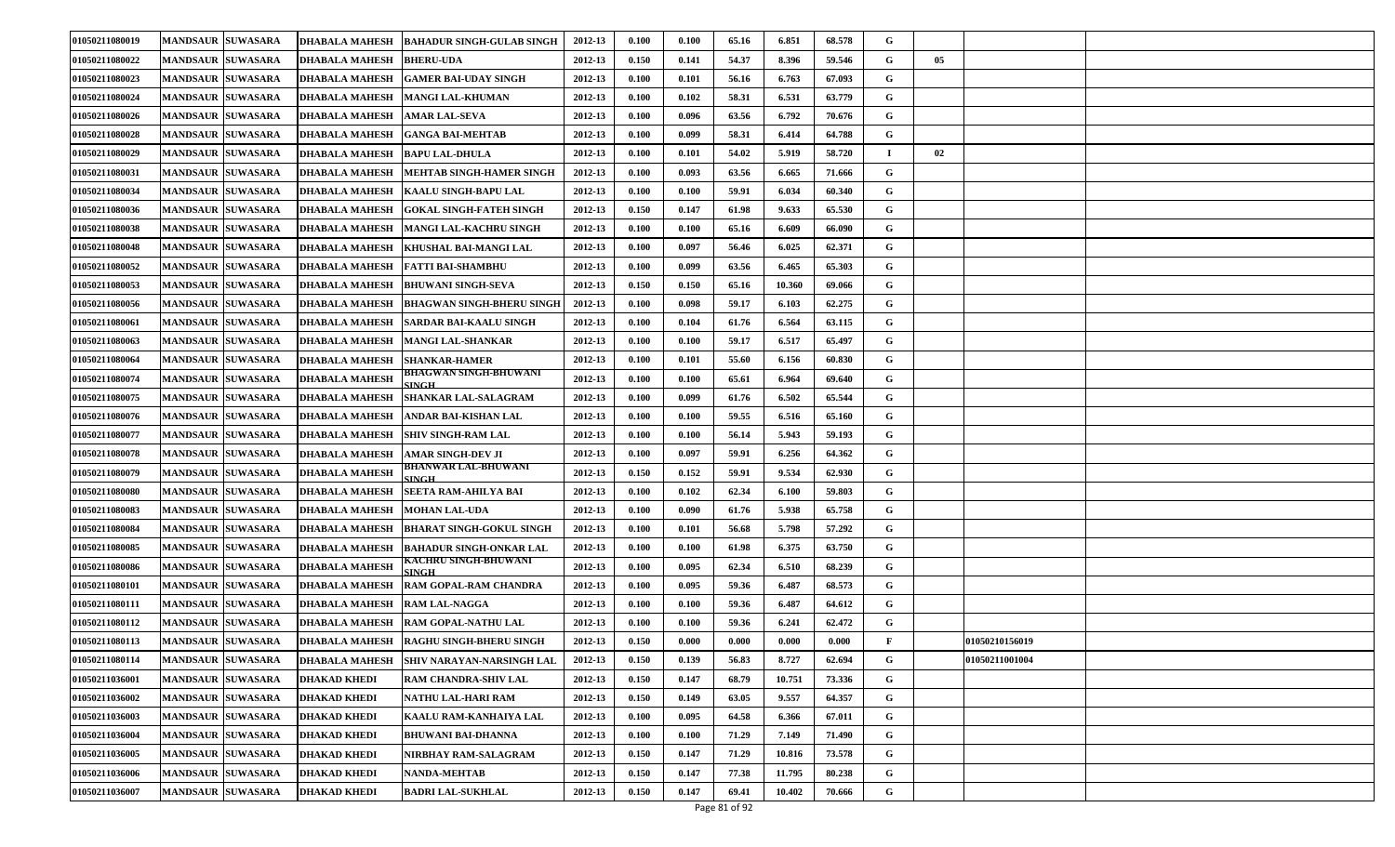| 01050211080019 | <b>MANDSAUR SUWASARA</b> | <b>DHABALA MAHESH</b> | <b>BAHADUR SINGH-GULAB SINGH</b>     | 2012-13 | 0.100                | 0.100 | 65.16 | 6.851  | 68.578 | G |                |  |
|----------------|--------------------------|-----------------------|--------------------------------------|---------|----------------------|-------|-------|--------|--------|---|----------------|--|
| 01050211080022 | <b>MANDSAUR SUWASARA</b> | <b>DHABALA MAHESH</b> | <b>BHERU-UDA</b>                     | 2012-13 | 0.150                | 0.141 | 54.37 | 8.396  | 59.546 | G | 05             |  |
| 01050211080023 | <b>MANDSAUR SUWASARA</b> | <b>DHABALA MAHESH</b> | <b>GAMER BAI-UDAY SINGH</b>          | 2012-13 | 0.100                | 0.101 | 56.16 | 6.763  | 67.093 | G |                |  |
| 01050211080024 | <b>MANDSAUR SUWASARA</b> | <b>DHABALA MAHESH</b> | <b>MANGI LAL-KHUMAN</b>              | 2012-13 | 0.100                | 0.102 | 58.31 | 6.531  | 63.779 | G |                |  |
| 01050211080026 | <b>MANDSAUR SUWASARA</b> | <b>DHABALA MAHESH</b> | <b>AMAR LAL-SEVA</b>                 | 2012-13 | 0.100                | 0.096 | 63.56 | 6.792  | 70.676 | G |                |  |
| 01050211080028 | <b>MANDSAUR SUWASARA</b> | <b>DHABALA MAHESH</b> | <b>GANGA BAI-MEHTAB</b>              | 2012-13 | 0.100                | 0.099 | 58.31 | 6.414  | 64.788 | G |                |  |
| 01050211080029 | <b>MANDSAUR SUWASARA</b> | <b>DHABALA MAHESH</b> | <b>BAPU LAL-DHULA</b>                | 2012-13 | 0.100                | 0.101 | 54.02 | 5.919  | 58.720 |   | 02             |  |
| 01050211080031 | <b>MANDSAUR SUWASARA</b> | <b>DHABALA MAHESH</b> | <b>MEHTAB SINGH-HAMER SINGH</b>      | 2012-13 | 0.100                | 0.093 | 63.56 | 6.665  | 71.666 | G |                |  |
| 01050211080034 | <b>MANDSAUR SUWASARA</b> | <b>DHABALA MAHESH</b> | <b>KAALU SINGH-BAPU LAL</b>          | 2012-13 | 0.100                | 0.100 | 59.91 | 6.034  | 60.340 | G |                |  |
| 01050211080036 | <b>MANDSAUR SUWASARA</b> | <b>DHABALA MAHESH</b> | <b>GOKAL SINGH-FATEH SINGH</b>       | 2012-13 | 0.150                | 0.147 | 61.98 | 9.633  | 65.530 | G |                |  |
| 01050211080038 | <b>MANDSAUR SUWASARA</b> | <b>DHABALA MAHESH</b> | <b>MANGI LAL-KACHRU SINGH</b>        | 2012-13 | 0.100                | 0.100 | 65.16 | 6.609  | 66.090 | G |                |  |
| 01050211080048 | <b>MANDSAUR SUWASARA</b> | <b>DHABALA MAHESH</b> | <b>KHUSHAL BAI-MANGI LAL</b>         | 2012-13 | 0.100                | 0.097 | 56.46 | 6.025  | 62.371 | G |                |  |
| 01050211080052 | <b>MANDSAUR SUWASARA</b> | <b>DHABALA MAHESH</b> | <b>FATTI BAI-SHAMBHU</b>             | 2012-13 | 0.100                | 0.099 | 63.56 | 6.465  | 65.303 | G |                |  |
| 01050211080053 | <b>MANDSAUR SUWASARA</b> | <b>DHABALA MAHESH</b> | <b>BHUWANI SINGH-SEVA</b>            | 2012-13 | 0.150                | 0.150 | 65.16 | 10.360 | 69.066 | G |                |  |
| 01050211080056 | <b>MANDSAUR SUWASARA</b> | <b>DHABALA MAHESH</b> | <b>BHAGWAN SINGH-BHERU SINGH</b>     | 2012-13 | 0.100                | 0.098 | 59.17 | 6.103  | 62.275 | G |                |  |
| 01050211080061 | <b>MANDSAUR SUWASARA</b> | <b>DHABALA MAHESH</b> | <b>SARDAR BAI-KAALU SINGH</b>        | 2012-13 | 0.100                | 0.104 | 61.76 | 6.564  | 63.115 | G |                |  |
| 01050211080063 | <b>MANDSAUR SUWASARA</b> | <b>DHABALA MAHESH</b> | <b>MANGI LAL-SHANKAR</b>             | 2012-13 | 0.100                | 0.100 | 59.17 | 6.517  | 65.497 | G |                |  |
| 01050211080064 | <b>MANDSAUR SUWASARA</b> | <b>DHABALA MAHESH</b> | <b>SHANKAR-HAMER</b>                 | 2012-13 | 0.100                | 0.101 | 55.60 | 6.156  | 60.830 | G |                |  |
| 01050211080074 | <b>MANDSAUR SUWASARA</b> | <b>DHABALA MAHESH</b> | <b>BHAGWAN SINGH-BHUWANI</b>         | 2012-13 | 0.100                | 0.100 | 65.61 | 6.964  | 69.640 | G |                |  |
| 01050211080075 | <b>MANDSAUR SUWASARA</b> | <b>DHABALA MAHESH</b> | <b>SHANKAR LAL-SALAGRAM</b>          | 2012-13 | 0.100                | 0.099 | 61.76 | 6.502  | 65.544 | G |                |  |
| 01050211080076 | <b>MANDSAUR SUWASARA</b> | <b>DHABALA MAHESH</b> | ANDAR BAI-KISHAN LAL                 | 2012-13 | 0.100                | 0.100 | 59.55 | 6.516  | 65.160 | G |                |  |
| 01050211080077 | <b>MANDSAUR SUWASARA</b> | <b>DHABALA MAHESH</b> | <b>SHIV SINGH-RAM LAL</b>            | 2012-13 | 0.100                | 0.100 | 56.14 | 5.943  | 59.193 | G |                |  |
| 01050211080078 | <b>MANDSAUR SUWASARA</b> | <b>DHABALA MAHESH</b> | <b>AMAR SINGH-DEV JI</b>             | 2012-13 | 0.100                | 0.097 | 59.91 | 6.256  | 64.362 | G |                |  |
| 01050211080079 | <b>MANDSAUR SUWASARA</b> | <b>DHABALA MAHESH</b> | BHANWAR LAL-BHUWANI<br><b>SINGH</b>  | 2012-13 | 0.150                | 0.152 | 59.91 | 9.534  | 62.930 | G |                |  |
| 01050211080080 | <b>MANDSAUR SUWASARA</b> | <b>DHABALA MAHESH</b> | <b>SEETA RAM-AHILYA BAI</b>          | 2012-13 | 0.100                | 0.102 | 62.34 | 6.100  | 59.803 | G |                |  |
| 01050211080083 | <b>MANDSAUR SUWASARA</b> | <b>DHABALA MAHESH</b> | <b>MOHAN LAL-UDA</b>                 | 2012-13 | 0.100                | 0.090 | 61.76 | 5.938  | 65.758 | G |                |  |
| 01050211080084 | <b>MANDSAUR SUWASARA</b> | <b>DHABALA MAHESH</b> | <b>BHARAT SINGH-GOKUL SINGH</b>      | 2012-13 | 0.100                | 0.101 | 56.68 | 5.798  | 57.292 | G |                |  |
| 01050211080085 | <b>MANDSAUR SUWASARA</b> | <b>DHABALA MAHESH</b> | <b>BAHADUR SINGH-ONKAR LAL</b>       | 2012-13 | 0.100                | 0.100 | 61.98 | 6.375  | 63.750 | G |                |  |
| 01050211080086 | <b>MANDSAUR SUWASARA</b> | <b>DHABALA MAHESH</b> | KACHRU SINGH-BHUWANI<br><b>SINGH</b> | 2012-13 | 0.100                | 0.095 | 62.34 | 6.510  | 68.239 | G |                |  |
| 01050211080101 | <b>MANDSAUR SUWASARA</b> | <b>DHABALA MAHESH</b> | RAM GOPAL-RAM CHANDRA                | 2012-13 | 0.100                | 0.095 | 59.36 | 6.487  | 68.573 | G |                |  |
| 01050211080111 | <b>MANDSAUR SUWASARA</b> | <b>DHABALA MAHESH</b> | <b>RAM LAL-NAGGA</b>                 | 2012-13 | $\boldsymbol{0.100}$ | 0.100 | 59.36 | 6.487  | 64.612 | G |                |  |
| 01050211080112 | <b>MANDSAUR SUWASARA</b> | <b>DHABALA MAHESH</b> | RAM GOPAL-NATHU LAL                  | 2012-13 | 0.100                | 0.100 | 59.36 | 6.241  | 62.472 | G |                |  |
| 01050211080113 | <b>MANDSAUR SUWASARA</b> | <b>DHABALA MAHESH</b> | <b>RAGHU SINGH-BHERU SINGH</b>       | 2012-13 | 0.150                | 0.000 | 0.000 | 0.000  | 0.000  | F | 01050210156019 |  |
| 01050211080114 | MANDSAUR SUWASARA        | <b>DHABALA MAHESH</b> | <b>SHIV NARAYAN-NARSINGH LAL</b>     | 2012-13 | 0.150                | 0.139 | 56.83 | 8.727  | 62.694 | G | 01050211001004 |  |
| 01050211036001 | <b>MANDSAUR SUWASARA</b> | <b>DHAKAD KHEDI</b>   | <b>RAM CHANDRA-SHIV LAL</b>          | 2012-13 | 0.150                | 0.147 | 68.79 | 10.751 | 73.336 | G |                |  |
| 01050211036002 | <b>MANDSAUR SUWASARA</b> | <b>DHAKAD KHEDI</b>   | NATHU LAL-HARI RAM                   | 2012-13 | 0.150                | 0.149 | 63.05 | 9.557  | 64.357 | G |                |  |
| 01050211036003 | <b>MANDSAUR SUWASARA</b> | <b>DHAKAD KHEDI</b>   | KAALU RAM-KANHAIYA LAL               | 2012-13 | $\boldsymbol{0.100}$ | 0.095 | 64.58 | 6.366  | 67.011 | G |                |  |
| 01050211036004 | <b>MANDSAUR SUWASARA</b> | <b>DHAKAD KHEDI</b>   | BHUWANI BAI-DHANNA                   | 2012-13 | 0.100                | 0.100 | 71.29 | 7.149  | 71.490 | G |                |  |
| 01050211036005 | <b>MANDSAUR SUWASARA</b> | <b>DHAKAD KHEDI</b>   | NIRBHAY RAM-SALAGRAM                 | 2012-13 | 0.150                | 0.147 | 71.29 | 10.816 | 73.578 | G |                |  |
| 01050211036006 | <b>MANDSAUR SUWASARA</b> | <b>DHAKAD KHEDI</b>   | <b>NANDA-MEHTAB</b>                  | 2012-13 | 0.150                | 0.147 | 77.38 | 11.795 | 80.238 | G |                |  |
| 01050211036007 | <b>MANDSAUR SUWASARA</b> | <b>DHAKAD KHEDI</b>   | <b>BADRI LAL-SUKHLAL</b>             | 2012-13 | 0.150                | 0.147 | 69.41 | 10.402 | 70.666 | G |                |  |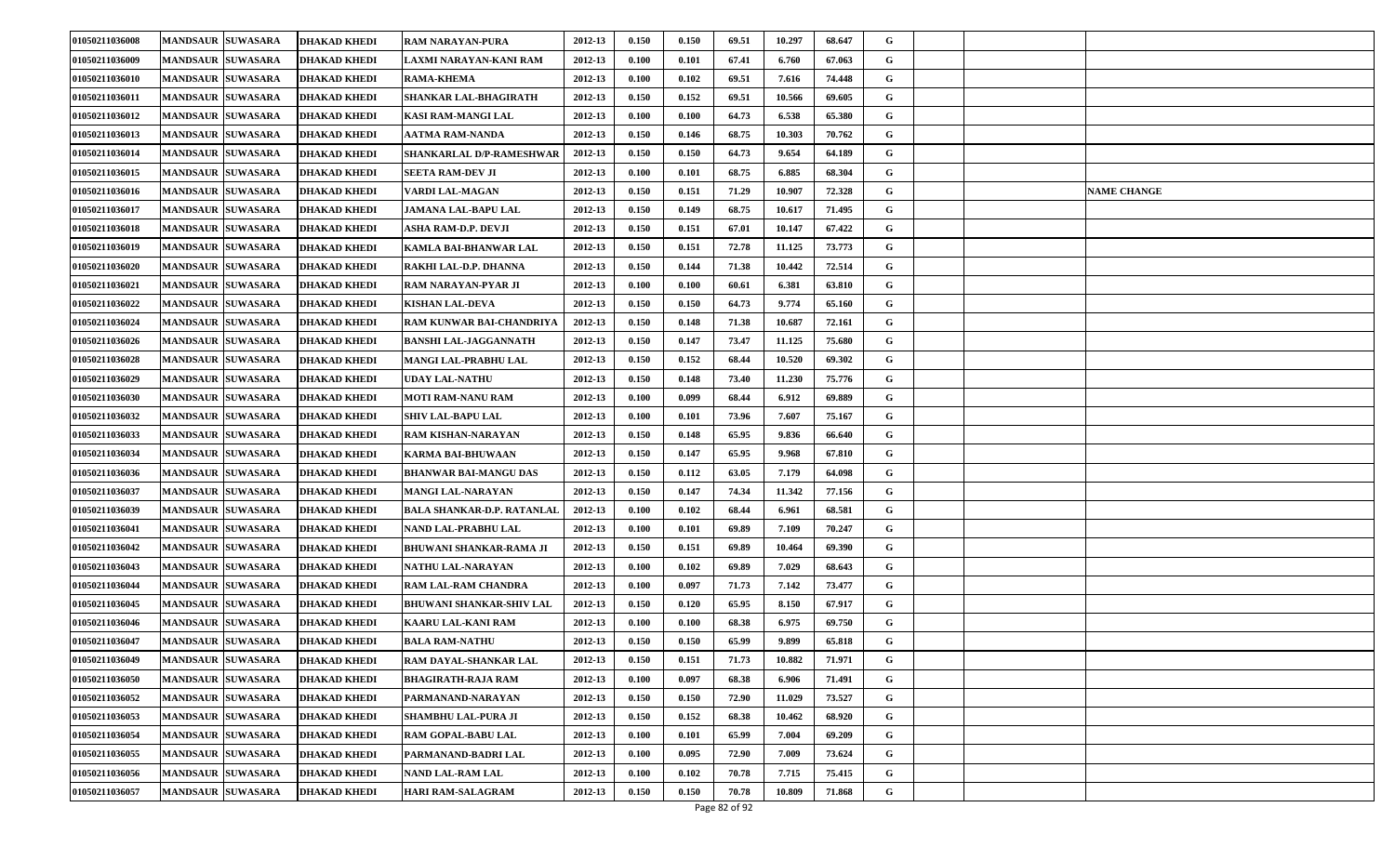| 01050211036008 | <b>MANDSAUR SUWASARA</b> | <b>DHAKAD KHEDI</b> | <b>RAM NARAYAN-PURA</b>           | 2012-13 | 0.150 | 0.150 | 69.51 | 10.297 | 68.647 | G |                    |
|----------------|--------------------------|---------------------|-----------------------------------|---------|-------|-------|-------|--------|--------|---|--------------------|
| 01050211036009 | <b>MANDSAUR SUWASARA</b> | <b>DHAKAD KHEDI</b> | LAXMI NARAYAN-KANI RAM            | 2012-13 | 0.100 | 0.101 | 67.41 | 6.760  | 67.063 | G |                    |
| 01050211036010 | <b>MANDSAUR SUWASARA</b> | <b>DHAKAD KHEDI</b> | <b>RAMA-KHEMA</b>                 | 2012-13 | 0.100 | 0.102 | 69.51 | 7.616  | 74.448 | G |                    |
| 01050211036011 | <b>MANDSAUR SUWASARA</b> | <b>DHAKAD KHEDI</b> | SHANKAR LAL-BHAGIRATH             | 2012-13 | 0.150 | 0.152 | 69.51 | 10.566 | 69.605 | G |                    |
| 01050211036012 | <b>MANDSAUR SUWASARA</b> | DHAKAD KHEDI        | KASI RAM-MANGI LAL                | 2012-13 | 0.100 | 0.100 | 64.73 | 6.538  | 65.380 | G |                    |
| 01050211036013 | <b>MANDSAUR SUWASARA</b> | <b>DHAKAD KHEDI</b> | AATMA RAM-NANDA                   | 2012-13 | 0.150 | 0.146 | 68.75 | 10.303 | 70.762 | G |                    |
| 01050211036014 | <b>MANDSAUR SUWASARA</b> | <b>DHAKAD KHEDI</b> | SHANKARLAL D/P-RAMESHWAR          | 2012-13 | 0.150 | 0.150 | 64.73 | 9.654  | 64.189 | G |                    |
| 01050211036015 | <b>MANDSAUR SUWASARA</b> | <b>DHAKAD KHEDI</b> | SEETA RAM-DEV JI                  | 2012-13 | 0.100 | 0.101 | 68.75 | 6.885  | 68.304 | G |                    |
| 01050211036016 | <b>MANDSAUR SUWASARA</b> | DHAKAD KHEDI        | VARDI LAL-MAGAN                   | 2012-13 | 0.150 | 0.151 | 71.29 | 10.907 | 72.328 | G | <b>NAME CHANGE</b> |
| 01050211036017 | <b>MANDSAUR SUWASARA</b> | <b>DHAKAD KHEDI</b> | <b>JAMANA LAL-BAPU LAL</b>        | 2012-13 | 0.150 | 0.149 | 68.75 | 10.617 | 71.495 | G |                    |
| 01050211036018 | <b>MANDSAUR SUWASARA</b> | <b>DHAKAD KHEDI</b> | ASHA RAM-D.P. DEVJI               | 2012-13 | 0.150 | 0.151 | 67.01 | 10.147 | 67.422 | G |                    |
| 01050211036019 | <b>MANDSAUR SUWASARA</b> | <b>DHAKAD KHEDI</b> | <b>KAMLA BAI-BHANWAR LAL</b>      | 2012-13 | 0.150 | 0.151 | 72.78 | 11.125 | 73.773 | G |                    |
| 01050211036020 | <b>MANDSAUR SUWASARA</b> | <b>DHAKAD KHEDI</b> | <b>RAKHI LAL-D.P. DHANNA</b>      | 2012-13 | 0.150 | 0.144 | 71.38 | 10.442 | 72.514 | G |                    |
| 01050211036021 | <b>MANDSAUR SUWASARA</b> | <b>DHAKAD KHEDI</b> | RAM NARAYAN-PYAR JI               | 2012-13 | 0.100 | 0.100 | 60.61 | 6.381  | 63.810 | G |                    |
| 01050211036022 | <b>MANDSAUR SUWASARA</b> | <b>DHAKAD KHEDI</b> | <b>KISHAN LAL-DEVA</b>            | 2012-13 | 0.150 | 0.150 | 64.73 | 9.774  | 65.160 | G |                    |
| 01050211036024 | <b>MANDSAUR SUWASARA</b> | <b>DHAKAD KHEDI</b> | RAM KUNWAR BAI-CHANDRIYA          | 2012-13 | 0.150 | 0.148 | 71.38 | 10.687 | 72.161 | G |                    |
| 01050211036026 | <b>MANDSAUR SUWASARA</b> | <b>DHAKAD KHEDI</b> | <b>BANSHI LAL-JAGGANNATH</b>      | 2012-13 | 0.150 | 0.147 | 73.47 | 11.125 | 75.680 | G |                    |
| 01050211036028 | <b>MANDSAUR SUWASARA</b> | <b>DHAKAD KHEDI</b> | <b>MANGI LAL-PRABHU LAL</b>       | 2012-13 | 0.150 | 0.152 | 68.44 | 10.520 | 69.302 | G |                    |
| 01050211036029 | <b>MANDSAUR SUWASARA</b> | <b>DHAKAD KHEDI</b> | UDAY LAL-NATHU                    | 2012-13 | 0.150 | 0.148 | 73.40 | 11.230 | 75.776 | G |                    |
| 01050211036030 | <b>MANDSAUR SUWASARA</b> | <b>DHAKAD KHEDI</b> | MOTI RAM-NANU RAM                 | 2012-13 | 0.100 | 0.099 | 68.44 | 6.912  | 69.889 | G |                    |
| 01050211036032 | <b>MANDSAUR SUWASARA</b> | <b>DHAKAD KHEDI</b> | <b>SHIV LAL-BAPU LAL</b>          | 2012-13 | 0.100 | 0.101 | 73.96 | 7.607  | 75.167 | G |                    |
| 01050211036033 | <b>MANDSAUR SUWASARA</b> | <b>DHAKAD KHEDI</b> | <b>RAM KISHAN-NARAYAN</b>         | 2012-13 | 0.150 | 0.148 | 65.95 | 9.836  | 66.640 | G |                    |
| 01050211036034 | <b>MANDSAUR SUWASARA</b> | DHAKAD KHEDI        | <b>KARMA BAI-BHUWAAN</b>          | 2012-13 | 0.150 | 0.147 | 65.95 | 9.968  | 67.810 | G |                    |
| 01050211036036 | <b>MANDSAUR SUWASARA</b> | DHAKAD KHEDI        | BHANWAR BAI-MANGU DAS             | 2012-13 | 0.150 | 0.112 | 63.05 | 7.179  | 64.098 | G |                    |
| 01050211036037 | <b>MANDSAUR SUWASARA</b> | <b>DHAKAD KHEDI</b> | MANGI LAL-NARAYAN                 | 2012-13 | 0.150 | 0.147 | 74.34 | 11.342 | 77.156 | G |                    |
| 01050211036039 | <b>MANDSAUR SUWASARA</b> | <b>DHAKAD KHEDI</b> | <b>BALA SHANKAR-D.P. RATANLAL</b> | 2012-13 | 0.100 | 0.102 | 68.44 | 6.961  | 68.581 | G |                    |
| 01050211036041 | <b>MANDSAUR SUWASARA</b> | DHAKAD KHEDI        | NAND LAL-PRABHU LAL               | 2012-13 | 0.100 | 0.101 | 69.89 | 7.109  | 70.247 | G |                    |
| 01050211036042 | <b>MANDSAUR SUWASARA</b> | <b>DHAKAD KHEDI</b> | <b>BHUWANI SHANKAR-RAMA JI</b>    | 2012-13 | 0.150 | 0.151 | 69.89 | 10.464 | 69.390 | G |                    |
| 01050211036043 | <b>MANDSAUR SUWASARA</b> | <b>DHAKAD KHEDI</b> | NATHU LAL-NARAYAN                 | 2012-13 | 0.100 | 0.102 | 69.89 | 7.029  | 68.643 | G |                    |
| 01050211036044 | <b>MANDSAUR SUWASARA</b> | <b>DHAKAD KHEDI</b> | <b>RAM LAL-RAM CHANDRA</b>        | 2012-13 | 0.100 | 0.097 | 71.73 | 7.142  | 73.477 | G |                    |
| 01050211036045 | <b>MANDSAUR SUWASARA</b> | <b>DHAKAD KHEDI</b> | BHUWANI SHANKAR-SHIV LAL          | 2012-13 | 0.150 | 0.120 | 65.95 | 8.150  | 67.917 | G |                    |
| 01050211036046 | <b>MANDSAUR SUWASARA</b> | <b>DHAKAD KHEDI</b> | <b>KAARU LAL-KANI RAM</b>         | 2012-13 | 0.100 | 0.100 | 68.38 | 6.975  | 69.750 | G |                    |
| 01050211036047 | <b>MANDSAUR SUWASARA</b> | <b>DHAKAD KHEDI</b> | <b>BALA RAM-NATHU</b>             | 2012-13 | 0.150 | 0.150 | 65.99 | 9.899  | 65.818 | G |                    |
| 01050211036049 | <b>MANDSAUR SUWASARA</b> | <b>DHAKAD KHEDI</b> | <b>RAM DAYAL-SHANKAR LAL</b>      | 2012-13 | 0.150 | 0.151 | 71.73 | 10.882 | 71.971 | G |                    |
| 01050211036050 | <b>MANDSAUR SUWASARA</b> | <b>DHAKAD KHEDI</b> | <b>BHAGIRATH-RAJA RAM</b>         | 2012-13 | 0.100 | 0.097 | 68.38 | 6.906  | 71.491 | G |                    |
| 01050211036052 | <b>MANDSAUR SUWASARA</b> | <b>DHAKAD KHEDI</b> | PARMANAND-NARAYAN                 | 2012-13 | 0.150 | 0.150 | 72.90 | 11.029 | 73.527 | G |                    |
| 01050211036053 | <b>MANDSAUR SUWASARA</b> | <b>DHAKAD KHEDI</b> | <b>SHAMBHU LAL-PURA JI</b>        | 2012-13 | 0.150 | 0.152 | 68.38 | 10.462 | 68.920 | G |                    |
| 01050211036054 | <b>MANDSAUR SUWASARA</b> | <b>DHAKAD KHEDI</b> | <b>RAM GOPAL-BABU LAL</b>         | 2012-13 | 0.100 | 0.101 | 65.99 | 7.004  | 69.209 | G |                    |
| 01050211036055 | <b>MANDSAUR SUWASARA</b> | <b>DHAKAD KHEDI</b> | PARMANAND-BADRI LAL               | 2012-13 | 0.100 | 0.095 | 72.90 | 7.009  | 73.624 | G |                    |
| 01050211036056 | <b>MANDSAUR SUWASARA</b> | <b>DHAKAD KHEDI</b> | NAND LAL-RAM LAL                  | 2012-13 | 0.100 | 0.102 | 70.78 | 7.715  | 75.415 | G |                    |
| 01050211036057 | MANDSAUR SUWASARA        | <b>DHAKAD KHEDI</b> | <b>HARI RAM-SALAGRAM</b>          | 2012-13 | 0.150 | 0.150 | 70.78 | 10.809 | 71.868 | G |                    |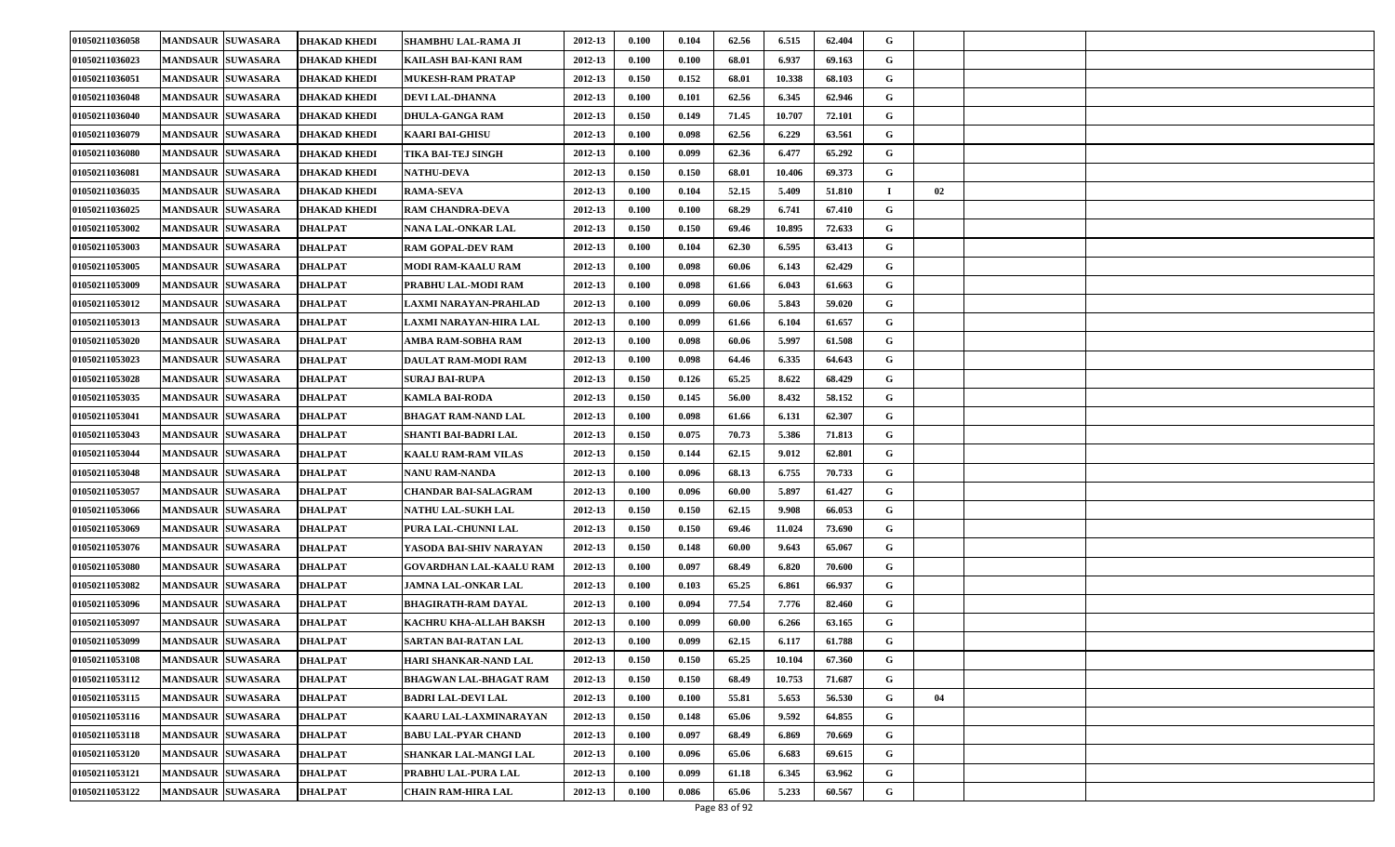| 01050211036058 | <b>MANDSAUR SUWASARA</b> | <b>DHAKAD KHEDI</b> | SHAMBHU LAL-RAMA JI           | 2012-13 | 0.100 | 0.104 | 62.56 | 6.515  | 62.404 | G           |    |  |
|----------------|--------------------------|---------------------|-------------------------------|---------|-------|-------|-------|--------|--------|-------------|----|--|
| 01050211036023 | <b>MANDSAUR SUWASARA</b> | <b>DHAKAD KHEDI</b> | KAILASH BAI-KANI RAM          | 2012-13 | 0.100 | 0.100 | 68.01 | 6.937  | 69.163 | G           |    |  |
| 01050211036051 | <b>MANDSAUR SUWASARA</b> | <b>DHAKAD KHEDI</b> | <b>MUKESH-RAM PRATAP</b>      | 2012-13 | 0.150 | 0.152 | 68.01 | 10.338 | 68.103 | G           |    |  |
| 01050211036048 | <b>MANDSAUR SUWASARA</b> | <b>DHAKAD KHEDI</b> | <b>DEVI LAL-DHANNA</b>        | 2012-13 | 0.100 | 0.101 | 62.56 | 6.345  | 62.946 | G           |    |  |
| 01050211036040 | <b>MANDSAUR SUWASARA</b> | <b>DHAKAD KHEDI</b> | <b>DHULA-GANGA RAM</b>        | 2012-13 | 0.150 | 0.149 | 71.45 | 10.707 | 72.101 | G           |    |  |
| 01050211036079 | <b>MANDSAUR SUWASARA</b> | DHAKAD KHEDI        | <b>KAARI BAI-GHISU</b>        | 2012-13 | 0.100 | 0.098 | 62.56 | 6.229  | 63.561 | G           |    |  |
| 01050211036080 | <b>MANDSAUR SUWASARA</b> | <b>DHAKAD KHEDI</b> | TIKA BAI-TEJ SINGH            | 2012-13 | 0.100 | 0.099 | 62.36 | 6.477  | 65.292 | G           |    |  |
| 01050211036081 | <b>MANDSAUR SUWASARA</b> | <b>DHAKAD KHEDI</b> | <b>NATHU-DEVA</b>             | 2012-13 | 0.150 | 0.150 | 68.01 | 10.406 | 69.373 | G           |    |  |
| 01050211036035 | <b>MANDSAUR SUWASARA</b> | <b>DHAKAD KHEDI</b> | <b>RAMA-SEVA</b>              | 2012-13 | 0.100 | 0.104 | 52.15 | 5.409  | 51.810 |             | 02 |  |
| 01050211036025 | <b>MANDSAUR SUWASARA</b> | <b>DHAKAD KHEDI</b> | <b>RAM CHANDRA-DEVA</b>       | 2012-13 | 0.100 | 0.100 | 68.29 | 6.741  | 67.410 | G           |    |  |
| 01050211053002 | <b>MANDSAUR SUWASARA</b> | <b>DHALPAT</b>      | NANA LAL-ONKAR LAL            | 2012-13 | 0.150 | 0.150 | 69.46 | 10.895 | 72.633 | G           |    |  |
| 01050211053003 | <b>MANDSAUR SUWASARA</b> | <b>DHALPAT</b>      | <b>RAM GOPAL-DEV RAM</b>      | 2012-13 | 0.100 | 0.104 | 62.30 | 6.595  | 63.413 | G           |    |  |
| 01050211053005 | <b>MANDSAUR SUWASARA</b> | <b>DHALPAT</b>      | MODI RAM-KAALU RAM            | 2012-13 | 0.100 | 0.098 | 60.06 | 6.143  | 62.429 | G           |    |  |
| 01050211053009 | <b>MANDSAUR SUWASARA</b> | <b>DHALPAT</b>      | PRABHU LAL-MODI RAM           | 2012-13 | 0.100 | 0.098 | 61.66 | 6.043  | 61.663 | G           |    |  |
| 01050211053012 | <b>MANDSAUR SUWASARA</b> | <b>DHALPAT</b>      | LAXMI NARAYAN-PRAHLAD         | 2012-13 | 0.100 | 0.099 | 60.06 | 5.843  | 59.020 | G           |    |  |
| 01050211053013 | <b>MANDSAUR SUWASARA</b> | <b>DHALPAT</b>      | LAXMI NARAYAN-HIRA LAL        | 2012-13 | 0.100 | 0.099 | 61.66 | 6.104  | 61.657 | G           |    |  |
| 01050211053020 | <b>MANDSAUR SUWASARA</b> | <b>DHALPAT</b>      | AMBA RAM-SOBHA RAM            | 2012-13 | 0.100 | 0.098 | 60.06 | 5.997  | 61.508 | G           |    |  |
| 01050211053023 | <b>MANDSAUR SUWASARA</b> | <b>DHALPAT</b>      | DAULAT RAM-MODI RAM           | 2012-13 | 0.100 | 0.098 | 64.46 | 6.335  | 64.643 | G           |    |  |
| 01050211053028 | <b>MANDSAUR SUWASARA</b> | <b>DHALPAT</b>      | <b>SURAJ BAI-RUPA</b>         | 2012-13 | 0.150 | 0.126 | 65.25 | 8.622  | 68.429 | G           |    |  |
| 01050211053035 | <b>MANDSAUR SUWASARA</b> | <b>DHALPAT</b>      | <b>KAMLA BAI-RODA</b>         | 2012-13 | 0.150 | 0.145 | 56.00 | 8.432  | 58.152 | G           |    |  |
| 01050211053041 | <b>MANDSAUR SUWASARA</b> | <b>DHALPAT</b>      | <b>BHAGAT RAM-NAND LAL</b>    | 2012-13 | 0.100 | 0.098 | 61.66 | 6.131  | 62.307 | G           |    |  |
| 01050211053043 | <b>MANDSAUR SUWASARA</b> | <b>DHALPAT</b>      | SHANTI BAI-BADRI LAL          | 2012-13 | 0.150 | 0.075 | 70.73 | 5.386  | 71.813 | G           |    |  |
| 01050211053044 | <b>MANDSAUR SUWASARA</b> | <b>DHALPAT</b>      | <b>KAALU RAM-RAM VILAS</b>    | 2012-13 | 0.150 | 0.144 | 62.15 | 9.012  | 62.801 | G           |    |  |
| 01050211053048 | <b>MANDSAUR SUWASARA</b> | <b>DHALPAT</b>      | NANU RAM-NANDA                | 2012-13 | 0.100 | 0.096 | 68.13 | 6.755  | 70.733 | G           |    |  |
| 01050211053057 | <b>MANDSAUR SUWASARA</b> | <b>DHALPAT</b>      | <b>CHANDAR BAI-SALAGRAM</b>   | 2012-13 | 0.100 | 0.096 | 60.00 | 5.897  | 61.427 | G           |    |  |
| 01050211053066 | <b>MANDSAUR SUWASARA</b> | <b>DHALPAT</b>      | <b>NATHU LAL-SUKH LAL</b>     | 2012-13 | 0.150 | 0.150 | 62.15 | 9.908  | 66.053 | G           |    |  |
| 01050211053069 | <b>MANDSAUR SUWASARA</b> | <b>DHALPAT</b>      | PURA LAL-CHUNNI LAL           | 2012-13 | 0.150 | 0.150 | 69.46 | 11.024 | 73.690 | G           |    |  |
| 01050211053076 | <b>MANDSAUR SUWASARA</b> | <b>DHALPAT</b>      | YASODA BAI-SHIV NARAYAN       | 2012-13 | 0.150 | 0.148 | 60.00 | 9.643  | 65.067 | G           |    |  |
| 01050211053080 | <b>MANDSAUR SUWASARA</b> | <b>DHALPAT</b>      | GOVARDHAN LAL-KAALU RAM       | 2012-13 | 0.100 | 0.097 | 68.49 | 6.820  | 70.600 | G           |    |  |
| 01050211053082 | <b>MANDSAUR SUWASARA</b> | <b>DHALPAT</b>      | <b>JAMNA LAL-ONKAR LAL</b>    | 2012-13 | 0.100 | 0.103 | 65.25 | 6.861  | 66.937 | G           |    |  |
| 01050211053096 | <b>MANDSAUR SUWASARA</b> | <b>DHALPAT</b>      | BHAGIRATH-RAM DAYAL           | 2012-13 | 0.100 | 0.094 | 77.54 | 7.776  | 82.460 | G           |    |  |
| 01050211053097 | <b>MANDSAUR SUWASARA</b> | <b>DHALPAT</b>      | KACHRU KHA-ALLAH BAKSH        | 2012-13 | 0.100 | 0.099 | 60.00 | 6.266  | 63.165 | G           |    |  |
| 01050211053099 | MANDSAUR SUWASARA        | <b>DHALPAT</b>      | SARTAN BAI-RATAN LAL          | 2012-13 | 0.100 | 0.099 | 62.15 | 6.117  | 61.788 | G           |    |  |
| 01050211053108 | MANDSAUR SUWASARA        | <b>DHALPAT</b>      | HARI SHANKAR-NAND LAL         | 2012-13 | 0.150 | 0.150 | 65.25 | 10.104 | 67.360 | G           |    |  |
| 01050211053112 | <b>MANDSAUR SUWASARA</b> | <b>DHALPAT</b>      | <b>BHAGWAN LAL-BHAGAT RAM</b> | 2012-13 | 0.150 | 0.150 | 68.49 | 10.753 | 71.687 | $\mathbf G$ |    |  |
| 01050211053115 | MANDSAUR SUWASARA        | <b>DHALPAT</b>      | <b>BADRI LAL-DEVI LAL</b>     | 2012-13 | 0.100 | 0.100 | 55.81 | 5.653  | 56.530 | $\mathbf G$ | 04 |  |
| 01050211053116 | <b>MANDSAUR SUWASARA</b> | <b>DHALPAT</b>      | KAARU LAL-LAXMINARAYAN        | 2012-13 | 0.150 | 0.148 | 65.06 | 9.592  | 64.855 | G           |    |  |
| 01050211053118 | <b>MANDSAUR SUWASARA</b> | <b>DHALPAT</b>      | <b>BABU LAL-PYAR CHAND</b>    | 2012-13 | 0.100 | 0.097 | 68.49 | 6.869  | 70.669 | G           |    |  |
| 01050211053120 | <b>MANDSAUR SUWASARA</b> | <b>DHALPAT</b>      | SHANKAR LAL-MANGI LAL         | 2012-13 | 0.100 | 0.096 | 65.06 | 6.683  | 69.615 | G           |    |  |
| 01050211053121 | <b>MANDSAUR SUWASARA</b> | <b>DHALPAT</b>      | PRABHU LAL-PURA LAL           | 2012-13 | 0.100 | 0.099 | 61.18 | 6.345  | 63.962 | G           |    |  |
| 01050211053122 | <b>MANDSAUR SUWASARA</b> | <b>DHALPAT</b>      | CHAIN RAM-HIRA LAL            | 2012-13 | 0.100 | 0.086 | 65.06 | 5.233  | 60.567 | G           |    |  |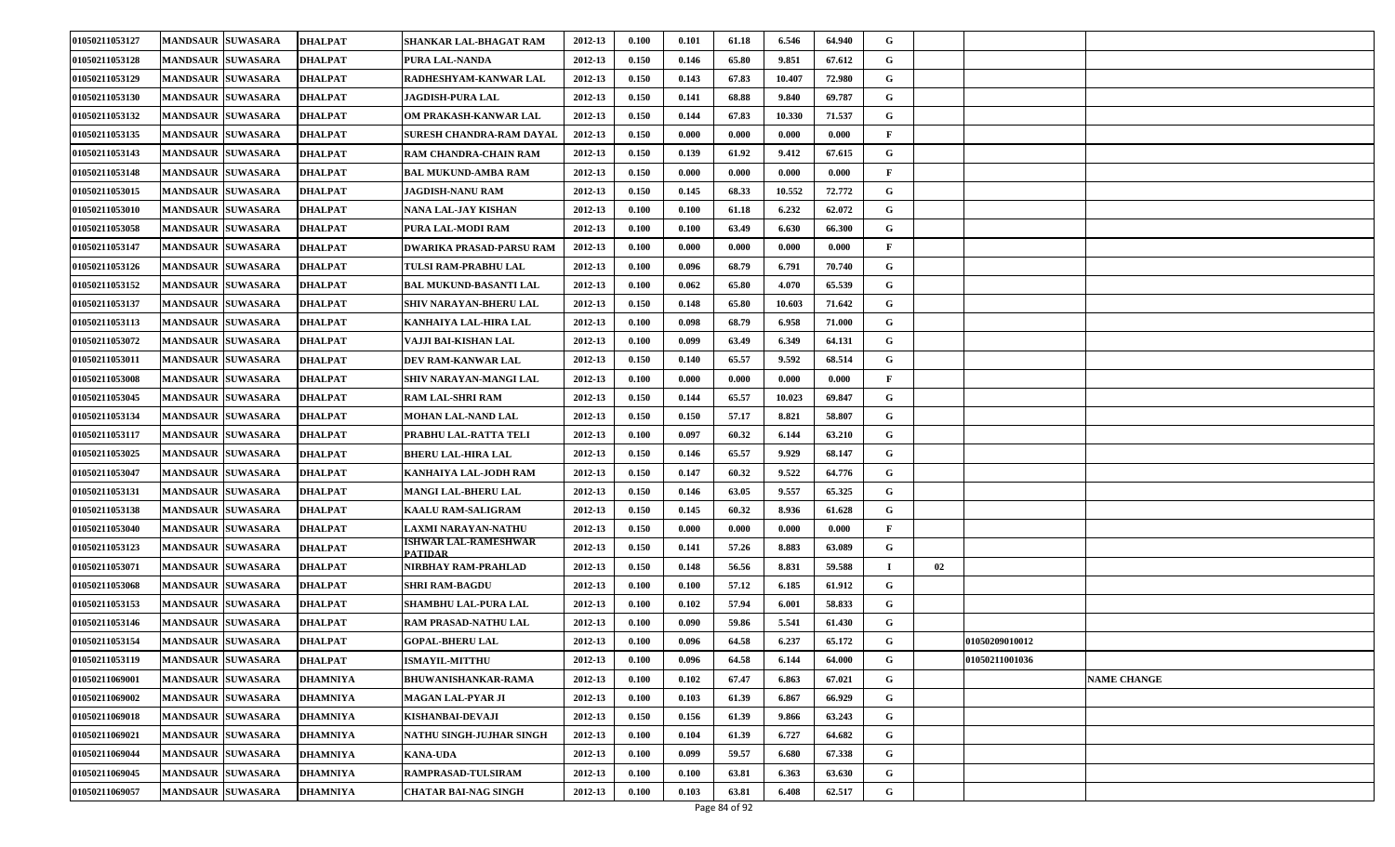| 01050211053127 | <b>MANDSAUR SUWASARA</b> | <b>DHALPAT</b>  | SHANKAR LAL-BHAGAT RAM                 | 2012-13 | 0.100 | 0.101 | 61.18 | 6.546  | 64.940 | G            |    |                |                    |
|----------------|--------------------------|-----------------|----------------------------------------|---------|-------|-------|-------|--------|--------|--------------|----|----------------|--------------------|
| 01050211053128 | <b>MANDSAUR SUWASARA</b> | <b>DHALPAT</b>  | PURA LAL-NANDA                         | 2012-13 | 0.150 | 0.146 | 65.80 | 9.851  | 67.612 | G            |    |                |                    |
| 01050211053129 | <b>MANDSAUR SUWASARA</b> | <b>DHALPAT</b>  | RADHESHYAM-KANWAR LAL                  | 2012-13 | 0.150 | 0.143 | 67.83 | 10.407 | 72.980 | G            |    |                |                    |
| 01050211053130 | <b>MANDSAUR SUWASARA</b> | <b>DHALPAT</b>  | JAGDISH-PURA LAL                       | 2012-13 | 0.150 | 0.141 | 68.88 | 9.840  | 69.787 | G            |    |                |                    |
| 01050211053132 | <b>MANDSAUR SUWASARA</b> | DHALPAT         | OM PRAKASH-KANWAR LAL                  | 2012-13 | 0.150 | 0.144 | 67.83 | 10.330 | 71.537 | G            |    |                |                    |
| 01050211053135 | <b>MANDSAUR SUWASARA</b> | <b>DHALPAT</b>  | SURESH CHANDRA-RAM DAYAL               | 2012-13 | 0.150 | 0.000 | 0.000 | 0.000  | 0.000  | $\mathbf{F}$ |    |                |                    |
| 01050211053143 | <b>MANDSAUR SUWASARA</b> | <b>DHALPAT</b>  | <b>RAM CHANDRA-CHAIN RAM</b>           | 2012-13 | 0.150 | 0.139 | 61.92 | 9.412  | 67.615 | G            |    |                |                    |
| 01050211053148 | <b>MANDSAUR SUWASARA</b> | DHALPAT         | BAL MUKUND-AMBA RAM                    | 2012-13 | 0.150 | 0.000 | 0.000 | 0.000  | 0.000  | $\mathbf{F}$ |    |                |                    |
| 01050211053015 | <b>MANDSAUR SUWASARA</b> | DHALPAT         | <b>JAGDISH-NANU RAM</b>                | 2012-13 | 0.150 | 0.145 | 68.33 | 10.552 | 72.772 | G            |    |                |                    |
| 01050211053010 | <b>MANDSAUR SUWASARA</b> | DHALPAT         | NANA LAL-JAY KISHAN                    | 2012-13 | 0.100 | 0.100 | 61.18 | 6.232  | 62.072 | G            |    |                |                    |
| 01050211053058 | <b>MANDSAUR SUWASARA</b> | <b>DHALPAT</b>  | PURA LAL-MODI RAM                      | 2012-13 | 0.100 | 0.100 | 63.49 | 6.630  | 66.300 | G            |    |                |                    |
| 01050211053147 | <b>MANDSAUR SUWASARA</b> | <b>DHALPAT</b>  | DWARIKA PRASAD-PARSU RAM               | 2012-13 | 0.100 | 0.000 | 0.000 | 0.000  | 0.000  | F            |    |                |                    |
| 01050211053126 | <b>MANDSAUR SUWASARA</b> | <b>DHALPAT</b>  | TULSI RAM-PRABHU LAL                   | 2012-13 | 0.100 | 0.096 | 68.79 | 6.791  | 70.740 | G            |    |                |                    |
| 01050211053152 | <b>MANDSAUR SUWASARA</b> | <b>DHALPAT</b>  | <b>BAL MUKUND-BASANTI LAL</b>          | 2012-13 | 0.100 | 0.062 | 65.80 | 4.070  | 65.539 | G            |    |                |                    |
| 01050211053137 | <b>MANDSAUR SUWASARA</b> | <b>DHALPAT</b>  | SHIV NARAYAN-BHERU LAL                 | 2012-13 | 0.150 | 0.148 | 65.80 | 10.603 | 71.642 | G            |    |                |                    |
| 01050211053113 | <b>MANDSAUR SUWASARA</b> | <b>DHALPAT</b>  | KANHAIYA LAL-HIRA LAL                  | 2012-13 | 0.100 | 0.098 | 68.79 | 6.958  | 71.000 | G            |    |                |                    |
| 01050211053072 | <b>MANDSAUR SUWASARA</b> | <b>DHALPAT</b>  | VAJJI BAI-KISHAN LAL                   | 2012-13 | 0.100 | 0.099 | 63.49 | 6.349  | 64.131 | G            |    |                |                    |
| 01050211053011 | <b>MANDSAUR SUWASARA</b> | <b>DHALPAT</b>  | <b>DEV RAM-KANWAR LAL</b>              | 2012-13 | 0.150 | 0.140 | 65.57 | 9.592  | 68.514 | G            |    |                |                    |
| 01050211053008 | <b>MANDSAUR SUWASARA</b> | <b>DHALPAT</b>  | SHIV NARAYAN-MANGI LAL                 | 2012-13 | 0.100 | 0.000 | 0.000 | 0.000  | 0.000  | $\mathbf{F}$ |    |                |                    |
| 01050211053045 | <b>MANDSAUR SUWASARA</b> | <b>DHALPAT</b>  | RAM LAL-SHRI RAM                       | 2012-13 | 0.150 | 0.144 | 65.57 | 10.023 | 69.847 | G            |    |                |                    |
| 01050211053134 | <b>MANDSAUR SUWASARA</b> | DHALPAT         | MOHAN LAL-NAND LAL                     | 2012-13 | 0.150 | 0.150 | 57.17 | 8.821  | 58.807 | G            |    |                |                    |
| 01050211053117 | <b>MANDSAUR SUWASARA</b> | <b>DHALPAT</b>  | PRABHU LAL-RATTA TELI                  | 2012-13 | 0.100 | 0.097 | 60.32 | 6.144  | 63.210 | G            |    |                |                    |
| 01050211053025 | <b>MANDSAUR SUWASARA</b> | <b>DHALPAT</b>  | BHERU LAL-HIRA LAL                     | 2012-13 | 0.150 | 0.146 | 65.57 | 9.929  | 68.147 | G            |    |                |                    |
| 01050211053047 | <b>MANDSAUR SUWASARA</b> | <b>DHALPAT</b>  | KANHAIYA LAL-JODH RAM                  | 2012-13 | 0.150 | 0.147 | 60.32 | 9.522  | 64.776 | G            |    |                |                    |
| 01050211053131 | <b>MANDSAUR SUWASARA</b> | <b>DHALPAT</b>  | MANGI LAL-BHERU LAL                    | 2012-13 | 0.150 | 0.146 | 63.05 | 9.557  | 65.325 | G            |    |                |                    |
| 01050211053138 | <b>MANDSAUR SUWASARA</b> | <b>DHALPAT</b>  | <b>KAALU RAM-SALIGRAM</b>              | 2012-13 | 0.150 | 0.145 | 60.32 | 8.936  | 61.628 | G            |    |                |                    |
| 01050211053040 | <b>MANDSAUR SUWASARA</b> | <b>DHALPAT</b>  | LAXMI NARAYAN-NATHU                    | 2012-13 | 0.150 | 0.000 | 0.000 | 0.000  | 0.000  | $\mathbf{F}$ |    |                |                    |
| 01050211053123 | <b>MANDSAUR SUWASARA</b> | DHALPAT         | ISHWAR LAL-RAMESHWAR<br><b>PATIDAR</b> | 2012-13 | 0.150 | 0.141 | 57.26 | 8.883  | 63.089 | G            |    |                |                    |
| 01050211053071 | <b>MANDSAUR SUWASARA</b> | DHALPAT         | NIRBHAY RAM-PRAHLAD                    | 2012-13 | 0.150 | 0.148 | 56.56 | 8.831  | 59.588 |              | 02 |                |                    |
| 01050211053068 | <b>MANDSAUR SUWASARA</b> | <b>DHALPAT</b>  | SHRI RAM-BAGDU                         | 2012-13 | 0.100 | 0.100 | 57.12 | 6.185  | 61.912 | G            |    |                |                    |
| 01050211053153 | <b>MANDSAUR SUWASARA</b> | DHALPAT         | SHAMBHU LAL-PURA LAL                   | 2012-13 | 0.100 | 0.102 | 57.94 | 6.001  | 58.833 | G            |    |                |                    |
| 01050211053146 | <b>MANDSAUR SUWASARA</b> | DHALPAT         | RAM PRASAD-NATHU LAL                   | 2012-13 | 0.100 | 0.090 | 59.86 | 5.541  | 61.430 | G            |    |                |                    |
| 01050211053154 | <b>MANDSAUR SUWASARA</b> | DHALPAT         | <b>GOPAL-BHERU LAL</b>                 | 2012-13 | 0.100 | 0.096 | 64.58 | 6.237  | 65.172 | G            |    | 01050209010012 |                    |
| 01050211053119 | MANDSAUR SUWASARA        | <b>DHALPAT</b>  | <b>ISMAYIL-MITTHU</b>                  | 2012-13 | 0.100 | 0.096 | 64.58 | 6.144  | 64.000 | G            |    | 01050211001036 |                    |
| 01050211069001 | <b>MANDSAUR SUWASARA</b> | DHAMNIYA        | BHUWANISHANKAR-RAMA                    | 2012-13 | 0.100 | 0.102 | 67.47 | 6.863  | 67.021 | G            |    |                | <b>NAME CHANGE</b> |
| 01050211069002 | MANDSAUR SUWASARA        | DHAMNIYA        | MAGAN LAL-PYAR JI                      | 2012-13 | 0.100 | 0.103 | 61.39 | 6.867  | 66.929 | G            |    |                |                    |
| 01050211069018 | <b>MANDSAUR SUWASARA</b> | DHAMNIYA        | KISHANBAI-DEVAJI                       | 2012-13 | 0.150 | 0.156 | 61.39 | 9.866  | 63.243 | G            |    |                |                    |
| 01050211069021 | <b>MANDSAUR SUWASARA</b> | <b>DHAMNIYA</b> | NATHU SINGH-JUJHAR SINGH               | 2012-13 | 0.100 | 0.104 | 61.39 | 6.727  | 64.682 | G            |    |                |                    |
| 01050211069044 | <b>MANDSAUR SUWASARA</b> | DHAMNIYA        | <b>KANA-UDA</b>                        | 2012-13 | 0.100 | 0.099 | 59.57 | 6.680  | 67.338 | G            |    |                |                    |
| 01050211069045 | <b>MANDSAUR SUWASARA</b> | DHAMNIYA        | RAMPRASAD-TULSIRAM                     | 2012-13 | 0.100 | 0.100 | 63.81 | 6.363  | 63.630 | G            |    |                |                    |
| 01050211069057 | <b>MANDSAUR SUWASARA</b> | <b>DHAMNIYA</b> | <b>CHATAR BAI-NAG SINGH</b>            | 2012-13 | 0.100 | 0.103 | 63.81 | 6.408  | 62.517 | G            |    |                |                    |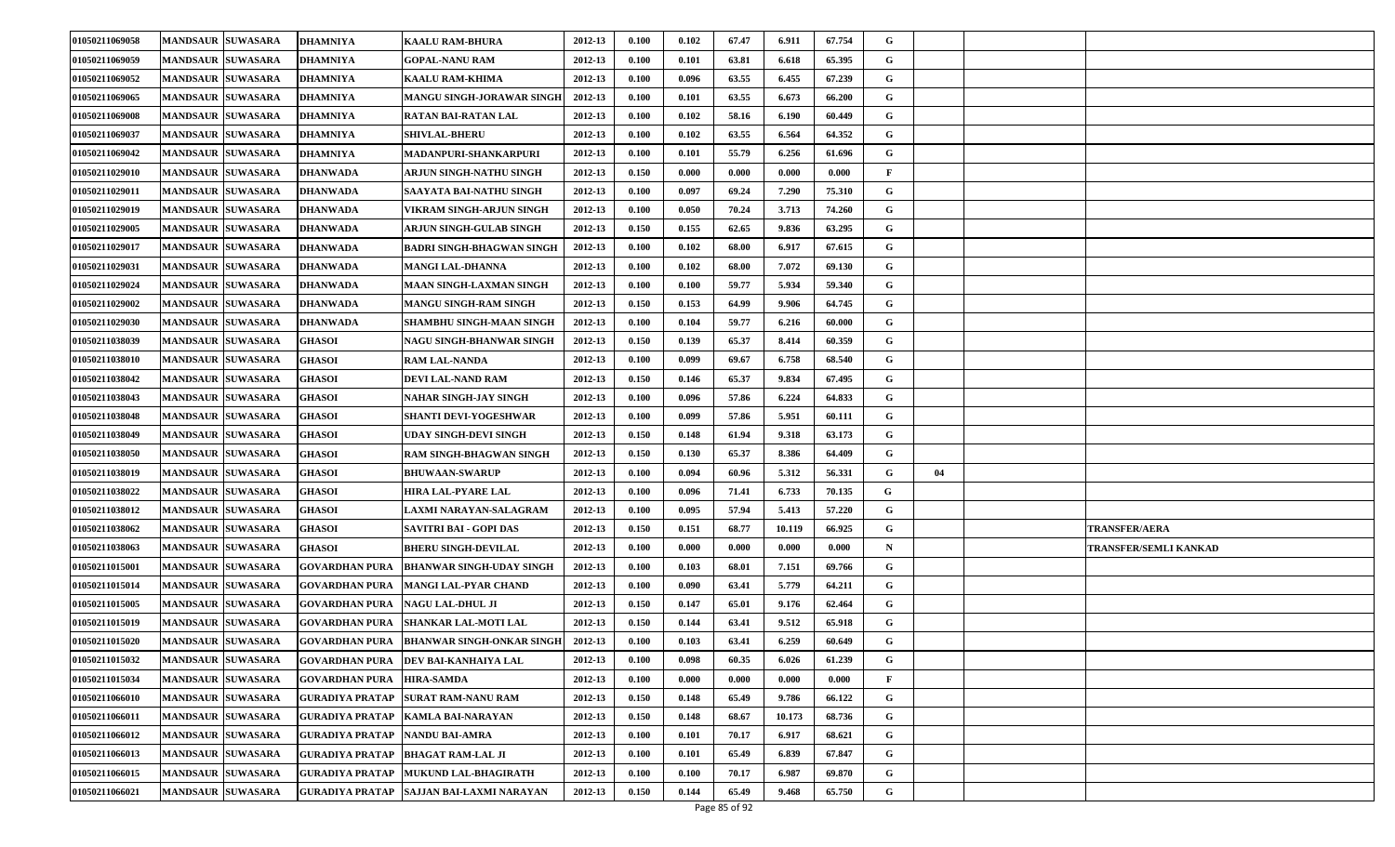| 01050211069058 | <b>MANDSAUR SUWASARA</b> | <b>DHAMNIYA</b>        | <b>KAALU RAM-BHURA</b>                     | 2012-13 | 0.100 | 0.102 | 67.47 | 6.911  | 67.754 | G            |    |                       |
|----------------|--------------------------|------------------------|--------------------------------------------|---------|-------|-------|-------|--------|--------|--------------|----|-----------------------|
| 01050211069059 | <b>MANDSAUR SUWASARA</b> | <b>DHAMNIYA</b>        | <b>GOPAL-NANU RAM</b>                      | 2012-13 | 0.100 | 0.101 | 63.81 | 6.618  | 65.395 | G            |    |                       |
| 01050211069052 | <b>MANDSAUR SUWASARA</b> | <b>DHAMNIYA</b>        | <b>KAALU RAM-KHIMA</b>                     | 2012-13 | 0.100 | 0.096 | 63.55 | 6.455  | 67.239 | G            |    |                       |
| 01050211069065 | <b>MANDSAUR SUWASARA</b> | <b>DHAMNIYA</b>        | MANGU SINGH-JORAWAR SINGH                  | 2012-13 | 0.100 | 0.101 | 63.55 | 6.673  | 66.200 | G            |    |                       |
| 01050211069008 | <b>MANDSAUR SUWASARA</b> | <b>DHAMNIYA</b>        | <b>RATAN BAI-RATAN LAL</b>                 | 2012-13 | 0.100 | 0.102 | 58.16 | 6.190  | 60.449 | G            |    |                       |
| 01050211069037 | <b>MANDSAUR SUWASARA</b> | <b>DHAMNIYA</b>        | <b>SHIVLAL-BHERU</b>                       | 2012-13 | 0.100 | 0.102 | 63.55 | 6.564  | 64.352 | G            |    |                       |
| 01050211069042 | <b>MANDSAUR SUWASARA</b> | <b>DHAMNIYA</b>        | MADANPURI-SHANKARPURI                      | 2012-13 | 0.100 | 0.101 | 55.79 | 6.256  | 61.696 | G            |    |                       |
| 01050211029010 | <b>MANDSAUR SUWASARA</b> | <b>DHANWADA</b>        | ARJUN SINGH-NATHU SINGH                    | 2012-13 | 0.150 | 0.000 | 0.000 | 0.000  | 0.000  | $\mathbf{F}$ |    |                       |
| 01050211029011 | <b>MANDSAUR SUWASARA</b> | <b>DHANWADA</b>        | SAAYATA BAI-NATHU SINGH                    | 2012-13 | 0.100 | 0.097 | 69.24 | 7.290  | 75.310 | G            |    |                       |
| 01050211029019 | <b>MANDSAUR SUWASARA</b> | <b>DHANWADA</b>        | VIKRAM SINGH-ARJUN SINGH                   | 2012-13 | 0.100 | 0.050 | 70.24 | 3.713  | 74.260 | G            |    |                       |
| 01050211029005 | <b>MANDSAUR SUWASARA</b> | <b>DHANWADA</b>        | ARJUN SINGH-GULAB SINGH                    | 2012-13 | 0.150 | 0.155 | 62.65 | 9.836  | 63.295 | G            |    |                       |
| 01050211029017 | <b>MANDSAUR SUWASARA</b> | DHANWADA               | <b>BADRI SINGH-BHAGWAN SINGH</b>           | 2012-13 | 0.100 | 0.102 | 68.00 | 6.917  | 67.615 | G            |    |                       |
| 01050211029031 | <b>MANDSAUR SUWASARA</b> | <b>DHANWADA</b>        | <b>MANGI LAL-DHANNA</b>                    | 2012-13 | 0.100 | 0.102 | 68.00 | 7.072  | 69.130 | G            |    |                       |
| 01050211029024 | <b>MANDSAUR SUWASARA</b> | <b>DHANWADA</b>        | MAAN SINGH-LAXMAN SINGH                    | 2012-13 | 0.100 | 0.100 | 59.77 | 5.934  | 59.340 | G            |    |                       |
| 01050211029002 | <b>MANDSAUR SUWASARA</b> | <b>DHANWADA</b>        | <b>MANGU SINGH-RAM SINGH</b>               | 2012-13 | 0.150 | 0.153 | 64.99 | 9.906  | 64.745 | G            |    |                       |
| 01050211029030 | <b>MANDSAUR SUWASARA</b> | <b>DHANWADA</b>        | SHAMBHU SINGH-MAAN SINGH                   | 2012-13 | 0.100 | 0.104 | 59.77 | 6.216  | 60.000 | G            |    |                       |
| 01050211038039 | <b>MANDSAUR SUWASARA</b> | <b>GHASOI</b>          | NAGU SINGH-BHANWAR SINGH                   | 2012-13 | 0.150 | 0.139 | 65.37 | 8.414  | 60.359 | G            |    |                       |
| 01050211038010 | <b>MANDSAUR SUWASARA</b> | <b>GHASOI</b>          | <b>RAM LAL-NANDA</b>                       | 2012-13 | 0.100 | 0.099 | 69.67 | 6.758  | 68.540 | G            |    |                       |
| 01050211038042 | <b>MANDSAUR SUWASARA</b> | <b>GHASOI</b>          | DEVI LAL-NAND RAM                          | 2012-13 | 0.150 | 0.146 | 65.37 | 9.834  | 67.495 | G            |    |                       |
| 01050211038043 | <b>MANDSAUR SUWASARA</b> | <b>GHASOI</b>          | NAHAR SINGH-JAY SINGH                      | 2012-13 | 0.100 | 0.096 | 57.86 | 6.224  | 64.833 | G            |    |                       |
| 01050211038048 | <b>MANDSAUR SUWASARA</b> | <b>GHASOI</b>          | SHANTI DEVI-YOGESHWAR                      | 2012-13 | 0.100 | 0.099 | 57.86 | 5.951  | 60.111 | G            |    |                       |
| 01050211038049 | <b>MANDSAUR SUWASARA</b> | <b>GHASOI</b>          | UDAY SINGH-DEVI SINGH                      | 2012-13 | 0.150 | 0.148 | 61.94 | 9.318  | 63.173 | G            |    |                       |
| 01050211038050 | <b>MANDSAUR SUWASARA</b> | <b>GHASOI</b>          | RAM SINGH-BHAGWAN SINGH                    | 2012-13 | 0.150 | 0.130 | 65.37 | 8.386  | 64.409 | G            |    |                       |
| 01050211038019 | <b>MANDSAUR SUWASARA</b> | <b>GHASOI</b>          | <b>BHUWAAN-SWARUP</b>                      | 2012-13 | 0.100 | 0.094 | 60.96 | 5.312  | 56.331 | G            | 04 |                       |
| 01050211038022 | <b>MANDSAUR SUWASARA</b> | <b>GHASOI</b>          | <b>HIRA LAL-PYARE LAL</b>                  | 2012-13 | 0.100 | 0.096 | 71.41 | 6.733  | 70.135 | G            |    |                       |
| 01050211038012 | <b>MANDSAUR SUWASARA</b> | <b>GHASOI</b>          | LAXMI NARAYAN-SALAGRAM                     | 2012-13 | 0.100 | 0.095 | 57.94 | 5.413  | 57.220 | G            |    |                       |
| 01050211038062 | <b>MANDSAUR SUWASARA</b> | <b>GHASOI</b>          | SAVITRI BAI - GOPI DAS                     | 2012-13 | 0.150 | 0.151 | 68.77 | 10.119 | 66.925 | G            |    | <b>TRANSFER/AERA</b>  |
| 01050211038063 | <b>MANDSAUR SUWASARA</b> | <b>GHASOI</b>          | <b>BHERU SINGH-DEVILAL</b>                 | 2012-13 | 0.100 | 0.000 | 0.000 | 0.000  | 0.000  | $\mathbf N$  |    | TRANSFER/SEMLI KANKAD |
| 01050211015001 | <b>MANDSAUR SUWASARA</b> | <b>GOVARDHAN PURA</b>  | <b>BHANWAR SINGH-UDAY SINGH</b>            | 2012-13 | 0.100 | 0.103 | 68.01 | 7.151  | 69.766 | G            |    |                       |
| 01050211015014 | <b>MANDSAUR SUWASARA</b> | <b>GOVARDHAN PURA</b>  | <b>MANGI LAL-PYAR CHAND</b>                | 2012-13 | 0.100 | 0.090 | 63.41 | 5.779  | 64.211 | G            |    |                       |
| 01050211015005 | <b>MANDSAUR SUWASARA</b> | <b>GOVARDHAN PURA</b>  | <b>NAGU LAL-DHUL JI</b>                    | 2012-13 | 0.150 | 0.147 | 65.01 | 9.176  | 62.464 | G            |    |                       |
| 01050211015019 | <b>MANDSAUR SUWASARA</b> | <b>GOVARDHAN PURA</b>  | SHANKAR LAL-MOTI LAL                       | 2012-13 | 0.150 | 0.144 | 63.41 | 9.512  | 65.918 | G            |    |                       |
| 01050211015020 | <b>MANDSAUR SUWASARA</b> | <b>GOVARDHAN PURA</b>  | <b>BHANWAR SINGH-ONKAR SINGH</b>           | 2012-13 | 0.100 | 0.103 | 63.41 | 6.259  | 60.649 | G            |    |                       |
| 01050211015032 | MANDSAUR SUWASARA        |                        | <b>GOVARDHAN PURA DEV BAI-KANHAIYA LAL</b> | 2012-13 | 0.100 | 0.098 | 60.35 | 6.026  | 61.239 | G            |    |                       |
| 01050211015034 | <b>MANDSAUR SUWASARA</b> | <b>GOVARDHAN PURA</b>  | <b>HIRA-SAMDA</b>                          | 2012-13 | 0.100 | 0.000 | 0.000 | 0.000  | 0.000  | $\mathbf{F}$ |    |                       |
| 01050211066010 | MANDSAUR SUWASARA        | <b>GURADIYA PRATAP</b> | <b>SURAT RAM-NANU RAM</b>                  | 2012-13 | 0.150 | 0.148 | 65.49 | 9.786  | 66.122 | $\mathbf G$  |    |                       |
| 01050211066011 | MANDSAUR SUWASARA        | <b>GURADIYA PRATAP</b> | <b>KAMLA BAI-NARAYAN</b>                   | 2012-13 | 0.150 | 0.148 | 68.67 | 10.173 | 68.736 | G            |    |                       |
| 01050211066012 | MANDSAUR SUWASARA        | <b>GURADIYA PRATAP</b> | <b>NANDU BAI-AMRA</b>                      | 2012-13 | 0.100 | 0.101 | 70.17 | 6.917  | 68.621 | G            |    |                       |
| 01050211066013 | MANDSAUR SUWASARA        | <b>GURADIYA PRATAP</b> | <b>BHAGAT RAM-LAL JI</b>                   | 2012-13 | 0.100 | 0.101 | 65.49 | 6.839  | 67.847 | G            |    |                       |
| 01050211066015 | <b>MANDSAUR SUWASARA</b> | <b>GURADIYA PRATAP</b> | MUKUND LAL-BHAGIRATH                       | 2012-13 | 0.100 | 0.100 | 70.17 | 6.987  | 69.870 | G            |    |                       |
| 01050211066021 | MANDSAUR SUWASARA        | GURADIYA PRATAP        | SAJJAN BAI-LAXMI NARAYAN                   | 2012-13 | 0.150 | 0.144 | 65.49 | 9.468  | 65.750 | G            |    |                       |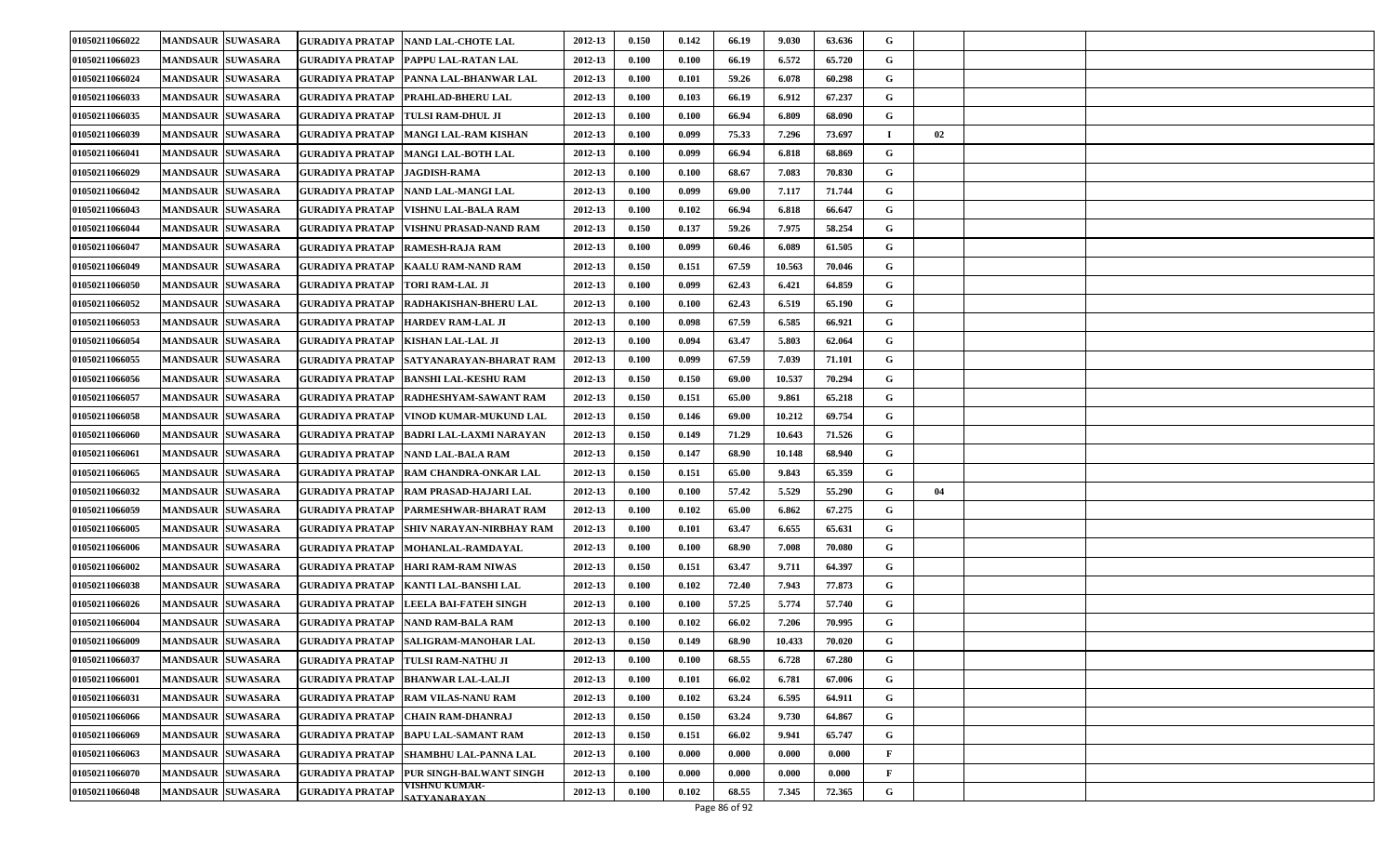| 01050211066022 | <b>MANDSAUR SUWASARA</b> | <b>GURADIYA PRATAP NAND LAL-CHOTE LAL</b>                             | 2012-13 | 0.150                | 0.142 | 66.19 | 9.030  | 63.636 | G           |    |  |
|----------------|--------------------------|-----------------------------------------------------------------------|---------|----------------------|-------|-------|--------|--------|-------------|----|--|
| 01050211066023 | <b>MANDSAUR SUWASARA</b> | <b>GURADIYA PRATAP</b><br><b>PAPPU LAL-RATAN LAL</b>                  | 2012-13 | 0.100                | 0.100 | 66.19 | 6.572  | 65.720 | G           |    |  |
| 01050211066024 | <b>MANDSAUR SUWASARA</b> | <b>GURADIYA PRATAP</b><br><b>PANNA LAL-BHANWAR LAL</b>                | 2012-13 | 0.100                | 0.101 | 59.26 | 6.078  | 60.298 | G           |    |  |
| 01050211066033 | <b>MANDSAUR SUWASARA</b> | <b>GURADIYA PRATAP</b><br>PRAHLAD-BHERU LAL                           | 2012-13 | 0.100                | 0.103 | 66.19 | 6.912  | 67.237 | G           |    |  |
| 01050211066035 | <b>MANDSAUR SUWASARA</b> | <b>GURADIYA PRATAP</b><br><b>TULSI RAM-DHUL JI</b>                    | 2012-13 | 0.100                | 0.100 | 66.94 | 6.809  | 68.090 | G           |    |  |
| 01050211066039 | <b>MANDSAUR SUWASARA</b> | <b>GURADIYA PRATAP</b><br>MANGI LAL-RAM KISHAN                        | 2012-13 | 0.100                | 0.099 | 75.33 | 7.296  | 73.697 |             | 02 |  |
| 01050211066041 | <b>MANDSAUR SUWASARA</b> | <b>GURADIYA PRATAP</b><br>MANGI LAL-BOTH LAL                          | 2012-13 | 0.100                | 0.099 | 66.94 | 6.818  | 68.869 | G           |    |  |
| 01050211066029 | <b>MANDSAUR SUWASARA</b> | <b>JAGDISH-RAMA</b><br><b>GURADIYA PRATAP</b>                         | 2012-13 | 0.100                | 0.100 | 68.67 | 7.083  | 70.830 | G           |    |  |
| 01050211066042 | <b>MANDSAUR SUWASARA</b> | <b>GURADIYA PRATAP</b><br>NAND LAL-MANGI LAL                          | 2012-13 | 0.100                | 0.099 | 69.00 | 7.117  | 71.744 | G           |    |  |
| 01050211066043 | <b>MANDSAUR SUWASARA</b> | <b>GURADIYA PRATAP</b><br>VISHNU LAL-BALA RAM                         | 2012-13 | 0.100                | 0.102 | 66.94 | 6.818  | 66.647 | G           |    |  |
| 01050211066044 | <b>MANDSAUR SUWASARA</b> | <b>GURADIYA PRATAP</b><br>VISHNU PRASAD-NAND RAM                      | 2012-13 | 0.150                | 0.137 | 59.26 | 7.975  | 58.254 | G           |    |  |
| 01050211066047 | <b>MANDSAUR SUWASARA</b> | <b>GURADIYA PRATAP</b><br><b>RAMESH-RAJA RAM</b>                      | 2012-13 | 0.100                | 0.099 | 60.46 | 6.089  | 61.505 | G           |    |  |
| 01050211066049 | <b>MANDSAUR SUWASARA</b> | <b>GURADIYA PRATAP</b><br><b>KAALU RAM-NAND RAM</b>                   | 2012-13 | 0.150                | 0.151 | 67.59 | 10.563 | 70.046 | G           |    |  |
| 01050211066050 | <b>MANDSAUR SUWASARA</b> | <b>GURADIYA PRATAP</b><br><b>TORI RAM-LAL JI</b>                      | 2012-13 | 0.100                | 0.099 | 62.43 | 6.421  | 64.859 | G           |    |  |
| 01050211066052 | <b>MANDSAUR SUWASARA</b> | <b>GURADIYA PRATAP</b><br><b>RADHAKISHAN-BHERU LAL</b>                | 2012-13 | 0.100                | 0.100 | 62.43 | 6.519  | 65.190 | G           |    |  |
| 01050211066053 | <b>MANDSAUR SUWASARA</b> | <b>GURADIYA PRATAP</b><br><b>HARDEV RAM-LAL JI</b>                    | 2012-13 | 0.100                | 0.098 | 67.59 | 6.585  | 66.921 | G           |    |  |
| 01050211066054 | <b>MANDSAUR SUWASARA</b> | <b>GURADIYA PRATAP</b><br><b>KISHAN LAL-LAL JI</b>                    | 2012-13 | 0.100                | 0.094 | 63.47 | 5.803  | 62.064 | G           |    |  |
| 01050211066055 | <b>MANDSAUR SUWASARA</b> | GURADIYA PRATAP   SATYANARAYAN-BHARAT RAM                             | 2012-13 | 0.100                | 0.099 | 67.59 | 7.039  | 71.101 | G           |    |  |
| 01050211066056 | <b>MANDSAUR SUWASARA</b> | <b>GURADIYA PRATAP</b><br><b>BANSHI LAL-KESHU RAM</b>                 | 2012-13 | 0.150                | 0.150 | 69.00 | 10.537 | 70.294 | G           |    |  |
| 01050211066057 | <b>MANDSAUR SUWASARA</b> | <b>GURADIYA PRATAP</b><br><b>RADHESHYAM-SAWANT RAM</b>                | 2012-13 | 0.150                | 0.151 | 65.00 | 9.861  | 65.218 | G           |    |  |
| 01050211066058 | <b>MANDSAUR SUWASARA</b> | <b>GURADIYA PRATAP</b><br><b>VINOD KUMAR-MUKUND LAL</b>               | 2012-13 | 0.150                | 0.146 | 69.00 | 10.212 | 69.754 | G           |    |  |
| 01050211066060 | <b>MANDSAUR SUWASARA</b> | <b>GURADIYA PRATAP</b><br><b>BADRI LAL-LAXMI NARAYAN</b>              | 2012-13 | 0.150                | 0.149 | 71.29 | 10.643 | 71.526 | G           |    |  |
| 01050211066061 | <b>MANDSAUR SUWASARA</b> | <b>GURADIYA PRATAP</b><br><b>NAND LAL-BALA RAM</b>                    | 2012-13 | 0.150                | 0.147 | 68.90 | 10.148 | 68.940 | G           |    |  |
| 01050211066065 | <b>MANDSAUR SUWASARA</b> | GURADIYA PRATAP<br><b>RAM CHANDRA-ONKAR LAL</b>                       | 2012-13 | 0.150                | 0.151 | 65.00 | 9.843  | 65.359 | G           |    |  |
| 01050211066032 | <b>MANDSAUR SUWASARA</b> | <b>GURADIYA PRATAP</b><br><b>RAM PRASAD-HAJARI LAL</b>                | 2012-13 | 0.100                | 0.100 | 57.42 | 5.529  | 55.290 | G           | 04 |  |
| 01050211066059 | <b>MANDSAUR SUWASARA</b> | <b>GURADIYA PRATAP</b><br><b>PARMESHWAR-BHARAT RAM</b>                | 2012-13 | 0.100                | 0.102 | 65.00 | 6.862  | 67.275 | G           |    |  |
| 01050211066005 | <b>MANDSAUR SUWASARA</b> | <b>GURADIYA PRATAP</b><br><b>SHIV NARAYAN-NIRBHAY RAM</b>             | 2012-13 | 0.100                | 0.101 | 63.47 | 6.655  | 65.631 | G           |    |  |
| 01050211066006 | <b>MANDSAUR SUWASARA</b> | <b>GURADIYA PRATAP</b><br><b>MOHANLAL-RAMDAYAL</b>                    | 2012-13 | 0.100                | 0.100 | 68.90 | 7.008  | 70.080 | G           |    |  |
| 01050211066002 | <b>MANDSAUR SUWASARA</b> | <b>GURADIYA PRATAP</b><br><b>HARI RAM-RAM NIWAS</b>                   | 2012-13 | 0.150                | 0.151 | 63.47 | 9.711  | 64.397 | G           |    |  |
| 01050211066038 | <b>MANDSAUR SUWASARA</b> | <b>GURADIYA PRATAP</b><br><b>KANTI LAL-BANSHI LAL</b>                 | 2012-13 | 0.100                | 0.102 | 72.40 | 7.943  | 77.873 | G           |    |  |
| 01050211066026 | <b>MANDSAUR SUWASARA</b> | <b>LEELA BAI-FATEH SINGH</b><br><b>GURADIYA PRATAP</b>                | 2012-13 | $\boldsymbol{0.100}$ | 0.100 | 57.25 | 5.774  | 57.740 | G           |    |  |
| 01050211066004 | <b>MANDSAUR SUWASARA</b> | <b>GURADIYA PRATAP</b><br><b>NAND RAM-BALA RAM</b>                    | 2012-13 | 0.100                | 0.102 | 66.02 | 7.206  | 70.995 | G           |    |  |
| 01050211066009 | <b>MANDSAUR SUWASARA</b> | <b>GURADIYA PRATAP SALIGRAM-MANOHAR LAL</b>                           | 2012-13 | 0.150                | 0.149 | 68.90 | 10.433 | 70.020 | G           |    |  |
| 01050211066037 | <b>MANDSAUR SUWASARA</b> | GURADIYA PRATAP TULSI RAM-NATHU JI                                    | 2012-13 | 0.100                | 0.100 | 68.55 | 6.728  | 67.280 | G           |    |  |
| 01050211066001 | <b>MANDSAUR SUWASARA</b> | <b>GURADIYA PRATAP</b><br><b>BHANWAR LAL-LALJI</b>                    | 2012-13 | 0.100                | 0.101 | 66.02 | 6.781  | 67.006 | G           |    |  |
| 01050211066031 | <b>MANDSAUR SUWASARA</b> | <b>GURADIYA PRATAP</b><br><b>RAM VILAS-NANU RAM</b>                   | 2012-13 | 0.100                | 0.102 | 63.24 | 6.595  | 64.911 | $\mathbf G$ |    |  |
| 01050211066066 | <b>MANDSAUR SUWASARA</b> | <b>GURADIYA PRATAP</b><br><b>CHAIN RAM-DHANRAJ</b>                    | 2012-13 | 0.150                | 0.150 | 63.24 | 9.730  | 64.867 | G           |    |  |
| 01050211066069 | <b>MANDSAUR SUWASARA</b> | <b>GURADIYA PRATAP</b><br><b>BAPU LAL-SAMANT RAM</b>                  | 2012-13 | 0.150                | 0.151 | 66.02 | 9.941  | 65.747 | G           |    |  |
| 01050211066063 | <b>MANDSAUR SUWASARA</b> | <b>GURADIYA PRATAP</b><br><b>SHAMBHU LAL-PANNA LAL</b>                | 2012-13 | 0.100                | 0.000 | 0.000 | 0.000  | 0.000  | F           |    |  |
| 01050211066070 | <b>MANDSAUR SUWASARA</b> | PUR SINGH-BALWANT SINGH<br><b>GURADIYA PRATAP</b>                     | 2012-13 | 0.100                | 0.000 | 0.000 | 0.000  | 0.000  | F           |    |  |
| 01050211066048 | <b>MANDSAUR SUWASARA</b> | <b>VISHNU KUMAR-</b><br><b>GURADIYA PRATAP</b><br><b>SATYANARAYAN</b> | 2012-13 | 0.100                | 0.102 | 68.55 | 7.345  | 72.365 | G           |    |  |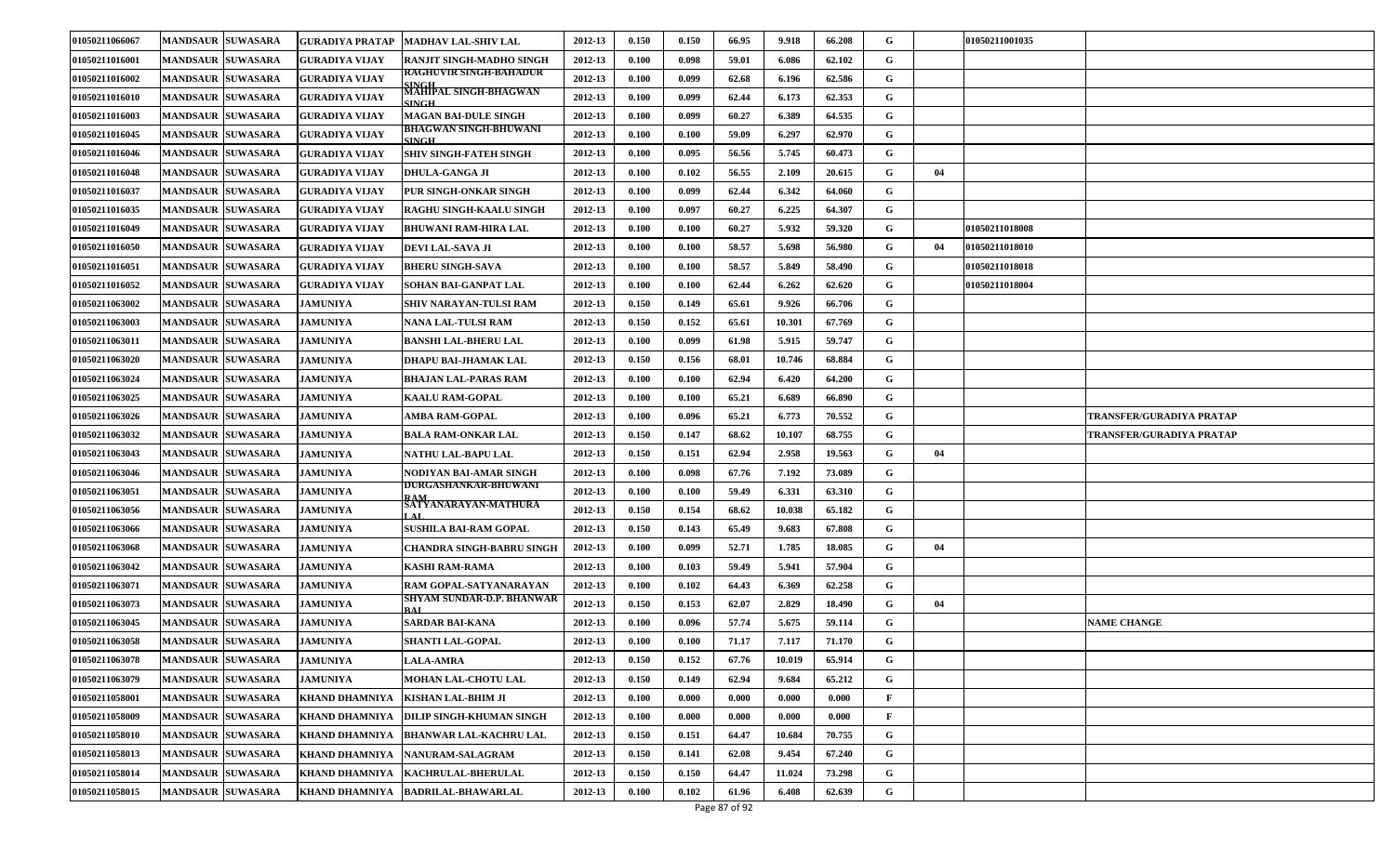| 01050211066067 | <b>MANDSAUR SUWASARA</b> | GURADIYA PRATAP       | <b>MADHAV LAL-SHIV LAL</b>            | 2012-13 | 0.150 | 0.150 | 66.95 | 9.918  | 66.208 | G            |    | 01050211001035 |                          |
|----------------|--------------------------|-----------------------|---------------------------------------|---------|-------|-------|-------|--------|--------|--------------|----|----------------|--------------------------|
| 01050211016001 | <b>MANDSAUR SUWASARA</b> | GURADIYA VIJAY        | <b>RANJIT SINGH-MADHO SINGH</b>       | 2012-13 | 0.100 | 0.098 | 59.01 | 6.086  | 62.102 | G            |    |                |                          |
| 01050211016002 | <b>MANDSAUR SUWASARA</b> | <b>GURADIYA VIJAY</b> | <b>RAGHUVIR SINGH-BAHADUR</b>         | 2012-13 | 0.100 | 0.099 | 62.68 | 6.196  | 62.586 | G            |    |                |                          |
| 01050211016010 | <b>MANDSAUR SUWASARA</b> | GURADIYA VIJAY        | MAHIPAL SINGH-BHAGWAN<br><b>SINGH</b> | 2012-13 | 0.100 | 0.099 | 62.44 | 6.173  | 62.353 | G            |    |                |                          |
| 01050211016003 | <b>MANDSAUR SUWASARA</b> | <b>GURADIYA VIJAY</b> | <b>MAGAN BAI-DULE SINGH</b>           | 2012-13 | 0.100 | 0.099 | 60.27 | 6.389  | 64.535 | G            |    |                |                          |
| 01050211016045 | <b>MANDSAUR SUWASARA</b> | <b>GURADIYA VIJAY</b> | BHAGWAN SINGH-BHUWANI<br><b>SINGH</b> | 2012-13 | 0.100 | 0.100 | 59.09 | 6.297  | 62.970 | G            |    |                |                          |
| 01050211016046 | <b>MANDSAUR SUWASARA</b> | <b>GURADIYA VIJAY</b> | <b>SHIV SINGH-FATEH SINGH</b>         | 2012-13 | 0.100 | 0.095 | 56.56 | 5.745  | 60.473 | G            |    |                |                          |
| 01050211016048 | <b>MANDSAUR SUWASARA</b> | GURADIYA VIJAY        | <b>DHULA-GANGA JI</b>                 | 2012-13 | 0.100 | 0.102 | 56.55 | 2.109  | 20.615 | G            | 04 |                |                          |
| 01050211016037 | <b>MANDSAUR SUWASARA</b> | GURADIYA VIJAY        | PUR SINGH-ONKAR SINGH                 | 2012-13 | 0.100 | 0.099 | 62.44 | 6.342  | 64.060 | G            |    |                |                          |
| 01050211016035 | <b>MANDSAUR SUWASARA</b> | <b>GURADIYA VIJAY</b> | <b>RAGHU SINGH-KAALU SINGH</b>        | 2012-13 | 0.100 | 0.097 | 60.27 | 6.225  | 64.307 | G            |    |                |                          |
| 01050211016049 | <b>MANDSAUR SUWASARA</b> | <b>GURADIYA VIJAY</b> | <b>BHUWANI RAM-HIRA LAL</b>           | 2012-13 | 0.100 | 0.100 | 60.27 | 5.932  | 59.320 | G            |    | 01050211018008 |                          |
| 01050211016050 | <b>MANDSAUR SUWASARA</b> | GURADIYA VIJAY        | DEVI LAL-SAVA JI                      | 2012-13 | 0.100 | 0.100 | 58.57 | 5.698  | 56.980 | G            | 04 | 01050211018010 |                          |
| 01050211016051 | <b>MANDSAUR SUWASARA</b> | GURADIYA VIJAY        | <b>BHERU SINGH-SAVA</b>               | 2012-13 | 0.100 | 0.100 | 58.57 | 5.849  | 58.490 | G            |    | 01050211018018 |                          |
| 01050211016052 | <b>MANDSAUR SUWASARA</b> | <b>GURADIYA VIJAY</b> | SOHAN BAI-GANPAT LAL                  | 2012-13 | 0.100 | 0.100 | 62.44 | 6.262  | 62.620 | G            |    | 01050211018004 |                          |
| 01050211063002 | <b>MANDSAUR SUWASARA</b> | <b>JAMUNIYA</b>       | SHIV NARAYAN-TULSI RAM                | 2012-13 | 0.150 | 0.149 | 65.61 | 9.926  | 66.706 | G            |    |                |                          |
| 01050211063003 | <b>MANDSAUR SUWASARA</b> | <b>JAMUNIYA</b>       | NANA LAL-TULSI RAM                    | 2012-13 | 0.150 | 0.152 | 65.61 | 10.301 | 67.769 | G            |    |                |                          |
| 01050211063011 | <b>MANDSAUR SUWASARA</b> | <b>JAMUNIYA</b>       | <b>BANSHI LAL-BHERU LAL</b>           | 2012-13 | 0.100 | 0.099 | 61.98 | 5.915  | 59.747 | G            |    |                |                          |
| 01050211063020 | <b>MANDSAUR SUWASARA</b> | <b>JAMUNIYA</b>       | DHAPU BAI-JHAMAK LAL                  | 2012-13 | 0.150 | 0.156 | 68.01 | 10.746 | 68.884 | G            |    |                |                          |
| 01050211063024 | <b>MANDSAUR SUWASARA</b> | <b>JAMUNIYA</b>       | BHAJAN LAL-PARAS RAM                  | 2012-13 | 0.100 | 0.100 | 62.94 | 6.420  | 64.200 | G            |    |                |                          |
| 01050211063025 | <b>MANDSAUR SUWASARA</b> | <b>JAMUNIYA</b>       | <b>KAALU RAM-GOPAL</b>                | 2012-13 | 0.100 | 0.100 | 65.21 | 6.689  | 66.890 | G            |    |                |                          |
| 01050211063026 | <b>MANDSAUR SUWASARA</b> | <b>JAMUNIYA</b>       | AMBA RAM-GOPAL                        | 2012-13 | 0.100 | 0.096 | 65.21 | 6.773  | 70.552 | G            |    |                | TRANSFER/GURADIYA PRATAP |
| 01050211063032 | <b>MANDSAUR SUWASARA</b> | <b>JAMUNIYA</b>       | <b>BALA RAM-ONKAR LAL</b>             | 2012-13 | 0.150 | 0.147 | 68.62 | 10.107 | 68.755 | G            |    |                | TRANSFER/GURADIYA PRATAP |
| 01050211063043 | <b>MANDSAUR SUWASARA</b> | <b>JAMUNIYA</b>       | NATHU LAL-BAPU LAL                    | 2012-13 | 0.150 | 0.151 | 62.94 | 2.958  | 19.563 | G            | 04 |                |                          |
| 01050211063046 | <b>MANDSAUR SUWASARA</b> | <b>JAMUNIYA</b>       | NODIYAN BAI-AMAR SINGH                | 2012-13 | 0.100 | 0.098 | 67.76 | 7.192  | 73.089 | G            |    |                |                          |
| 01050211063051 | <b>MANDSAUR SUWASARA</b> | <b>JAMUNIYA</b>       | DURGASHANKAR-BHUWANI<br>RAM           | 2012-13 | 0.100 | 0.100 | 59.49 | 6.331  | 63.310 | G            |    |                |                          |
| 01050211063056 | <b>MANDSAUR SUWASARA</b> | <b>JAMUNIYA</b>       | SATYANARAYAN-MATHURA                  | 2012-13 | 0.150 | 0.154 | 68.62 | 10.038 | 65.182 | G            |    |                |                          |
| 01050211063066 | <b>MANDSAUR SUWASARA</b> | <b>JAMUNIYA</b>       | <b>SUSHILA BAI-RAM GOPAL</b>          | 2012-13 | 0.150 | 0.143 | 65.49 | 9.683  | 67.808 | G            |    |                |                          |
| 01050211063068 | <b>MANDSAUR SUWASARA</b> | <b>JAMUNIYA</b>       | CHANDRA SINGH-BABRU SINGH             | 2012-13 | 0.100 | 0.099 | 52.71 | 1.785  | 18.085 | G            | 04 |                |                          |
| 01050211063042 | <b>MANDSAUR SUWASARA</b> | <b>JAMUNIYA</b>       | <b>KASHI RAM-RAMA</b>                 | 2012-13 | 0.100 | 0.103 | 59.49 | 5.941  | 57.904 | G            |    |                |                          |
| 01050211063071 | <b>MANDSAUR SUWASARA</b> | <b>JAMUNIYA</b>       | RAM GOPAL-SATYANARAYAN                | 2012-13 | 0.100 | 0.102 | 64.43 | 6.369  | 62.258 | G            |    |                |                          |
| 01050211063073 | <b>MANDSAUR SUWASARA</b> | <b>JAMUNIYA</b>       | SHYAM SUNDAR-D.P. BHANWAR             | 2012-13 | 0.150 | 0.153 | 62.07 | 2.829  | 18.490 | G            | 04 |                |                          |
| 01050211063045 | <b>MANDSAUR SUWASARA</b> | <b>JAMUNIYA</b>       | <b>SARDAR BAI-KANA</b>                | 2012-13 | 0.100 | 0.096 | 57.74 | 5.675  | 59.114 | G            |    |                | <b>NAME CHANGE</b>       |
| 01050211063058 | <b>MANDSAUR SUWASARA</b> | <b>JAMUNIYA</b>       | <b>SHANTI LAL-GOPAL</b>               | 2012-13 | 0.100 | 0.100 | 71.17 | 7.117  | 71.170 | G            |    |                |                          |
| 01050211063078 | <b>MANDSAUR SUWASARA</b> | <b>JAMUNIYA</b>       | <b>LALA-AMRA</b>                      | 2012-13 | 0.150 | 0.152 | 67.76 | 10.019 | 65.914 | G            |    |                |                          |
| 01050211063079 | <b>MANDSAUR SUWASARA</b> | <b>JAMUNIYA</b>       | <b>MOHAN LAL-CHOTU LAL</b>            | 2012-13 | 0.150 | 0.149 | 62.94 | 9.684  | 65.212 | G            |    |                |                          |
| 01050211058001 | MANDSAUR SUWASARA        | <b>KHAND DHAMNIYA</b> | <b>KISHAN LAL-BHIM JI</b>             | 2012-13 | 0.100 | 0.000 | 0.000 | 0.000  | 0.000  | $\mathbf{F}$ |    |                |                          |
| 01050211058009 | <b>MANDSAUR SUWASARA</b> | <b>KHAND DHAMNIYA</b> | DILIP SINGH-KHUMAN SINGH              | 2012-13 | 0.100 | 0.000 | 0.000 | 0.000  | 0.000  | $\mathbf{F}$ |    |                |                          |
| 01050211058010 | <b>MANDSAUR SUWASARA</b> | <b>KHAND DHAMNIYA</b> | <b>BHANWAR LAL-KACHRU LAL</b>         | 2012-13 | 0.150 | 0.151 | 64.47 | 10.684 | 70.755 | G            |    |                |                          |
| 01050211058013 | <b>MANDSAUR SUWASARA</b> | <b>KHAND DHAMNIYA</b> | NANURAM-SALAGRAM                      | 2012-13 | 0.150 | 0.141 | 62.08 | 9.454  | 67.240 | G            |    |                |                          |
| 01050211058014 | <b>MANDSAUR SUWASARA</b> | <b>KHAND DHAMNIYA</b> | KACHRULAL-BHERULAL                    | 2012-13 | 0.150 | 0.150 | 64.47 | 11.024 | 73.298 | G            |    |                |                          |
| 01050211058015 | MANDSAUR SUWASARA        | <b>KHAND DHAMNIYA</b> | <b>BADRILAL-BHAWARLAL</b>             | 2012-13 | 0.100 | 0.102 | 61.96 | 6.408  | 62.639 | G            |    |                |                          |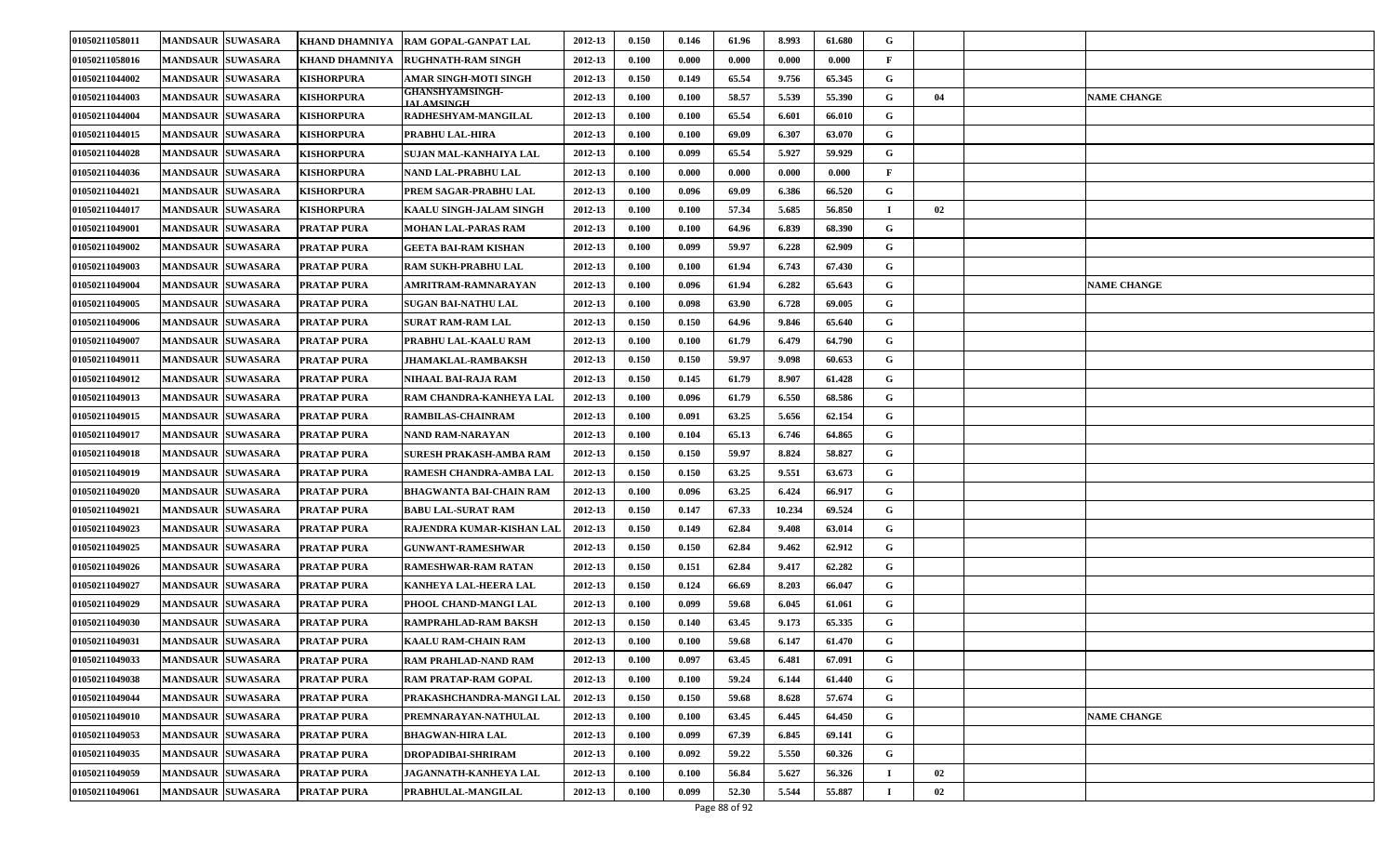| 01050211058011 | <b>MANDSAUR SUWASARA</b> | KHAND DHAMNIYA        | <b>RAM GOPAL-GANPAT LAL</b>          | 2012-13 | 0.150 | 0.146 | 61.96 | 8.993  | 61.680 | G            |    |                    |
|----------------|--------------------------|-----------------------|--------------------------------------|---------|-------|-------|-------|--------|--------|--------------|----|--------------------|
| 01050211058016 | <b>MANDSAUR SUWASARA</b> | <b>KHAND DHAMNIYA</b> | <b>RUGHNATH-RAM SINGH</b>            | 2012-13 | 0.100 | 0.000 | 0.000 | 0.000  | 0.000  | $\mathbf{F}$ |    |                    |
| 01050211044002 | <b>MANDSAUR SUWASARA</b> | <b>KISHORPURA</b>     | AMAR SINGH-MOTI SINGH                | 2012-13 | 0.150 | 0.149 | 65.54 | 9.756  | 65.345 | G            |    |                    |
| 01050211044003 | <b>MANDSAUR SUWASARA</b> | <b>KISHORPURA</b>     | GHANSHYAMSINGH-<br><b>IALAMSINGH</b> | 2012-13 | 0.100 | 0.100 | 58.57 | 5.539  | 55.390 | G            | 04 | <b>NAME CHANGE</b> |
| 01050211044004 | <b>MANDSAUR SUWASARA</b> | <b>KISHORPURA</b>     | RADHESHYAM-MANGILAL                  | 2012-13 | 0.100 | 0.100 | 65.54 | 6.601  | 66.010 | G            |    |                    |
| 01050211044015 | <b>MANDSAUR SUWASARA</b> | <b>KISHORPURA</b>     | PRABHU LAL-HIRA                      | 2012-13 | 0.100 | 0.100 | 69.09 | 6.307  | 63.070 | G            |    |                    |
| 01050211044028 | <b>MANDSAUR SUWASARA</b> | <b>KISHORPURA</b>     | SUJAN MAL-KANHAIYA LAL               | 2012-13 | 0.100 | 0.099 | 65.54 | 5.927  | 59.929 | G            |    |                    |
| 01050211044036 | <b>MANDSAUR SUWASARA</b> | <b>KISHORPURA</b>     | NAND LAL-PRABHU LAL                  | 2012-13 | 0.100 | 0.000 | 0.000 | 0.000  | 0.000  | $\mathbf{F}$ |    |                    |
| 01050211044021 | <b>MANDSAUR SUWASARA</b> | <b>KISHORPURA</b>     | PREM SAGAR-PRABHU LAL                | 2012-13 | 0.100 | 0.096 | 69.09 | 6.386  | 66.520 | G            |    |                    |
| 01050211044017 | <b>MANDSAUR SUWASARA</b> | <b>KISHORPURA</b>     | KAALU SINGH-JALAM SINGH              | 2012-13 | 0.100 | 0.100 | 57.34 | 5.685  | 56.850 |              | 02 |                    |
| 01050211049001 | <b>MANDSAUR SUWASARA</b> | <b>PRATAP PURA</b>    | <b>MOHAN LAL-PARAS RAM</b>           | 2012-13 | 0.100 | 0.100 | 64.96 | 6.839  | 68.390 | G            |    |                    |
| 01050211049002 | <b>MANDSAUR SUWASARA</b> | PRATAP PURA           | GEETA BAI-RAM KISHAN                 | 2012-13 | 0.100 | 0.099 | 59.97 | 6.228  | 62.909 | G            |    |                    |
| 01050211049003 | <b>MANDSAUR SUWASARA</b> | PRATAP PURA           | RAM SUKH-PRABHU LAL                  | 2012-13 | 0.100 | 0.100 | 61.94 | 6.743  | 67.430 | G            |    |                    |
| 01050211049004 | MANDSAUR SUWASARA        | PRATAP PURA           | AMRITRAM-RAMNARAYAN                  | 2012-13 | 0.100 | 0.096 | 61.94 | 6.282  | 65.643 | G            |    | <b>NAME CHANGE</b> |
| 01050211049005 | <b>MANDSAUR SUWASARA</b> | PRATAP PURA           | SUGAN BAI-NATHU LAL                  | 2012-13 | 0.100 | 0.098 | 63.90 | 6.728  | 69.005 | G            |    |                    |
| 01050211049006 | <b>MANDSAUR SUWASARA</b> | PRATAP PURA           | <b>SURAT RAM-RAM LAL</b>             | 2012-13 | 0.150 | 0.150 | 64.96 | 9.846  | 65.640 | G            |    |                    |
| 01050211049007 | <b>MANDSAUR SUWASARA</b> | PRATAP PURA           | PRABHU LAL-KAALU RAM                 | 2012-13 | 0.100 | 0.100 | 61.79 | 6.479  | 64.790 | G            |    |                    |
| 01050211049011 | <b>MANDSAUR SUWASARA</b> | PRATAP PURA           | <b>JHAMAKLAL-RAMBAKSH</b>            | 2012-13 | 0.150 | 0.150 | 59.97 | 9.098  | 60.653 | G            |    |                    |
| 01050211049012 | <b>MANDSAUR SUWASARA</b> | PRATAP PURA           | NIHAAL BAI-RAJA RAM                  | 2012-13 | 0.150 | 0.145 | 61.79 | 8.907  | 61.428 | G            |    |                    |
| 01050211049013 | <b>MANDSAUR SUWASARA</b> | PRATAP PURA           | RAM CHANDRA-KANHEYA LAL              | 2012-13 | 0.100 | 0.096 | 61.79 | 6.550  | 68.586 | G            |    |                    |
| 01050211049015 | <b>MANDSAUR SUWASARA</b> | PRATAP PURA           | <b>RAMBILAS-CHAINRAM</b>             | 2012-13 | 0.100 | 0.091 | 63.25 | 5.656  | 62.154 | G            |    |                    |
| 01050211049017 | <b>MANDSAUR SUWASARA</b> | PRATAP PURA           | NAND RAM-NARAYAN                     | 2012-13 | 0.100 | 0.104 | 65.13 | 6.746  | 64.865 | G            |    |                    |
| 01050211049018 | <b>MANDSAUR SUWASARA</b> | PRATAP PURA           | SURESH PRAKASH-AMBA RAM              | 2012-13 | 0.150 | 0.150 | 59.97 | 8.824  | 58.827 | G            |    |                    |
| 01050211049019 | <b>MANDSAUR SUWASARA</b> | PRATAP PURA           | RAMESH CHANDRA-AMBA LAL              | 2012-13 | 0.150 | 0.150 | 63.25 | 9.551  | 63.673 | G            |    |                    |
| 01050211049020 | <b>MANDSAUR SUWASARA</b> | PRATAP PURA           | <b>BHAGWANTA BAI-CHAIN RAM</b>       | 2012-13 | 0.100 | 0.096 | 63.25 | 6.424  | 66.917 | G            |    |                    |
| 01050211049021 | <b>MANDSAUR SUWASARA</b> | PRATAP PURA           | <b>BABU LAL-SURAT RAM</b>            | 2012-13 | 0.150 | 0.147 | 67.33 | 10.234 | 69.524 | G            |    |                    |
| 01050211049023 | <b>MANDSAUR SUWASARA</b> | PRATAP PURA           | RAJENDRA KUMAR-KISHAN LAL            | 2012-13 | 0.150 | 0.149 | 62.84 | 9.408  | 63.014 | G            |    |                    |
| 01050211049025 | <b>MANDSAUR SUWASARA</b> | PRATAP PURA           | <b>GUNWANT-RAMESHWAR</b>             | 2012-13 | 0.150 | 0.150 | 62.84 | 9.462  | 62.912 | G            |    |                    |
| 01050211049026 | <b>MANDSAUR SUWASARA</b> | PRATAP PURA           | <b>RAMESHWAR-RAM RATAN</b>           | 2012-13 | 0.150 | 0.151 | 62.84 | 9.417  | 62.282 | G            |    |                    |
| 01050211049027 | <b>MANDSAUR SUWASARA</b> | <b>PRATAP PURA</b>    | <b>KANHEYA LAL-HEERA LAL</b>         | 2012-13 | 0.150 | 0.124 | 66.69 | 8.203  | 66.047 | G            |    |                    |
| 01050211049029 | <b>MANDSAUR SUWASARA</b> | <b>PRATAP PURA</b>    | PHOOL CHAND-MANGI LAL                | 2012-13 | 0.100 | 0.099 | 59.68 | 6.045  | 61.061 | G            |    |                    |
| 01050211049030 | <b>MANDSAUR SUWASARA</b> | PRATAP PURA           | RAMPRAHLAD-RAM BAKSH                 | 2012-13 | 0.150 | 0.140 | 63.45 | 9.173  | 65.335 | G            |    |                    |
| 01050211049031 | <b>MANDSAUR SUWASARA</b> | <b>PRATAP PURA</b>    | <b>KAALU RAM-CHAIN RAM</b>           | 2012-13 | 0.100 | 0.100 | 59.68 | 6.147  | 61.470 | G            |    |                    |
| 01050211049033 | MANDSAUR SUWASARA        | PRATAP PURA           | <b>RAM PRAHLAD-NAND RAM</b>          | 2012-13 | 0.100 | 0.097 | 63.45 | 6.481  | 67.091 | G            |    |                    |
| 01050211049038 | <b>MANDSAUR SUWASARA</b> | PRATAP PURA           | RAM PRATAP-RAM GOPAL                 | 2012-13 | 0.100 | 0.100 | 59.24 | 6.144  | 61.440 | G            |    |                    |
| 01050211049044 | MANDSAUR SUWASARA        | PRATAP PURA           | PRAKASHCHANDRA-MANGI LAL             | 2012-13 | 0.150 | 0.150 | 59.68 | 8.628  | 57.674 | $\mathbf G$  |    |                    |
| 01050211049010 | <b>MANDSAUR SUWASARA</b> | PRATAP PURA           | PREMNARAYAN-NATHULAL                 | 2012-13 | 0.100 | 0.100 | 63.45 | 6.445  | 64.450 | G            |    | <b>NAME CHANGE</b> |
| 01050211049053 | <b>MANDSAUR SUWASARA</b> | PRATAP PURA           | <b>BHAGWAN-HIRA LAL</b>              | 2012-13 | 0.100 | 0.099 | 67.39 | 6.845  | 69.141 | G            |    |                    |
| 01050211049035 | MANDSAUR SUWASARA        | PRATAP PURA           | DROPADIBAI-SHRIRAM                   | 2012-13 | 0.100 | 0.092 | 59.22 | 5.550  | 60.326 | G            |    |                    |
| 01050211049059 | <b>MANDSAUR SUWASARA</b> | PRATAP PURA           | JAGANNATH-KANHEYA LAL                | 2012-13 | 0.100 | 0.100 | 56.84 | 5.627  | 56.326 |              | 02 |                    |
| 01050211049061 | <b>MANDSAUR SUWASARA</b> | PRATAP PURA           | PRABHULAL-MANGILAL                   | 2012-13 | 0.100 | 0.099 | 52.30 | 5.544  | 55.887 |              | 02 |                    |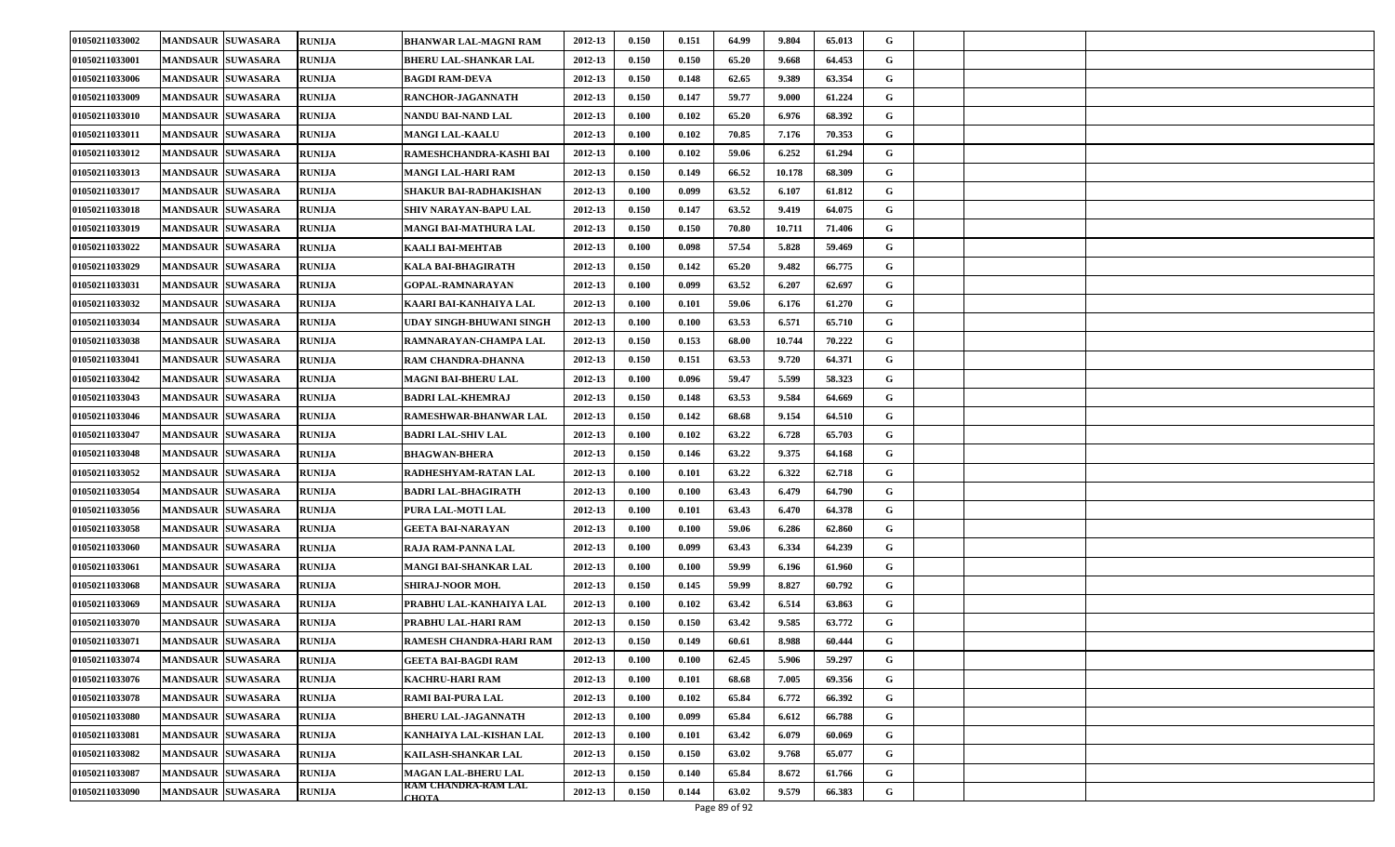| 01050211033002 | <b>MANDSAUR SUWASARA</b> | <b>RUNIJA</b> | <b>BHANWAR LAL-MAGNI RAM</b>        | 2012-13 | 0.150 | 0.151 | 64.99 | 9.804  | 65.013 | G           |  |
|----------------|--------------------------|---------------|-------------------------------------|---------|-------|-------|-------|--------|--------|-------------|--|
| 01050211033001 | <b>MANDSAUR SUWASARA</b> | <b>RUNIJA</b> | BHERU LAL-SHANKAR LAL               | 2012-13 | 0.150 | 0.150 | 65.20 | 9.668  | 64.453 | G           |  |
| 01050211033006 | <b>MANDSAUR SUWASARA</b> | <b>RUNIJA</b> | <b>BAGDI RAM-DEVA</b>               | 2012-13 | 0.150 | 0.148 | 62.65 | 9.389  | 63.354 | G           |  |
| 01050211033009 | <b>MANDSAUR SUWASARA</b> | <b>RUNIJA</b> | RANCHOR-JAGANNATH                   | 2012-13 | 0.150 | 0.147 | 59.77 | 9.000  | 61.224 | G           |  |
| 01050211033010 | <b>MANDSAUR SUWASARA</b> | <b>RUNIJA</b> | NANDU BAI-NAND LAL                  | 2012-13 | 0.100 | 0.102 | 65.20 | 6.976  | 68.392 | G           |  |
| 01050211033011 | <b>MANDSAUR SUWASARA</b> | <b>RUNIJA</b> | <b>MANGI LAL-KAALU</b>              | 2012-13 | 0.100 | 0.102 | 70.85 | 7.176  | 70.353 | G           |  |
| 01050211033012 | <b>MANDSAUR SUWASARA</b> | <b>RUNIJA</b> | RAMESHCHANDRA-KASHI BAI             | 2012-13 | 0.100 | 0.102 | 59.06 | 6.252  | 61.294 | G           |  |
| 01050211033013 | <b>MANDSAUR SUWASARA</b> | RUNIJA        | MANGI LAL-HARI RAM                  | 2012-13 | 0.150 | 0.149 | 66.52 | 10.178 | 68.309 | G           |  |
| 01050211033017 | <b>MANDSAUR SUWASARA</b> | <b>RUNIJA</b> | SHAKUR BAI-RADHAKISHAN              | 2012-13 | 0.100 | 0.099 | 63.52 | 6.107  | 61.812 | G           |  |
| 01050211033018 | <b>MANDSAUR SUWASARA</b> | <b>RUNIJA</b> | <b>SHIV NARAYAN-BAPU LAL</b>        | 2012-13 | 0.150 | 0.147 | 63.52 | 9.419  | 64.075 | G           |  |
| 01050211033019 | <b>MANDSAUR SUWASARA</b> | <b>RUNIJA</b> | <b>MANGI BAI-MATHURA LAL</b>        | 2012-13 | 0.150 | 0.150 | 70.80 | 10.711 | 71.406 | G           |  |
| 01050211033022 | <b>MANDSAUR SUWASARA</b> | <b>RUNIJA</b> | KAALI BAI-MEHTAB                    | 2012-13 | 0.100 | 0.098 | 57.54 | 5.828  | 59.469 | G           |  |
| 01050211033029 | <b>MANDSAUR SUWASARA</b> | <b>RUNIJA</b> | <b>KALA BAI-BHAGIRATH</b>           | 2012-13 | 0.150 | 0.142 | 65.20 | 9.482  | 66.775 | G           |  |
| 01050211033031 | <b>MANDSAUR SUWASARA</b> | <b>RUNIJA</b> | <b>GOPAL-RAMNARAYAN</b>             | 2012-13 | 0.100 | 0.099 | 63.52 | 6.207  | 62.697 | G           |  |
| 01050211033032 | <b>MANDSAUR SUWASARA</b> | <b>RUNIJA</b> | KAARI BAI-KANHAIYA LAL              | 2012-13 | 0.100 | 0.101 | 59.06 | 6.176  | 61.270 | G           |  |
| 01050211033034 | <b>MANDSAUR SUWASARA</b> | <b>RUNIJA</b> | UDAY SINGH-BHUWANI SINGH            | 2012-13 | 0.100 | 0.100 | 63.53 | 6.571  | 65.710 | G           |  |
| 01050211033038 | <b>MANDSAUR SUWASARA</b> | <b>RUNIJA</b> | RAMNARAYAN-CHAMPA LAL               | 2012-13 | 0.150 | 0.153 | 68.00 | 10.744 | 70.222 | G           |  |
| 01050211033041 | <b>MANDSAUR SUWASARA</b> | <b>RUNIJA</b> | <b>RAM CHANDRA-DHANNA</b>           | 2012-13 | 0.150 | 0.151 | 63.53 | 9.720  | 64.371 | G           |  |
| 01050211033042 | <b>MANDSAUR SUWASARA</b> | <b>RUNIJA</b> | <b>MAGNI BAI-BHERU LAL</b>          | 2012-13 | 0.100 | 0.096 | 59.47 | 5.599  | 58.323 | G           |  |
| 01050211033043 | <b>MANDSAUR SUWASARA</b> | <b>RUNIJA</b> | <b>BADRI LAL-KHEMRAJ</b>            | 2012-13 | 0.150 | 0.148 | 63.53 | 9.584  | 64.669 | G           |  |
| 01050211033046 | <b>MANDSAUR SUWASARA</b> | <b>RUNIJA</b> | RAMESHWAR-BHANWAR LAL               | 2012-13 | 0.150 | 0.142 | 68.68 | 9.154  | 64.510 | G           |  |
| 01050211033047 | <b>MANDSAUR SUWASARA</b> | <b>RUNIJA</b> | <b>BADRI LAL-SHIV LAL</b>           | 2012-13 | 0.100 | 0.102 | 63.22 | 6.728  | 65.703 | G           |  |
| 01050211033048 | <b>MANDSAUR SUWASARA</b> | <b>RUNIJA</b> | <b>BHAGWAN-BHERA</b>                | 2012-13 | 0.150 | 0.146 | 63.22 | 9.375  | 64.168 | G           |  |
| 01050211033052 | <b>MANDSAUR SUWASARA</b> | <b>RUNIJA</b> | RADHESHYAM-RATAN LAL                | 2012-13 | 0.100 | 0.101 | 63.22 | 6.322  | 62.718 | G           |  |
| 01050211033054 | <b>MANDSAUR SUWASARA</b> | <b>RUNIJA</b> | <b>BADRI LAL-BHAGIRATH</b>          | 2012-13 | 0.100 | 0.100 | 63.43 | 6.479  | 64.790 | G           |  |
| 01050211033056 | <b>MANDSAUR SUWASARA</b> | <b>RUNIJA</b> | PURA LAL-MOTI LAL                   | 2012-13 | 0.100 | 0.101 | 63.43 | 6.470  | 64.378 | G           |  |
| 01050211033058 | <b>MANDSAUR SUWASARA</b> | <b>RUNIJA</b> | GEETA BAI-NARAYAN                   | 2012-13 | 0.100 | 0.100 | 59.06 | 6.286  | 62.860 | G           |  |
| 01050211033060 | <b>MANDSAUR SUWASARA</b> | <b>RUNIJA</b> | RAJA RAM-PANNA LAL                  | 2012-13 | 0.100 | 0.099 | 63.43 | 6.334  | 64.239 | G           |  |
| 01050211033061 | <b>MANDSAUR SUWASARA</b> | <b>RUNIJA</b> | <b>MANGI BAI-SHANKAR LAL</b>        | 2012-13 | 0.100 | 0.100 | 59.99 | 6.196  | 61.960 | G           |  |
| 01050211033068 | <b>MANDSAUR SUWASARA</b> | <b>RUNIJA</b> | SHIRAJ-NOOR MOH.                    | 2012-13 | 0.150 | 0.145 | 59.99 | 8.827  | 60.792 | G           |  |
| 01050211033069 | <b>MANDSAUR SUWASARA</b> | RUNIJA        | PRABHU LAL-KANHAIYA LAL             | 2012-13 | 0.100 | 0.102 | 63.42 | 6.514  | 63.863 | G           |  |
| 01050211033070 | <b>MANDSAUR SUWASARA</b> | <b>RUNIJA</b> | PRABHU LAL-HARI RAM                 | 2012-13 | 0.150 | 0.150 | 63.42 | 9.585  | 63.772 | G           |  |
| 01050211033071 | MANDSAUR SUWASARA        | RUNIJA        | RAMESH CHANDRA-HARI RAM             | 2012-13 | 0.150 | 0.149 | 60.61 | 8.988  | 60.444 | G           |  |
| 01050211033074 | <b>MANDSAUR SUWASARA</b> | <b>RUNIJA</b> | <b>GEETA BAI-BAGDI RAM</b>          | 2012-13 | 0.100 | 0.100 | 62.45 | 5.906  | 59.297 | G           |  |
| 01050211033076 | <b>MANDSAUR SUWASARA</b> | <b>RUNIJA</b> | KACHRU-HARI RAM                     | 2012-13 | 0.100 | 0.101 | 68.68 | 7.005  | 69.356 | G           |  |
| 01050211033078 | <b>MANDSAUR SUWASARA</b> | <b>RUNIJA</b> | <b>RAMI BAI-PURA LAL</b>            | 2012-13 | 0.100 | 0.102 | 65.84 | 6.772  | 66.392 | $\mathbf G$ |  |
| 01050211033080 | <b>MANDSAUR SUWASARA</b> | <b>RUNIJA</b> | <b>BHERU LAL-JAGANNATH</b>          | 2012-13 | 0.100 | 0.099 | 65.84 | 6.612  | 66.788 | $\mathbf G$ |  |
| 01050211033081 | <b>MANDSAUR SUWASARA</b> | <b>RUNIJA</b> | KANHAIYA LAL-KISHAN LAL             | 2012-13 | 0.100 | 0.101 | 63.42 | 6.079  | 60.069 | $\mathbf G$ |  |
| 01050211033082 | <b>MANDSAUR SUWASARA</b> | <b>RUNIJA</b> | KAILASH-SHANKAR LAL                 | 2012-13 | 0.150 | 0.150 | 63.02 | 9.768  | 65.077 | G           |  |
| 01050211033087 | <b>MANDSAUR SUWASARA</b> | <b>RUNIJA</b> | <b>MAGAN LAL-BHERU LAL</b>          | 2012-13 | 0.150 | 0.140 | 65.84 | 8.672  | 61.766 | G           |  |
| 01050211033090 | <b>MANDSAUR SUWASARA</b> | <b>RUNIJA</b> | RAM CHANDRA-RAM LAL<br><b>CHOTA</b> | 2012-13 | 0.150 | 0.144 | 63.02 | 9.579  | 66.383 | G           |  |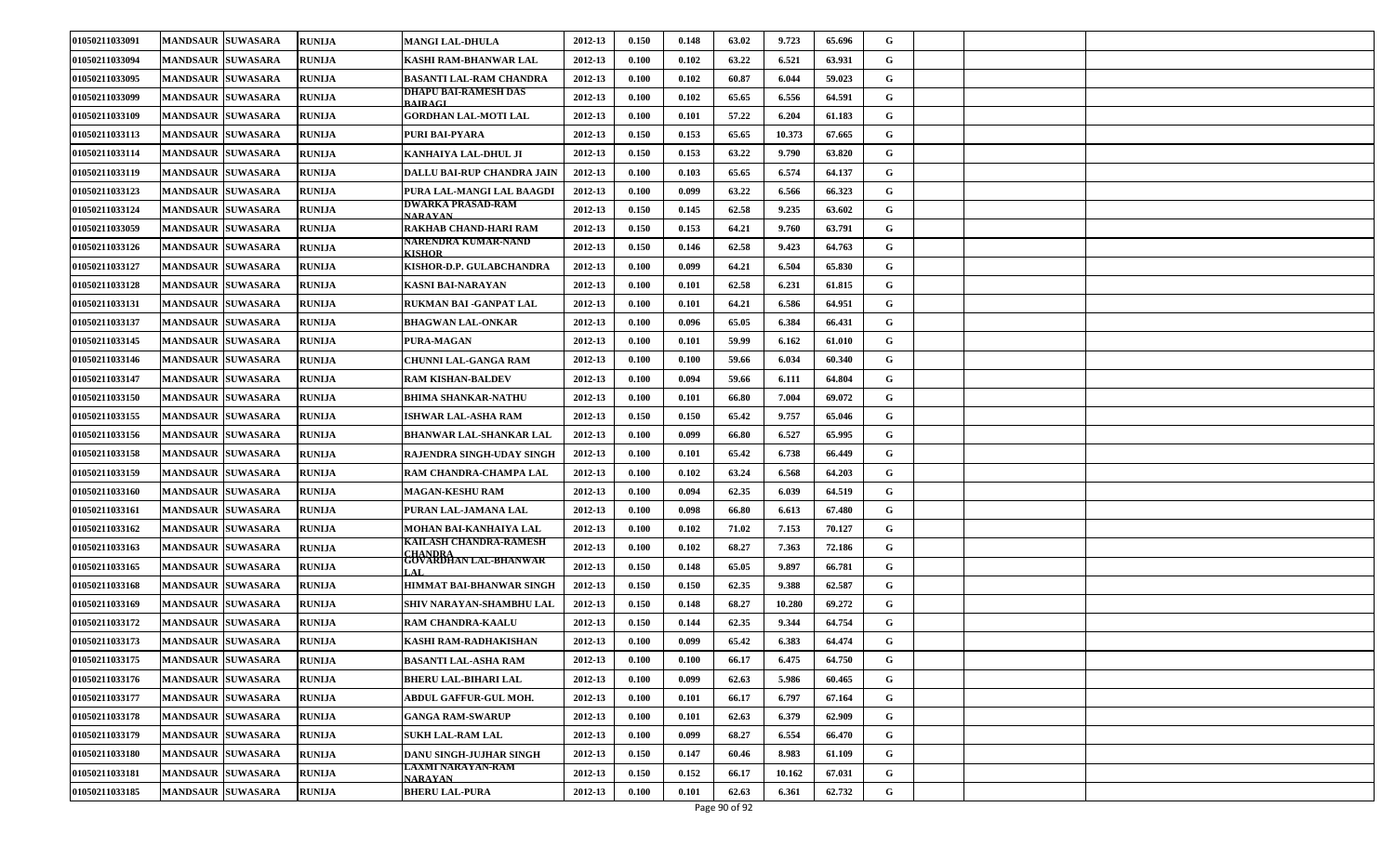| 01050211033091 | <b>MANDSAUR SUWASARA</b> | <b>RUNIJA</b> | <b>MANGI LAL-DHULA</b>                                     | 2012-13 | 0.150 | 0.148 | 63.02 | 9.723  | 65.696 | G           |  |
|----------------|--------------------------|---------------|------------------------------------------------------------|---------|-------|-------|-------|--------|--------|-------------|--|
| 01050211033094 | <b>MANDSAUR SUWASARA</b> | <b>RUNIJA</b> | KASHI RAM-BHANWAR LAL                                      | 2012-13 | 0.100 | 0.102 | 63.22 | 6.521  | 63.931 | G           |  |
| 01050211033095 | <b>MANDSAUR SUWASARA</b> | <b>RUNIJA</b> | <b>BASANTI LAL-RAM CHANDRA</b>                             | 2012-13 | 0.100 | 0.102 | 60.87 | 6.044  | 59.023 | G           |  |
| 01050211033099 | <b>MANDSAUR SUWASARA</b> | <b>RUNIJA</b> | DHAPU BAI-RAMESH DAS<br><b>RAIRACL</b>                     | 2012-13 | 0.100 | 0.102 | 65.65 | 6.556  | 64.591 | G           |  |
| 01050211033109 | <b>MANDSAUR SUWASARA</b> | <b>RUNIJA</b> | <b>GORDHAN LAL-MOTI LAL</b>                                | 2012-13 | 0.100 | 0.101 | 57.22 | 6.204  | 61.183 | G           |  |
| 01050211033113 | <b>MANDSAUR SUWASARA</b> | <b>RUNIJA</b> | PURI BAI-PYARA                                             | 2012-13 | 0.150 | 0.153 | 65.65 | 10.373 | 67.665 | G           |  |
| 01050211033114 | <b>MANDSAUR SUWASARA</b> | <b>RUNIJA</b> | KANHAIYA LAL-DHUL JI                                       | 2012-13 | 0.150 | 0.153 | 63.22 | 9.790  | 63.820 | G           |  |
| 01050211033119 | <b>MANDSAUR SUWASARA</b> | RUNIJA        | DALLU BAI-RUP CHANDRA JAIN                                 | 2012-13 | 0.100 | 0.103 | 65.65 | 6.574  | 64.137 | G           |  |
| 01050211033123 | <b>MANDSAUR SUWASARA</b> | <b>RUNIJA</b> | PURA LAL-MANGI LAL BAAGDI                                  | 2012-13 | 0.100 | 0.099 | 63.22 | 6.566  | 66.323 | G           |  |
| 01050211033124 | <b>MANDSAUR SUWASARA</b> | <b>RUNIJA</b> | DWARKA PRASAD-RAM<br>NARAVAN                               | 2012-13 | 0.150 | 0.145 | 62.58 | 9.235  | 63.602 | G           |  |
| 01050211033059 | <b>MANDSAUR SUWASARA</b> | <b>RUNIJA</b> | RAKHAB CHAND-HARI RAM                                      | 2012-13 | 0.150 | 0.153 | 64.21 | 9.760  | 63.791 | G           |  |
| 01050211033126 | <b>MANDSAUR SUWASARA</b> | <b>RUNIJA</b> | NARENDRA KUMAR-NAND<br>KISHOR                              | 2012-13 | 0.150 | 0.146 | 62.58 | 9.423  | 64.763 | G           |  |
| 01050211033127 | <b>MANDSAUR SUWASARA</b> | <b>RUNIJA</b> | KISHOR-D.P. GULABCHANDRA                                   | 2012-13 | 0.100 | 0.099 | 64.21 | 6.504  | 65.830 | G           |  |
| 01050211033128 | <b>MANDSAUR SUWASARA</b> | <b>RUNIJA</b> | <b>KASNI BAI-NARAYAN</b>                                   | 2012-13 | 0.100 | 0.101 | 62.58 | 6.231  | 61.815 | G           |  |
| 01050211033131 | <b>MANDSAUR SUWASARA</b> | <b>RUNIJA</b> | RUKMAN BAI -GANPAT LAL                                     | 2012-13 | 0.100 | 0.101 | 64.21 | 6.586  | 64.951 | G           |  |
| 01050211033137 | <b>MANDSAUR SUWASARA</b> | <b>RUNIJA</b> | <b>BHAGWAN LAL-ONKAR</b>                                   | 2012-13 | 0.100 | 0.096 | 65.05 | 6.384  | 66.431 | G           |  |
| 01050211033145 | <b>MANDSAUR SUWASARA</b> | <b>RUNIJA</b> | PURA-MAGAN                                                 | 2012-13 | 0.100 | 0.101 | 59.99 | 6.162  | 61.010 | G           |  |
| 01050211033146 | <b>MANDSAUR SUWASARA</b> | <b>RUNIJA</b> | <b>CHUNNI LAL-GANGA RAM</b>                                | 2012-13 | 0.100 | 0.100 | 59.66 | 6.034  | 60.340 | G           |  |
| 01050211033147 | <b>MANDSAUR SUWASARA</b> | <b>RUNIJA</b> | <b>RAM KISHAN-BALDEV</b>                                   | 2012-13 | 0.100 | 0.094 | 59.66 | 6.111  | 64.804 | G           |  |
| 01050211033150 | <b>MANDSAUR SUWASARA</b> | <b>RUNIJA</b> | <b>BHIMA SHANKAR-NATHU</b>                                 | 2012-13 | 0.100 | 0.101 | 66.80 | 7.004  | 69.072 | G           |  |
| 01050211033155 | <b>MANDSAUR SUWASARA</b> | <b>RUNIJA</b> | <b>ISHWAR LAL-ASHA RAM</b>                                 | 2012-13 | 0.150 | 0.150 | 65.42 | 9.757  | 65.046 | G           |  |
| 01050211033156 | <b>MANDSAUR SUWASARA</b> | <b>RUNIJA</b> | <b>BHANWAR LAL-SHANKAR LAL</b>                             | 2012-13 | 0.100 | 0.099 | 66.80 | 6.527  | 65.995 | G           |  |
| 01050211033158 | <b>MANDSAUR SUWASARA</b> | <b>RUNIJA</b> | RAJENDRA SINGH-UDAY SINGH                                  | 2012-13 | 0.100 | 0.101 | 65.42 | 6.738  | 66.449 | G           |  |
| 01050211033159 | <b>MANDSAUR SUWASARA</b> | <b>RUNIJA</b> | RAM CHANDRA-CHAMPA LAL                                     | 2012-13 | 0.100 | 0.102 | 63.24 | 6.568  | 64.203 | G           |  |
| 01050211033160 | <b>MANDSAUR SUWASARA</b> | <b>RUNIJA</b> | <b>MAGAN-KESHU RAM</b>                                     | 2012-13 | 0.100 | 0.094 | 62.35 | 6.039  | 64.519 | G           |  |
| 01050211033161 | <b>MANDSAUR SUWASARA</b> | <b>RUNIJA</b> | PURAN LAL-JAMANA LAL                                       | 2012-13 | 0.100 | 0.098 | 66.80 | 6.613  | 67.480 | G           |  |
| 01050211033162 | <b>MANDSAUR SUWASARA</b> | <b>RUNIJA</b> | MOHAN BAI-KANHAIYA LAL                                     | 2012-13 | 0.100 | 0.102 | 71.02 | 7.153  | 70.127 | G           |  |
| 01050211033163 | <b>MANDSAUR SUWASARA</b> | <b>RUNIJA</b> | KAILASH CHANDRA-RAMESH<br>CHANDRA<br>GOVARDHAN LAL-BHANWAR | 2012-13 | 0.100 | 0.102 | 68.27 | 7.363  | 72.186 | G           |  |
| 01050211033165 | <b>MANDSAUR SUWASARA</b> | <b>RUNIJA</b> | $A$ $I$ .                                                  | 2012-13 | 0.150 | 0.148 | 65.05 | 9.897  | 66.781 | G           |  |
| 01050211033168 | <b>MANDSAUR SUWASARA</b> | <b>RUNIJA</b> | <b>HIMMAT BAI-BHANWAR SINGH</b>                            | 2012-13 | 0.150 | 0.150 | 62.35 | 9.388  | 62.587 | G           |  |
| 01050211033169 | <b>MANDSAUR SUWASARA</b> | <b>RUNIJA</b> | SHIV NARAYAN-SHAMBHU LAL                                   | 2012-13 | 0.150 | 0.148 | 68.27 | 10.280 | 69.272 | G           |  |
| 01050211033172 | <b>MANDSAUR SUWASARA</b> | <b>RUNIJA</b> | RAM CHANDRA-KAALU                                          | 2012-13 | 0.150 | 0.144 | 62.35 | 9.344  | 64.754 | G           |  |
| 01050211033173 | MANDSAUR SUWASARA        | RUNIJA        | KASHI RAM-RADHAKISHAN                                      | 2012-13 | 0.100 | 0.099 | 65.42 | 6.383  | 64.474 | G           |  |
| 01050211033175 | <b>MANDSAUR SUWASARA</b> | <b>RUNIJA</b> | <b>BASANTI LAL-ASHA RAM</b>                                | 2012-13 | 0.100 | 0.100 | 66.17 | 6.475  | 64.750 | G           |  |
| 01050211033176 | <b>MANDSAUR SUWASARA</b> | <b>RUNIJA</b> | BHERU LAL-BIHARI LAL                                       | 2012-13 | 0.100 | 0.099 | 62.63 | 5.986  | 60.465 | G           |  |
| 01050211033177 | <b>MANDSAUR SUWASARA</b> | <b>RUNIJA</b> | <b>ABDUL GAFFUR-GUL MOH.</b>                               | 2012-13 | 0.100 | 0.101 | 66.17 | 6.797  | 67.164 | $\mathbf G$ |  |
| 01050211033178 | <b>MANDSAUR SUWASARA</b> | <b>RUNIJA</b> | <b>GANGA RAM-SWARUP</b>                                    | 2012-13 | 0.100 | 0.101 | 62.63 | 6.379  | 62.909 | $\mathbf G$ |  |
| 01050211033179 | <b>MANDSAUR SUWASARA</b> | <b>RUNIJA</b> | <b>SUKH LAL-RAM LAL</b>                                    | 2012-13 | 0.100 | 0.099 | 68.27 | 6.554  | 66.470 | $\mathbf G$ |  |
| 01050211033180 | <b>MANDSAUR SUWASARA</b> | <b>RUNIJA</b> | DANU SINGH-JUJHAR SINGH                                    | 2012-13 | 0.150 | 0.147 | 60.46 | 8.983  | 61.109 | G           |  |
| 01050211033181 | <b>MANDSAUR SUWASARA</b> | <b>RUNIJA</b> | LAXMI NARAYAN-RAM<br><b>NARAYAN</b>                        | 2012-13 | 0.150 | 0.152 | 66.17 | 10.162 | 67.031 | G           |  |
| 01050211033185 | <b>MANDSAUR SUWASARA</b> | <b>RUNIJA</b> | <b>BHERU LAL-PURA</b>                                      | 2012-13 | 0.100 | 0.101 | 62.63 | 6.361  | 62.732 | G           |  |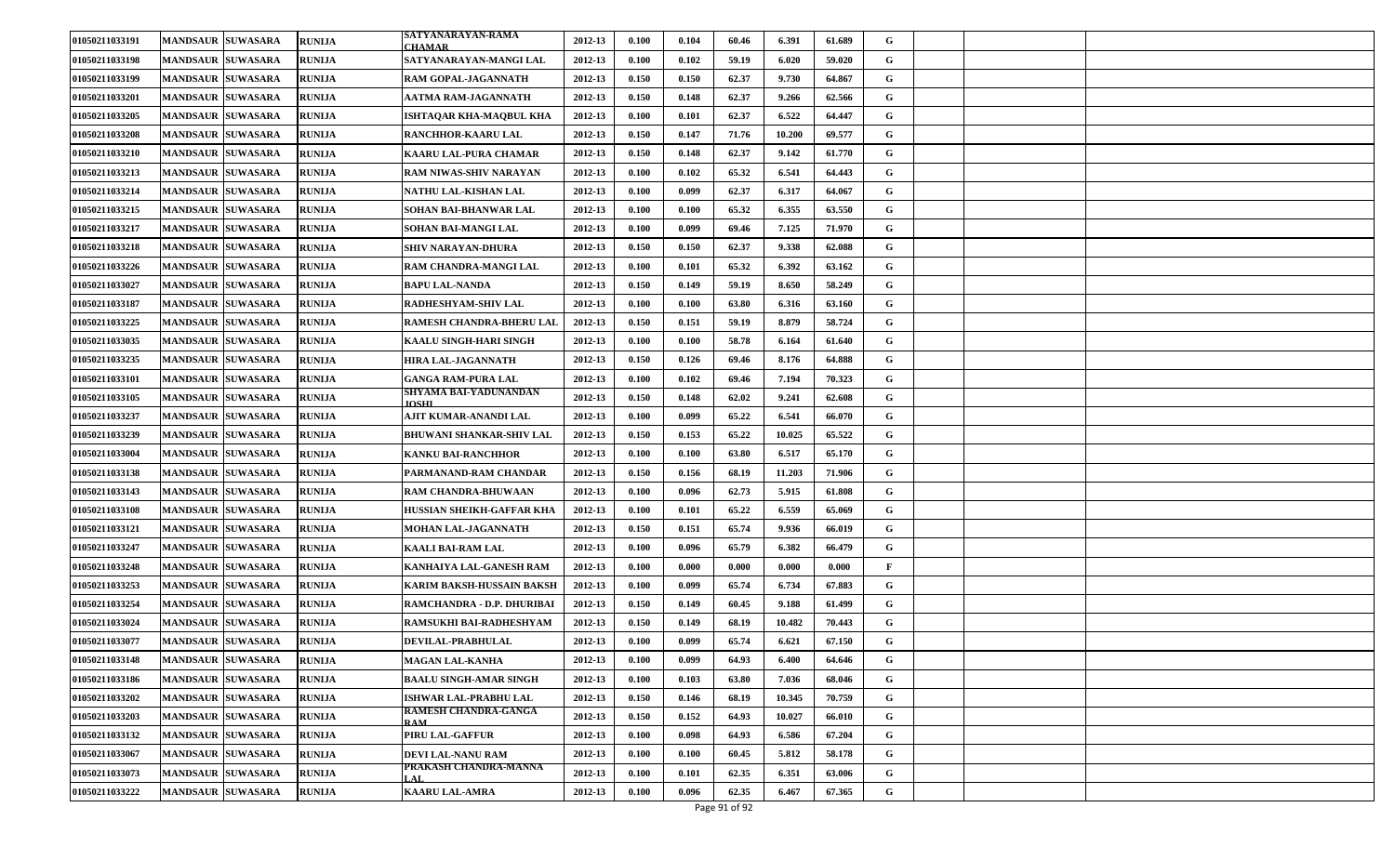| 01050211033191 | <b>MANDSAUR SUWASARA</b> | <b>RUNIJA</b> | SATYANARAYAN-RAMA<br><b>HAMAR</b>         | 2012-13 | 0.100 | 0.104 | 60.46 | 6.391  | 61.689 | G            |  |
|----------------|--------------------------|---------------|-------------------------------------------|---------|-------|-------|-------|--------|--------|--------------|--|
| 01050211033198 | <b>MANDSAUR SUWASARA</b> | RUNIJA        | SATYANARAYAN-MANGI LAL                    | 2012-13 | 0.100 | 0.102 | 59.19 | 6.020  | 59.020 | G            |  |
| 01050211033199 | <b>MANDSAUR SUWASARA</b> | <b>RUNIJA</b> | RAM GOPAL-JAGANNATH                       | 2012-13 | 0.150 | 0.150 | 62.37 | 9.730  | 64.867 | G            |  |
| 01050211033201 | <b>MANDSAUR SUWASARA</b> | <b>RUNIJA</b> | AATMA RAM-JAGANNATH                       | 2012-13 | 0.150 | 0.148 | 62.37 | 9.266  | 62.566 | G            |  |
| 01050211033205 | <b>MANDSAUR SUWASARA</b> | <b>RUNIJA</b> | ISHTAQAR KHA-MAQBUL KHA                   | 2012-13 | 0.100 | 0.101 | 62.37 | 6.522  | 64.447 | G            |  |
| 01050211033208 | <b>MANDSAUR SUWASARA</b> | <b>RUNIJA</b> | RANCHHOR-KAARU LAL                        | 2012-13 | 0.150 | 0.147 | 71.76 | 10.200 | 69.577 | G            |  |
| 01050211033210 | <b>MANDSAUR SUWASARA</b> | <b>RUNIJA</b> | <b>KAARU LAL-PURA CHAMAR</b>              | 2012-13 | 0.150 | 0.148 | 62.37 | 9.142  | 61.770 | G            |  |
| 01050211033213 | <b>MANDSAUR SUWASARA</b> | RUNIJA        | RAM NIWAS-SHIV NARAYAN                    | 2012-13 | 0.100 | 0.102 | 65.32 | 6.541  | 64.443 | G            |  |
| 01050211033214 | <b>MANDSAUR SUWASARA</b> | <b>RUNIJA</b> | NATHU LAL-KISHAN LAL                      | 2012-13 | 0.100 | 0.099 | 62.37 | 6.317  | 64.067 | G            |  |
| 01050211033215 | <b>MANDSAUR SUWASARA</b> | <b>RUNIJA</b> | SOHAN BAI-BHANWAR LAL                     | 2012-13 | 0.100 | 0.100 | 65.32 | 6.355  | 63.550 | G            |  |
| 01050211033217 | <b>MANDSAUR SUWASARA</b> | <b>RUNIJA</b> | SOHAN BAI-MANGI LAL                       | 2012-13 | 0.100 | 0.099 | 69.46 | 7.125  | 71.970 | G            |  |
| 01050211033218 | <b>MANDSAUR SUWASARA</b> | <b>RUNIJA</b> | SHIV NARAYAN-DHURA                        | 2012-13 | 0.150 | 0.150 | 62.37 | 9.338  | 62.088 | G            |  |
| 01050211033226 | <b>MANDSAUR SUWASARA</b> | <b>RUNIJA</b> | RAM CHANDRA-MANGI LAL                     | 2012-13 | 0.100 | 0.101 | 65.32 | 6.392  | 63.162 | G            |  |
| 01050211033027 | <b>MANDSAUR SUWASARA</b> | <b>RUNIJA</b> | <b>BAPU LAL-NANDA</b>                     | 2012-13 | 0.150 | 0.149 | 59.19 | 8.650  | 58.249 | G            |  |
| 01050211033187 | <b>MANDSAUR SUWASARA</b> | <b>RUNIJA</b> | RADHESHYAM-SHIV LAL                       | 2012-13 | 0.100 | 0.100 | 63.80 | 6.316  | 63.160 | G            |  |
| 01050211033225 | <b>MANDSAUR SUWASARA</b> | <b>RUNIJA</b> | RAMESH CHANDRA-BHERU LAL                  | 2012-13 | 0.150 | 0.151 | 59.19 | 8.879  | 58.724 | G            |  |
| 01050211033035 | <b>MANDSAUR SUWASARA</b> | <b>RUNIJA</b> | KAALU SINGH-HARI SINGH                    | 2012-13 | 0.100 | 0.100 | 58.78 | 6.164  | 61.640 | G            |  |
| 01050211033235 | <b>MANDSAUR SUWASARA</b> | <b>RUNIJA</b> | <b>HIRA LAL-JAGANNATH</b>                 | 2012-13 | 0.150 | 0.126 | 69.46 | 8.176  | 64.888 | G            |  |
| 01050211033101 | <b>MANDSAUR SUWASARA</b> | <b>RUNIJA</b> | GANGA RAM-PURA LAL                        | 2012-13 | 0.100 | 0.102 | 69.46 | 7.194  | 70.323 | G            |  |
| 01050211033105 | <b>MANDSAUR SUWASARA</b> | <b>RUNIJA</b> | SHYAMA BAI-YADUNANDAN<br>JOSHI            | 2012-13 | 0.150 | 0.148 | 62.02 | 9.241  | 62.608 | G            |  |
| 01050211033237 | <b>MANDSAUR SUWASARA</b> | <b>RUNIJA</b> | AJIT KUMAR-ANANDI LAL                     | 2012-13 | 0.100 | 0.099 | 65.22 | 6.541  | 66.070 | G            |  |
| 01050211033239 | <b>MANDSAUR SUWASARA</b> | <b>RUNIJA</b> | BHUWANI SHANKAR-SHIV LAL                  | 2012-13 | 0.150 | 0.153 | 65.22 | 10.025 | 65.522 | G            |  |
| 01050211033004 | <b>MANDSAUR SUWASARA</b> | <b>RUNIJA</b> | KANKU BAI-RANCHHOR                        | 2012-13 | 0.100 | 0.100 | 63.80 | 6.517  | 65.170 | G            |  |
| 01050211033138 | <b>MANDSAUR SUWASARA</b> | <b>RUNIJA</b> | PARMANAND-RAM CHANDAR                     | 2012-13 | 0.150 | 0.156 | 68.19 | 11.203 | 71.906 | G            |  |
| 01050211033143 | <b>MANDSAUR SUWASARA</b> | <b>RUNIJA</b> | RAM CHANDRA-BHUWAAN                       | 2012-13 | 0.100 | 0.096 | 62.73 | 5.915  | 61.808 | G            |  |
| 01050211033108 | <b>MANDSAUR SUWASARA</b> | <b>RUNIJA</b> | HUSSIAN SHEIKH-GAFFAR KHA                 | 2012-13 | 0.100 | 0.101 | 65.22 | 6.559  | 65.069 | G            |  |
| 01050211033121 | <b>MANDSAUR SUWASARA</b> | <b>RUNIJA</b> | <b>MOHAN LAL-JAGANNATH</b>                | 2012-13 | 0.150 | 0.151 | 65.74 | 9.936  | 66.019 | G            |  |
| 01050211033247 | <b>MANDSAUR SUWASARA</b> | <b>RUNIJA</b> | <b>KAALI BAI-RAM LAL</b>                  | 2012-13 | 0.100 | 0.096 | 65.79 | 6.382  | 66.479 | G            |  |
| 01050211033248 | <b>MANDSAUR SUWASARA</b> | <b>RUNIJA</b> | KANHAIYA LAL-GANESH RAM                   | 2012-13 | 0.100 | 0.000 | 0.000 | 0.000  | 0.000  | $\mathbf{F}$ |  |
| 01050211033253 | <b>MANDSAUR SUWASARA</b> | <b>RUNIJA</b> | <b>KARIM BAKSH-HUSSAIN BAKSH</b>          | 2012-13 | 0.100 | 0.099 | 65.74 | 6.734  | 67.883 | G            |  |
| 01050211033254 | <b>MANDSAUR SUWASARA</b> | <b>RUNIJA</b> | RAMCHANDRA - D.P. DHURIBAI                | 2012-13 | 0.150 | 0.149 | 60.45 | 9.188  | 61.499 | G            |  |
| 01050211033024 | <b>MANDSAUR SUWASARA</b> | <b>RUNIJA</b> | RAMSUKHI BAI-RADHESHYAM                   | 2012-13 | 0.150 | 0.149 | 68.19 | 10.482 | 70.443 | G            |  |
| 01050211033077 | <b>MANDSAUR SUWASARA</b> | <b>RUNIJA</b> | DEVILAL-PRABHULAL                         | 2012-13 | 0.100 | 0.099 | 65.74 | 6.621  | 67.150 | G            |  |
| 01050211033148 | MANDSAUR SUWASARA        | <b>RUNIJA</b> | <b>MAGAN LAL-KANHA</b>                    | 2012-13 | 0.100 | 0.099 | 64.93 | 6.400  | 64.646 | G            |  |
| 01050211033186 | <b>MANDSAUR SUWASARA</b> | <b>RUNIJA</b> | <b>BAALU SINGH-AMAR SINGH</b>             | 2012-13 | 0.100 | 0.103 | 63.80 | 7.036  | 68.046 | G            |  |
| 01050211033202 | <b>MANDSAUR SUWASARA</b> | <b>RUNIJA</b> | <b>ISHWAR LAL-PRABHU LAL</b>              | 2012-13 | 0.150 | 0.146 | 68.19 | 10.345 | 70.759 | G            |  |
| 01050211033203 | <b>MANDSAUR SUWASARA</b> | <b>RUNIJA</b> | <b>RAMESH CHANDRA-GANGA</b><br><b>RAM</b> | 2012-13 | 0.150 | 0.152 | 64.93 | 10.027 | 66.010 | G            |  |
| 01050211033132 | <b>MANDSAUR SUWASARA</b> | <b>RUNIJA</b> | PIRU LAL-GAFFUR                           | 2012-13 | 0.100 | 0.098 | 64.93 | 6.586  | 67.204 | G            |  |
| 01050211033067 | <b>MANDSAUR SUWASARA</b> | <b>RUNIJA</b> | <b>DEVI LAL-NANU RAM</b>                  | 2012-13 | 0.100 | 0.100 | 60.45 | 5.812  | 58.178 | G            |  |
| 01050211033073 | <b>MANDSAUR SUWASARA</b> | <b>RUNIJA</b> | PRAKASH CHANDRA-MANNA<br>$A$ $I$ .        | 2012-13 | 0.100 | 0.101 | 62.35 | 6.351  | 63.006 | G            |  |
| 01050211033222 | MANDSAUR SUWASARA        | <b>RUNIJA</b> | <b>KAARU LAL-AMRA</b>                     | 2012-13 | 0.100 | 0.096 | 62.35 | 6.467  | 67.365 | G            |  |